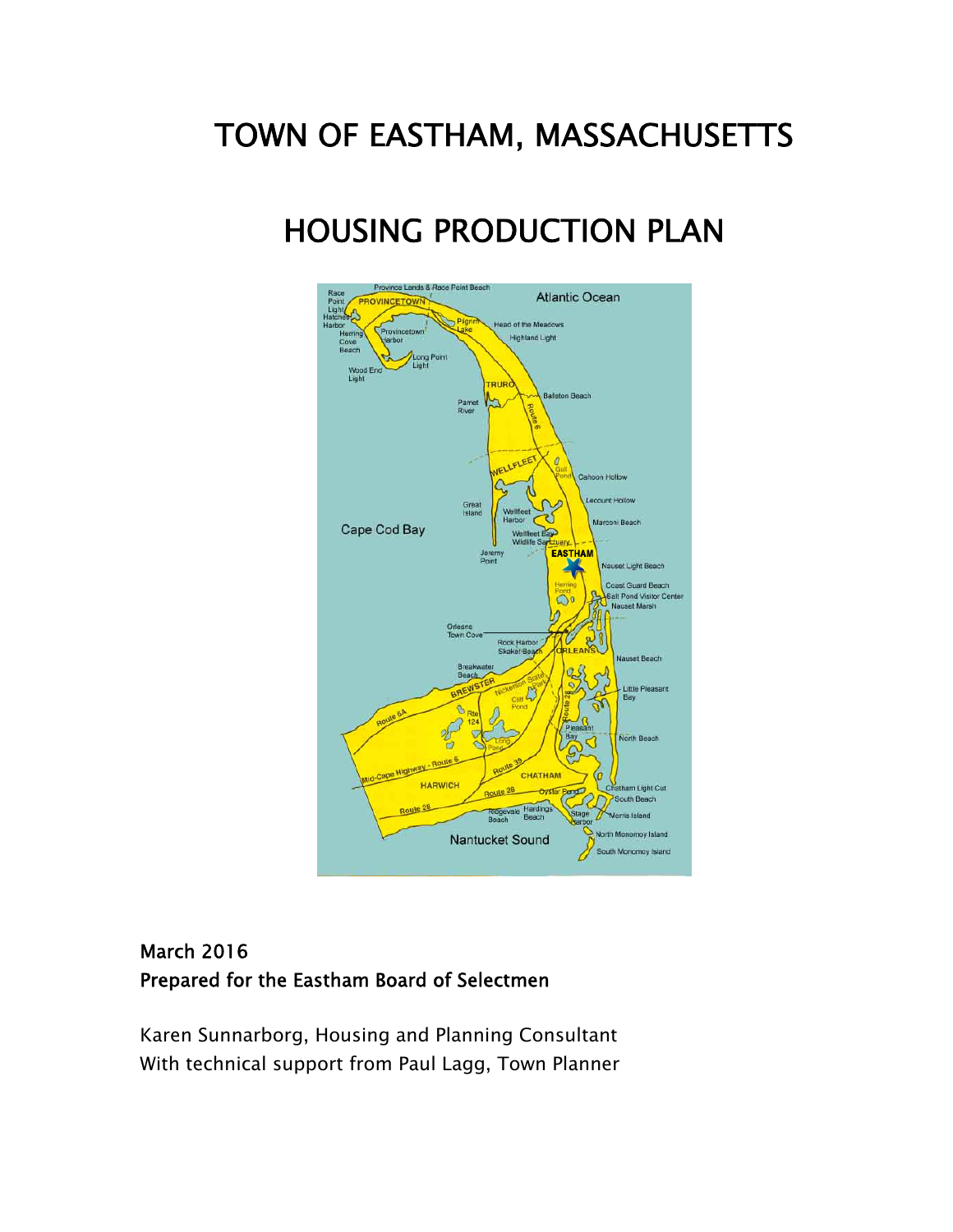# TOWN OF EASTHAM, MASSACHUSETTS

# HOUSING PRODUCTION PLAN



# March 2016 Prepared for the Eastham Board of Selectmen

Karen Sunnarborg, Housing and Planning Consultant With technical support from Paul Lagg, Town Planner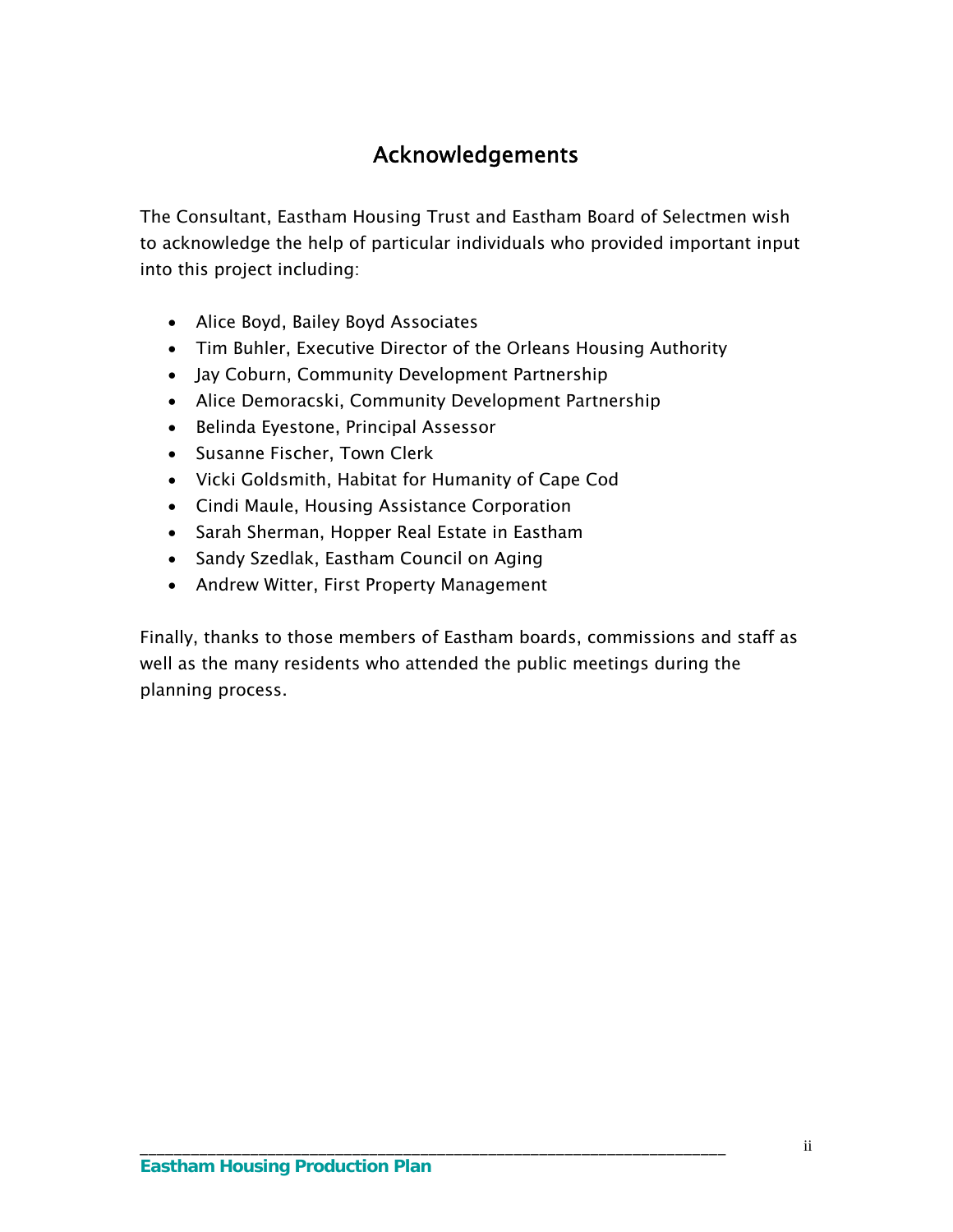# Acknowledgements

The Consultant, Eastham Housing Trust and Eastham Board of Selectmen wish to acknowledge the help of particular individuals who provided important input into this project including:

- Alice Boyd, Bailey Boyd Associates
- Tim Buhler, Executive Director of the Orleans Housing Authority
- Jay Coburn, Community Development Partnership
- Alice Demoracski, Community Development Partnership
- Belinda Eyestone, Principal Assessor
- Susanne Fischer, Town Clerk
- Vicki Goldsmith, Habitat for Humanity of Cape Cod
- Cindi Maule, Housing Assistance Corporation
- Sarah Sherman, Hopper Real Estate in Eastham
- Sandy Szedlak, Eastham Council on Aging
- Andrew Witter, First Property Management

Finally, thanks to those members of Eastham boards, commissions and staff as well as the many residents who attended the public meetings during the planning process.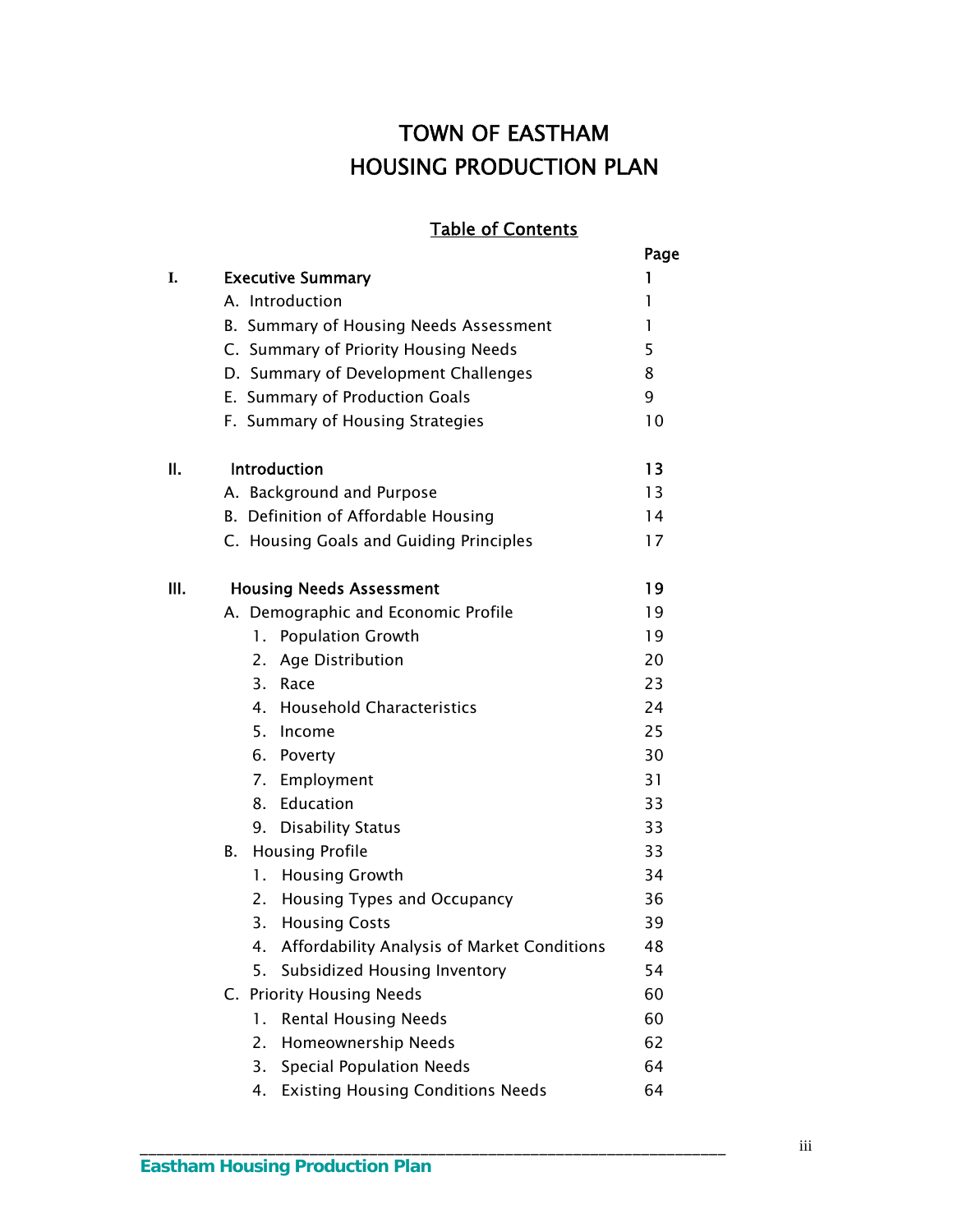# TOWN OF EASTHAM HOUSING PRODUCTION PLAN

# Table of Contents

|     |                                                   | Page |
|-----|---------------------------------------------------|------|
| I.  | <b>Executive Summary</b>                          | ı    |
|     | A. Introduction                                   | 1    |
|     | B. Summary of Housing Needs Assessment            | 1    |
|     | C. Summary of Priority Housing Needs              | 5    |
|     | D. Summary of Development Challenges              | 8    |
|     | E. Summary of Production Goals                    | 9    |
|     | F. Summary of Housing Strategies                  | 10   |
| ΙΙ. | Introduction                                      | 13   |
|     | A. Background and Purpose                         | 13   |
|     | B. Definition of Affordable Housing               | 14   |
|     | C. Housing Goals and Guiding Principles           | 17   |
| Ш.  | <b>Housing Needs Assessment</b>                   | 19   |
|     | A. Demographic and Economic Profile               | 19   |
|     | <b>Population Growth</b><br>1.                    | 19   |
|     | Age Distribution<br>2.                            | 20   |
|     | 3.<br>Race                                        | 23   |
|     | <b>Household Characteristics</b><br>4.            | 24   |
|     | 5. Income                                         | 25   |
|     | 6. Poverty                                        | 30   |
|     | 7. Employment                                     | 31   |
|     | 8. Education                                      | 33   |
|     | 9. Disability Status                              | 33   |
|     | <b>Housing Profile</b><br>В.                      | 33   |
|     | <b>Housing Growth</b><br>1.                       | 34   |
|     | 2.<br>Housing Types and Occupancy                 | 36   |
|     | <b>Housing Costs</b><br>3.                        | 39   |
|     | Affordability Analysis of Market Conditions<br>4. | 48   |
|     | Subsidized Housing Inventory<br>5.                | 54   |
|     | C. Priority Housing Needs                         | 60   |
|     | <b>Rental Housing Needs</b><br>1.                 | 60   |
|     | Homeownership Needs<br>2.                         | 62   |
|     | 3.<br><b>Special Population Needs</b>             | 64   |
|     | <b>Existing Housing Conditions Needs</b><br>4.    | 64   |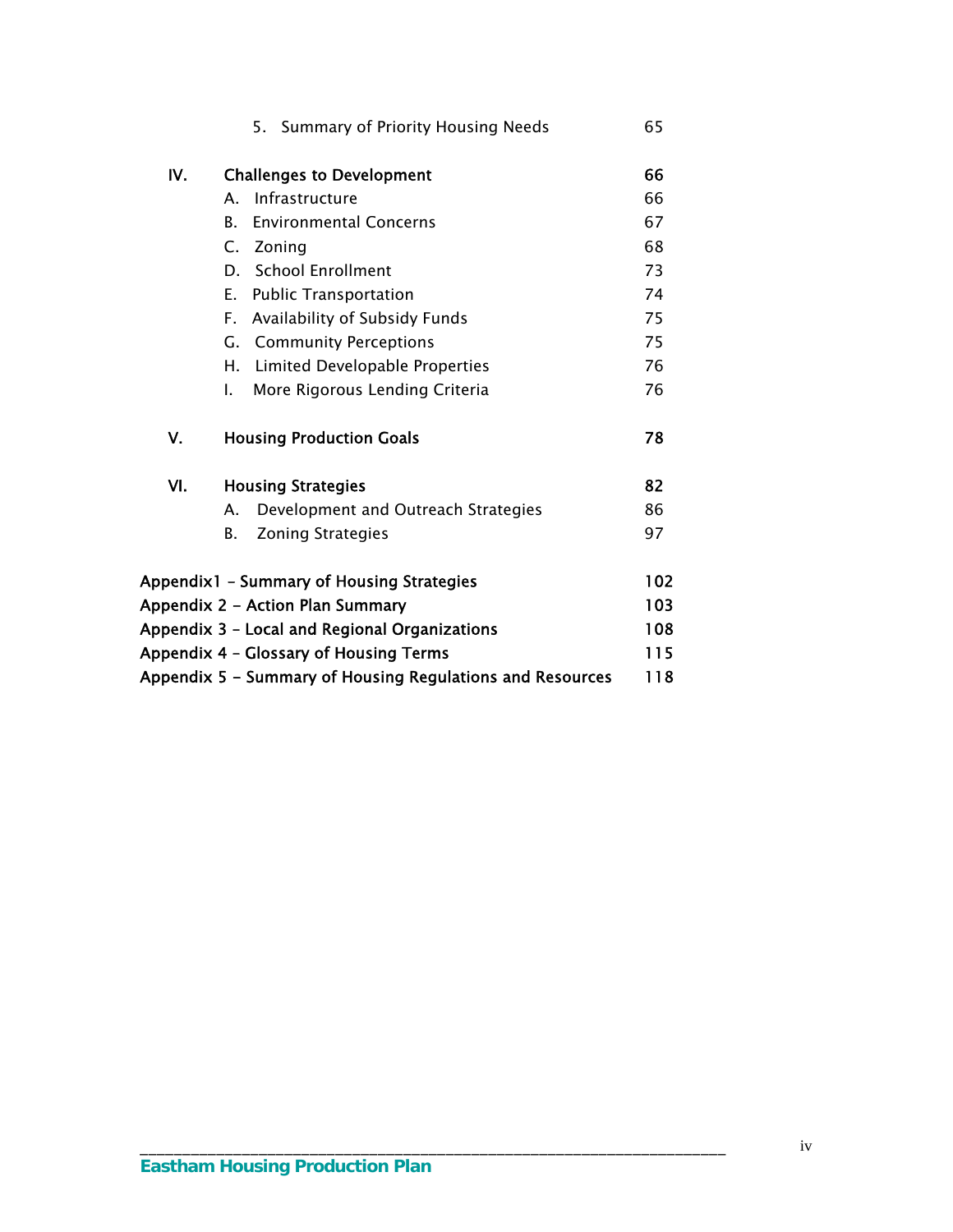|     | 5. Summary of Priority Housing Needs                      | 65  |
|-----|-----------------------------------------------------------|-----|
| IV. |                                                           | 66  |
|     | <b>Challenges to Development</b>                          |     |
|     | Infrastructure<br>$\mathsf{A}_{\cdot}$                    | 66  |
|     | В.<br><b>Environmental Concerns</b>                       | 67  |
|     | Zoning<br>C.                                              | 68  |
|     | <b>School Enrollment</b><br>D.                            | 73  |
|     | <b>Public Transportation</b><br>Е.                        | 74  |
|     | Availability of Subsidy Funds<br>F.,                      | 75  |
|     | <b>Community Perceptions</b><br>G.                        | 75  |
|     | Н.<br>Limited Developable Properties                      | 76  |
|     | More Rigorous Lending Criteria<br>L.                      | 76  |
| ٧.  | <b>Housing Production Goals</b>                           | 78  |
| VI. | <b>Housing Strategies</b>                                 | 82  |
|     | Development and Outreach Strategies<br>А.                 | 86  |
|     | В.<br><b>Zoning Strategies</b>                            | 97  |
|     | Appendix1 - Summary of Housing Strategies                 | 102 |
|     | Appendix 2 - Action Plan Summary                          | 103 |
|     | Appendix 3 - Local and Regional Organizations             | 108 |
|     | Appendix 4 - Glossary of Housing Terms                    | 115 |
|     | Appendix 5 - Summary of Housing Regulations and Resources | 118 |
|     |                                                           |     |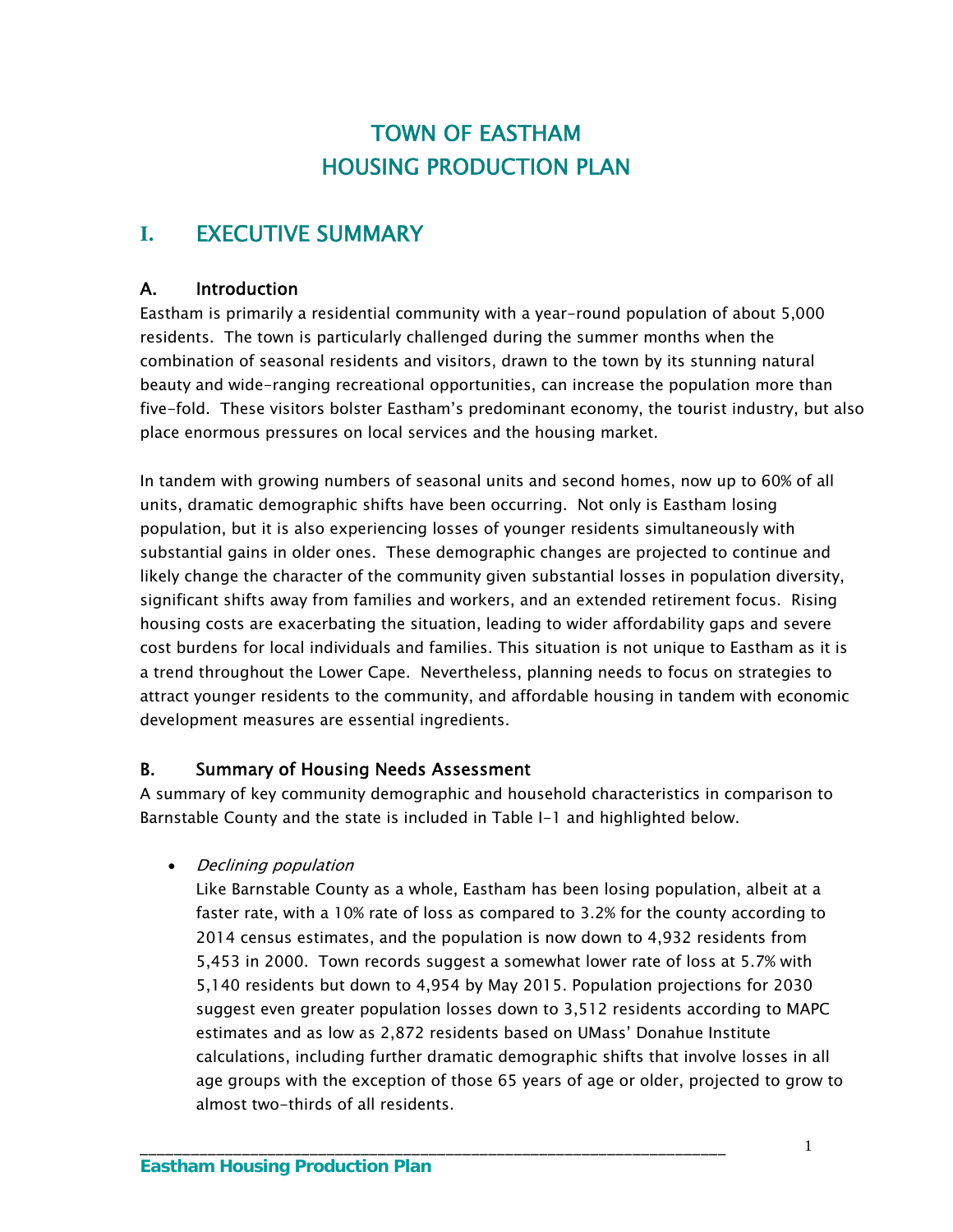# TOWN OF EASTHAM HOUSING PRODUCTION PLAN

# **I.** EXECUTIVE SUMMARY

# A. Introduction

Eastham is primarily a residential community with a year-round population of about 5,000 residents. The town is particularly challenged during the summer months when the combination of seasonal residents and visitors, drawn to the town by its stunning natural beauty and wide-ranging recreational opportunities, can increase the population more than five-fold. These visitors bolster Eastham's predominant economy, the tourist industry, but also place enormous pressures on local services and the housing market.

In tandem with growing numbers of seasonal units and second homes, now up to 60% of all units, dramatic demographic shifts have been occurring. Not only is Eastham losing population, but it is also experiencing losses of younger residents simultaneously with substantial gains in older ones. These demographic changes are projected to continue and likely change the character of the community given substantial losses in population diversity, significant shifts away from families and workers, and an extended retirement focus. Rising housing costs are exacerbating the situation, leading to wider affordability gaps and severe cost burdens for local individuals and families. This situation is not unique to Eastham as it is a trend throughout the Lower Cape. Nevertheless, planning needs to focus on strategies to attract younger residents to the community, and affordable housing in tandem with economic development measures are essential ingredients.

# B. Summary of Housing Needs Assessment

A summary of key community demographic and household characteristics in comparison to Barnstable County and the state is included in Table I-1 and highlighted below.

# • Declining population

Like Barnstable County as a whole, Eastham has been losing population, albeit at a faster rate, with a 10% rate of loss as compared to 3.2% for the county according to 2014 census estimates, and the population is now down to 4,932 residents from 5,453 in 2000. Town records suggest a somewhat lower rate of loss at 5.7% with 5,140 residents but down to 4,954 by May 2015. Population projections for 2030 suggest even greater population losses down to 3,512 residents according to MAPC estimates and as low as 2,872 residents based on UMass' Donahue Institute calculations, including further dramatic demographic shifts that involve losses in all age groups with the exception of those 65 years of age or older, projected to grow to almost two-thirds of all residents.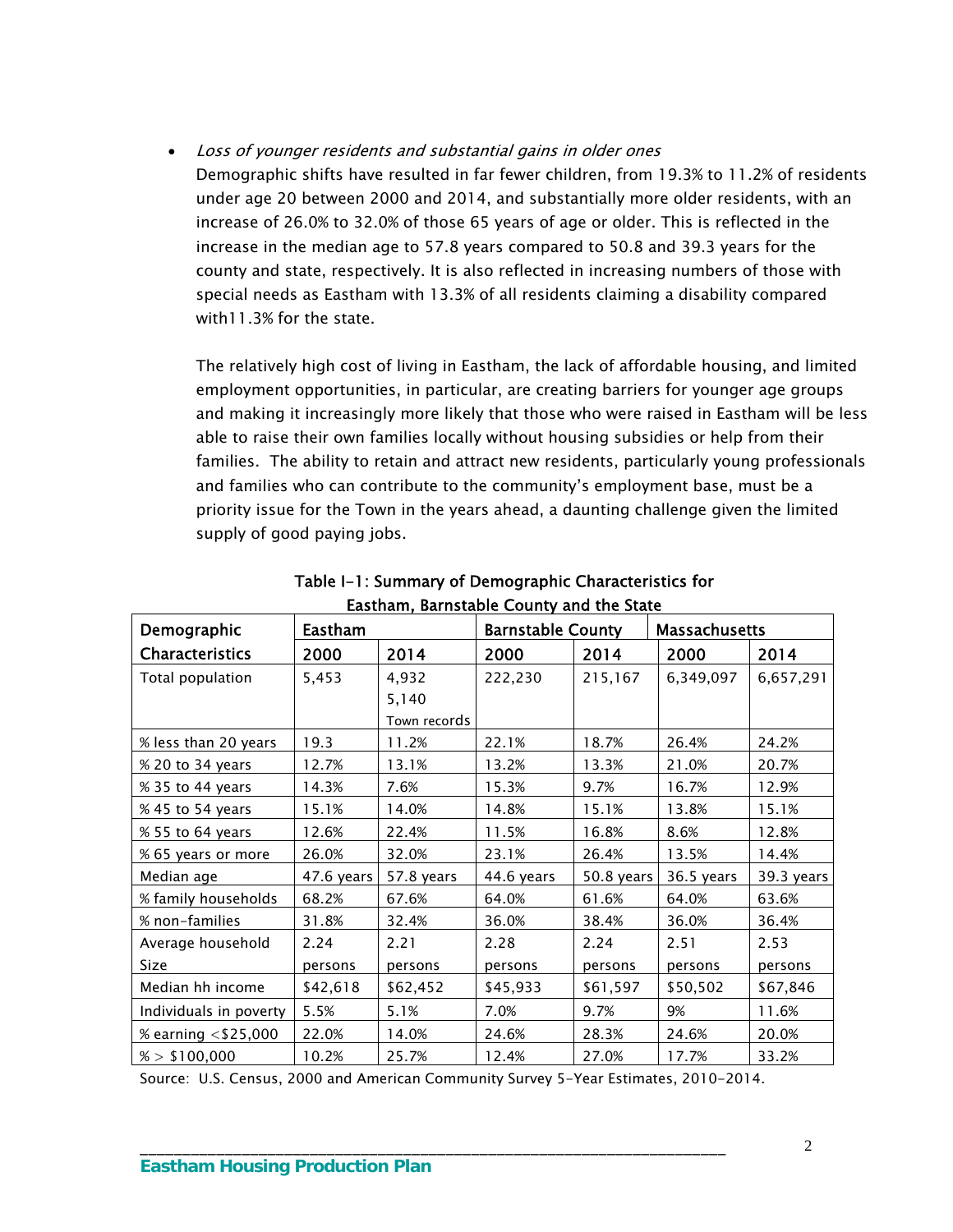#### Loss of younger residents and substantial gains in older ones

Demographic shifts have resulted in far fewer children, from 19.3% to 11.2% of residents under age 20 between 2000 and 2014, and substantially more older residents, with an increase of 26.0% to 32.0% of those 65 years of age or older. This is reflected in the increase in the median age to 57.8 years compared to 50.8 and 39.3 years for the county and state, respectively. It is also reflected in increasing numbers of those with special needs as Eastham with 13.3% of all residents claiming a disability compared with11.3% for the state.

The relatively high cost of living in Eastham, the lack of affordable housing, and limited employment opportunities, in particular, are creating barriers for younger age groups and making it increasingly more likely that those who were raised in Eastham will be less able to raise their own families locally without housing subsidies or help from their families. The ability to retain and attract new residents, particularly young professionals and families who can contribute to the community's employment base, must be a priority issue for the Town in the years ahead, a daunting challenge given the limited supply of good paying jobs.

| <b>Eastham</b><br>Demographic |            | Lastiani, barnstable county and the state | <b>Barnstable County</b> |            | <b>Massachusetts</b> |            |
|-------------------------------|------------|-------------------------------------------|--------------------------|------------|----------------------|------------|
| <b>Characteristics</b>        | 2000       | 2014                                      | 2000                     | 2014       | 2000                 | 2014       |
| Total population              | 5,453      | 4,932                                     | 222,230                  | 215,167    | 6,349,097            | 6,657,291  |
|                               |            | 5,140                                     |                          |            |                      |            |
|                               |            | Town records                              |                          |            |                      |            |
| % less than 20 years          | 19.3       | 11.2%                                     | 22.1%                    | 18.7%      | 26.4%                | 24.2%      |
| % 20 to 34 years              | 12.7%      | 13.1%                                     | 13.2%                    | 13.3%      | 21.0%                | 20.7%      |
| % 35 to 44 years              | 14.3%      | 7.6%                                      | 15.3%                    | 9.7%       | 16.7%                | 12.9%      |
| % 45 to 54 years              | 15.1%      | 14.0%                                     | 14.8%                    | 15.1%      | 13.8%                | 15.1%      |
| % 55 to 64 years              | 12.6%      | 22.4%                                     | 11.5%                    | 16.8%      | 8.6%                 | 12.8%      |
| % 65 years or more            | 26.0%      | 32.0%                                     | 23.1%                    | 26.4%      | 13.5%                | 14.4%      |
| Median age                    | 47.6 years | 57.8 years                                | 44.6 years               | 50.8 years | 36.5 years           | 39.3 years |
| % family households           | 68.2%      | 67.6%                                     | 64.0%                    | 61.6%      | 64.0%                | 63.6%      |
| % non-families                | 31.8%      | 32.4%                                     | 36.0%                    | 38.4%      | 36.0%                | 36.4%      |
| Average household             | 2.24       | 2.21                                      | 2.28                     | 2.24       | 2.51                 | 2.53       |
| Size                          | persons    | persons                                   | persons                  | persons    | persons              | persons    |
| Median hh income              | \$42,618   | \$62,452                                  | \$45,933                 | \$61,597   | \$50,502             | \$67,846   |
| Individuals in poverty        | 5.5%       | 5.1%                                      | 7.0%                     | 9.7%       | 9%                   | 11.6%      |
| % earning <\$25,000           | 22.0%      | 14.0%                                     | 24.6%                    | 28.3%      | 24.6%                | 20.0%      |
| % > \$100,000                 | 10.2%      | 25.7%                                     | 12.4%                    | 27.0%      | 17.7%                | 33.2%      |

Table I-1: Summary of Demographic Characteristics for Eastham, Barnstable County and the State

Source: U.S. Census, 2000 and American Community Survey 5-Year Estimates, 2010-2014.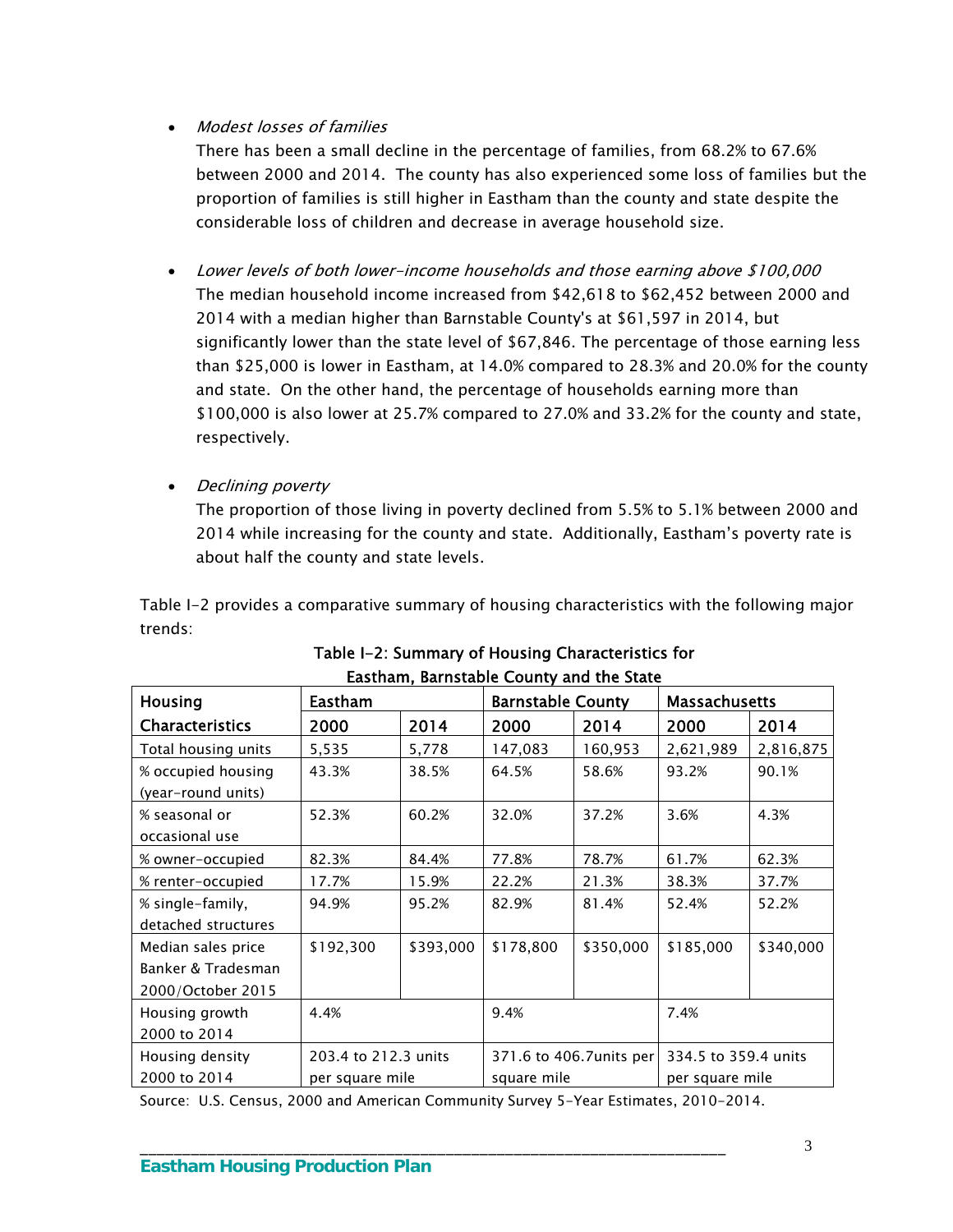## Modest losses of families

 There has been a small decline in the percentage of families, from 68.2% to 67.6% between 2000 and 2014. The county has also experienced some loss of families but the proportion of families is still higher in Eastham than the county and state despite the considerable loss of children and decrease in average household size.

- Lower levels of both lower-income households and those earning above \$100,000 The median household income increased from \$42,618 to \$62,452 between 2000 and 2014 with a median higher than Barnstable County's at \$61,597 in 2014, but significantly lower than the state level of \$67,846. The percentage of those earning less than \$25,000 is lower in Eastham, at 14.0% compared to 28.3% and 20.0% for the county and state. On the other hand, the percentage of households earning more than \$100,000 is also lower at 25.7% compared to 27.0% and 33.2% for the county and state, respectively.
- Declining poverty

The proportion of those living in poverty declined from 5.5% to 5.1% between 2000 and 2014 while increasing for the county and state. Additionally, Eastham's poverty rate is about half the county and state levels.

Table I-2 provides a comparative summary of housing characteristics with the following major trends:

| <b>Housing</b>         | <b>Eastham</b>       |           | <b>Barnstable County</b> |           | <b>Massachusetts</b> |           |  |
|------------------------|----------------------|-----------|--------------------------|-----------|----------------------|-----------|--|
| <b>Characteristics</b> | 2000                 | 2014      | 2000                     | 2014      | 2000                 | 2014      |  |
| Total housing units    | 5,535                | 5,778     | 147,083                  | 160,953   | 2,621,989            | 2,816,875 |  |
| % occupied housing     | 43.3%                | 38.5%     | 64.5%                    | 58.6%     | 93.2%                | 90.1%     |  |
| (year-round units)     |                      |           |                          |           |                      |           |  |
| % seasonal or          | 52.3%                | 60.2%     | 32.0%                    | 37.2%     | 3.6%                 | 4.3%      |  |
| occasional use         |                      |           |                          |           |                      |           |  |
| % owner-occupied       | 82.3%                | 84.4%     | 77.8%                    | 78.7%     | 61.7%                | 62.3%     |  |
| % renter-occupied      | 17.7%                | 15.9%     | 22.2%                    | 21.3%     | 38.3%                | 37.7%     |  |
| % single-family,       | 94.9%                | 95.2%     | 82.9%                    | 81.4%     | 52.4%                | 52.2%     |  |
| detached structures    |                      |           |                          |           |                      |           |  |
| Median sales price     | \$192,300            | \$393,000 | \$178,800                | \$350,000 | \$185,000            | \$340,000 |  |
| Banker & Tradesman     |                      |           |                          |           |                      |           |  |
| 2000/October 2015      |                      |           |                          |           |                      |           |  |
| Housing growth         | 4.4%                 |           | 9.4%                     |           | 7.4%                 |           |  |
| 2000 to 2014           |                      |           |                          |           |                      |           |  |
| Housing density        | 203.4 to 212.3 units |           | 371.6 to 406.7 units per |           | 334.5 to 359.4 units |           |  |
| 2000 to 2014           | per square mile      |           | square mile              |           | per square mile      |           |  |

| Table I-2: Summary of Housing Characteristics for |  |
|---------------------------------------------------|--|
| <b>Fastham, Barnstable County and the State</b>   |  |

Source: U.S. Census, 2000 and American Community Survey 5-Year Estimates, 2010-2014.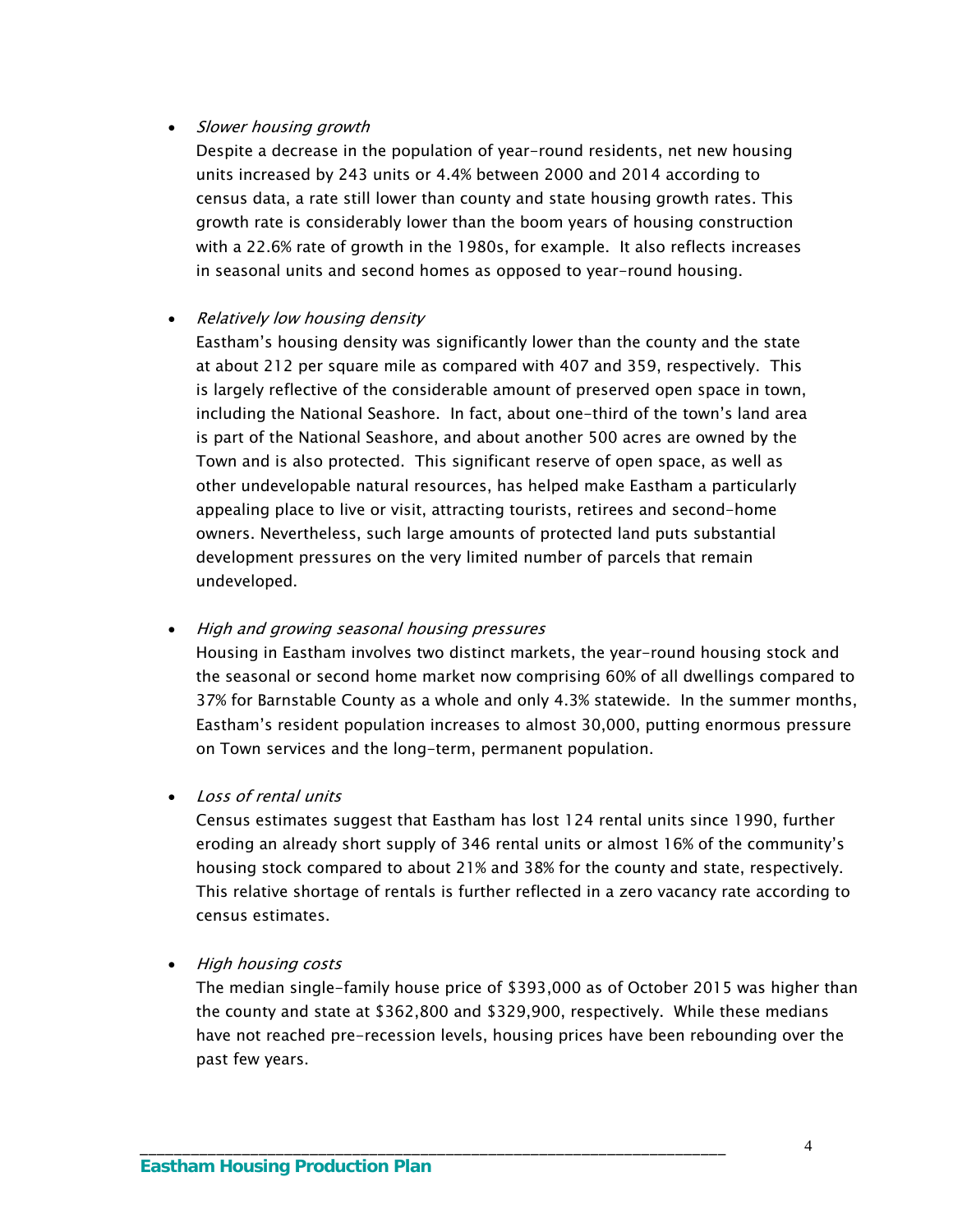#### • Slower housing growth

Despite a decrease in the population of year-round residents, net new housing units increased by 243 units or 4.4% between 2000 and 2014 according to census data, a rate still lower than county and state housing growth rates. This growth rate is considerably lower than the boom years of housing construction with a 22.6% rate of growth in the 1980s, for example. It also reflects increases in seasonal units and second homes as opposed to year-round housing.

#### • Relatively low housing density

Eastham's housing density was significantly lower than the county and the state at about 212 per square mile as compared with 407 and 359, respectively. This is largely reflective of the considerable amount of preserved open space in town, including the National Seashore. In fact, about one-third of the town's land area is part of the National Seashore, and about another 500 acres are owned by the Town and is also protected. This significant reserve of open space, as well as other undevelopable natural resources, has helped make Eastham a particularly appealing place to live or visit, attracting tourists, retirees and second-home owners. Nevertheless, such large amounts of protected land puts substantial development pressures on the very limited number of parcels that remain undeveloped.

#### • High and growing seasonal housing pressures

Housing in Eastham involves two distinct markets, the year-round housing stock and the seasonal or second home market now comprising 60% of all dwellings compared to 37% for Barnstable County as a whole and only 4.3% statewide. In the summer months, Eastham's resident population increases to almost 30,000, putting enormous pressure on Town services and the long-term, permanent population.

#### • Loss of rental units

Census estimates suggest that Eastham has lost 124 rental units since 1990, further eroding an already short supply of 346 rental units or almost 16% of the community's housing stock compared to about 21% and 38% for the county and state, respectively. This relative shortage of rentals is further reflected in a zero vacancy rate according to census estimates.

#### • High housing costs

The median single-family house price of \$393,000 as of October 2015 was higher than the county and state at \$362,800 and \$329,900, respectively. While these medians have not reached pre-recession levels, housing prices have been rebounding over the past few years.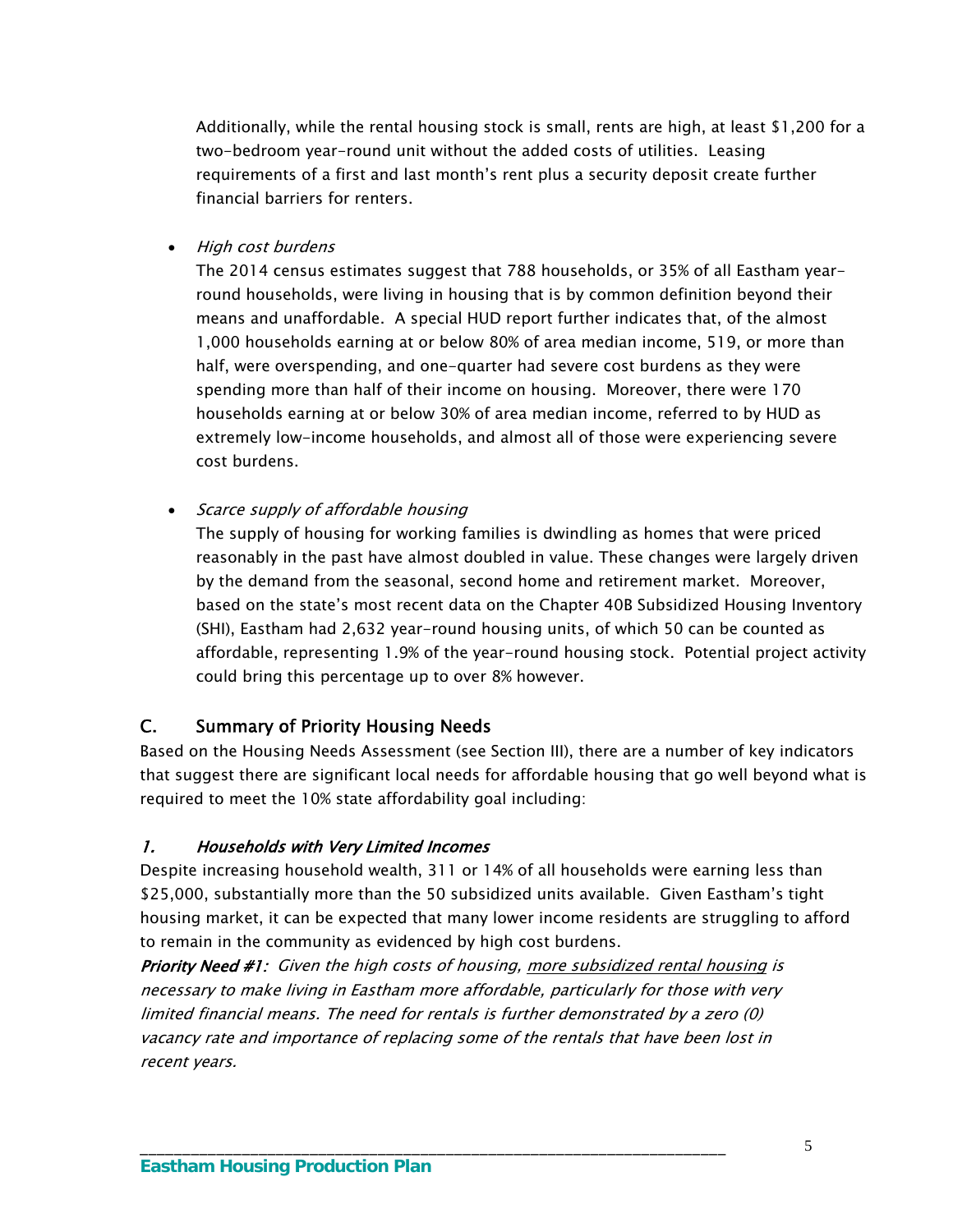Additionally, while the rental housing stock is small, rents are high, at least \$1,200 for a two-bedroom year-round unit without the added costs of utilities. Leasing requirements of a first and last month's rent plus a security deposit create further financial barriers for renters.

• High cost burdens

The 2014 census estimates suggest that 788 households, or 35% of all Eastham yearround households, were living in housing that is by common definition beyond their means and unaffordable. A special HUD report further indicates that, of the almost 1,000 households earning at or below 80% of area median income, 519, or more than half, were overspending, and one-quarter had severe cost burdens as they were spending more than half of their income on housing. Moreover, there were 170 households earning at or below 30% of area median income, referred to by HUD as extremely low-income households, and almost all of those were experiencing severe cost burdens.

• Scarce supply of affordable housing

The supply of housing for working families is dwindling as homes that were priced reasonably in the past have almost doubled in value. These changes were largely driven by the demand from the seasonal, second home and retirement market. Moreover, based on the state's most recent data on the Chapter 40B Subsidized Housing Inventory (SHI), Eastham had 2,632 year-round housing units, of which 50 can be counted as affordable, representing 1.9% of the year-round housing stock. Potential project activity could bring this percentage up to over 8% however.

#### C. Summary of Priority Housing Needs

Based on the Housing Needs Assessment (see Section III), there are a number of key indicators that suggest there are significant local needs for affordable housing that go well beyond what is required to meet the 10% state affordability goal including:

#### 1. Households with Very Limited Incomes

Despite increasing household wealth, 311 or 14% of all households were earning less than \$25,000, substantially more than the 50 subsidized units available. Given Eastham's tight housing market, it can be expected that many lower income residents are struggling to afford to remain in the community as evidenced by high cost burdens.

Priority Need #1: Given the high costs of housing, more subsidized rental housing is necessary to make living in Eastham more affordable, particularly for those with very limited financial means. The need for rentals is further demonstrated by a zero (0) vacancy rate and importance of replacing some of the rentals that have been lost in recent years.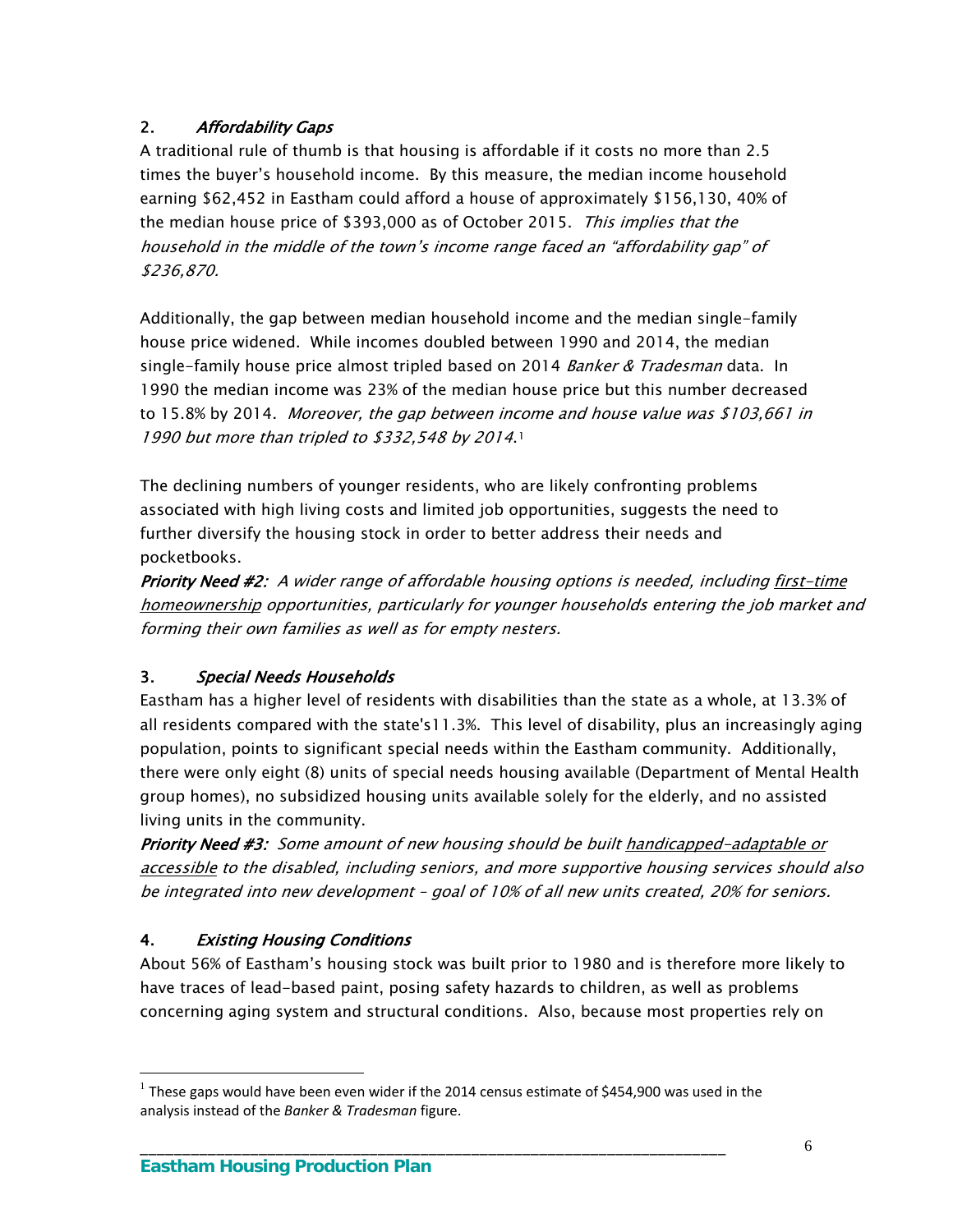# 2. Affordability Gaps

A traditional rule of thumb is that housing is affordable if it costs no more than 2.5 times the buyer's household income. By this measure, the median income household earning \$62,452 in Eastham could afford a house of approximately \$156,130, 40% of the median house price of \$393,000 as of October 2015. This implies that the household in the middle of the town's income range faced an "affordability gap" of \$236,870.

Additionally, the gap between median household income and the median single-family house price widened. While incomes doubled between 1990 and 2014, the median single-family house price almost tripled based on 2014 Banker & Tradesman data. In 1990 the median income was 23% of the median house price but this number decreased to 15.8% by 2014. Moreover, the gap between income and house value was \$103,661 in [1](#page-9-0)990 but more than tripled to \$332,548 by 2014.<sup>1</sup>

The declining numbers of younger residents, who are likely confronting problems associated with high living costs and limited job opportunities, suggests the need to further diversify the housing stock in order to better address their needs and pocketbooks.

Priority Need #2: A wider range of affordable housing options is needed, including first-time homeownership opportunities, particularly for younger households entering the job market and forming their own families as well as for empty nesters.

# 3. Special Needs Households

Eastham has a higher level of residents with disabilities than the state as a whole, at 13.3% of all residents compared with the state's11.3%. This level of disability, plus an increasingly aging population, points to significant special needs within the Eastham community. Additionally, there were only eight (8) units of special needs housing available (Department of Mental Health group homes), no subsidized housing units available solely for the elderly, and no assisted living units in the community.

Priority Need #3: Some amount of new housing should be built handicapped-adaptable or accessible to the disabled, including seniors, and more supportive housing services should also be integrated into new development – goal of 10% of all new units created, 20% for seniors.

# 4. Existing Housing Conditions

 $\overline{a}$ 

About 56% of Eastham's housing stock was built prior to 1980 and is therefore more likely to have traces of lead-based paint, posing safety hazards to children, as well as problems concerning aging system and structural conditions. Also, because most properties rely on

<span id="page-9-0"></span> $<sup>1</sup>$  These gaps would have been even wider if the 2014 census estimate of \$454,900 was used in the</sup> analysis instead of the *Banker & Tradesman* figure.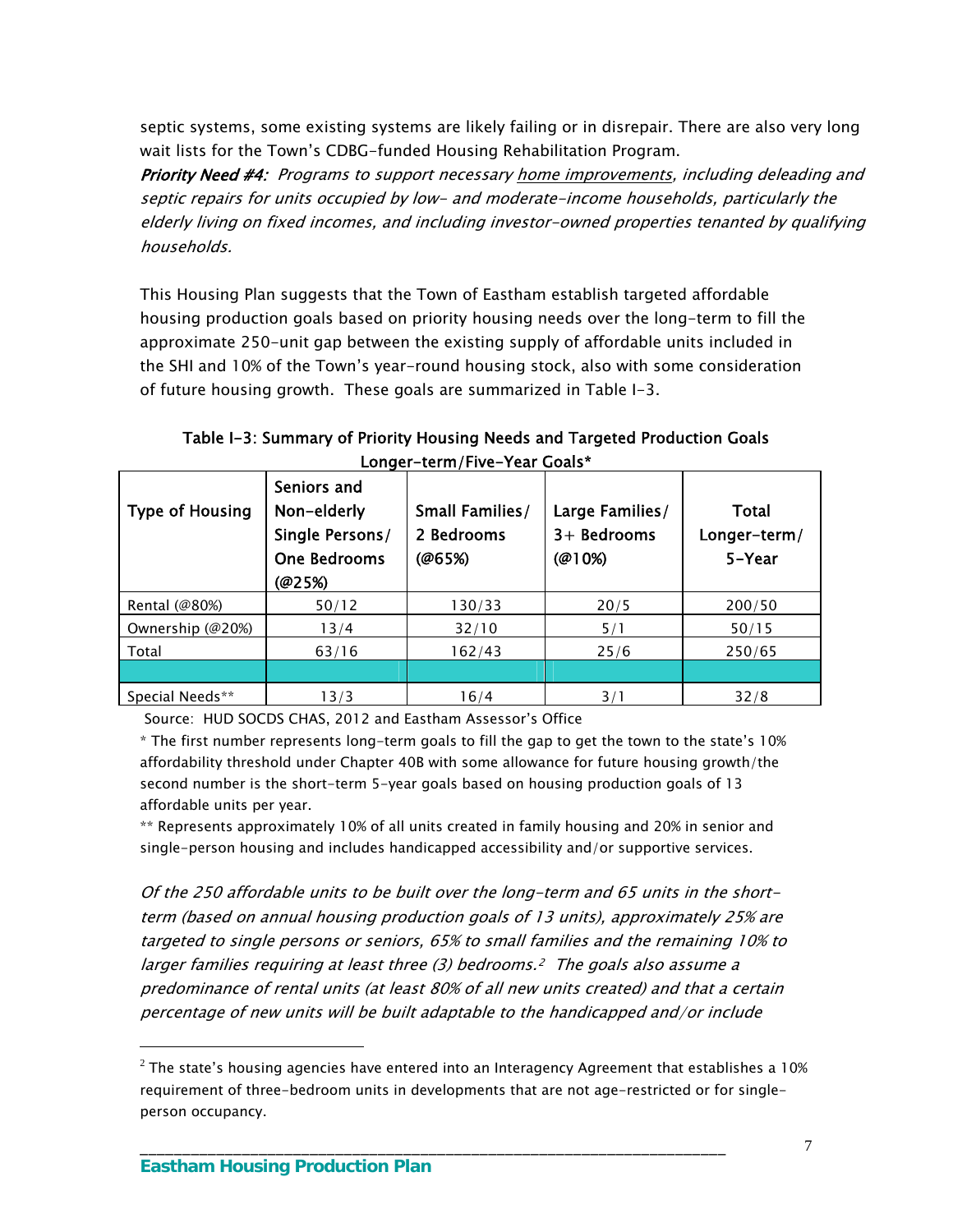septic systems, some existing systems are likely failing or in disrepair. There are also very long wait lists for the Town's CDBG-funded Housing Rehabilitation Program.

Priority Need #4: Programs to support necessary home improvements, including deleading and septic repairs for units occupied by low- and moderate-income households, particularly the elderly living on fixed incomes, and including investor-owned properties tenanted by qualifying households.

This Housing Plan suggests that the Town of Eastham establish targeted affordable housing production goals based on priority housing needs over the long-term to fill the approximate 250-unit gap between the existing supply of affordable units included in the SHI and 10% of the Town's year-round housing stock, also with some consideration of future housing growth. These goals are summarized in Table I-3.

| <b>Type of Housing</b> | Seniors and<br>Non-elderly<br>Single Persons/<br>One Bedrooms<br>@25%) | <b>Small Families/</b><br>2 Bedrooms<br>@65%) | Large Families/<br>$3+$ Bedrooms<br>(@10%) | Total<br>Longer-term/<br>5-Year |
|------------------------|------------------------------------------------------------------------|-----------------------------------------------|--------------------------------------------|---------------------------------|
| Rental (@80%)          | 50/12                                                                  | 130/33                                        | 20/5                                       | 200/50                          |
| Ownership (@20%)       | 13/4                                                                   | 32/10                                         | 5/1                                        | 50/15                           |
| Total                  | 63/16                                                                  | 162/43                                        | 25/6                                       | 250/65                          |
|                        |                                                                        |                                               |                                            |                                 |
| Special Needs**        | 13/3                                                                   | 16/4                                          | 3/1                                        | 32/8                            |

Table I-3: Summary of Priority Housing Needs and Targeted Production Goals Longer-term/Five-Year Goals\*

Source: HUD SOCDS CHAS, 2012 and Eastham Assessor's Office

\* The first number represents long-term goals to fill the gap to get the town to the state's 10% affordability threshold under Chapter 40B with some allowance for future housing growth/the second number is the short-term 5-year goals based on housing production goals of 13 affordable units per year.

\*\* Represents approximately 10% of all units created in family housing and 20% in senior and single-person housing and includes handicapped accessibility and/or supportive services.

Of the 250 affordable units to be built over the long-term and 65 units in the shortterm (based on annual housing production goals of 13 units), approximately 25% are targeted to single persons or seniors, 65% to small families and the remaining 10% to larger families requiring at least three (3) bedrooms.[2](#page-10-0) The goals also assume a predominance of rental units (at least 80% of all new units created) and that a certain percentage of new units will be built adaptable to the handicapped and/or include

\_\_\_\_\_\_\_\_\_\_\_\_\_\_\_\_\_\_\_\_\_\_\_\_\_\_\_\_\_\_\_\_\_\_\_\_\_\_\_\_\_\_\_\_\_\_\_\_\_\_\_\_\_\_\_\_\_\_\_\_\_\_\_\_\_\_\_\_\_

 $\overline{a}$ 

<span id="page-10-0"></span> $2$  The state's housing agencies have entered into an Interagency Agreement that establishes a 10% requirement of three-bedroom units in developments that are not age-restricted or for singleperson occupancy.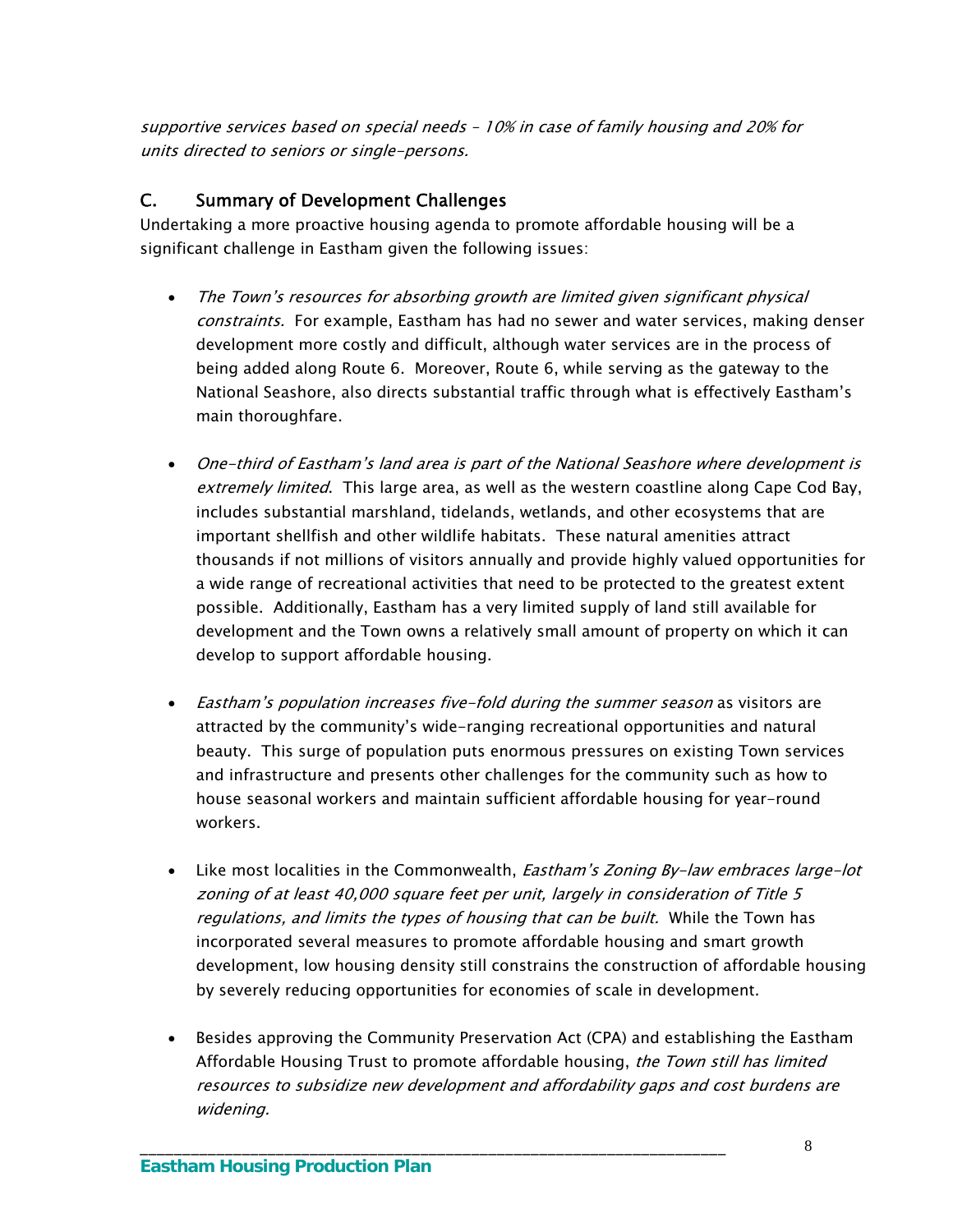supportive services based on special needs – 10% in case of family housing and 20% for units directed to seniors or single-persons.

## C. Summary of Development Challenges

Undertaking a more proactive housing agenda to promote affordable housing will be a significant challenge in Eastham given the following issues:

- The Town's resources for absorbing growth are limited given significant physical constraints. For example, Eastham has had no sewer and water services, making denser development more costly and difficult, although water services are in the process of being added along Route 6. Moreover, Route 6, while serving as the gateway to the National Seashore, also directs substantial traffic through what is effectively Eastham's main thoroughfare.
- One-third of Eastham's land area is part of the National Seashore where development is extremely limited. This large area, as well as the western coastline along Cape Cod Bay, includes substantial marshland, tidelands, wetlands, and other ecosystems that are important shellfish and other wildlife habitats. These natural amenities attract thousands if not millions of visitors annually and provide highly valued opportunities for a wide range of recreational activities that need to be protected to the greatest extent possible. Additionally, Eastham has a very limited supply of land still available for development and the Town owns a relatively small amount of property on which it can develop to support affordable housing.
- Eastham's population increases five-fold during the summer season as visitors are attracted by the community's wide-ranging recreational opportunities and natural beauty. This surge of population puts enormous pressures on existing Town services and infrastructure and presents other challenges for the community such as how to house seasonal workers and maintain sufficient affordable housing for year-round workers.
- Like most localities in the Commonwealth, *Eastham's Zoning By-law embraces large-lot* zoning of at least 40,000 square feet per unit, largely in consideration of Title 5 regulations, and limits the types of housing that can be built. While the Town has incorporated several measures to promote affordable housing and smart growth development, low housing density still constrains the construction of affordable housing by severely reducing opportunities for economies of scale in development.
- Besides approving the Community Preservation Act (CPA) and establishing the Eastham Affordable Housing Trust to promote affordable housing, the Town still has limited resources to subsidize new development and affordability gaps and cost burdens are widening.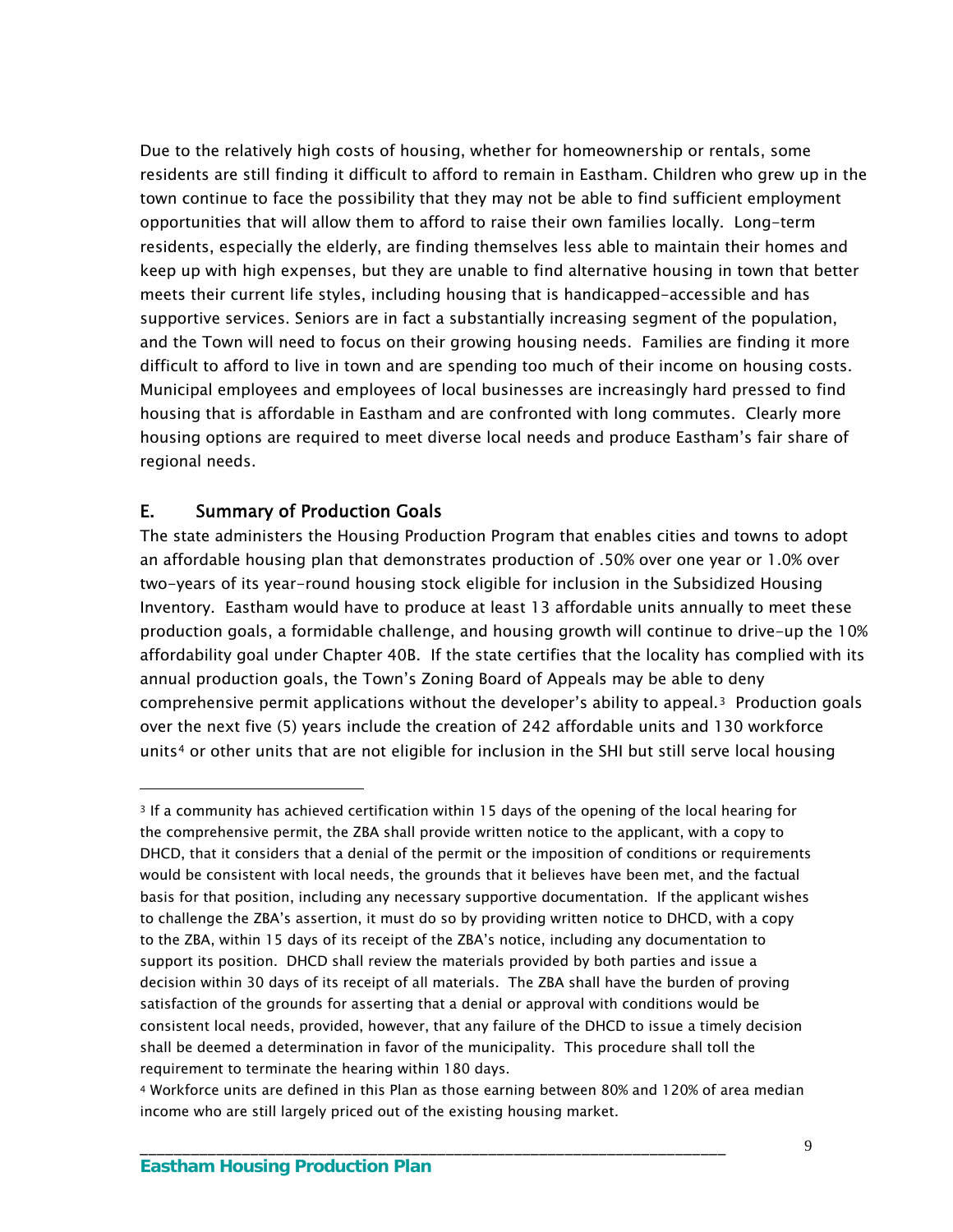Due to the relatively high costs of housing, whether for homeownership or rentals, some residents are still finding it difficult to afford to remain in Eastham. Children who grew up in the town continue to face the possibility that they may not be able to find sufficient employment opportunities that will allow them to afford to raise their own families locally. Long-term residents, especially the elderly, are finding themselves less able to maintain their homes and keep up with high expenses, but they are unable to find alternative housing in town that better meets their current life styles, including housing that is handicapped-accessible and has supportive services. Seniors are in fact a substantially increasing segment of the population, and the Town will need to focus on their growing housing needs. Families are finding it more difficult to afford to live in town and are spending too much of their income on housing costs. Municipal employees and employees of local businesses are increasingly hard pressed to find housing that is affordable in Eastham and are confronted with long commutes. Clearly more housing options are required to meet diverse local needs and produce Eastham's fair share of regional needs.

# E. Summary of Production Goals

 $\overline{a}$ 

The state administers the Housing Production Program that enables cities and towns to adopt an affordable housing plan that demonstrates production of .50% over one year or 1.0% over two-years of its year-round housing stock eligible for inclusion in the Subsidized Housing Inventory. Eastham would have to produce at least 13 affordable units annually to meet these production goals, a formidable challenge, and housing growth will continue to drive-up the 10% affordability goal under Chapter 40B. If the state certifies that the locality has complied with its annual production goals, the Town's Zoning Board of Appeals may be able to deny comprehensive permit applications without the developer's ability to appeal. $3$  Production goals over the next five (5) years include the creation of 242 affordable units and 130 workforce units<sup>4</sup> or other units that are not eligible for inclusion in the SHI but still serve local housing

<span id="page-12-0"></span><sup>&</sup>lt;sup>3</sup> If a community has achieved certification within 15 days of the opening of the local hearing for the comprehensive permit, the ZBA shall provide written notice to the applicant, with a copy to DHCD, that it considers that a denial of the permit or the imposition of conditions or requirements would be consistent with local needs, the grounds that it believes have been met, and the factual basis for that position, including any necessary supportive documentation. If the applicant wishes to challenge the ZBA's assertion, it must do so by providing written notice to DHCD, with a copy to the ZBA, within 15 days of its receipt of the ZBA's notice, including any documentation to support its position. DHCD shall review the materials provided by both parties and issue a decision within 30 days of its receipt of all materials. The ZBA shall have the burden of proving satisfaction of the grounds for asserting that a denial or approval with conditions would be consistent local needs, provided, however, that any failure of the DHCD to issue a timely decision shall be deemed a determination in favor of the municipality. This procedure shall toll the requirement to terminate the hearing within 180 days.

<span id="page-12-1"></span><sup>4</sup> Workforce units are defined in this Plan as those earning between 80% and 120% of area median income who are still largely priced out of the existing housing market.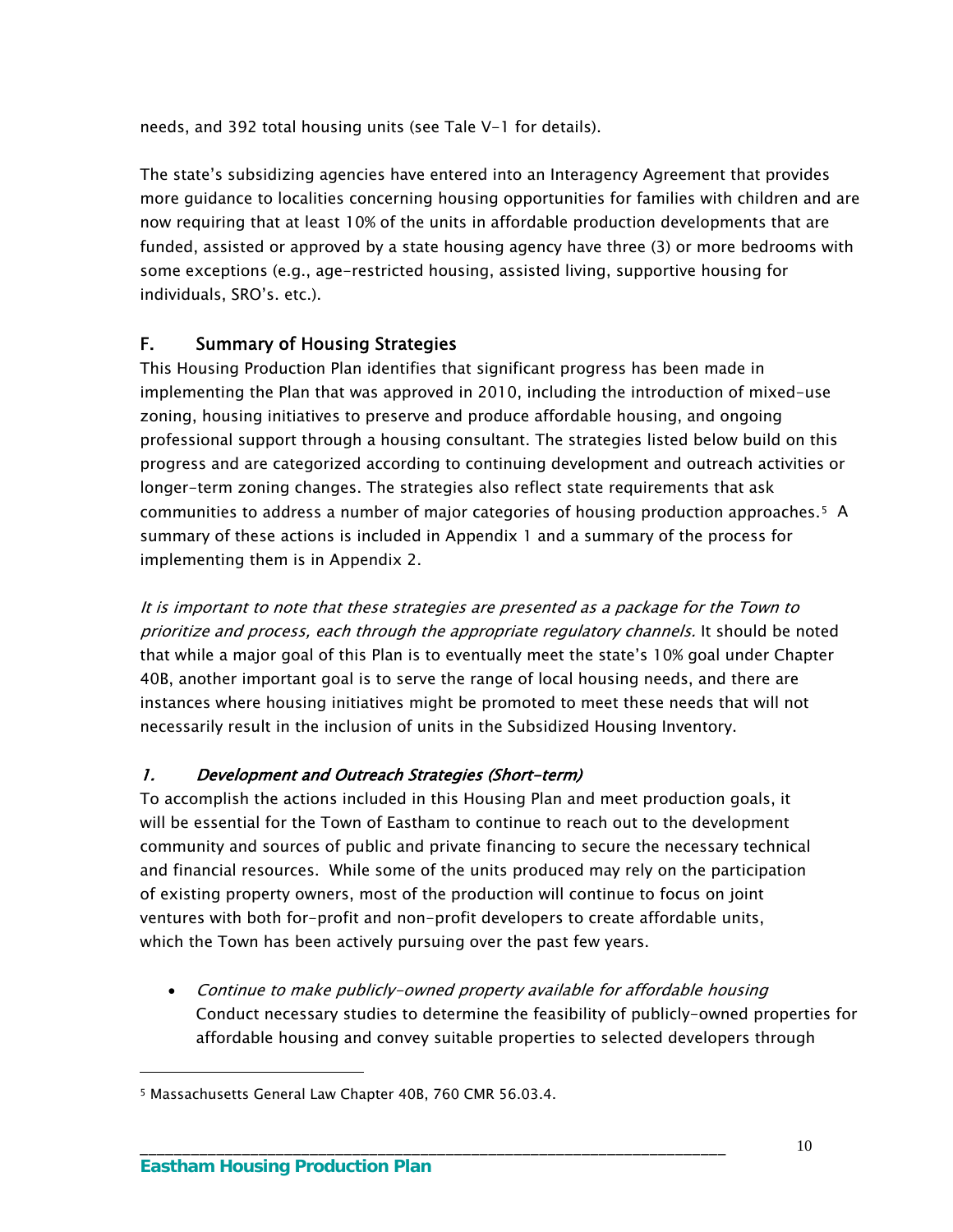needs, and 392 total housing units (see Tale V-1 for details).

The state's subsidizing agencies have entered into an Interagency Agreement that provides more guidance to localities concerning housing opportunities for families with children and are now requiring that at least 10% of the units in affordable production developments that are funded, assisted or approved by a state housing agency have three (3) or more bedrooms with some exceptions (e.g., age-restricted housing, assisted living, supportive housing for individuals, SRO's. etc.).

# F. Summary of Housing Strategies

This Housing Production Plan identifies that significant progress has been made in implementing the Plan that was approved in 2010, including the introduction of mixed-use zoning, housing initiatives to preserve and produce affordable housing, and ongoing professional support through a housing consultant. The strategies listed below build on this progress and are categorized according to continuing development and outreach activities or longer-term zoning changes. The strategies also reflect state requirements that ask communities to address a number of major categories of housing production approaches.[5](#page-13-0) A summary of these actions is included in Appendix 1 and a summary of the process for implementing them is in Appendix 2.

It is important to note that these strategies are presented as a package for the Town to prioritize and process, each through the appropriate regulatory channels. It should be noted that while a major goal of this Plan is to eventually meet the state's 10% goal under Chapter 40B, another important goal is to serve the range of local housing needs, and there are instances where housing initiatives might be promoted to meet these needs that will not necessarily result in the inclusion of units in the Subsidized Housing Inventory.

### 1. Development and Outreach Strategies (Short-term)

To accomplish the actions included in this Housing Plan and meet production goals, it will be essential for the Town of Eastham to continue to reach out to the development community and sources of public and private financing to secure the necessary technical and financial resources. While some of the units produced may rely on the participation of existing property owners, most of the production will continue to focus on joint ventures with both for-profit and non-profit developers to create affordable units, which the Town has been actively pursuing over the past few years.

 Continue to make publicly-owned property available for affordable housing Conduct necessary studies to determine the feasibility of publicly-owned properties for affordable housing and convey suitable properties to selected developers through

\_\_\_\_\_\_\_\_\_\_\_\_\_\_\_\_\_\_\_\_\_\_\_\_\_\_\_\_\_\_\_\_\_\_\_\_\_\_\_\_\_\_\_\_\_\_\_\_\_\_\_\_\_\_\_\_\_\_\_\_\_\_\_\_\_\_\_\_\_

 $\overline{a}$ 

<span id="page-13-0"></span><sup>5</sup> Massachusetts General Law Chapter 40B, 760 CMR 56.03.4.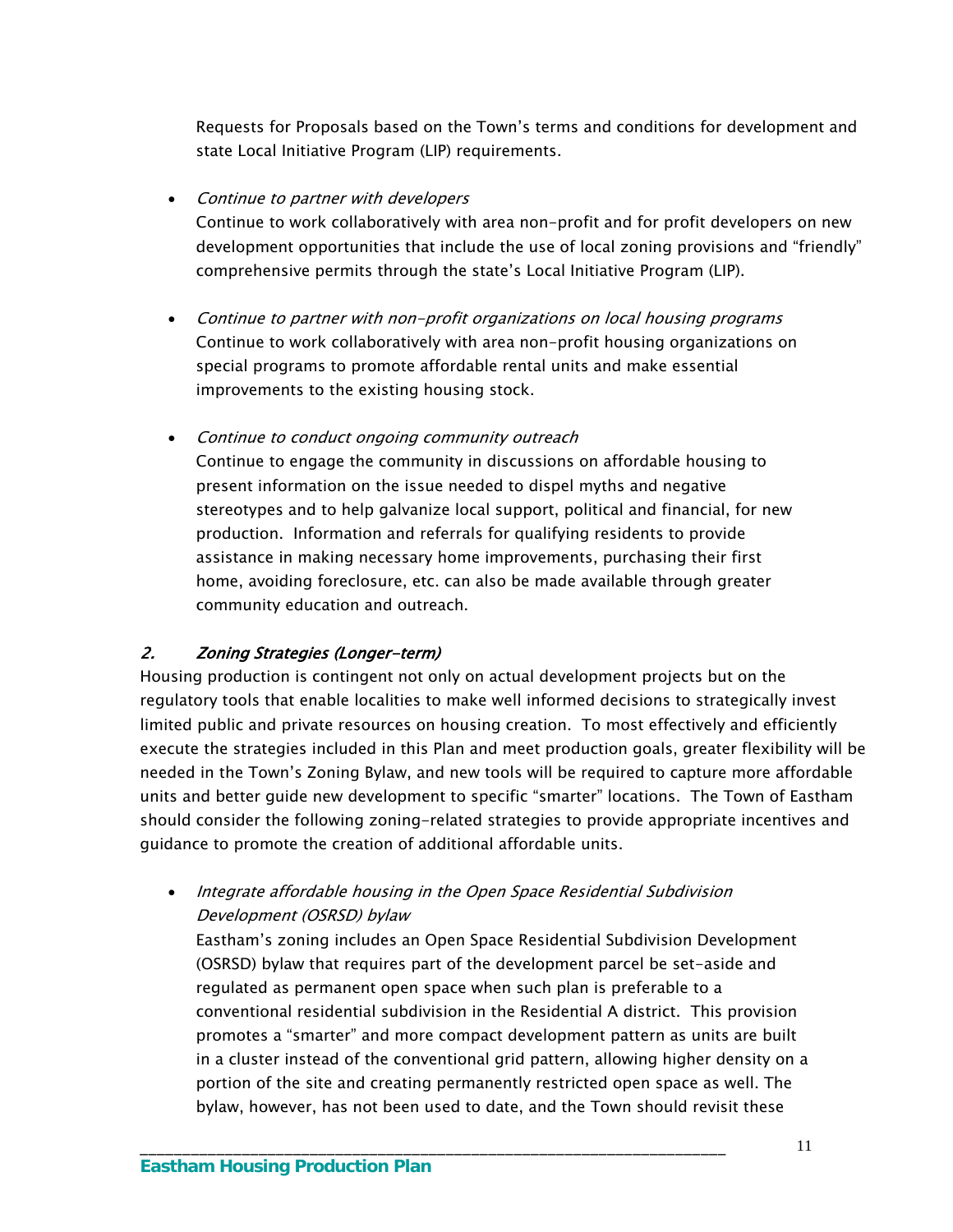Requests for Proposals based on the Town's terms and conditions for development and state Local Initiative Program (LIP) requirements.

• Continue to partner with developers Continue to work collaboratively with area non-profit and for profit developers on new development opportunities that include the use of local zoning provisions and "friendly" comprehensive permits through the state's Local Initiative Program (LIP).

- Continue to partner with non-profit organizations on local housing programs Continue to work collaboratively with area non-profit housing organizations on special programs to promote affordable rental units and make essential improvements to the existing housing stock.
- Continue to conduct ongoing community outreach Continue to engage the community in discussions on affordable housing to present information on the issue needed to dispel myths and negative stereotypes and to help galvanize local support, political and financial, for new production. Information and referrals for qualifying residents to provide assistance in making necessary home improvements, purchasing their first home, avoiding foreclosure, etc. can also be made available through greater community education and outreach.

# 2. Zoning Strategies (Longer-term)

Housing production is contingent not only on actual development projects but on the regulatory tools that enable localities to make well informed decisions to strategically invest limited public and private resources on housing creation. To most effectively and efficiently execute the strategies included in this Plan and meet production goals, greater flexibility will be needed in the Town's Zoning Bylaw, and new tools will be required to capture more affordable units and better guide new development to specific "smarter" locations. The Town of Eastham should consider the following zoning-related strategies to provide appropriate incentives and guidance to promote the creation of additional affordable units.

• Integrate affordable housing in the Open Space Residential Subdivision Development (OSRSD) bylaw

\_\_\_\_\_\_\_\_\_\_\_\_\_\_\_\_\_\_\_\_\_\_\_\_\_\_\_\_\_\_\_\_\_\_\_\_\_\_\_\_\_\_\_\_\_\_\_\_\_\_\_\_\_\_\_\_\_\_\_\_\_\_\_\_\_\_\_\_\_

Eastham's zoning includes an Open Space Residential Subdivision Development (OSRSD) bylaw that requires part of the development parcel be set-aside and regulated as permanent open space when such plan is preferable to a conventional residential subdivision in the Residential A district. This provision promotes a "smarter" and more compact development pattern as units are built in a cluster instead of the conventional grid pattern, allowing higher density on a portion of the site and creating permanently restricted open space as well. The bylaw, however, has not been used to date, and the Town should revisit these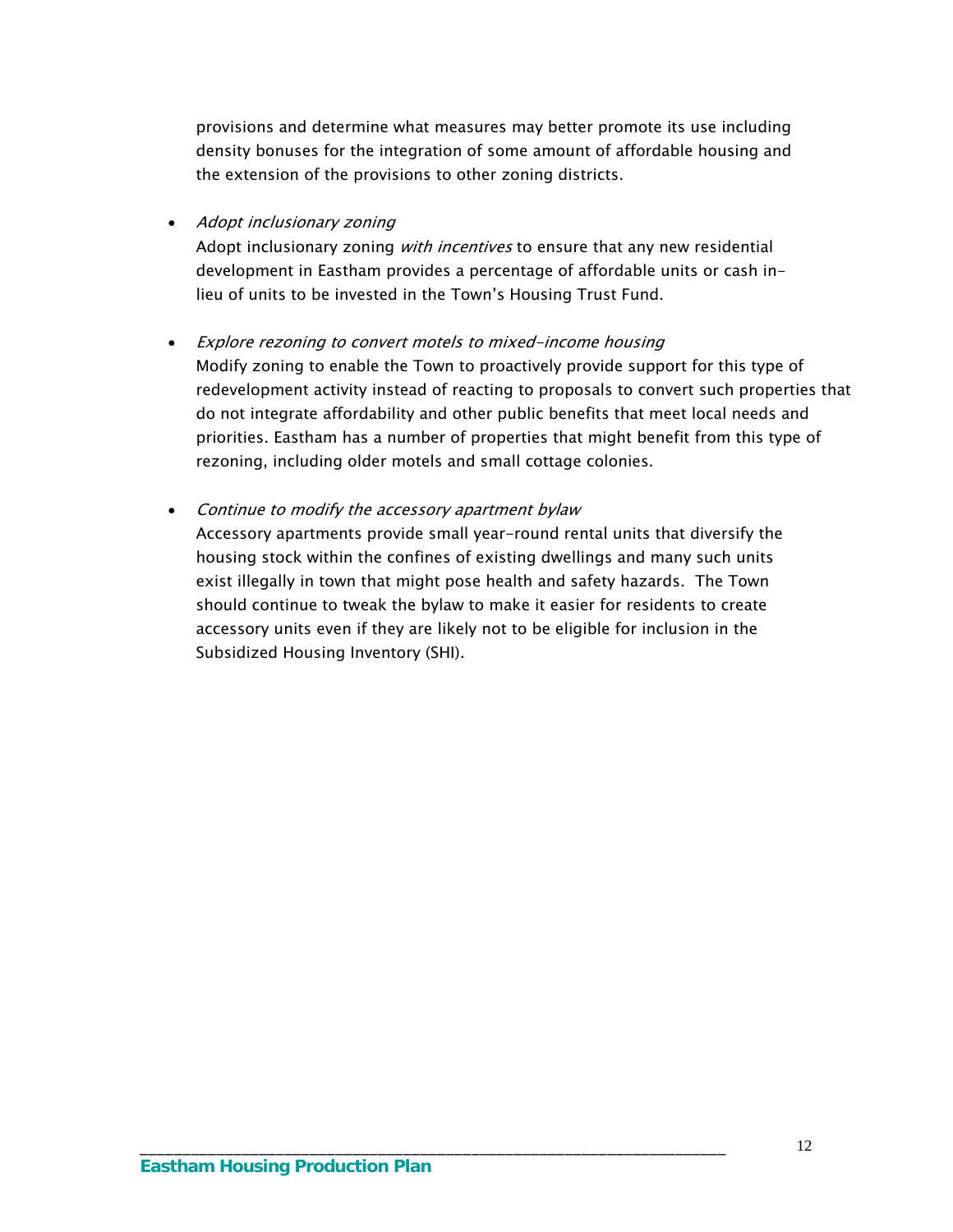provisions and determine what measures may better promote its use including density bonuses for the integration of some amount of affordable housing and the extension of the provisions to other zoning districts.

#### • Adopt inclusionary zoning

Adopt inclusionary zoning with incentives to ensure that any new residential development in Eastham provides a percentage of affordable units or cash inlieu of units to be invested in the Town's Housing Trust Fund.

#### Explore rezoning to convert motels to mixed-income housing

Modify zoning to enable the Town to proactively provide support for this type of redevelopment activity instead of reacting to proposals to convert such properties that do not integrate affordability and other public benefits that meet local needs and priorities. Eastham has a number of properties that might benefit from this type of rezoning, including older motels and small cottage colonies.

#### • Continue to modify the accessory apartment bylaw

Accessory apartments provide small year-round rental units that diversify the housing stock within the confines of existing dwellings and many such units exist illegally in town that might pose health and safety hazards. The Town should continue to tweak the bylaw to make it easier for residents to create accessory units even if they are likely not to be eligible for inclusion in the Subsidized Housing Inventory (SHI).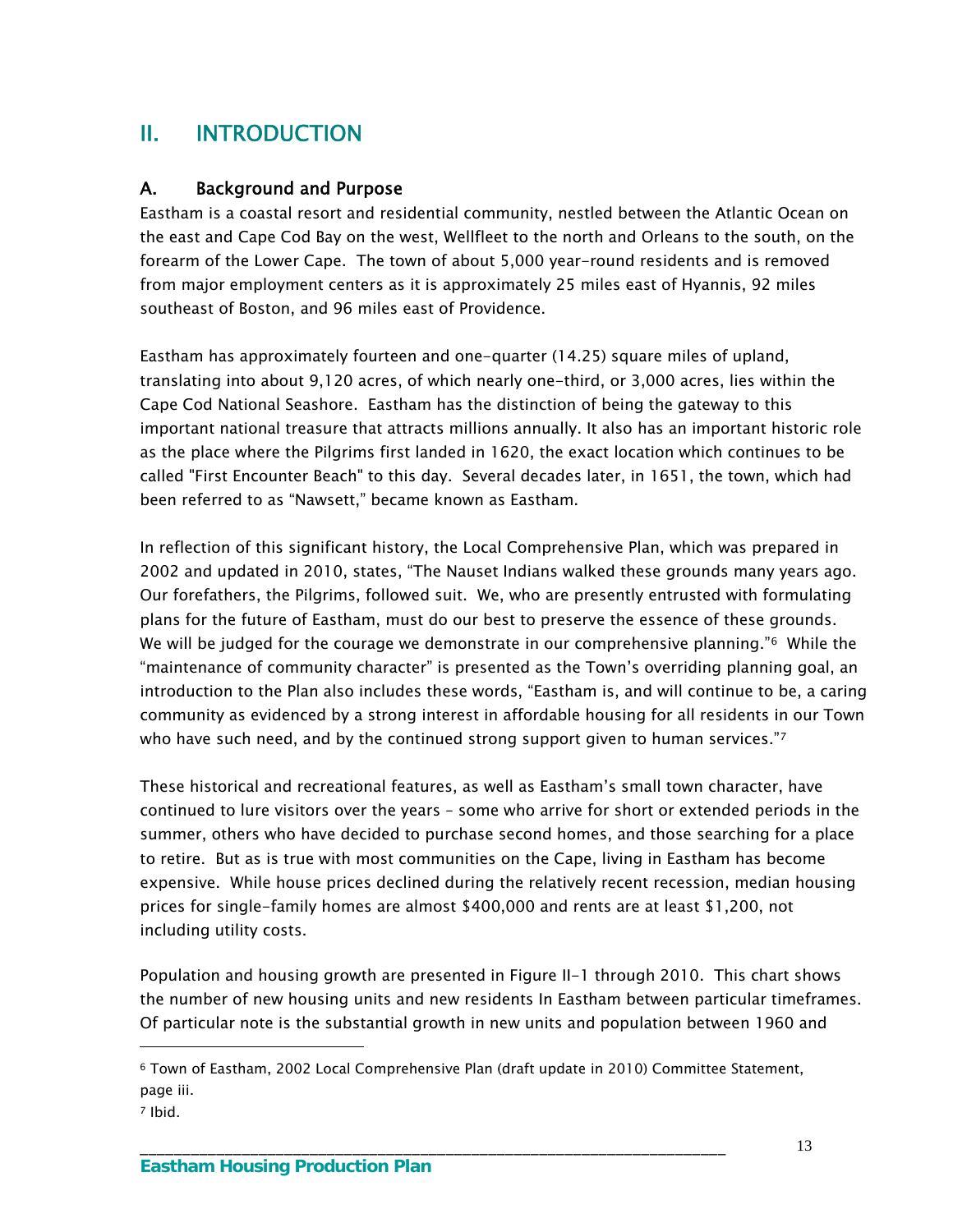# II. INTRODUCTION

## A. Background and Purpose

Eastham is a coastal resort and residential community, nestled between the Atlantic Ocean on the east and Cape Cod Bay on the west, Wellfleet to the north and Orleans to the south, on the forearm of the Lower Cape. The town of about 5,000 year-round residents and is removed from major employment centers as it is approximately 25 miles east of Hyannis, 92 miles southeast of Boston, and 96 miles east of Providence.

Eastham has approximately fourteen and one-quarter (14.25) square miles of upland, translating into about 9,120 acres, of which nearly one-third, or 3,000 acres, lies within the Cape Cod National Seashore. Eastham has the distinction of being the gateway to this important national treasure that attracts millions annually. It also has an important historic role as the place where the Pilgrims first landed in 1620, the exact location which continues to be called "First Encounter Beach" to this day. Several decades later, in 1651, the town, which had been referred to as "Nawsett," became known as Eastham.

In reflection of this significant history, the Local Comprehensive Plan, which was prepared in 2002 and updated in 2010, states, "The Nauset Indians walked these grounds many years ago. Our forefathers, the Pilgrims, followed suit. We, who are presently entrusted with formulating plans for the future of Eastham, must do our best to preserve the essence of these grounds. We will be judged for the courage we demonstrate in our comprehensive planning."<sup>6</sup> While the "maintenance of community character" is presented as the Town's overriding planning goal, an introduction to the Plan also includes these words, "Eastham is, and will continue to be, a caring community as evidenced by a strong interest in affordable housing for all residents in our Town who have such need, and by the continued strong support given to human services."[7](#page-16-1)

These historical and recreational features, as well as Eastham's small town character, have continued to lure visitors over the years – some who arrive for short or extended periods in the summer, others who have decided to purchase second homes, and those searching for a place to retire. But as is true with most communities on the Cape, living in Eastham has become expensive. While house prices declined during the relatively recent recession, median housing prices for single-family homes are almost \$400,000 and rents are at least \$1,200, not including utility costs.

Population and housing growth are presented in Figure II-1 through 2010. This chart shows the number of new housing units and new residents In Eastham between particular timeframes. Of particular note is the substantial growth in new units and population between 1960 and

\_\_\_\_\_\_\_\_\_\_\_\_\_\_\_\_\_\_\_\_\_\_\_\_\_\_\_\_\_\_\_\_\_\_\_\_\_\_\_\_\_\_\_\_\_\_\_\_\_\_\_\_\_\_\_\_\_\_\_\_\_\_\_\_\_\_\_\_\_

 $\overline{a}$ 

<span id="page-16-0"></span><sup>6</sup> Town of Eastham, 2002 Local Comprehensive Plan (draft update in 2010) Committee Statement, page iii.

<span id="page-16-1"></span><sup>7</sup> Ibid.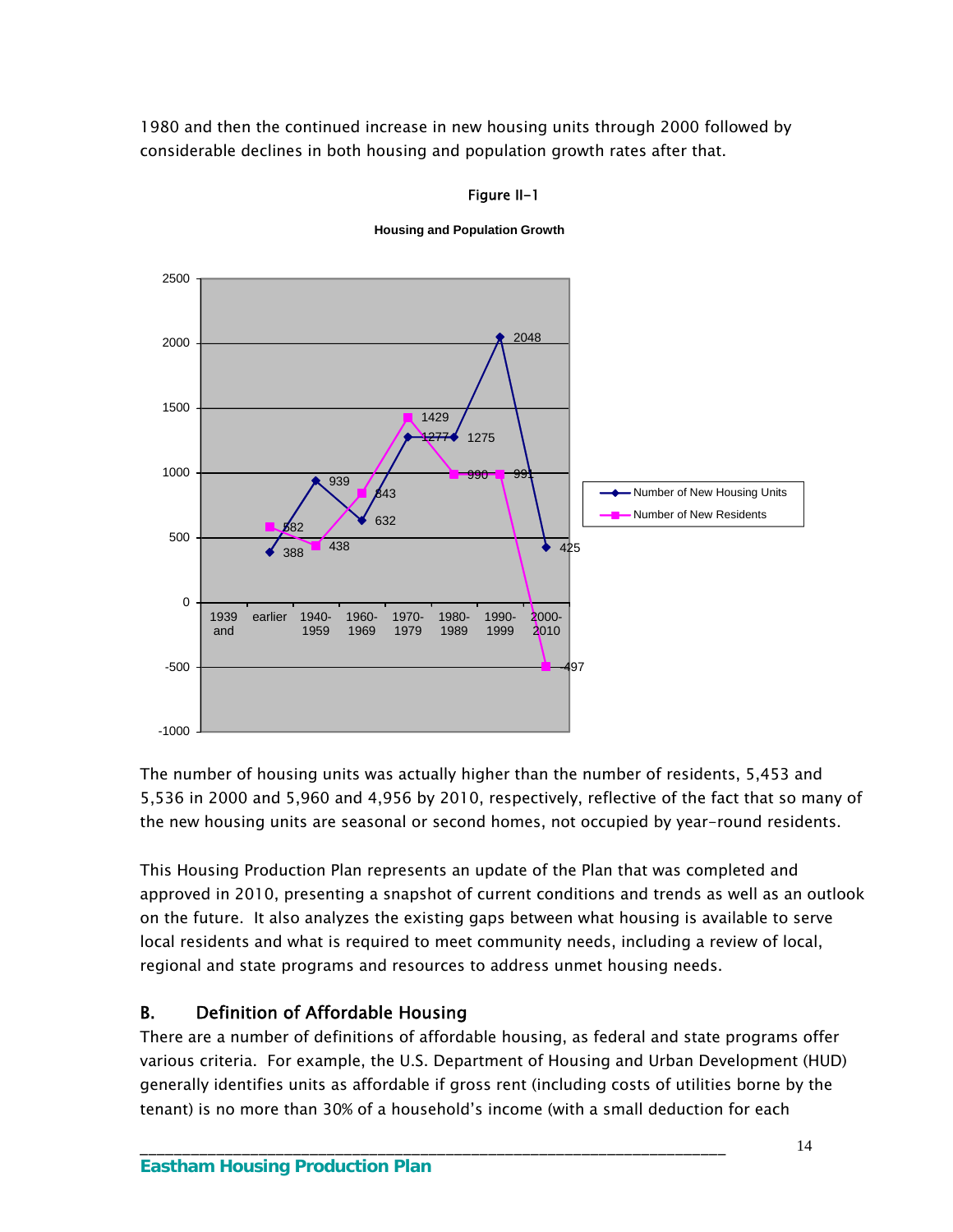1980 and then the continued increase in new housing units through 2000 followed by considerable declines in both housing and population growth rates after that.



#### Figure II-1

**Housing and Population Growth** 

The number of housing units was actually higher than the number of residents, 5,453 and 5,536 in 2000 and 5,960 and 4,956 by 2010, respectively, reflective of the fact that so many of the new housing units are seasonal or second homes, not occupied by year-round residents.

This Housing Production Plan represents an update of the Plan that was completed and approved in 2010, presenting a snapshot of current conditions and trends as well as an outlook on the future. It also analyzes the existing gaps between what housing is available to serve local residents and what is required to meet community needs, including a review of local, regional and state programs and resources to address unmet housing needs.

# B. Definition of Affordable Housing

There are a number of definitions of affordable housing, as federal and state programs offer various criteria. For example, the U.S. Department of Housing and Urban Development (HUD) generally identifies units as affordable if gross rent (including costs of utilities borne by the tenant) is no more than 30% of a household's income (with a small deduction for each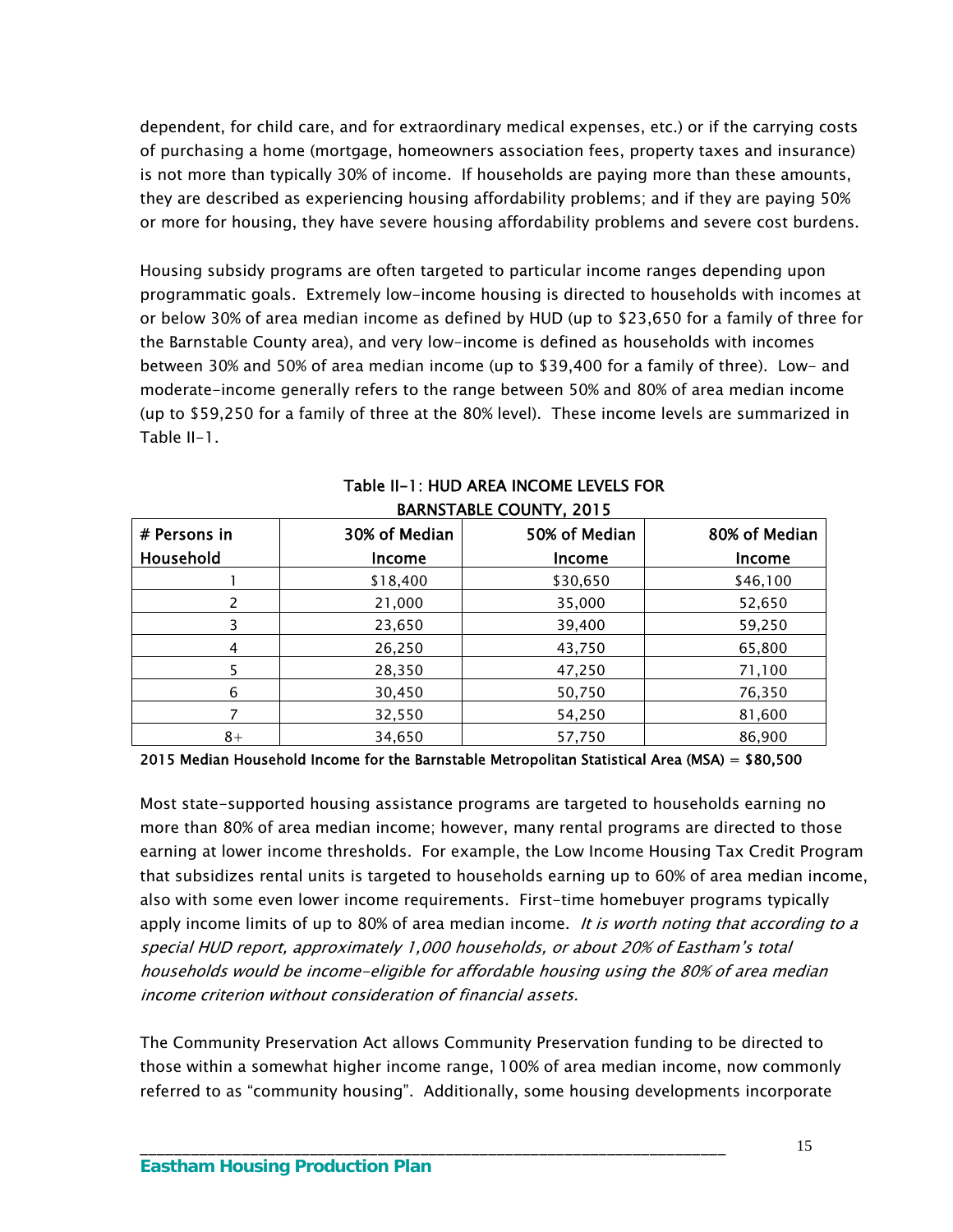dependent, for child care, and for extraordinary medical expenses, etc.) or if the carrying costs of purchasing a home (mortgage, homeowners association fees, property taxes and insurance) is not more than typically 30% of income. If households are paying more than these amounts, they are described as experiencing housing affordability problems; and if they are paying 50% or more for housing, they have severe housing affordability problems and severe cost burdens.

Housing subsidy programs are often targeted to particular income ranges depending upon programmatic goals. Extremely low-income housing is directed to households with incomes at or below 30% of area median income as defined by HUD (up to \$23,650 for a family of three for the Barnstable County area), and very low-income is defined as households with incomes between 30% and 50% of area median income (up to \$39,400 for a family of three). Low- and moderate-income generally refers to the range between 50% and 80% of area median income (up to \$59,250 for a family of three at the 80% level). These income levels are summarized in Table II-1.

| # Persons in | 30% of Median | 50% of Median | 80% of Median |
|--------------|---------------|---------------|---------------|
| Household    | <b>Income</b> | Income        | Income        |
|              | \$18,400      | \$30,650      | \$46,100      |
| 2            | 21,000        | 35,000        | 52,650        |
| 3            | 23,650        | 39,400        | 59,250        |
| 4            | 26,250        | 43,750        | 65,800        |
| 5            | 28,350        | 47,250        | 71,100        |
| 6            | 30,450        | 50,750        | 76,350        |
| 7            | 32,550        | 54,250        | 81,600        |
| $8+$         | 34,650        | 57,750        | 86,900        |

#### Table II-1: HUD AREA INCOME LEVELS FOR BARNSTABLE COUNTY, 2015

2015 Median Household Income for the Barnstable Metropolitan Statistical Area (MSA) = \$80,500

Most state-supported housing assistance programs are targeted to households earning no more than 80% of area median income; however, many rental programs are directed to those earning at lower income thresholds. For example, the Low Income Housing Tax Credit Program that subsidizes rental units is targeted to households earning up to 60% of area median income, also with some even lower income requirements. First-time homebuyer programs typically apply income limits of up to 80% of area median income. It is worth noting that according to a special HUD report, approximately 1,000 households, or about 20% of Eastham's total households would be income-eligible for affordable housing using the 80% of area median income criterion without consideration of financial assets.

The Community Preservation Act allows Community Preservation funding to be directed to those within a somewhat higher income range, 100% of area median income, now commonly referred to as "community housing". Additionally, some housing developments incorporate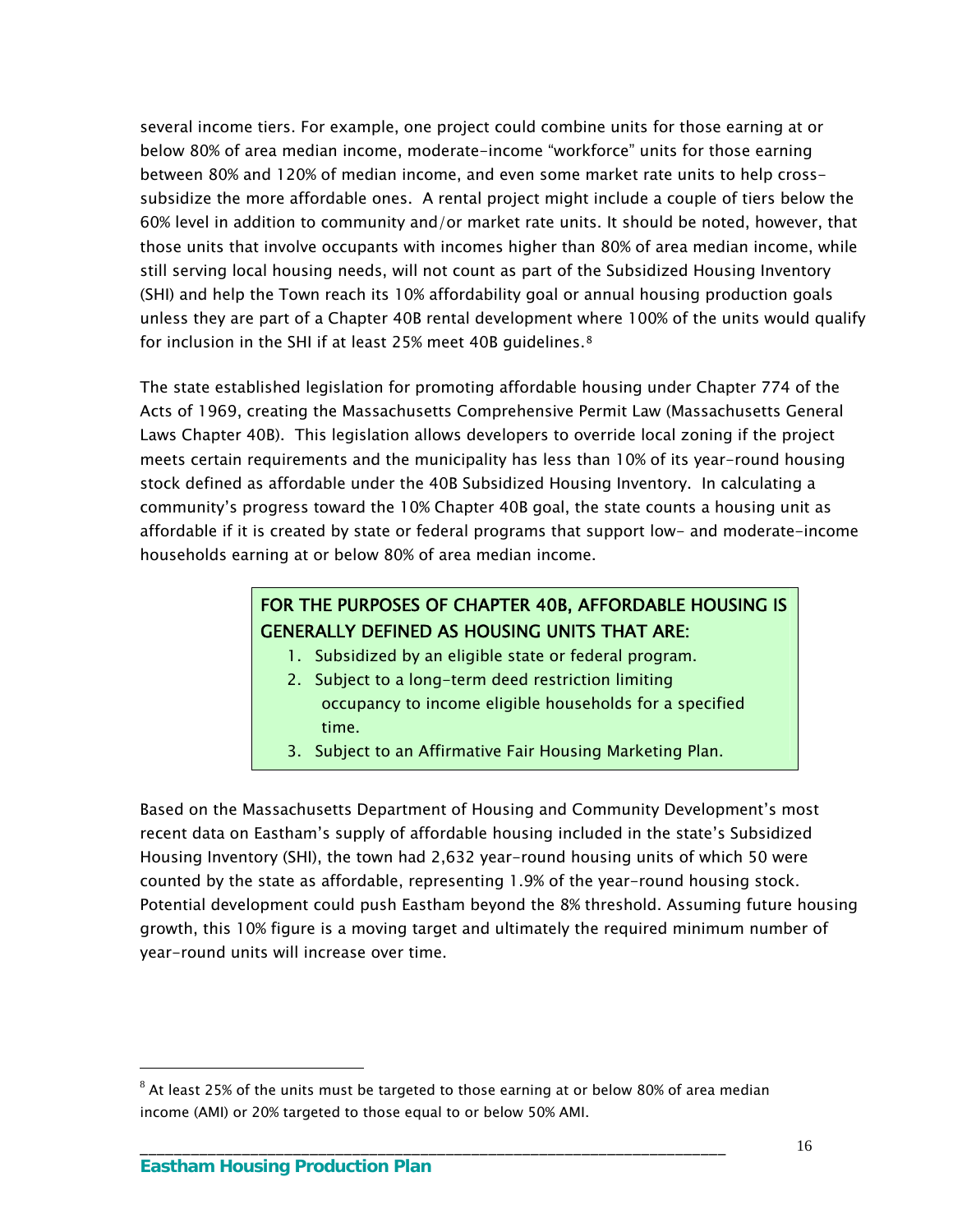several income tiers. For example, one project could combine units for those earning at or below 80% of area median income, moderate-income "workforce" units for those earning between 80% and 120% of median income, and even some market rate units to help crosssubsidize the more affordable ones. A rental project might include a couple of tiers below the 60% level in addition to community and/or market rate units. It should be noted, however, that those units that involve occupants with incomes higher than 80% of area median income, while still serving local housing needs, will not count as part of the Subsidized Housing Inventory (SHI) and help the Town reach its 10% affordability goal or annual housing production goals unless they are part of a Chapter 40B rental development where 100% of the units would qualify for inclusion in the SHI if at least 25% meet 40B guidelines.<sup>[8](#page-19-0)</sup>

The state established legislation for promoting affordable housing under Chapter 774 of the Acts of 1969, creating the Massachusetts Comprehensive Permit Law (Massachusetts General Laws Chapter 40B). This legislation allows developers to override local zoning if the project meets certain requirements and the municipality has less than 10% of its year-round housing stock defined as affordable under the 40B Subsidized Housing Inventory. In calculating a community's progress toward the 10% Chapter 40B goal, the state counts a housing unit as affordable if it is created by state or federal programs that support low- and moderate-income households earning at or below 80% of area median income.

# FOR THE PURPOSES OF CHAPTER 40B, AFFORDABLE HOUSING IS GENERALLY DEFINED AS HOUSING UNITS THAT ARE:

- 1. Subsidized by an eligible state or federal program.
- 2. Subject to a long-term deed restriction limiting occupancy to income eligible households for a specified time.
- 3. Subject to an Affirmative Fair Housing Marketing Plan.

Based on the Massachusetts Department of Housing and Community Development's most recent data on Eastham's supply of affordable housing included in the state's Subsidized Housing Inventory (SHI), the town had 2,632 year-round housing units of which 50 were counted by the state as affordable, representing 1.9% of the year-round housing stock. Potential development could push Eastham beyond the 8% threshold. Assuming future housing growth, this 10% figure is a moving target and ultimately the required minimum number of year-round units will increase over time.

\_\_\_\_\_\_\_\_\_\_\_\_\_\_\_\_\_\_\_\_\_\_\_\_\_\_\_\_\_\_\_\_\_\_\_\_\_\_\_\_\_\_\_\_\_\_\_\_\_\_\_\_\_\_\_\_\_\_\_\_\_\_\_\_\_\_\_\_\_

 $\overline{a}$ 

<span id="page-19-0"></span> $8$  At least 25% of the units must be targeted to those earning at or below 80% of area median income (AMI) or 20% targeted to those equal to or below 50% AMI.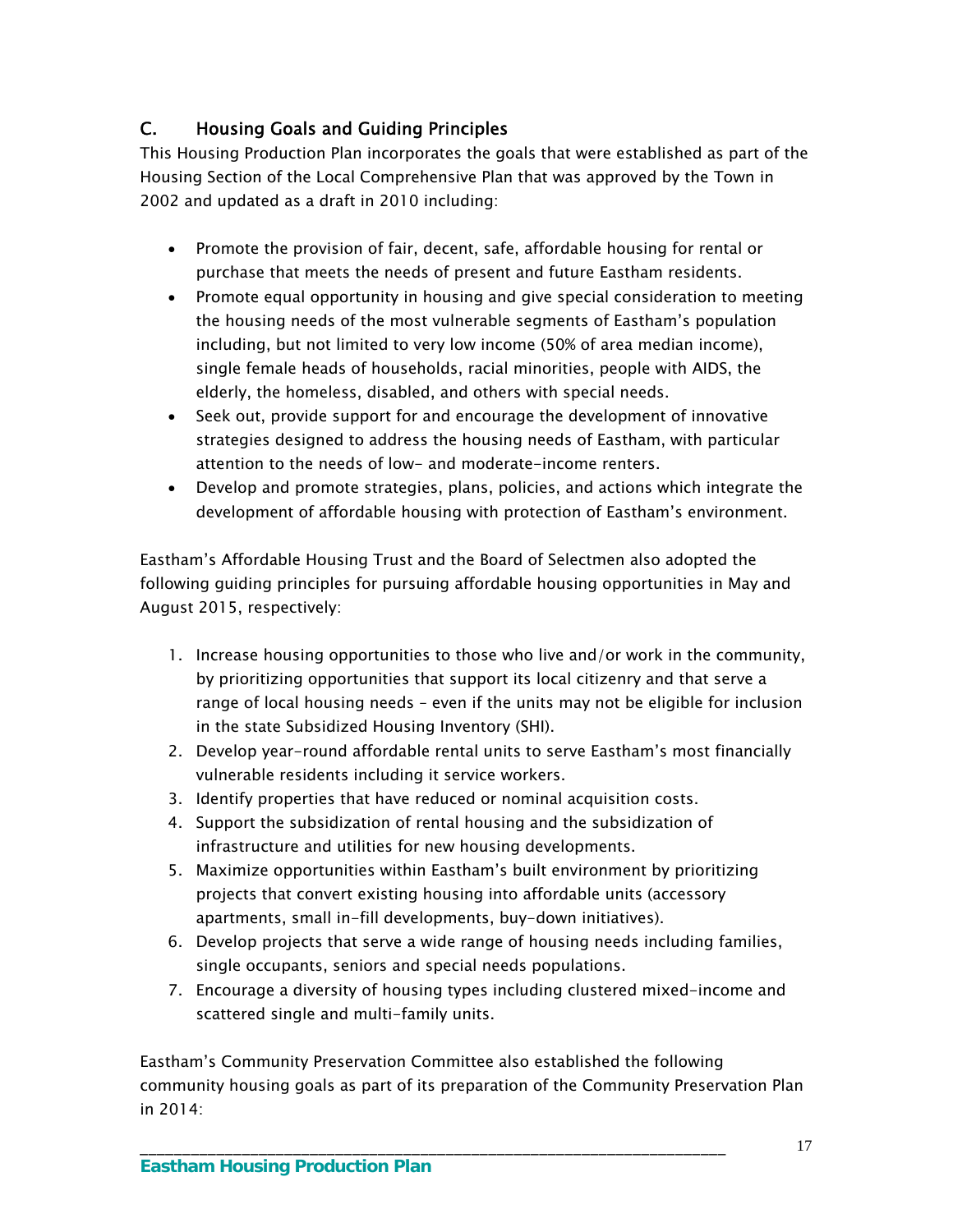# C. Housing Goals and Guiding Principles

This Housing Production Plan incorporates the goals that were established as part of the Housing Section of the Local Comprehensive Plan that was approved by the Town in 2002 and updated as a draft in 2010 including:

- Promote the provision of fair, decent, safe, affordable housing for rental or purchase that meets the needs of present and future Eastham residents.
- Promote equal opportunity in housing and give special consideration to meeting the housing needs of the most vulnerable segments of Eastham's population including, but not limited to very low income (50% of area median income), single female heads of households, racial minorities, people with AIDS, the elderly, the homeless, disabled, and others with special needs.
- Seek out, provide support for and encourage the development of innovative strategies designed to address the housing needs of Eastham, with particular attention to the needs of low- and moderate-income renters.
- Develop and promote strategies, plans, policies, and actions which integrate the development of affordable housing with protection of Eastham's environment.

Eastham's Affordable Housing Trust and the Board of Selectmen also adopted the following guiding principles for pursuing affordable housing opportunities in May and August 2015, respectively:

- 1. Increase housing opportunities to those who live and/or work in the community, by prioritizing opportunities that support its local citizenry and that serve a range of local housing needs – even if the units may not be eligible for inclusion in the state Subsidized Housing Inventory (SHI).
- 2. Develop year-round affordable rental units to serve Eastham's most financially vulnerable residents including it service workers.
- 3. Identify properties that have reduced or nominal acquisition costs.
- 4. Support the subsidization of rental housing and the subsidization of infrastructure and utilities for new housing developments.
- 5. Maximize opportunities within Eastham's built environment by prioritizing projects that convert existing housing into affordable units (accessory apartments, small in-fill developments, buy-down initiatives).
- 6. Develop projects that serve a wide range of housing needs including families, single occupants, seniors and special needs populations.
- 7. Encourage a diversity of housing types including clustered mixed-income and scattered single and multi-family units.

Eastham's Community Preservation Committee also established the following community housing goals as part of its preparation of the Community Preservation Plan in 2014: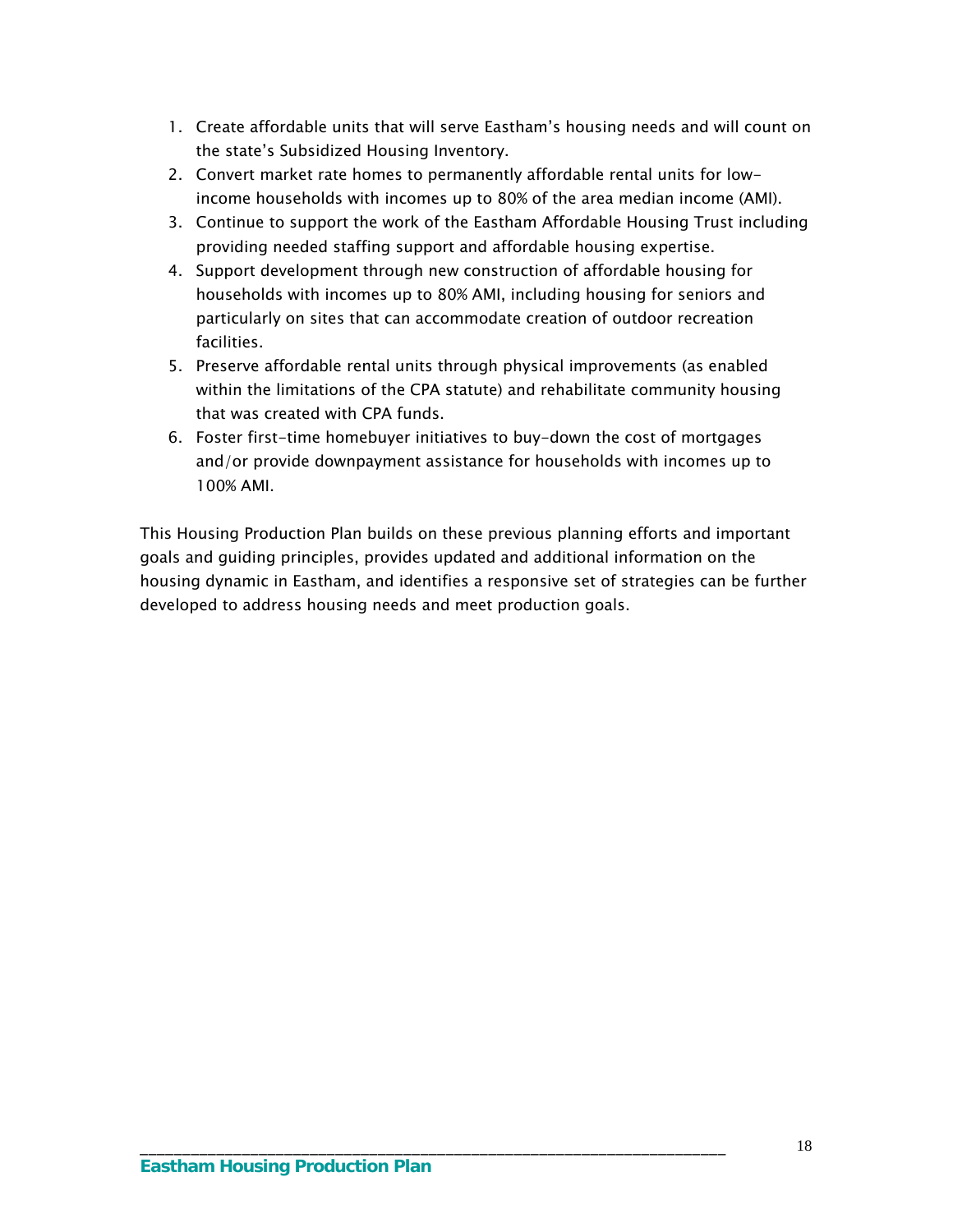- 1. Create affordable units that will serve Eastham's housing needs and will count on the state's Subsidized Housing Inventory.
- 2. Convert market rate homes to permanently affordable rental units for lowincome households with incomes up to 80% of the area median income (AMI).
- 3. Continue to support the work of the Eastham Affordable Housing Trust including providing needed staffing support and affordable housing expertise.
- 4. Support development through new construction of affordable housing for households with incomes up to 80% AMI, including housing for seniors and particularly on sites that can accommodate creation of outdoor recreation facilities.
- 5. Preserve affordable rental units through physical improvements (as enabled within the limitations of the CPA statute) and rehabilitate community housing that was created with CPA funds.
- 6. Foster first-time homebuyer initiatives to buy-down the cost of mortgages and/or provide downpayment assistance for households with incomes up to 100% AMI.

This Housing Production Plan builds on these previous planning efforts and important goals and guiding principles, provides updated and additional information on the housing dynamic in Eastham, and identifies a responsive set of strategies can be further developed to address housing needs and meet production goals.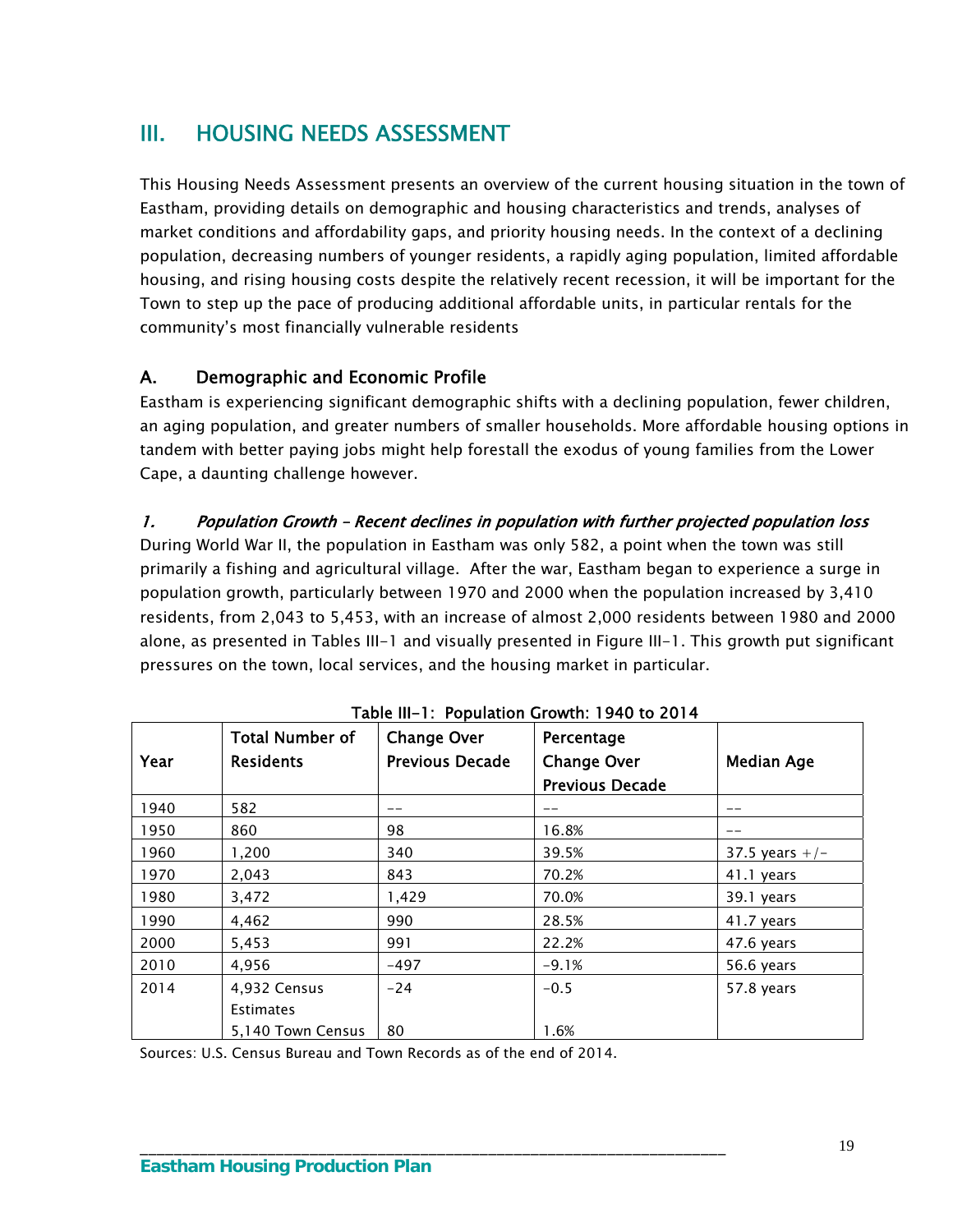# III. HOUSING NEEDS ASSESSMENT

This Housing Needs Assessment presents an overview of the current housing situation in the town of Eastham, providing details on demographic and housing characteristics and trends, analyses of market conditions and affordability gaps, and priority housing needs. In the context of a declining population, decreasing numbers of younger residents, a rapidly aging population, limited affordable housing, and rising housing costs despite the relatively recent recession, it will be important for the Town to step up the pace of producing additional affordable units, in particular rentals for the community's most financially vulnerable residents

# A. Demographic and Economic Profile

Eastham is experiencing significant demographic shifts with a declining population, fewer children, an aging population, and greater numbers of smaller households. More affordable housing options in tandem with better paying jobs might help forestall the exodus of young families from the Lower Cape, a daunting challenge however.

### 1. Population Growth – Recent declines in population with further projected population loss

During World War II, the population in Eastham was only 582, a point when the town was still primarily a fishing and agricultural village. After the war, Eastham began to experience a surge in population growth, particularly between 1970 and 2000 when the population increased by 3,410 residents, from 2,043 to 5,453, with an increase of almost 2,000 residents between 1980 and 2000 alone, as presented in Tables III-1 and visually presented in Figure III-1. This growth put significant pressures on the town, local services, and the housing market in particular.

|      | <b>Total Number of</b> | <b>Change Over</b>     | Percentage             |                   |
|------|------------------------|------------------------|------------------------|-------------------|
| Year | <b>Residents</b>       | <b>Previous Decade</b> | <b>Change Over</b>     | <b>Median Age</b> |
|      |                        |                        | <b>Previous Decade</b> |                   |
| 1940 | 582                    |                        |                        |                   |
| 1950 | 860                    | 98                     | 16.8%                  |                   |
| 1960 | 1,200                  | 340                    | 39.5%                  | 37.5 years $+/-$  |
| 1970 | 2,043                  | 843                    | 70.2%                  | 41.1 years        |
| 1980 | 3,472                  | 1,429                  | 70.0%                  | 39.1 years        |
| 1990 | 4,462                  | 990                    | 28.5%                  | 41.7 years        |
| 2000 | 5,453                  | 991                    | 22.2%                  | 47.6 years        |
| 2010 | 4,956                  | $-497$                 | $-9.1%$                | 56.6 years        |
| 2014 | 4,932 Census           | $-24$                  | $-0.5$                 | 57.8 years        |
|      | <b>Estimates</b>       |                        |                        |                   |
|      | 5,140 Town Census      | 80                     | 1.6%                   |                   |

| Table III-1: Population Growth: 1940 to 2014 |
|----------------------------------------------|
|----------------------------------------------|

Sources: U.S. Census Bureau and Town Records as of the end of 2014.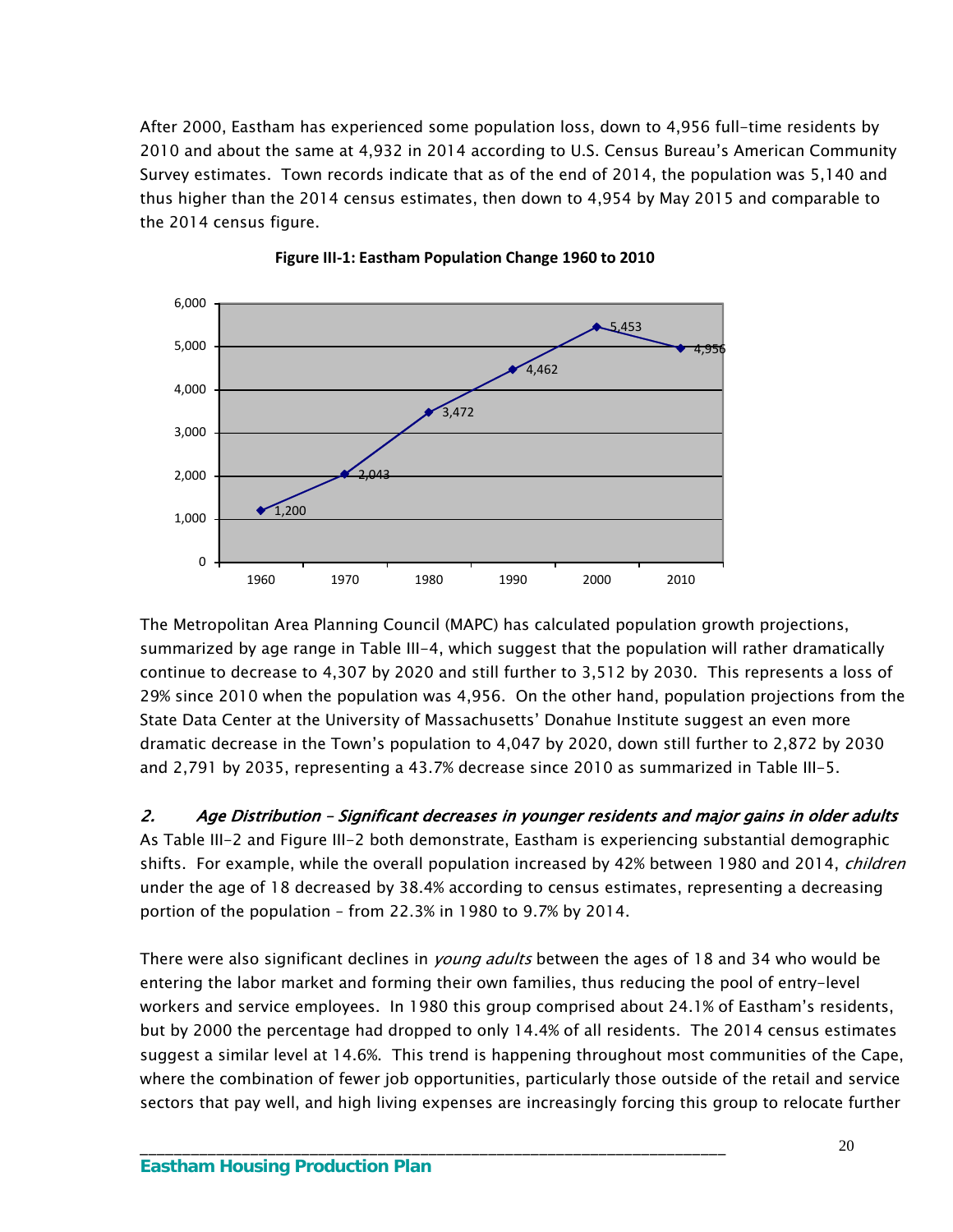After 2000, Eastham has experienced some population loss, down to 4,956 full-time residents by 2010 and about the same at 4,932 in 2014 according to U.S. Census Bureau's American Community Survey estimates. Town records indicate that as of the end of 2014, the population was 5,140 and thus higher than the 2014 census estimates, then down to 4,954 by May 2015 and comparable to the 2014 census figure.





The Metropolitan Area Planning Council (MAPC) has calculated population growth projections, summarized by age range in Table III-4, which suggest that the population will rather dramatically continue to decrease to 4,307 by 2020 and still further to 3,512 by 2030. This represents a loss of 29% since 2010 when the population was 4,956. On the other hand, population projections from the State Data Center at the University of Massachusetts' Donahue Institute suggest an even more dramatic decrease in the Town's population to 4,047 by 2020, down still further to 2,872 by 2030 and 2,791 by 2035, representing a 43.7% decrease since 2010 as summarized in Table III-5.

2. Age Distribution – Significant decreases in younger residents and major gains in older adults As Table III-2 and Figure III-2 both demonstrate, Eastham is experiencing substantial demographic shifts. For example, while the overall population increased by 42% between 1980 and 2014, *children* under the age of 18 decreased by 38.4% according to census estimates, representing a decreasing portion of the population – from 22.3% in 1980 to 9.7% by 2014.

There were also significant declines in *young adults* between the ages of 18 and 34 who would be entering the labor market and forming their own families, thus reducing the pool of entry-level workers and service employees. In 1980 this group comprised about 24.1% of Eastham's residents, but by 2000 the percentage had dropped to only 14.4% of all residents. The 2014 census estimates suggest a similar level at 14.6%. This trend is happening throughout most communities of the Cape, where the combination of fewer job opportunities, particularly those outside of the retail and service sectors that pay well, and high living expenses are increasingly forcing this group to relocate further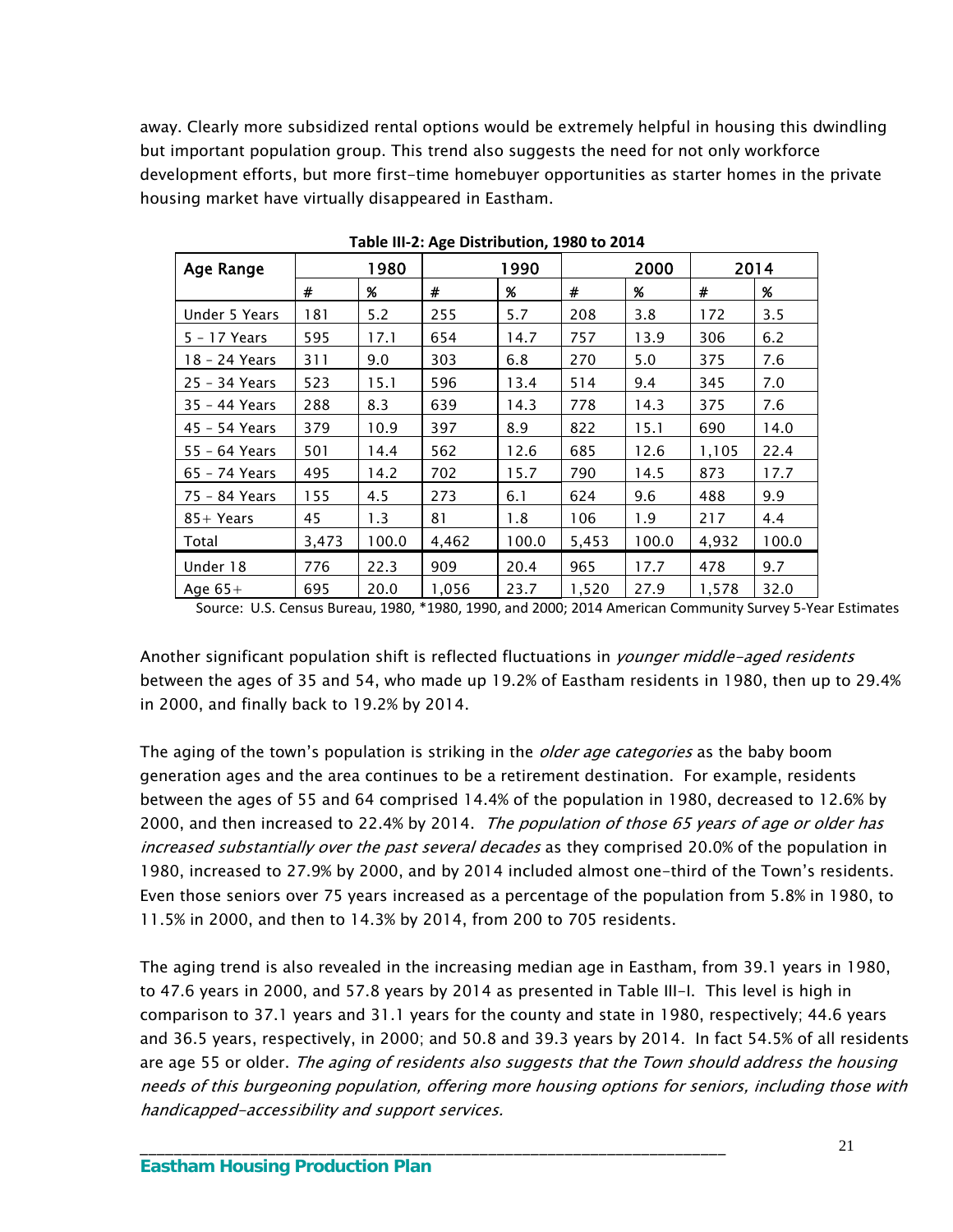away. Clearly more subsidized rental options would be extremely helpful in housing this dwindling but important population group. This trend also suggests the need for not only workforce development efforts, but more first-time homebuyer opportunities as starter homes in the private housing market have virtually disappeared in Eastham.

| Age Range     |       | 1980<br>1990 |       | 2000  |       | 2014  |       |       |
|---------------|-------|--------------|-------|-------|-------|-------|-------|-------|
|               | #     | %            | #     | %     | #     | %     | #     | %     |
| Under 5 Years | 181   | 5.2          | 255   | 5.7   | 208   | 3.8   | 172   | 3.5   |
| 5 - 17 Years  | 595   | 17.1         | 654   | 14.7  | 757   | 13.9  | 306   | 6.2   |
| 18 - 24 Years | 311   | 9.0          | 303   | 6.8   | 270   | 5.0   | 375   | 7.6   |
| 25 - 34 Years | 523   | 15.1         | 596   | 13.4  | 514   | 9.4   | 345   | 7.0   |
| 35 - 44 Years | 288   | 8.3          | 639   | 14.3  | 778   | 14.3  | 375   | 7.6   |
| 45 - 54 Years | 379   | 10.9         | 397   | 8.9   | 822   | 15.1  | 690   | 14.0  |
| 55 - 64 Years | 501   | 14.4         | 562   | 12.6  | 685   | 12.6  | 1,105 | 22.4  |
| 65 - 74 Years | 495   | 14.2         | 702   | 15.7  | 790   | 14.5  | 873   | 17.7  |
| 75 - 84 Years | 155   | 4.5          | 273   | 6.1   | 624   | 9.6   | 488   | 9.9   |
| $85+Years$    | 45    | 1.3          | 81    | 1.8   | 106   | 1.9   | 217   | 4.4   |
| Total         | 3,473 | 100.0        | 4,462 | 100.0 | 5,453 | 100.0 | 4,932 | 100.0 |
| Under 18      | 776   | 22.3         | 909   | 20.4  | 965   | 17.7  | 478   | 9.7   |
| Age $65+$     | 695   | 20.0         | 1,056 | 23.7  | 1,520 | 27.9  | 1,578 | 32.0  |

**Table III‐2: Age Distribution, 1980 to 2014**

Source: U.S. Census Bureau, 1980, \*1980, 1990, and 2000; 2014 American Community Survey 5‐Year Estimates

Another significant population shift is reflected fluctuations in *younger middle-aged residents* between the ages of 35 and 54, who made up 19.2% of Eastham residents in 1980, then up to 29.4% in 2000, and finally back to 19.2% by 2014.

The aging of the town's population is striking in the *older age categories* as the baby boom generation ages and the area continues to be a retirement destination. For example, residents between the ages of 55 and 64 comprised 14.4% of the population in 1980, decreased to 12.6% by 2000, and then increased to 22.4% by 2014. *The population of those 65 years of age or older has* increased substantially over the past several decades as they comprised 20.0% of the population in 1980, increased to 27.9% by 2000, and by 2014 included almost one-third of the Town's residents. Even those seniors over 75 years increased as a percentage of the population from 5.8% in 1980, to 11.5% in 2000, and then to 14.3% by 2014, from 200 to 705 residents.

The aging trend is also revealed in the increasing median age in Eastham, from 39.1 years in 1980, to 47.6 years in 2000, and 57.8 years by 2014 as presented in Table III-I. This level is high in comparison to 37.1 years and 31.1 years for the county and state in 1980, respectively; 44.6 years and 36.5 years, respectively, in 2000; and 50.8 and 39.3 years by 2014. In fact 54.5% of all residents are age 55 or older. The aging of residents also suggests that the Town should address the housing needs of this burgeoning population, offering more housing options for seniors, including those with handicapped-accessibility and support services.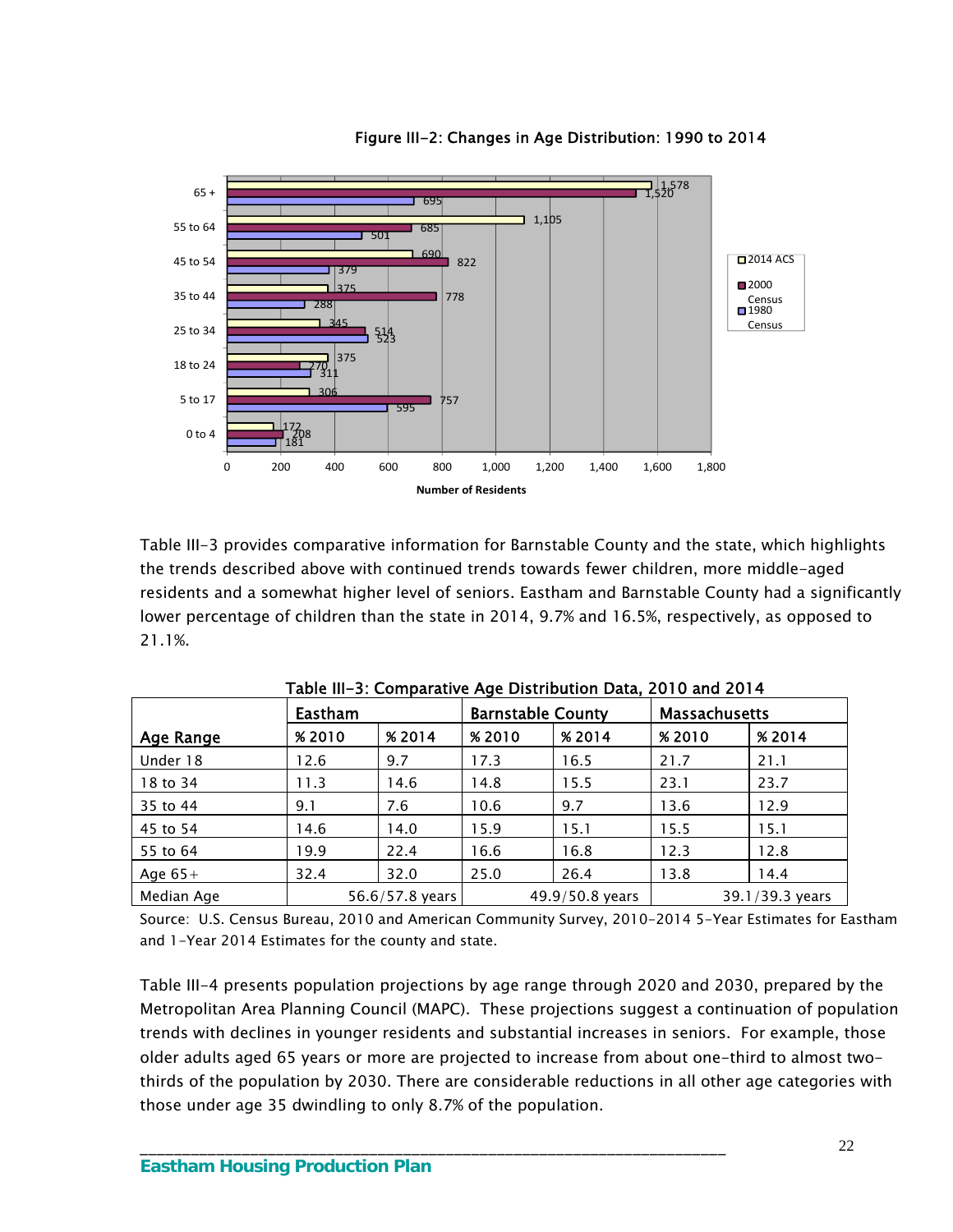

Figure III-2: Changes in Age Distribution: 1990 to 2014

Table III-3 provides comparative information for Barnstable County and the state, which highlights the trends described above with continued trends towards fewer children, more middle-aged residents and a somewhat higher level of seniors. Eastham and Barnstable County had a significantly lower percentage of children than the state in 2014, 9.7% and 16.5%, respectively, as opposed to 21.1%.

| rabic in the comparative Age Distribution Data, 2010 and 2014 |         |                 |                          |                 |                      |                 |  |  |
|---------------------------------------------------------------|---------|-----------------|--------------------------|-----------------|----------------------|-----------------|--|--|
|                                                               | Eastham |                 | <b>Barnstable County</b> |                 | <b>Massachusetts</b> |                 |  |  |
| Age Range                                                     | %2010   | % 2014          | %2010                    | % 2014          | <b>%2010</b>         | % 2014          |  |  |
| Under 18                                                      | 12.6    | 9.7             | 17.3                     | 16.5            | 21.7                 | 21.1            |  |  |
| 18 to 34                                                      | 11.3    | 14.6            | 14.8                     | 15.5            | 23.1                 | 23.7            |  |  |
| 35 to 44                                                      | 9.1     | 7.6             | 10.6                     | 9.7             | 13.6                 | 12.9            |  |  |
| 45 to 54                                                      | 14.6    | 14.0            | 15.9                     | 15.1            | 15.5                 | 15.1            |  |  |
| 55 to 64                                                      | 19.9    | 22.4            | 16.6                     | 16.8            | 12.3                 | 12.8            |  |  |
| Age $65+$                                                     | 32.4    | 32.0            | 25.0                     | 26.4            | 13.8                 | 14.4            |  |  |
| Median Age                                                    |         | 56.6/57.8 years |                          | 49.9/50.8 years |                      | 39.1/39.3 years |  |  |

Table III-3: Comparative Age Distribution Data, 2010 and 2014

Source: U.S. Census Bureau, 2010 and American Community Survey, 2010-2014 5-Year Estimates for Eastham and 1-Year 2014 Estimates for the county and state.

Table III-4 presents population projections by age range through 2020 and 2030, prepared by the Metropolitan Area Planning Council (MAPC). These projections suggest a continuation of population trends with declines in younger residents and substantial increases in seniors. For example, those older adults aged 65 years or more are projected to increase from about one-third to almost twothirds of the population by 2030. There are considerable reductions in all other age categories with those under age 35 dwindling to only 8.7% of the population.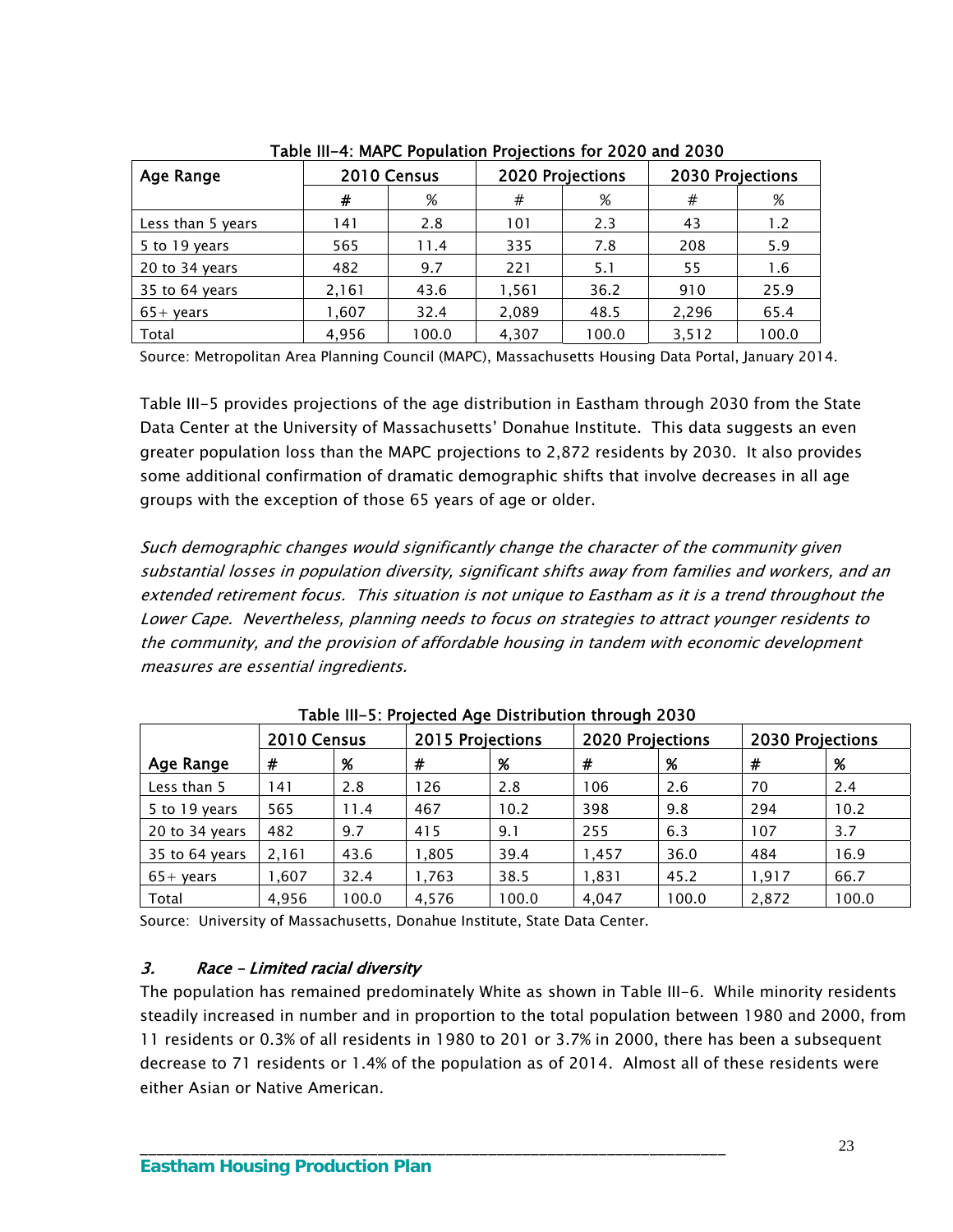| Age Range         |       | 2010 Census<br>2020 Projections |       | 2030 Projections |       |       |
|-------------------|-------|---------------------------------|-------|------------------|-------|-------|
|                   | #     | %                               | #     | %                | #     | %     |
| Less than 5 years | 141   | 2.8                             | 101   | 2.3              | 43    | 1.2   |
| 5 to 19 years     | 565   | 11.4                            | 335   | 7.8              | 208   | 5.9   |
| 20 to 34 years    | 482   | 9.7                             | 221   | 5.1              | 55    | 1.6   |
| 35 to 64 years    | 2,161 | 43.6                            | 1,561 | 36.2             | 910   | 25.9  |
| $65+$ years       | 1,607 | 32.4                            | 2,089 | 48.5             | 2,296 | 65.4  |
| Total             | 4.956 | 100.0                           | 4,307 | 100.0            | 3,512 | 100.0 |

Table III-4: MAPC Population Projections for 2020 and 2030

Source: Metropolitan Area Planning Council (MAPC), Massachusetts Housing Data Portal, January 2014.

Table III-5 provides projections of the age distribution in Eastham through 2030 from the State Data Center at the University of Massachusetts' Donahue Institute. This data suggests an even greater population loss than the MAPC projections to 2,872 residents by 2030. It also provides some additional confirmation of dramatic demographic shifts that involve decreases in all age groups with the exception of those 65 years of age or older.

Such demographic changes would significantly change the character of the community given substantial losses in population diversity, significant shifts away from families and workers, and an extended retirement focus. This situation is not unique to Eastham as it is a trend throughout the Lower Cape. Nevertheless, planning needs to focus on strategies to attract younger residents to the community, and the provision of affordable housing in tandem with economic development measures are essential ingredients.

|                    | 2010 Census |       | 2015 Projections |       | <b>2020 Projections</b> |       | 2030 Projections |       |  |  |
|--------------------|-------------|-------|------------------|-------|-------------------------|-------|------------------|-------|--|--|
| Age Range          | #           | %     | #                | %     | #                       | %     | #                | %     |  |  |
| Less than 5        | 141         | 2.8   | 126              | 2.8   | 106                     | 2.6   | 70               | 2.4   |  |  |
| 5 to 19 years      | 565         | 11.4  | 467              | 10.2  | 398                     | 9.8   | 294              | 10.2  |  |  |
| 20 to 34 years     | 482         | 9.7   | 415              | 9.1   | 255                     | 6.3   | 107              | 3.7   |  |  |
| 35 to 64 years     | 2,161       | 43.6  | 1,805            | 39.4  | 1,457                   | 36.0  | 484              | 16.9  |  |  |
| $65 + \gamma$ ears | 1,607       | 32.4  | 1,763            | 38.5  | 1,831                   | 45.2  | 1,917            | 66.7  |  |  |
| Total              | 4,956       | 100.0 | 4,576            | 100.0 | 4,047                   | 100.0 | 2,872            | 100.0 |  |  |

Table III-5: Projected Age Distribution through 2030

Source: University of Massachusetts, Donahue Institute, State Data Center.

\_\_\_\_\_\_\_\_\_\_\_\_\_\_\_\_\_\_\_\_\_\_\_\_\_\_\_\_\_\_\_\_\_\_\_\_\_\_\_\_\_\_\_\_\_\_\_\_\_\_\_\_\_\_\_\_\_\_\_\_\_\_\_\_\_\_\_\_\_

### 3. Race – Limited racial diversity

The population has remained predominately White as shown in Table III-6. While minority residents steadily increased in number and in proportion to the total population between 1980 and 2000, from 11 residents or 0.3% of all residents in 1980 to 201 or 3.7% in 2000, there has been a subsequent decrease to 71 residents or 1.4% of the population as of 2014. Almost all of these residents were either Asian or Native American.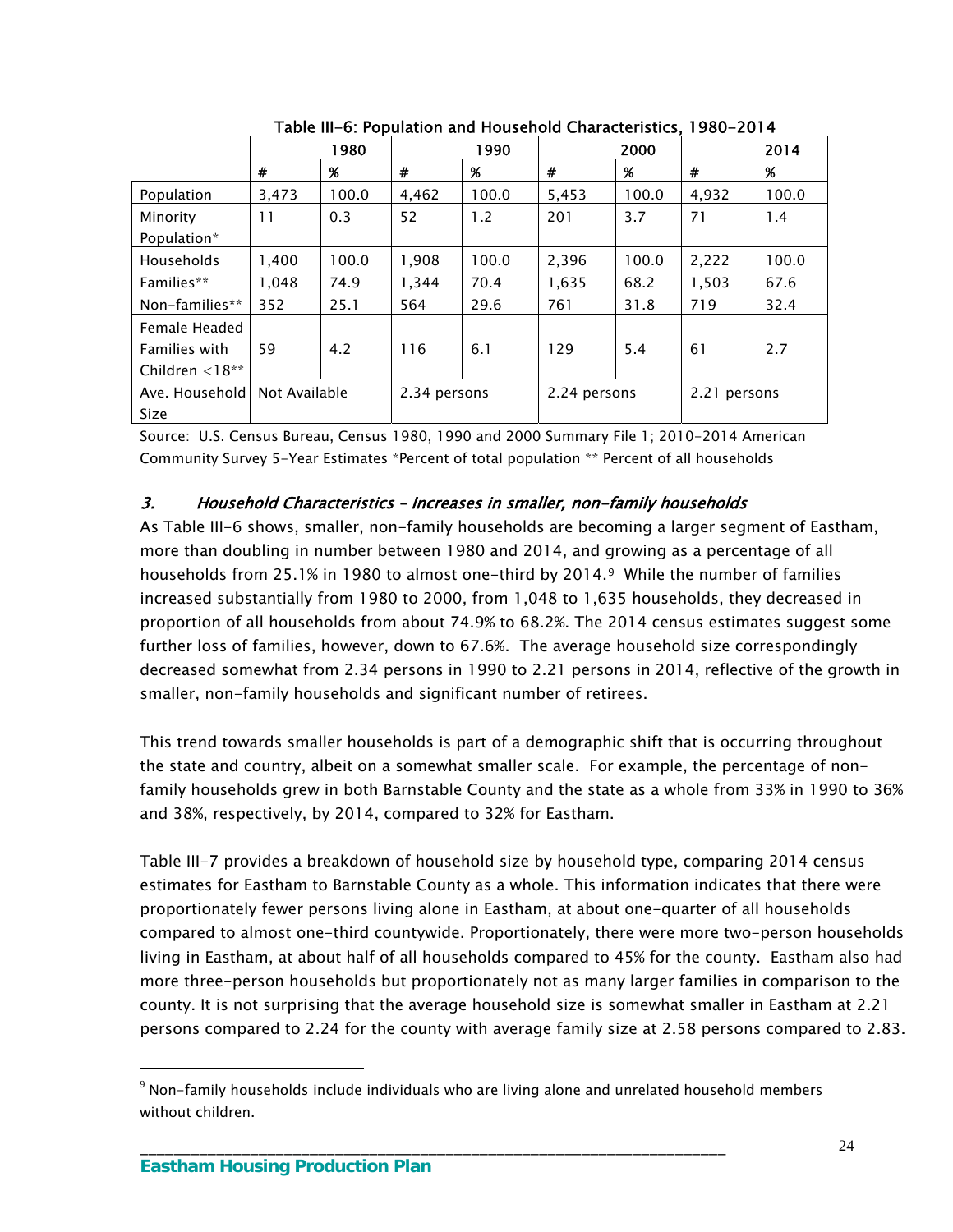|                          |               | 1980  |              | 1990  |              | 2000  |              | 2014  |
|--------------------------|---------------|-------|--------------|-------|--------------|-------|--------------|-------|
|                          | #             | %     | #            | %     | #            | %     | #            | %     |
| Population               | 3,473         | 100.0 | 4,462        | 100.0 | 5,453        | 100.0 | 4,932        | 100.0 |
| Minority                 | 11            | 0.3   | 52           | 1.2   | 201          | 3.7   | 71           | 1.4   |
| Population*              |               |       |              |       |              |       |              |       |
| Households               | 1,400         | 100.0 | 1,908        | 100.0 | 2,396        | 100.0 | 2,222        | 100.0 |
| Families**               | 1,048         | 74.9  | 1,344        | 70.4  | 1,635        | 68.2  | 1,503        | 67.6  |
| Non-families**           | 352           | 25.1  | 564          | 29.6  | 761          | 31.8  | 719          | 32.4  |
| Female Headed            |               |       |              |       |              |       |              |       |
| <b>Families with</b>     | 59            | 4.2   | 116          | 6.1   | 129          | 5.4   | 61           | 2.7   |
| Children $\langle 18***$ |               |       |              |       |              |       |              |       |
| Ave. Household           | Not Available |       | 2.34 persons |       | 2.24 persons |       | 2.21 persons |       |
| Size                     |               |       |              |       |              |       |              |       |

Table III-6: Population and Household Characteristics, 1980-2014

Source: U.S. Census Bureau, Census 1980, 1990 and 2000 Summary File 1; 2010-2014 American Community Survey 5-Year Estimates \*Percent of total population \*\* Percent of all households

#### 3. Household Characteristics – Increases in smaller, non-family households

As Table III-6 shows, smaller, non-family households are becoming a larger segment of Eastham, more than doubling in number between 1980 and 2014, and growing as a percentage of all households from 25.1% in 1980 to almost one-third by 2014.[9](#page-27-0) While the number of families increased substantially from 1980 to 2000, from 1,048 to 1,635 households, they decreased in proportion of all households from about 74.9% to 68.2%. The 2014 census estimates suggest some further loss of families, however, down to 67.6%. The average household size correspondingly decreased somewhat from 2.34 persons in 1990 to 2.21 persons in 2014, reflective of the growth in smaller, non-family households and significant number of retirees.

This trend towards smaller households is part of a demographic shift that is occurring throughout the state and country, albeit on a somewhat smaller scale. For example, the percentage of nonfamily households grew in both Barnstable County and the state as a whole from 33% in 1990 to 36% and 38%, respectively, by 2014, compared to 32% for Eastham.

Table III-7 provides a breakdown of household size by household type, comparing 2014 census estimates for Eastham to Barnstable County as a whole. This information indicates that there were proportionately fewer persons living alone in Eastham, at about one-quarter of all households compared to almost one-third countywide. Proportionately, there were more two-person households living in Eastham, at about half of all households compared to 45% for the county. Eastham also had more three-person households but proportionately not as many larger families in comparison to the county. It is not surprising that the average household size is somewhat smaller in Eastham at 2.21 persons compared to 2.24 for the county with average family size at 2.58 persons compared to 2.83.

\_\_\_\_\_\_\_\_\_\_\_\_\_\_\_\_\_\_\_\_\_\_\_\_\_\_\_\_\_\_\_\_\_\_\_\_\_\_\_\_\_\_\_\_\_\_\_\_\_\_\_\_\_\_\_\_\_\_\_\_\_\_\_\_\_\_\_\_\_

 $\overline{a}$ 

<span id="page-27-0"></span> $9$  Non-family households include individuals who are living alone and unrelated household members without children.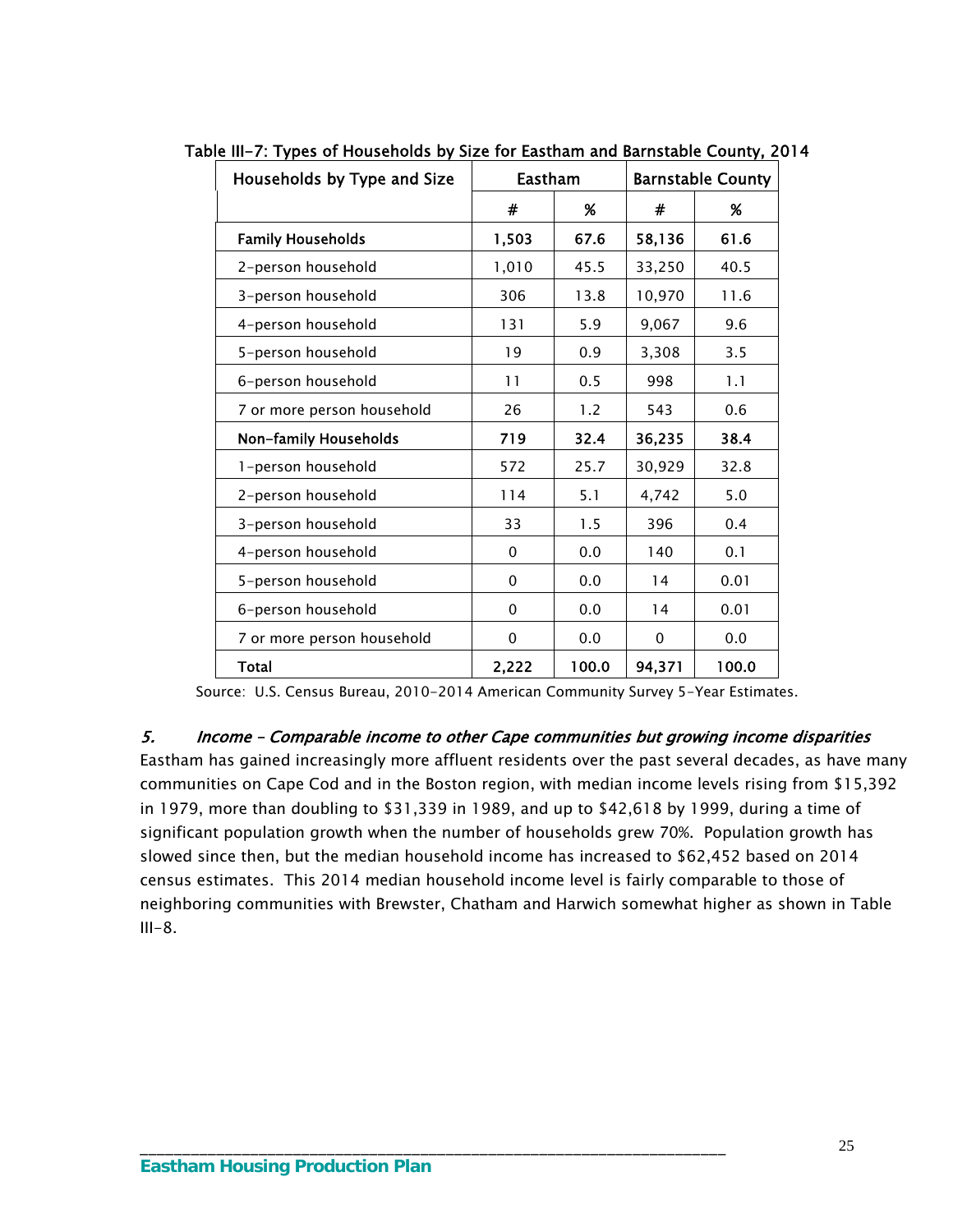| Households by Type and Size | Eastham  |       |        | <b>Barnstable County</b> |
|-----------------------------|----------|-------|--------|--------------------------|
|                             | #        | %     | #      | %                        |
| <b>Family Households</b>    | 1,503    | 67.6  | 58,136 | 61.6                     |
| 2-person household          | 1,010    | 45.5  | 33,250 | 40.5                     |
| 3-person household          | 306      | 13.8  | 10,970 | 11.6                     |
| 4-person household          | 131      | 5.9   | 9,067  | 9.6                      |
| 5-person household          | 19       | 0.9   | 3,308  | 3.5                      |
| 6-person household          | 11       | 0.5   | 998    | 1.1                      |
| 7 or more person household  | 26       | 1.2   | 543    | 0.6                      |
| Non-family Households       | 719      | 32.4  | 36,235 | 38.4                     |
| 1-person household          | 572      | 25.7  | 30,929 | 32.8                     |
| 2-person household          | 114      | 5.1   | 4,742  | 5.0                      |
| 3-person household          | 33       | 1.5   | 396    | 0.4                      |
| 4-person household          | 0        | 0.0   | 140    | 0.1                      |
| 5-person household          | $\Omega$ | 0.0   | 14     | 0.01                     |
| 6-person household          | $\Omega$ | 0.0   | 14     | 0.01                     |
| 7 or more person household  | 0        | 0.0   | 0      | 0.0                      |
| <b>Total</b>                | 2,222    | 100.0 | 94,371 | 100.0                    |

Table III-7: Types of Households by Size for Eastham and Barnstable County, 2014

Source: U.S. Census Bureau, 2010-2014 American Community Survey 5-Year Estimates.

5. Income – Comparable income to other Cape communities but growing income disparities

Eastham has gained increasingly more affluent residents over the past several decades, as have many communities on Cape Cod and in the Boston region, with median income levels rising from \$15,392 in 1979, more than doubling to \$31,339 in 1989, and up to \$42,618 by 1999, during a time of significant population growth when the number of households grew 70%. Population growth has slowed since then, but the median household income has increased to \$62,452 based on 2014 census estimates. This 2014 median household income level is fairly comparable to those of neighboring communities with Brewster, Chatham and Harwich somewhat higher as shown in Table  $III-8.$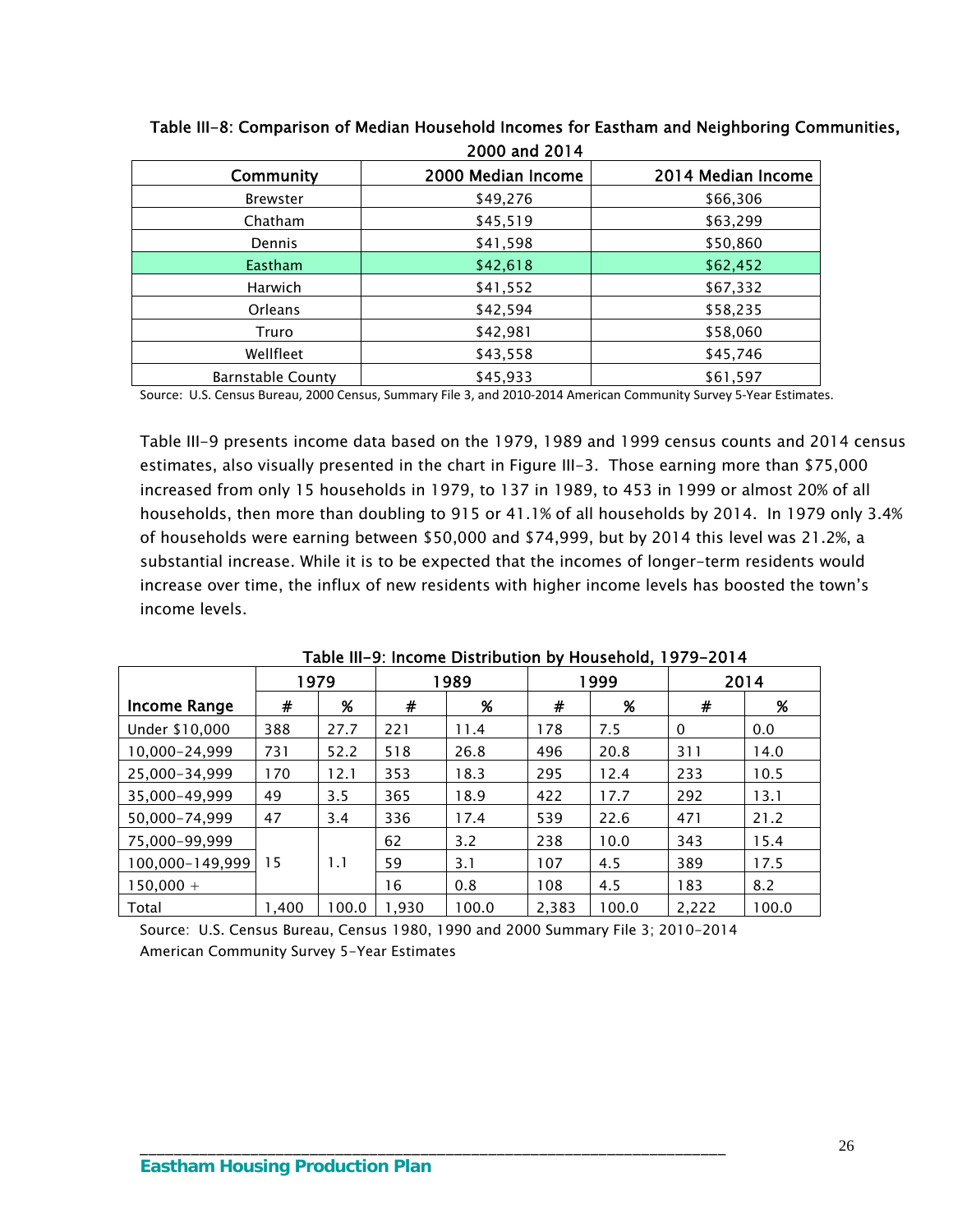| Community                | 2000 Median Income | 2014 Median Income |
|--------------------------|--------------------|--------------------|
| <b>Brewster</b>          | \$49,276           | \$66,306           |
| Chatham                  | \$45,519           | \$63,299           |
| Dennis                   | \$41,598           | \$50,860           |
| <b>Eastham</b>           | \$42,618           | \$62,452           |
| <b>Harwich</b>           | \$41,552           | \$67,332           |
| <b>Orleans</b>           | \$42,594           | \$58,235           |
| Truro                    | \$42,981           | \$58,060           |
| Wellfleet                | \$43,558           | \$45,746           |
| <b>Barnstable County</b> | \$45,933           | \$61,597           |

Table III-8: Comparison of Median Household Incomes for Eastham and Neighboring Communities, 2000 and 2014

Source: U.S. Census Bureau, 2000 Census, Summary File 3, and 2010‐2014 American Community Survey 5‐Year Estimates.

Table III-9 presents income data based on the 1979, 1989 and 1999 census counts and 2014 census estimates, also visually presented in the chart in Figure III-3. Those earning more than \$75,000 increased from only 15 households in 1979, to 137 in 1989, to 453 in 1999 or almost 20% of all households, then more than doubling to 915 or 41.1% of all households by 2014. In 1979 only 3.4% of households were earning between \$50,000 and \$74,999, but by 2014 this level was 21.2%, a substantial increase. While it is to be expected that the incomes of longer-term residents would increase over time, the influx of new residents with higher income levels has boosted the town's income levels.

|                     |       | 1979  |       | 1989  |       | 999 ا |       | 2014  |
|---------------------|-------|-------|-------|-------|-------|-------|-------|-------|
| <b>Income Range</b> | #     | %     | #     | $\%$  | #     | $\%$  | #     | $\%$  |
| Under \$10,000      | 388   | 27.7  | 221   | 11.4  | 178   | 7.5   | 0     | 0.0   |
| 10,000-24,999       | 731   | 52.2  | 518   | 26.8  | 496   | 20.8  | 311   | 14.0  |
| 25,000-34,999       | 170   | 12.1  | 353   | 18.3  | 295   | 12.4  | 233   | 10.5  |
| 35.000-49.999       | 49    | 3.5   | 365   | 18.9  | 422   | 17.7  | 292   | 13.1  |
| 50.000-74.999       | 47    | 3.4   | 336   | 17.4  | 539   | 22.6  | 471   | 21.2  |
| 75,000-99,999       |       |       | 62    | 3.2   | 238   | 10.0  | 343   | 15.4  |
| 100,000-149,999     | 15    | 1.1   | 59    | 3.1   | 107   | 4.5   | 389   | 17.5  |
| $150.000 +$         |       |       | 16    | 0.8   | 108   | 4.5   | 183   | 8.2   |
| Total               | 1.400 | 100.0 | 1.930 | 100.0 | 2,383 | 100.0 | 2,222 | 100.0 |

Table III-9: Income Distribution by Household, 1979-2014

Source: U.S. Census Bureau, Census 1980, 1990 and 2000 Summary File 3; 2010-2014 American Community Survey 5-Year Estimates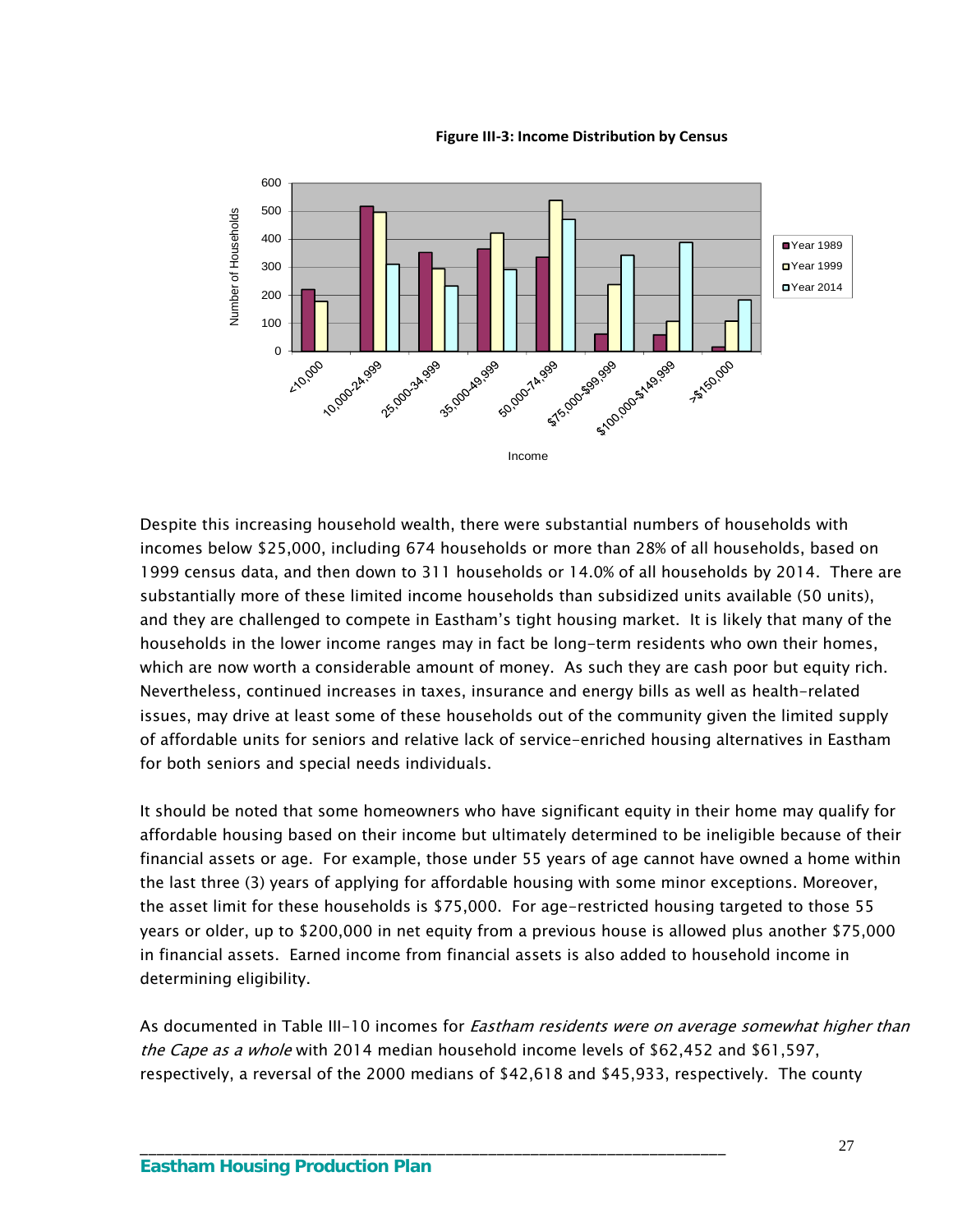**Figure III‐3: Income Distribution by Census**



Despite this increasing household wealth, there were substantial numbers of households with incomes below \$25,000, including 674 households or more than 28% of all households, based on 1999 census data, and then down to 311 households or 14.0% of all households by 2014. There are substantially more of these limited income households than subsidized units available (50 units), and they are challenged to compete in Eastham's tight housing market. It is likely that many of the households in the lower income ranges may in fact be long-term residents who own their homes, which are now worth a considerable amount of money. As such they are cash poor but equity rich. Nevertheless, continued increases in taxes, insurance and energy bills as well as health-related issues, may drive at least some of these households out of the community given the limited supply of affordable units for seniors and relative lack of service-enriched housing alternatives in Eastham for both seniors and special needs individuals.

It should be noted that some homeowners who have significant equity in their home may qualify for affordable housing based on their income but ultimately determined to be ineligible because of their financial assets or age. For example, those under 55 years of age cannot have owned a home within the last three (3) years of applying for affordable housing with some minor exceptions. Moreover, the asset limit for these households is \$75,000. For age-restricted housing targeted to those 55 years or older, up to \$200,000 in net equity from a previous house is allowed plus another \$75,000 in financial assets. Earned income from financial assets is also added to household income in determining eligibility.

As documented in Table III-10 incomes for *Eastham residents were on average somewhat higher than* the Cape as a whole with 2014 median household income levels of \$62,452 and \$61,597, respectively, a reversal of the 2000 medians of \$42,618 and \$45,933, respectively. The county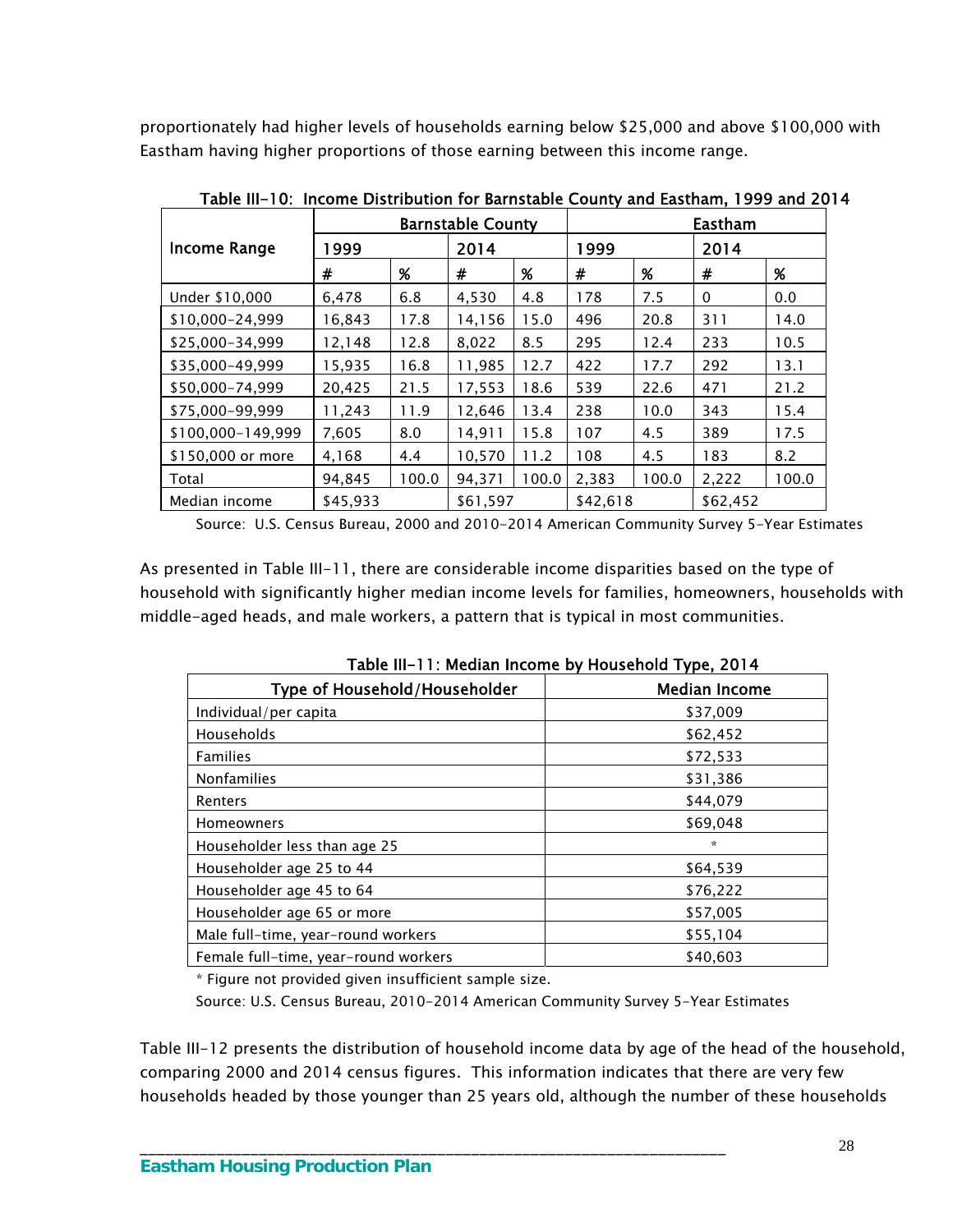proportionately had higher levels of households earning below \$25,000 and above \$100,000 with Eastham having higher proportions of those earning between this income range.

|                     |          |       | <b>Barnstable County</b> |       |          |       | Eastham  |       |
|---------------------|----------|-------|--------------------------|-------|----------|-------|----------|-------|
| <b>Income Range</b> | 999      |       | 2014                     |       | 1999     |       | 2014     |       |
|                     | #        | $\%$  | #                        | %     | #        | $\%$  | #        | %     |
| Under \$10,000      | 6,478    | 6.8   | 4,530                    | 4.8   | 178      | 7.5   | 0        | 0.0   |
| \$10.000-24.999     | 16.843   | 17.8  | 14,156                   | 15.0  | 496      | 20.8  | 311      | 14.0  |
| \$25,000-34,999     | 12,148   | 12.8  | 8,022                    | 8.5   | 295      | 12.4  | 233      | 10.5  |
| \$35,000-49,999     | 15,935   | 16.8  | 11,985                   | 12.7  | 422      | 17.7  | 292      | 13.1  |
| \$50,000-74,999     | 20,425   | 21.5  | 17,553                   | 18.6  | 539      | 22.6  | 471      | 21.2  |
| \$75,000-99,999     | 11.243   | 11.9  | 12.646                   | 13.4  | 238      | 10.0  | 343      | 15.4  |
| \$100.000-149.999   | 7,605    | 8.0   | 14,911                   | 15.8  | 107      | 4.5   | 389      | 17.5  |
| \$150,000 or more   | 4,168    | 4.4   | 10,570                   | 11.2  | 108      | 4.5   | 183      | 8.2   |
| Total               | 94.845   | 100.0 | 94.371                   | 100.0 | 2,383    | 100.0 | 2,222    | 100.0 |
| Median income       | \$45,933 |       | \$61,597                 |       | \$42,618 |       | \$62,452 |       |

Table III-10: Income Distribution for Barnstable County and Eastham, 1999 and 2014

Source: U.S. Census Bureau, 2000 and 2010-2014 American Community Survey 5-Year Estimates

As presented in Table III-11, there are considerable income disparities based on the type of household with significantly higher median income levels for families, homeowners, households with middle-aged heads, and male workers, a pattern that is typical in most communities.

| $1$ able $11 - 11$ . Median income by Housenoid Type, $201 -$ |                      |  |  |  |  |  |  |
|---------------------------------------------------------------|----------------------|--|--|--|--|--|--|
| Type of Household/Householder                                 | <b>Median Income</b> |  |  |  |  |  |  |
| Individual/per capita                                         | \$37,009             |  |  |  |  |  |  |
| Households                                                    | \$62,452             |  |  |  |  |  |  |
| <b>Families</b>                                               | \$72,533             |  |  |  |  |  |  |
| <b>Nonfamilies</b>                                            | \$31,386             |  |  |  |  |  |  |
| Renters                                                       | \$44,079             |  |  |  |  |  |  |
| <b>Homeowners</b>                                             | \$69,048             |  |  |  |  |  |  |
| Householder less than age 25                                  | ☆                    |  |  |  |  |  |  |
| Householder age 25 to 44                                      | \$64,539             |  |  |  |  |  |  |
| Householder age 45 to 64                                      | \$76,222             |  |  |  |  |  |  |
| Householder age 65 or more                                    | \$57,005             |  |  |  |  |  |  |
| Male full-time, year-round workers                            | \$55,104             |  |  |  |  |  |  |
| Female full-time, year-round workers                          | \$40.603             |  |  |  |  |  |  |

Table III-11: Median Income by Household Type, 2014

\* Figure not provided given insufficient sample size.

Source: U.S. Census Bureau, 2010-2014 American Community Survey 5-Year Estimates

\_\_\_\_\_\_\_\_\_\_\_\_\_\_\_\_\_\_\_\_\_\_\_\_\_\_\_\_\_\_\_\_\_\_\_\_\_\_\_\_\_\_\_\_\_\_\_\_\_\_\_\_\_\_\_\_\_\_\_\_\_\_\_\_\_\_\_\_\_

Table III-12 presents the distribution of household income data by age of the head of the household, comparing 2000 and 2014 census figures. This information indicates that there are very few households headed by those younger than 25 years old, although the number of these households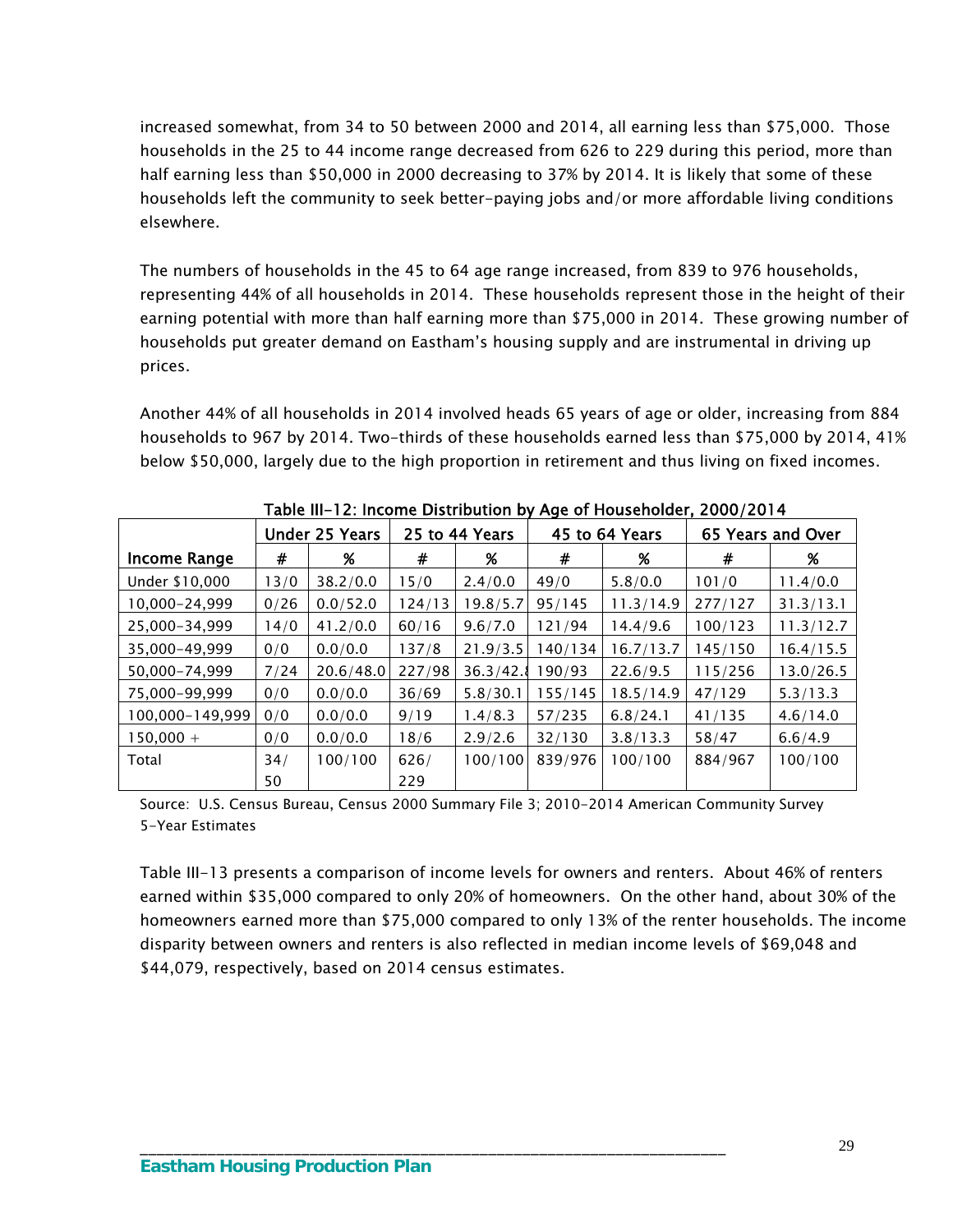increased somewhat, from 34 to 50 between 2000 and 2014, all earning less than \$75,000. Those households in the 25 to 44 income range decreased from 626 to 229 during this period, more than half earning less than \$50,000 in 2000 decreasing to 37% by 2014. It is likely that some of these households left the community to seek better-paying jobs and/or more affordable living conditions elsewhere.

The numbers of households in the 45 to 64 age range increased, from 839 to 976 households, representing 44% of all households in 2014. These households represent those in the height of their earning potential with more than half earning more than \$75,000 in 2014. These growing number of households put greater demand on Eastham's housing supply and are instrumental in driving up prices.

Another 44% of all households in 2014 involved heads 65 years of age or older, increasing from 884 households to 967 by 2014. Two-thirds of these households earned less than \$75,000 by 2014, 41% below \$50,000, largely due to the high proportion in retirement and thus living on fixed incomes.

| $1400$ m $1400$ measure biothoughout by type of Householder,<br>-------- |      |                       |                |           |                |           |                   |           |
|--------------------------------------------------------------------------|------|-----------------------|----------------|-----------|----------------|-----------|-------------------|-----------|
|                                                                          |      | <b>Under 25 Years</b> | 25 to 44 Years |           | 45 to 64 Years |           | 65 Years and Over |           |
| <b>Income Range</b>                                                      | #    | %                     | #              | %         | #              | %         | #                 | %         |
| Under \$10,000                                                           | 13/0 | 38.2/0.0              | 15/0           | 2.4/0.0   | 49/0           | 5.8/0.0   | 101/0             | 11.4/0.0  |
| 10,000-24,999                                                            | 0/26 | 0.0/52.0              | 124/13         | 19.8/5.7  | 95/145         | 11.3/14.9 | 277/127           | 31.3/13.1 |
| 25,000-34,999                                                            | 14/0 | 41.2/0.0              | 60/16          | 9.6/7.0   | 121/94         | 14.4/9.6  | 100/123           | 11.3/12.7 |
| 35,000-49,999                                                            | 0/0  | 0.0/0.0               | 137/8          | 21.9/3.5  | 140/134        | 16.7/13.7 | 145/150           | 16.4/15.5 |
| 50,000-74,999                                                            | 7/24 | 20.6/48.0             | 227/98         | 36.3/42.8 | 190/93         | 22.6/9.5  | 115/256           | 13.0/26.5 |
| 75,000-99,999                                                            | 0/0  | 0.0/0.0               | 36/69          | 5.8/30.1  | 155/145        | 18.5/14.9 | 47/129            | 5.3/13.3  |
| 100,000-149,999                                                          | 0/0  | 0.0/0.0               | 9/19           | 1.4/8.3   | 57/235         | 6.8/24.1  | 41/135            | 4.6/14.0  |
| $150,000 +$                                                              | 0/0  | 0.0/0.0               | 18/6           | 2.9/2.6   | 32/130         | 3.8/13.3  | 58/47             | 6.6/4.9   |
| Total                                                                    | 34/  | 100/100               | 626/           | 100/100   | 839/976        | 100/100   | 884/967           | 100/100   |
|                                                                          | 50   |                       | 229            |           |                |           |                   |           |

Table III-12: Income Distribution by Age of Householder, 2000/2014

Source: U.S. Census Bureau, Census 2000 Summary File 3; 2010-2014 American Community Survey 5-Year Estimates

\_\_\_\_\_\_\_\_\_\_\_\_\_\_\_\_\_\_\_\_\_\_\_\_\_\_\_\_\_\_\_\_\_\_\_\_\_\_\_\_\_\_\_\_\_\_\_\_\_\_\_\_\_\_\_\_\_\_\_\_\_\_\_\_\_\_\_\_\_

Table III-13 presents a comparison of income levels for owners and renters. About 46% of renters earned within \$35,000 compared to only 20% of homeowners. On the other hand, about 30% of the homeowners earned more than \$75,000 compared to only 13% of the renter households. The income disparity between owners and renters is also reflected in median income levels of \$69,048 and \$44,079, respectively, based on 2014 census estimates.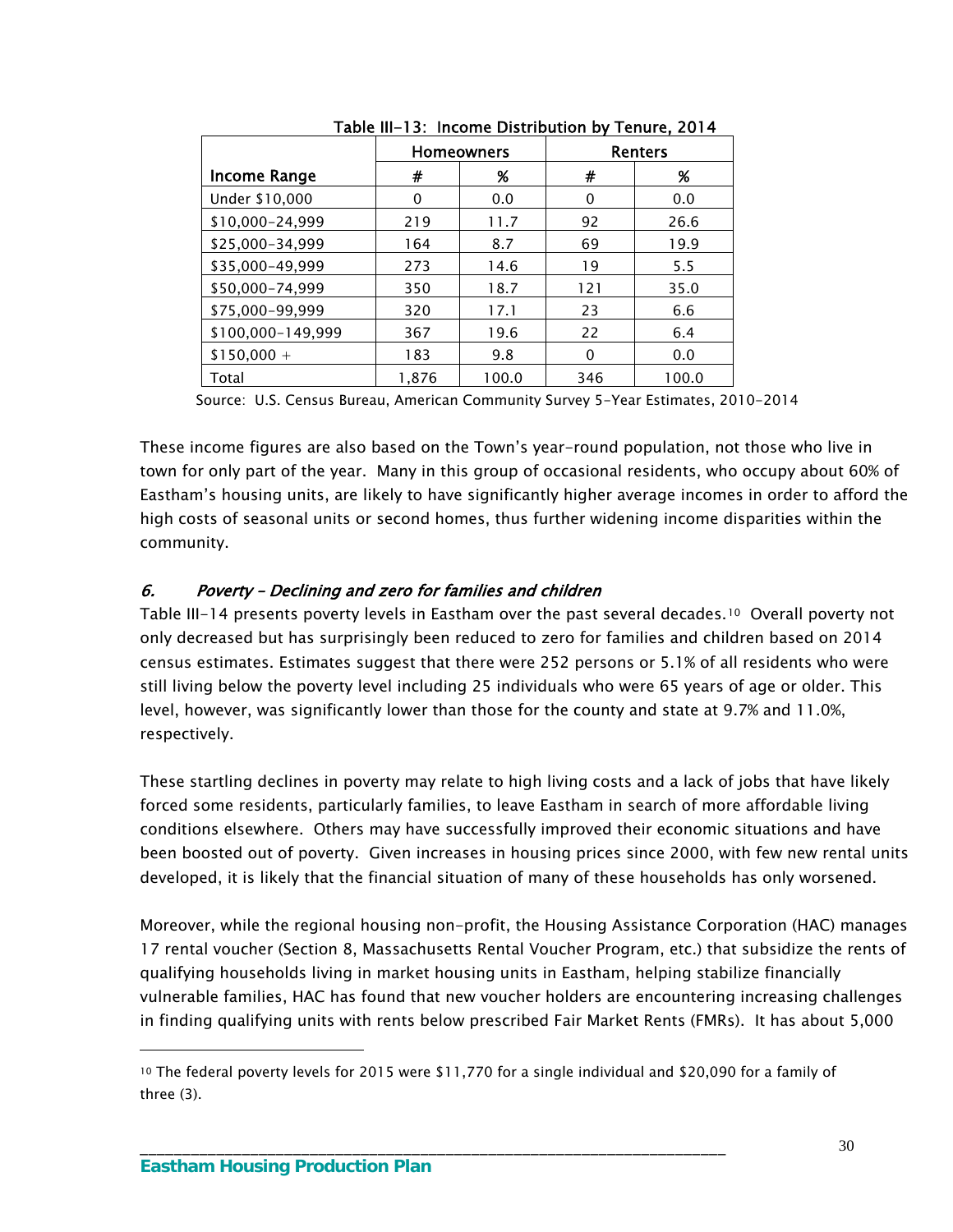|                     | <b>Homeowners</b> |       |     | <b>Renters</b> |  |
|---------------------|-------------------|-------|-----|----------------|--|
| <b>Income Range</b> | #                 | %     | #   | %              |  |
| Under \$10,000      | 0                 | 0.0   | 0   | 0.0            |  |
| \$10,000-24,999     | 219               | 11.7  | 92  | 26.6           |  |
| \$25,000-34,999     | 164               | 8.7   | 69  | 19.9           |  |
| \$35,000-49,999     | 273               | 14.6  | 19  | 5.5            |  |
| \$50,000-74,999     | 350               | 18.7  | 121 | 35.0           |  |
| \$75,000-99,999     | 320               | 17.1  | 23  | 6.6            |  |
| \$100,000-149,999   | 367               | 19.6  | 22  | 6.4            |  |
| $$150,000 +$        | 183               | 9.8   | 0   | 0.0            |  |
| Total               | 1.876             | 100.0 | 346 | 100.0          |  |

Table III-13: Income Distribution by Tenure, 2014

Source: U.S. Census Bureau, American Community Survey 5-Year Estimates, 2010-2014

These income figures are also based on the Town's year-round population, not those who live in town for only part of the year. Many in this group of occasional residents, who occupy about 60% of Eastham's housing units, are likely to have significantly higher average incomes in order to afford the high costs of seasonal units or second homes, thus further widening income disparities within the community.

### 6. Poverty – Declining and zero for families and children

Table III-14 presents poverty levels in Eastham over the past several decades.<sup>10</sup> Overall poverty not only decreased but has surprisingly been reduced to zero for families and children based on 2014 census estimates. Estimates suggest that there were 252 persons or 5.1% of all residents who were still living below the poverty level including 25 individuals who were 65 years of age or older. This level, however, was significantly lower than those for the county and state at 9.7% and 11.0%, respectively.

These startling declines in poverty may relate to high living costs and a lack of jobs that have likely forced some residents, particularly families, to leave Eastham in search of more affordable living conditions elsewhere. Others may have successfully improved their economic situations and have been boosted out of poverty. Given increases in housing prices since 2000, with few new rental units developed, it is likely that the financial situation of many of these households has only worsened.

Moreover, while the regional housing non-profit, the Housing Assistance Corporation (HAC) manages 17 rental voucher (Section 8, Massachusetts Rental Voucher Program, etc.) that subsidize the rents of qualifying households living in market housing units in Eastham, helping stabilize financially vulnerable families, HAC has found that new voucher holders are encountering increasing challenges in finding qualifying units with rents below prescribed Fair Market Rents (FMRs). It has about 5,000

\_\_\_\_\_\_\_\_\_\_\_\_\_\_\_\_\_\_\_\_\_\_\_\_\_\_\_\_\_\_\_\_\_\_\_\_\_\_\_\_\_\_\_\_\_\_\_\_\_\_\_\_\_\_\_\_\_\_\_\_\_\_\_\_\_\_\_\_\_

 $\overline{a}$ 

<span id="page-33-0"></span><sup>10</sup> The federal poverty levels for 2015 were \$11,770 for a single individual and \$20,090 for a family of three (3).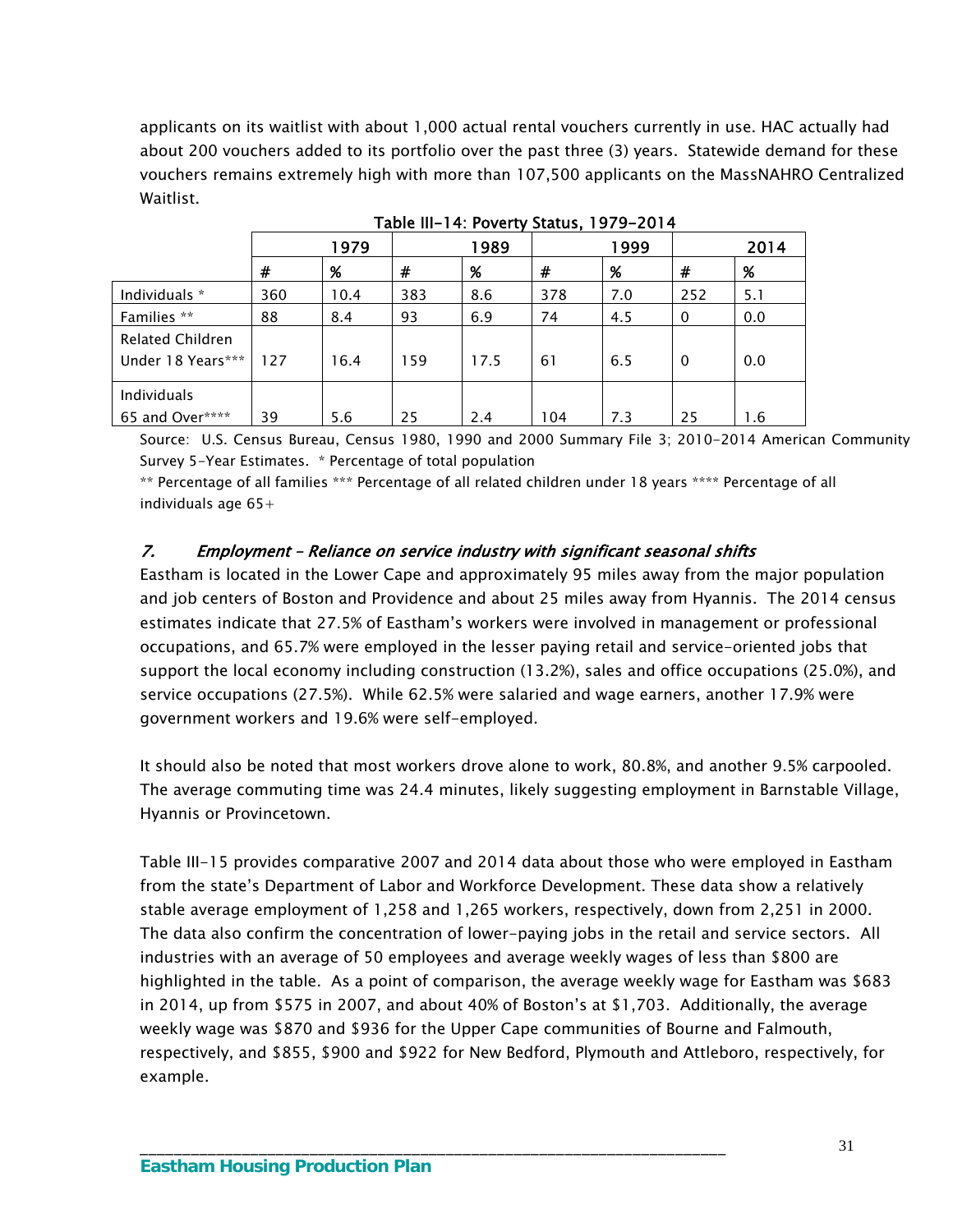applicants on its waitlist with about 1,000 actual rental vouchers currently in use. HAC actually had about 200 vouchers added to its portfolio over the past three (3) years. Statewide demand for these vouchers remains extremely high with more than 107,500 applicants on the MassNAHRO Centralized Waitlist.

|                                              |     | 1979 |     | 1989 |     | 1999 |          | 2014 |
|----------------------------------------------|-----|------|-----|------|-----|------|----------|------|
|                                              | #   | %    | #   | %    | #   | %    | #        | %    |
| Individuals *                                | 360 | 10.4 | 383 | 8.6  | 378 | 7.0  | 252      | 5.1  |
| Families **                                  | 88  | 8.4  | 93  | 6.9  | 74  | 4.5  | 0        | 0.0  |
| <b>Related Children</b><br>Under 18 Years*** | 127 | 16.4 | 159 | 17.5 | 61  | 6.5  | $\Omega$ | 0.0  |
| Individuals<br>65 and Over****               | 39  | 5.6  | 25  | 2.4  | 104 | 7.3  | 25       | 1.6  |

Table III-14: Poverty Status, 1979-2014

Source: U.S. Census Bureau, Census 1980, 1990 and 2000 Summary File 3; 2010-2014 American Community Survey 5-Year Estimates. \* Percentage of total population

\*\* Percentage of all families \*\*\* Percentage of all related children under 18 years \*\*\*\* Percentage of all individuals age  $65+$ 

### 7. Employment – Reliance on service industry with significant seasonal shifts

Eastham is located in the Lower Cape and approximately 95 miles away from the major population and job centers of Boston and Providence and about 25 miles away from Hyannis. The 2014 census estimates indicate that 27.5% of Eastham's workers were involved in management or professional occupations, and 65.7% were employed in the lesser paying retail and service-oriented jobs that support the local economy including construction (13.2%), sales and office occupations (25.0%), and service occupations (27.5%). While 62.5% were salaried and wage earners, another 17.9% were government workers and 19.6% were self-employed.

It should also be noted that most workers drove alone to work, 80.8%, and another 9.5% carpooled. The average commuting time was 24.4 minutes, likely suggesting employment in Barnstable Village, Hyannis or Provincetown.

Table III-15 provides comparative 2007 and 2014 data about those who were employed in Eastham from the state's Department of Labor and Workforce Development. These data show a relatively stable average employment of 1,258 and 1,265 workers, respectively, down from 2,251 in 2000. The data also confirm the concentration of lower-paying jobs in the retail and service sectors. All industries with an average of 50 employees and average weekly wages of less than \$800 are highlighted in the table. As a point of comparison, the average weekly wage for Eastham was \$683 in 2014, up from \$575 in 2007, and about 40% of Boston's at \$1,703. Additionally, the average weekly wage was \$870 and \$936 for the Upper Cape communities of Bourne and Falmouth, respectively, and \$855, \$900 and \$922 for New Bedford, Plymouth and Attleboro, respectively, for example.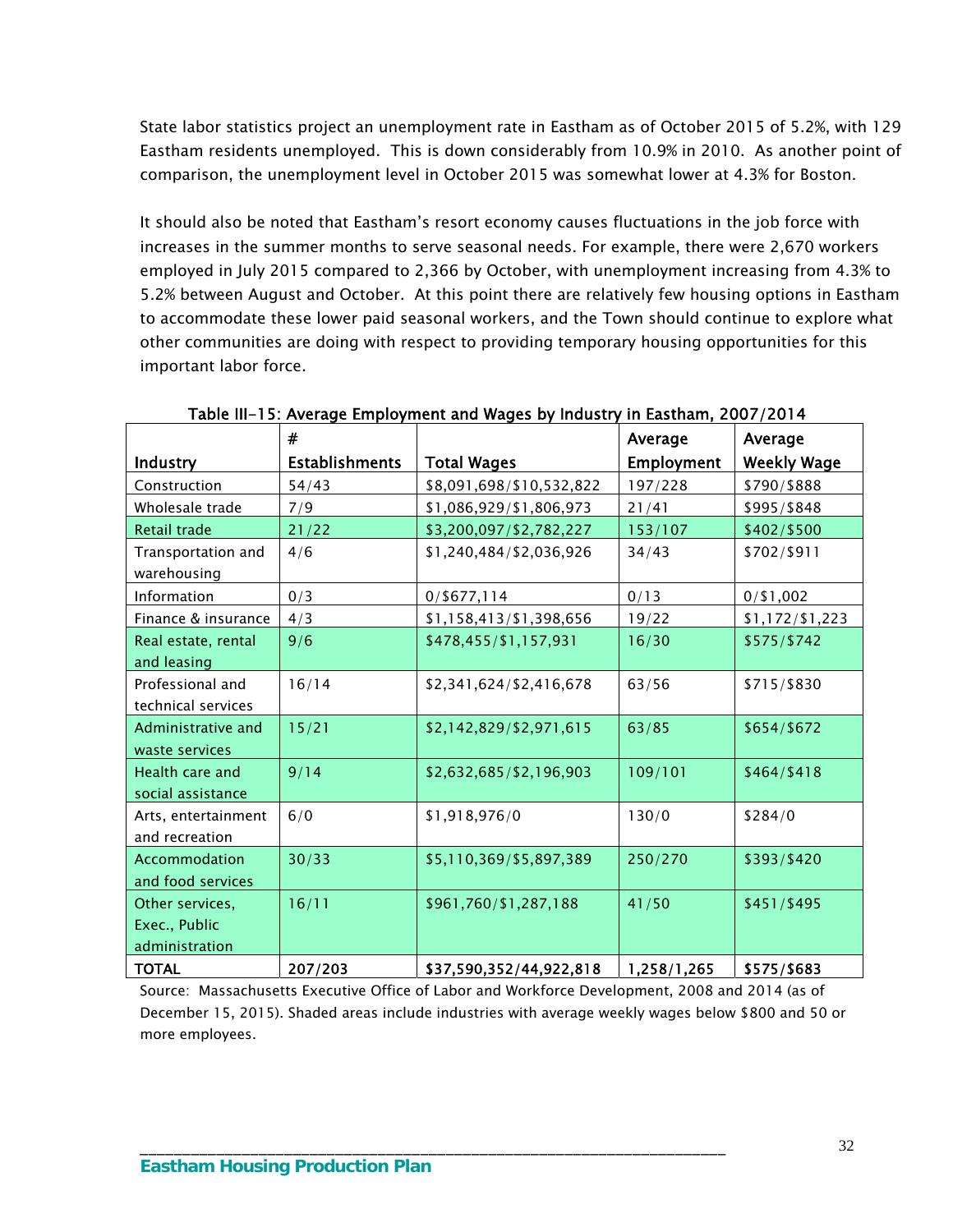State labor statistics project an unemployment rate in Eastham as of October 2015 of 5.2%, with 129 Eastham residents unemployed. This is down considerably from 10.9% in 2010. As another point of comparison, the unemployment level in October 2015 was somewhat lower at 4.3% for Boston.

It should also be noted that Eastham's resort economy causes fluctuations in the job force with increases in the summer months to serve seasonal needs. For example, there were 2,670 workers employed in July 2015 compared to 2,366 by October, with unemployment increasing from 4.3% to 5.2% between August and October. At this point there are relatively few housing options in Eastham to accommodate these lower paid seasonal workers, and the Town should continue to explore what other communities are doing with respect to providing temporary housing opportunities for this important labor force.

|                                                    | #                     |                          | Average           | Average            |
|----------------------------------------------------|-----------------------|--------------------------|-------------------|--------------------|
| Industry                                           | <b>Establishments</b> | <b>Total Wages</b>       | <b>Employment</b> | <b>Weekly Wage</b> |
| Construction                                       | 54/43                 | \$8,091,698/\$10,532,822 | 197/228           | \$790/\$888        |
| Wholesale trade                                    | 7/9                   | \$1,086,929/\$1,806,973  | 21/41             | \$995/\$848        |
| Retail trade                                       | 21/22                 | \$3,200,097/\$2,782,227  | 153/107           | \$402/\$500        |
| Transportation and<br>warehousing                  | 4/6                   | \$1,240,484/\$2,036,926  | 34/43             | \$702/\$911        |
| Information                                        | 0/3                   | $0/$ \$677,114           | 0/13              | $0/$ \$1,002       |
| Finance & insurance                                | 4/3                   | \$1,158,413/\$1,398,656  | 19/22             | \$1,172/\$1,223    |
| Real estate, rental<br>and leasing                 | 9/6                   | \$478,455/\$1,157,931    | 16/30             | \$575/\$742        |
| Professional and<br>technical services             | 16/14                 | \$2,341,624/\$2,416,678  | 63/56             | \$715/\$830        |
| Administrative and<br>waste services               | 15/21                 | \$2,142,829/\$2,971,615  | 63/85             | \$654/\$672        |
| Health care and<br>social assistance               | 9/14                  | \$2,632,685/\$2,196,903  | 109/101           | \$464/\$418        |
| Arts, entertainment<br>and recreation              | 6/0                   | \$1,918,976/0            | 130/0             | \$284/0            |
| Accommodation<br>and food services                 | 30/33                 | \$5,110,369/\$5,897,389  | 250/270           | \$393/\$420        |
| Other services,<br>Exec., Public<br>administration | 16/11                 | \$961,760/\$1,287,188    | 41/50             | \$451/\$495        |
| <b>TOTAL</b>                                       | 207/203               | \$37,590,352/44,922,818  | 1,258/1,265       | \$575/\$683        |

Table III-15: Average Employment and Wages by Industry in Eastham, 2007/2014

Source: Massachusetts Executive Office of Labor and Workforce Development, 2008 and 2014 (as of December 15, 2015). Shaded areas include industries with average weekly wages below \$800 and 50 or more employees.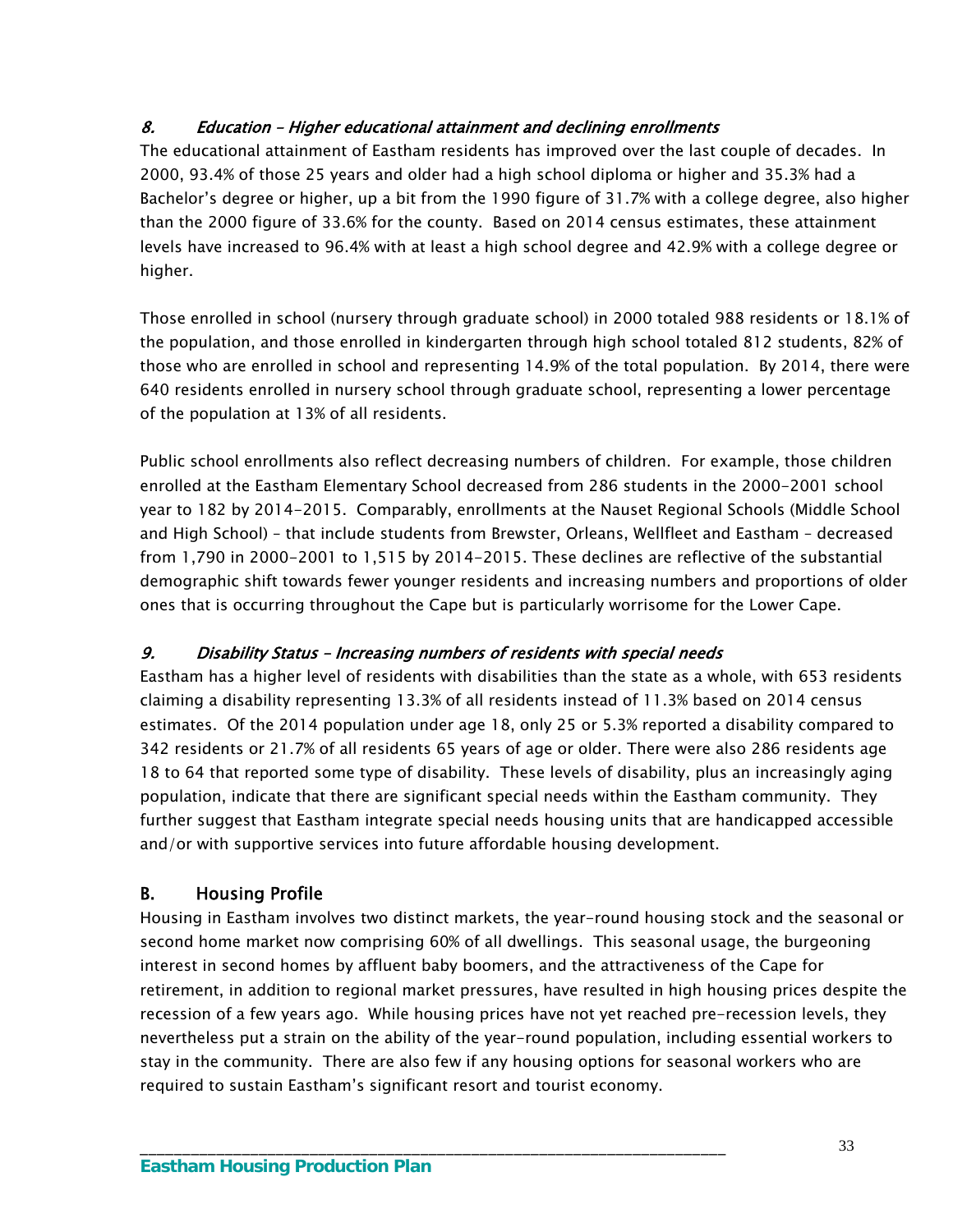# 8. Education – Higher educational attainment and declining enrollments

The educational attainment of Eastham residents has improved over the last couple of decades. In 2000, 93.4% of those 25 years and older had a high school diploma or higher and 35.3% had a Bachelor's degree or higher, up a bit from the 1990 figure of 31.7% with a college degree, also higher than the 2000 figure of 33.6% for the county. Based on 2014 census estimates, these attainment levels have increased to 96.4% with at least a high school degree and 42.9% with a college degree or higher.

Those enrolled in school (nursery through graduate school) in 2000 totaled 988 residents or 18.1% of the population, and those enrolled in kindergarten through high school totaled 812 students, 82% of those who are enrolled in school and representing 14.9% of the total population. By 2014, there were 640 residents enrolled in nursery school through graduate school, representing a lower percentage of the population at 13% of all residents.

Public school enrollments also reflect decreasing numbers of children. For example, those children enrolled at the Eastham Elementary School decreased from 286 students in the 2000-2001 school year to 182 by 2014-2015. Comparably, enrollments at the Nauset Regional Schools (Middle School and High School) – that include students from Brewster, Orleans, Wellfleet and Eastham – decreased from 1,790 in 2000-2001 to 1,515 by 2014-2015. These declines are reflective of the substantial demographic shift towards fewer younger residents and increasing numbers and proportions of older ones that is occurring throughout the Cape but is particularly worrisome for the Lower Cape.

# 9. Disability Status – Increasing numbers of residents with special needs

\_\_\_\_\_\_\_\_\_\_\_\_\_\_\_\_\_\_\_\_\_\_\_\_\_\_\_\_\_\_\_\_\_\_\_\_\_\_\_\_\_\_\_\_\_\_\_\_\_\_\_\_\_\_\_\_\_\_\_\_\_\_\_\_\_\_\_\_\_

Eastham has a higher level of residents with disabilities than the state as a whole, with 653 residents claiming a disability representing 13.3% of all residents instead of 11.3% based on 2014 census estimates. Of the 2014 population under age 18, only 25 or 5.3% reported a disability compared to 342 residents or 21.7% of all residents 65 years of age or older. There were also 286 residents age 18 to 64 that reported some type of disability. These levels of disability, plus an increasingly aging population, indicate that there are significant special needs within the Eastham community. They further suggest that Eastham integrate special needs housing units that are handicapped accessible and/or with supportive services into future affordable housing development.

# B. Housing Profile

Housing in Eastham involves two distinct markets, the year-round housing stock and the seasonal or second home market now comprising 60% of all dwellings. This seasonal usage, the burgeoning interest in second homes by affluent baby boomers, and the attractiveness of the Cape for retirement, in addition to regional market pressures, have resulted in high housing prices despite the recession of a few years ago. While housing prices have not yet reached pre-recession levels, they nevertheless put a strain on the ability of the year-round population, including essential workers to stay in the community. There are also few if any housing options for seasonal workers who are required to sustain Eastham's significant resort and tourist economy.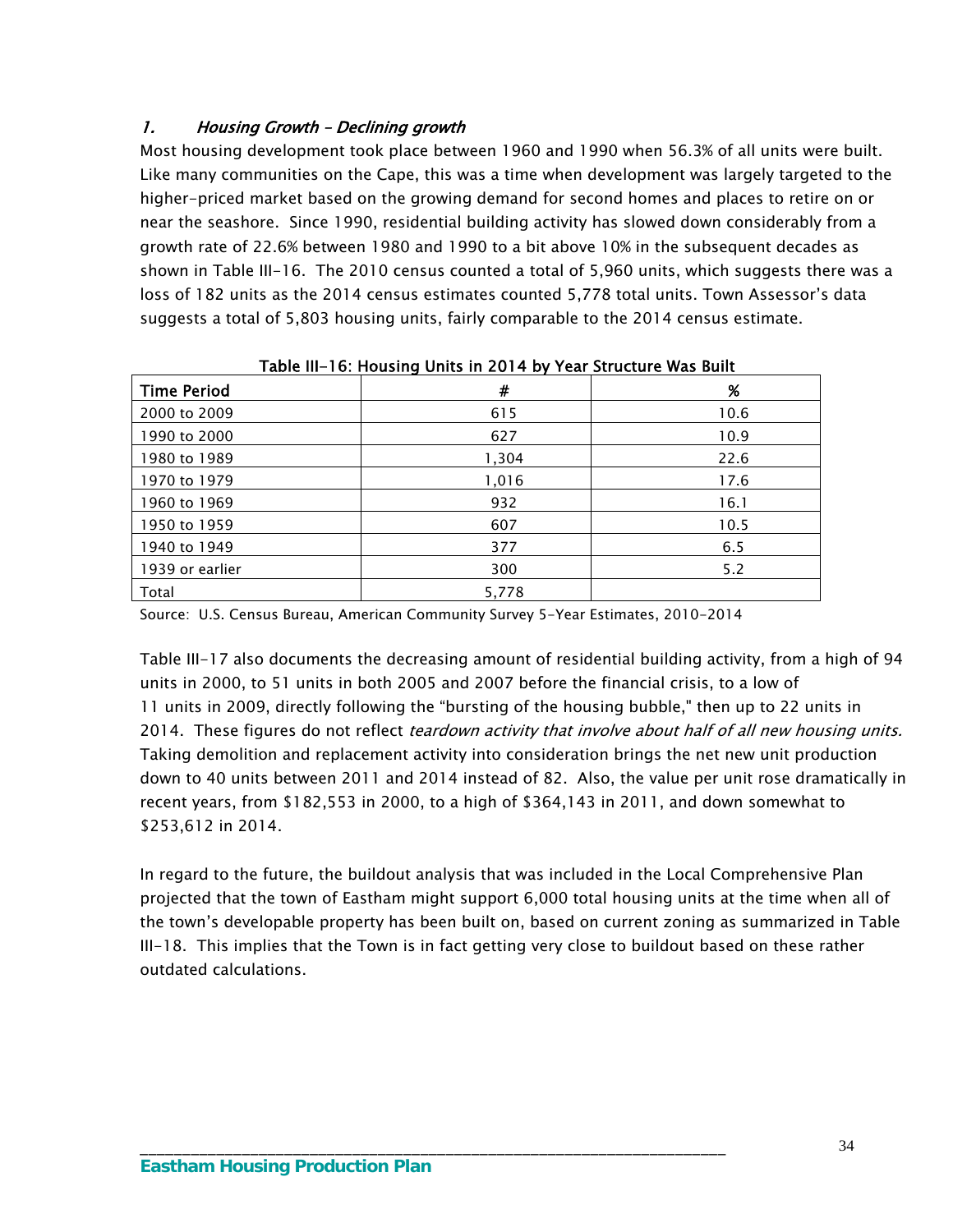# 1. Housing Growth – Declining growth

Most housing development took place between 1960 and 1990 when 56.3% of all units were built. Like many communities on the Cape, this was a time when development was largely targeted to the higher-priced market based on the growing demand for second homes and places to retire on or near the seashore. Since 1990, residential building activity has slowed down considerably from a growth rate of 22.6% between 1980 and 1990 to a bit above 10% in the subsequent decades as shown in Table III-16. The 2010 census counted a total of 5,960 units, which suggests there was a loss of 182 units as the 2014 census estimates counted 5,778 total units. Town Assessor's data suggests a total of 5,803 housing units, fairly comparable to the 2014 census estimate.

| <b>Time Period</b> | #     | $\%$ |
|--------------------|-------|------|
| 2000 to 2009       | 615   | 10.6 |
| 1990 to 2000       | 627   | 10.9 |
| 1980 to 1989       | 1,304 | 22.6 |
| 1970 to 1979       | 1,016 | 17.6 |
| 1960 to 1969       | 932   | 16.1 |
| 1950 to 1959       | 607   | 10.5 |
| 1940 to 1949       | 377   | 6.5  |
| 1939 or earlier    | 300   | 5.2  |
| Total              | 5,778 |      |

Table III-16: Housing Units in 2014 by Year Structure Was Built

Source: U.S. Census Bureau, American Community Survey 5-Year Estimates, 2010-2014

\_\_\_\_\_\_\_\_\_\_\_\_\_\_\_\_\_\_\_\_\_\_\_\_\_\_\_\_\_\_\_\_\_\_\_\_\_\_\_\_\_\_\_\_\_\_\_\_\_\_\_\_\_\_\_\_\_\_\_\_\_\_\_\_\_\_\_\_\_

Table III-17 also documents the decreasing amount of residential building activity, from a high of 94 units in 2000, to 51 units in both 2005 and 2007 before the financial crisis, to a low of 11 units in 2009, directly following the "bursting of the housing bubble," then up to 22 units in 2014. These figures do not reflect *teardown activity that involve about half of all new housing units.* Taking demolition and replacement activity into consideration brings the net new unit production down to 40 units between 2011 and 2014 instead of 82. Also, the value per unit rose dramatically in recent years, from \$182,553 in 2000, to a high of \$364,143 in 2011, and down somewhat to \$253,612 in 2014.

In regard to the future, the buildout analysis that was included in the Local Comprehensive Plan projected that the town of Eastham might support 6,000 total housing units at the time when all of the town's developable property has been built on, based on current zoning as summarized in Table III-18. This implies that the Town is in fact getting very close to buildout based on these rather outdated calculations.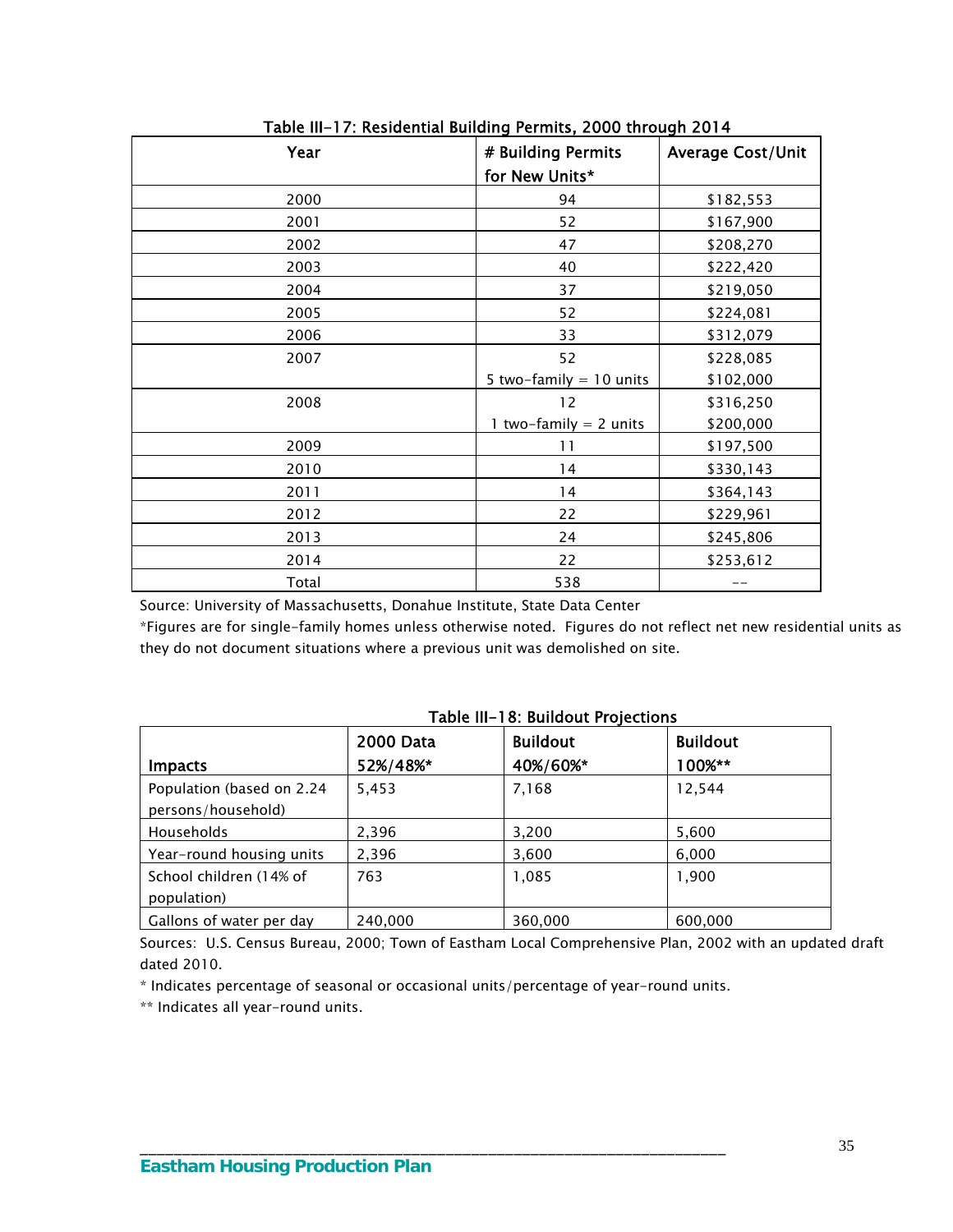| Year  | # Building Permits        | <b>Average Cost/Unit</b> |
|-------|---------------------------|--------------------------|
|       | for New Units*            |                          |
| 2000  | 94                        | \$182,553                |
| 2001  | 52                        | \$167,900                |
| 2002  | 47                        | \$208,270                |
| 2003  | 40                        | \$222,420                |
| 2004  | 37                        | \$219,050                |
| 2005  | 52                        | \$224,081                |
| 2006  | 33                        | \$312,079                |
| 2007  | 52                        | \$228,085                |
|       | 5 two-family $= 10$ units | \$102,000                |
| 2008  | 12                        | \$316,250                |
|       | 1 two-family $= 2$ units  | \$200,000                |
| 2009  | 11                        | \$197,500                |
| 2010  | 14                        | \$330,143                |
| 2011  | 14                        | \$364,143                |
| 2012  | 22                        | \$229,961                |
| 2013  | 24                        | \$245,806                |
| 2014  | 22                        | \$253,612                |
| Total | 538                       |                          |

Table III-17: Residential Building Permits, 2000 through 2014

Source: University of Massachusetts, Donahue Institute, State Data Center

\*Figures are for single-family homes unless otherwise noted. Figures do not reflect net new residential units as they do not document situations where a previous unit was demolished on site.

| <b>Impacts</b>                                  | <b>2000 Data</b><br>52%/48%* | <b>Buildout</b><br>40%/60%* | <b>Buildout</b><br>100%** |
|-------------------------------------------------|------------------------------|-----------------------------|---------------------------|
| Population (based on 2.24<br>persons/household) | 5,453                        | 7,168                       | 12,544                    |
| <b>Households</b>                               | 2,396                        | 3,200                       | 5,600                     |
| Year-round housing units                        | 2,396                        | 3,600                       | 6,000                     |
| School children (14% of<br>population)          | 763                          | 1,085                       | 1,900                     |
| Gallons of water per day                        | 240,000                      | 360,000                     | 600,000                   |

#### Table III-18: Buildout Projections

Sources: U.S. Census Bureau, 2000; Town of Eastham Local Comprehensive Plan, 2002 with an updated draft dated 2010.

\* Indicates percentage of seasonal or occasional units/percentage of year-round units.

\_\_\_\_\_\_\_\_\_\_\_\_\_\_\_\_\_\_\_\_\_\_\_\_\_\_\_\_\_\_\_\_\_\_\_\_\_\_\_\_\_\_\_\_\_\_\_\_\_\_\_\_\_\_\_\_\_\_\_\_\_\_\_\_\_\_\_\_\_

\*\* Indicates all year-round units.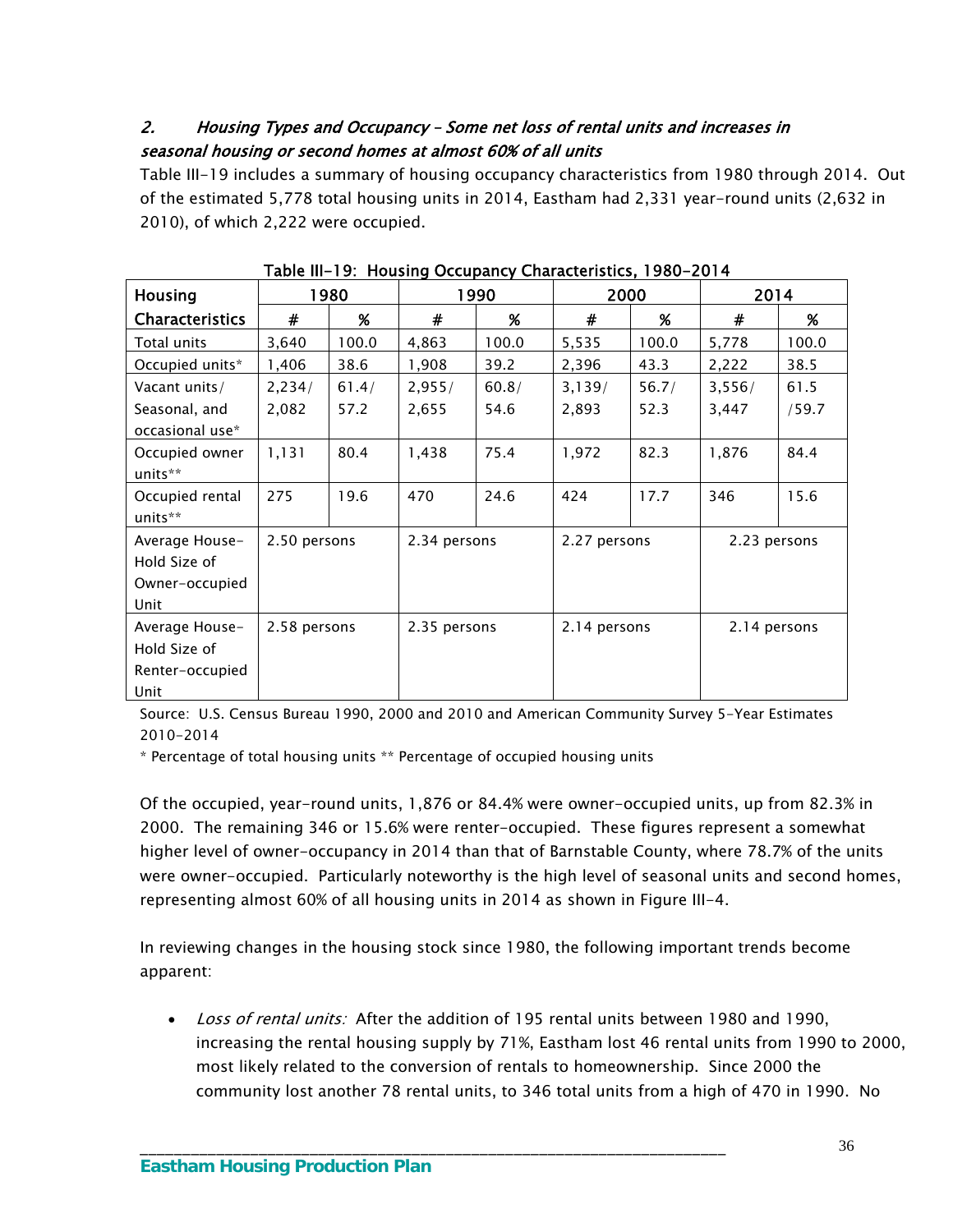# 2. Housing Types and Occupancy – Some net loss of rental units and increases in seasonal housing or second homes at almost 60% of all units

Table III-19 includes a summary of housing occupancy characteristics from 1980 through 2014. Out of the estimated 5,778 total housing units in 2014, Eastham had 2,331 year-round units (2,632 in 2010), of which 2,222 were occupied.

| <b>Housing</b>                                            |              | 1980  |              | 1990  |              | 2000  |              | 2014  |  |
|-----------------------------------------------------------|--------------|-------|--------------|-------|--------------|-------|--------------|-------|--|
| <b>Characteristics</b>                                    | $\pmb{\ast}$ | %     | $\#$         | %     | $\#$         | %     | #            | %     |  |
| Total units                                               | 3,640        | 100.0 | 4,863        | 100.0 | 5,535        | 100.0 | 5,778        | 100.0 |  |
| Occupied units*                                           | 1,406        | 38.6  | 1,908        | 39.2  | 2,396        | 43.3  | 2,222        | 38.5  |  |
| Vacant units/                                             | 2,234/       | 61.4/ | 2,955/       | 60.8/ | 3,139/       | 56.7/ | 3,556/       | 61.5  |  |
| Seasonal, and<br>occasional use*                          | 2,082        | 57.2  | 2,655        | 54.6  | 2,893        | 52.3  | 3,447        | /59.7 |  |
| Occupied owner<br>units**                                 | 1,131        | 80.4  | 1,438        | 75.4  | 1,972        | 82.3  | 1,876        | 84.4  |  |
| Occupied rental<br>units**                                | 275          | 19.6  | 470          | 24.6  | 424          | 17.7  | 346          | 15.6  |  |
| Average House-<br>Hold Size of<br>Owner-occupied<br>Unit  | 2.50 persons |       | 2.34 persons |       | 2.27 persons |       | 2.23 persons |       |  |
| Average House-<br>Hold Size of<br>Renter-occupied<br>Unit | 2.58 persons |       | 2.35 persons |       | 2.14 persons |       | 2.14 persons |       |  |

Table III-19: Housing Occupancy Characteristics, 1980-2014

Source: U.S. Census Bureau 1990, 2000 and 2010 and American Community Survey 5-Year Estimates 2010-2014

\* Percentage of total housing units \*\* Percentage of occupied housing units

Of the occupied, year-round units, 1,876 or 84.4% were owner-occupied units, up from 82.3% in 2000. The remaining 346 or 15.6% were renter-occupied. These figures represent a somewhat higher level of owner-occupancy in 2014 than that of Barnstable County, where 78.7% of the units were owner-occupied. Particularly noteworthy is the high level of seasonal units and second homes, representing almost 60% of all housing units in 2014 as shown in Figure III-4.

In reviewing changes in the housing stock since 1980, the following important trends become apparent:

\_\_\_\_\_\_\_\_\_\_\_\_\_\_\_\_\_\_\_\_\_\_\_\_\_\_\_\_\_\_\_\_\_\_\_\_\_\_\_\_\_\_\_\_\_\_\_\_\_\_\_\_\_\_\_\_\_\_\_\_\_\_\_\_\_\_\_\_\_

• Loss of rental units: After the addition of 195 rental units between 1980 and 1990, increasing the rental housing supply by 71%, Eastham lost 46 rental units from 1990 to 2000, most likely related to the conversion of rentals to homeownership. Since 2000 the community lost another 78 rental units, to 346 total units from a high of 470 in 1990. No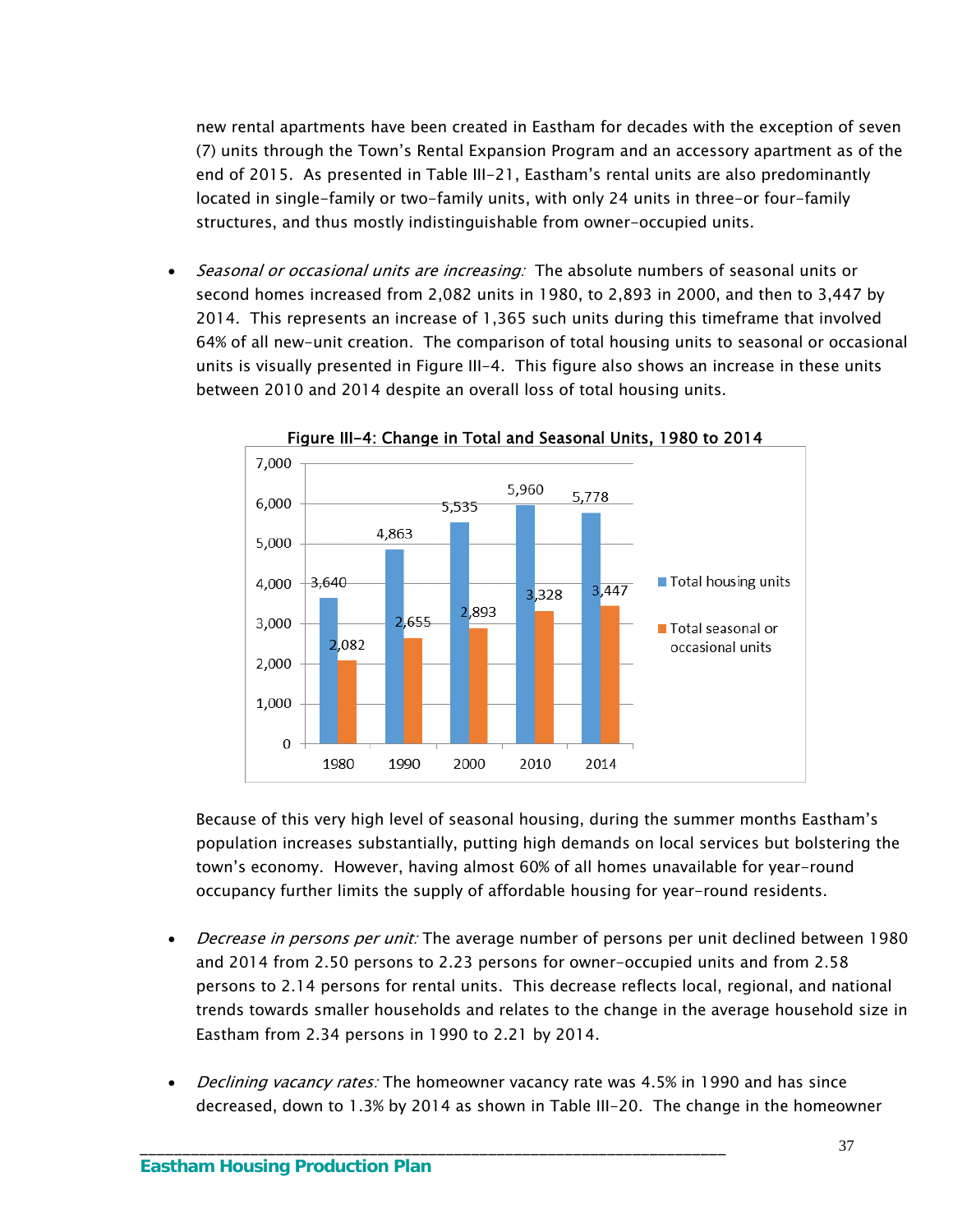new rental apartments have been created in Eastham for decades with the exception of seven (7) units through the Town's Rental Expansion Program and an accessory apartment as of the end of 2015. As presented in Table III-21, Eastham's rental units are also predominantly located in single-family or two-family units, with only 24 units in three-or four-family structures, and thus mostly indistinguishable from owner-occupied units.

• Seasonal or occasional units are increasing: The absolute numbers of seasonal units or second homes increased from 2,082 units in 1980, to 2,893 in 2000, and then to 3,447 by 2014. This represents an increase of 1,365 such units during this timeframe that involved 64% of all new-unit creation. The comparison of total housing units to seasonal or occasional units is visually presented in Figure III-4. This figure also shows an increase in these units between 2010 and 2014 despite an overall loss of total housing units.



Figure III-4: Change in Total and Seasonal Units, 1980 to 2014

Because of this very high level of seasonal housing, during the summer months Eastham's population increases substantially, putting high demands on local services but bolstering the town's economy. However, having almost 60% of all homes unavailable for year-round occupancy further limits the supply of affordable housing for year-round residents.

- *Decrease in persons per unit:* The average number of persons per unit declined between 1980 and 2014 from 2.50 persons to 2.23 persons for owner-occupied units and from 2.58 persons to 2.14 persons for rental units. This decrease reflects local, regional, and national trends towards smaller households and relates to the change in the average household size in Eastham from 2.34 persons in 1990 to 2.21 by 2014.
- *Declining vacancy rates:* The homeowner vacancy rate was 4.5% in 1990 and has since decreased, down to 1.3% by 2014 as shown in Table III-20. The change in the homeowner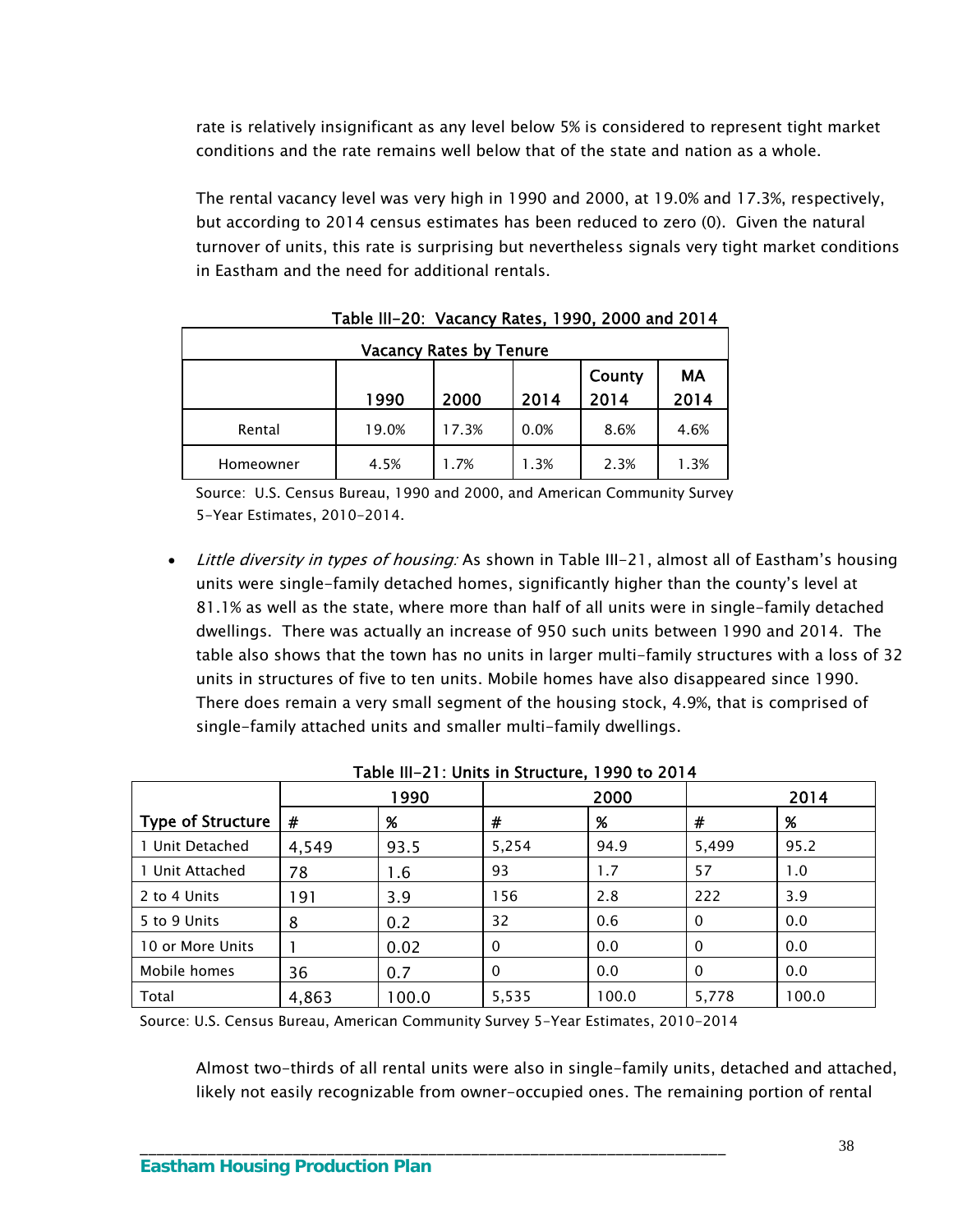rate is relatively insignificant as any level below 5% is considered to represent tight market conditions and the rate remains well below that of the state and nation as a whole.

The rental vacancy level was very high in 1990 and 2000, at 19.0% and 17.3%, respectively, but according to 2014 census estimates has been reduced to zero (0). Given the natural turnover of units, this rate is surprising but nevertheless signals very tight market conditions in Eastham and the need for additional rentals.

| <b>Vacancy Rates by Tenure</b> |       |       |      |                |            |  |  |  |  |
|--------------------------------|-------|-------|------|----------------|------------|--|--|--|--|
|                                | 1990  | 2000  | 2014 | County<br>2014 | МA<br>2014 |  |  |  |  |
| Rental                         | 19.0% | 17.3% | 0.0% | 8.6%           | 4.6%       |  |  |  |  |
| Homeowner                      | 4.5%  | 1.7%  | 1.3% | 2.3%           | 1.3%       |  |  |  |  |

Table III-20: Vacancy Rates, 1990, 2000 and 2014

Source: U.S. Census Bureau, 1990 and 2000, and American Community Survey 5-Year Estimates, 2010-2014.

• Little diversity in types of housing: As shown in Table III-21, almost all of Eastham's housing units were single-family detached homes, significantly higher than the county's level at 81.1% as well as the state, where more than half of all units were in single-family detached dwellings. There was actually an increase of 950 such units between 1990 and 2014. The table also shows that the town has no units in larger multi-family structures with a loss of 32 units in structures of five to ten units. Mobile homes have also disappeared since 1990. There does remain a very small segment of the housing stock, 4.9%, that is comprised of single-family attached units and smaller multi-family dwellings.

|                          |       | 1990  |          | 2000  |              | 2014  |
|--------------------------|-------|-------|----------|-------|--------------|-------|
| <b>Type of Structure</b> | #     | %     | #        | %     | #            | %     |
| 1 Unit Detached          | 4,549 | 93.5  | 5,254    | 94.9  | 5,499        | 95.2  |
| 1 Unit Attached          | 78    | 1.6   | 93       | 1.7   | 57           | 1.0   |
| 2 to 4 Units             | 191   | 3.9   | 156      | 2.8   | 222          | 3.9   |
| 5 to 9 Units             | 8     | 0.2   | 32       | 0.6   | $\mathbf{0}$ | 0.0   |
| 10 or More Units         |       | 0.02  | $\Omega$ | 0.0   | $\mathbf{0}$ | 0.0   |
| Mobile homes             | 36    | 0.7   | $\Omega$ | 0.0   | $\mathbf{0}$ | 0.0   |
| Total                    | 4,863 | 100.0 | 5,535    | 100.0 | 5,778        | 100.0 |

Table III-21: Units in Structure, 1990 to 2014

Source: U.S. Census Bureau, American Community Survey 5-Year Estimates, 2010-2014

\_\_\_\_\_\_\_\_\_\_\_\_\_\_\_\_\_\_\_\_\_\_\_\_\_\_\_\_\_\_\_\_\_\_\_\_\_\_\_\_\_\_\_\_\_\_\_\_\_\_\_\_\_\_\_\_\_\_\_\_\_\_\_\_\_\_\_\_\_

Almost two-thirds of all rental units were also in single-family units, detached and attached, likely not easily recognizable from owner-occupied ones. The remaining portion of rental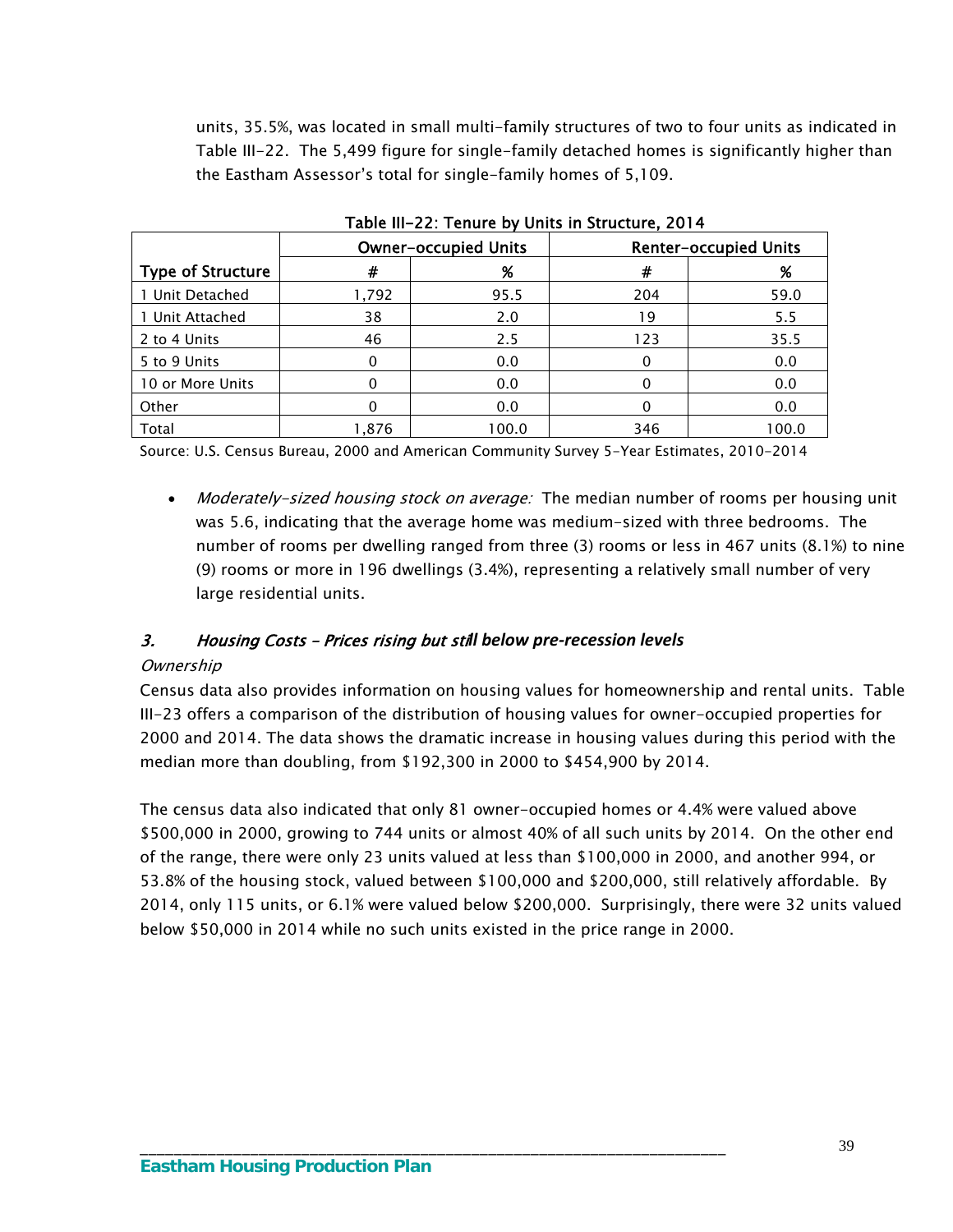units, 35.5%, was located in small multi-family structures of two to four units as indicated in Table III-22. The 5,499 figure for single-family detached homes is significantly higher than the Eastham Assessor's total for single-family homes of 5,109.

|                          |       | <b>Owner-occupied Units</b> | <b>Renter-occupied Units</b> |       |  |  |
|--------------------------|-------|-----------------------------|------------------------------|-------|--|--|
| <b>Type of Structure</b> | #     | %                           | #                            | %     |  |  |
| 1 Unit Detached          | 1,792 | 95.5                        | 204                          | 59.0  |  |  |
| 1 Unit Attached          | 38    | 2.0                         | 19                           | 5.5   |  |  |
| 2 to 4 Units             | 46    | 2.5                         | 123                          | 35.5  |  |  |
| 5 to 9 Units             |       | 0.0                         |                              | 0.0   |  |  |
| 10 or More Units         |       | 0.0                         |                              | 0.0   |  |  |
| Other                    |       | 0.0                         |                              | 0.0   |  |  |
| Total                    | 1,876 | 100.0                       | 346                          | 100.0 |  |  |

Table III-22: Tenure by Units in Structure, 2014

Source: U.S. Census Bureau, 2000 and American Community Survey 5-Year Estimates, 2010-2014

• Moderately-sized housing stock on average: The median number of rooms per housing unit was 5.6, indicating that the average home was medium-sized with three bedrooms. The number of rooms per dwelling ranged from three (3) rooms or less in 467 units (8.1%) to nine (9) rooms or more in 196 dwellings (3.4%), representing a relatively small number of very large residential units.

## 3. Housing Costs – Prices rising but sti*ll below pre‐recession levels*

\_\_\_\_\_\_\_\_\_\_\_\_\_\_\_\_\_\_\_\_\_\_\_\_\_\_\_\_\_\_\_\_\_\_\_\_\_\_\_\_\_\_\_\_\_\_\_\_\_\_\_\_\_\_\_\_\_\_\_\_\_\_\_\_\_\_\_\_\_

#### **Ownership**

Census data also provides information on housing values for homeownership and rental units. Table III-23 offers a comparison of the distribution of housing values for owner-occupied properties for 2000 and 2014. The data shows the dramatic increase in housing values during this period with the median more than doubling, from \$192,300 in 2000 to \$454,900 by 2014.

The census data also indicated that only 81 owner-occupied homes or 4.4% were valued above \$500,000 in 2000, growing to 744 units or almost 40% of all such units by 2014. On the other end of the range, there were only 23 units valued at less than \$100,000 in 2000, and another 994, or 53.8% of the housing stock, valued between \$100,000 and \$200,000, still relatively affordable. By 2014, only 115 units, or 6.1% were valued below \$200,000. Surprisingly, there were 32 units valued below \$50,000 in 2014 while no such units existed in the price range in 2000.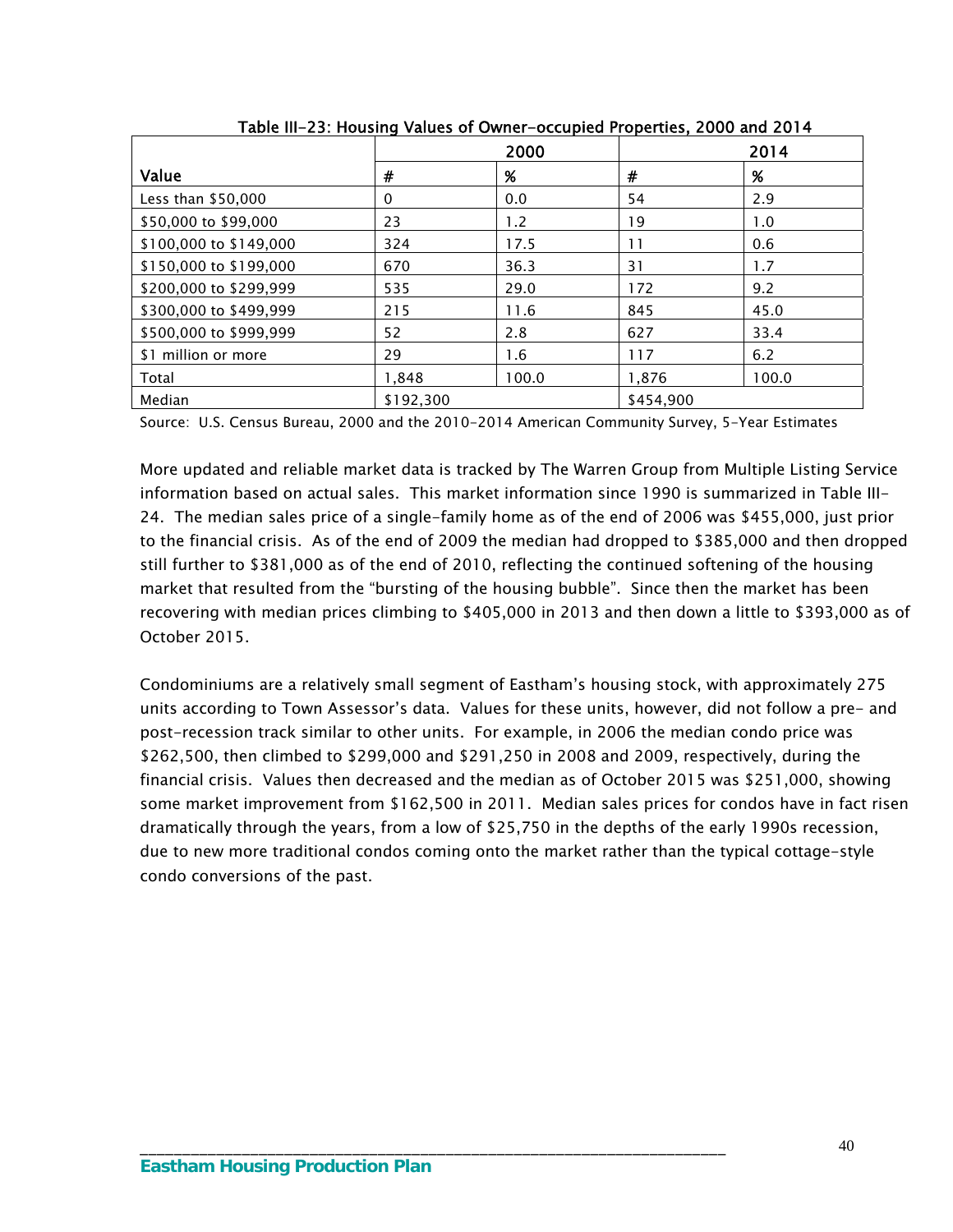|                        |           | 2000  |           | 2014  |
|------------------------|-----------|-------|-----------|-------|
| Value                  | #         | %     | #         | %     |
| Less than \$50,000     | 0         | 0.0   | 54        | 2.9   |
| \$50,000 to \$99,000   | 23        | 1.2   | 19        | 1.0   |
| \$100,000 to \$149,000 | 324       | 17.5  | 11        | 0.6   |
| \$150,000 to \$199,000 | 670       | 36.3  | 31        | 1.7   |
| \$200,000 to \$299,999 | 535       | 29.0  | 172       | 9.2   |
| \$300,000 to \$499,999 | 215       | 11.6  | 845       | 45.0  |
| \$500,000 to \$999,999 | 52        | 2.8   | 627       | 33.4  |
| \$1 million or more    | 29        | 1.6   | 117       | 6.2   |
| Total                  | 1,848     | 100.0 | 1,876     | 100.0 |
| Median                 | \$192.300 |       | \$454.900 |       |

Table III-23: Housing Values of Owner-occupied Properties, 2000 and 2014

Source: U.S. Census Bureau, 2000 and the 2010-2014 American Community Survey, 5-Year Estimates

More updated and reliable market data is tracked by The Warren Group from Multiple Listing Service information based on actual sales. This market information since 1990 is summarized in Table III-24. The median sales price of a single-family home as of the end of 2006 was \$455,000, just prior to the financial crisis. As of the end of 2009 the median had dropped to \$385,000 and then dropped still further to \$381,000 as of the end of 2010, reflecting the continued softening of the housing market that resulted from the "bursting of the housing bubble". Since then the market has been recovering with median prices climbing to \$405,000 in 2013 and then down a little to \$393,000 as of October 2015.

Condominiums are a relatively small segment of Eastham's housing stock, with approximately 275 units according to Town Assessor's data. Values for these units, however, did not follow a pre- and post-recession track similar to other units. For example, in 2006 the median condo price was \$262,500, then climbed to \$299,000 and \$291,250 in 2008 and 2009, respectively, during the financial crisis. Values then decreased and the median as of October 2015 was \$251,000, showing some market improvement from \$162,500 in 2011. Median sales prices for condos have in fact risen dramatically through the years, from a low of \$25,750 in the depths of the early 1990s recession, due to new more traditional condos coming onto the market rather than the typical cottage-style condo conversions of the past.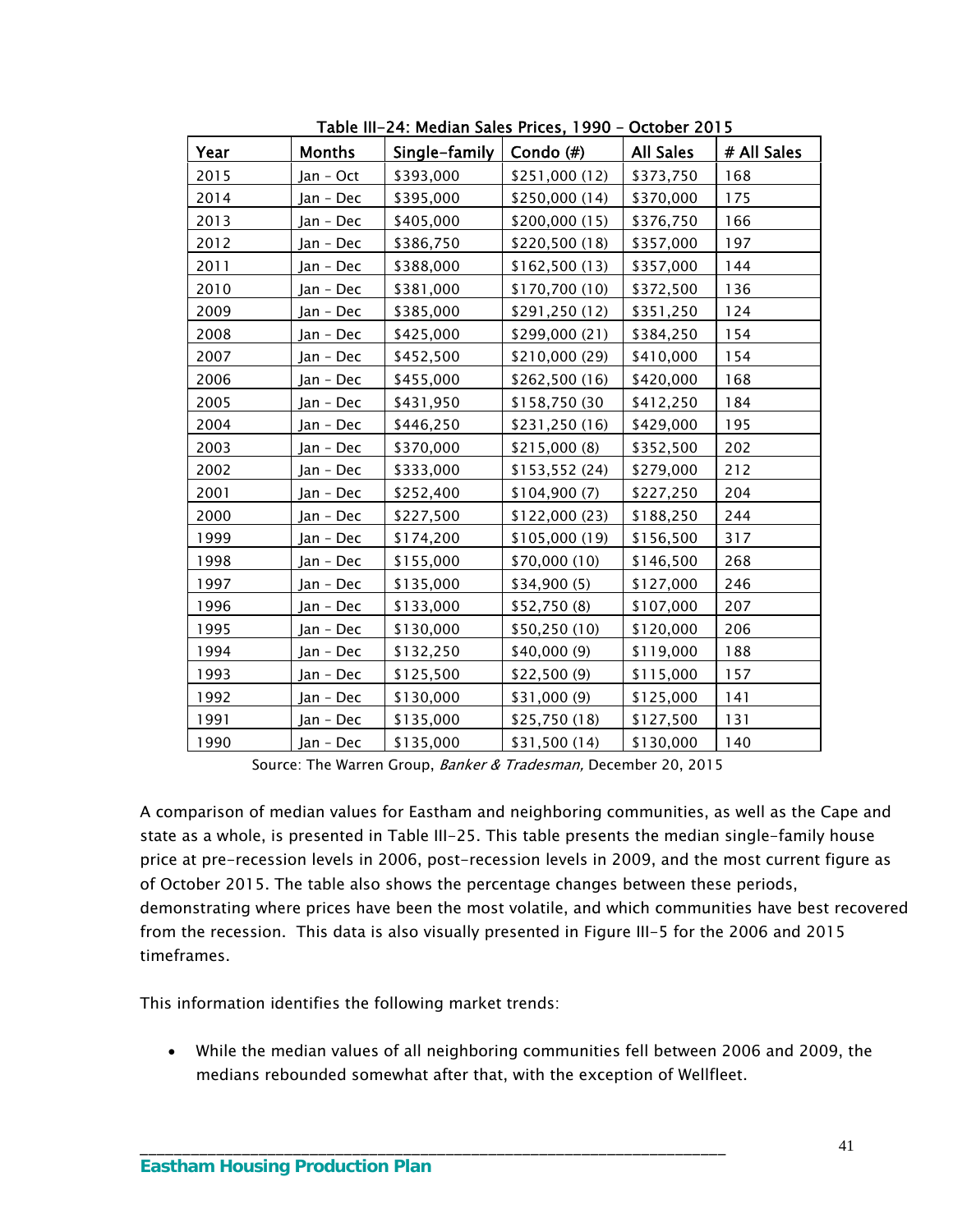| Year | <b>Months</b> | Single-family | Condo $(\#)$   | <b>All Sales</b> | # All Sales |
|------|---------------|---------------|----------------|------------------|-------------|
| 2015 | Jan - Oct     | \$393,000     | \$251,000 (12) | \$373,750        | 168         |
| 2014 | Jan - Dec     | \$395,000     | \$250,000 (14) | \$370,000        | 175         |
| 2013 | Jan - Dec     | \$405,000     | \$200,000 (15) | \$376,750        | 166         |
| 2012 | Jan - Dec     | \$386,750     | \$220,500 (18) | \$357,000        | 197         |
| 2011 | Jan - Dec     | \$388,000     | \$162,500 (13) | \$357,000        | 144         |
| 2010 | Jan - Dec     | \$381,000     | \$170,700 (10) | \$372,500        | 136         |
| 2009 | Jan - Dec     | \$385,000     | \$291,250 (12) | \$351,250        | 124         |
| 2008 | Jan - Dec     | \$425,000     | \$299,000 (21) | \$384,250        | 154         |
| 2007 | Jan - Dec     | \$452,500     | \$210,000 (29) | \$410,000        | 154         |
| 2006 | Jan - Dec     | \$455,000     | \$262,500 (16) | \$420,000        | 168         |
| 2005 | Jan - Dec     | \$431,950     | \$158,750 (30  | \$412,250        | 184         |
| 2004 | Jan - Dec     | \$446,250     | \$231,250 (16) | \$429,000        | 195         |
| 2003 | Jan - Dec     | \$370,000     | \$215,000 (8)  | \$352,500        | 202         |
| 2002 | Jan - Dec     | \$333,000     | \$153,552 (24) | \$279,000        | 212         |
| 2001 | Jan - Dec     | \$252,400     | \$104,900(7)   | \$227,250        | 204         |
| 2000 | Jan - Dec     | \$227,500     | \$122,000 (23) | \$188,250        | 244         |
| 1999 | Jan - Dec     | \$174,200     | \$105,000 (19) | \$156,500        | 317         |
| 1998 | Jan - Dec     | \$155,000     | \$70,000 (10)  | \$146,500        | 268         |
| 1997 | Jan - Dec     | \$135,000     | \$34,900(5)    | \$127,000        | 246         |
| 1996 | Jan - Dec     | \$133,000     | \$52,750(8)    | \$107,000        | 207         |
| 1995 | Jan - Dec     | \$130,000     | \$50,250 (10)  | \$120,000        | 206         |
| 1994 | Jan - Dec     | \$132,250     | \$40,000(9)    | \$119,000        | 188         |
| 1993 | Jan - Dec     | \$125,500     | \$22,500(9)    | \$115,000        | 157         |
| 1992 | Jan - Dec     | \$130,000     | \$31,000 (9)   | \$125,000        | 141         |
| 1991 | Jan - Dec     | \$135,000     | \$25,750 (18)  | \$127,500        | 131         |
| 1990 | Jan - Dec     | \$135,000     | \$31,500 (14)  | \$130,000        | 140         |

Table III-24: Median Sales Prices, 1990 – October 2015

Source: The Warren Group, Banker & Tradesman, December 20, 2015

A comparison of median values for Eastham and neighboring communities, as well as the Cape and state as a whole, is presented in Table III-25. This table presents the median single-family house price at pre-recession levels in 2006, post-recession levels in 2009, and the most current figure as of October 2015. The table also shows the percentage changes between these periods, demonstrating where prices have been the most volatile, and which communities have best recovered from the recession. This data is also visually presented in Figure III-5 for the 2006 and 2015 timeframes.

This information identifies the following market trends:

 While the median values of all neighboring communities fell between 2006 and 2009, the medians rebounded somewhat after that, with the exception of Wellfleet.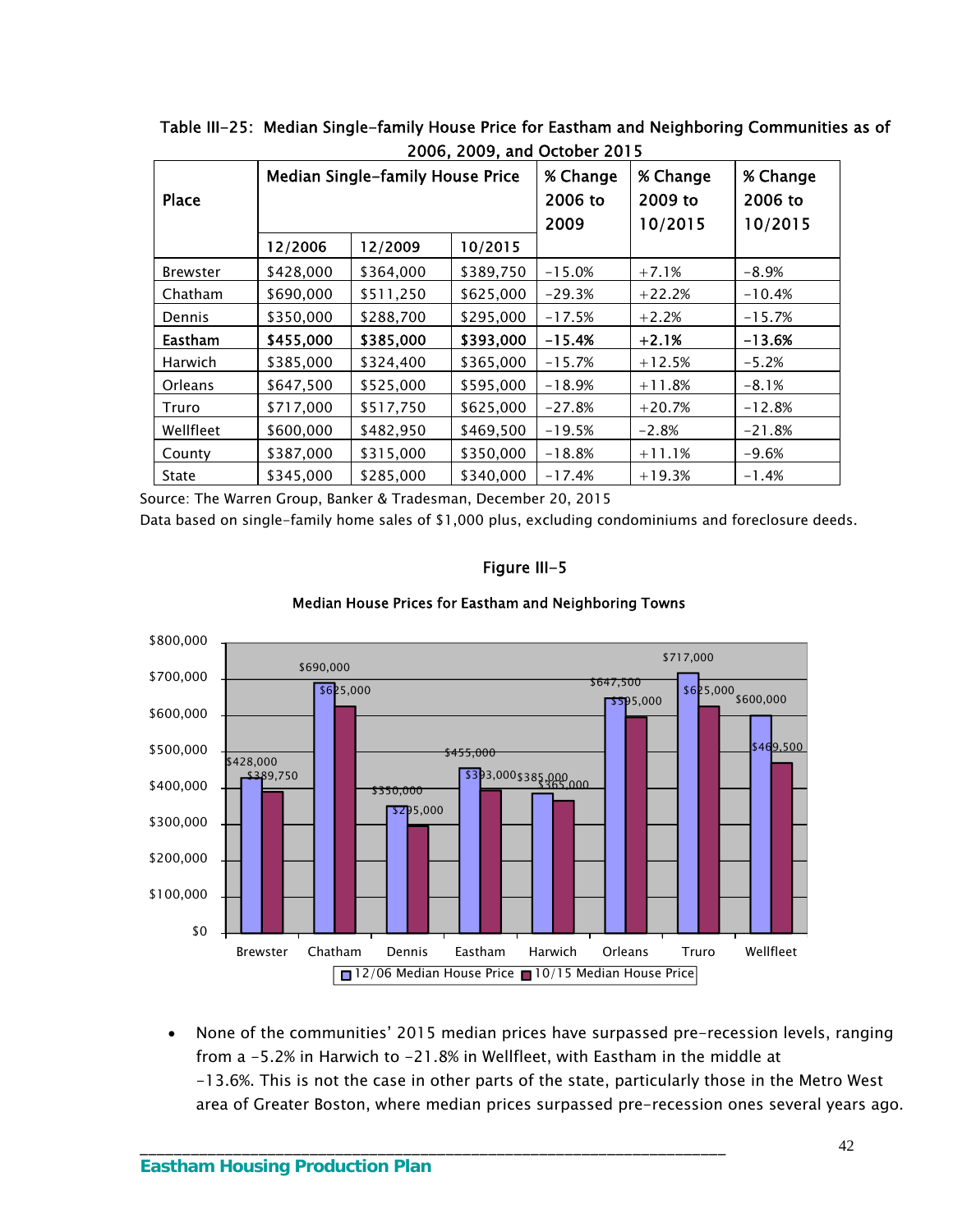|                 |           |                                         |           | LOUD, LOUD, and October LOTD |                                |                                |
|-----------------|-----------|-----------------------------------------|-----------|------------------------------|--------------------------------|--------------------------------|
| <b>Place</b>    |           | <b>Median Single-family House Price</b> |           | % Change<br>2006 to<br>2009  | % Change<br>2009 to<br>10/2015 | % Change<br>2006 to<br>10/2015 |
|                 | 12/2006   | 12/2009                                 | 10/2015   |                              |                                |                                |
| <b>Brewster</b> | \$428,000 | \$364,000                               | \$389,750 | $-15.0%$                     | $+7.1%$                        | $-8.9%$                        |
| Chatham         | \$690,000 | \$511,250                               | \$625,000 | $-29.3%$                     | $+22.2%$                       | $-10.4%$                       |
| Dennis          | \$350,000 | \$288,700                               | \$295,000 | $-17.5%$                     | $+2.2%$                        | $-15.7%$                       |
| <b>Eastham</b>  | \$455,000 | \$385,000                               | \$393,000 | $-15.4%$                     | $+2.1%$                        | $-13.6%$                       |
| <b>Harwich</b>  | \$385,000 | \$324,400                               | \$365,000 | $-15.7%$                     | $+12.5%$                       | $-5.2%$                        |
| Orleans         | \$647,500 | \$525,000                               | \$595,000 | $-18.9%$                     | $+11.8%$                       | $-8.1%$                        |
| Truro           | \$717,000 | \$517,750                               | \$625,000 | $-27.8%$                     | $+20.7%$                       | $-12.8%$                       |
| Wellfleet       | \$600,000 | \$482,950                               | \$469,500 | $-19.5%$                     | $-2.8%$                        | $-21.8%$                       |
| County          | \$387,000 | \$315,000                               | \$350,000 | $-18.8%$                     | $+11.1%$                       | $-9.6%$                        |
| State           | \$345,000 | \$285,000                               | \$340,000 | $-17.4%$                     | $+19.3%$                       | $-1.4%$                        |

Table III-25: Median Single-family House Price for Eastham and Neighboring Communities as of 2006, 2009, and October 2015

Source: The Warren Group, Banker & Tradesman, December 20, 2015

Data based on single-family home sales of \$1,000 plus, excluding condominiums and foreclosure deeds.

#### Figure III-5



\_\_\_\_\_\_\_\_\_\_\_\_\_\_\_\_\_\_\_\_\_\_\_\_\_\_\_\_\_\_\_\_\_\_\_\_\_\_\_\_\_\_\_\_\_\_\_\_\_\_\_\_\_\_\_\_\_\_\_\_\_\_\_\_\_\_\_\_\_

#### Median House Prices for Eastham and Neighboring Towns

• None of the communities' 2015 median prices have surpassed pre-recession levels, ranging from a -5.2% in Harwich to -21.8% in Wellfleet, with Eastham in the middle at -13.6%. This is not the case in other parts of the state, particularly those in the Metro West area of Greater Boston, where median prices surpassed pre-recession ones several years ago.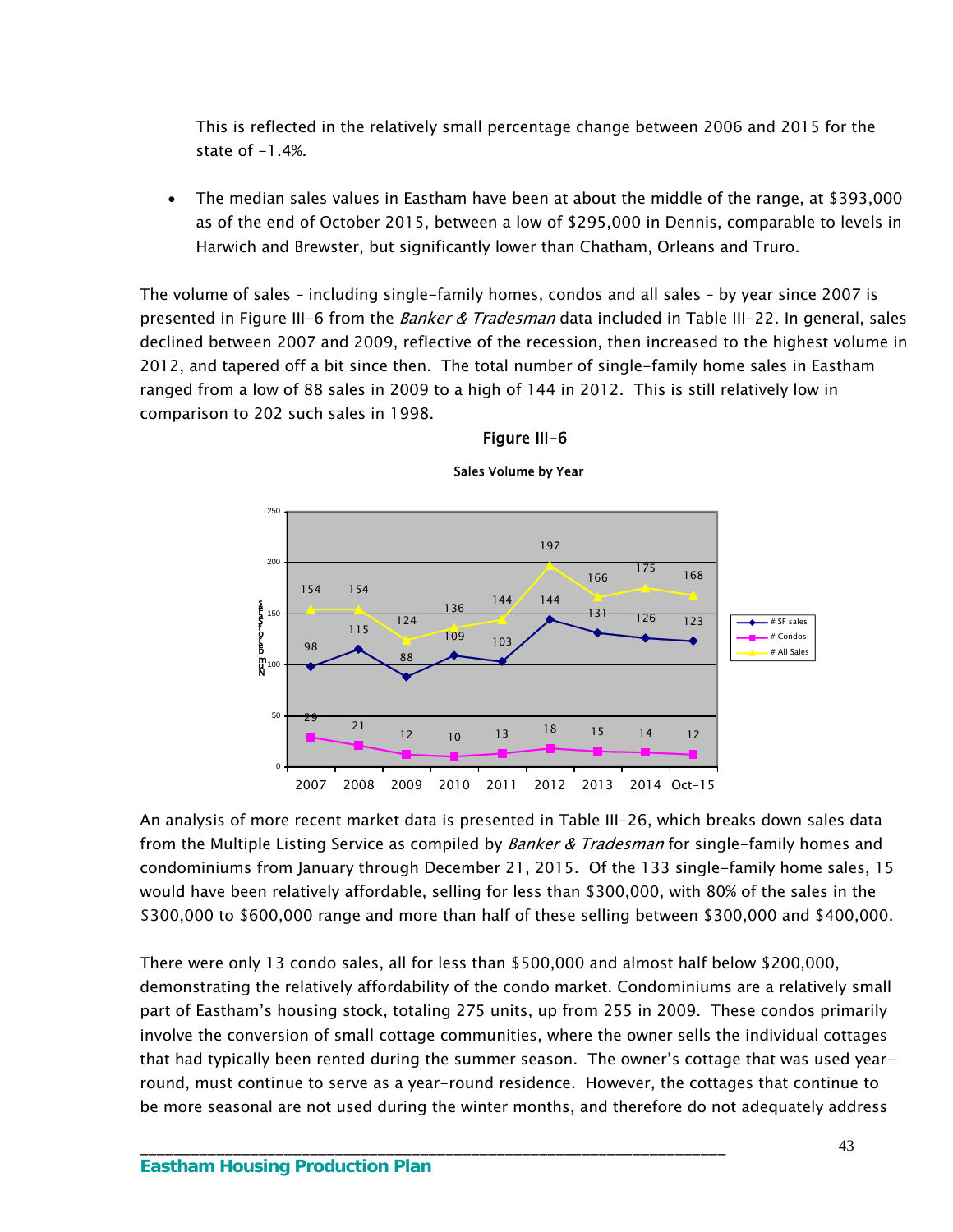This is reflected in the relatively small percentage change between 2006 and 2015 for the state of  $-1.4%$ .

 The median sales values in Eastham have been at about the middle of the range, at \$393,000 as of the end of October 2015, between a low of \$295,000 in Dennis, comparable to levels in Harwich and Brewster, but significantly lower than Chatham, Orleans and Truro.

The volume of sales – including single-family homes, condos and all sales – by year since 2007 is presented in Figure III-6 from the *Banker & Tradesman* data included in Table III-22. In general, sales declined between 2007 and 2009, reflective of the recession, then increased to the highest volume in 2012, and tapered off a bit since then. The total number of single-family home sales in Eastham ranged from a low of 88 sales in 2009 to a high of 144 in 2012. This is still relatively low in comparison to 202 such sales in 1998.



## Figure III-6

Sales Volume by Year

An analysis of more recent market data is presented in Table III-26, which breaks down sales data from the Multiple Listing Service as compiled by *Banker & Tradesman* for single-family homes and condominiums from January through December 21, 2015. Of the 133 single-family home sales, 15 would have been relatively affordable, selling for less than \$300,000, with 80% of the sales in the \$300,000 to \$600,000 range and more than half of these selling between \$300,000 and \$400,000.

There were only 13 condo sales, all for less than \$500,000 and almost half below \$200,000, demonstrating the relatively affordability of the condo market. Condominiums are a relatively small part of Eastham's housing stock, totaling 275 units, up from 255 in 2009. These condos primarily involve the conversion of small cottage communities, where the owner sells the individual cottages that had typically been rented during the summer season. The owner's cottage that was used yearround, must continue to serve as a year-round residence. However, the cottages that continue to be more seasonal are not used during the winter months, and therefore do not adequately address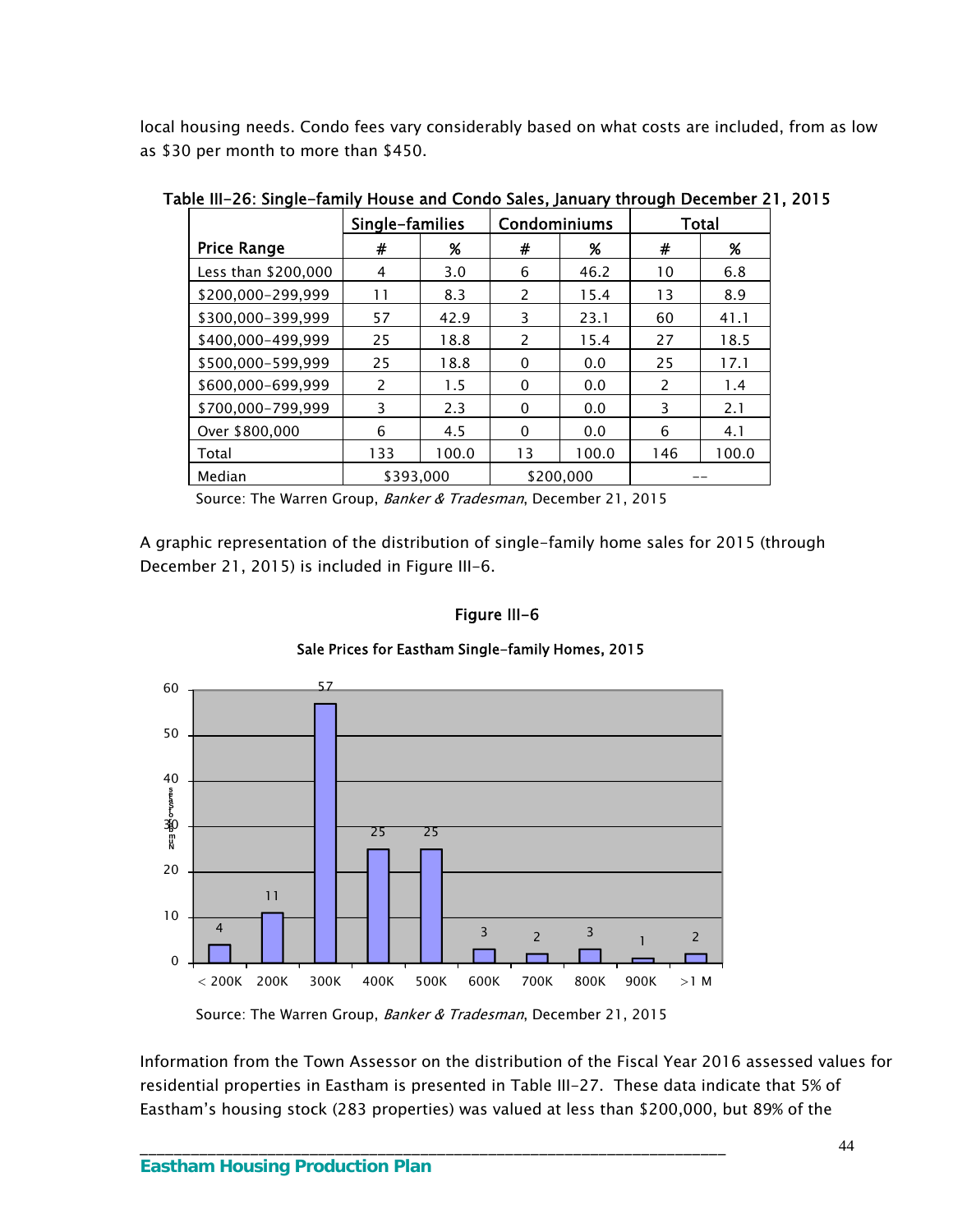local housing needs. Condo fees vary considerably based on what costs are included, from as low as \$30 per month to more than \$450.

|                     | Single-families |       | Condominiums             |           | Total         |       |
|---------------------|-----------------|-------|--------------------------|-----------|---------------|-------|
| <b>Price Range</b>  | #               | %     | #                        | %         | #             | %     |
| Less than \$200,000 | 4               | 3.0   | 6                        | 46.2      | 10            | 6.8   |
| \$200.000-299.999   | 11              | 8.3   | $\overline{\phantom{0}}$ | 15.4      | 13            | 8.9   |
| \$300,000-399,999   | 57              | 42.9  | 3                        | 23.1      | 60            | 41.1  |
| \$400,000-499,999   | 25              | 18.8  | $\mathcal{P}$            | 15.4      | 27            | 18.5  |
| \$500,000-599,999   | 25              | 18.8  | 0                        | 0.0       | 25            | 17.1  |
| \$600.000-699.999   | $\mathcal{P}$   | 1.5   | 0                        | 0.0       | $\mathcal{P}$ | 1.4   |
| \$700,000-799,999   | 3               | 2.3   | $\Omega$                 | 0.0       | 3             | 2.1   |
| Over \$800,000      | 6               | 4.5   | 0                        | 0.0       | 6             | 4.1   |
| Total               | 133             | 100.0 | 13                       | 100.0     | 146           | 100.0 |
| Median              | \$393,000       |       |                          | \$200,000 |               |       |

Table III-26: Single-family House and Condo Sales, January through December 21, 2015

Source: The Warren Group, Banker & Tradesman, December 21, 2015

A graphic representation of the distribution of single-family home sales for 2015 (through December 21, 2015) is included in Figure III-6.

#### Figure III-6





Source: The Warren Group, Banker & Tradesman, December 21, 2015

\_\_\_\_\_\_\_\_\_\_\_\_\_\_\_\_\_\_\_\_\_\_\_\_\_\_\_\_\_\_\_\_\_\_\_\_\_\_\_\_\_\_\_\_\_\_\_\_\_\_\_\_\_\_\_\_\_\_\_\_\_\_\_\_\_\_\_\_\_

Information from the Town Assessor on the distribution of the Fiscal Year 2016 assessed values for residential properties in Eastham is presented in Table III-27. These data indicate that 5% of Eastham's housing stock (283 properties) was valued at less than \$200,000, but 89% of the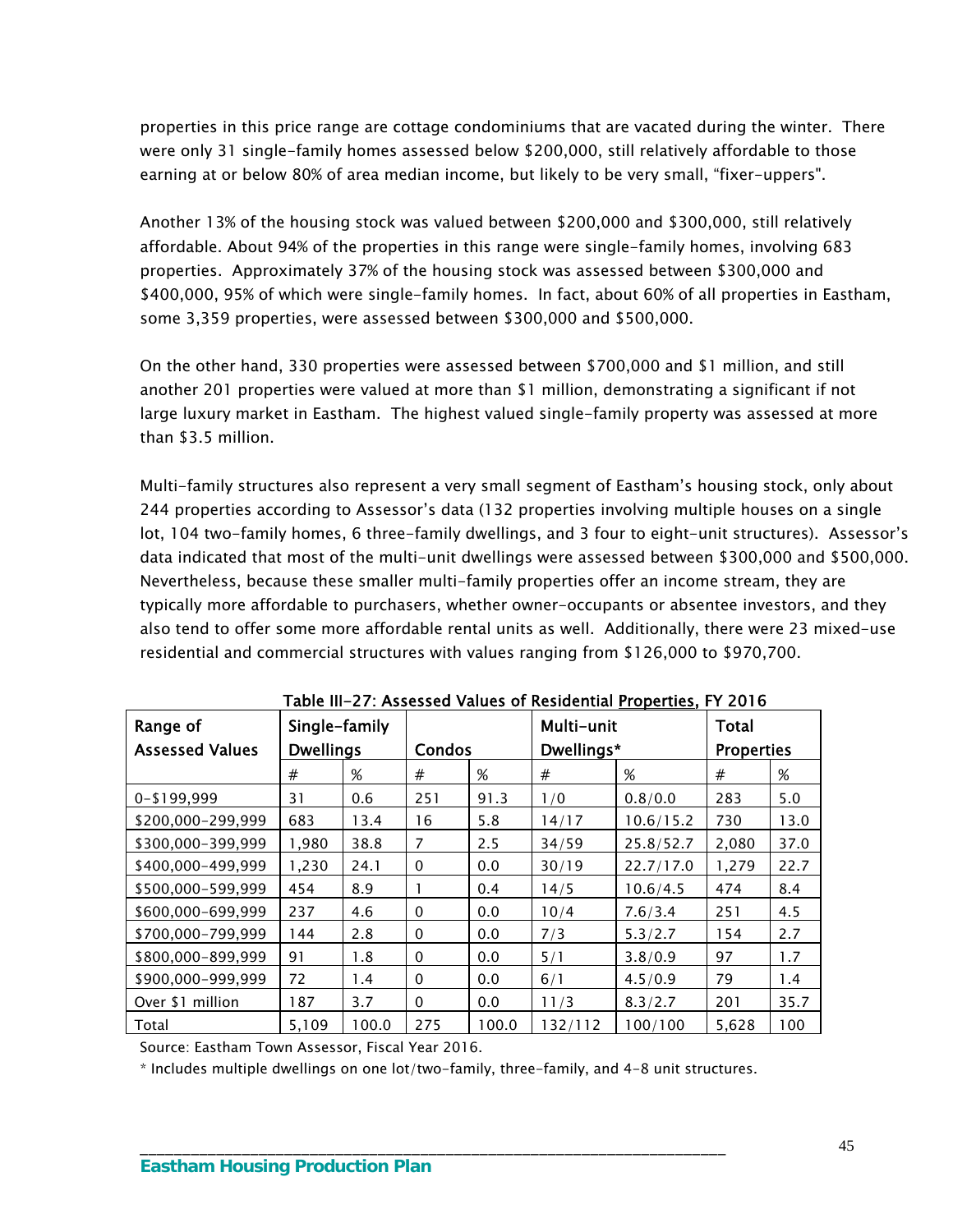properties in this price range are cottage condominiums that are vacated during the winter. There were only 31 single-family homes assessed below \$200,000, still relatively affordable to those earning at or below 80% of area median income, but likely to be very small, "fixer-uppers".

Another 13% of the housing stock was valued between \$200,000 and \$300,000, still relatively affordable. About 94% of the properties in this range were single-family homes, involving 683 properties. Approximately 37% of the housing stock was assessed between \$300,000 and \$400,000, 95% of which were single-family homes. In fact, about 60% of all properties in Eastham, some 3,359 properties, were assessed between \$300,000 and \$500,000.

On the other hand, 330 properties were assessed between \$700,000 and \$1 million, and still another 201 properties were valued at more than \$1 million, demonstrating a significant if not large luxury market in Eastham. The highest valued single-family property was assessed at more than \$3.5 million.

Multi-family structures also represent a very small segment of Eastham's housing stock, only about 244 properties according to Assessor's data (132 properties involving multiple houses on a single lot, 104 two-family homes, 6 three-family dwellings, and 3 four to eight-unit structures). Assessor's data indicated that most of the multi-unit dwellings were assessed between \$300,000 and \$500,000. Nevertheless, because these smaller multi-family properties offer an income stream, they are typically more affordable to purchasers, whether owner-occupants or absentee investors, and they also tend to offer some more affordable rental units as well. Additionally, there were 23 mixed-use residential and commercial structures with values ranging from \$126,000 to \$970,700.

| Range of               | Single-family    |       |               |       | Multi-unit | TWOIC III ET: 713363360 TURGS OF RESIDENTIAL <u>FLODELIES</u> , FT EVID | <b>Total</b>      |      |
|------------------------|------------------|-------|---------------|-------|------------|-------------------------------------------------------------------------|-------------------|------|
| <b>Assessed Values</b> | <b>Dwellings</b> |       | <b>Condos</b> |       | Dwellings* |                                                                         | <b>Properties</b> |      |
|                        | #                | %     | #             | %     | #          | %                                                                       | #                 | %    |
| 0-\$199,999            | 31               | 0.6   | 251           | 91.3  | 1/0        | 0.8/0.0                                                                 | 283               | 5.0  |
| \$200,000-299,999      | 683              | 13.4  | 16            | 5.8   | 14/17      | 10.6/15.2                                                               | 730               | 13.0 |
| \$300,000-399,999      | 1,980            | 38.8  | 7             | 2.5   | 34/59      | 25.8/52.7                                                               | 2,080             | 37.0 |
| \$400,000-499,999      | 1,230            | 24.1  | $\mathbf{0}$  | 0.0   | 30/19      | 22.7/17.0                                                               | 1,279             | 22.7 |
| \$500,000-599,999      | 454              | 8.9   |               | 0.4   | 14/5       | 10.6/4.5                                                                | 474               | 8.4  |
| \$600,000-699,999      | 237              | 4.6   | $\mathbf{0}$  | 0.0   | 10/4       | 7.6/3.4                                                                 | 251               | 4.5  |
| \$700,000-799,999      | 144              | 2.8   | $\mathbf{0}$  | 0.0   | 7/3        | 5.3/2.7                                                                 | 154               | 2.7  |
| \$800,000-899,999      | 91               | 1.8   | $\mathbf 0$   | 0.0   | 5/1        | 3.8/0.9                                                                 | 97                | 1.7  |
| \$900,000-999,999      | 72               | 1.4   | $\mathbf{0}$  | 0.0   | 6/1        | 4.5/0.9                                                                 | 79                | 1.4  |
| Over \$1 million       | 187              | 3.7   | $\mathbf{0}$  | 0.0   | 11/3       | 8.3/2.7                                                                 | 201               | 35.7 |
| Total                  | 5,109            | 100.0 | 275           | 100.0 | 132/112    | 100/100                                                                 | 5,628             | 100  |

|  |  |  | Table III-27: Assessed Values of Residential <u>Properties</u> , FY 2016 |
|--|--|--|--------------------------------------------------------------------------|
|--|--|--|--------------------------------------------------------------------------|

Source: Eastham Town Assessor, Fiscal Year 2016.

\* Includes multiple dwellings on one lot/two-family, three-family, and 4-8 unit structures.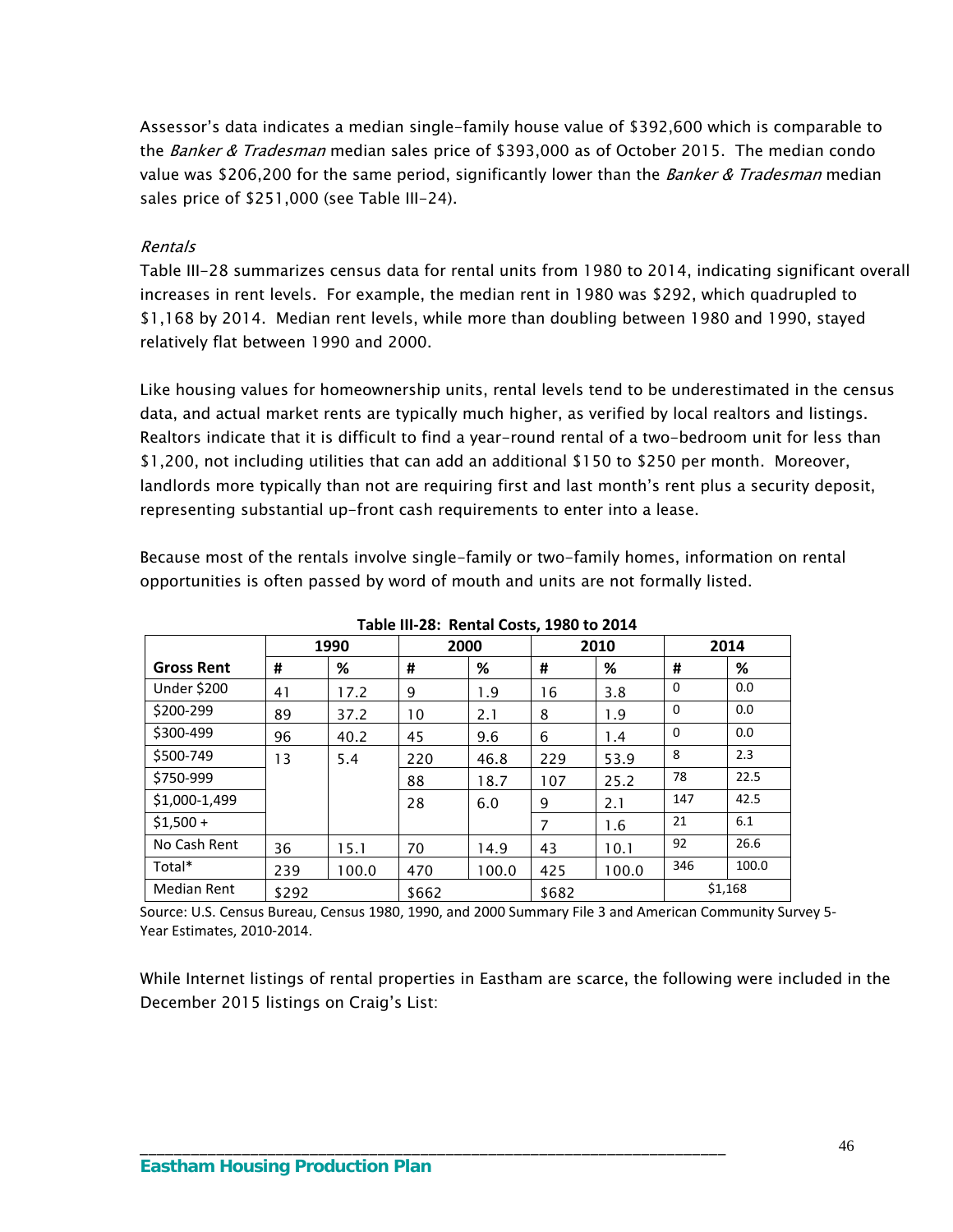Assessor's data indicates a median single-family house value of \$392,600 which is comparable to the Banker & Tradesman median sales price of \$393,000 as of October 2015. The median condo value was \$206,200 for the same period, significantly lower than the *Banker & Tradesman* median sales price of \$251,000 (see Table III-24).

#### Rentals

Table III-28 summarizes census data for rental units from 1980 to 2014, indicating significant overall increases in rent levels. For example, the median rent in 1980 was \$292, which quadrupled to \$1,168 by 2014. Median rent levels, while more than doubling between 1980 and 1990, stayed relatively flat between 1990 and 2000.

Like housing values for homeownership units, rental levels tend to be underestimated in the census data, and actual market rents are typically much higher, as verified by local realtors and listings. Realtors indicate that it is difficult to find a year-round rental of a two-bedroom unit for less than \$1,200, not including utilities that can add an additional \$150 to \$250 per month. Moreover, landlords more typically than not are requiring first and last month's rent plus a security deposit, representing substantial up-front cash requirements to enter into a lease.

Because most of the rentals involve single-family or two-family homes, information on rental opportunities is often passed by word of mouth and units are not formally listed.

|                    |       | 1990  | 2000  |       |       | 2010  |          | 2014    |
|--------------------|-------|-------|-------|-------|-------|-------|----------|---------|
| <b>Gross Rent</b>  | #     | %     | #     | %     | #     | %     | #        | %       |
| <b>Under \$200</b> | 41    | 17.2  | 9     | 1.9   | 16    | 3.8   | $\Omega$ | 0.0     |
| \$200-299          | 89    | 37.2  | 10    | 2.1   | 8     | 1.9   | $\Omega$ | 0.0     |
| \$300-499          | 96    | 40.2  | 45    | 9.6   | 6     | 1.4   | $\Omega$ | 0.0     |
| \$500-749          | 13    | 5.4   | 220   | 46.8  | 229   | 53.9  | 8        | 2.3     |
| \$750-999          |       |       | 88    | 18.7  | 107   | 25.2  | 78       | 22.5    |
| \$1,000-1,499      |       |       | 28    | 6.0   | 9     | 2.1   | 147      | 42.5    |
| $$1.500 +$         |       |       |       |       | 7     | 1.6   | 21       | 6.1     |
| No Cash Rent       | 36    | 15.1  | 70    | 14.9  | 43    | 10.1  | 92       | 26.6    |
| Total*             | 239   | 100.0 | 470   | 100.0 | 425   | 100.0 | 346      | 100.0   |
| <b>Median Rent</b> | \$292 |       | \$662 |       | \$682 |       |          | \$1,168 |

**Table III‐28: Rental Costs, 1980 to 2014**

Source: U.S. Census Bureau, Census 1980, 1990, and 2000 Summary File 3 and American Community Survey 5‐ Year Estimates, 2010‐2014.

\_\_\_\_\_\_\_\_\_\_\_\_\_\_\_\_\_\_\_\_\_\_\_\_\_\_\_\_\_\_\_\_\_\_\_\_\_\_\_\_\_\_\_\_\_\_\_\_\_\_\_\_\_\_\_\_\_\_\_\_\_\_\_\_\_\_\_\_\_

While Internet listings of rental properties in Eastham are scarce, the following were included in the December 2015 listings on Craig's List: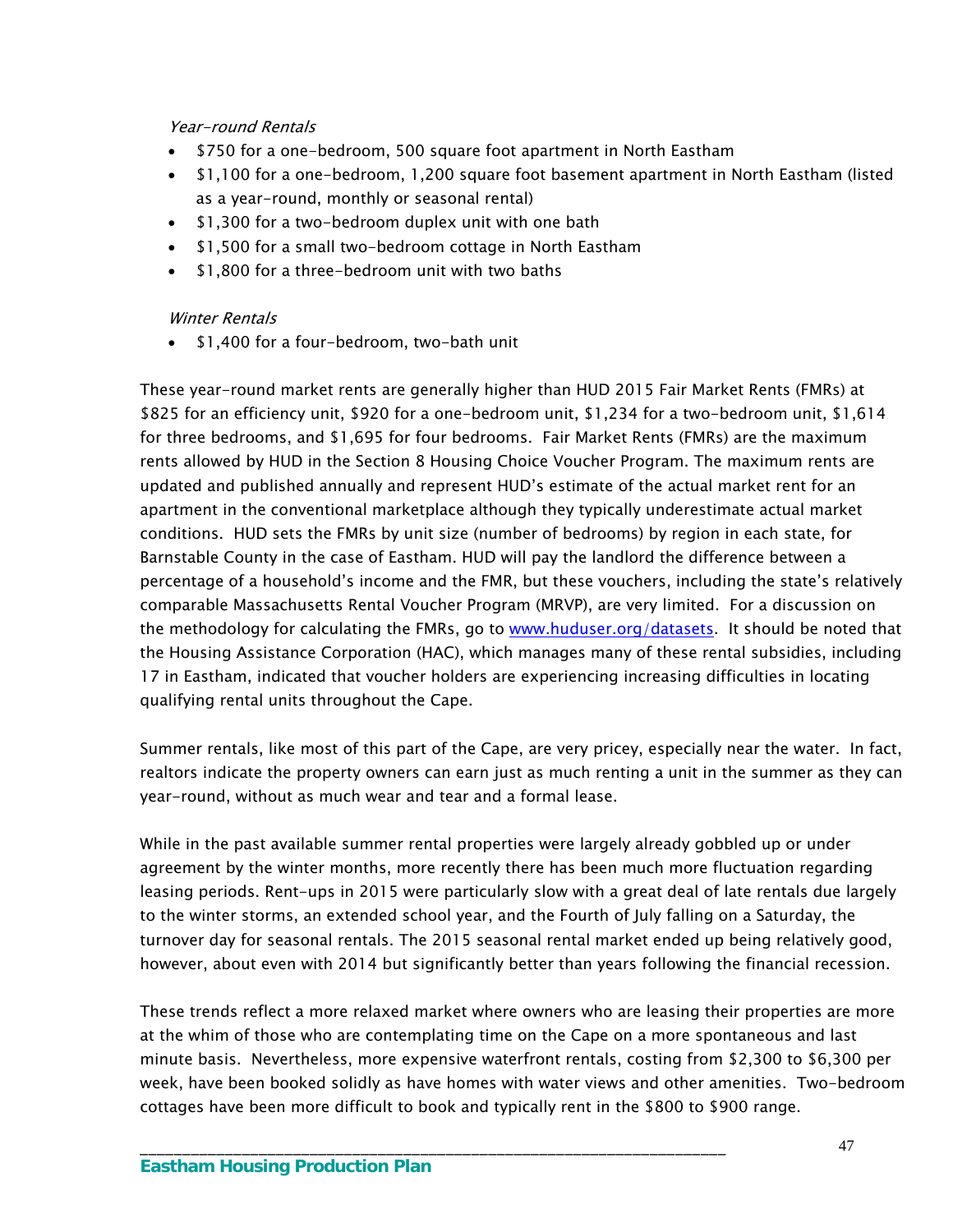## Year-round Rentals

- \$750 for a one-bedroom, 500 square foot apartment in North Eastham
- \$1,100 for a one-bedroom, 1,200 square foot basement apartment in North Eastham (listed as a year-round, monthly or seasonal rental)
- \$1,300 for a two-bedroom duplex unit with one bath
- \$1,500 for a small two-bedroom cottage in North Eastham
- \$1,800 for a three-bedroom unit with two baths

## Winter Rentals

• \$1,400 for a four-bedroom, two-bath unit

These year-round market rents are generally higher than HUD 2015 Fair Market Rents (FMRs) at \$825 for an efficiency unit, \$920 for a one-bedroom unit, \$1,234 for a two-bedroom unit, \$1,614 for three bedrooms, and \$1,695 for four bedrooms. Fair Market Rents (FMRs) are the maximum rents allowed by HUD in the Section 8 Housing Choice Voucher Program. The maximum rents are updated and published annually and represent HUD's estimate of the actual market rent for an apartment in the conventional marketplace although they typically underestimate actual market conditions. HUD sets the FMRs by unit size (number of bedrooms) by region in each state, for Barnstable County in the case of Eastham. HUD will pay the landlord the difference between a percentage of a household's income and the FMR, but these vouchers, including the state's relatively comparable Massachusetts Rental Voucher Program (MRVP), are very limited. For a discussion on the methodology for calculating the FMRs, go to [www.huduser.org/datasets.](http://www.huduser.org/datasets) It should be noted that the Housing Assistance Corporation (HAC), which manages many of these rental subsidies, including 17 in Eastham, indicated that voucher holders are experiencing increasing difficulties in locating qualifying rental units throughout the Cape.

Summer rentals, like most of this part of the Cape, are very pricey, especially near the water. In fact, realtors indicate the property owners can earn just as much renting a unit in the summer as they can year-round, without as much wear and tear and a formal lease.

While in the past available summer rental properties were largely already gobbled up or under agreement by the winter months, more recently there has been much more fluctuation regarding leasing periods. Rent-ups in 2015 were particularly slow with a great deal of late rentals due largely to the winter storms, an extended school year, and the Fourth of July falling on a Saturday, the turnover day for seasonal rentals. The 2015 seasonal rental market ended up being relatively good, however, about even with 2014 but significantly better than years following the financial recession.

These trends reflect a more relaxed market where owners who are leasing their properties are more at the whim of those who are contemplating time on the Cape on a more spontaneous and last minute basis. Nevertheless, more expensive waterfront rentals, costing from \$2,300 to \$6,300 per week, have been booked solidly as have homes with water views and other amenities. Two-bedroom cottages have been more difficult to book and typically rent in the \$800 to \$900 range.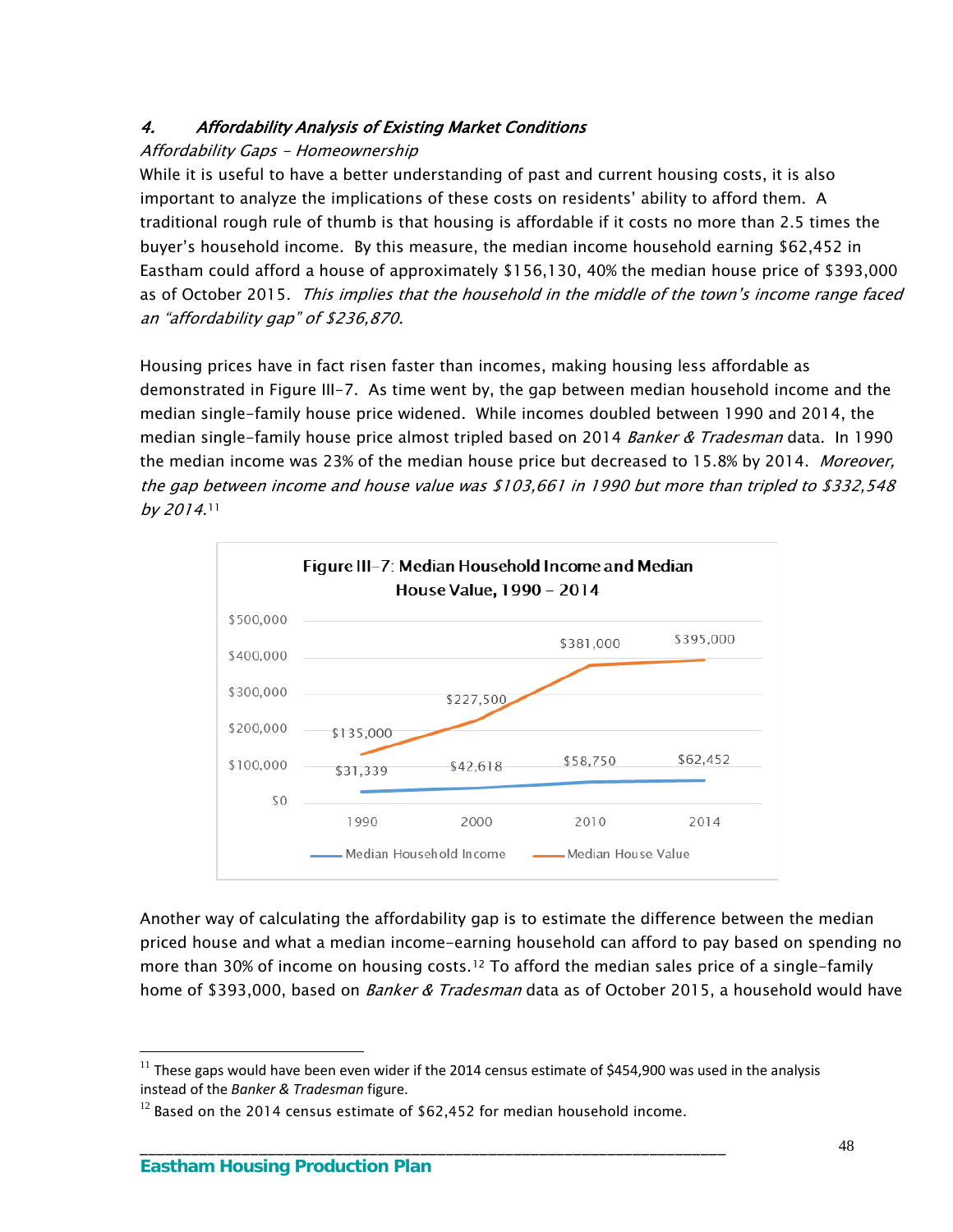# 4. Affordability Analysis of Existing Market Conditions

# Affordability Gaps - Homeownership

While it is useful to have a better understanding of past and current housing costs, it is also important to analyze the implications of these costs on residents' ability to afford them. A traditional rough rule of thumb is that housing is affordable if it costs no more than 2.5 times the buyer's household income. By this measure, the median income household earning \$62,452 in Eastham could afford a house of approximately \$156,130, 40% the median house price of \$393,000 as of October 2015. This implies that the household in the middle of the town's income range faced an "affordability gap" of \$236,870.

Housing prices have in fact risen faster than incomes, making housing less affordable as demonstrated in Figure III-7. As time went by, the gap between median household income and the median single-family house price widened. While incomes doubled between 1990 and 2014, the median single-family house price almost tripled based on 2014 *Banker & Tradesman* data. In 1990 the median income was 23% of the median house price but decreased to 15.8% by 2014. Moreover, the gap between income and house value was \$103,661 in 1990 but more than tripled to \$332,548 by 2014.<sup>11</sup>



Another way of calculating the affordability gap is to estimate the difference between the median priced house and what a median income-earning household can afford to pay based on spending no more than 30% of income on housing costs.<sup>12</sup> To afford the median sales price of a single-family home of \$393,000, based on *Banker & Tradesman* data as of October 2015, a household would have

\_\_\_\_\_\_\_\_\_\_\_\_\_\_\_\_\_\_\_\_\_\_\_\_\_\_\_\_\_\_\_\_\_\_\_\_\_\_\_\_\_\_\_\_\_\_\_\_\_\_\_\_\_\_\_\_\_\_\_\_\_\_\_\_\_\_\_\_\_

<span id="page-51-0"></span> $11$  These gaps would have been even wider if the 2014 census estimate of \$454,900 was used in the analysis instead of the *Banker & Tradesman* figure.

<span id="page-51-1"></span> $12$  Based on the 2014 census estimate of \$62,452 for median household income.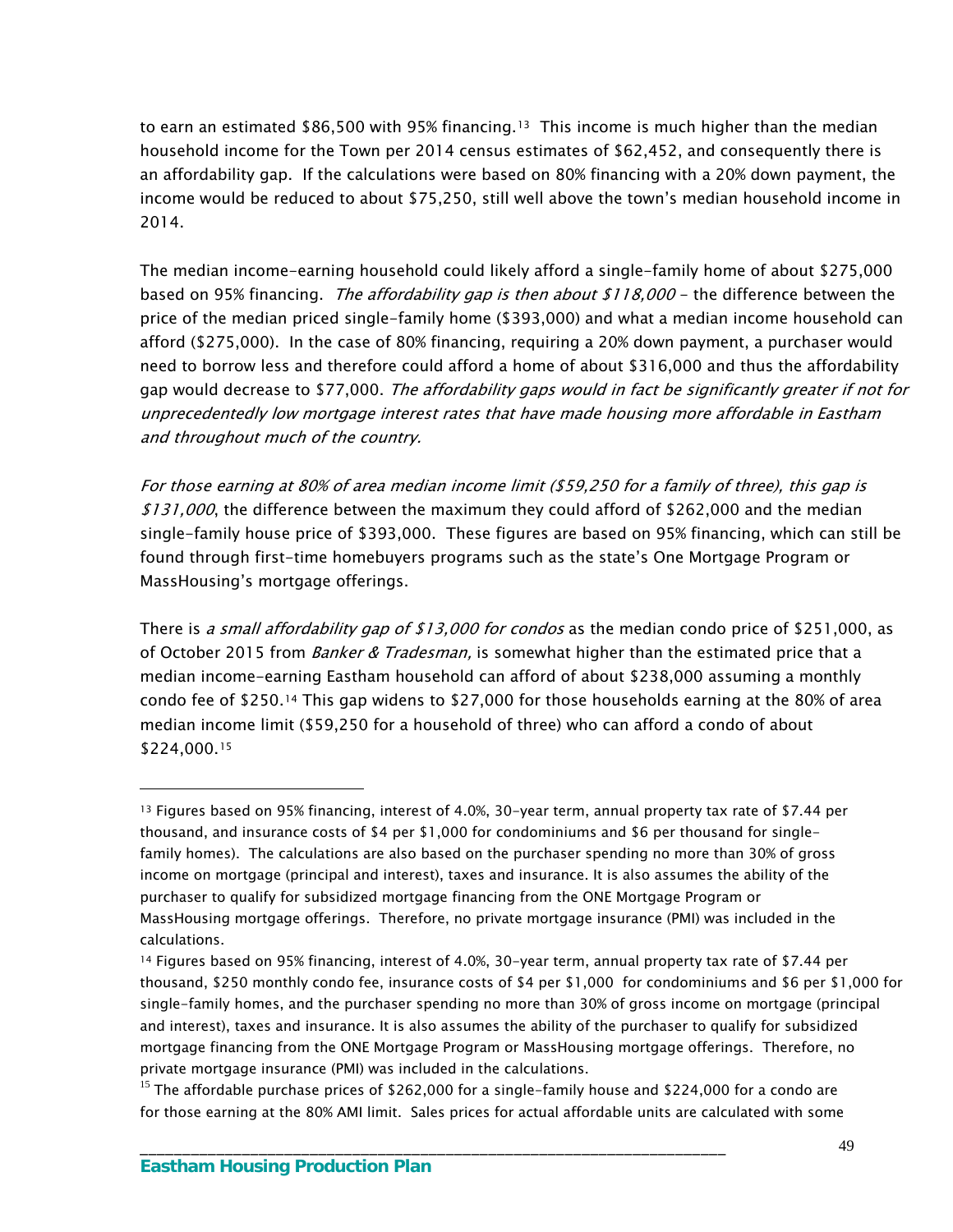to earn an estimated \$86,500 with 95% financing.<sup>13</sup> This income is much higher than the median household income for the Town per 2014 census estimates of \$62,452, and consequently there is an affordability gap. If the calculations were based on 80% financing with a 20% down payment, the income would be reduced to about \$75,250, still well above the town's median household income in 2014.

The median income-earning household could likely afford a single-family home of about \$275,000 based on 95% financing. *The affordability gap is then about \$118,000* – the difference between the price of the median priced single-family home (\$393,000) and what a median income household can afford (\$275,000). In the case of 80% financing, requiring a 20% down payment, a purchaser would need to borrow less and therefore could afford a home of about \$316,000 and thus the affordability gap would decrease to \$77,000. The affordability gaps would in fact be significantly greater if not for unprecedentedly low mortgage interest rates that have made housing more affordable in Eastham and throughout much of the country.

For those earning at 80% of area median income limit (\$59,250 for a family of three), this gap is \$131,000, the difference between the maximum they could afford of \$262,000 and the median single-family house price of \$393,000. These figures are based on 95% financing, which can still be found through first-time homebuyers programs such as the state's One Mortgage Program or MassHousing's mortgage offerings.

There is a small affordability gap of \$13,000 for condos as the median condo price of \$251,000, as of October 2015 from *Banker & Tradesman*, is somewhat higher than the estimated price that a median income-earning Eastham household can afford of about \$238,000 assuming a monthly condo fee of \$250.[14](#page-52-1) This gap widens to \$27,000 for those households earning at the 80% of area median income limit (\$59,250 for a household of three) who can afford a condo of about \$224,000.[15](#page-52-2)

\_\_\_\_\_\_\_\_\_\_\_\_\_\_\_\_\_\_\_\_\_\_\_\_\_\_\_\_\_\_\_\_\_\_\_\_\_\_\_\_\_\_\_\_\_\_\_\_\_\_\_\_\_\_\_\_\_\_\_\_\_\_\_\_\_\_\_\_\_

<span id="page-52-0"></span><sup>13</sup> Figures based on 95% financing, interest of 4.0%, 30-year term, annual property tax rate of \$7.44 per thousand, and insurance costs of \$4 per \$1,000 for condominiums and \$6 per thousand for singlefamily homes). The calculations are also based on the purchaser spending no more than 30% of gross income on mortgage (principal and interest), taxes and insurance. It is also assumes the ability of the purchaser to qualify for subsidized mortgage financing from the ONE Mortgage Program or MassHousing mortgage offerings. Therefore, no private mortgage insurance (PMI) was included in the calculations.

<span id="page-52-1"></span><sup>14</sup> Figures based on 95% financing, interest of 4.0%, 30-year term, annual property tax rate of \$7.44 per thousand, \$250 monthly condo fee, insurance costs of \$4 per \$1,000 for condominiums and \$6 per \$1,000 for single-family homes, and the purchaser spending no more than 30% of gross income on mortgage (principal and interest), taxes and insurance. It is also assumes the ability of the purchaser to qualify for subsidized mortgage financing from the ONE Mortgage Program or MassHousing mortgage offerings. Therefore, no private mortgage insurance (PMI) was included in the calculations.

<span id="page-52-2"></span> $15$  The affordable purchase prices of \$262,000 for a single-family house and \$224,000 for a condo are for those earning at the 80% AMI limit. Sales prices for actual affordable units are calculated with some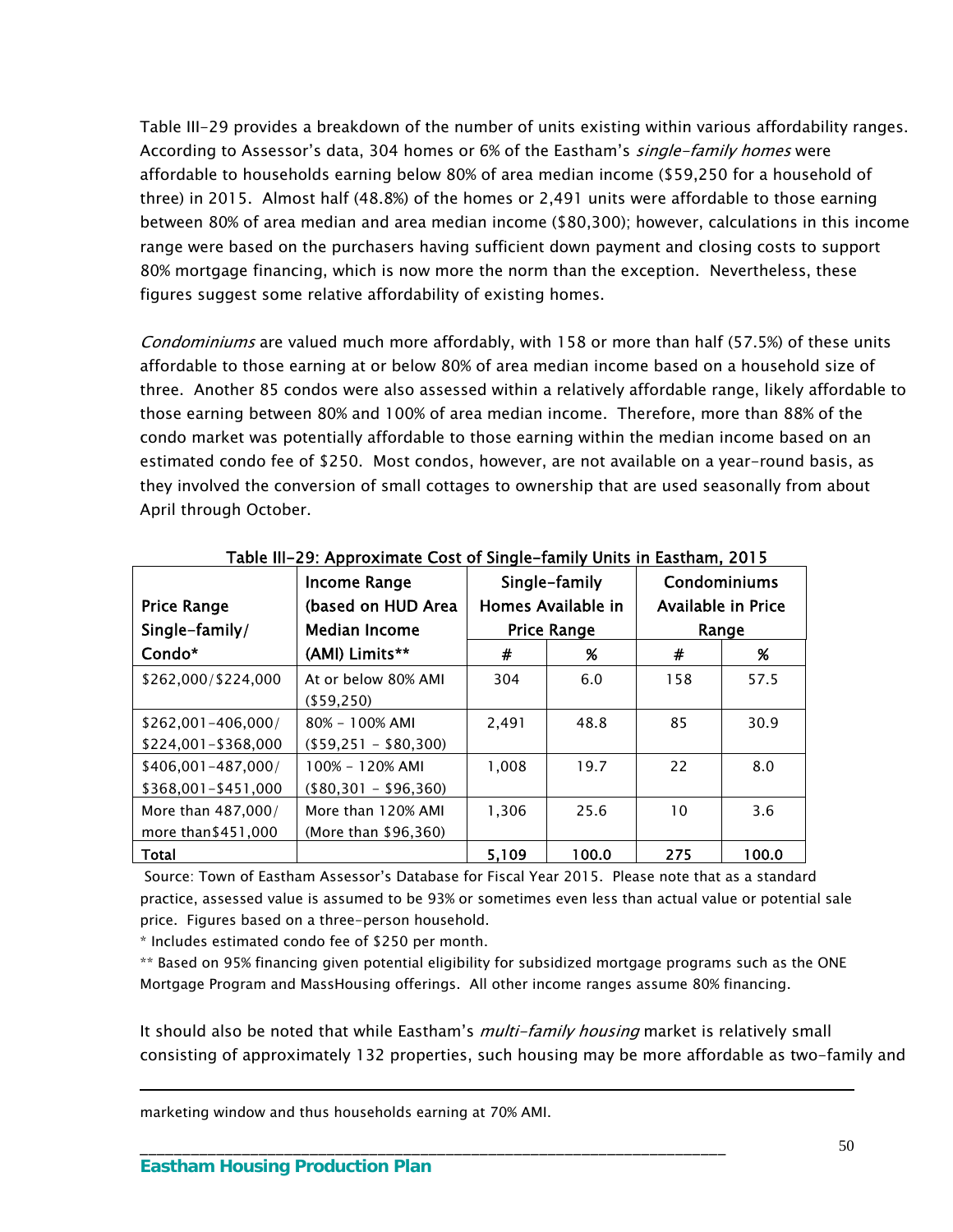Table III-29 provides a breakdown of the number of units existing within various affordability ranges. According to Assessor's data, 304 homes or 6% of the Eastham's *single-family homes* were affordable to households earning below 80% of area median income (\$59,250 for a household of three) in 2015. Almost half (48.8%) of the homes or 2,491 units were affordable to those earning between 80% of area median and area median income (\$80,300); however, calculations in this income range were based on the purchasers having sufficient down payment and closing costs to support 80% mortgage financing, which is now more the norm than the exception. Nevertheless, these figures suggest some relative affordability of existing homes.

Condominiums are valued much more affordably, with 158 or more than half (57.5%) of these units affordable to those earning at or below 80% of area median income based on a household size of three. Another 85 condos were also assessed within a relatively affordable range, likely affordable to those earning between 80% and 100% of area median income. Therefore, more than 88% of the condo market was potentially affordable to those earning within the median income based on an estimated condo fee of \$250. Most condos, however, are not available on a year-round basis, as they involved the conversion of small cottages to ownership that are used seasonally from about April through October.

|                     | <b>Income Range</b>   | Single-family |                    | Condominiums       |       |
|---------------------|-----------------------|---------------|--------------------|--------------------|-------|
| <b>Price Range</b>  | (based on HUD Area    |               | Homes Available in | Available in Price |       |
| Single-family/      | <b>Median Income</b>  |               | <b>Price Range</b> |                    | Range |
| Condo*              | (AMI) Limits**        | #             | %                  | #                  | %     |
| \$262,000/\$224,000 | At or below 80% AMI   | 304           | 6.0                | 158                | 57.5  |
|                     | $($ \$59.250)         |               |                    |                    |       |
| \$262.001-406.000/  | $80\% - 100\%$ AMI    | 2.491         | 48.8               | 85                 | 30.9  |
| \$224,001-\$368,000 | $($59,251 - $80,300)$ |               |                    |                    |       |
| \$406.001-487.000/  | 100% - 120% AMI       | 1.008         | 19.7               | 22                 | 8.0   |
| \$368,001-\$451,000 | $($80,301 - $96,360)$ |               |                    |                    |       |
| More than 487,000/  | More than 120% AMI    | 1,306         | 25.6               | 10                 | 3.6   |
| more than \$451,000 | (More than \$96,360)  |               |                    |                    |       |
| <b>Total</b>        |                       | 5,109         | 100.0              | 275                | 100.0 |

Table III-29: Approximate Cost of Single-family Units in Eastham, 2015

 Source: Town of Eastham Assessor's Database for Fiscal Year 2015. Please note that as a standard practice, assessed value is assumed to be 93% or sometimes even less than actual value or potential sale price. Figures based on a three-person household.

\* Includes estimated condo fee of \$250 per month.

\*\* Based on 95% financing given potential eligibility for subsidized mortgage programs such as the ONE Mortgage Program and MassHousing offerings. All other income ranges assume 80% financing.

\_\_\_\_\_\_\_\_\_\_\_\_\_\_\_\_\_\_\_\_\_\_\_\_\_\_\_\_\_\_\_\_\_\_\_\_\_\_\_\_\_\_\_\_\_\_\_\_\_\_\_\_\_\_\_\_\_\_\_\_\_\_\_\_\_\_\_\_\_

It should also be noted that while Eastham's *multi-family housing* market is relatively small consisting of approximately 132 properties, such housing may be more affordable as two-family and

marketing window and thus households earning at 70% AMI.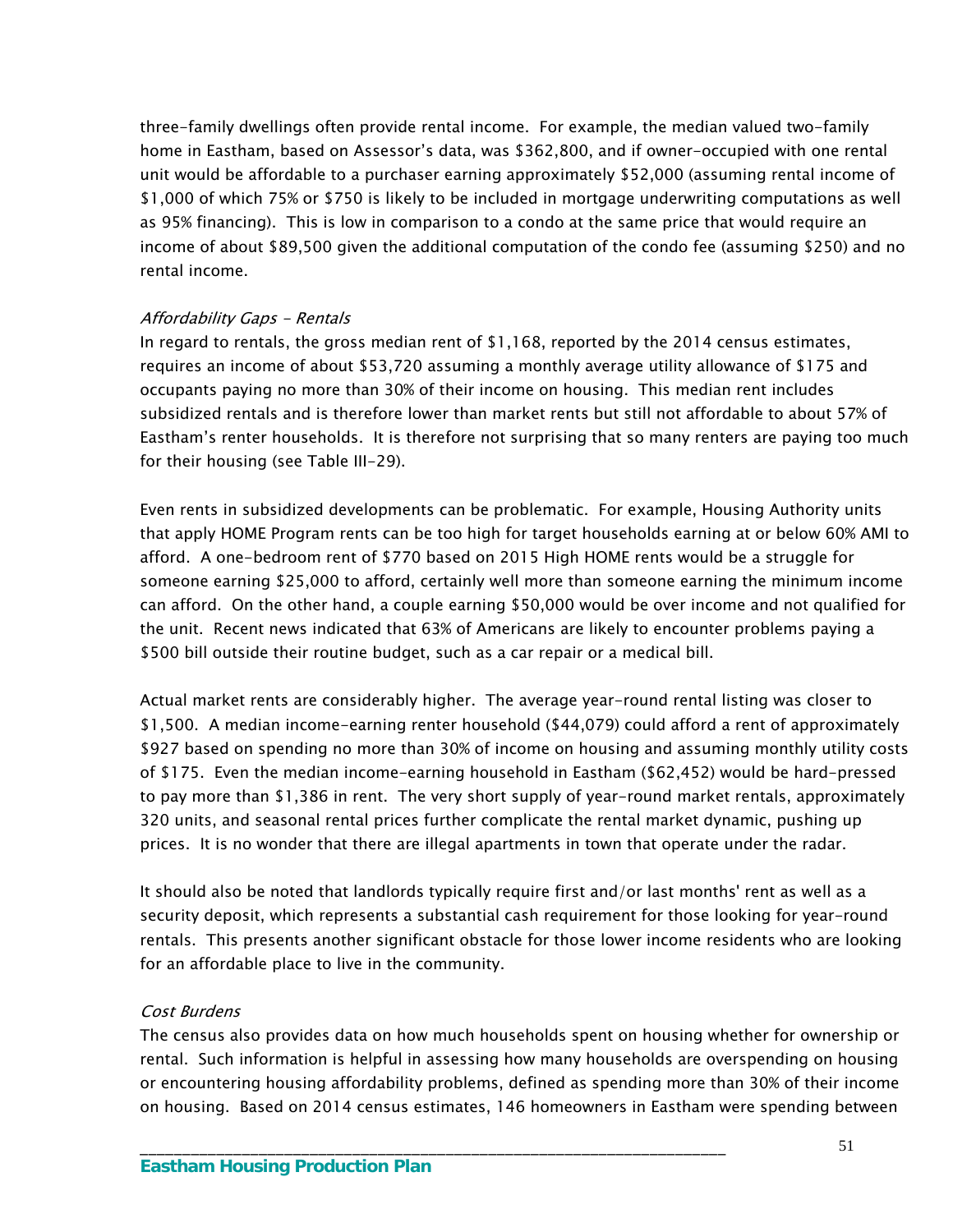three-family dwellings often provide rental income. For example, the median valued two-family home in Eastham, based on Assessor's data, was \$362,800, and if owner-occupied with one rental unit would be affordable to a purchaser earning approximately \$52,000 (assuming rental income of \$1,000 of which 75% or \$750 is likely to be included in mortgage underwriting computations as well as 95% financing). This is low in comparison to a condo at the same price that would require an income of about \$89,500 given the additional computation of the condo fee (assuming \$250) and no rental income.

#### Affordability Gaps - Rentals

In regard to rentals, the gross median rent of \$1,168, reported by the 2014 census estimates, requires an income of about \$53,720 assuming a monthly average utility allowance of \$175 and occupants paying no more than 30% of their income on housing. This median rent includes subsidized rentals and is therefore lower than market rents but still not affordable to about 57% of Eastham's renter households. It is therefore not surprising that so many renters are paying too much for their housing (see Table III-29).

Even rents in subsidized developments can be problematic. For example, Housing Authority units that apply HOME Program rents can be too high for target households earning at or below 60% AMI to afford. A one-bedroom rent of \$770 based on 2015 High HOME rents would be a struggle for someone earning \$25,000 to afford, certainly well more than someone earning the minimum income can afford. On the other hand, a couple earning \$50,000 would be over income and not qualified for the unit. Recent news indicated that 63% of Americans are likely to encounter problems paying a \$500 bill outside their routine budget, such as a car repair or a medical bill.

Actual market rents are considerably higher. The average year-round rental listing was closer to \$1,500. A median income-earning renter household (\$44,079) could afford a rent of approximately \$927 based on spending no more than 30% of income on housing and assuming monthly utility costs of \$175. Even the median income-earning household in Eastham (\$62,452) would be hard-pressed to pay more than \$1,386 in rent. The very short supply of year-round market rentals, approximately 320 units, and seasonal rental prices further complicate the rental market dynamic, pushing up prices. It is no wonder that there are illegal apartments in town that operate under the radar.

It should also be noted that landlords typically require first and/or last months' rent as well as a security deposit, which represents a substantial cash requirement for those looking for year-round rentals. This presents another significant obstacle for those lower income residents who are looking for an affordable place to live in the community.

#### Cost Burdens

The census also provides data on how much households spent on housing whether for ownership or rental. Such information is helpful in assessing how many households are overspending on housing or encountering housing affordability problems, defined as spending more than 30% of their income on housing. Based on 2014 census estimates, 146 homeowners in Eastham were spending between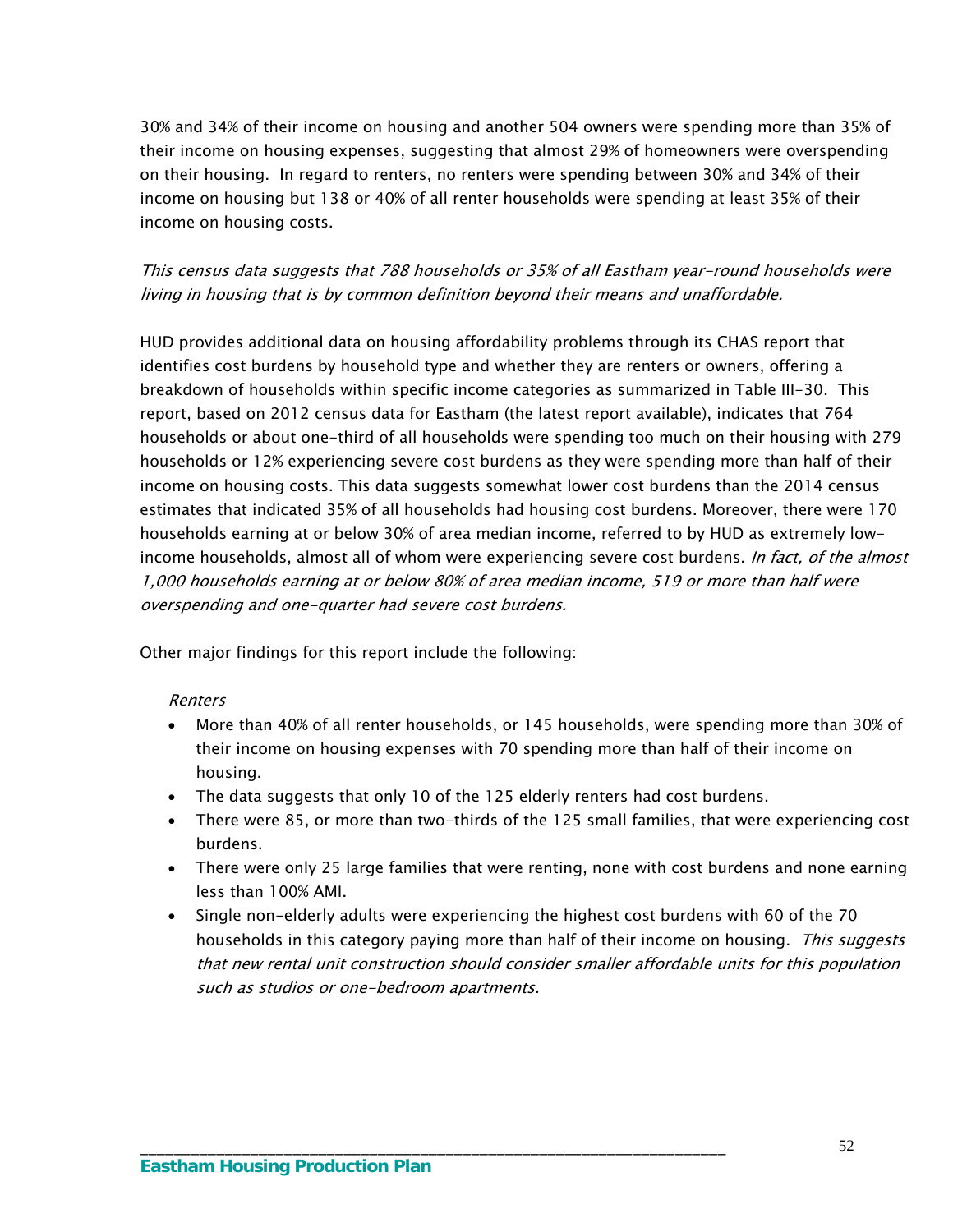30% and 34% of their income on housing and another 504 owners were spending more than 35% of their income on housing expenses, suggesting that almost 29% of homeowners were overspending on their housing. In regard to renters, no renters were spending between 30% and 34% of their income on housing but 138 or 40% of all renter households were spending at least 35% of their income on housing costs.

This census data suggests that 788 households or 35% of all Eastham year-round households were living in housing that is by common definition beyond their means and unaffordable.

HUD provides additional data on housing affordability problems through its CHAS report that identifies cost burdens by household type and whether they are renters or owners, offering a breakdown of households within specific income categories as summarized in Table III-30. This report, based on 2012 census data for Eastham (the latest report available), indicates that 764 households or about one-third of all households were spending too much on their housing with 279 households or 12% experiencing severe cost burdens as they were spending more than half of their income on housing costs. This data suggests somewhat lower cost burdens than the 2014 census estimates that indicated 35% of all households had housing cost burdens. Moreover, there were 170 households earning at or below 30% of area median income, referred to by HUD as extremely lowincome households, almost all of whom were experiencing severe cost burdens. In fact, of the almost 1,000 households earning at or below 80% of area median income, 519 or more than half were overspending and one-quarter had severe cost burdens.

Other major findings for this report include the following:

#### Renters

- More than 40% of all renter households, or 145 households, were spending more than 30% of their income on housing expenses with 70 spending more than half of their income on housing.
- The data suggests that only 10 of the 125 elderly renters had cost burdens.

- There were 85, or more than two-thirds of the 125 small families, that were experiencing cost burdens.
- There were only 25 large families that were renting, none with cost burdens and none earning less than 100% AMI.
- Single non-elderly adults were experiencing the highest cost burdens with 60 of the 70 households in this category paying more than half of their income on housing. This suggests that new rental unit construction should consider smaller affordable units for this population such as studios or one-bedroom apartments.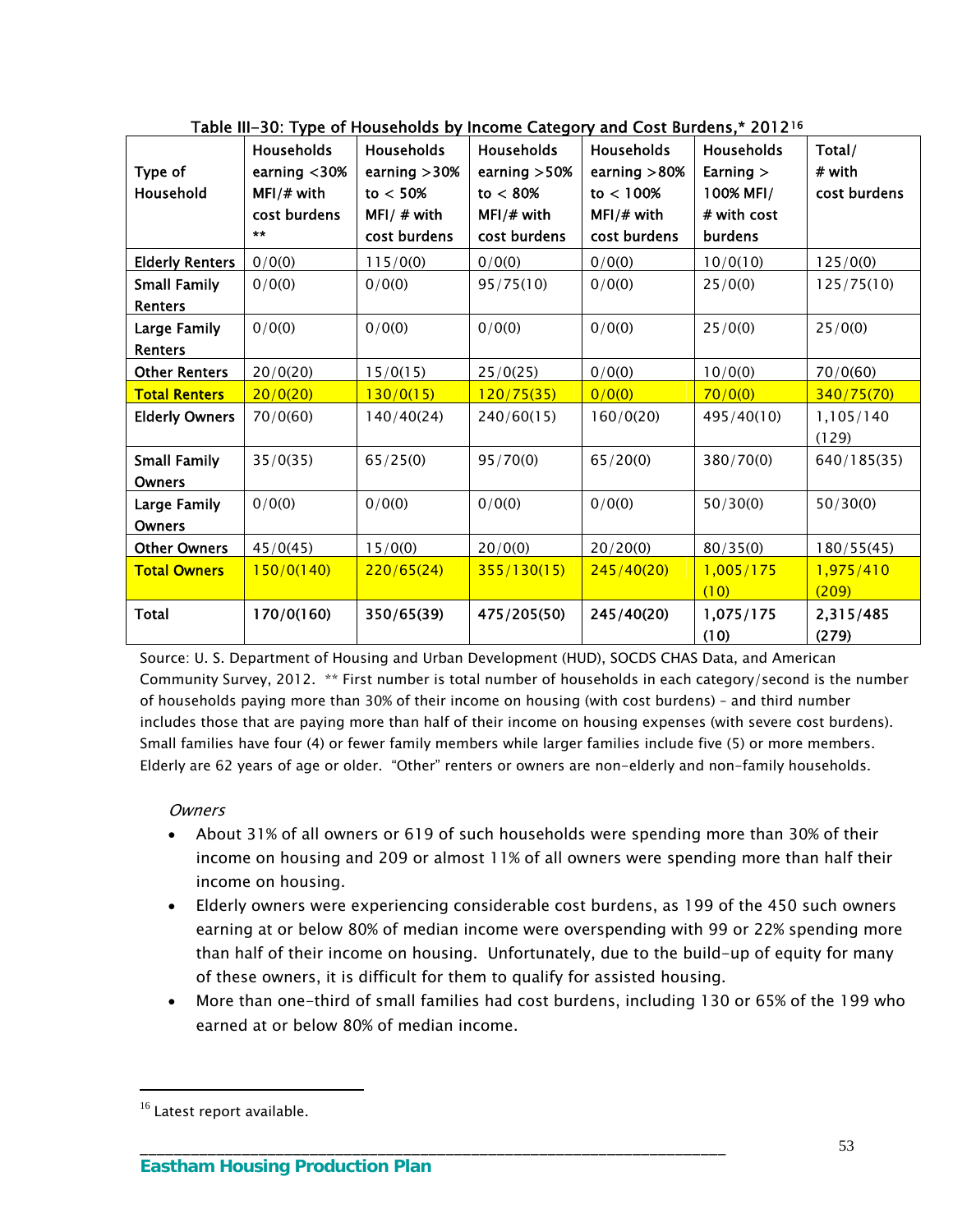| Type of<br>Household                 | <b>Households</b><br>earning $<$ 30%<br>MFI/# with<br>cost burdens<br>$\star\star$ | $\frac{1}{2}$ and $\frac{1}{2}$ . The characteristic by income category and cost bardens, EVIE<br>Households<br>earning $>30%$<br>to $< 50\%$<br>MFI/ $#$ with<br>cost burdens | Households<br>earning $>50%$<br>to $< 80\%$<br>MFI/# with<br>cost burdens | <b>Households</b><br>earning $>80%$<br>to < 100%<br>MFI/# with<br>cost burdens | Households<br>Earning $>$<br>100% MFI/<br># with cost<br>burdens | Total/<br># with<br>cost burdens |
|--------------------------------------|------------------------------------------------------------------------------------|--------------------------------------------------------------------------------------------------------------------------------------------------------------------------------|---------------------------------------------------------------------------|--------------------------------------------------------------------------------|------------------------------------------------------------------|----------------------------------|
| <b>Elderly Renters</b>               | 0/0(0)                                                                             | 115/0(0)                                                                                                                                                                       | 0/0(0)                                                                    | 0/0(0)                                                                         | 10/0(10)                                                         | 125/0(0)                         |
| <b>Small Family</b>                  | 0/0(0)                                                                             | 0/0(0)                                                                                                                                                                         | 95/75(10)                                                                 | 0/0(0)                                                                         | 25/0(0)                                                          | 125/75(10)                       |
| Renters                              |                                                                                    |                                                                                                                                                                                |                                                                           |                                                                                |                                                                  |                                  |
| Large Family                         | 0/0(0)                                                                             | 0/0(0)                                                                                                                                                                         | 0/0(0)                                                                    | 0/0(0)                                                                         | 25/0(0)                                                          | 25/0(0)                          |
| Renters                              |                                                                                    |                                                                                                                                                                                |                                                                           |                                                                                |                                                                  |                                  |
| <b>Other Renters</b>                 | 20/0(20)                                                                           | 15/0(15)                                                                                                                                                                       | 25/0(25)                                                                  | 0/0(0)                                                                         | 10/0(0)                                                          | 70/0(60)                         |
| <b>Total Renters</b>                 | 20/0(20)                                                                           | 130/0(15)                                                                                                                                                                      | <mark>120/75(35)</mark>                                                   | 0/0(0)                                                                         | 70/0(0)                                                          | 340/75(70)                       |
| <b>Elderly Owners</b>                | 70/0(60)                                                                           | 140/40(24)                                                                                                                                                                     | 240/60(15)                                                                | 160/0(20)                                                                      | 495/40(10)                                                       | 1,105/140<br>(129)               |
| <b>Small Family</b><br><b>Owners</b> | 35/0(35)                                                                           | 65/25(0)                                                                                                                                                                       | 95/70(0)                                                                  | 65/20(0)                                                                       | 380/70(0)                                                        | 640/185(35)                      |
| Large Family<br><b>Owners</b>        | 0/0(0)                                                                             | 0/0(0)                                                                                                                                                                         | 0/0(0)                                                                    | 0/0(0)                                                                         | 50/30(0)                                                         | 50/30(0)                         |
| Other Owners                         | 45/0(45)                                                                           | 15/0(0)                                                                                                                                                                        | 20/0(0)                                                                   | 20/20(0)                                                                       | 80/35(0)                                                         | 180/55(45)                       |
| <b>Total Owners</b>                  | 150/0(140)                                                                         | 220/65(24)                                                                                                                                                                     | 355/130(15)                                                               | 245/40(20)                                                                     | 1,005/175<br>(10)                                                | 1,975/410<br>(209)               |
| <b>Total</b>                         | 170/0(160)                                                                         | 350/65(39)                                                                                                                                                                     | 475/205(50)                                                               | 245/40(20)                                                                     | 1,075/175<br>(10)                                                | 2,315/485<br>(279)               |

Table III-30: Type of Households by Income Category and Cost Burdens,\* 2012[16](#page-56-0)

Source: U. S. Department of Housing and Urban Development (HUD), SOCDS CHAS Data, and American Community Survey, 2012. \*\* First number is total number of households in each category/second is the number of households paying more than 30% of their income on housing (with cost burdens) – and third number includes those that are paying more than half of their income on housing expenses (with severe cost burdens). Small families have four (4) or fewer family members while larger families include five (5) or more members. Elderly are 62 years of age or older. "Other" renters or owners are non-elderly and non-family households.

#### **Owners**

- About 31% of all owners or 619 of such households were spending more than 30% of their income on housing and 209 or almost 11% of all owners were spending more than half their income on housing.
- Elderly owners were experiencing considerable cost burdens, as 199 of the 450 such owners earning at or below 80% of median income were overspending with 99 or 22% spending more than half of their income on housing. Unfortunately, due to the build-up of equity for many of these owners, it is difficult for them to qualify for assisted housing.
- More than one-third of small families had cost burdens, including 130 or 65% of the 199 who earned at or below 80% of median income.

\_\_\_\_\_\_\_\_\_\_\_\_\_\_\_\_\_\_\_\_\_\_\_\_\_\_\_\_\_\_\_\_\_\_\_\_\_\_\_\_\_\_\_\_\_\_\_\_\_\_\_\_\_\_\_\_\_\_\_\_\_\_\_\_\_\_\_\_\_

<span id="page-56-0"></span><sup>&</sup>lt;sup>16</sup> Latest report available.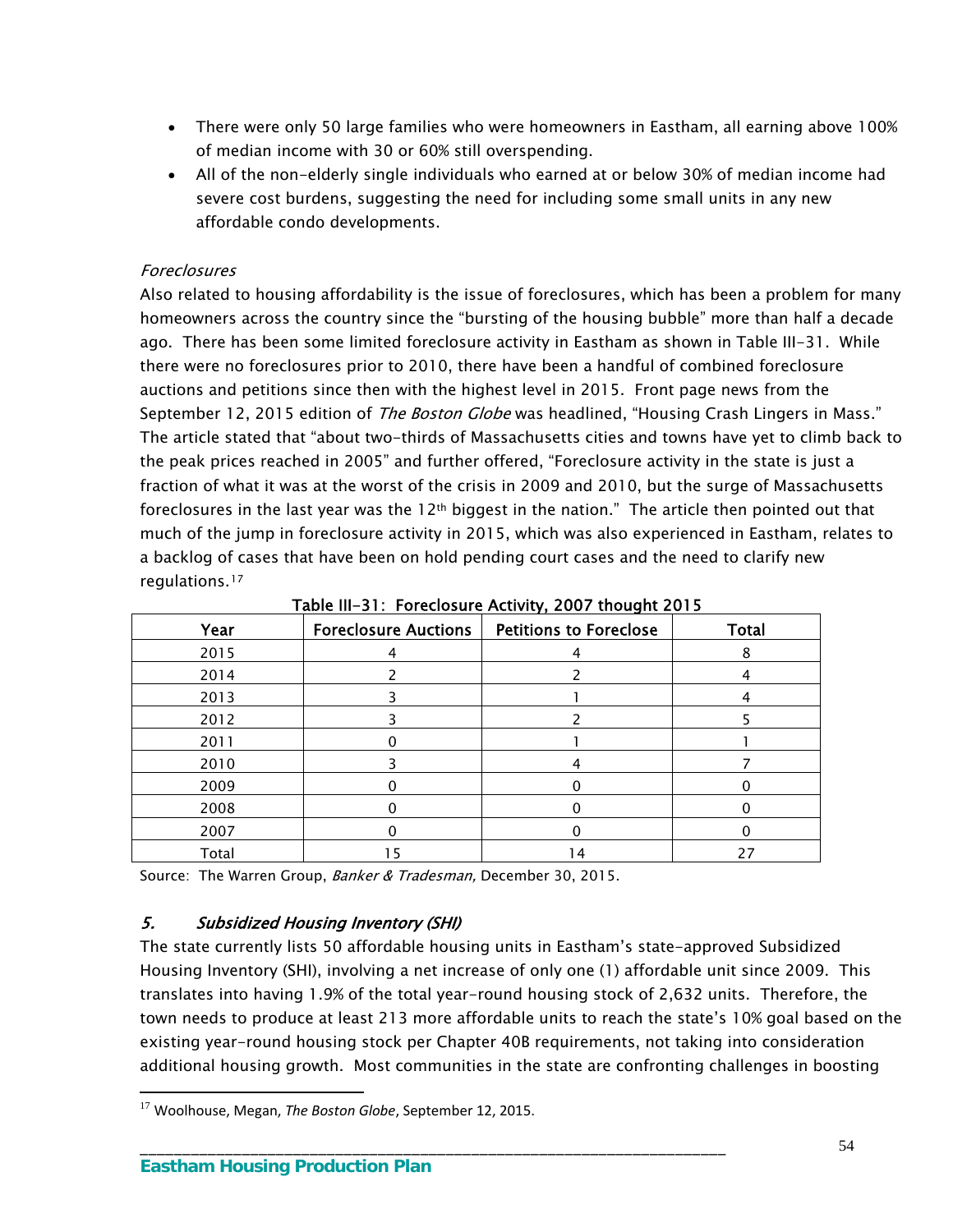- There were only 50 large families who were homeowners in Eastham, all earning above 100% of median income with 30 or 60% still overspending.
- All of the non-elderly single individuals who earned at or below 30% of median income had severe cost burdens, suggesting the need for including some small units in any new affordable condo developments.

## Foreclosures

Also related to housing affordability is the issue of foreclosures, which has been a problem for many homeowners across the country since the "bursting of the housing bubble" more than half a decade ago. There has been some limited foreclosure activity in Eastham as shown in Table III-31. While there were no foreclosures prior to 2010, there have been a handful of combined foreclosure auctions and petitions since then with the highest level in 2015. Front page news from the September 12, 2015 edition of *The Boston Globe* was headlined, "Housing Crash Lingers in Mass." The article stated that "about two-thirds of Massachusetts cities and towns have yet to climb back to the peak prices reached in 2005" and further offered, "Foreclosure activity in the state is just a fraction of what it was at the worst of the crisis in 2009 and 2010, but the surge of Massachusetts foreclosures in the last year was the 12th biggest in the nation." The article then pointed out that much of the jump in foreclosure activity in 2015, which was also experienced in Eastham, relates to a backlog of cases that have been on hold pending court cases and the need to clarify new regulations.[17](#page-57-0)

| $1000$ m $21.100$ costs and $70000$ $1000$ and $2012$ |                             |                               |              |  |  |  |  |  |
|-------------------------------------------------------|-----------------------------|-------------------------------|--------------|--|--|--|--|--|
| Year                                                  | <b>Foreclosure Auctions</b> | <b>Petitions to Foreclose</b> | <b>Total</b> |  |  |  |  |  |
| 2015                                                  |                             |                               |              |  |  |  |  |  |
| 2014                                                  |                             |                               |              |  |  |  |  |  |
| 2013                                                  |                             |                               |              |  |  |  |  |  |
| 2012                                                  |                             |                               |              |  |  |  |  |  |
| 2011                                                  |                             |                               |              |  |  |  |  |  |
| 2010                                                  |                             |                               |              |  |  |  |  |  |
| 2009                                                  |                             |                               |              |  |  |  |  |  |
| 2008                                                  |                             |                               |              |  |  |  |  |  |
| 2007                                                  |                             |                               |              |  |  |  |  |  |
| Total                                                 |                             | l 4                           |              |  |  |  |  |  |

Table III-31: Foreclosure Activity, 2007 thought 2015

Source: The Warren Group, Banker & Tradesman, December 30, 2015.

## 5. Subsidized Housing Inventory (SHI)

The state currently lists 50 affordable housing units in Eastham's state-approved Subsidized Housing Inventory (SHI), involving a net increase of only one (1) affordable unit since 2009. This translates into having 1.9% of the total year-round housing stock of 2,632 units. Therefore, the town needs to produce at least 213 more affordable units to reach the state's 10% goal based on the existing year-round housing stock per Chapter 40B requirements, not taking into consideration additional housing growth. Most communities in the state are confronting challenges in boosting

\_\_\_\_\_\_\_\_\_\_\_\_\_\_\_\_\_\_\_\_\_\_\_\_\_\_\_\_\_\_\_\_\_\_\_\_\_\_\_\_\_\_\_\_\_\_\_\_\_\_\_\_\_\_\_\_\_\_\_\_\_\_\_\_\_\_\_\_\_

<span id="page-57-0"></span><sup>17</sup> Woolhouse, Megan, *The Boston Globe*, September 12, 2015.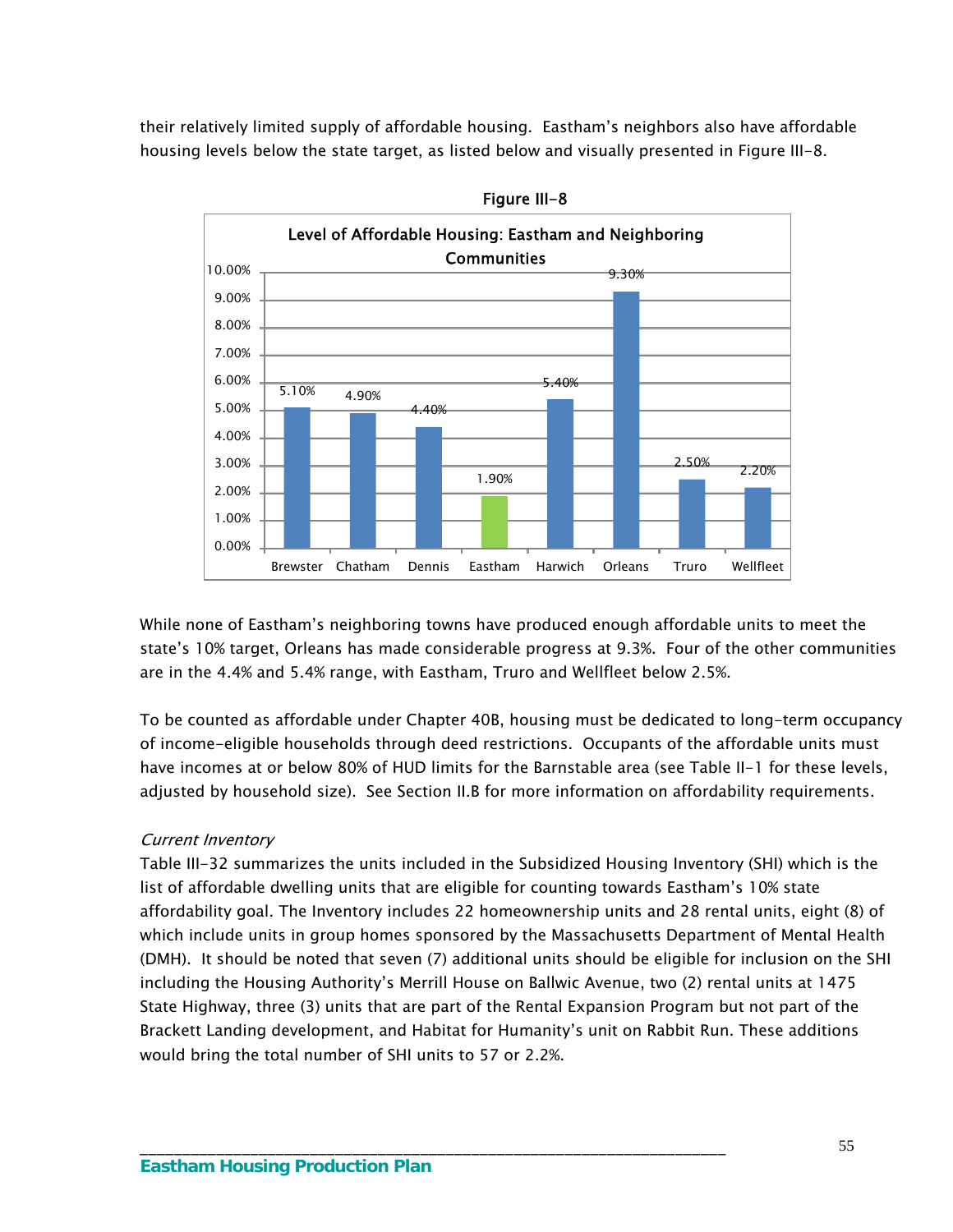their relatively limited supply of affordable housing. Eastham's neighbors also have affordable housing levels below the state target, as listed below and visually presented in Figure III-8.



Figure III-8

While none of Eastham's neighboring towns have produced enough affordable units to meet the state's 10% target, Orleans has made considerable progress at 9.3%. Four of the other communities are in the 4.4% and 5.4% range, with Eastham, Truro and Wellfleet below 2.5%.

To be counted as affordable under Chapter 40B, housing must be dedicated to long-term occupancy of income-eligible households through deed restrictions. Occupants of the affordable units must have incomes at or below 80% of HUD limits for the Barnstable area (see Table II-1 for these levels, adjusted by household size). See Section II.B for more information on affordability requirements.

## Current Inventory

Table III-32 summarizes the units included in the Subsidized Housing Inventory (SHI) which is the list of affordable dwelling units that are eligible for counting towards Eastham's 10% state affordability goal. The Inventory includes 22 homeownership units and 28 rental units, eight (8) of which include units in group homes sponsored by the Massachusetts Department of Mental Health (DMH). It should be noted that seven (7) additional units should be eligible for inclusion on the SHI including the Housing Authority's Merrill House on Ballwic Avenue, two (2) rental units at 1475 State Highway, three (3) units that are part of the Rental Expansion Program but not part of the Brackett Landing development, and Habitat for Humanity's unit on Rabbit Run. These additions would bring the total number of SHI units to 57 or 2.2%.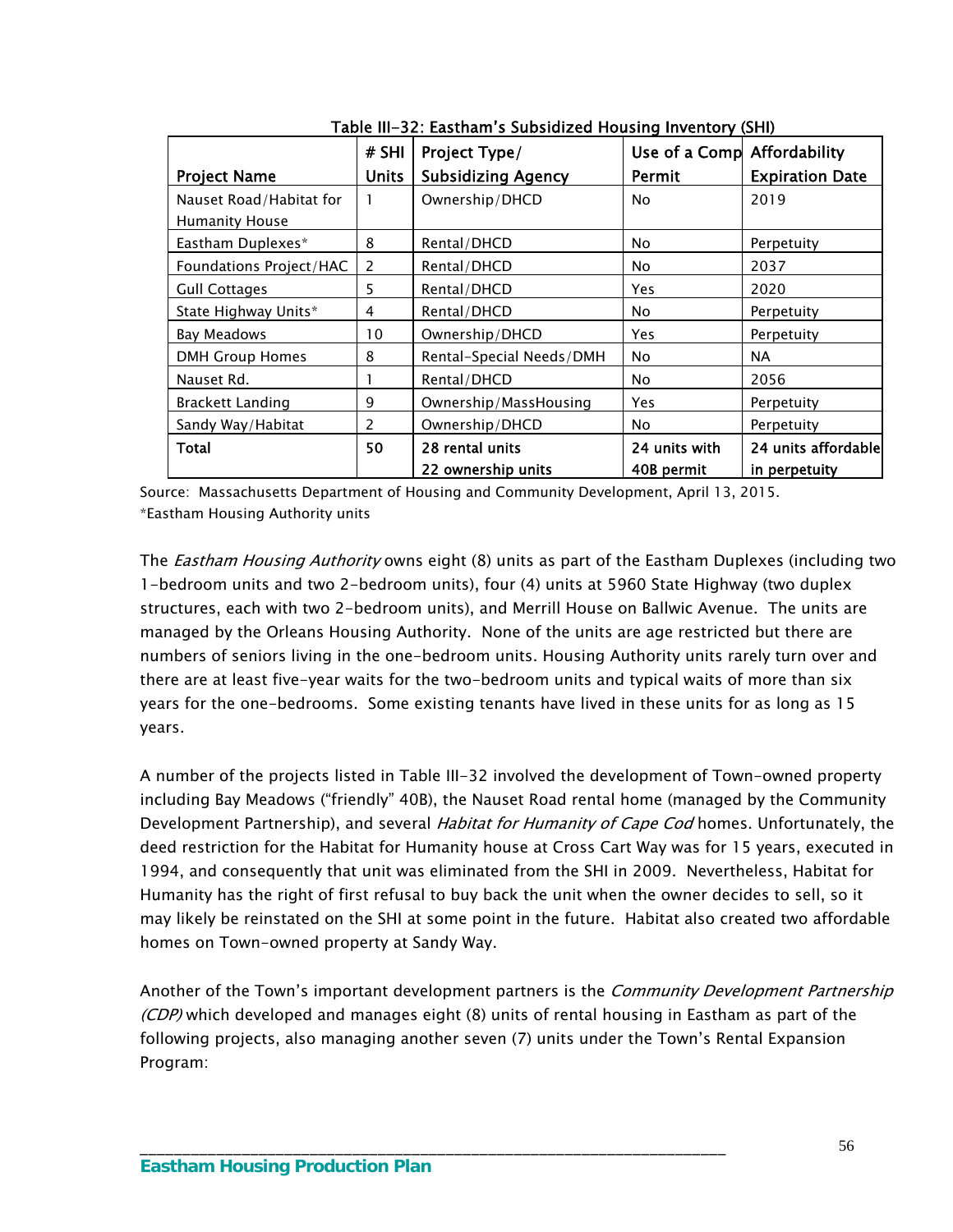|                         | # SHI        | Project Type/             | Use of a Comp Affordability |                        |
|-------------------------|--------------|---------------------------|-----------------------------|------------------------|
| <b>Project Name</b>     | <b>Units</b> | <b>Subsidizing Agency</b> | Permit                      | <b>Expiration Date</b> |
| Nauset Road/Habitat for | 1            | Ownership/DHCD            | No.                         | 2019                   |
| <b>Humanity House</b>   |              |                           |                             |                        |
| Eastham Duplexes*       | 8            | Rental/DHCD               | <b>No</b>                   | Perpetuity             |
| Foundations Project/HAC | 2            | Rental/DHCD               | No.                         | 2037                   |
| <b>Gull Cottages</b>    | 5            | Rental/DHCD               | Yes                         | 2020                   |
| State Highway Units*    | 4            | Rental/DHCD               | No.                         | Perpetuity             |
| Bay Meadows             | 10           | Ownership/DHCD            | Yes                         | Perpetuity             |
| <b>DMH Group Homes</b>  | 8            | Rental-Special Needs/DMH  | No.                         | <b>NA</b>              |
| Nauset Rd.              |              | Rental/DHCD               | <b>No</b>                   | 2056                   |
| <b>Brackett Landing</b> | 9            | Ownership/MassHousing     | Yes.                        | Perpetuity             |
| Sandy Way/Habitat       | 2            | Ownership/DHCD            | <b>No</b>                   | Perpetuity             |
| Total                   | 50           | 28 rental units           | 24 units with               | 24 units affordable    |
|                         |              | 22 ownership units        | 40B permit                  | in perpetuity          |

Table III-32: Eastham's Subsidized Housing Inventory (SHI)

Source: Massachusetts Department of Housing and Community Development, April 13, 2015. \*Eastham Housing Authority units

The *Eastham Housing Authority* owns eight (8) units as part of the Eastham Duplexes (including two 1-bedroom units and two 2-bedroom units), four (4) units at 5960 State Highway (two duplex structures, each with two 2-bedroom units), and Merrill House on Ballwic Avenue. The units are managed by the Orleans Housing Authority. None of the units are age restricted but there are numbers of seniors living in the one-bedroom units. Housing Authority units rarely turn over and there are at least five-year waits for the two-bedroom units and typical waits of more than six years for the one-bedrooms. Some existing tenants have lived in these units for as long as 15 years.

A number of the projects listed in Table III-32 involved the development of Town-owned property including Bay Meadows ("friendly" 40B), the Nauset Road rental home (managed by the Community Development Partnership), and several *Habitat for Humanity of Cape Cod* homes. Unfortunately, the deed restriction for the Habitat for Humanity house at Cross Cart Way was for 15 years, executed in 1994, and consequently that unit was eliminated from the SHI in 2009. Nevertheless, Habitat for Humanity has the right of first refusal to buy back the unit when the owner decides to sell, so it may likely be reinstated on the SHI at some point in the future. Habitat also created two affordable homes on Town-owned property at Sandy Way.

Another of the Town's important development partners is the *Community Development Partnership* (CDP) which developed and manages eight (8) units of rental housing in Eastham as part of the following projects, also managing another seven (7) units under the Town's Rental Expansion Program: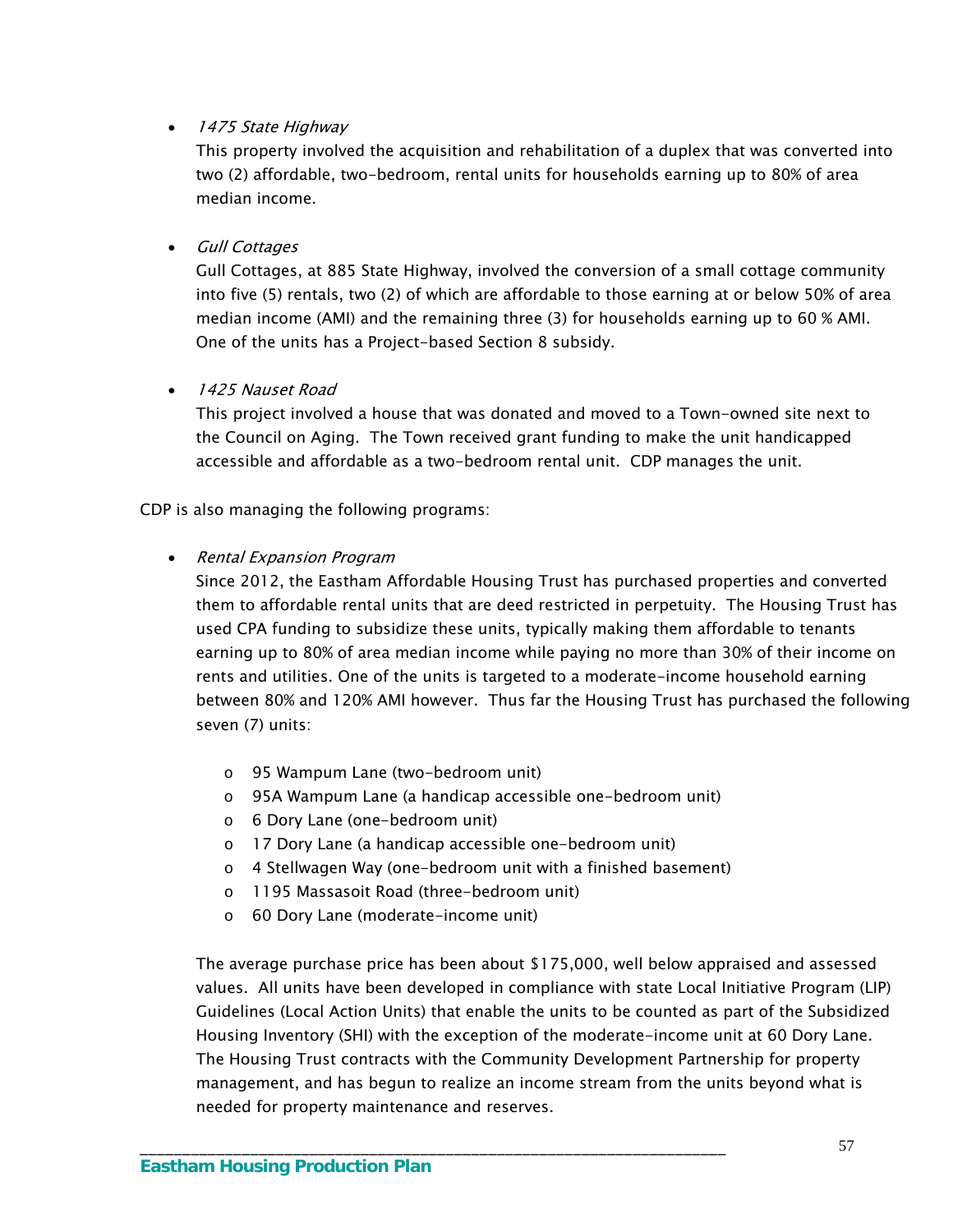## • 1475 State Highway

This property involved the acquisition and rehabilitation of a duplex that was converted into two (2) affordable, two-bedroom, rental units for households earning up to 80% of area median income.

#### **•** Gull Cottages

Gull Cottages, at 885 State Highway, involved the conversion of a small cottage community into five (5) rentals, two (2) of which are affordable to those earning at or below 50% of area median income (AMI) and the remaining three (3) for households earning up to 60 % AMI. One of the units has a Project-based Section 8 subsidy.

## • 1425 Nauset Road

This project involved a house that was donated and moved to a Town-owned site next to the Council on Aging. The Town received grant funding to make the unit handicapped accessible and affordable as a two-bedroom rental unit. CDP manages the unit.

CDP is also managing the following programs:

#### • Rental Expansion Program

Since 2012, the Eastham Affordable Housing Trust has purchased properties and converted them to affordable rental units that are deed restricted in perpetuity. The Housing Trust has used CPA funding to subsidize these units, typically making them affordable to tenants earning up to 80% of area median income while paying no more than 30% of their income on rents and utilities. One of the units is targeted to a moderate-income household earning between 80% and 120% AMI however. Thus far the Housing Trust has purchased the following seven (7) units:

- o 95 Wampum Lane (two-bedroom unit)
- o 95A Wampum Lane (a handicap accessible one-bedroom unit)
- o 6 Dory Lane (one-bedroom unit)
- o 17 Dory Lane (a handicap accessible one-bedroom unit)

\_\_\_\_\_\_\_\_\_\_\_\_\_\_\_\_\_\_\_\_\_\_\_\_\_\_\_\_\_\_\_\_\_\_\_\_\_\_\_\_\_\_\_\_\_\_\_\_\_\_\_\_\_\_\_\_\_\_\_\_\_\_\_\_\_\_\_\_\_

- o 4 Stellwagen Way (one-bedroom unit with a finished basement)
- o 1195 Massasoit Road (three-bedroom unit)
- o 60 Dory Lane (moderate-income unit)

The average purchase price has been about \$175,000, well below appraised and assessed values. All units have been developed in compliance with state Local Initiative Program (LIP) Guidelines (Local Action Units) that enable the units to be counted as part of the Subsidized Housing Inventory (SHI) with the exception of the moderate-income unit at 60 Dory Lane. The Housing Trust contracts with the Community Development Partnership for property management, and has begun to realize an income stream from the units beyond what is needed for property maintenance and reserves.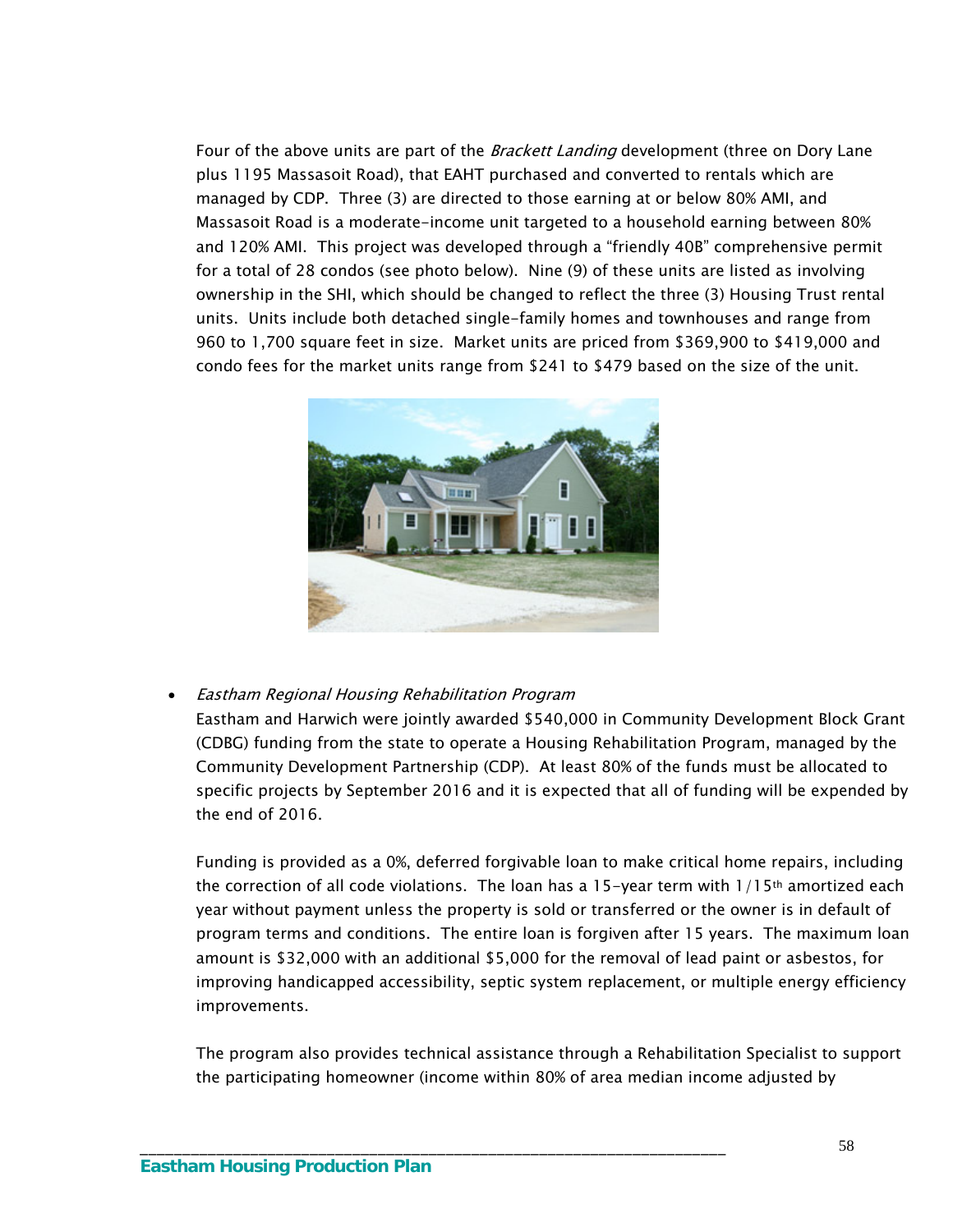Four of the above units are part of the *Brackett Landing* development (three on Dory Lane plus 1195 Massasoit Road), that EAHT purchased and converted to rentals which are managed by CDP. Three (3) are directed to those earning at or below 80% AMI, and Massasoit Road is a moderate-income unit targeted to a household earning between 80% and 120% AMI. This project was developed through a "friendly 40B" comprehensive permit for a total of 28 condos (see photo below). Nine (9) of these units are listed as involving ownership in the SHI, which should be changed to reflect the three (3) Housing Trust rental units. Units include both detached single-family homes and townhouses and range from 960 to 1,700 square feet in size. Market units are priced from \$369,900 to \$419,000 and condo fees for the market units range from \$241 to \$479 based on the size of the unit.



#### Eastham Regional Housing Rehabilitation Program

Eastham and Harwich were jointly awarded \$540,000 in Community Development Block Grant (CDBG) funding from the state to operate a Housing Rehabilitation Program, managed by the Community Development Partnership (CDP). At least 80% of the funds must be allocated to specific projects by September 2016 and it is expected that all of funding will be expended by the end of 2016.

Funding is provided as a 0%, deferred forgivable loan to make critical home repairs, including the correction of all code violations. The loan has a 15-year term with  $1/15$ <sup>th</sup> amortized each year without payment unless the property is sold or transferred or the owner is in default of program terms and conditions. The entire loan is forgiven after 15 years. The maximum loan amount is \$32,000 with an additional \$5,000 for the removal of lead paint or asbestos, for improving handicapped accessibility, septic system replacement, or multiple energy efficiency improvements.

The program also provides technical assistance through a Rehabilitation Specialist to support the participating homeowner (income within 80% of area median income adjusted by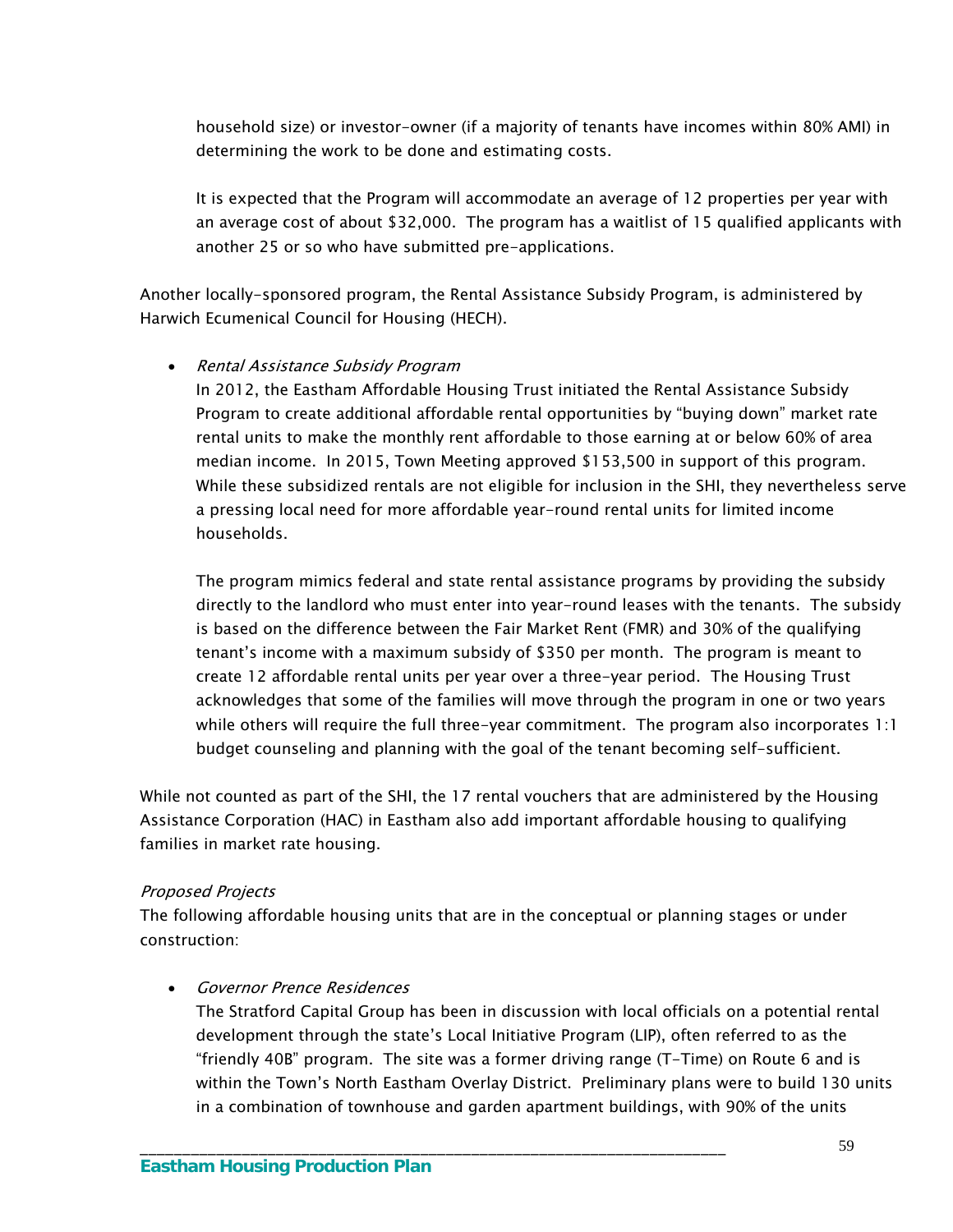household size) or investor-owner (if a majority of tenants have incomes within 80% AMI) in determining the work to be done and estimating costs.

It is expected that the Program will accommodate an average of 12 properties per year with an average cost of about \$32,000. The program has a waitlist of 15 qualified applicants with another 25 or so who have submitted pre-applications.

Another locally-sponsored program, the Rental Assistance Subsidy Program, is administered by Harwich Ecumenical Council for Housing (HECH).

#### Rental Assistance Subsidy Program

In 2012, the Eastham Affordable Housing Trust initiated the Rental Assistance Subsidy Program to create additional affordable rental opportunities by "buying down" market rate rental units to make the monthly rent affordable to those earning at or below 60% of area median income. In 2015, Town Meeting approved \$153,500 in support of this program. While these subsidized rentals are not eligible for inclusion in the SHI, they nevertheless serve a pressing local need for more affordable year-round rental units for limited income households.

The program mimics federal and state rental assistance programs by providing the subsidy directly to the landlord who must enter into year-round leases with the tenants. The subsidy is based on the difference between the Fair Market Rent (FMR) and 30% of the qualifying tenant's income with a maximum subsidy of \$350 per month. The program is meant to create 12 affordable rental units per year over a three-year period. The Housing Trust acknowledges that some of the families will move through the program in one or two years while others will require the full three-year commitment. The program also incorporates 1:1 budget counseling and planning with the goal of the tenant becoming self-sufficient.

While not counted as part of the SHI, the 17 rental vouchers that are administered by the Housing Assistance Corporation (HAC) in Eastham also add important affordable housing to qualifying families in market rate housing.

#### Proposed Projects

The following affordable housing units that are in the conceptual or planning stages or under construction:

\_\_\_\_\_\_\_\_\_\_\_\_\_\_\_\_\_\_\_\_\_\_\_\_\_\_\_\_\_\_\_\_\_\_\_\_\_\_\_\_\_\_\_\_\_\_\_\_\_\_\_\_\_\_\_\_\_\_\_\_\_\_\_\_\_\_\_\_\_

## • Governor Prence Residences

The Stratford Capital Group has been in discussion with local officials on a potential rental development through the state's Local Initiative Program (LIP), often referred to as the "friendly 40B" program. The site was a former driving range (T-Time) on Route 6 and is within the Town's North Eastham Overlay District. Preliminary plans were to build 130 units in a combination of townhouse and garden apartment buildings, with 90% of the units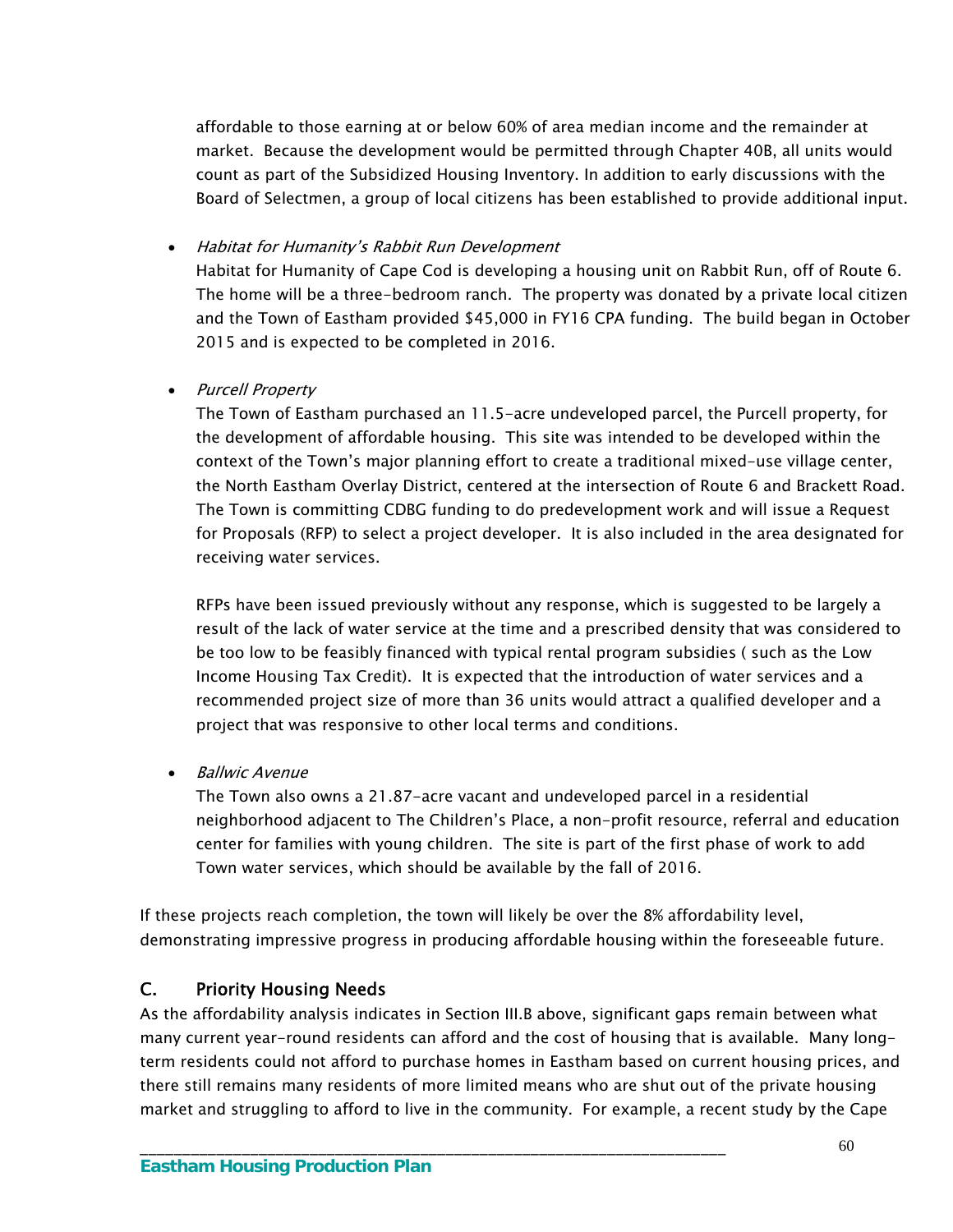affordable to those earning at or below 60% of area median income and the remainder at market. Because the development would be permitted through Chapter 40B, all units would count as part of the Subsidized Housing Inventory. In addition to early discussions with the Board of Selectmen, a group of local citizens has been established to provide additional input.

Habitat for Humanity's Rabbit Run Development

Habitat for Humanity of Cape Cod is developing a housing unit on Rabbit Run, off of Route 6. The home will be a three-bedroom ranch. The property was donated by a private local citizen and the Town of Eastham provided \$45,000 in FY16 CPA funding. The build began in October 2015 and is expected to be completed in 2016.

## • Purcell Property

The Town of Eastham purchased an 11.5-acre undeveloped parcel, the Purcell property, for the development of affordable housing. This site was intended to be developed within the context of the Town's major planning effort to create a traditional mixed-use village center, the North Eastham Overlay District, centered at the intersection of Route 6 and Brackett Road. The Town is committing CDBG funding to do predevelopment work and will issue a Request for Proposals (RFP) to select a project developer. It is also included in the area designated for receiving water services.

RFPs have been issued previously without any response, which is suggested to be largely a result of the lack of water service at the time and a prescribed density that was considered to be too low to be feasibly financed with typical rental program subsidies ( such as the Low Income Housing Tax Credit). It is expected that the introduction of water services and a recommended project size of more than 36 units would attract a qualified developer and a project that was responsive to other local terms and conditions.

• Ballwic Avenue

The Town also owns a 21.87-acre vacant and undeveloped parcel in a residential neighborhood adjacent to The Children's Place, a non-profit resource, referral and education center for families with young children. The site is part of the first phase of work to add Town water services, which should be available by the fall of 2016.

If these projects reach completion, the town will likely be over the 8% affordability level, demonstrating impressive progress in producing affordable housing within the foreseeable future.

# C. Priority Housing Needs

As the affordability analysis indicates in Section III.B above, significant gaps remain between what many current year-round residents can afford and the cost of housing that is available. Many longterm residents could not afford to purchase homes in Eastham based on current housing prices, and there still remains many residents of more limited means who are shut out of the private housing market and struggling to afford to live in the community. For example, a recent study by the Cape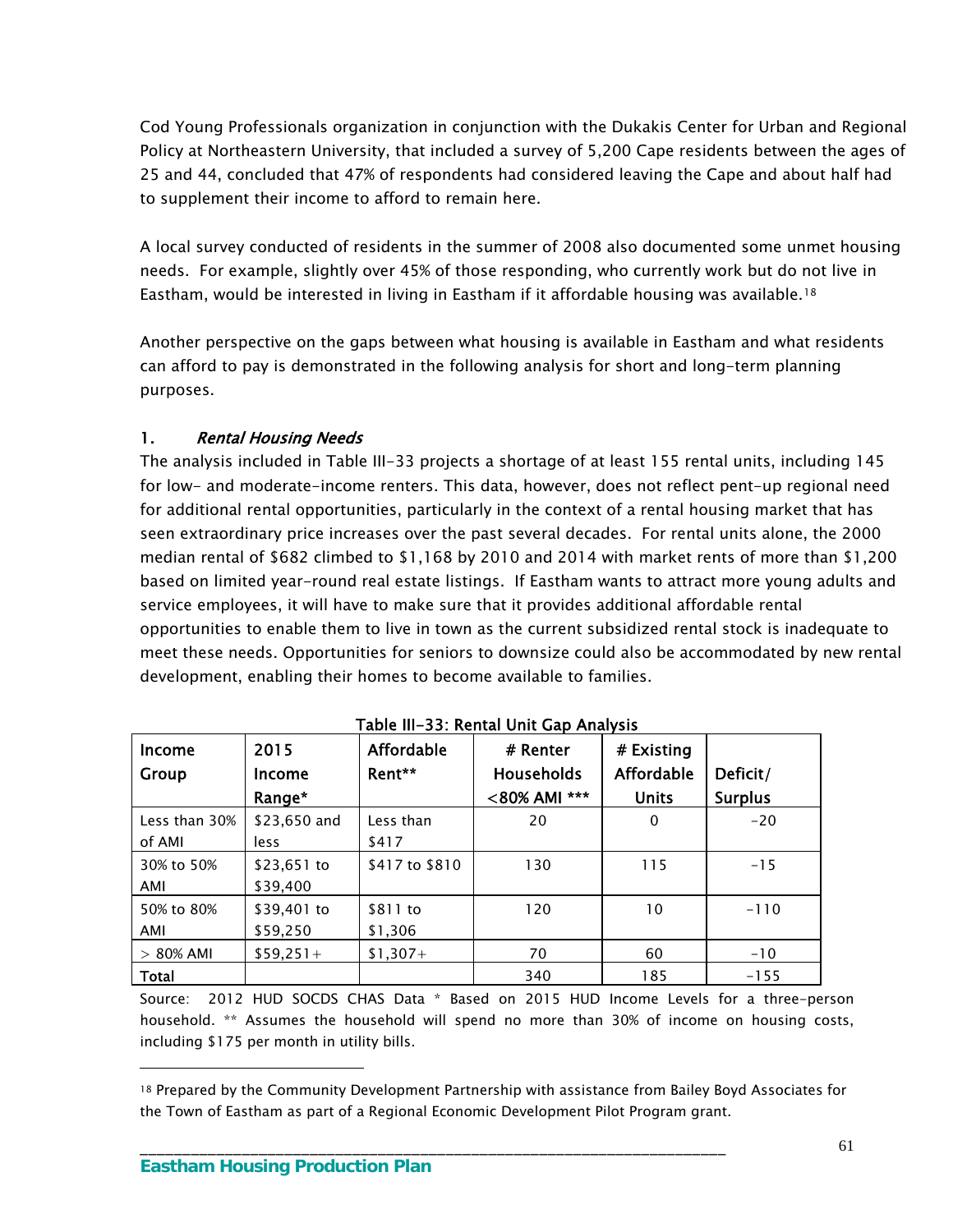Cod Young Professionals organization in conjunction with the Dukakis Center for Urban and Regional Policy at Northeastern University, that included a survey of 5,200 Cape residents between the ages of 25 and 44, concluded that 47% of respondents had considered leaving the Cape and about half had to supplement their income to afford to remain here.

A local survey conducted of residents in the summer of 2008 also documented some unmet housing needs. For example, slightly over 45% of those responding, who currently work but do not live in Eastham, would be interested in living in Eastham if it affordable housing was available.[18](#page-64-0) 

Another perspective on the gaps between what housing is available in Eastham and what residents can afford to pay is demonstrated in the following analysis for short and long-term planning purposes.

## 1. Rental Housing Needs

The analysis included in Table III-33 projects a shortage of at least 155 rental units, including 145 for low- and moderate-income renters. This data, however, does not reflect pent-up regional need for additional rental opportunities, particularly in the context of a rental housing market that has seen extraordinary price increases over the past several decades. For rental units alone, the 2000 median rental of \$682 climbed to \$1,168 by 2010 and 2014 with market rents of more than \$1,200 based on limited year-round real estate listings. If Eastham wants to attract more young adults and service employees, it will have to make sure that it provides additional affordable rental opportunities to enable them to live in town as the current subsidized rental stock is inadequate to meet these needs. Opportunities for seniors to downsize could also be accommodated by new rental development, enabling their homes to become available to families.

| Income<br>Group         | 2015<br>Income<br>Range* | <b>Affordable</b><br>Rent** | # Renter<br><b>Households</b><br><80% AMI *** | # Existing<br><b>Affordable</b><br><b>Units</b> | Deficit/<br><b>Surplus</b> |
|-------------------------|--------------------------|-----------------------------|-----------------------------------------------|-------------------------------------------------|----------------------------|
| Less than 30%<br>of AMI | \$23,650 and<br>less     | Less than<br>\$417          | 20                                            | 0                                               | $-20$                      |
| 30% to 50%<br>AMI       | $$23,651$ to<br>\$39,400 | \$417 to \$810              | 130                                           | 115                                             | $-15$                      |
| 50% to 80%<br>AMI       | \$39,401 to<br>\$59,250  | \$811 to<br>\$1,306         | 120                                           | 10                                              | $-110$                     |
| $> 80\%$ AMI            | $$59,251+$               | $$1,307+$                   | 70                                            | 60                                              | $-10$                      |
| Total                   |                          |                             | 340                                           | 185                                             | $-155$                     |

Table III-33: Rental Unit Gap Analysis

Source: 2012 HUD SOCDS CHAS Data \* Based on 2015 HUD Income Levels for a three-person household. \*\* Assumes the household will spend no more than 30% of income on housing costs, including \$175 per month in utility bills.

\_\_\_\_\_\_\_\_\_\_\_\_\_\_\_\_\_\_\_\_\_\_\_\_\_\_\_\_\_\_\_\_\_\_\_\_\_\_\_\_\_\_\_\_\_\_\_\_\_\_\_\_\_\_\_\_\_\_\_\_\_\_\_\_\_\_\_\_\_

<span id="page-64-0"></span><sup>18</sup> Prepared by the Community Development Partnership with assistance from Bailey Boyd Associates for the Town of Eastham as part of a Regional Economic Development Pilot Program grant.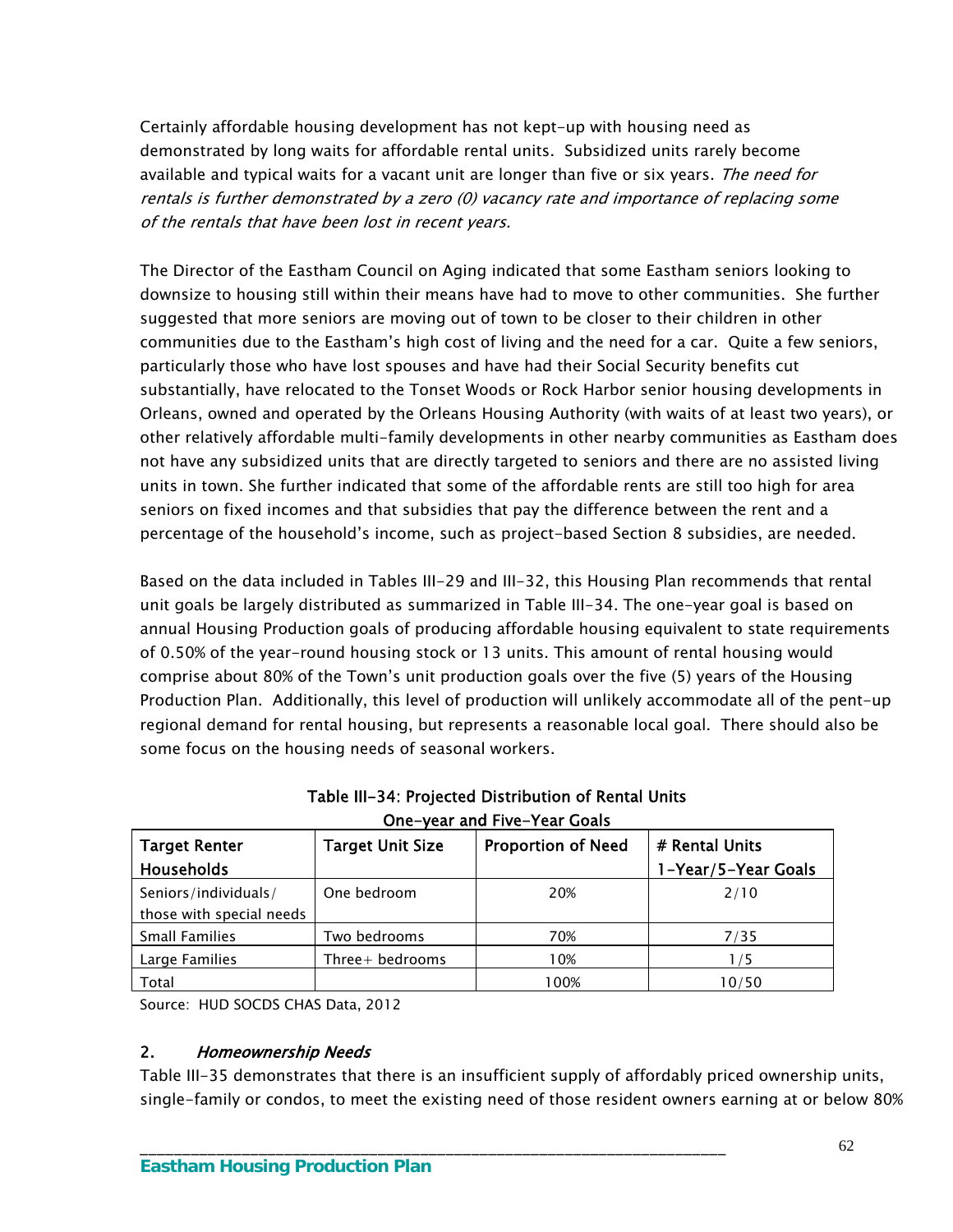Certainly affordable housing development has not kept-up with housing need as demonstrated by long waits for affordable rental units. Subsidized units rarely become available and typical waits for a vacant unit are longer than five or six years. The need for rentals is further demonstrated by a zero (0) vacancy rate and importance of replacing some of the rentals that have been lost in recent years.

The Director of the Eastham Council on Aging indicated that some Eastham seniors looking to downsize to housing still within their means have had to move to other communities. She further suggested that more seniors are moving out of town to be closer to their children in other communities due to the Eastham's high cost of living and the need for a car. Quite a few seniors, particularly those who have lost spouses and have had their Social Security benefits cut substantially, have relocated to the Tonset Woods or Rock Harbor senior housing developments in Orleans, owned and operated by the Orleans Housing Authority (with waits of at least two years), or other relatively affordable multi-family developments in other nearby communities as Eastham does not have any subsidized units that are directly targeted to seniors and there are no assisted living units in town. She further indicated that some of the affordable rents are still too high for area seniors on fixed incomes and that subsidies that pay the difference between the rent and a percentage of the household's income, such as project-based Section 8 subsidies, are needed.

Based on the data included in Tables III-29 and III-32, this Housing Plan recommends that rental unit goals be largely distributed as summarized in Table III-34. The one-year goal is based on annual Housing Production goals of producing affordable housing equivalent to state requirements of 0.50% of the year-round housing stock or 13 units. This amount of rental housing would comprise about 80% of the Town's unit production goals over the five (5) years of the Housing Production Plan. Additionally, this level of production will unlikely accommodate all of the pent-up regional demand for rental housing, but represents a reasonable local goal. There should also be some focus on the housing needs of seasonal workers.

| Olle-Veal and Five-Teal Goals |                         |                           |                     |  |  |
|-------------------------------|-------------------------|---------------------------|---------------------|--|--|
| <b>Target Renter</b>          | <b>Target Unit Size</b> | <b>Proportion of Need</b> | # Rental Units      |  |  |
| <b>Households</b>             |                         |                           | 1-Year/5-Year Goals |  |  |
| Seniors/individuals/          | One bedroom             | 20%                       | 2/10                |  |  |
| those with special needs      |                         |                           |                     |  |  |
| <b>Small Families</b>         | Two bedrooms            | 70%                       | 7/35                |  |  |
| Large Families                | Three $+$ bedrooms      | 10%                       | 1/5                 |  |  |
| Total                         |                         | l 00%                     | 10/50               |  |  |

\_\_\_\_\_\_\_\_\_\_\_\_\_\_\_\_\_\_\_\_\_\_\_\_\_\_\_\_\_\_\_\_\_\_\_\_\_\_\_\_\_\_\_\_\_\_\_\_\_\_\_\_\_\_\_\_\_\_\_\_\_\_\_\_\_\_\_\_\_

Table III-34: Projected Distribution of Rental Units One-year and Five-Year Goals

Source: HUD SOCDS CHAS Data, 2012

#### 2. Homeownership Needs

Table III-35 demonstrates that there is an insufficient supply of affordably priced ownership units, single-family or condos, to meet the existing need of those resident owners earning at or below 80%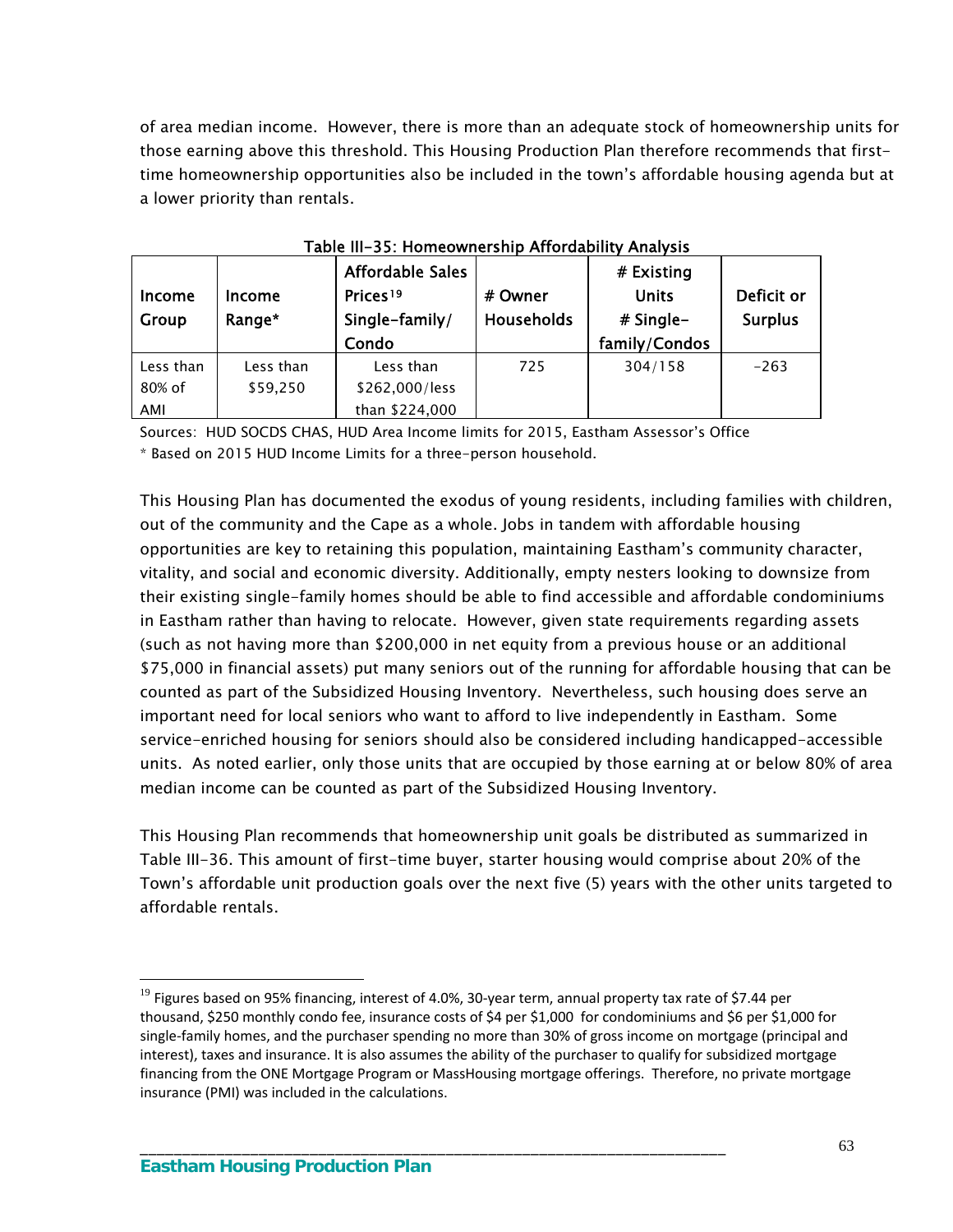of area median income. However, there is more than an adequate stock of homeownership units for those earning above this threshold. This Housing Production Plan therefore recommends that firsttime homeownership opportunities also be included in the town's affordable housing agenda but at a lower priority than rentals.

| <b>Income</b><br>Group | rable iii–55. Homeownership Affordability Analysis<br>Income<br>Range* | Affordable Sales<br>Prices <sup>19</sup><br>Single-family/<br>Condo | # Owner<br><b>Households</b> | # Existing<br><b>Units</b><br>$#$ Single-<br>family/Condos | Deficit or<br><b>Surplus</b> |
|------------------------|------------------------------------------------------------------------|---------------------------------------------------------------------|------------------------------|------------------------------------------------------------|------------------------------|
| Less than<br>80% of    | Less than<br>\$59,250                                                  | Less than<br>\$262,000/less                                         | 725                          | 304/158                                                    | $-263$                       |
|                        |                                                                        |                                                                     |                              |                                                            |                              |

| Table III-35: Homeownership Affordability Analysis |  |  |
|----------------------------------------------------|--|--|
|----------------------------------------------------|--|--|

Sources: HUD SOCDS CHAS, HUD Area Income limits for 2015, Eastham Assessor's Office

\* Based on 2015 HUD Income Limits for a three-person household.

This Housing Plan has documented the exodus of young residents, including families with children, out of the community and the Cape as a whole. Jobs in tandem with affordable housing opportunities are key to retaining this population, maintaining Eastham's community character, vitality, and social and economic diversity. Additionally, empty nesters looking to downsize from their existing single-family homes should be able to find accessible and affordable condominiums in Eastham rather than having to relocate. However, given state requirements regarding assets (such as not having more than \$200,000 in net equity from a previous house or an additional \$75,000 in financial assets) put many seniors out of the running for affordable housing that can be counted as part of the Subsidized Housing Inventory. Nevertheless, such housing does serve an important need for local seniors who want to afford to live independently in Eastham. Some service-enriched housing for seniors should also be considered including handicapped-accessible units. As noted earlier, only those units that are occupied by those earning at or below 80% of area median income can be counted as part of the Subsidized Housing Inventory.

This Housing Plan recommends that homeownership unit goals be distributed as summarized in Table III-36. This amount of first-time buyer, starter housing would comprise about 20% of the Town's affordable unit production goals over the next five (5) years with the other units targeted to affordable rentals.

\_\_\_\_\_\_\_\_\_\_\_\_\_\_\_\_\_\_\_\_\_\_\_\_\_\_\_\_\_\_\_\_\_\_\_\_\_\_\_\_\_\_\_\_\_\_\_\_\_\_\_\_\_\_\_\_\_\_\_\_\_\_\_\_\_\_\_\_\_

<span id="page-66-0"></span> $19$  Figures based on 95% financing, interest of 4.0%, 30-year term, annual property tax rate of \$7.44 per thousand, \$250 monthly condo fee, insurance costs of \$4 per \$1,000 for condominiums and \$6 per \$1,000 for single-family homes, and the purchaser spending no more than 30% of gross income on mortgage (principal and interest), taxes and insurance. It is also assumes the ability of the purchaser to qualify for subsidized mortgage financing from the ONE Mortgage Program or MassHousing mortgage offerings. Therefore, no private mortgage insurance (PMI) was included in the calculations.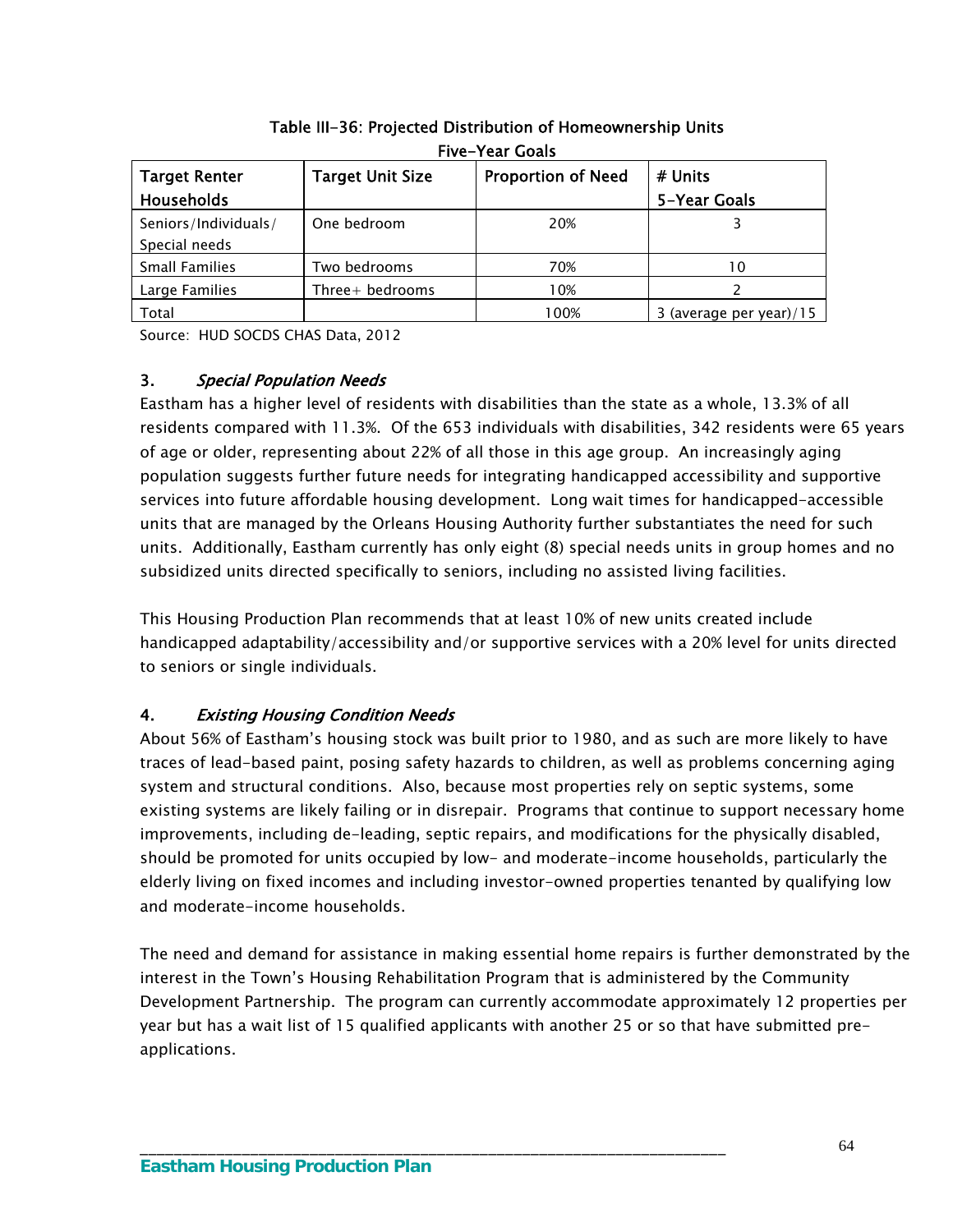| TIVE TEGT GUGIS                       |                         |                           |                         |  |  |  |
|---------------------------------------|-------------------------|---------------------------|-------------------------|--|--|--|
| <b>Target Renter</b>                  | <b>Target Unit Size</b> | <b>Proportion of Need</b> | # Units                 |  |  |  |
| Households                            |                         |                           | 5-Year Goals            |  |  |  |
| Seniors/Individuals/<br>Special needs | One bedroom             | 20%                       |                         |  |  |  |
| <b>Small Families</b>                 | Two bedrooms            | 70%                       | 10                      |  |  |  |
| Large Families                        | Three+ bedrooms         | 10%                       |                         |  |  |  |
| Total                                 |                         | 100%                      | 3 (average per year)/15 |  |  |  |

Table III-36: Projected Distribution of Homeownership Units Five-Year Goals

Source: HUD SOCDS CHAS Data, 2012

## 3. Special Population Needs

Eastham has a higher level of residents with disabilities than the state as a whole, 13.3% of all residents compared with 11.3%. Of the 653 individuals with disabilities, 342 residents were 65 years of age or older, representing about 22% of all those in this age group. An increasingly aging population suggests further future needs for integrating handicapped accessibility and supportive services into future affordable housing development. Long wait times for handicapped-accessible units that are managed by the Orleans Housing Authority further substantiates the need for such units. Additionally, Eastham currently has only eight (8) special needs units in group homes and no subsidized units directed specifically to seniors, including no assisted living facilities.

This Housing Production Plan recommends that at least 10% of new units created include handicapped adaptability/accessibility and/or supportive services with a 20% level for units directed to seniors or single individuals.

## 4. Existing Housing Condition Needs

About 56% of Eastham's housing stock was built prior to 1980, and as such are more likely to have traces of lead-based paint, posing safety hazards to children, as well as problems concerning aging system and structural conditions. Also, because most properties rely on septic systems, some existing systems are likely failing or in disrepair. Programs that continue to support necessary home improvements, including de-leading, septic repairs, and modifications for the physically disabled, should be promoted for units occupied by low- and moderate-income households, particularly the elderly living on fixed incomes and including investor-owned properties tenanted by qualifying low and moderate-income households.

The need and demand for assistance in making essential home repairs is further demonstrated by the interest in the Town's Housing Rehabilitation Program that is administered by the Community Development Partnership. The program can currently accommodate approximately 12 properties per year but has a wait list of 15 qualified applicants with another 25 or so that have submitted preapplications.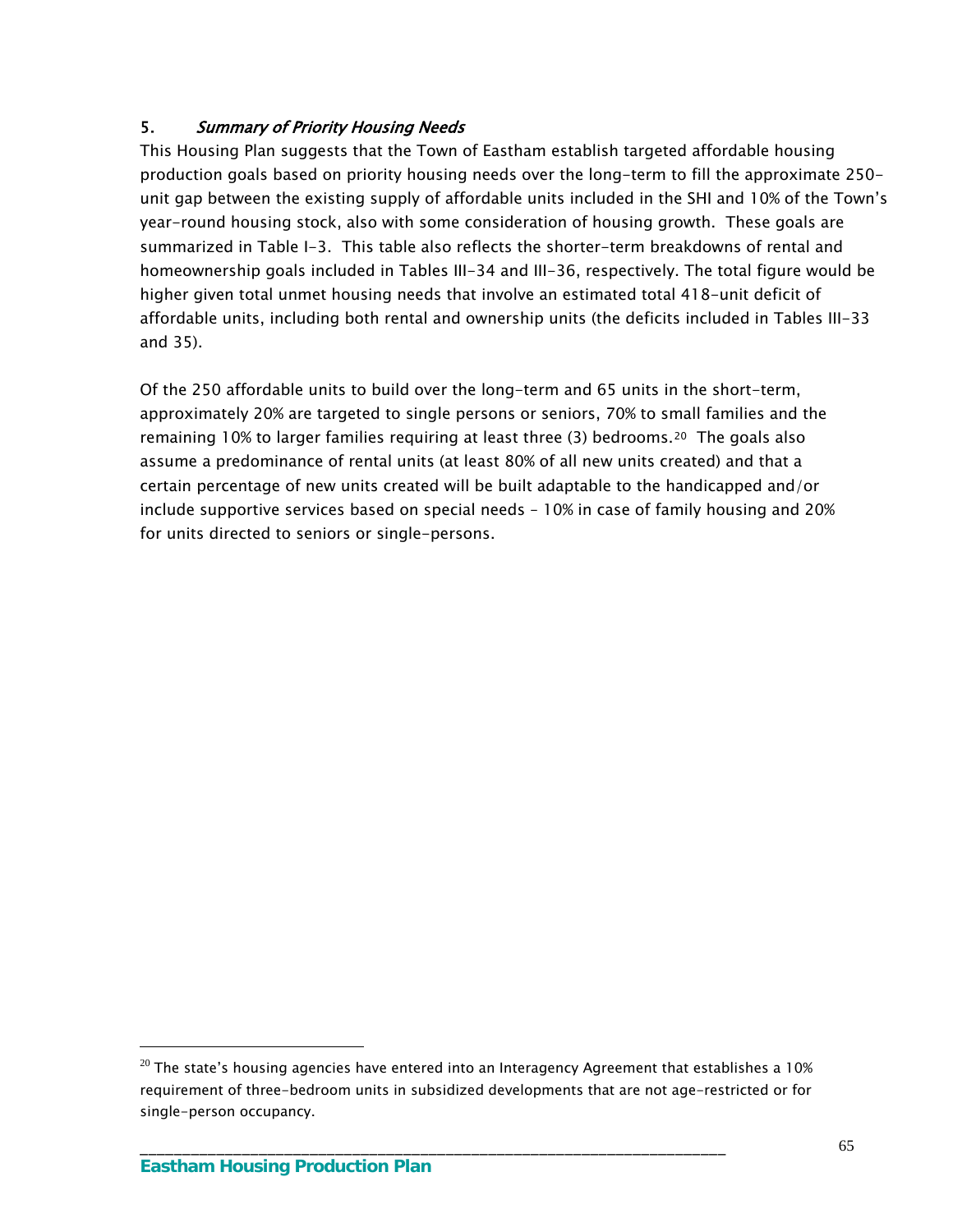# 5. Summary of Priority Housing Needs

This Housing Plan suggests that the Town of Eastham establish targeted affordable housing production goals based on priority housing needs over the long-term to fill the approximate 250 unit gap between the existing supply of affordable units included in the SHI and 10% of the Town's year-round housing stock, also with some consideration of housing growth. These goals are summarized in Table I-3. This table also reflects the shorter-term breakdowns of rental and homeownership goals included in Tables III-34 and III-36, respectively. The total figure would be higher given total unmet housing needs that involve an estimated total 418-unit deficit of affordable units, including both rental and ownership units (the deficits included in Tables III-33 and 35).

Of the 250 affordable units to build over the long-term and 65 units in the short-term, approximately 20% are targeted to single persons or seniors, 70% to small families and the remaining 10% to larger families requiring at least three (3) bedrooms.<sup>[20](#page-68-0)</sup> The goals also assume a predominance of rental units (at least 80% of all new units created) and that a certain percentage of new units created will be built adaptable to the handicapped and/or include supportive services based on special needs – 10% in case of family housing and 20% for units directed to seniors or single-persons.

\_\_\_\_\_\_\_\_\_\_\_\_\_\_\_\_\_\_\_\_\_\_\_\_\_\_\_\_\_\_\_\_\_\_\_\_\_\_\_\_\_\_\_\_\_\_\_\_\_\_\_\_\_\_\_\_\_\_\_\_\_\_\_\_\_\_\_\_\_

<span id="page-68-0"></span> $^{20}$  The state's housing agencies have entered into an Interagency Agreement that establishes a 10% requirement of three-bedroom units in subsidized developments that are not age-restricted or for single-person occupancy.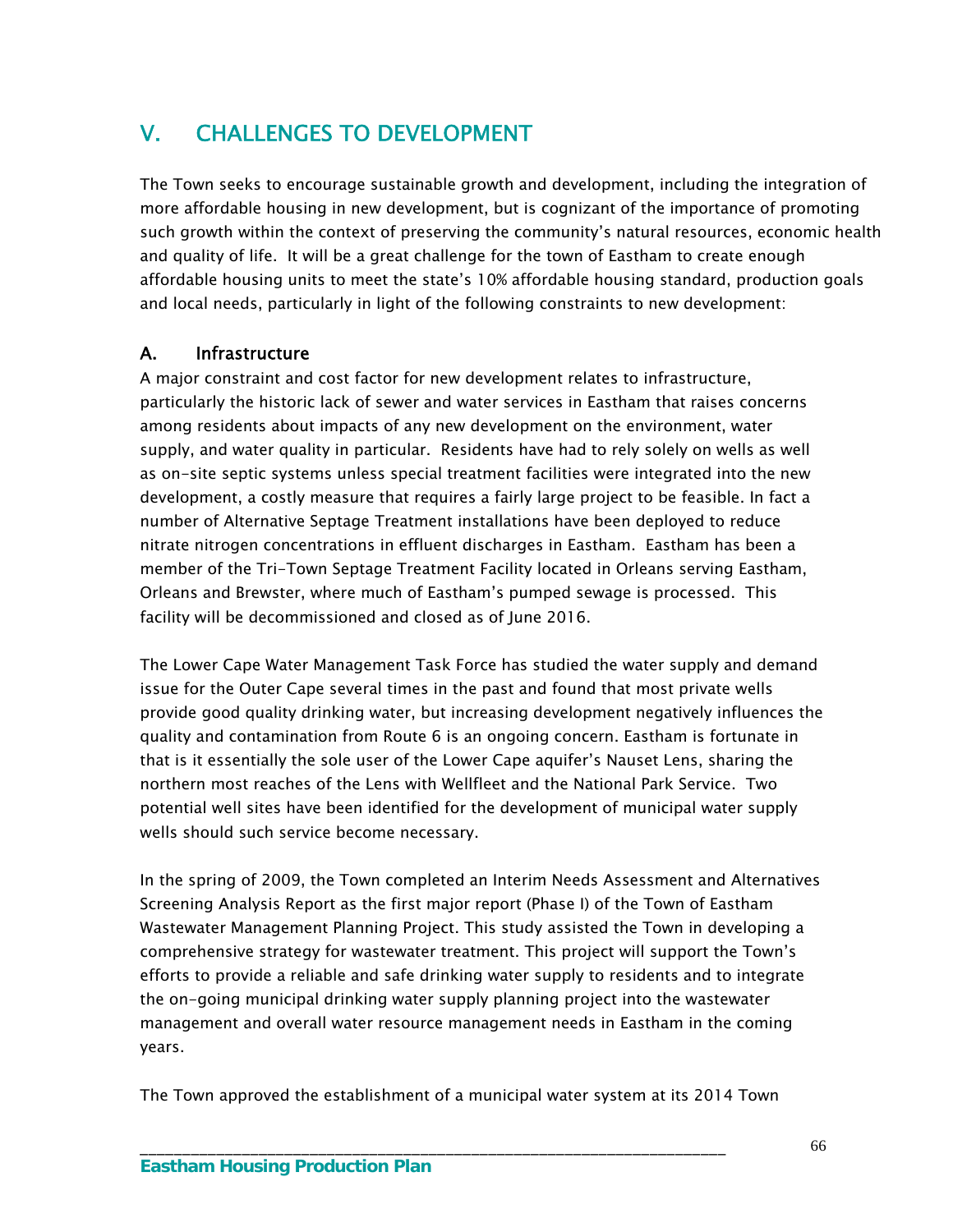# V. CHALLENGES TO DEVELOPMENT

The Town seeks to encourage sustainable growth and development, including the integration of more affordable housing in new development, but is cognizant of the importance of promoting such growth within the context of preserving the community's natural resources, economic health and quality of life. It will be a great challenge for the town of Eastham to create enough affordable housing units to meet the state's 10% affordable housing standard, production goals and local needs, particularly in light of the following constraints to new development:

## A. Infrastructure

A major constraint and cost factor for new development relates to infrastructure, particularly the historic lack of sewer and water services in Eastham that raises concerns among residents about impacts of any new development on the environment, water supply, and water quality in particular. Residents have had to rely solely on wells as well as on-site septic systems unless special treatment facilities were integrated into the new development, a costly measure that requires a fairly large project to be feasible. In fact a number of Alternative Septage Treatment installations have been deployed to reduce nitrate nitrogen concentrations in effluent discharges in Eastham. Eastham has been a member of the Tri-Town Septage Treatment Facility located in Orleans serving Eastham, Orleans and Brewster, where much of Eastham's pumped sewage is processed. This facility will be decommissioned and closed as of June 2016.

The Lower Cape Water Management Task Force has studied the water supply and demand issue for the Outer Cape several times in the past and found that most private wells provide good quality drinking water, but increasing development negatively influences the quality and contamination from Route 6 is an ongoing concern. Eastham is fortunate in that is it essentially the sole user of the Lower Cape aquifer's Nauset Lens, sharing the northern most reaches of the Lens with Wellfleet and the National Park Service. Two potential well sites have been identified for the development of municipal water supply wells should such service become necessary.

In the spring of 2009, the Town completed an Interim Needs Assessment and Alternatives Screening Analysis Report as the first major report (Phase I) of the Town of Eastham Wastewater Management Planning Project. This study assisted the Town in developing a comprehensive strategy for wastewater treatment. This project will support the Town's efforts to provide a reliable and safe drinking water supply to residents and to integrate the on-going municipal drinking water supply planning project into the wastewater management and overall water resource management needs in Eastham in the coming years.

The Town approved the establishment of a municipal water system at its 2014 Town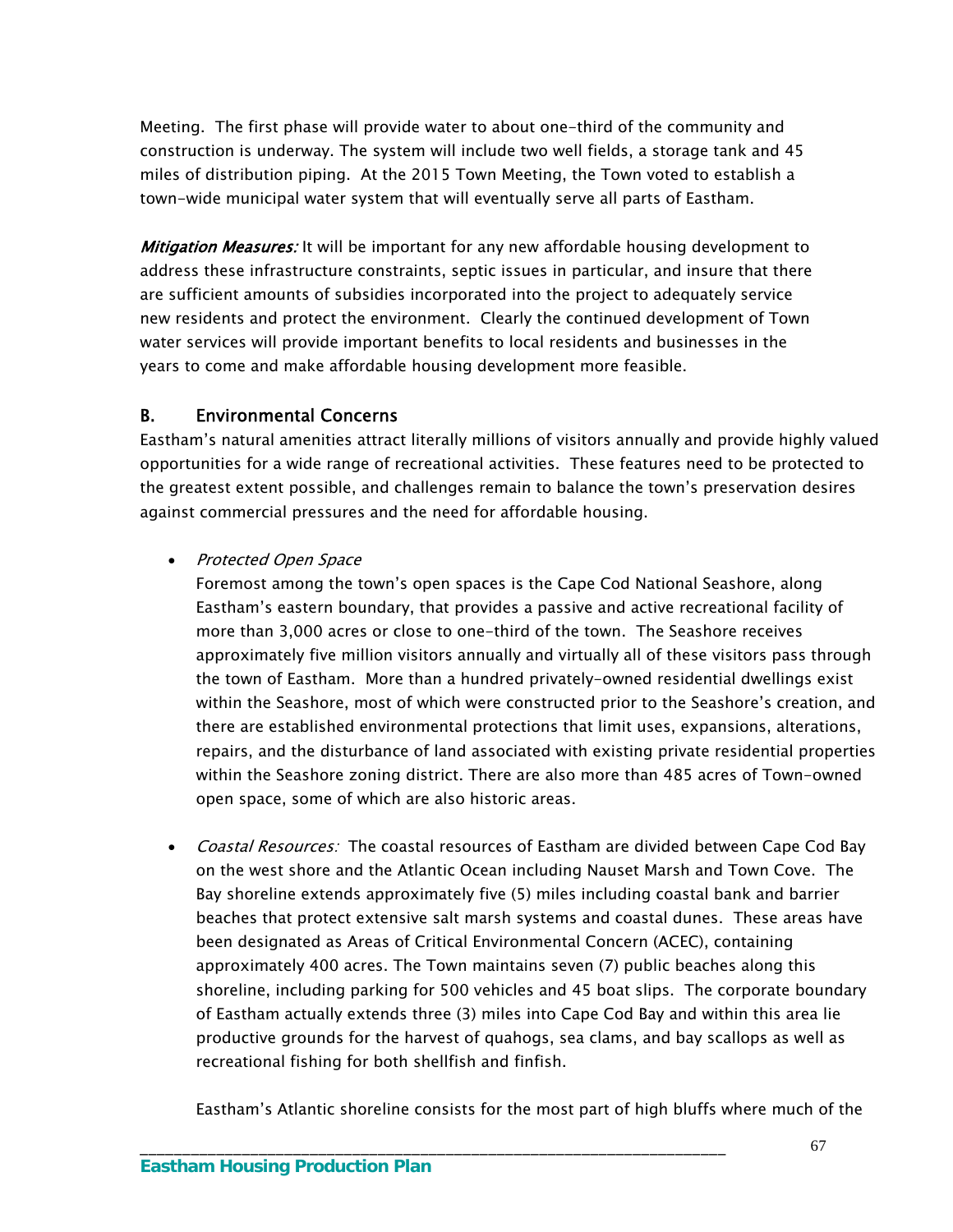Meeting. The first phase will provide water to about one-third of the community and construction is underway. The system will include two well fields, a storage tank and 45 miles of distribution piping. At the 2015 Town Meeting, the Town voted to establish a town-wide municipal water system that will eventually serve all parts of Eastham.

**Mitigation Measures:** It will be important for any new affordable housing development to address these infrastructure constraints, septic issues in particular, and insure that there are sufficient amounts of subsidies incorporated into the project to adequately service new residents and protect the environment. Clearly the continued development of Town water services will provide important benefits to local residents and businesses in the years to come and make affordable housing development more feasible.

## B. Environmental Concerns

Eastham's natural amenities attract literally millions of visitors annually and provide highly valued opportunities for a wide range of recreational activities. These features need to be protected to the greatest extent possible, and challenges remain to balance the town's preservation desires against commercial pressures and the need for affordable housing.

## • Protected Open Space

Foremost among the town's open spaces is the Cape Cod National Seashore, along Eastham's eastern boundary, that provides a passive and active recreational facility of more than 3,000 acres or close to one-third of the town. The Seashore receives approximately five million visitors annually and virtually all of these visitors pass through the town of Eastham. More than a hundred privately-owned residential dwellings exist within the Seashore, most of which were constructed prior to the Seashore's creation, and there are established environmental protections that limit uses, expansions, alterations, repairs, and the disturbance of land associated with existing private residential properties within the Seashore zoning district. There are also more than 485 acres of Town-owned open space, some of which are also historic areas.

• Coastal Resources: The coastal resources of Eastham are divided between Cape Cod Bay on the west shore and the Atlantic Ocean including Nauset Marsh and Town Cove. The Bay shoreline extends approximately five (5) miles including coastal bank and barrier beaches that protect extensive salt marsh systems and coastal dunes. These areas have been designated as Areas of Critical Environmental Concern (ACEC), containing approximately 400 acres. The Town maintains seven (7) public beaches along this shoreline, including parking for 500 vehicles and 45 boat slips. The corporate boundary of Eastham actually extends three (3) miles into Cape Cod Bay and within this area lie productive grounds for the harvest of quahogs, sea clams, and bay scallops as well as recreational fishing for both shellfish and finfish.

Eastham's Atlantic shoreline consists for the most part of high bluffs where much of the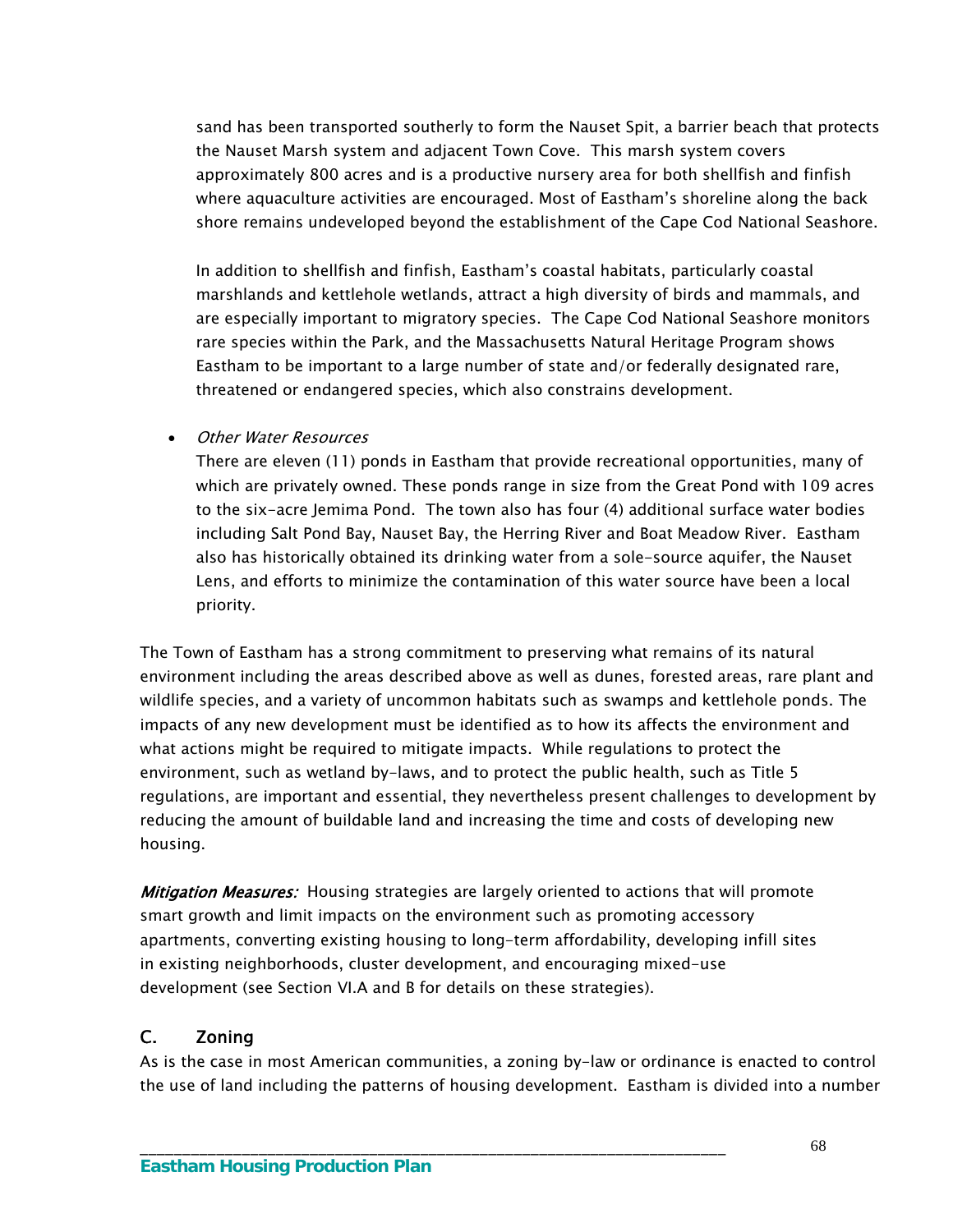sand has been transported southerly to form the Nauset Spit, a barrier beach that protects the Nauset Marsh system and adjacent Town Cove. This marsh system covers approximately 800 acres and is a productive nursery area for both shellfish and finfish where aquaculture activities are encouraged. Most of Eastham's shoreline along the back shore remains undeveloped beyond the establishment of the Cape Cod National Seashore.

In addition to shellfish and finfish, Eastham's coastal habitats, particularly coastal marshlands and kettlehole wetlands, attract a high diversity of birds and mammals, and are especially important to migratory species. The Cape Cod National Seashore monitors rare species within the Park, and the Massachusetts Natural Heritage Program shows Eastham to be important to a large number of state and/or federally designated rare, threatened or endangered species, which also constrains development.

Other Water Resources

There are eleven (11) ponds in Eastham that provide recreational opportunities, many of which are privately owned. These ponds range in size from the Great Pond with 109 acres to the six-acre Jemima Pond. The town also has four (4) additional surface water bodies including Salt Pond Bay, Nauset Bay, the Herring River and Boat Meadow River. Eastham also has historically obtained its drinking water from a sole-source aquifer, the Nauset Lens, and efforts to minimize the contamination of this water source have been a local priority.

The Town of Eastham has a strong commitment to preserving what remains of its natural environment including the areas described above as well as dunes, forested areas, rare plant and wildlife species, and a variety of uncommon habitats such as swamps and kettlehole ponds. The impacts of any new development must be identified as to how its affects the environment and what actions might be required to mitigate impacts. While regulations to protect the environment, such as wetland by-laws, and to protect the public health, such as Title 5 regulations, are important and essential, they nevertheless present challenges to development by reducing the amount of buildable land and increasing the time and costs of developing new housing.

Mitigation Measures: Housing strategies are largely oriented to actions that will promote smart growth and limit impacts on the environment such as promoting accessory apartments, converting existing housing to long-term affordability, developing infill sites in existing neighborhoods, cluster development, and encouraging mixed-use development (see Section VI.A and B for details on these strategies).

\_\_\_\_\_\_\_\_\_\_\_\_\_\_\_\_\_\_\_\_\_\_\_\_\_\_\_\_\_\_\_\_\_\_\_\_\_\_\_\_\_\_\_\_\_\_\_\_\_\_\_\_\_\_\_\_\_\_\_\_\_\_\_\_\_\_\_\_\_

# C. Zoning

As is the case in most American communities, a zoning by-law or ordinance is enacted to control the use of land including the patterns of housing development. Eastham is divided into a number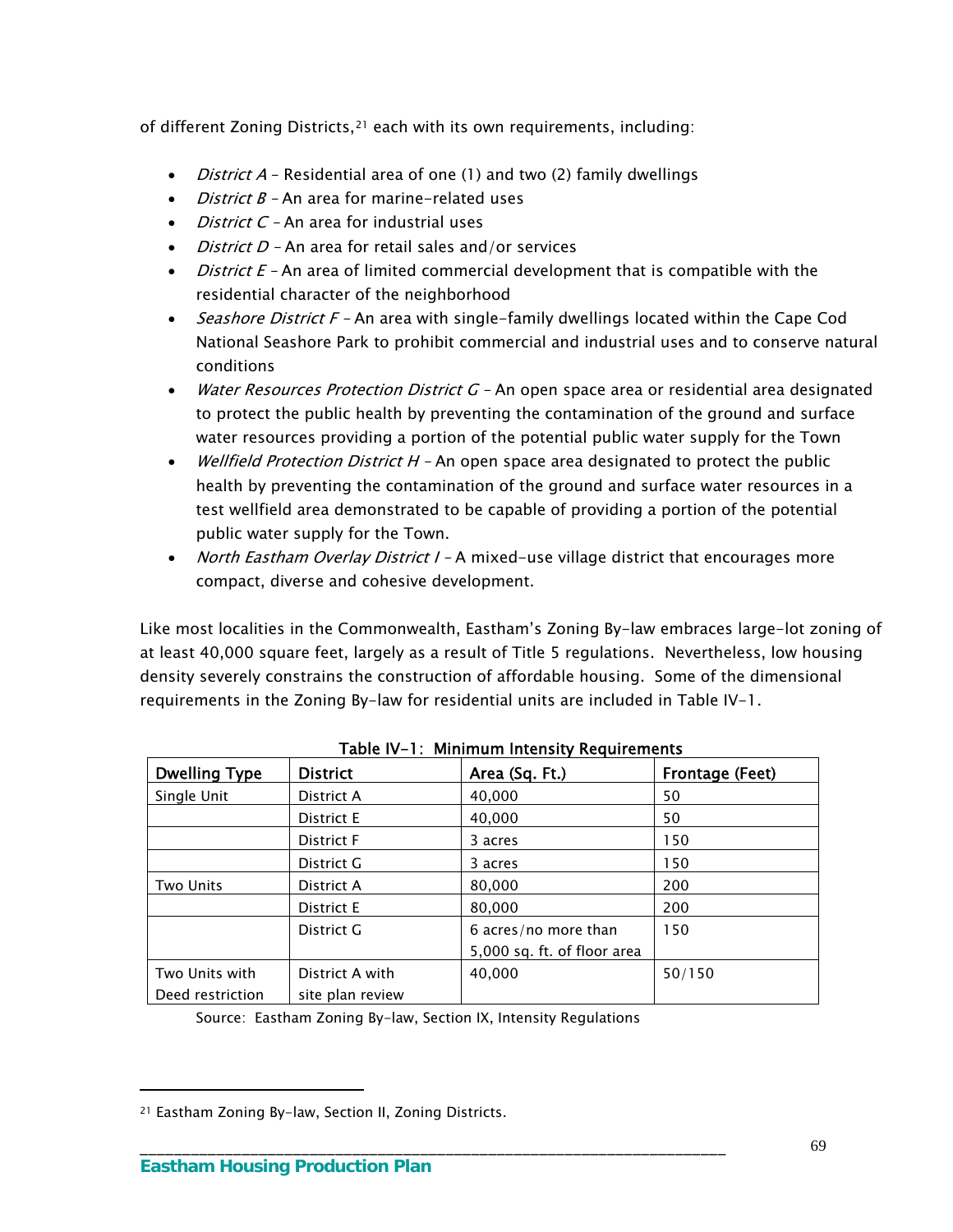of different Zoning Districts,[21](#page-72-0) each with its own requirements, including:

- *District A* Residential area of one (1) and two (2) family dwellings
- *District B -* An area for marine-related uses
- $\bullet$  *District C* An area for industrial uses
- $\bullet$  *District D -* An area for retail sales and/or services
- $\bullet$  *District E* An area of limited commercial development that is compatible with the residential character of the neighborhood
- *Seashore District F –* An area with single-family dwellings located within the Cape Cod National Seashore Park to prohibit commercial and industrial uses and to conserve natural conditions
- Water Resources Protection District G An open space area or residential area designated to protect the public health by preventing the contamination of the ground and surface water resources providing a portion of the potential public water supply for the Town
- Wellfield Protection District  $H$  An open space area designated to protect the public health by preventing the contamination of the ground and surface water resources in a test wellfield area demonstrated to be capable of providing a portion of the potential public water supply for the Town.
- North Eastham Overlay District I A mixed-use village district that encourages more compact, diverse and cohesive development.

Like most localities in the Commonwealth, Eastham's Zoning By-law embraces large-lot zoning of at least 40,000 square feet, largely as a result of Title 5 regulations. Nevertheless, low housing density severely constrains the construction of affordable housing. Some of the dimensional requirements in the Zoning By-law for residential units are included in Table IV-1.

| <b>Dwelling Type</b> | <b>District</b>  | Area (Sq. Ft.)              | Frontage (Feet) |
|----------------------|------------------|-----------------------------|-----------------|
| Single Unit          | District A       | 40,000                      | 50              |
|                      | District E       | 40,000                      | 50              |
|                      | District F       | 3 acres                     | 150             |
|                      | District G       | 3 acres                     | 150             |
| <b>Two Units</b>     | District A       | 80,000                      | 200             |
|                      | District E       | 80,000                      | 200             |
|                      | District G       | 6 acres/no more than        | 150             |
|                      |                  | 5,000 sq. ft. of floor area |                 |
| Two Units with       | District A with  | 40,000                      | 50/150          |
| Deed restriction     | site plan review |                             |                 |

| Table IV-1: Minimum Intensity Requirements |  |  |
|--------------------------------------------|--|--|
|                                            |  |  |

Source: Eastham Zoning By-law, Section IX, Intensity Regulations

\_\_\_\_\_\_\_\_\_\_\_\_\_\_\_\_\_\_\_\_\_\_\_\_\_\_\_\_\_\_\_\_\_\_\_\_\_\_\_\_\_\_\_\_\_\_\_\_\_\_\_\_\_\_\_\_\_\_\_\_\_\_\_\_\_\_\_\_\_

<span id="page-72-0"></span><sup>21</sup> Eastham Zoning By-law, Section II, Zoning Districts.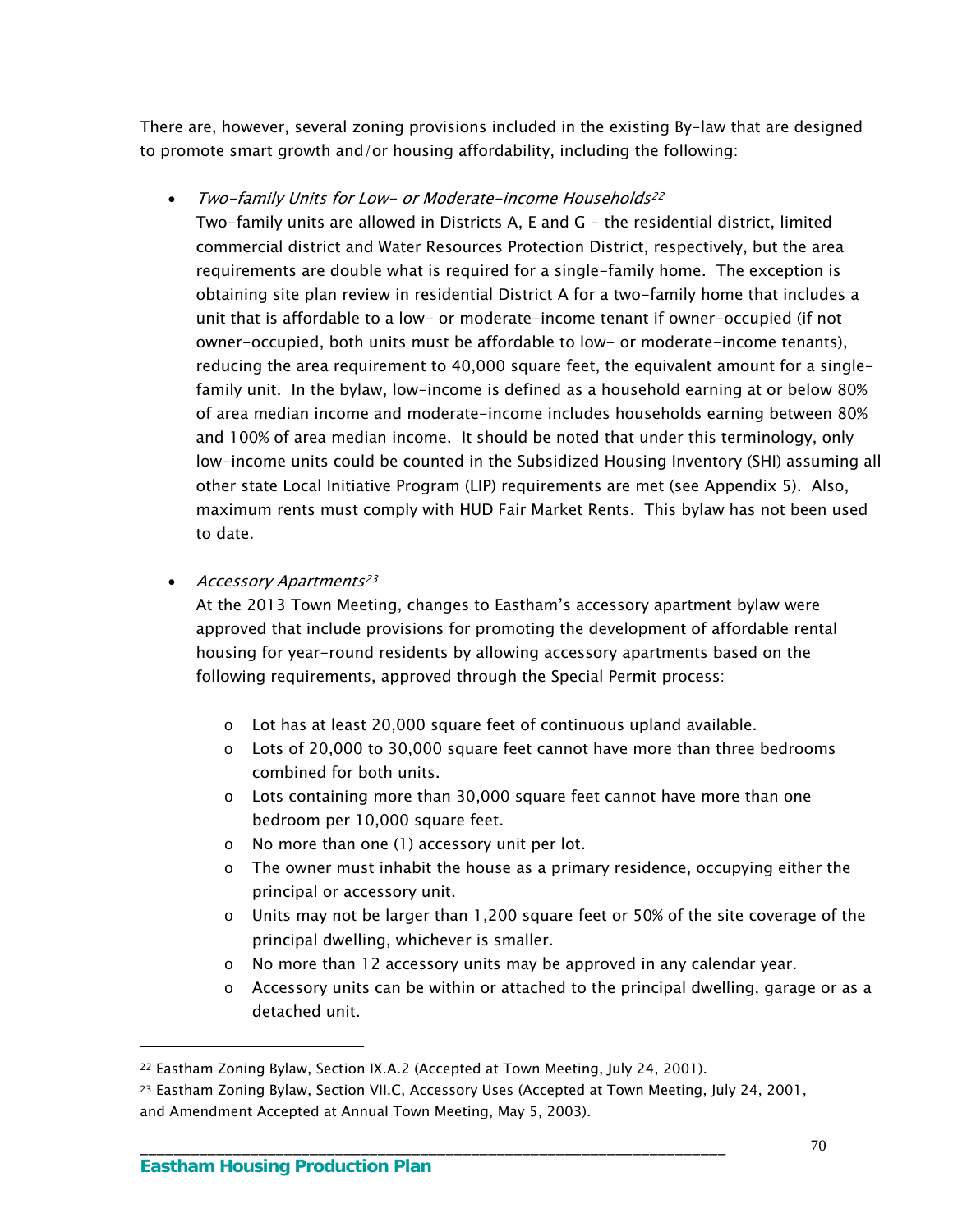There are, however, several zoning provisions included in the existing By-law that are designed to promote smart growth and/or housing affordability, including the following:

• Two-family Units for Low- or Moderate-income Households<sup>[22](#page-73-0)</sup>

Two-family units are allowed in Districts A, E and G - the residential district, limited commercial district and Water Resources Protection District, respectively, but the area requirements are double what is required for a single-family home. The exception is obtaining site plan review in residential District A for a two-family home that includes a unit that is affordable to a low- or moderate-income tenant if owner-occupied (if not owner-occupied, both units must be affordable to low- or moderate-income tenants), reducing the area requirement to 40,000 square feet, the equivalent amount for a singlefamily unit. In the bylaw, low-income is defined as a household earning at or below 80% of area median income and moderate-income includes households earning between 80% and 100% of area median income. It should be noted that under this terminology, only low-income units could be counted in the Subsidized Housing Inventory (SHI) assuming all other state Local Initiative Program (LIP) requirements are met (see Appendix 5). Also, maximum rents must comply with HUD Fair Market Rents. This bylaw has not been used to date.

• Accessory Apartments<sup>[23](#page-73-1)</sup>

At the 2013 Town Meeting, changes to Eastham's accessory apartment bylaw were approved that include provisions for promoting the development of affordable rental housing for year-round residents by allowing accessory apartments based on the following requirements, approved through the Special Permit process:

- o Lot has at least 20,000 square feet of continuous upland available.
- o Lots of 20,000 to 30,000 square feet cannot have more than three bedrooms combined for both units.
- $\circ$  Lots containing more than 30,000 square feet cannot have more than one bedroom per 10,000 square feet.
- o No more than one (1) accessory unit per lot.
- o The owner must inhabit the house as a primary residence, occupying either the principal or accessory unit.
- o Units may not be larger than 1,200 square feet or 50% of the site coverage of the principal dwelling, whichever is smaller.
- $\circ$  No more than 12 accessory units may be approved in any calendar year.
- $\circ$  Accessory units can be within or attached to the principal dwelling, garage or as a detached unit.

\_\_\_\_\_\_\_\_\_\_\_\_\_\_\_\_\_\_\_\_\_\_\_\_\_\_\_\_\_\_\_\_\_\_\_\_\_\_\_\_\_\_\_\_\_\_\_\_\_\_\_\_\_\_\_\_\_\_\_\_\_\_\_\_\_\_\_\_\_

<span id="page-73-0"></span><sup>22</sup> Eastham Zoning Bylaw, Section IX.A.2 (Accepted at Town Meeting, July 24, 2001).

<span id="page-73-1"></span><sup>23</sup> Eastham Zoning Bylaw, Section VII.C, Accessory Uses (Accepted at Town Meeting, July 24, 2001, and Amendment Accepted at Annual Town Meeting, May 5, 2003).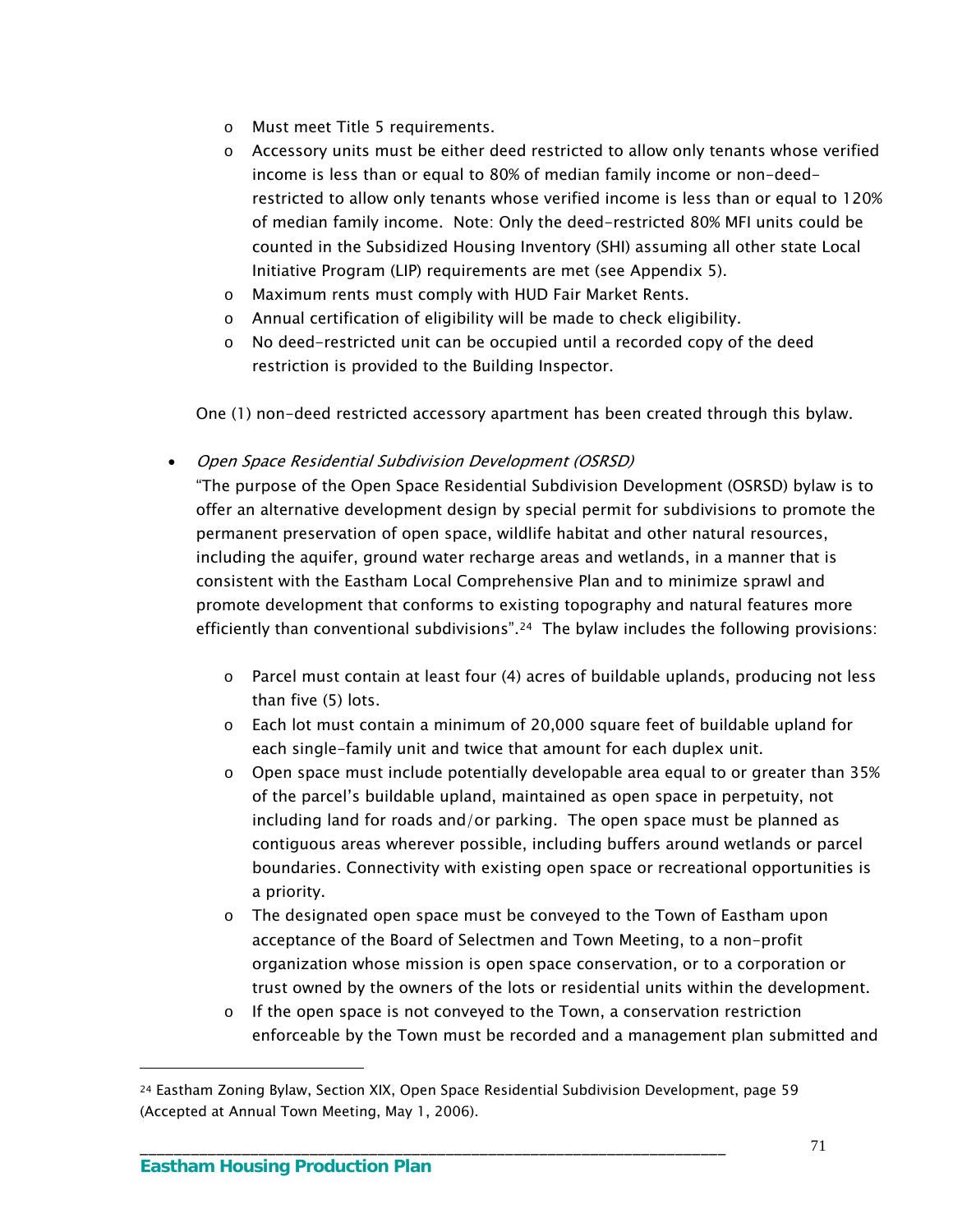- o Must meet Title 5 requirements.
- $\circ$  Accessory units must be either deed restricted to allow only tenants whose verified income is less than or equal to 80% of median family income or non-deedrestricted to allow only tenants whose verified income is less than or equal to 120% of median family income. Note: Only the deed-restricted 80% MFI units could be counted in the Subsidized Housing Inventory (SHI) assuming all other state Local Initiative Program (LIP) requirements are met (see Appendix 5).
- o Maximum rents must comply with HUD Fair Market Rents.
- o Annual certification of eligibility will be made to check eligibility.
- o No deed-restricted unit can be occupied until a recorded copy of the deed restriction is provided to the Building Inspector.

One (1) non-deed restricted accessory apartment has been created through this bylaw.

Open Space Residential Subdivision Development (OSRSD)

"The purpose of the Open Space Residential Subdivision Development (OSRSD) bylaw is to offer an alternative development design by special permit for subdivisions to promote the permanent preservation of open space, wildlife habitat and other natural resources, including the aquifer, ground water recharge areas and wetlands, in a manner that is consistent with the Eastham Local Comprehensive Plan and to minimize sprawl and promote development that conforms to existing topography and natural features more efficiently than conventional subdivisions".[24](#page-74-0) The bylaw includes the following provisions:

- $\circ$  Parcel must contain at least four (4) acres of buildable uplands, producing not less than five (5) lots.
- o Each lot must contain a minimum of 20,000 square feet of buildable upland for each single-family unit and twice that amount for each duplex unit.
- $\circ$  Open space must include potentially developable area equal to or greater than 35% of the parcel's buildable upland, maintained as open space in perpetuity, not including land for roads and/or parking. The open space must be planned as contiguous areas wherever possible, including buffers around wetlands or parcel boundaries. Connectivity with existing open space or recreational opportunities is a priority.
- o The designated open space must be conveyed to the Town of Eastham upon acceptance of the Board of Selectmen and Town Meeting, to a non-profit organization whose mission is open space conservation, or to a corporation or trust owned by the owners of the lots or residential units within the development.
- $\circ$  If the open space is not conveyed to the Town, a conservation restriction enforceable by the Town must be recorded and a management plan submitted and

\_\_\_\_\_\_\_\_\_\_\_\_\_\_\_\_\_\_\_\_\_\_\_\_\_\_\_\_\_\_\_\_\_\_\_\_\_\_\_\_\_\_\_\_\_\_\_\_\_\_\_\_\_\_\_\_\_\_\_\_\_\_\_\_\_\_\_\_\_

<span id="page-74-0"></span><sup>24</sup> Eastham Zoning Bylaw, Section XIX, Open Space Residential Subdivision Development, page 59 (Accepted at Annual Town Meeting, May 1, 2006).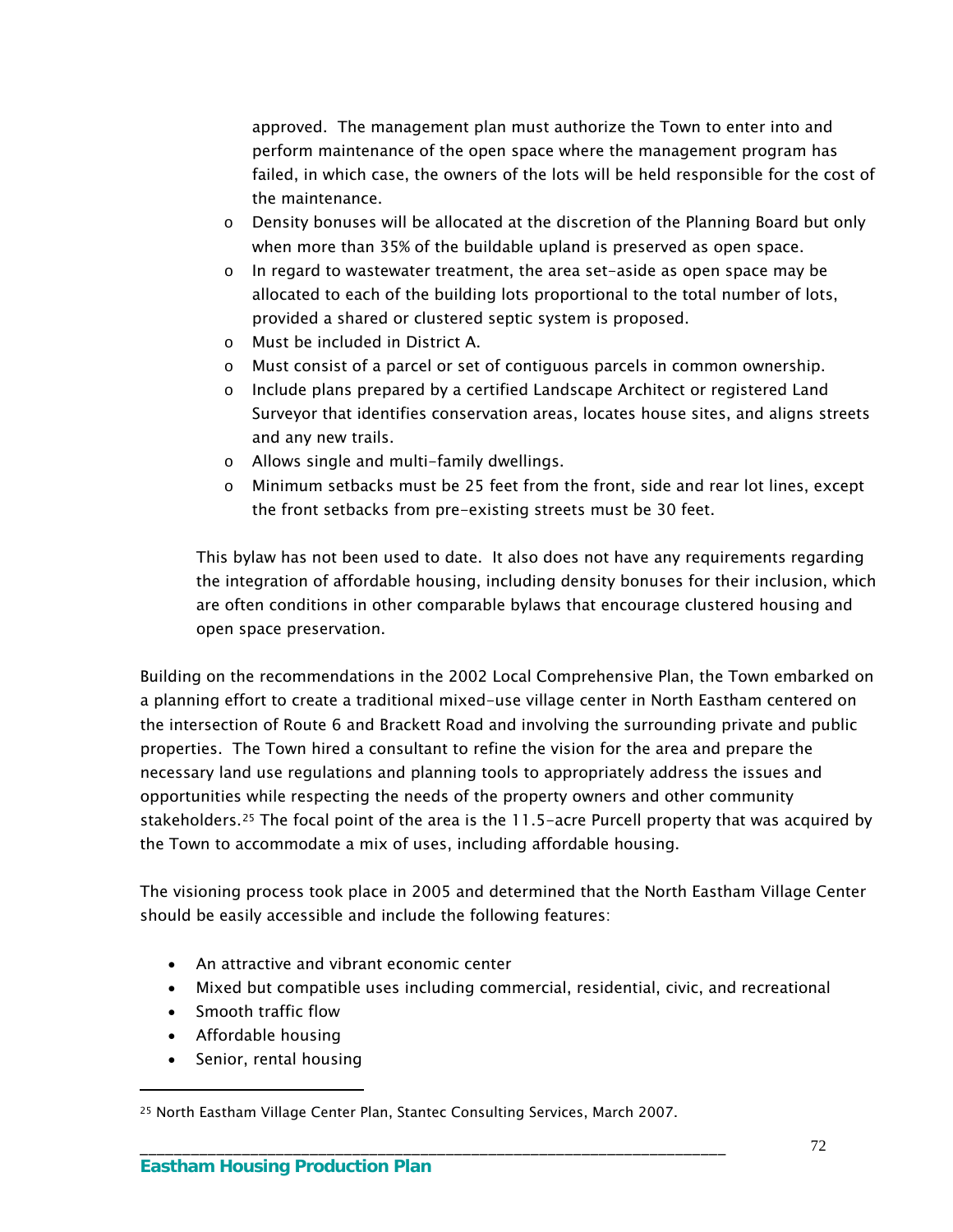approved. The management plan must authorize the Town to enter into and perform maintenance of the open space where the management program has failed, in which case, the owners of the lots will be held responsible for the cost of the maintenance.

- o Density bonuses will be allocated at the discretion of the Planning Board but only when more than 35% of the buildable upland is preserved as open space.
- o In regard to wastewater treatment, the area set-aside as open space may be allocated to each of the building lots proportional to the total number of lots, provided a shared or clustered septic system is proposed.
- o Must be included in District A.
- o Must consist of a parcel or set of contiguous parcels in common ownership.
- o Include plans prepared by a certified Landscape Architect or registered Land Surveyor that identifies conservation areas, locates house sites, and aligns streets and any new trails.
- o Allows single and multi-family dwellings.
- o Minimum setbacks must be 25 feet from the front, side and rear lot lines, except the front setbacks from pre-existing streets must be 30 feet.

This bylaw has not been used to date. It also does not have any requirements regarding the integration of affordable housing, including density bonuses for their inclusion, which are often conditions in other comparable bylaws that encourage clustered housing and open space preservation.

Building on the recommendations in the 2002 Local Comprehensive Plan, the Town embarked on a planning effort to create a traditional mixed-use village center in North Eastham centered on the intersection of Route 6 and Brackett Road and involving the surrounding private and public properties. The Town hired a consultant to refine the vision for the area and prepare the necessary land use regulations and planning tools to appropriately address the issues and opportunities while respecting the needs of the property owners and other community stakeholders.[25](#page-75-0) The focal point of the area is the 11.5-acre Purcell property that was acquired by the Town to accommodate a mix of uses, including affordable housing.

The visioning process took place in 2005 and determined that the North Eastham Village Center should be easily accessible and include the following features:

- An attractive and vibrant economic center
- Mixed but compatible uses including commercial, residential, civic, and recreational
- Smooth traffic flow
- Affordable housing

 $\overline{a}$ 

• Senior, rental housing

<span id="page-75-0"></span><sup>25</sup> North Eastham Village Center Plan, Stantec Consulting Services, March 2007.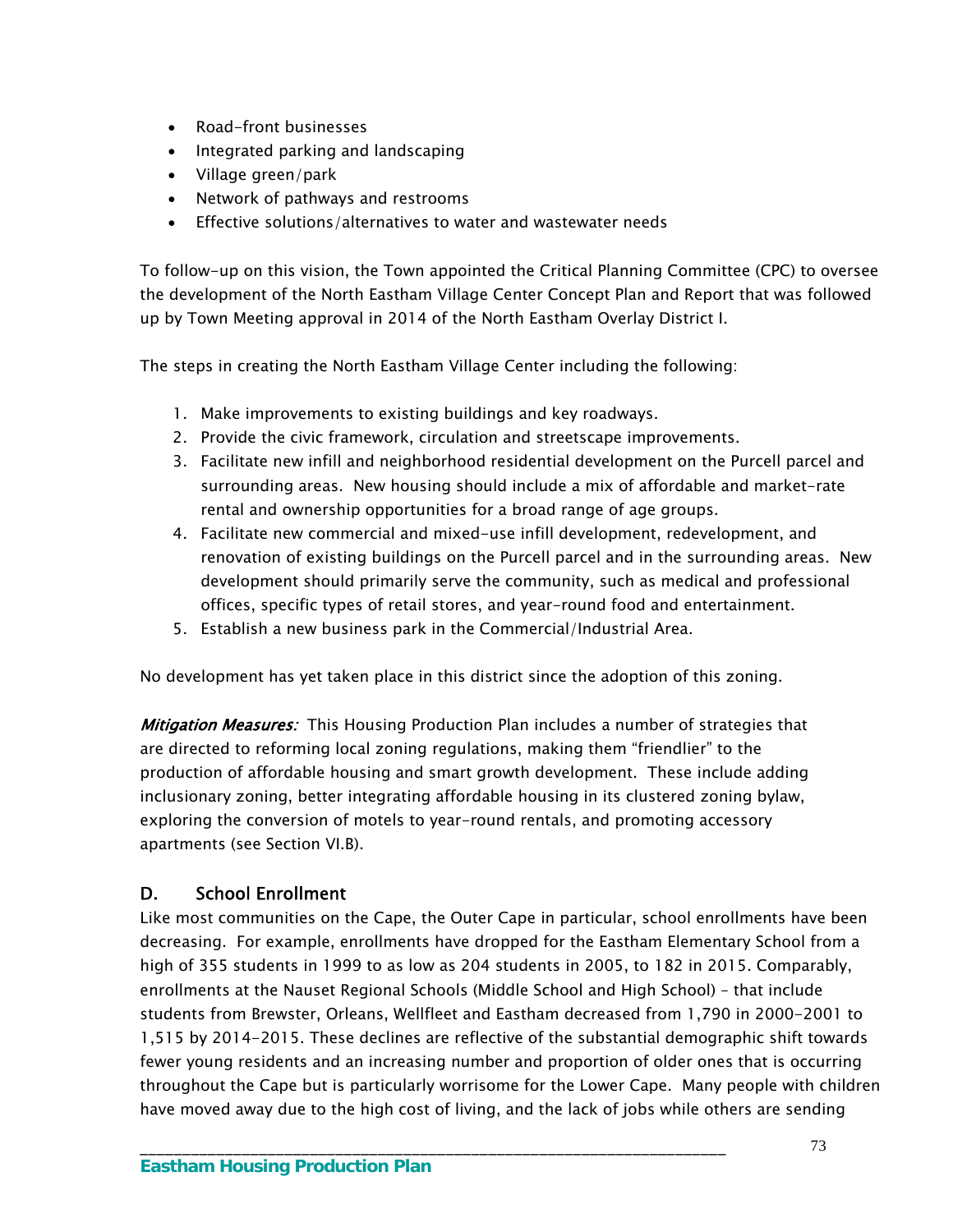- Road-front businesses
- Integrated parking and landscaping
- Village green/park
- Network of pathways and restrooms
- Effective solutions/alternatives to water and wastewater needs

To follow-up on this vision, the Town appointed the Critical Planning Committee (CPC) to oversee the development of the North Eastham Village Center Concept Plan and Report that was followed up by Town Meeting approval in 2014 of the North Eastham Overlay District I.

The steps in creating the North Eastham Village Center including the following:

- 1. Make improvements to existing buildings and key roadways.
- 2. Provide the civic framework, circulation and streetscape improvements.
- 3. Facilitate new infill and neighborhood residential development on the Purcell parcel and surrounding areas. New housing should include a mix of affordable and market-rate rental and ownership opportunities for a broad range of age groups.
- 4. Facilitate new commercial and mixed-use infill development, redevelopment, and renovation of existing buildings on the Purcell parcel and in the surrounding areas. New development should primarily serve the community, such as medical and professional offices, specific types of retail stores, and year-round food and entertainment.
- 5. Establish a new business park in the Commercial/Industrial Area.

No development has yet taken place in this district since the adoption of this zoning.

Mitigation Measures: This Housing Production Plan includes a number of strategies that are directed to reforming local zoning regulations, making them "friendlier" to the production of affordable housing and smart growth development. These include adding inclusionary zoning, better integrating affordable housing in its clustered zoning bylaw, exploring the conversion of motels to year-round rentals, and promoting accessory apartments (see Section VI.B).

## D. School Enrollment

Like most communities on the Cape, the Outer Cape in particular, school enrollments have been decreasing. For example, enrollments have dropped for the Eastham Elementary School from a high of 355 students in 1999 to as low as 204 students in 2005, to 182 in 2015. Comparably, enrollments at the Nauset Regional Schools (Middle School and High School) – that include students from Brewster, Orleans, Wellfleet and Eastham decreased from 1,790 in 2000-2001 to 1,515 by 2014-2015. These declines are reflective of the substantial demographic shift towards fewer young residents and an increasing number and proportion of older ones that is occurring throughout the Cape but is particularly worrisome for the Lower Cape. Many people with children have moved away due to the high cost of living, and the lack of jobs while others are sending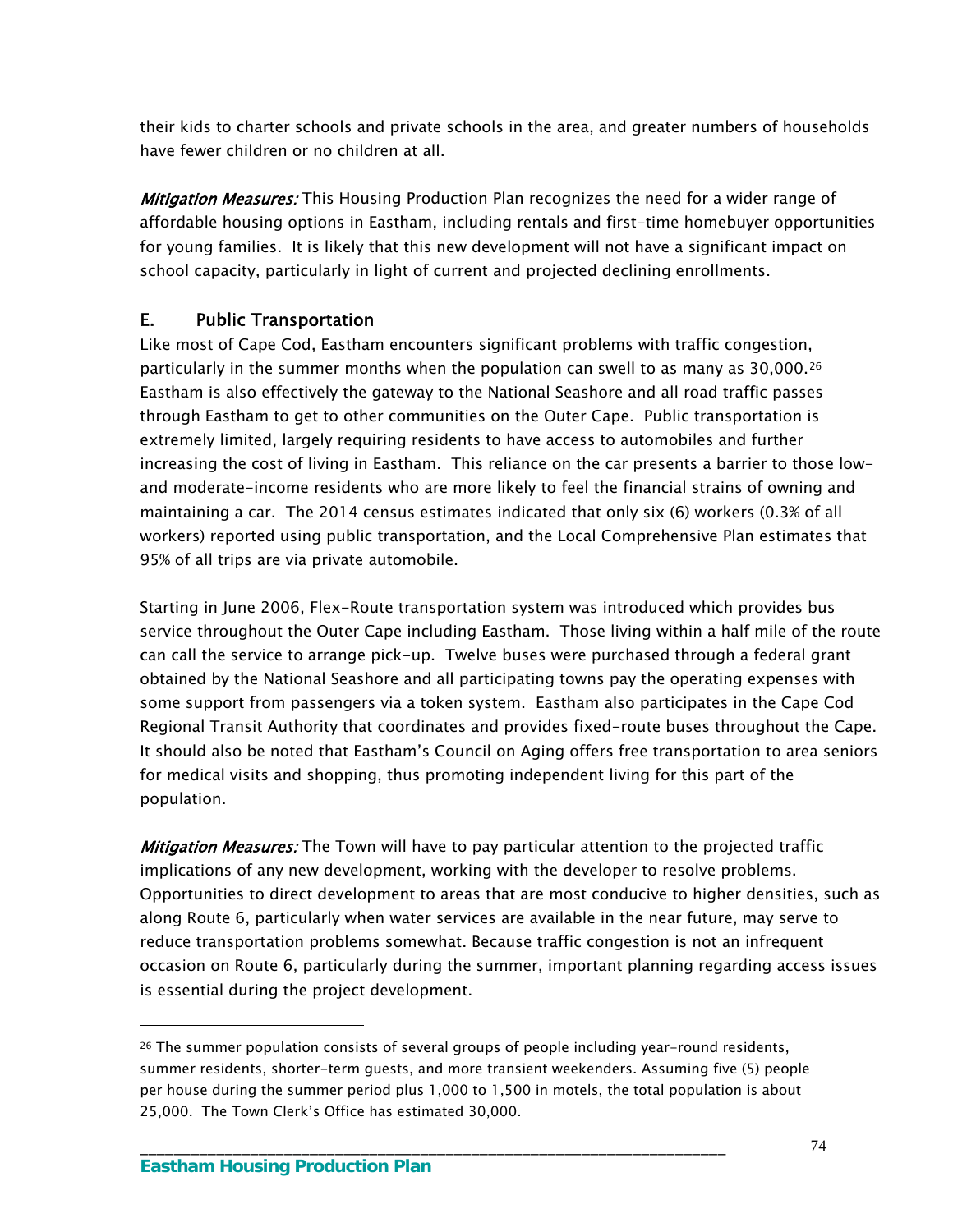their kids to charter schools and private schools in the area, and greater numbers of households have fewer children or no children at all.

**Mitigation Measures:** This Housing Production Plan recognizes the need for a wider range of affordable housing options in Eastham, including rentals and first-time homebuyer opportunities for young families. It is likely that this new development will not have a significant impact on school capacity, particularly in light of current and projected declining enrollments.

## E. Public Transportation

Like most of Cape Cod, Eastham encounters significant problems with traffic congestion, particularly in the summer months when the population can swell to as many as 30,000.[26](#page-77-0) Eastham is also effectively the gateway to the National Seashore and all road traffic passes through Eastham to get to other communities on the Outer Cape. Public transportation is extremely limited, largely requiring residents to have access to automobiles and further increasing the cost of living in Eastham. This reliance on the car presents a barrier to those lowand moderate-income residents who are more likely to feel the financial strains of owning and maintaining a car. The 2014 census estimates indicated that only six (6) workers (0.3% of all workers) reported using public transportation, and the Local Comprehensive Plan estimates that 95% of all trips are via private automobile.

Starting in June 2006, Flex-Route transportation system was introduced which provides bus service throughout the Outer Cape including Eastham. Those living within a half mile of the route can call the service to arrange pick-up. Twelve buses were purchased through a federal grant obtained by the National Seashore and all participating towns pay the operating expenses with some support from passengers via a token system. Eastham also participates in the Cape Cod Regional Transit Authority that coordinates and provides fixed-route buses throughout the Cape. It should also be noted that Eastham's Council on Aging offers free transportation to area seniors for medical visits and shopping, thus promoting independent living for this part of the population.

**Mitigation Measures:** The Town will have to pay particular attention to the projected traffic implications of any new development, working with the developer to resolve problems. Opportunities to direct development to areas that are most conducive to higher densities, such as along Route 6, particularly when water services are available in the near future, may serve to reduce transportation problems somewhat. Because traffic congestion is not an infrequent occasion on Route 6, particularly during the summer, important planning regarding access issues is essential during the project development.

\_\_\_\_\_\_\_\_\_\_\_\_\_\_\_\_\_\_\_\_\_\_\_\_\_\_\_\_\_\_\_\_\_\_\_\_\_\_\_\_\_\_\_\_\_\_\_\_\_\_\_\_\_\_\_\_\_\_\_\_\_\_\_\_\_\_\_\_\_

<span id="page-77-0"></span><sup>26</sup> The summer population consists of several groups of people including year-round residents, summer residents, shorter-term guests, and more transient weekenders. Assuming five (5) people per house during the summer period plus 1,000 to 1,500 in motels, the total population is about 25,000. The Town Clerk's Office has estimated 30,000.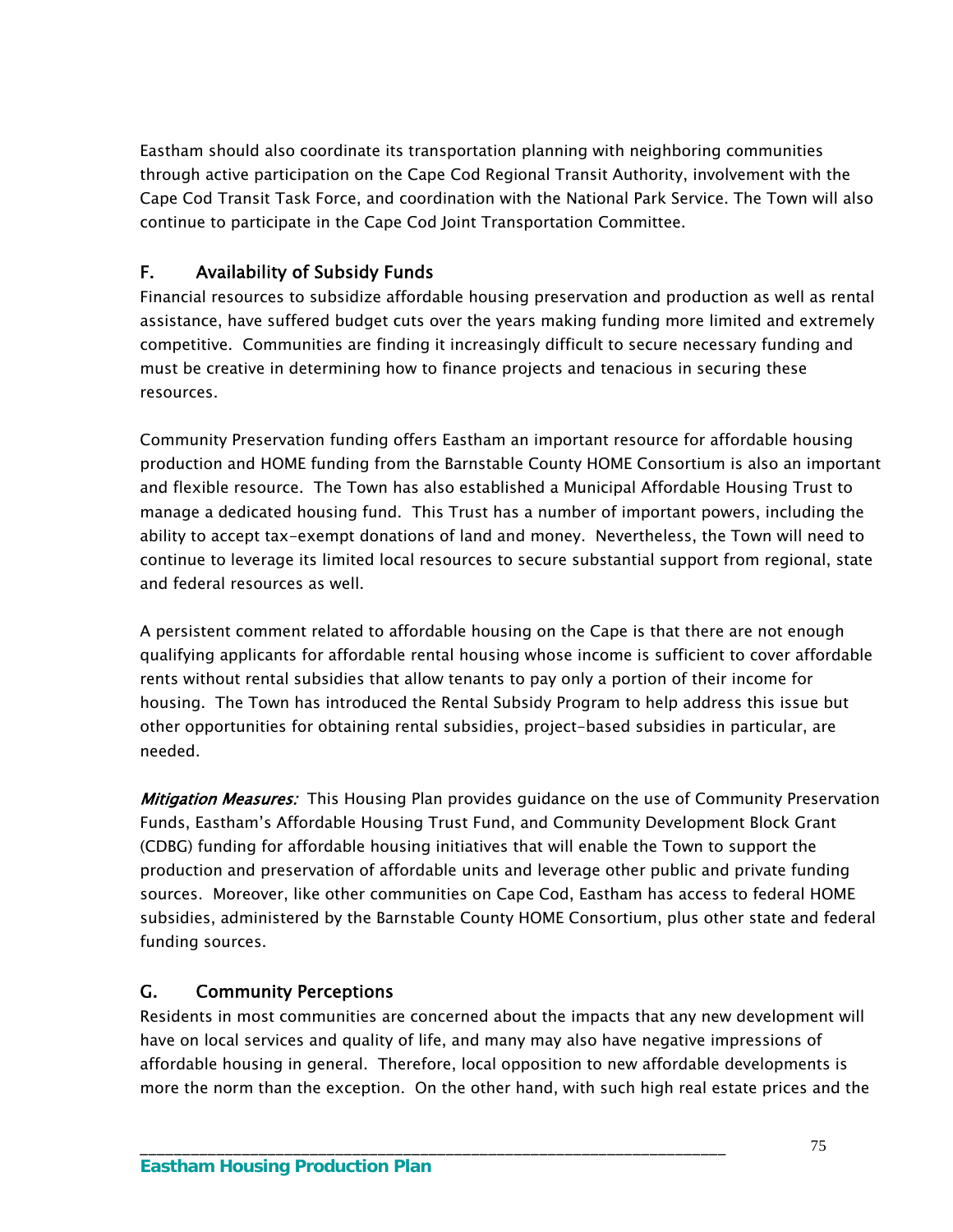Eastham should also coordinate its transportation planning with neighboring communities through active participation on the Cape Cod Regional Transit Authority, involvement with the Cape Cod Transit Task Force, and coordination with the National Park Service. The Town will also continue to participate in the Cape Cod Joint Transportation Committee.

## F. Availability of Subsidy Funds

Financial resources to subsidize affordable housing preservation and production as well as rental assistance, have suffered budget cuts over the years making funding more limited and extremely competitive. Communities are finding it increasingly difficult to secure necessary funding and must be creative in determining how to finance projects and tenacious in securing these resources.

Community Preservation funding offers Eastham an important resource for affordable housing production and HOME funding from the Barnstable County HOME Consortium is also an important and flexible resource. The Town has also established a Municipal Affordable Housing Trust to manage a dedicated housing fund. This Trust has a number of important powers, including the ability to accept tax-exempt donations of land and money. Nevertheless, the Town will need to continue to leverage its limited local resources to secure substantial support from regional, state and federal resources as well.

A persistent comment related to affordable housing on the Cape is that there are not enough qualifying applicants for affordable rental housing whose income is sufficient to cover affordable rents without rental subsidies that allow tenants to pay only a portion of their income for housing. The Town has introduced the Rental Subsidy Program to help address this issue but other opportunities for obtaining rental subsidies, project-based subsidies in particular, are needed.

Mitigation Measures: This Housing Plan provides guidance on the use of Community Preservation Funds, Eastham's Affordable Housing Trust Fund, and Community Development Block Grant (CDBG) funding for affordable housing initiatives that will enable the Town to support the production and preservation of affordable units and leverage other public and private funding sources. Moreover, like other communities on Cape Cod, Eastham has access to federal HOME subsidies, administered by the Barnstable County HOME Consortium, plus other state and federal funding sources.

## G. Community Perceptions

Residents in most communities are concerned about the impacts that any new development will have on local services and quality of life, and many may also have negative impressions of affordable housing in general. Therefore, local opposition to new affordable developments is more the norm than the exception. On the other hand, with such high real estate prices and the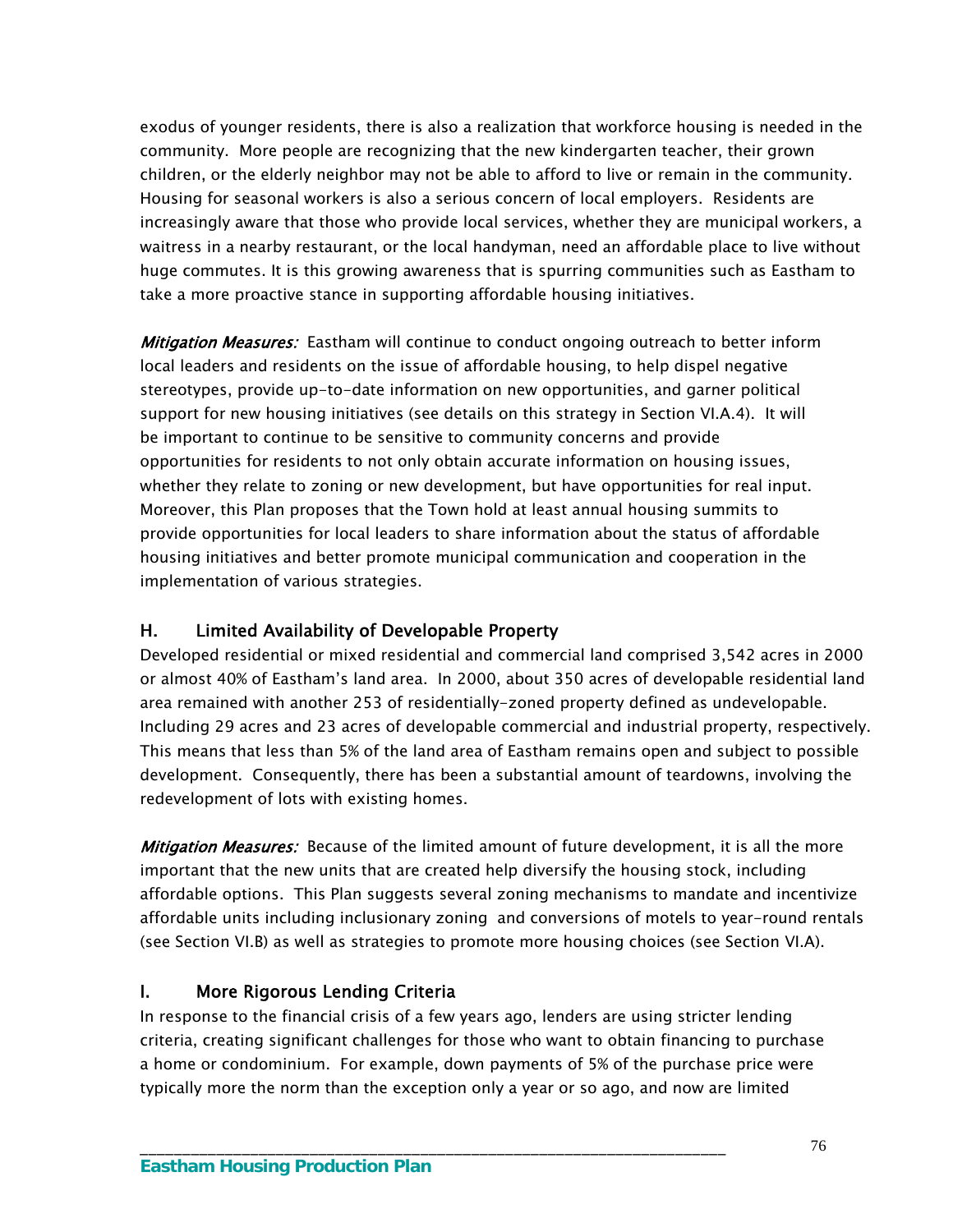exodus of younger residents, there is also a realization that workforce housing is needed in the community. More people are recognizing that the new kindergarten teacher, their grown children, or the elderly neighbor may not be able to afford to live or remain in the community. Housing for seasonal workers is also a serious concern of local employers. Residents are increasingly aware that those who provide local services, whether they are municipal workers, a waitress in a nearby restaurant, or the local handyman, need an affordable place to live without huge commutes. It is this growing awareness that is spurring communities such as Eastham to take a more proactive stance in supporting affordable housing initiatives.

Mitigation Measures: Eastham will continue to conduct ongoing outreach to better inform local leaders and residents on the issue of affordable housing, to help dispel negative stereotypes, provide up-to-date information on new opportunities, and garner political support for new housing initiatives (see details on this strategy in Section VI.A.4). It will be important to continue to be sensitive to community concerns and provide opportunities for residents to not only obtain accurate information on housing issues, whether they relate to zoning or new development, but have opportunities for real input. Moreover, this Plan proposes that the Town hold at least annual housing summits to provide opportunities for local leaders to share information about the status of affordable housing initiatives and better promote municipal communication and cooperation in the implementation of various strategies.

### H. Limited Availability of Developable Property

Developed residential or mixed residential and commercial land comprised 3,542 acres in 2000 or almost 40% of Eastham's land area. In 2000, about 350 acres of developable residential land area remained with another 253 of residentially-zoned property defined as undevelopable. Including 29 acres and 23 acres of developable commercial and industrial property, respectively. This means that less than 5% of the land area of Eastham remains open and subject to possible development. Consequently, there has been a substantial amount of teardowns, involving the redevelopment of lots with existing homes.

Mitigation Measures: Because of the limited amount of future development, it is all the more important that the new units that are created help diversify the housing stock, including affordable options. This Plan suggests several zoning mechanisms to mandate and incentivize affordable units including inclusionary zoning and conversions of motels to year-round rentals (see Section VI.B) as well as strategies to promote more housing choices (see Section VI.A).

### I. More Rigorous Lending Criteria

In response to the financial crisis of a few years ago, lenders are using stricter lending criteria, creating significant challenges for those who want to obtain financing to purchase a home or condominium. For example, down payments of 5% of the purchase price were typically more the norm than the exception only a year or so ago, and now are limited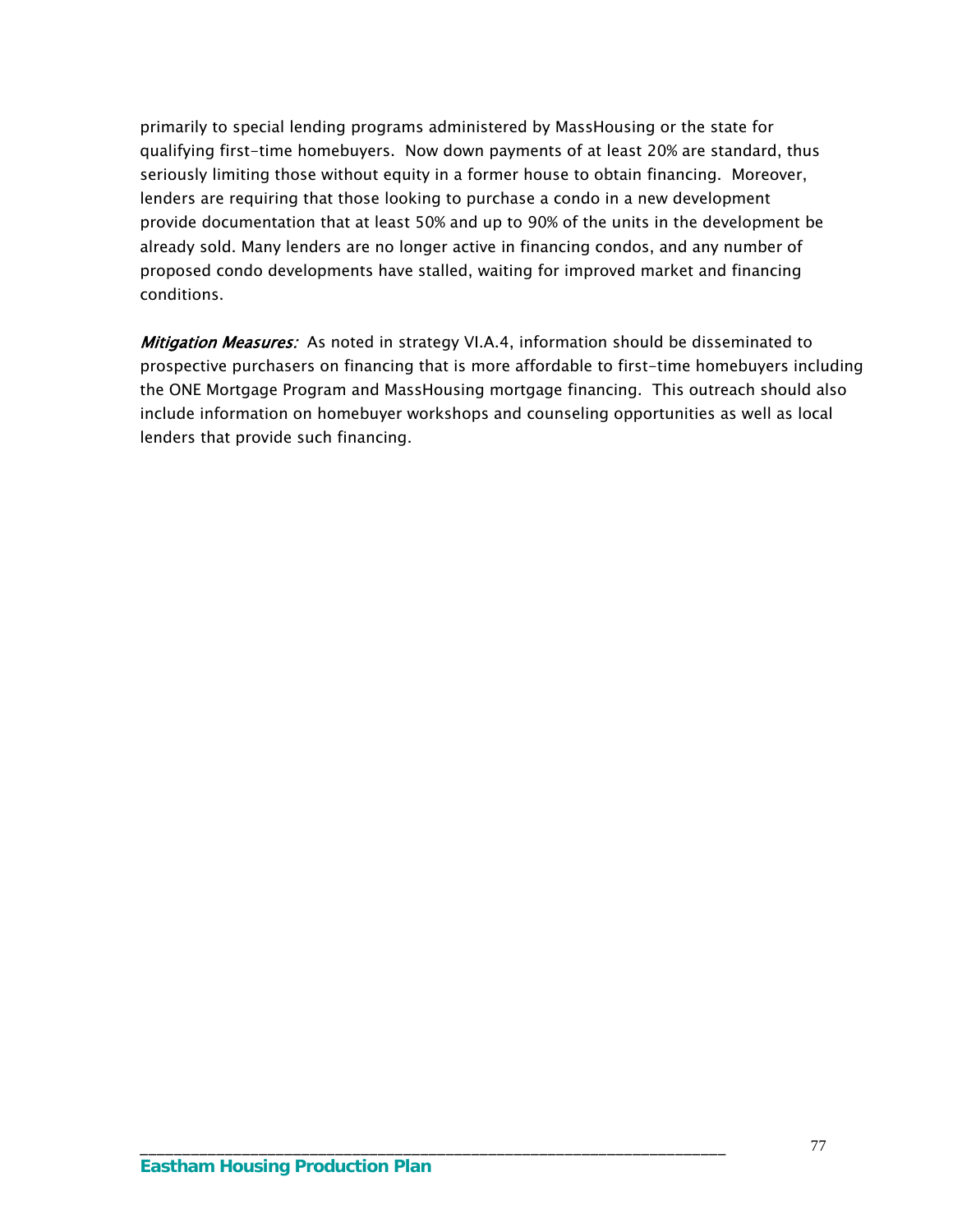primarily to special lending programs administered by MassHousing or the state for qualifying first-time homebuyers. Now down payments of at least 20% are standard, thus seriously limiting those without equity in a former house to obtain financing. Moreover, lenders are requiring that those looking to purchase a condo in a new development provide documentation that at least 50% and up to 90% of the units in the development be already sold. Many lenders are no longer active in financing condos, and any number of proposed condo developments have stalled, waiting for improved market and financing conditions.

Mitigation Measures: As noted in strategy VI.A.4, information should be disseminated to prospective purchasers on financing that is more affordable to first-time homebuyers including the ONE Mortgage Program and MassHousing mortgage financing. This outreach should also include information on homebuyer workshops and counseling opportunities as well as local lenders that provide such financing.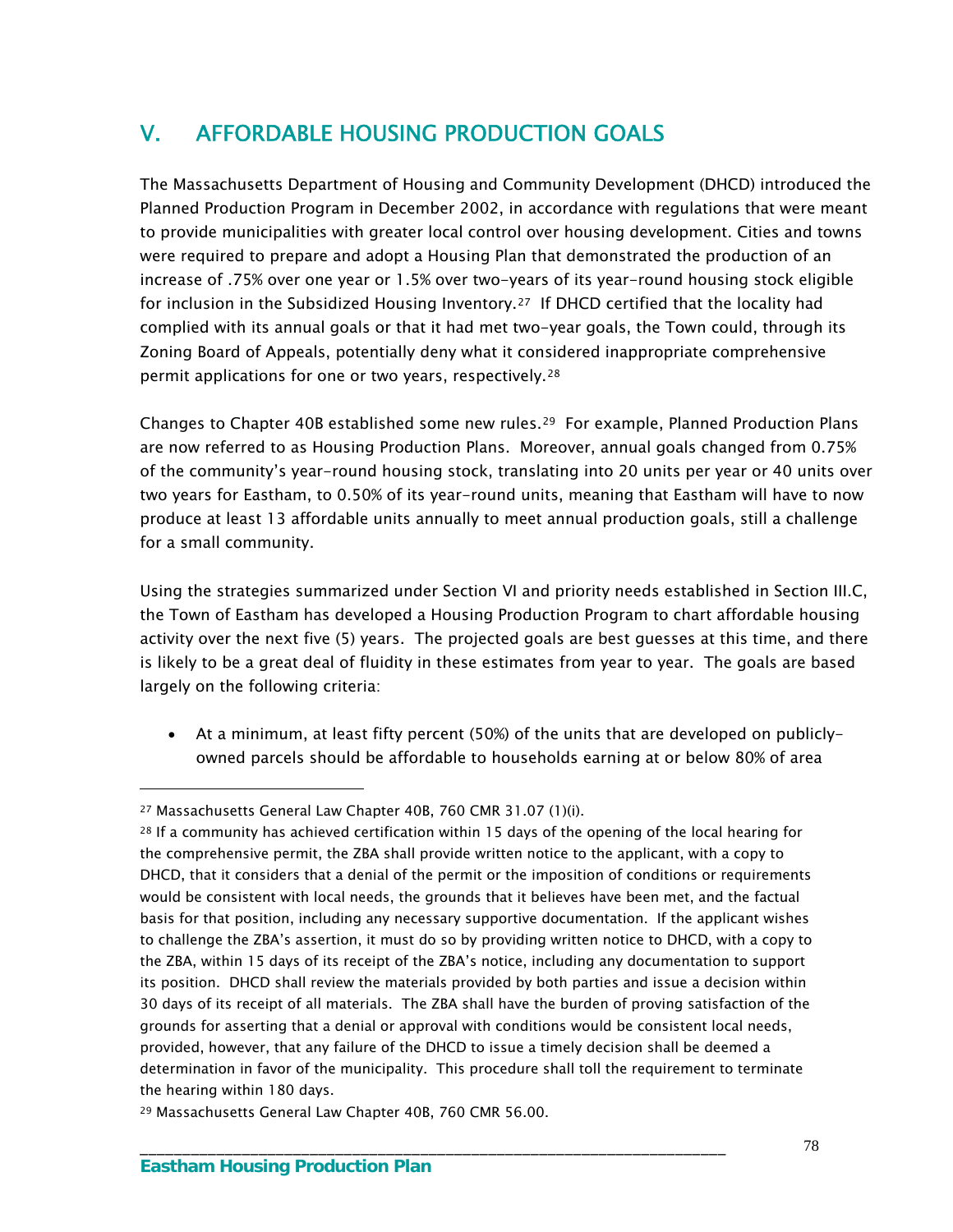# V. AFFORDABLE HOUSING PRODUCTION GOALS

The Massachusetts Department of Housing and Community Development (DHCD) introduced the Planned Production Program in December 2002, in accordance with regulations that were meant to provide municipalities with greater local control over housing development. Cities and towns were required to prepare and adopt a Housing Plan that demonstrated the production of an increase of .75% over one year or 1.5% over two-years of its year-round housing stock eligible for inclusion in the Subsidized Housing Inventory.<sup>27</sup> If DHCD certified that the locality had complied with its annual goals or that it had met two-year goals, the Town could, through its Zoning Board of Appeals, potentially deny what it considered inappropriate comprehensive permit applications for one or two years, respectively.[28](#page-81-1)

Changes to Chapter 40B established some new rules.<sup>[29](#page-81-2)</sup> For example, Planned Production Plans are now referred to as Housing Production Plans. Moreover, annual goals changed from 0.75% of the community's year-round housing stock, translating into 20 units per year or 40 units over two years for Eastham, to 0.50% of its year-round units, meaning that Eastham will have to now produce at least 13 affordable units annually to meet annual production goals, still a challenge for a small community.

Using the strategies summarized under Section VI and priority needs established in Section III.C, the Town of Eastham has developed a Housing Production Program to chart affordable housing activity over the next five (5) years. The projected goals are best guesses at this time, and there is likely to be a great deal of fluidity in these estimates from year to year. The goals are based largely on the following criteria:

 At a minimum, at least fifty percent (50%) of the units that are developed on publiclyowned parcels should be affordable to households earning at or below 80% of area

\_\_\_\_\_\_\_\_\_\_\_\_\_\_\_\_\_\_\_\_\_\_\_\_\_\_\_\_\_\_\_\_\_\_\_\_\_\_\_\_\_\_\_\_\_\_\_\_\_\_\_\_\_\_\_\_\_\_\_\_\_\_\_\_\_\_\_\_\_

<span id="page-81-0"></span><sup>27</sup> Massachusetts General Law Chapter 40B, 760 CMR 31.07 (1)(i).

<span id="page-81-1"></span><sup>&</sup>lt;sup>28</sup> If a community has achieved certification within 15 days of the opening of the local hearing for the comprehensive permit, the ZBA shall provide written notice to the applicant, with a copy to DHCD, that it considers that a denial of the permit or the imposition of conditions or requirements would be consistent with local needs, the grounds that it believes have been met, and the factual basis for that position, including any necessary supportive documentation. If the applicant wishes to challenge the ZBA's assertion, it must do so by providing written notice to DHCD, with a copy to the ZBA, within 15 days of its receipt of the ZBA's notice, including any documentation to support its position. DHCD shall review the materials provided by both parties and issue a decision within 30 days of its receipt of all materials. The ZBA shall have the burden of proving satisfaction of the grounds for asserting that a denial or approval with conditions would be consistent local needs, provided, however, that any failure of the DHCD to issue a timely decision shall be deemed a determination in favor of the municipality. This procedure shall toll the requirement to terminate the hearing within 180 days.

<span id="page-81-2"></span><sup>29</sup> Massachusetts General Law Chapter 40B, 760 CMR 56.00.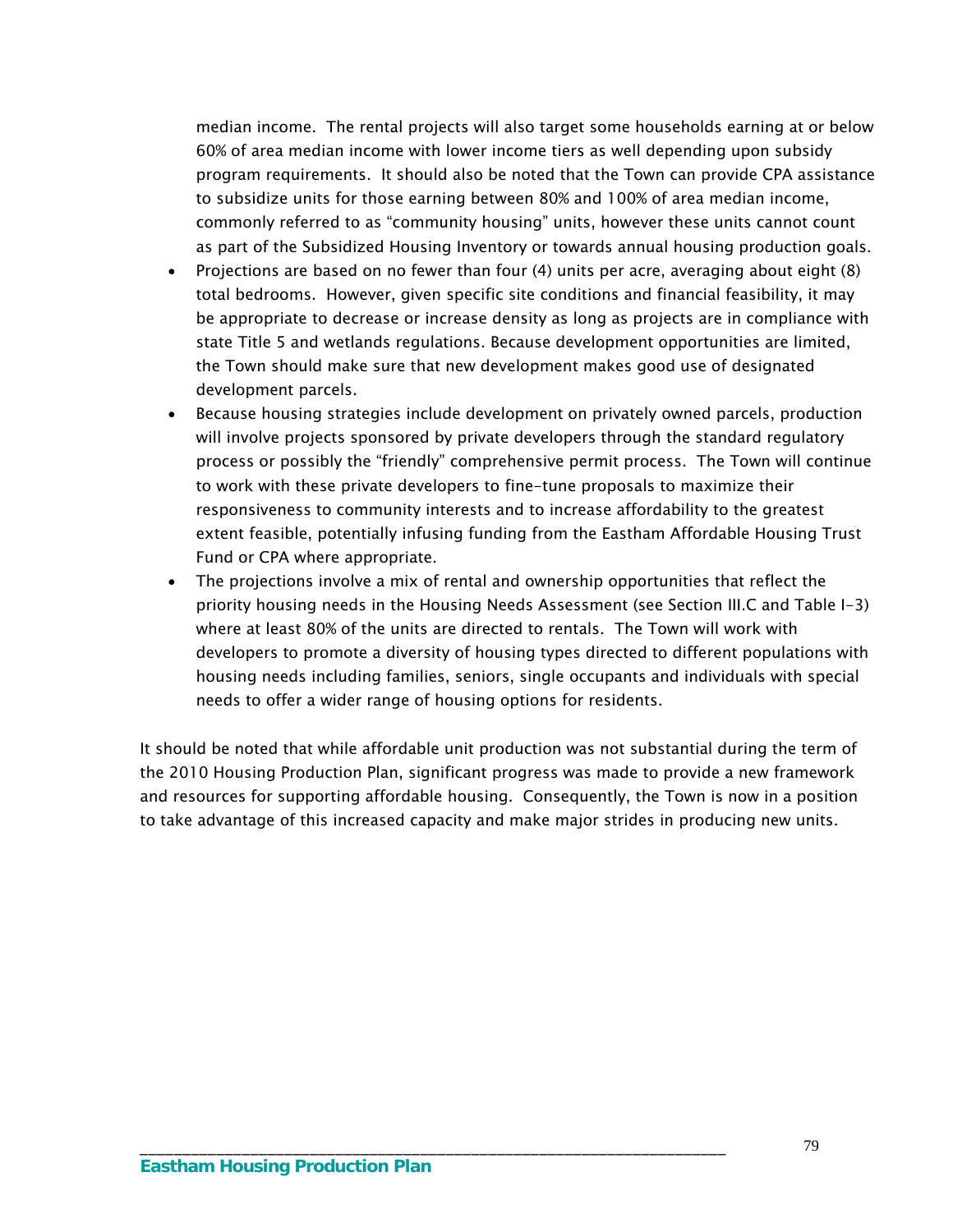median income. The rental projects will also target some households earning at or below 60% of area median income with lower income tiers as well depending upon subsidy program requirements. It should also be noted that the Town can provide CPA assistance to subsidize units for those earning between 80% and 100% of area median income, commonly referred to as "community housing" units, however these units cannot count as part of the Subsidized Housing Inventory or towards annual housing production goals.

- Projections are based on no fewer than four  $(4)$  units per acre, averaging about eight  $(8)$ total bedrooms. However, given specific site conditions and financial feasibility, it may be appropriate to decrease or increase density as long as projects are in compliance with state Title 5 and wetlands regulations. Because development opportunities are limited, the Town should make sure that new development makes good use of designated development parcels.
- Because housing strategies include development on privately owned parcels, production will involve projects sponsored by private developers through the standard regulatory process or possibly the "friendly" comprehensive permit process. The Town will continue to work with these private developers to fine-tune proposals to maximize their responsiveness to community interests and to increase affordability to the greatest extent feasible, potentially infusing funding from the Eastham Affordable Housing Trust Fund or CPA where appropriate.
- The projections involve a mix of rental and ownership opportunities that reflect the priority housing needs in the Housing Needs Assessment (see Section III.C and Table I-3) where at least 80% of the units are directed to rentals. The Town will work with developers to promote a diversity of housing types directed to different populations with housing needs including families, seniors, single occupants and individuals with special needs to offer a wider range of housing options for residents.

It should be noted that while affordable unit production was not substantial during the term of the 2010 Housing Production Plan, significant progress was made to provide a new framework and resources for supporting affordable housing. Consequently, the Town is now in a position to take advantage of this increased capacity and make major strides in producing new units.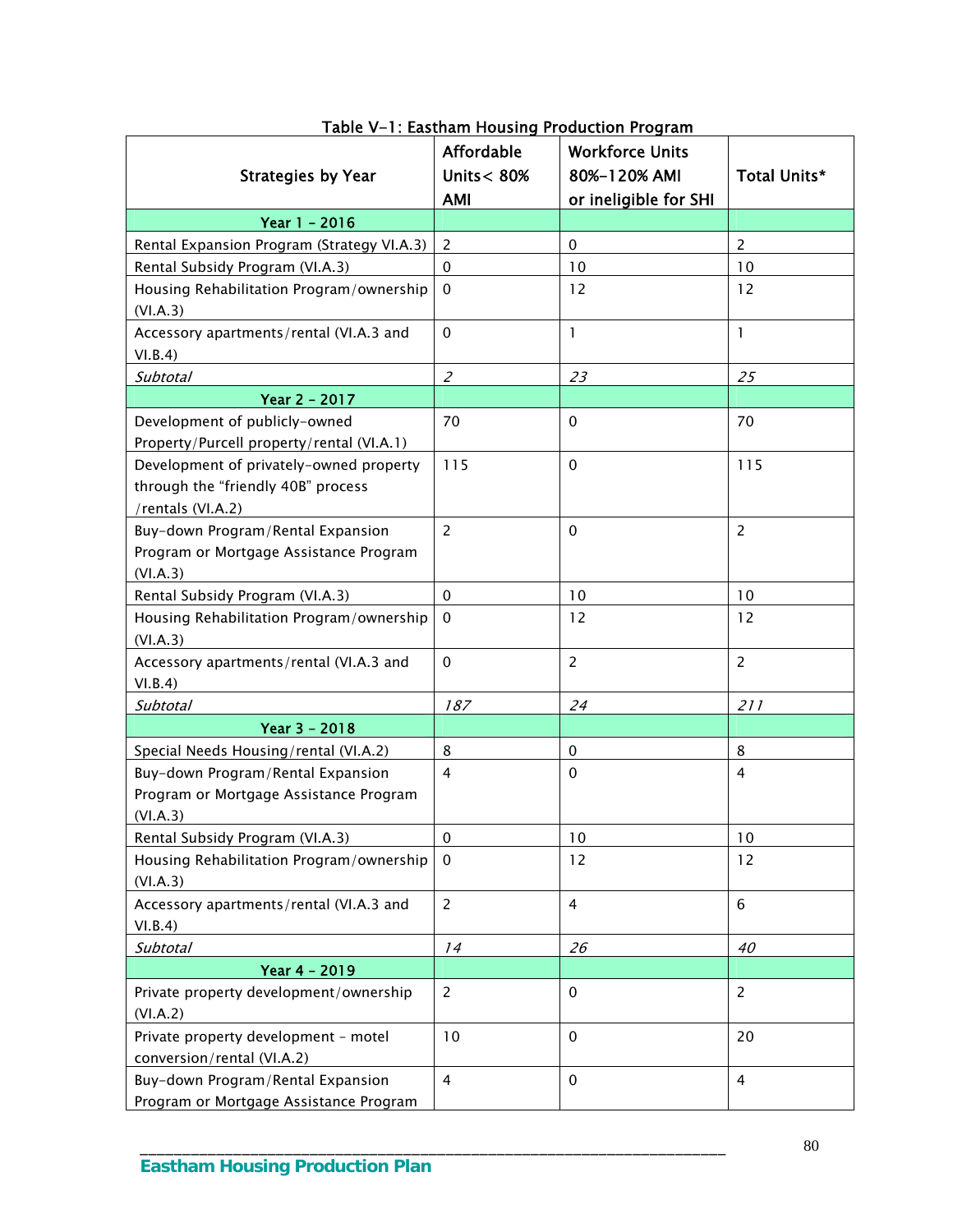| <b>Strategies by Year</b>                          | <b>Affordable</b><br>Units $< 80%$ | <b>Workforce Units</b><br>80%-120% AMI | Total Units*   |
|----------------------------------------------------|------------------------------------|----------------------------------------|----------------|
|                                                    | <b>AMI</b>                         | or ineligible for SHI                  |                |
| Year 1 - 2016                                      |                                    |                                        |                |
| Rental Expansion Program (Strategy VI.A.3)         | 2                                  | $\mathbf 0$                            | $\overline{2}$ |
| Rental Subsidy Program (VI.A.3)                    | 0                                  | 10                                     | 10             |
| Housing Rehabilitation Program/ownership           | 0                                  | 12                                     | 12             |
| (VI.A.3)                                           |                                    |                                        |                |
| Accessory apartments/rental (VI.A.3 and            | $\Omega$                           | $\mathbf{1}$                           | $\mathbf{1}$   |
| VI.B.4)                                            |                                    |                                        |                |
| Subtotal                                           | $\mathcal{Z}_{\mathcal{C}}$        | 23                                     | 25             |
| Year 2 - 2017                                      |                                    |                                        |                |
| Development of publicly-owned                      | 70                                 | $\mathbf 0$                            | 70             |
| Property/Purcell property/rental (VI.A.1)          |                                    |                                        |                |
| Development of privately-owned property            | 115                                | $\mathbf 0$                            | 115            |
| through the "friendly 40B" process                 |                                    |                                        |                |
| /rentals (VI.A.2)                                  |                                    |                                        |                |
| Buy-down Program/Rental Expansion                  | $\overline{2}$                     | 0                                      | $\overline{2}$ |
| Program or Mortgage Assistance Program             |                                    |                                        |                |
| (VI.A.3)                                           |                                    |                                        |                |
| Rental Subsidy Program (VI.A.3)                    | $\mathbf 0$                        | 10                                     | 10             |
| Housing Rehabilitation Program/ownership           | $\Omega$                           | 12                                     | 12             |
| (VI.A.3)                                           |                                    |                                        |                |
| Accessory apartments/rental (VI.A.3 and            | $\mathbf 0$                        | $\overline{2}$                         | $\overline{2}$ |
| VI.B.4)                                            |                                    |                                        |                |
| Subtotal                                           | 187                                | 24                                     | 211            |
| Year 3 - 2018                                      |                                    |                                        |                |
| Special Needs Housing/rental (VI.A.2)              | 8                                  | 0                                      | 8              |
| Buy-down Program/Rental Expansion                  | $\overline{4}$                     | $\mathbf 0$                            | $\overline{4}$ |
| Program or Mortgage Assistance Program<br>(VI.A.3) |                                    |                                        |                |
| Rental Subsidy Program (VI.A.3)                    | 0                                  | 10                                     | 10             |
| Housing Rehabilitation Program/ownership           | $\Omega$                           | 12                                     | 12             |
| (VI.A.3)                                           |                                    |                                        |                |
| Accessory apartments/rental (VI.A.3 and            | $\overline{2}$                     | $\overline{4}$                         | 6              |
| VI.B.4)                                            |                                    |                                        |                |
| <b>Subtotal</b>                                    | 14                                 | 26                                     | 40             |
| Year 4 - 2019                                      |                                    |                                        |                |
| Private property development/ownership             | $\overline{2}$                     | $\mathbf 0$                            | $\overline{2}$ |
| (VI.A.2)                                           |                                    |                                        |                |
| Private property development - motel               | 10                                 | $\mathbf 0$                            | 20             |
| conversion/rental (VI.A.2)                         |                                    |                                        |                |
| Buy-down Program/Rental Expansion                  | $\overline{4}$                     | $\mathbf 0$                            | 4              |
| Program or Mortgage Assistance Program             |                                    |                                        |                |

Table V-1: Eastham Housing Production Program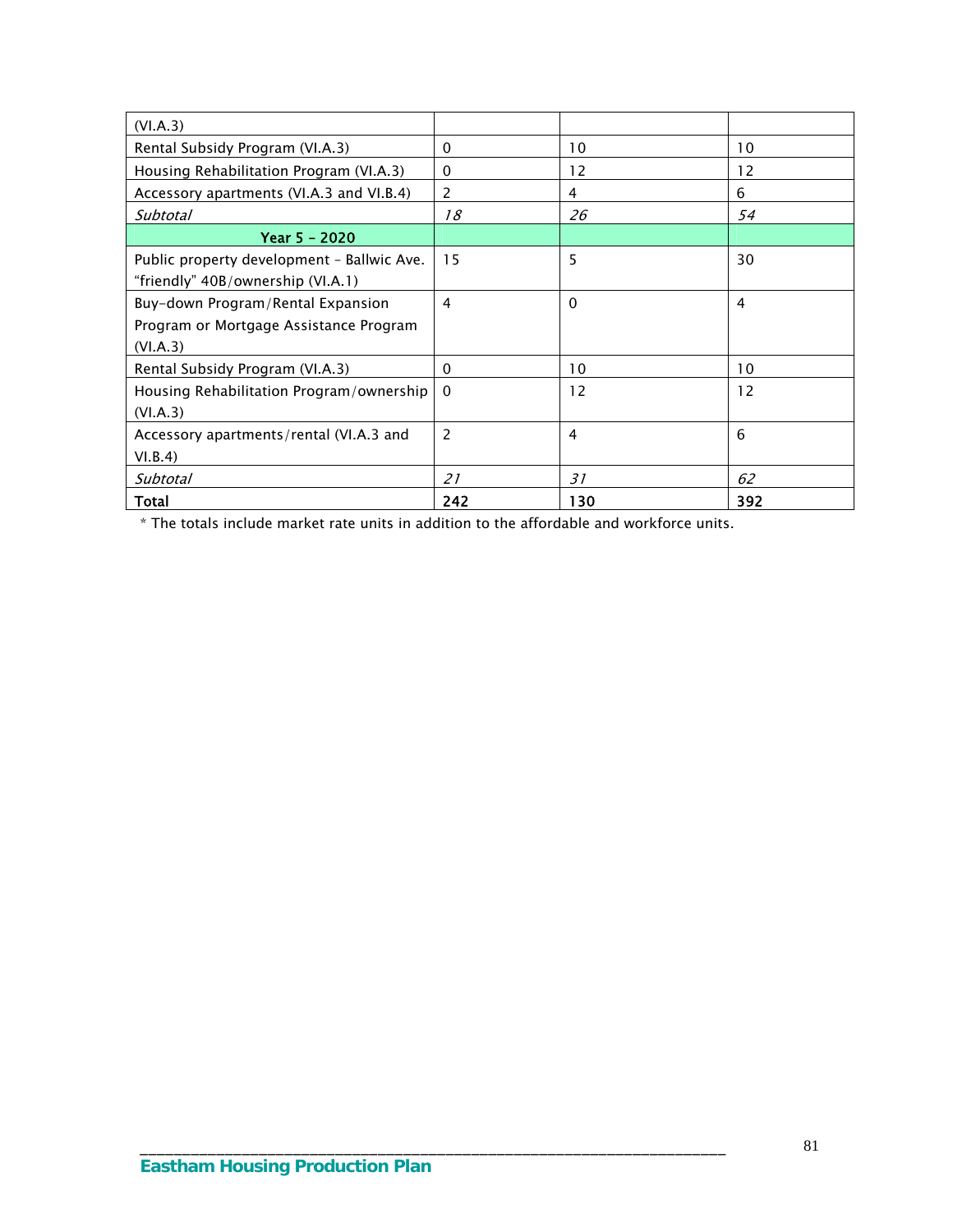| (VI.A.3)                                   |          |          |                   |
|--------------------------------------------|----------|----------|-------------------|
| Rental Subsidy Program (VI.A.3)            | $\Omega$ | 10       | 10                |
| Housing Rehabilitation Program (VI.A.3)    | 0        | 12       | 12                |
| Accessory apartments (VI.A.3 and VI.B.4)   | 2        | 4        | 6                 |
| Subtotal                                   | 18       | 26       | 54                |
| Year 5 - 2020                              |          |          |                   |
| Public property development - Ballwic Ave. | 15       | 5        | 30                |
| "friendly" 40B/ownership (VI.A.1)          |          |          |                   |
| Buy-down Program/Rental Expansion          | 4        | $\Omega$ | 4                 |
| Program or Mortgage Assistance Program     |          |          |                   |
| (VI.A.3)                                   |          |          |                   |
| Rental Subsidy Program (VI.A.3)            | $\Omega$ | 10       | 10                |
| Housing Rehabilitation Program/ownership   | $\Omega$ | 12       | $12 \overline{ }$ |
| (VI.A.3)                                   |          |          |                   |
| Accessory apartments/rental (VI.A.3 and    | 2        | 4        | 6                 |
| VI.B.4)                                    |          |          |                   |
| Subtotal                                   | 21       | 31       | 62                |
| Total                                      | 242      | 130      | 392               |

\* The totals include market rate units in addition to the affordable and workforce units.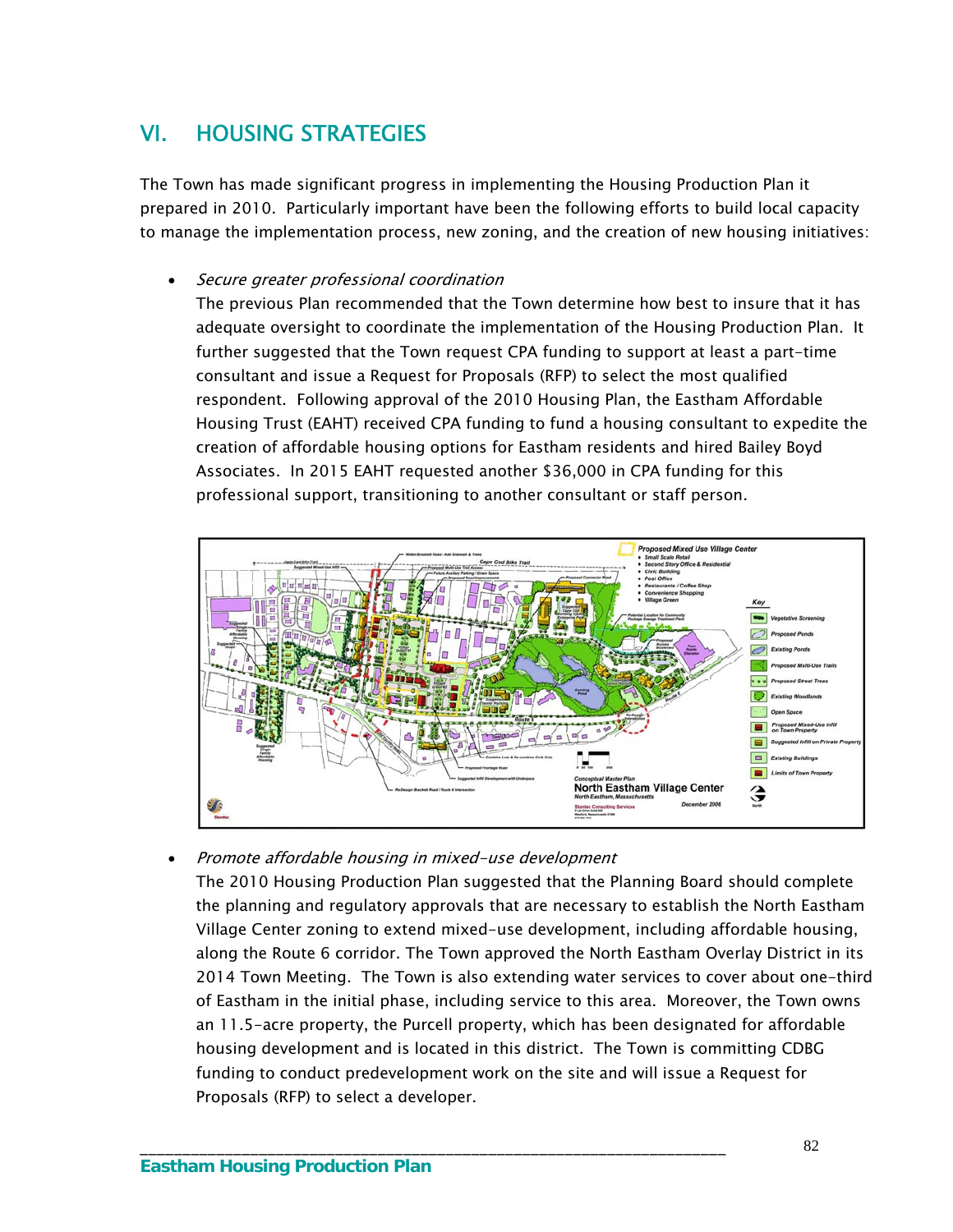# VI. HOUSING STRATEGIES

The Town has made significant progress in implementing the Housing Production Plan it prepared in 2010. Particularly important have been the following efforts to build local capacity to manage the implementation process, new zoning, and the creation of new housing initiatives:

Secure greater professional coordination

The previous Plan recommended that the Town determine how best to insure that it has adequate oversight to coordinate the implementation of the Housing Production Plan. It further suggested that the Town request CPA funding to support at least a part-time consultant and issue a Request for Proposals (RFP) to select the most qualified respondent. Following approval of the 2010 Housing Plan, the Eastham Affordable Housing Trust (EAHT) received CPA funding to fund a housing consultant to expedite the creation of affordable housing options for Eastham residents and hired Bailey Boyd Associates. In 2015 EAHT requested another \$36,000 in CPA funding for this professional support, transitioning to another consultant or staff person.



Promote affordable housing in mixed-use development

\_\_\_\_\_\_\_\_\_\_\_\_\_\_\_\_\_\_\_\_\_\_\_\_\_\_\_\_\_\_\_\_\_\_\_\_\_\_\_\_\_\_\_\_\_\_\_\_\_\_\_\_\_\_\_\_\_\_\_\_\_\_\_\_\_\_\_\_\_

The 2010 Housing Production Plan suggested that the Planning Board should complete the planning and regulatory approvals that are necessary to establish the North Eastham Village Center zoning to extend mixed-use development, including affordable housing, along the Route 6 corridor. The Town approved the North Eastham Overlay District in its 2014 Town Meeting. The Town is also extending water services to cover about one-third of Eastham in the initial phase, including service to this area. Moreover, the Town owns an 11.5-acre property, the Purcell property, which has been designated for affordable housing development and is located in this district. The Town is committing CDBG funding to conduct predevelopment work on the site and will issue a Request for Proposals (RFP) to select a developer.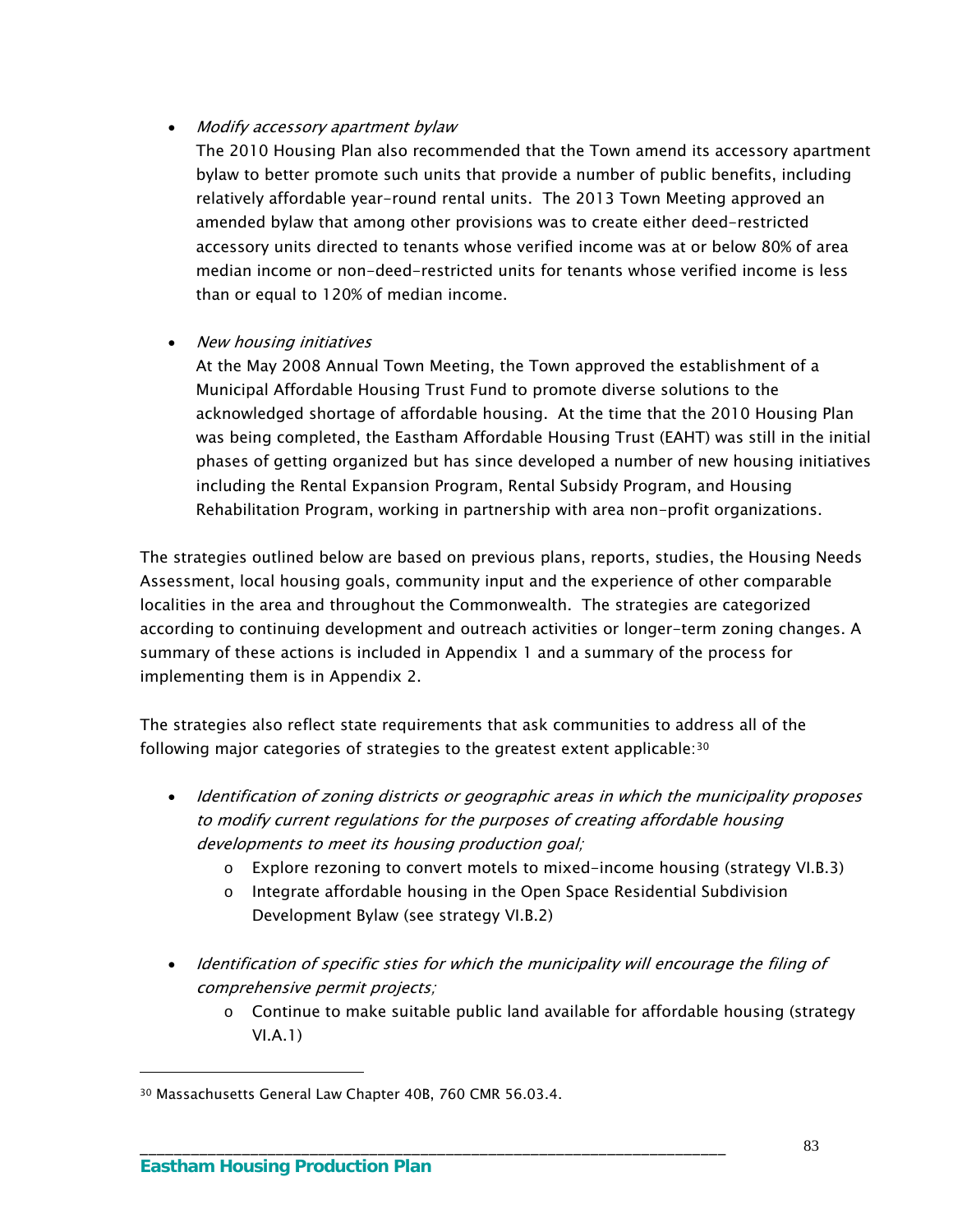#### Modify accessory apartment bylaw

The 2010 Housing Plan also recommended that the Town amend its accessory apartment bylaw to better promote such units that provide a number of public benefits, including relatively affordable year-round rental units. The 2013 Town Meeting approved an amended bylaw that among other provisions was to create either deed-restricted accessory units directed to tenants whose verified income was at or below 80% of area median income or non-deed-restricted units for tenants whose verified income is less than or equal to 120% of median income.

#### • New housing initiatives

At the May 2008 Annual Town Meeting, the Town approved the establishment of a Municipal Affordable Housing Trust Fund to promote diverse solutions to the acknowledged shortage of affordable housing. At the time that the 2010 Housing Plan was being completed, the Eastham Affordable Housing Trust (EAHT) was still in the initial phases of getting organized but has since developed a number of new housing initiatives including the Rental Expansion Program, Rental Subsidy Program, and Housing Rehabilitation Program, working in partnership with area non-profit organizations.

The strategies outlined below are based on previous plans, reports, studies, the Housing Needs Assessment, local housing goals, community input and the experience of other comparable localities in the area and throughout the Commonwealth. The strategies are categorized according to continuing development and outreach activities or longer-term zoning changes. A summary of these actions is included in Appendix 1 and a summary of the process for implementing them is in Appendix 2.

The strategies also reflect state requirements that ask communities to address all of the following major categories of strategies to the greatest extent applicable:[30](#page-86-0)

- Identification of zoning districts or geographic areas in which the municipality proposes to modify current regulations for the purposes of creating affordable housing developments to meet its housing production goal;
	- o Explore rezoning to convert motels to mixed-income housing (strategy VI.B.3)
	- $\circ$  Integrate affordable housing in the Open Space Residential Subdivision Development Bylaw (see strategy VI.B.2)
- Identification of specific sties for which the municipality will encourage the filing of comprehensive permit projects;
	- o Continue to make suitable public land available for affordable housing (strategy VI.A.1)

\_\_\_\_\_\_\_\_\_\_\_\_\_\_\_\_\_\_\_\_\_\_\_\_\_\_\_\_\_\_\_\_\_\_\_\_\_\_\_\_\_\_\_\_\_\_\_\_\_\_\_\_\_\_\_\_\_\_\_\_\_\_\_\_\_\_\_\_\_

<span id="page-86-0"></span><sup>30</sup> Massachusetts General Law Chapter 40B, 760 CMR 56.03.4.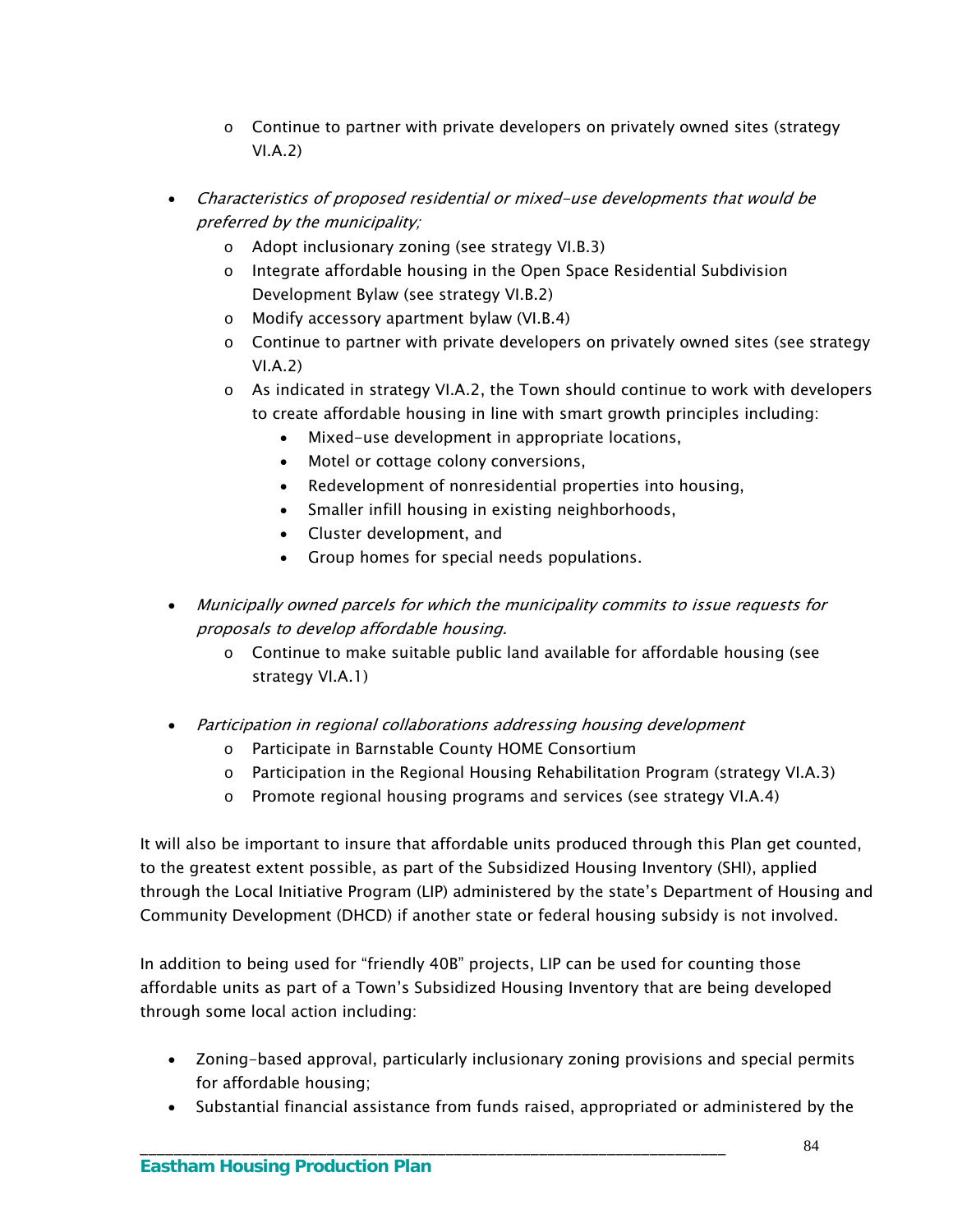- o Continue to partner with private developers on privately owned sites (strategy VI.A.2)
- Characteristics of proposed residential or mixed-use developments that would be preferred by the municipality;
	- o Adopt inclusionary zoning (see strategy VI.B.3)
	- o Integrate affordable housing in the Open Space Residential Subdivision Development Bylaw (see strategy VI.B.2)
	- o Modify accessory apartment bylaw (VI.B.4)
	- o Continue to partner with private developers on privately owned sites (see strategy VI.A.2)
	- $\circ$  As indicated in strategy VI.A.2, the Town should continue to work with developers to create affordable housing in line with smart growth principles including:
		- Mixed-use development in appropriate locations,
		- Motel or cottage colony conversions,
		- Redevelopment of nonresidential properties into housing,
		- Smaller infill housing in existing neighborhoods,
		- Cluster development, and
		- Group homes for special needs populations.
- Municipally owned parcels for which the municipality commits to issue requests for proposals to develop affordable housing.
	- $\circ$  Continue to make suitable public land available for affordable housing (see strategy VI.A.1)
- Participation in regional collaborations addressing housing development
	- o Participate in Barnstable County HOME Consortium

\_\_\_\_\_\_\_\_\_\_\_\_\_\_\_\_\_\_\_\_\_\_\_\_\_\_\_\_\_\_\_\_\_\_\_\_\_\_\_\_\_\_\_\_\_\_\_\_\_\_\_\_\_\_\_\_\_\_\_\_\_\_\_\_\_\_\_\_\_

- $\circ$  Participation in the Regional Housing Rehabilitation Program (strategy VI.A.3)
- o Promote regional housing programs and services (see strategy VI.A.4)

It will also be important to insure that affordable units produced through this Plan get counted, to the greatest extent possible, as part of the Subsidized Housing Inventory (SHI), applied through the Local Initiative Program (LIP) administered by the state's Department of Housing and Community Development (DHCD) if another state or federal housing subsidy is not involved.

In addition to being used for "friendly 40B" projects, LIP can be used for counting those affordable units as part of a Town's Subsidized Housing Inventory that are being developed through some local action including:

- Zoning-based approval, particularly inclusionary zoning provisions and special permits for affordable housing;
- Substantial financial assistance from funds raised, appropriated or administered by the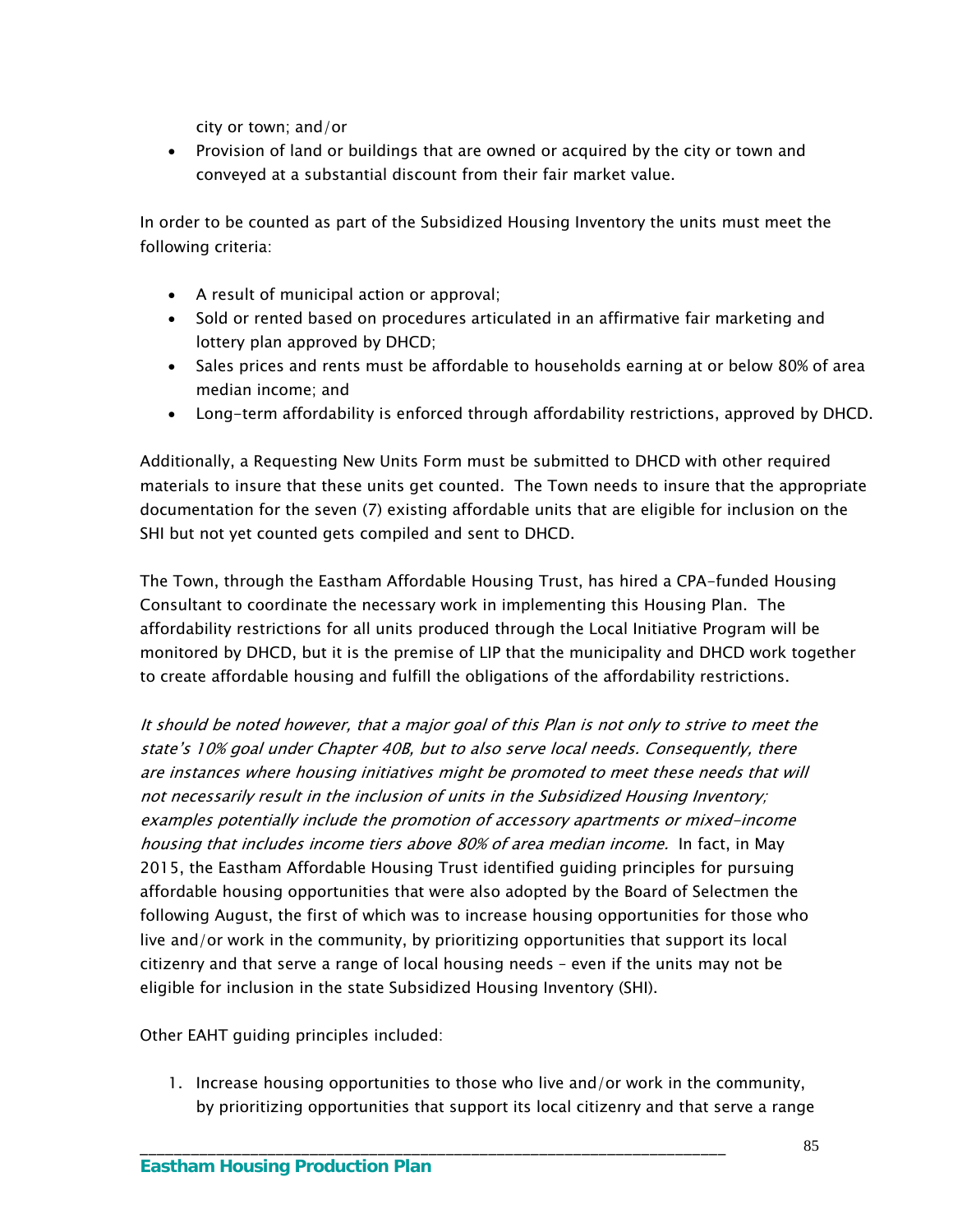city or town; and/or

 Provision of land or buildings that are owned or acquired by the city or town and conveyed at a substantial discount from their fair market value.

In order to be counted as part of the Subsidized Housing Inventory the units must meet the following criteria:

- A result of municipal action or approval;
- Sold or rented based on procedures articulated in an affirmative fair marketing and lottery plan approved by DHCD;
- Sales prices and rents must be affordable to households earning at or below 80% of area median income; and
- Long-term affordability is enforced through affordability restrictions, approved by DHCD.

Additionally, a Requesting New Units Form must be submitted to DHCD with other required materials to insure that these units get counted. The Town needs to insure that the appropriate documentation for the seven (7) existing affordable units that are eligible for inclusion on the SHI but not yet counted gets compiled and sent to DHCD.

The Town, through the Eastham Affordable Housing Trust, has hired a CPA-funded Housing Consultant to coordinate the necessary work in implementing this Housing Plan. The affordability restrictions for all units produced through the Local Initiative Program will be monitored by DHCD, but it is the premise of LIP that the municipality and DHCD work together to create affordable housing and fulfill the obligations of the affordability restrictions.

It should be noted however, that a major goal of this Plan is not only to strive to meet the state's 10% goal under Chapter 40B, but to also serve local needs. Consequently, there are instances where housing initiatives might be promoted to meet these needs that will not necessarily result in the inclusion of units in the Subsidized Housing Inventory; examples potentially include the promotion of accessory apartments or mixed-income housing that includes income tiers above 80% of area median income. In fact, in May 2015, the Eastham Affordable Housing Trust identified guiding principles for pursuing affordable housing opportunities that were also adopted by the Board of Selectmen the following August, the first of which was to increase housing opportunities for those who live and/or work in the community, by prioritizing opportunities that support its local citizenry and that serve a range of local housing needs – even if the units may not be eligible for inclusion in the state Subsidized Housing Inventory (SHI).

Other EAHT guiding principles included:

1. Increase housing opportunities to those who live and/or work in the community, by prioritizing opportunities that support its local citizenry and that serve a range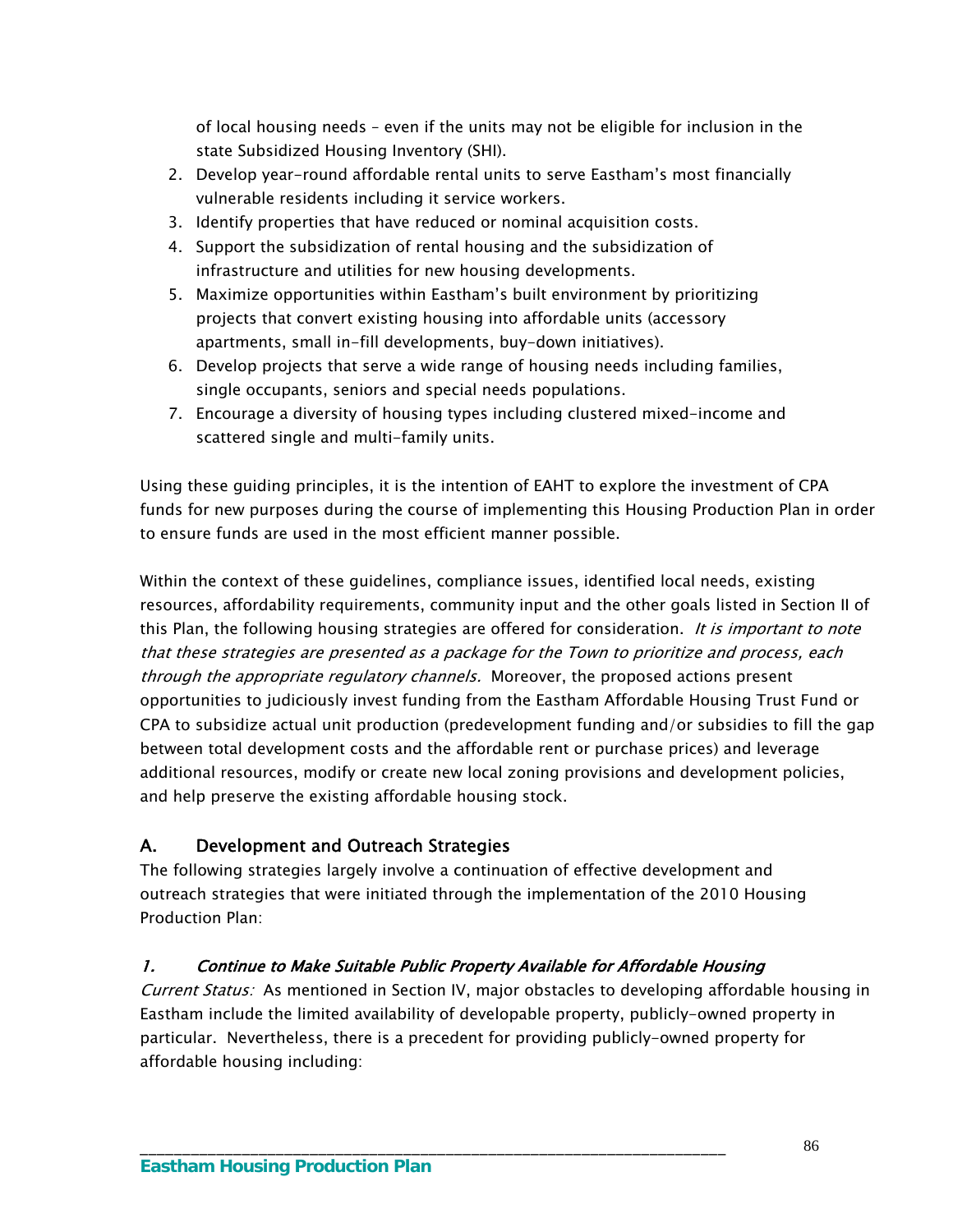of local housing needs – even if the units may not be eligible for inclusion in the state Subsidized Housing Inventory (SHI).

- 2. Develop year-round affordable rental units to serve Eastham's most financially vulnerable residents including it service workers.
- 3. Identify properties that have reduced or nominal acquisition costs.
- 4. Support the subsidization of rental housing and the subsidization of infrastructure and utilities for new housing developments.
- 5. Maximize opportunities within Eastham's built environment by prioritizing projects that convert existing housing into affordable units (accessory apartments, small in-fill developments, buy-down initiatives).
- 6. Develop projects that serve a wide range of housing needs including families, single occupants, seniors and special needs populations.
- 7. Encourage a diversity of housing types including clustered mixed-income and scattered single and multi-family units.

Using these guiding principles, it is the intention of EAHT to explore the investment of CPA funds for new purposes during the course of implementing this Housing Production Plan in order to ensure funds are used in the most efficient manner possible.

Within the context of these guidelines, compliance issues, identified local needs, existing resources, affordability requirements, community input and the other goals listed in Section II of this Plan, the following housing strategies are offered for consideration. It is important to note that these strategies are presented as a package for the Town to prioritize and process, each through the appropriate regulatory channels. Moreover, the proposed actions present opportunities to judiciously invest funding from the Eastham Affordable Housing Trust Fund or CPA to subsidize actual unit production (predevelopment funding and/or subsidies to fill the gap between total development costs and the affordable rent or purchase prices) and leverage additional resources, modify or create new local zoning provisions and development policies, and help preserve the existing affordable housing stock.

## A. Development and Outreach Strategies

The following strategies largely involve a continuation of effective development and outreach strategies that were initiated through the implementation of the 2010 Housing Production Plan:

## 1. Continue to Make Suitable Public Property Available for Affordable Housing

\_\_\_\_\_\_\_\_\_\_\_\_\_\_\_\_\_\_\_\_\_\_\_\_\_\_\_\_\_\_\_\_\_\_\_\_\_\_\_\_\_\_\_\_\_\_\_\_\_\_\_\_\_\_\_\_\_\_\_\_\_\_\_\_\_\_\_\_\_

Current Status: As mentioned in Section IV, major obstacles to developing affordable housing in Eastham include the limited availability of developable property, publicly-owned property in particular. Nevertheless, there is a precedent for providing publicly-owned property for affordable housing including: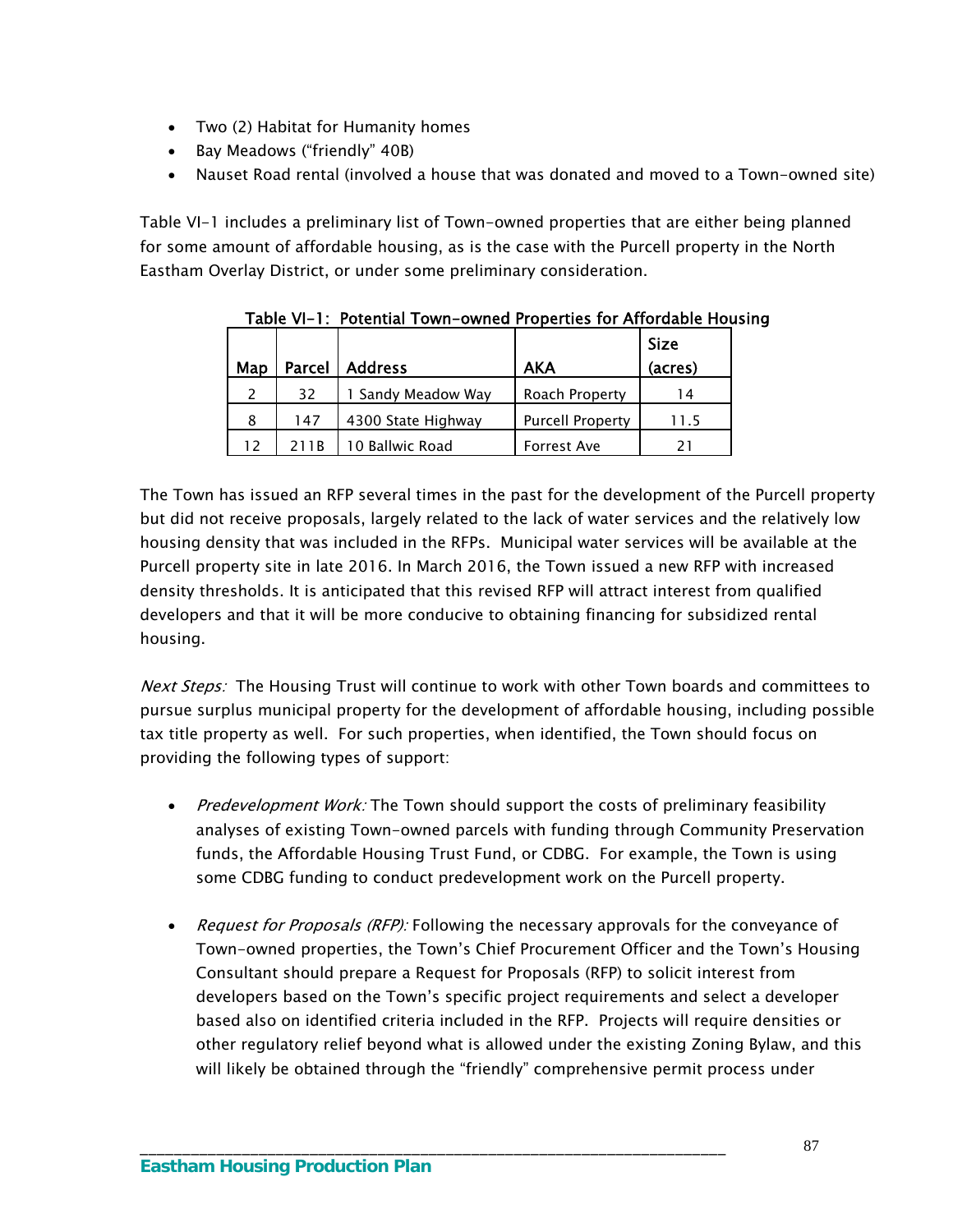- Two (2) Habitat for Humanity homes
- Bay Meadows ("friendly" 40B)
- Nauset Road rental (involved a house that was donated and moved to a Town-owned site)

Table VI-1 includes a preliminary list of Town-owned properties that are either being planned for some amount of affordable housing, as is the case with the Purcell property in the North Eastham Overlay District, or under some preliminary consideration.

|     |               |                    |                         | <b>Size</b> |
|-----|---------------|--------------------|-------------------------|-------------|
| Map | <b>Parcel</b> | <b>Address</b>     | <b>AKA</b>              | (acres)     |
|     | 32            | 1 Sandy Meadow Way | Roach Property          | 14          |
| 8   | 147           | 4300 State Highway | <b>Purcell Property</b> | 11.5        |
| 12  | 21 1 B        | 10 Ballwic Road    | <b>Forrest Ave</b>      |             |

Table VI-1: Potential Town-owned Properties for Affordable Housing

The Town has issued an RFP several times in the past for the development of the Purcell property but did not receive proposals, largely related to the lack of water services and the relatively low housing density that was included in the RFPs. Municipal water services will be available at the Purcell property site in late 2016. In March 2016, the Town issued a new RFP with increased density thresholds. It is anticipated that this revised RFP will attract interest from qualified developers and that it will be more conducive to obtaining financing for subsidized rental housing.

Next Steps: The Housing Trust will continue to work with other Town boards and committees to pursue surplus municipal property for the development of affordable housing, including possible tax title property as well. For such properties, when identified, the Town should focus on providing the following types of support:

- Predevelopment Work: The Town should support the costs of preliminary feasibility analyses of existing Town-owned parcels with funding through Community Preservation funds, the Affordable Housing Trust Fund, or CDBG. For example, the Town is using some CDBG funding to conduct predevelopment work on the Purcell property.
- Request for Proposals (RFP): Following the necessary approvals for the conveyance of Town-owned properties, the Town's Chief Procurement Officer and the Town's Housing Consultant should prepare a Request for Proposals (RFP) to solicit interest from developers based on the Town's specific project requirements and select a developer based also on identified criteria included in the RFP. Projects will require densities or other regulatory relief beyond what is allowed under the existing Zoning Bylaw, and this will likely be obtained through the "friendly" comprehensive permit process under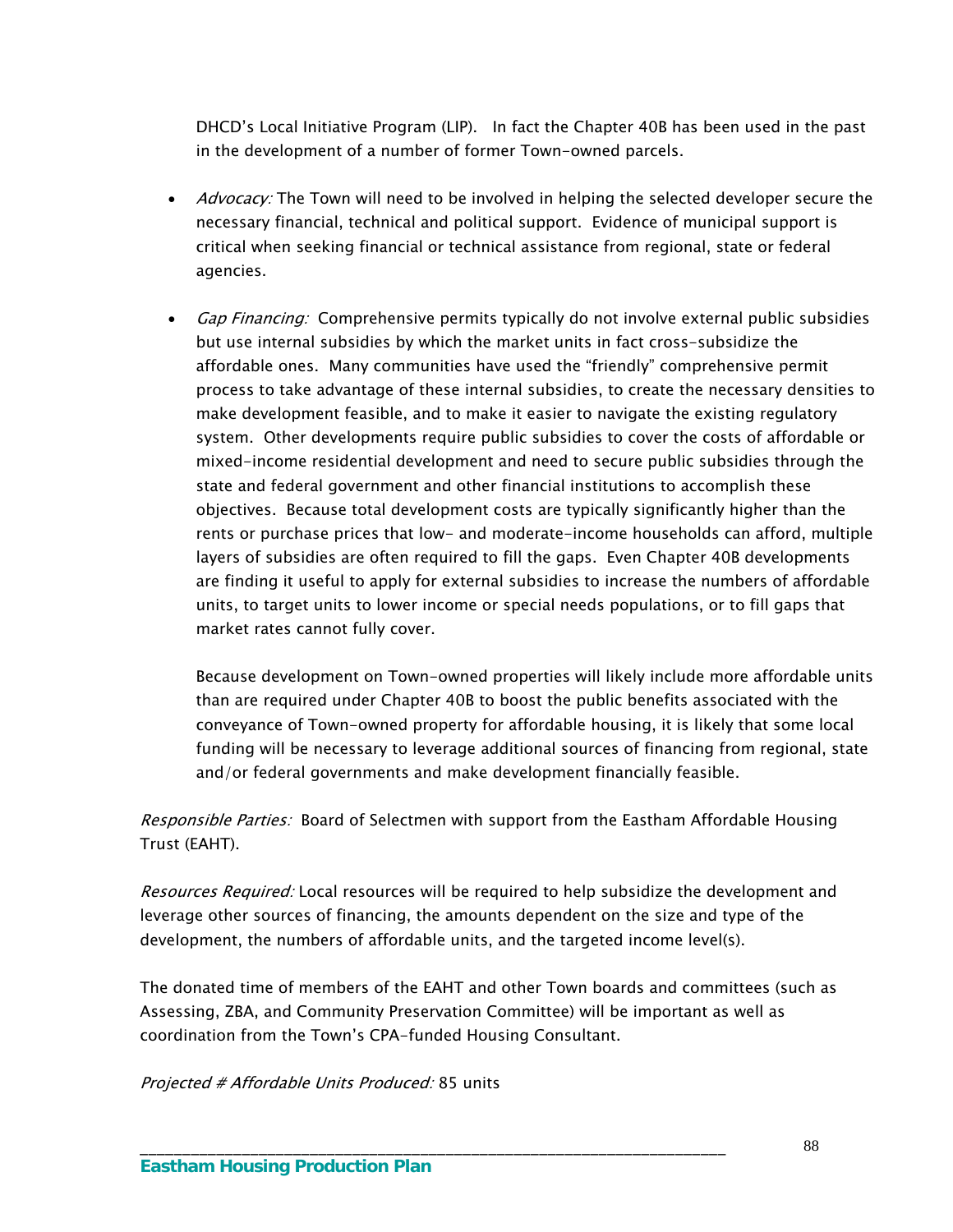DHCD's Local Initiative Program (LIP). In fact the Chapter 40B has been used in the past in the development of a number of former Town-owned parcels.

- *Advocacy:* The Town will need to be involved in helping the selected developer secure the necessary financial, technical and political support. Evidence of municipal support is critical when seeking financial or technical assistance from regional, state or federal agencies.
- *Gap Financing:* Comprehensive permits typically do not involve external public subsidies but use internal subsidies by which the market units in fact cross-subsidize the affordable ones. Many communities have used the "friendly" comprehensive permit process to take advantage of these internal subsidies, to create the necessary densities to make development feasible, and to make it easier to navigate the existing regulatory system. Other developments require public subsidies to cover the costs of affordable or mixed-income residential development and need to secure public subsidies through the state and federal government and other financial institutions to accomplish these objectives. Because total development costs are typically significantly higher than the rents or purchase prices that low- and moderate-income households can afford, multiple layers of subsidies are often required to fill the gaps. Even Chapter 40B developments are finding it useful to apply for external subsidies to increase the numbers of affordable units, to target units to lower income or special needs populations, or to fill gaps that market rates cannot fully cover.

Because development on Town-owned properties will likely include more affordable units than are required under Chapter 40B to boost the public benefits associated with the conveyance of Town-owned property for affordable housing, it is likely that some local funding will be necessary to leverage additional sources of financing from regional, state and/or federal governments and make development financially feasible.

Responsible Parties: Board of Selectmen with support from the Eastham Affordable Housing Trust (EAHT).

Resources Required: Local resources will be required to help subsidize the development and leverage other sources of financing, the amounts dependent on the size and type of the development, the numbers of affordable units, and the targeted income level(s).

The donated time of members of the EAHT and other Town boards and committees (such as Assessing, ZBA, and Community Preservation Committee) will be important as well as coordination from the Town's CPA-funded Housing Consultant.

\_\_\_\_\_\_\_\_\_\_\_\_\_\_\_\_\_\_\_\_\_\_\_\_\_\_\_\_\_\_\_\_\_\_\_\_\_\_\_\_\_\_\_\_\_\_\_\_\_\_\_\_\_\_\_\_\_\_\_\_\_\_\_\_\_\_\_\_\_

Projected # Affordable Units Produced: 85 units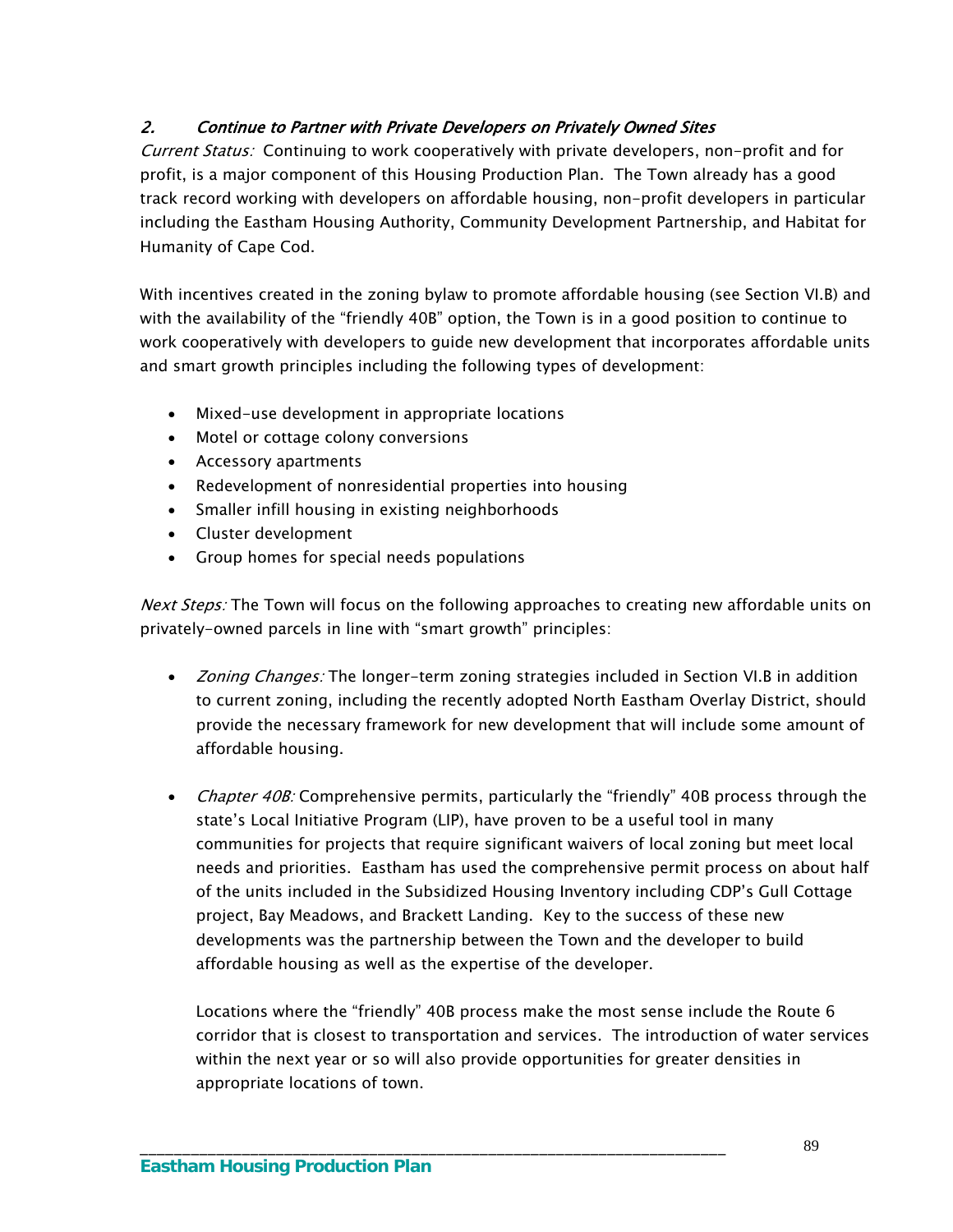## 2. Continue to Partner with Private Developers on Privately Owned Sites

Current Status: Continuing to work cooperatively with private developers, non-profit and for profit, is a major component of this Housing Production Plan. The Town already has a good track record working with developers on affordable housing, non-profit developers in particular including the Eastham Housing Authority, Community Development Partnership, and Habitat for Humanity of Cape Cod.

With incentives created in the zoning bylaw to promote affordable housing (see Section VI.B) and with the availability of the "friendly 40B" option, the Town is in a good position to continue to work cooperatively with developers to guide new development that incorporates affordable units and smart growth principles including the following types of development:

- Mixed-use development in appropriate locations
- Motel or cottage colony conversions
- Accessory apartments
- Redevelopment of nonresidential properties into housing
- Smaller infill housing in existing neighborhoods
- Cluster development
- Group homes for special needs populations

Next Steps: The Town will focus on the following approaches to creating new affordable units on privately-owned parcels in line with "smart growth" principles:

- *Zoning Changes:* The longer-term zoning strategies included in Section VI.B in addition to current zoning, including the recently adopted North Eastham Overlay District, should provide the necessary framework for new development that will include some amount of affordable housing.
- Chapter 40B: Comprehensive permits, particularly the "friendly" 40B process through the state's Local Initiative Program (LIP), have proven to be a useful tool in many communities for projects that require significant waivers of local zoning but meet local needs and priorities. Eastham has used the comprehensive permit process on about half of the units included in the Subsidized Housing Inventory including CDP's Gull Cottage project, Bay Meadows, and Brackett Landing. Key to the success of these new developments was the partnership between the Town and the developer to build affordable housing as well as the expertise of the developer.

Locations where the "friendly" 40B process make the most sense include the Route 6 corridor that is closest to transportation and services. The introduction of water services within the next year or so will also provide opportunities for greater densities in appropriate locations of town.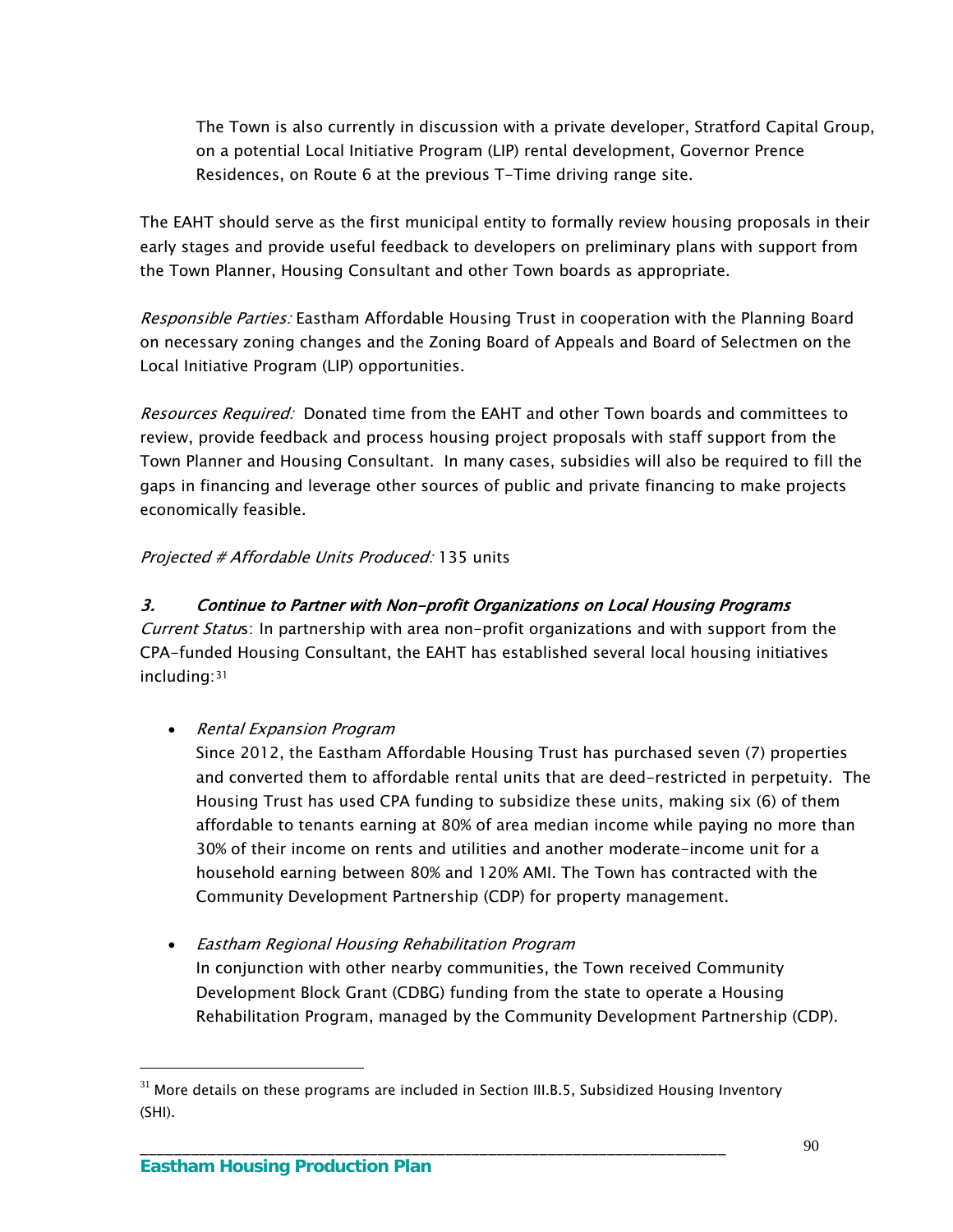The Town is also currently in discussion with a private developer, Stratford Capital Group, on a potential Local Initiative Program (LIP) rental development, Governor Prence Residences, on Route 6 at the previous T-Time driving range site.

The EAHT should serve as the first municipal entity to formally review housing proposals in their early stages and provide useful feedback to developers on preliminary plans with support from the Town Planner, Housing Consultant and other Town boards as appropriate.

Responsible Parties: Eastham Affordable Housing Trust in cooperation with the Planning Board on necessary zoning changes and the Zoning Board of Appeals and Board of Selectmen on the Local Initiative Program (LIP) opportunities.

Resources Required: Donated time from the EAHT and other Town boards and committees to review, provide feedback and process housing project proposals with staff support from the Town Planner and Housing Consultant. In many cases, subsidies will also be required to fill the gaps in financing and leverage other sources of public and private financing to make projects economically feasible.

### Projected # Affordable Units Produced: 135 units

### 3. Continue to Partner with Non-profit Organizations on Local Housing Programs

Current Status: In partnership with area non-profit organizations and with support from the CPA-funded Housing Consultant, the EAHT has established several local housing initiatives including:[31](#page-93-0)

#### • Rental Expansion Program

Since 2012, the Eastham Affordable Housing Trust has purchased seven (7) properties and converted them to affordable rental units that are deed-restricted in perpetuity. The Housing Trust has used CPA funding to subsidize these units, making six (6) of them affordable to tenants earning at 80% of area median income while paying no more than 30% of their income on rents and utilities and another moderate-income unit for a household earning between 80% and 120% AMI. The Town has contracted with the Community Development Partnership (CDP) for property management.

 Eastham Regional Housing Rehabilitation Program In conjunction with other nearby communities, the Town received Community Development Block Grant (CDBG) funding from the state to operate a Housing Rehabilitation Program, managed by the Community Development Partnership (CDP).

\_\_\_\_\_\_\_\_\_\_\_\_\_\_\_\_\_\_\_\_\_\_\_\_\_\_\_\_\_\_\_\_\_\_\_\_\_\_\_\_\_\_\_\_\_\_\_\_\_\_\_\_\_\_\_\_\_\_\_\_\_\_\_\_\_\_\_\_\_

<span id="page-93-0"></span> $31$  More details on these programs are included in Section III.B.5, Subsidized Housing Inventory (SHI).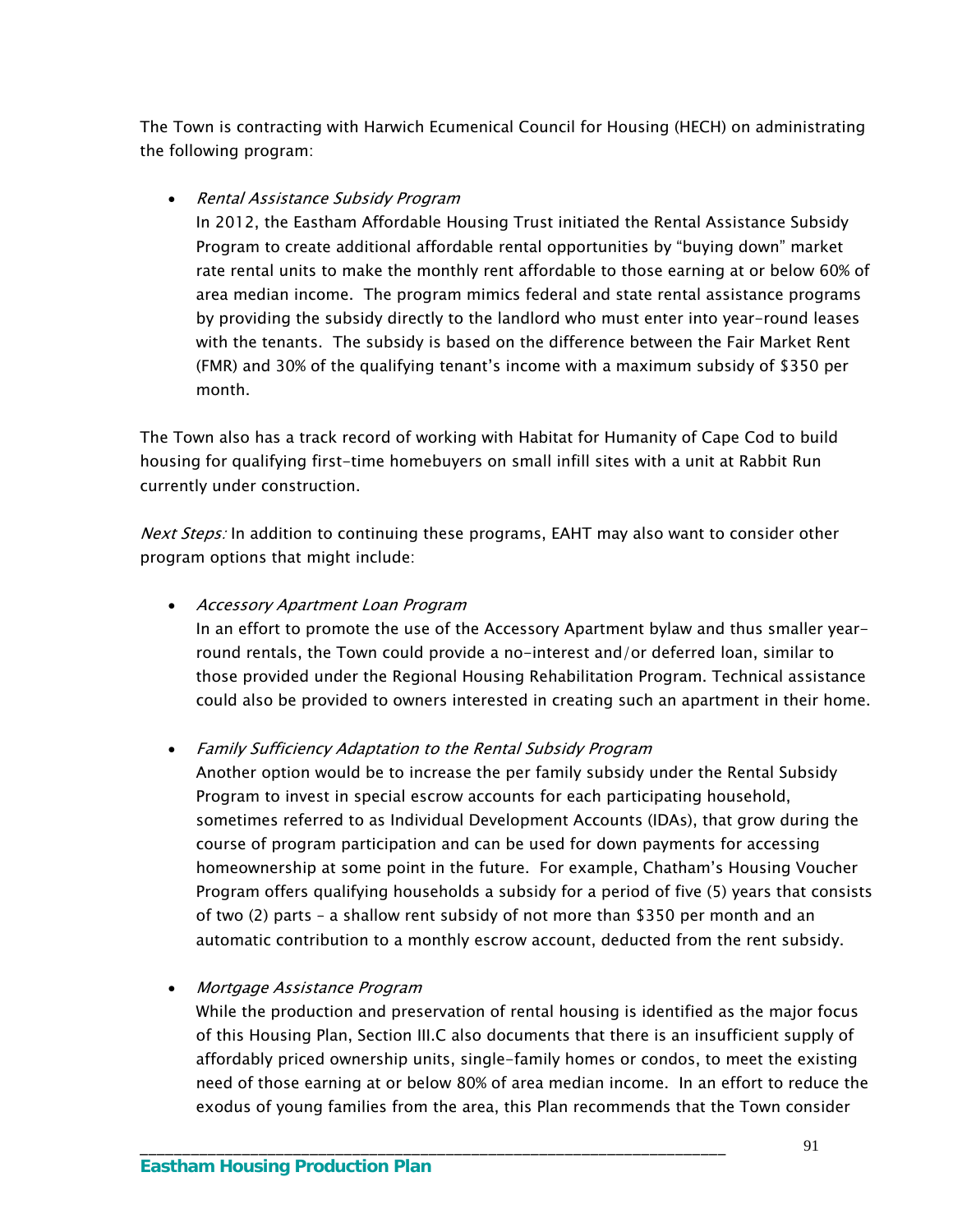The Town is contracting with Harwich Ecumenical Council for Housing (HECH) on administrating the following program:

#### • Rental Assistance Subsidy Program

In 2012, the Eastham Affordable Housing Trust initiated the Rental Assistance Subsidy Program to create additional affordable rental opportunities by "buying down" market rate rental units to make the monthly rent affordable to those earning at or below 60% of area median income. The program mimics federal and state rental assistance programs by providing the subsidy directly to the landlord who must enter into year-round leases with the tenants. The subsidy is based on the difference between the Fair Market Rent (FMR) and 30% of the qualifying tenant's income with a maximum subsidy of \$350 per month.

The Town also has a track record of working with Habitat for Humanity of Cape Cod to build housing for qualifying first-time homebuyers on small infill sites with a unit at Rabbit Run currently under construction.

Next Steps: In addition to continuing these programs, EAHT may also want to consider other program options that might include:

#### Accessory Apartment Loan Program

In an effort to promote the use of the Accessory Apartment bylaw and thus smaller yearround rentals, the Town could provide a no-interest and/or deferred loan, similar to those provided under the Regional Housing Rehabilitation Program. Technical assistance could also be provided to owners interested in creating such an apartment in their home.

Family Sufficiency Adaptation to the Rental Subsidy Program

\_\_\_\_\_\_\_\_\_\_\_\_\_\_\_\_\_\_\_\_\_\_\_\_\_\_\_\_\_\_\_\_\_\_\_\_\_\_\_\_\_\_\_\_\_\_\_\_\_\_\_\_\_\_\_\_\_\_\_\_\_\_\_\_\_\_\_\_\_

Another option would be to increase the per family subsidy under the Rental Subsidy Program to invest in special escrow accounts for each participating household, sometimes referred to as Individual Development Accounts (IDAs), that grow during the course of program participation and can be used for down payments for accessing homeownership at some point in the future. For example, Chatham's Housing Voucher Program offers qualifying households a subsidy for a period of five (5) years that consists of two (2) parts – a shallow rent subsidy of not more than \$350 per month and an automatic contribution to a monthly escrow account, deducted from the rent subsidy.

### Mortgage Assistance Program

While the production and preservation of rental housing is identified as the major focus of this Housing Plan, Section III.C also documents that there is an insufficient supply of affordably priced ownership units, single-family homes or condos, to meet the existing need of those earning at or below 80% of area median income. In an effort to reduce the exodus of young families from the area, this Plan recommends that the Town consider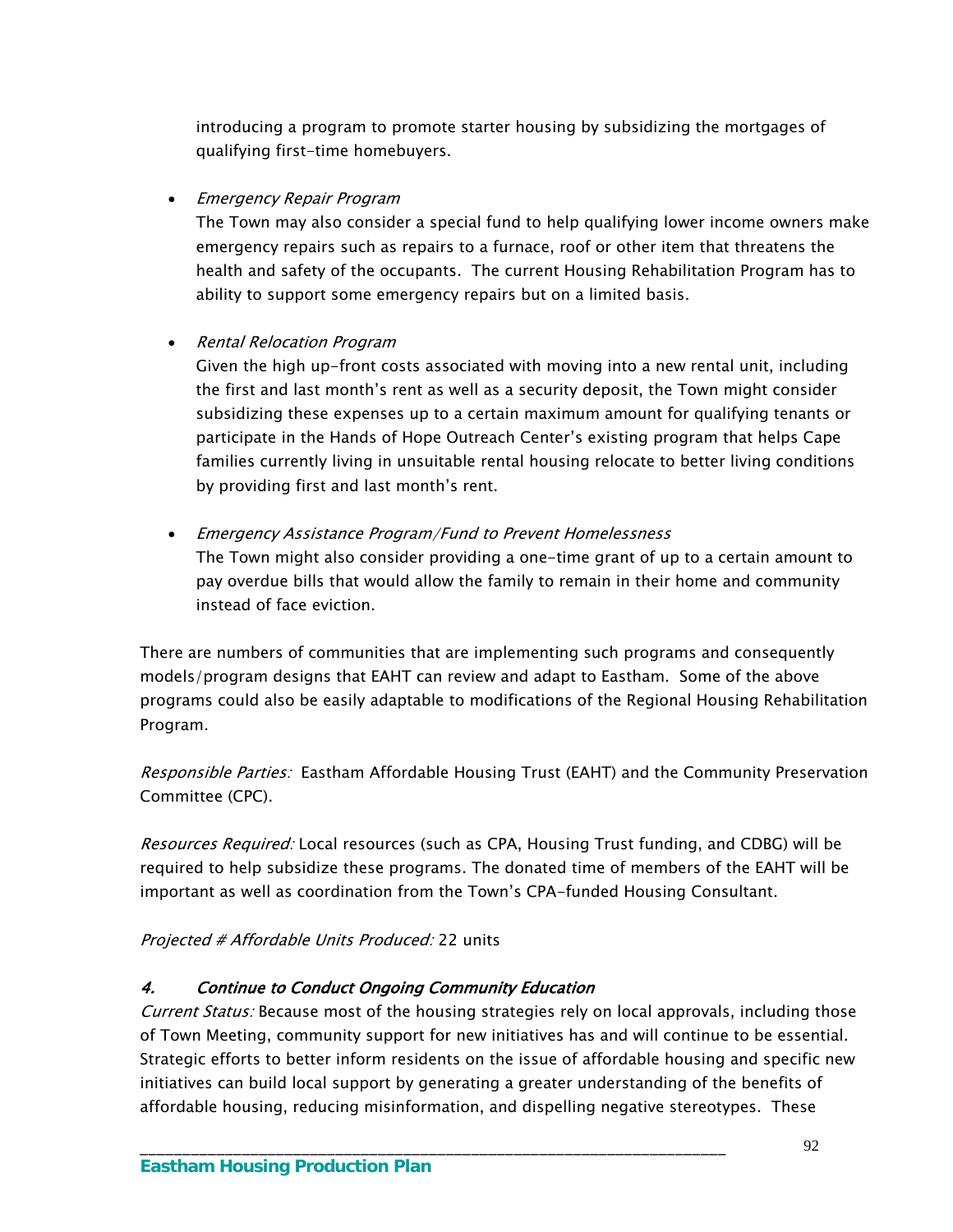introducing a program to promote starter housing by subsidizing the mortgages of qualifying first-time homebuyers.

• Emergency Repair Program

The Town may also consider a special fund to help qualifying lower income owners make emergency repairs such as repairs to a furnace, roof or other item that threatens the health and safety of the occupants. The current Housing Rehabilitation Program has to ability to support some emergency repairs but on a limited basis.

#### • Rental Relocation Program

Given the high up-front costs associated with moving into a new rental unit, including the first and last month's rent as well as a security deposit, the Town might consider subsidizing these expenses up to a certain maximum amount for qualifying tenants or participate in the Hands of Hope Outreach Center's existing program that helps Cape families currently living in unsuitable rental housing relocate to better living conditions by providing first and last month's rent.

 Emergency Assistance Program/Fund to Prevent Homelessness The Town might also consider providing a one-time grant of up to a certain amount to pay overdue bills that would allow the family to remain in their home and community instead of face eviction.

There are numbers of communities that are implementing such programs and consequently models/program designs that EAHT can review and adapt to Eastham. Some of the above programs could also be easily adaptable to modifications of the Regional Housing Rehabilitation Program.

Responsible Parties: Eastham Affordable Housing Trust (EAHT) and the Community Preservation Committee (CPC).

Resources Required: Local resources (such as CPA, Housing Trust funding, and CDBG) will be required to help subsidize these programs. The donated time of members of the EAHT will be important as well as coordination from the Town's CPA-funded Housing Consultant.

Projected # Affordable Units Produced: 22 units

### 4. Continue to Conduct Ongoing Community Education

Current Status: Because most of the housing strategies rely on local approvals, including those of Town Meeting, community support for new initiatives has and will continue to be essential. Strategic efforts to better inform residents on the issue of affordable housing and specific new initiatives can build local support by generating a greater understanding of the benefits of affordable housing, reducing misinformation, and dispelling negative stereotypes. These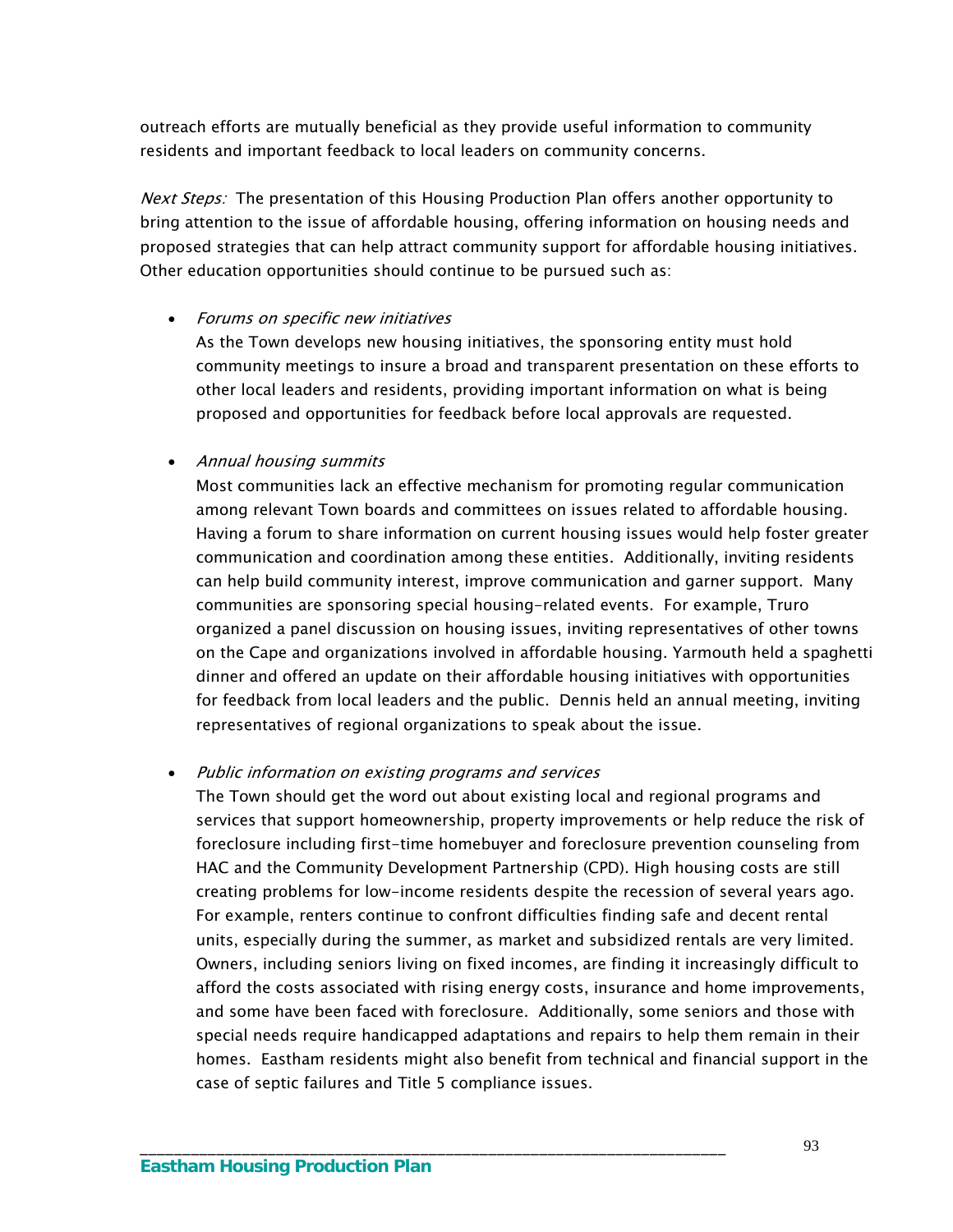outreach efforts are mutually beneficial as they provide useful information to community residents and important feedback to local leaders on community concerns.

Next Steps: The presentation of this Housing Production Plan offers another opportunity to bring attention to the issue of affordable housing, offering information on housing needs and proposed strategies that can help attract community support for affordable housing initiatives. Other education opportunities should continue to be pursued such as:

#### Forums on specific new initiatives

As the Town develops new housing initiatives, the sponsoring entity must hold community meetings to insure a broad and transparent presentation on these efforts to other local leaders and residents, providing important information on what is being proposed and opportunities for feedback before local approvals are requested.

#### Annual housing summits

Most communities lack an effective mechanism for promoting regular communication among relevant Town boards and committees on issues related to affordable housing. Having a forum to share information on current housing issues would help foster greater communication and coordination among these entities. Additionally, inviting residents can help build community interest, improve communication and garner support. Many communities are sponsoring special housing-related events. For example, Truro organized a panel discussion on housing issues, inviting representatives of other towns on the Cape and organizations involved in affordable housing. Yarmouth held a spaghetti dinner and offered an update on their affordable housing initiatives with opportunities for feedback from local leaders and the public. Dennis held an annual meeting, inviting representatives of regional organizations to speak about the issue.

#### Public information on existing programs and services

\_\_\_\_\_\_\_\_\_\_\_\_\_\_\_\_\_\_\_\_\_\_\_\_\_\_\_\_\_\_\_\_\_\_\_\_\_\_\_\_\_\_\_\_\_\_\_\_\_\_\_\_\_\_\_\_\_\_\_\_\_\_\_\_\_\_\_\_\_

The Town should get the word out about existing local and regional programs and services that support homeownership, property improvements or help reduce the risk of foreclosure including first-time homebuyer and foreclosure prevention counseling from HAC and the Community Development Partnership (CPD). High housing costs are still creating problems for low-income residents despite the recession of several years ago. For example, renters continue to confront difficulties finding safe and decent rental units, especially during the summer, as market and subsidized rentals are very limited. Owners, including seniors living on fixed incomes, are finding it increasingly difficult to afford the costs associated with rising energy costs, insurance and home improvements, and some have been faced with foreclosure. Additionally, some seniors and those with special needs require handicapped adaptations and repairs to help them remain in their homes. Eastham residents might also benefit from technical and financial support in the case of septic failures and Title 5 compliance issues.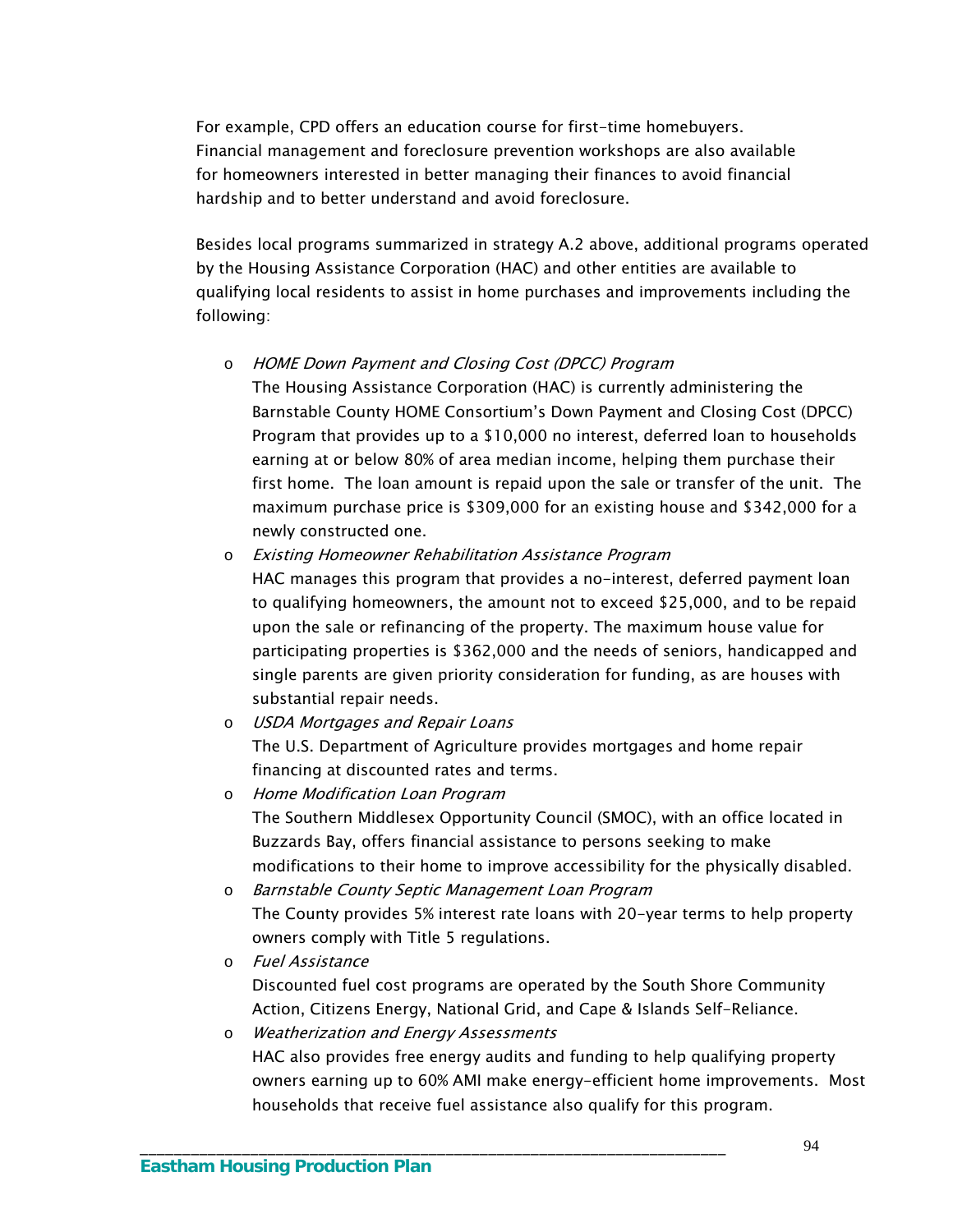For example, CPD offers an education course for first-time homebuyers. Financial management and foreclosure prevention workshops are also available for homeowners interested in better managing their finances to avoid financial hardship and to better understand and avoid foreclosure.

Besides local programs summarized in strategy A.2 above, additional programs operated by the Housing Assistance Corporation (HAC) and other entities are available to qualifying local residents to assist in home purchases and improvements including the following:

o HOME Down Payment and Closing Cost (DPCC) Program

The Housing Assistance Corporation (HAC) is currently administering the Barnstable County HOME Consortium's Down Payment and Closing Cost (DPCC) Program that provides up to a \$10,000 no interest, deferred loan to households earning at or below 80% of area median income, helping them purchase their first home. The loan amount is repaid upon the sale or transfer of the unit. The maximum purchase price is \$309,000 for an existing house and \$342,000 for a newly constructed one.

- o Existing Homeowner Rehabilitation Assistance Program HAC manages this program that provides a no-interest, deferred payment loan to qualifying homeowners, the amount not to exceed \$25,000, and to be repaid upon the sale or refinancing of the property. The maximum house value for participating properties is \$362,000 and the needs of seniors, handicapped and single parents are given priority consideration for funding, as are houses with substantial repair needs.
- o USDA Mortgages and Repair Loans The U.S. Department of Agriculture provides mortgages and home repair financing at discounted rates and terms.
- o Home Modification Loan Program The Southern Middlesex Opportunity Council (SMOC), with an office located in Buzzards Bay, offers financial assistance to persons seeking to make modifications to their home to improve accessibility for the physically disabled.
- o Barnstable County Septic Management Loan Program The County provides 5% interest rate loans with 20-year terms to help property owners comply with Title 5 regulations.
- o Fuel Assistance Discounted fuel cost programs are operated by the South Shore Community Action, Citizens Energy, National Grid, and Cape & Islands Self-Reliance.

\_\_\_\_\_\_\_\_\_\_\_\_\_\_\_\_\_\_\_\_\_\_\_\_\_\_\_\_\_\_\_\_\_\_\_\_\_\_\_\_\_\_\_\_\_\_\_\_\_\_\_\_\_\_\_\_\_\_\_\_\_\_\_\_\_\_\_\_\_

o Weatherization and Energy Assessments HAC also provides free energy audits and funding to help qualifying property owners earning up to 60% AMI make energy-efficient home improvements. Most households that receive fuel assistance also qualify for this program.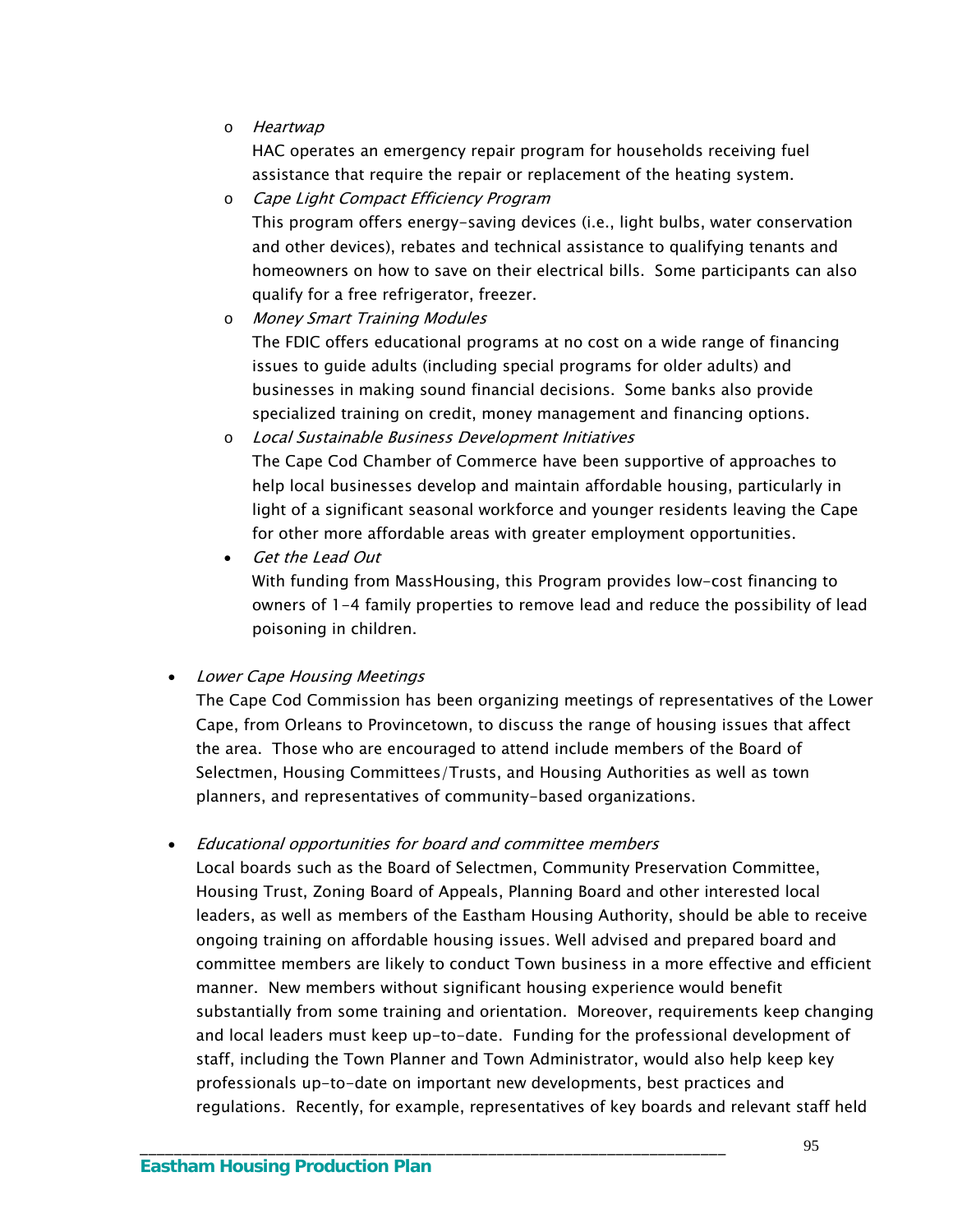o Heartwap

HAC operates an emergency repair program for households receiving fuel assistance that require the repair or replacement of the heating system.

- o Cape Light Compact Efficiency Program This program offers energy-saving devices (i.e., light bulbs, water conservation and other devices), rebates and technical assistance to qualifying tenants and homeowners on how to save on their electrical bills. Some participants can also qualify for a free refrigerator, freezer.
- o Money Smart Training Modules The FDIC offers educational programs at no cost on a wide range of financing issues to guide adults (including special programs for older adults) and businesses in making sound financial decisions. Some banks also provide specialized training on credit, money management and financing options.
- o Local Sustainable Business Development Initiatives The Cape Cod Chamber of Commerce have been supportive of approaches to help local businesses develop and maintain affordable housing, particularly in light of a significant seasonal workforce and younger residents leaving the Cape for other more affordable areas with greater employment opportunities.
- Get the Lead Out With funding from MassHousing, this Program provides low-cost financing to owners of 1-4 family properties to remove lead and reduce the possibility of lead poisoning in children.

Lower Cape Housing Meetings

The Cape Cod Commission has been organizing meetings of representatives of the Lower Cape, from Orleans to Provincetown, to discuss the range of housing issues that affect the area. Those who are encouraged to attend include members of the Board of Selectmen, Housing Committees/Trusts, and Housing Authorities as well as town planners, and representatives of community-based organizations.

• Educational opportunities for board and committee members

\_\_\_\_\_\_\_\_\_\_\_\_\_\_\_\_\_\_\_\_\_\_\_\_\_\_\_\_\_\_\_\_\_\_\_\_\_\_\_\_\_\_\_\_\_\_\_\_\_\_\_\_\_\_\_\_\_\_\_\_\_\_\_\_\_\_\_\_\_

Local boards such as the Board of Selectmen, Community Preservation Committee, Housing Trust, Zoning Board of Appeals, Planning Board and other interested local leaders, as well as members of the Eastham Housing Authority, should be able to receive ongoing training on affordable housing issues. Well advised and prepared board and committee members are likely to conduct Town business in a more effective and efficient manner. New members without significant housing experience would benefit substantially from some training and orientation. Moreover, requirements keep changing and local leaders must keep up-to-date. Funding for the professional development of staff, including the Town Planner and Town Administrator, would also help keep key professionals up-to-date on important new developments, best practices and regulations. Recently, for example, representatives of key boards and relevant staff held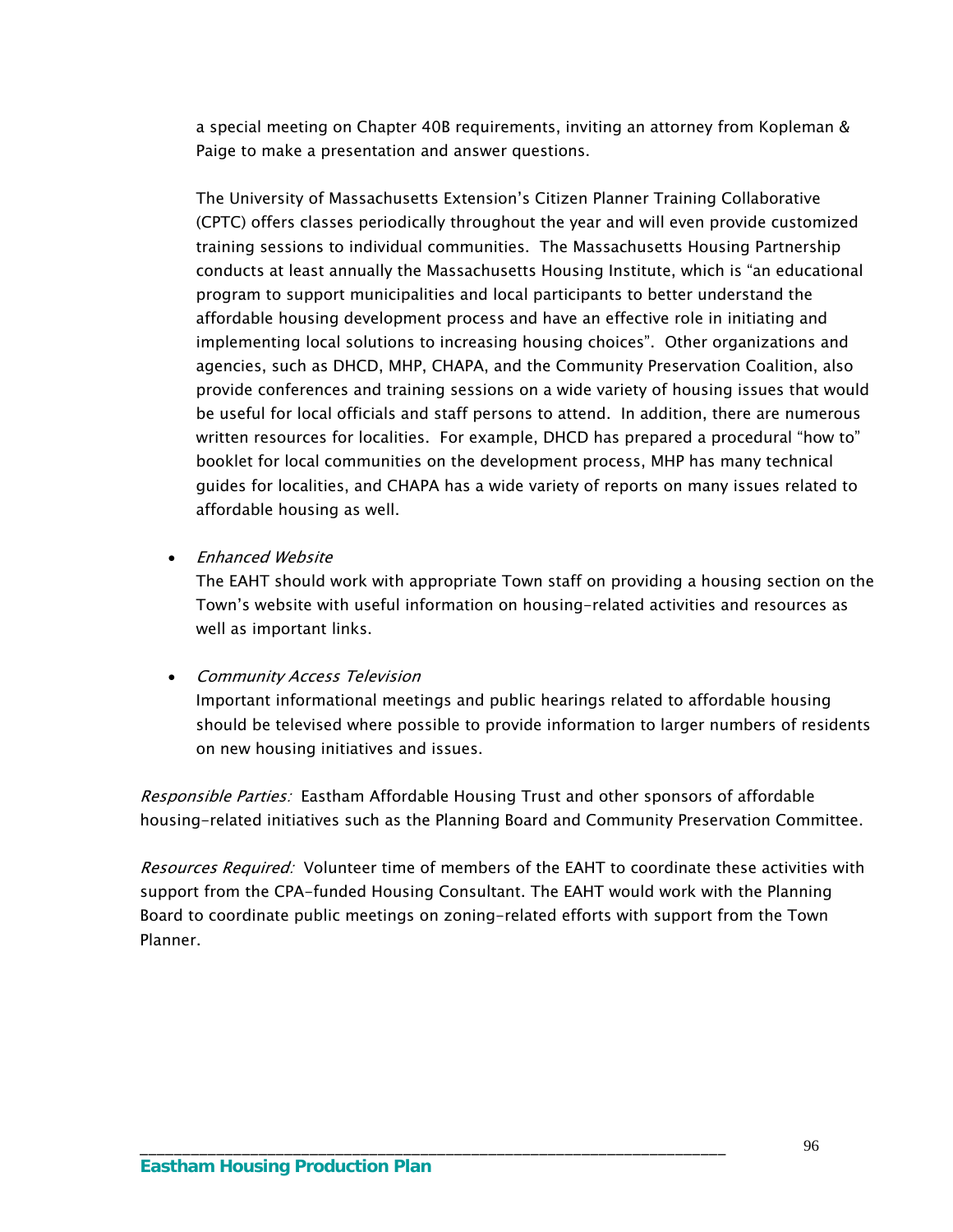a special meeting on Chapter 40B requirements, inviting an attorney from Kopleman & Paige to make a presentation and answer questions.

The University of Massachusetts Extension's Citizen Planner Training Collaborative (CPTC) offers classes periodically throughout the year and will even provide customized training sessions to individual communities. The Massachusetts Housing Partnership conducts at least annually the Massachusetts Housing Institute, which is "an educational program to support municipalities and local participants to better understand the affordable housing development process and have an effective role in initiating and implementing local solutions to increasing housing choices". Other organizations and agencies, such as DHCD, MHP, CHAPA, and the Community Preservation Coalition, also provide conferences and training sessions on a wide variety of housing issues that would be useful for local officials and staff persons to attend. In addition, there are numerous written resources for localities. For example, DHCD has prepared a procedural "how to" booklet for local communities on the development process, MHP has many technical guides for localities, and CHAPA has a wide variety of reports on many issues related to affordable housing as well.

• Enhanced Website

The EAHT should work with appropriate Town staff on providing a housing section on the Town's website with useful information on housing-related activities and resources as well as important links.

#### • Community Access Television

Important informational meetings and public hearings related to affordable housing should be televised where possible to provide information to larger numbers of residents on new housing initiatives and issues.

Responsible Parties: Eastham Affordable Housing Trust and other sponsors of affordable housing-related initiatives such as the Planning Board and Community Preservation Committee.

Resources Required: Volunteer time of members of the EAHT to coordinate these activities with support from the CPA-funded Housing Consultant. The EAHT would work with the Planning Board to coordinate public meetings on zoning-related efforts with support from the Town Planner.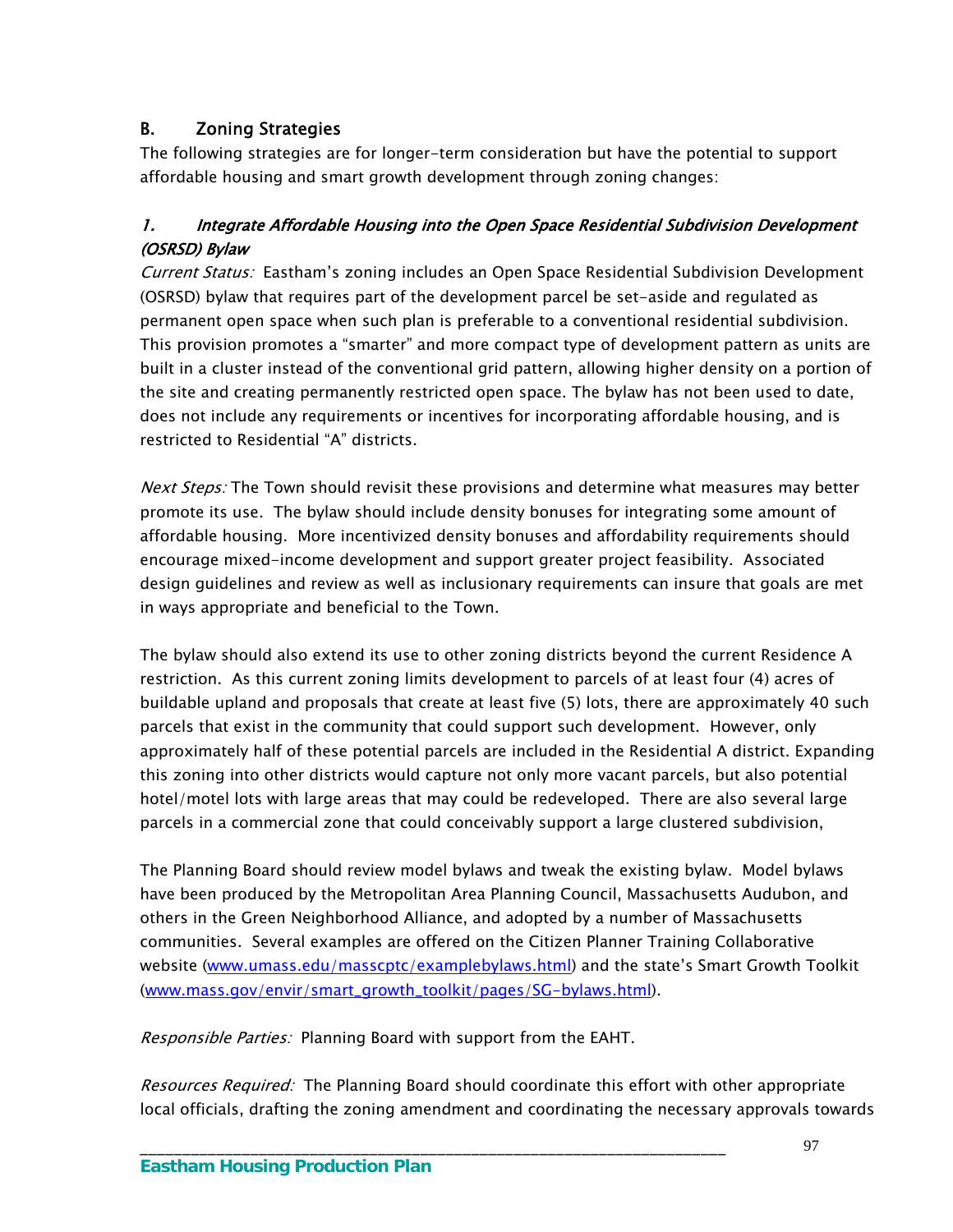## B. Zoning Strategies

The following strategies are for longer-term consideration but have the potential to support affordable housing and smart growth development through zoning changes:

## 1. Integrate Affordable Housing into the Open Space Residential Subdivision Development (OSRSD) Bylaw

Current Status: Eastham's zoning includes an Open Space Residential Subdivision Development (OSRSD) bylaw that requires part of the development parcel be set-aside and regulated as permanent open space when such plan is preferable to a conventional residential subdivision. This provision promotes a "smarter" and more compact type of development pattern as units are built in a cluster instead of the conventional grid pattern, allowing higher density on a portion of the site and creating permanently restricted open space. The bylaw has not been used to date, does not include any requirements or incentives for incorporating affordable housing, and is restricted to Residential "A" districts.

Next Steps: The Town should revisit these provisions and determine what measures may better promote its use. The bylaw should include density bonuses for integrating some amount of affordable housing. More incentivized density bonuses and affordability requirements should encourage mixed-income development and support greater project feasibility. Associated design guidelines and review as well as inclusionary requirements can insure that goals are met in ways appropriate and beneficial to the Town.

The bylaw should also extend its use to other zoning districts beyond the current Residence A restriction. As this current zoning limits development to parcels of at least four (4) acres of buildable upland and proposals that create at least five (5) lots, there are approximately 40 such parcels that exist in the community that could support such development. However, only approximately half of these potential parcels are included in the Residential A district. Expanding this zoning into other districts would capture not only more vacant parcels, but also potential hotel/motel lots with large areas that may could be redeveloped. There are also several large parcels in a commercial zone that could conceivably support a large clustered subdivision,

The Planning Board should review model bylaws and tweak the existing bylaw. Model bylaws have been produced by the Metropolitan Area Planning Council, Massachusetts Audubon, and others in the Green Neighborhood Alliance, and adopted by a number of Massachusetts communities. Several examples are offered on the Citizen Planner Training Collaborative website [\(www.umass.edu/masscptc/examplebylaws.html](http://www.umass.edu/masscptc/examplebylaws.html)) and the state's Smart Growth Toolkit [\(www.mass.gov/envir/smart\\_growth\\_toolkit/pages/SG-bylaws.html\)](http://www.mass.gov/envir/smart_growth_toolkit/pages/SG-bylaws.html).

Responsible Parties: Planning Board with support from the EAHT.

\_\_\_\_\_\_\_\_\_\_\_\_\_\_\_\_\_\_\_\_\_\_\_\_\_\_\_\_\_\_\_\_\_\_\_\_\_\_\_\_\_\_\_\_\_\_\_\_\_\_\_\_\_\_\_\_\_\_\_\_\_\_\_\_\_\_\_\_\_

Resources Required: The Planning Board should coordinate this effort with other appropriate local officials, drafting the zoning amendment and coordinating the necessary approvals towards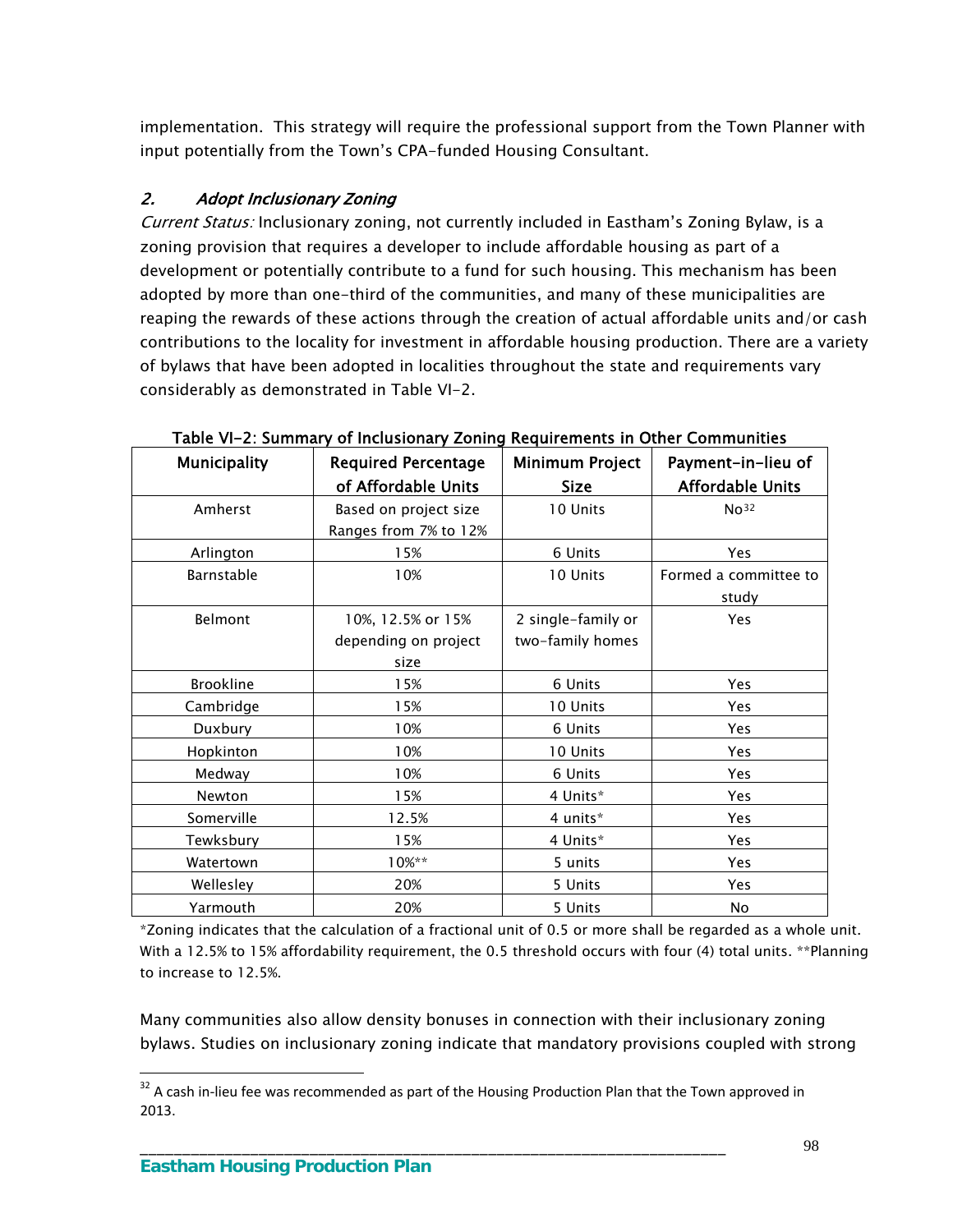implementation. This strategy will require the professional support from the Town Planner with input potentially from the Town's CPA-funded Housing Consultant.

### 2. Adopt Inclusionary Zoning

Current Status: Inclusionary zoning, not currently included in Eastham's Zoning Bylaw, is a zoning provision that requires a developer to include affordable housing as part of a development or potentially contribute to a fund for such housing. This mechanism has been adopted by more than one-third of the communities, and many of these municipalities are reaping the rewards of these actions through the creation of actual affordable units and/or cash contributions to the locality for investment in affordable housing production. There are a variety of bylaws that have been adopted in localities throughout the state and requirements vary considerably as demonstrated in Table VI-2.

| <b>Municipality</b> | <b>Required Percentage</b> | <b>Minimum Project</b> | Payment-in-lieu of      |
|---------------------|----------------------------|------------------------|-------------------------|
|                     | of Affordable Units        | Size                   | <b>Affordable Units</b> |
| Amherst             | Based on project size      | 10 Units               | No <sup>32</sup>        |
|                     | Ranges from 7% to 12%      |                        |                         |
| Arlington           | 15%                        | 6 Units                | Yes                     |
| Barnstable          | 10%                        | 10 Units               | Formed a committee to   |
|                     |                            |                        | study                   |
| Belmont             | 10%, 12.5% or 15%          | 2 single-family or     | <b>Yes</b>              |
|                     | depending on project       | two-family homes       |                         |
|                     | size                       |                        |                         |
| <b>Brookline</b>    | 15%                        | 6 Units                | Yes                     |
| Cambridge           | 15%                        | 10 Units               | Yes                     |
| Duxbury             | 10%                        | 6 Units                | Yes                     |
| Hopkinton           | 10%                        | 10 Units               | Yes                     |
| Medway              | 10%                        | 6 Units                | Yes                     |
| Newton              | 15%                        | 4 Units*               | Yes                     |
| Somerville          | 12.5%                      | 4 units*               | Yes                     |
| Tewksbury           | 15%                        | 4 Units*               | Yes                     |
| Watertown           | 10%**                      | 5 units                | <b>Yes</b>              |
| Wellesley           | 20%                        | 5 Units                | Yes                     |
| Yarmouth            | 20%                        | 5 Units                | No                      |

Table VI-2: Summary of Inclusionary Zoning Requirements in Other Communities

\*Zoning indicates that the calculation of a fractional unit of 0.5 or more shall be regarded as a whole unit. With a 12.5% to 15% affordability requirement, the 0.5 threshold occurs with four (4) total units. \*\*Planning to increase to 12.5%.

Many communities also allow density bonuses in connection with their inclusionary zoning bylaws. Studies on inclusionary zoning indicate that mandatory provisions coupled with strong

\_\_\_\_\_\_\_\_\_\_\_\_\_\_\_\_\_\_\_\_\_\_\_\_\_\_\_\_\_\_\_\_\_\_\_\_\_\_\_\_\_\_\_\_\_\_\_\_\_\_\_\_\_\_\_\_\_\_\_\_\_\_\_\_\_\_\_\_\_

<span id="page-101-0"></span> $32$  A cash in-lieu fee was recommended as part of the Housing Production Plan that the Town approved in 2013.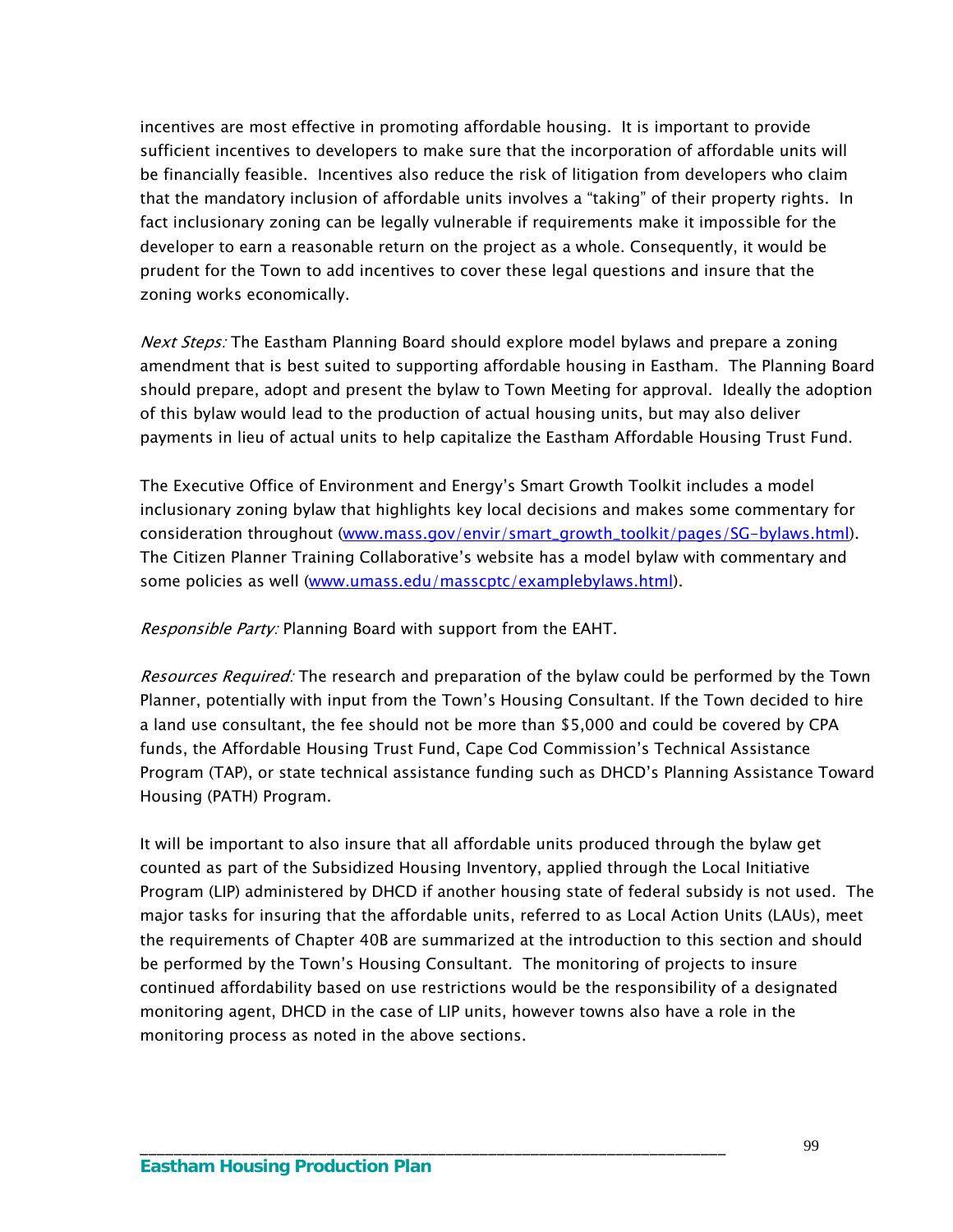incentives are most effective in promoting affordable housing. It is important to provide sufficient incentives to developers to make sure that the incorporation of affordable units will be financially feasible. Incentives also reduce the risk of litigation from developers who claim that the mandatory inclusion of affordable units involves a "taking" of their property rights. In fact inclusionary zoning can be legally vulnerable if requirements make it impossible for the developer to earn a reasonable return on the project as a whole. Consequently, it would be prudent for the Town to add incentives to cover these legal questions and insure that the zoning works economically.

Next Steps: The Eastham Planning Board should explore model bylaws and prepare a zoning amendment that is best suited to supporting affordable housing in Eastham. The Planning Board should prepare, adopt and present the bylaw to Town Meeting for approval. Ideally the adoption of this bylaw would lead to the production of actual housing units, but may also deliver payments in lieu of actual units to help capitalize the Eastham Affordable Housing Trust Fund.

The Executive Office of Environment and Energy's Smart Growth Toolkit includes a model inclusionary zoning bylaw that highlights key local decisions and makes some commentary for consideration throughout [\(www.mass.gov/envir/smart\\_growth\\_toolkit/pages/SG-bylaws.html\)](http://www.mass.gov/envir/smart_growth_toolkit?pages/SG-bylaws.html). The Citizen Planner Training Collaborative's website has a model bylaw with commentary and some policies as well ([www.umass.edu/masscptc/examplebylaws.html\)](http://www.umass.edu/masscptc/examplebylaws.html).

Responsible Party: Planning Board with support from the EAHT.

Resources Required: The research and preparation of the bylaw could be performed by the Town Planner, potentially with input from the Town's Housing Consultant. If the Town decided to hire a land use consultant, the fee should not be more than \$5,000 and could be covered by CPA funds, the Affordable Housing Trust Fund, Cape Cod Commission's Technical Assistance Program (TAP), or state technical assistance funding such as DHCD's Planning Assistance Toward Housing (PATH) Program.

It will be important to also insure that all affordable units produced through the bylaw get counted as part of the Subsidized Housing Inventory, applied through the Local Initiative Program (LIP) administered by DHCD if another housing state of federal subsidy is not used. The major tasks for insuring that the affordable units, referred to as Local Action Units (LAUs), meet the requirements of Chapter 40B are summarized at the introduction to this section and should be performed by the Town's Housing Consultant. The monitoring of projects to insure continued affordability based on use restrictions would be the responsibility of a designated monitoring agent, DHCD in the case of LIP units, however towns also have a role in the monitoring process as noted in the above sections.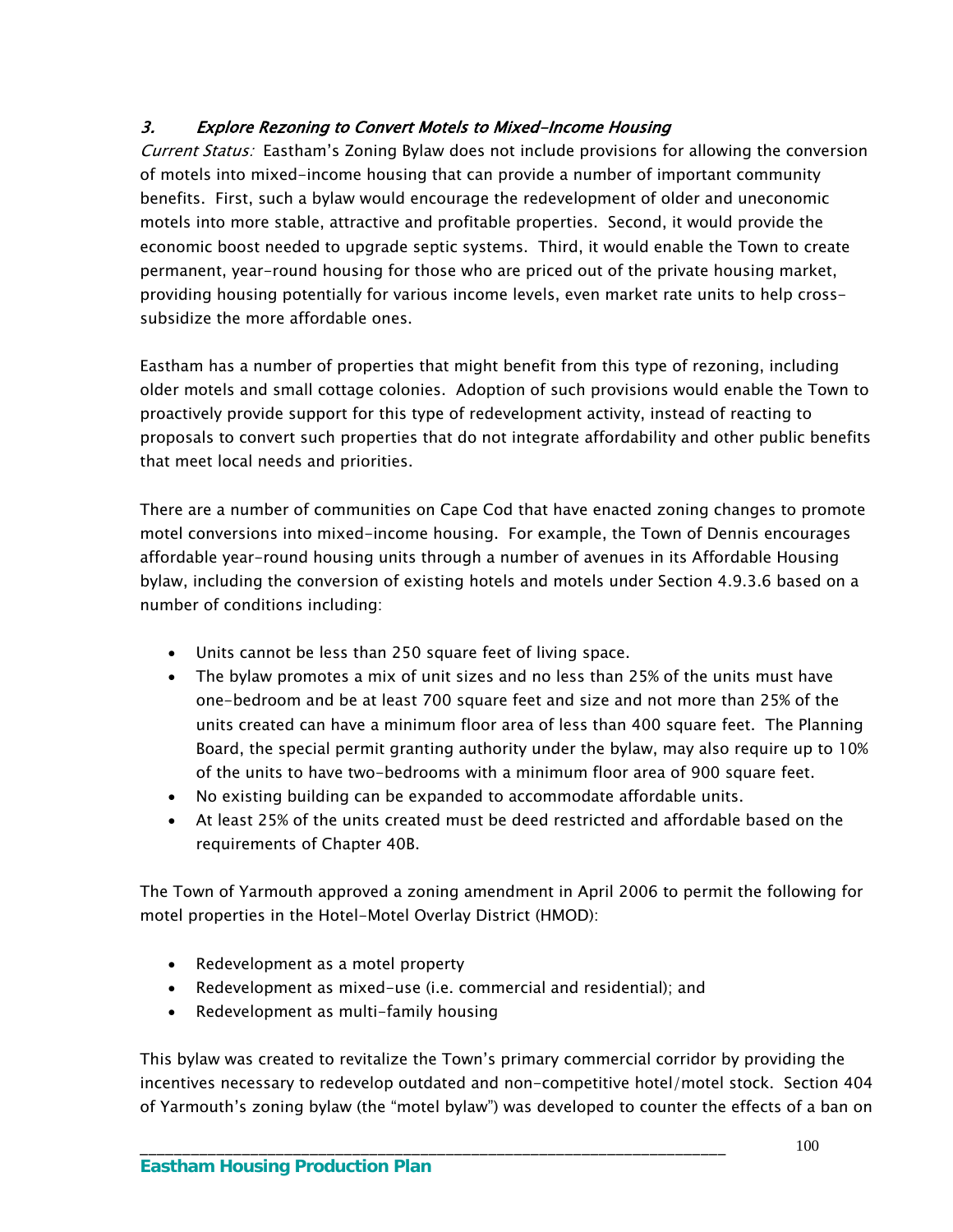## 3. Explore Rezoning to Convert Motels to Mixed-Income Housing

Current Status: Eastham's Zoning Bylaw does not include provisions for allowing the conversion of motels into mixed-income housing that can provide a number of important community benefits. First, such a bylaw would encourage the redevelopment of older and uneconomic motels into more stable, attractive and profitable properties. Second, it would provide the economic boost needed to upgrade septic systems. Third, it would enable the Town to create permanent, year-round housing for those who are priced out of the private housing market, providing housing potentially for various income levels, even market rate units to help crosssubsidize the more affordable ones.

Eastham has a number of properties that might benefit from this type of rezoning, including older motels and small cottage colonies. Adoption of such provisions would enable the Town to proactively provide support for this type of redevelopment activity, instead of reacting to proposals to convert such properties that do not integrate affordability and other public benefits that meet local needs and priorities.

There are a number of communities on Cape Cod that have enacted zoning changes to promote motel conversions into mixed-income housing. For example, the Town of Dennis encourages affordable year-round housing units through a number of avenues in its Affordable Housing bylaw, including the conversion of existing hotels and motels under Section 4.9.3.6 based on a number of conditions including:

- Units cannot be less than 250 square feet of living space.
- The bylaw promotes a mix of unit sizes and no less than 25% of the units must have one-bedroom and be at least 700 square feet and size and not more than 25% of the units created can have a minimum floor area of less than 400 square feet. The Planning Board, the special permit granting authority under the bylaw, may also require up to 10% of the units to have two-bedrooms with a minimum floor area of 900 square feet.
- No existing building can be expanded to accommodate affordable units.
- At least 25% of the units created must be deed restricted and affordable based on the requirements of Chapter 40B.

The Town of Yarmouth approved a zoning amendment in April 2006 to permit the following for motel properties in the Hotel-Motel Overlay District (HMOD):

- Redevelopment as a motel property
- Redevelopment as mixed-use (i.e. commercial and residential); and

\_\_\_\_\_\_\_\_\_\_\_\_\_\_\_\_\_\_\_\_\_\_\_\_\_\_\_\_\_\_\_\_\_\_\_\_\_\_\_\_\_\_\_\_\_\_\_\_\_\_\_\_\_\_\_\_\_\_\_\_\_\_\_\_\_\_\_\_\_

• Redevelopment as multi-family housing

This bylaw was created to revitalize the Town's primary commercial corridor by providing the incentives necessary to redevelop outdated and non-competitive hotel/motel stock. Section 404 of Yarmouth's zoning bylaw (the "motel bylaw") was developed to counter the effects of a ban on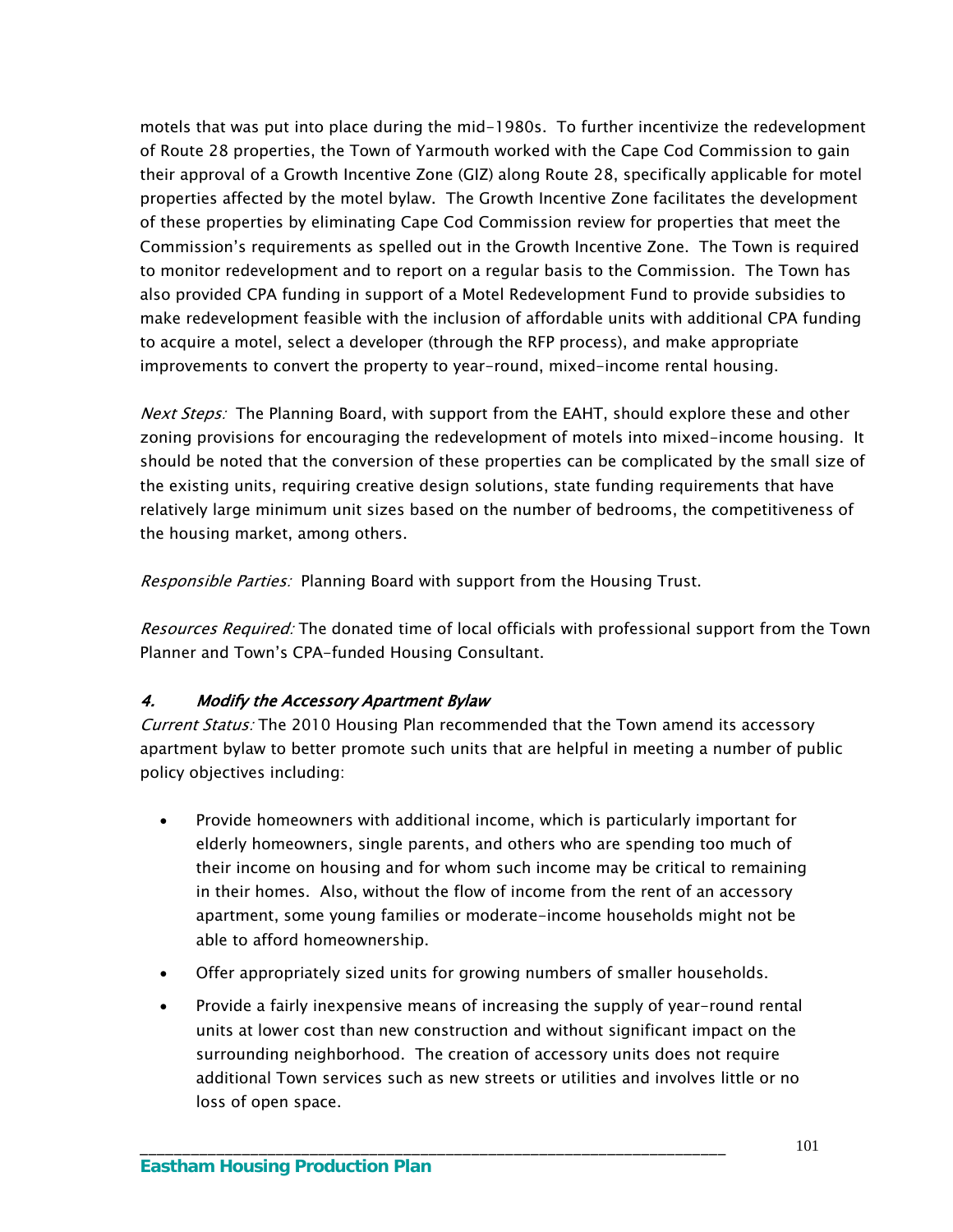motels that was put into place during the mid-1980s. To further incentivize the redevelopment of Route 28 properties, the Town of Yarmouth worked with the Cape Cod Commission to gain their approval of a Growth Incentive Zone (GIZ) along Route 28, specifically applicable for motel properties affected by the motel bylaw. The Growth Incentive Zone facilitates the development of these properties by eliminating Cape Cod Commission review for properties that meet the Commission's requirements as spelled out in the Growth Incentive Zone. The Town is required to monitor redevelopment and to report on a regular basis to the Commission. The Town has also provided CPA funding in support of a Motel Redevelopment Fund to provide subsidies to make redevelopment feasible with the inclusion of affordable units with additional CPA funding to acquire a motel, select a developer (through the RFP process), and make appropriate improvements to convert the property to year-round, mixed-income rental housing.

*Next Steps:* The Planning Board, with support from the EAHT, should explore these and other zoning provisions for encouraging the redevelopment of motels into mixed-income housing. It should be noted that the conversion of these properties can be complicated by the small size of the existing units, requiring creative design solutions, state funding requirements that have relatively large minimum unit sizes based on the number of bedrooms, the competitiveness of the housing market, among others.

Responsible Parties: Planning Board with support from the Housing Trust.

Resources Required: The donated time of local officials with professional support from the Town Planner and Town's CPA-funded Housing Consultant.

### 4. Modify the Accessory Apartment Bylaw

Current Status: The 2010 Housing Plan recommended that the Town amend its accessory apartment bylaw to better promote such units that are helpful in meeting a number of public policy objectives including:

- Provide homeowners with additional income, which is particularly important for elderly homeowners, single parents, and others who are spending too much of their income on housing and for whom such income may be critical to remaining in their homes. Also, without the flow of income from the rent of an accessory apartment, some young families or moderate-income households might not be able to afford homeownership.
- Offer appropriately sized units for growing numbers of smaller households.

\_\_\_\_\_\_\_\_\_\_\_\_\_\_\_\_\_\_\_\_\_\_\_\_\_\_\_\_\_\_\_\_\_\_\_\_\_\_\_\_\_\_\_\_\_\_\_\_\_\_\_\_\_\_\_\_\_\_\_\_\_\_\_\_\_\_\_\_\_

 Provide a fairly inexpensive means of increasing the supply of year-round rental units at lower cost than new construction and without significant impact on the surrounding neighborhood. The creation of accessory units does not require additional Town services such as new streets or utilities and involves little or no loss of open space.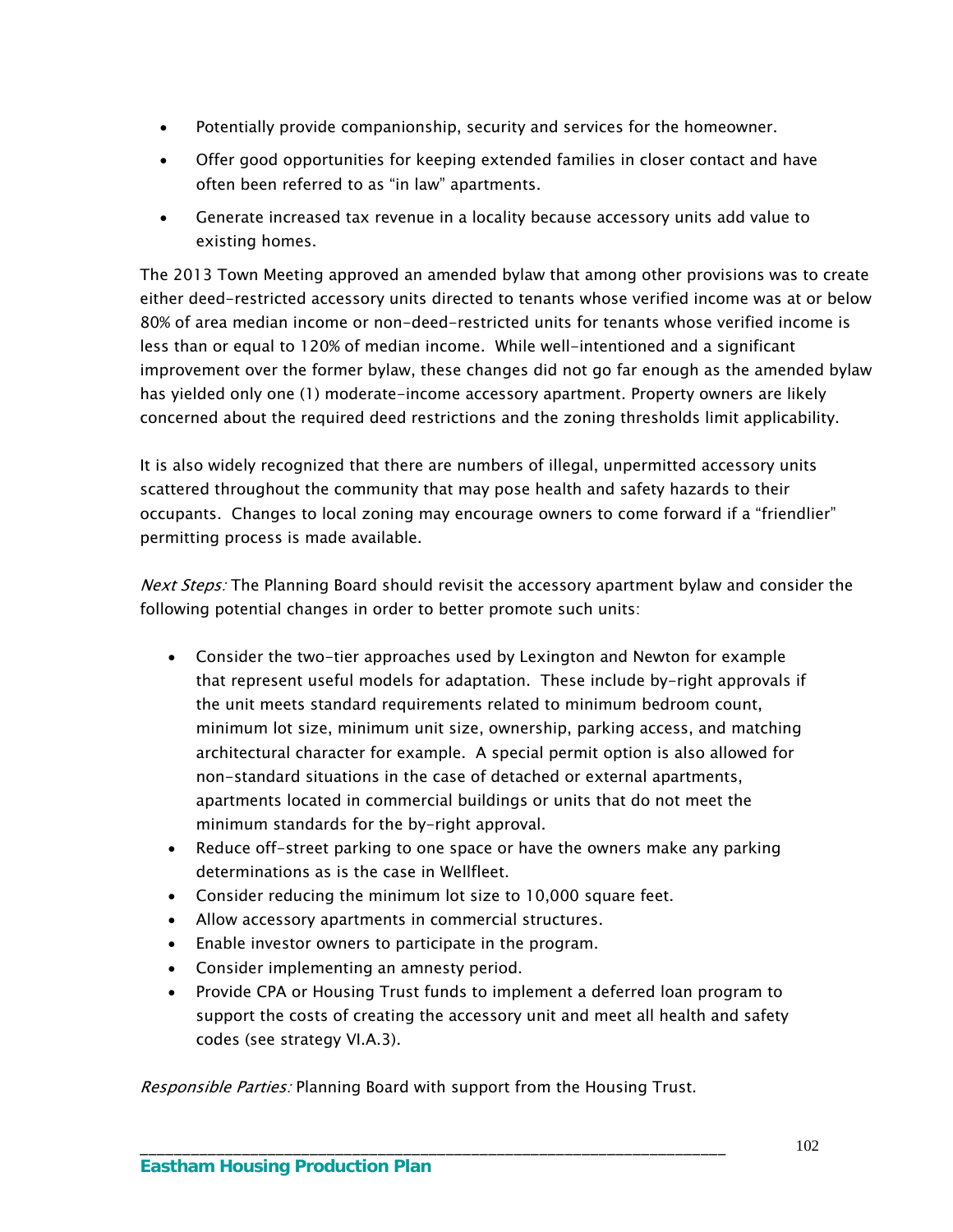- Potentially provide companionship, security and services for the homeowner.
- Offer good opportunities for keeping extended families in closer contact and have often been referred to as "in law" apartments.
- Generate increased tax revenue in a locality because accessory units add value to existing homes.

The 2013 Town Meeting approved an amended bylaw that among other provisions was to create either deed-restricted accessory units directed to tenants whose verified income was at or below 80% of area median income or non-deed-restricted units for tenants whose verified income is less than or equal to 120% of median income. While well-intentioned and a significant improvement over the former bylaw, these changes did not go far enough as the amended bylaw has yielded only one (1) moderate-income accessory apartment. Property owners are likely concerned about the required deed restrictions and the zoning thresholds limit applicability.

It is also widely recognized that there are numbers of illegal, unpermitted accessory units scattered throughout the community that may pose health and safety hazards to their occupants. Changes to local zoning may encourage owners to come forward if a "friendlier" permitting process is made available.

Next Steps: The Planning Board should revisit the accessory apartment bylaw and consider the following potential changes in order to better promote such units:

- Consider the two-tier approaches used by Lexington and Newton for example that represent useful models for adaptation. These include by-right approvals if the unit meets standard requirements related to minimum bedroom count, minimum lot size, minimum unit size, ownership, parking access, and matching architectural character for example. A special permit option is also allowed for non-standard situations in the case of detached or external apartments, apartments located in commercial buildings or units that do not meet the minimum standards for the by-right approval.
- Reduce off-street parking to one space or have the owners make any parking determinations as is the case in Wellfleet.
- Consider reducing the minimum lot size to 10,000 square feet.
- Allow accessory apartments in commercial structures.
- Enable investor owners to participate in the program.
- Consider implementing an amnesty period.
- Provide CPA or Housing Trust funds to implement a deferred loan program to support the costs of creating the accessory unit and meet all health and safety codes (see strategy VI.A.3).

Responsible Parties: Planning Board with support from the Housing Trust.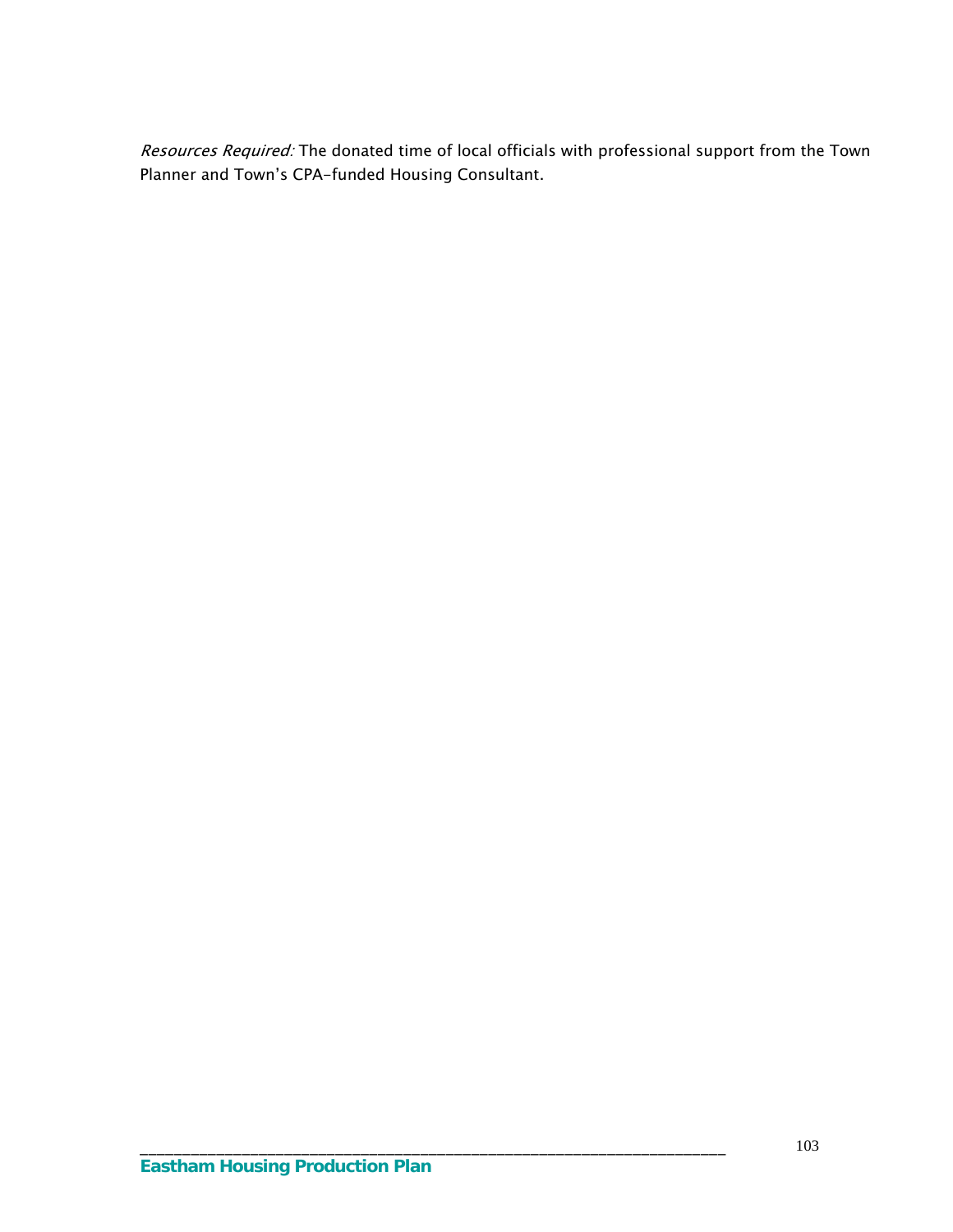Resources Required: The donated time of local officials with professional support from the Town Planner and Town's CPA-funded Housing Consultant.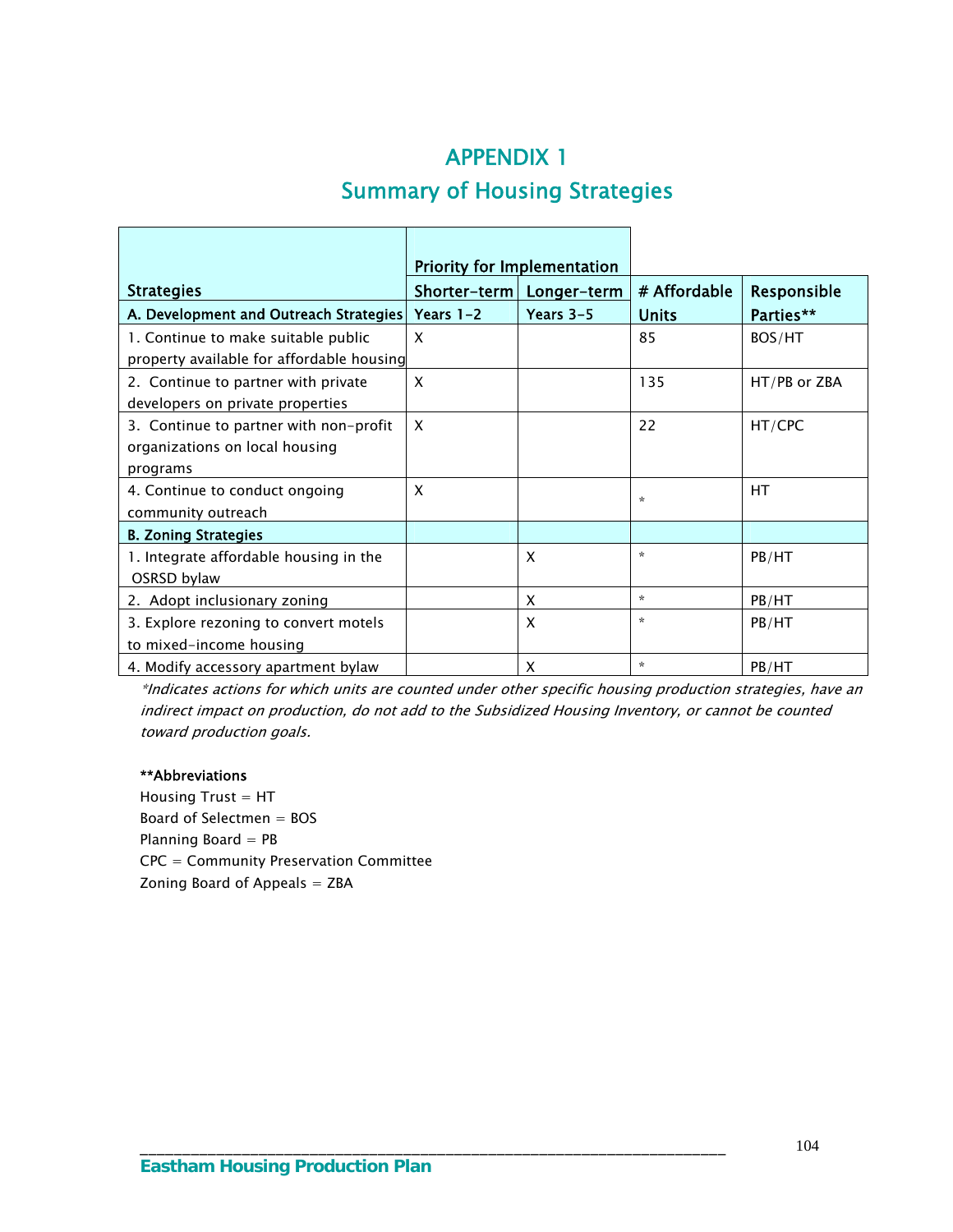# APPENDIX 1 Summary of Housing Strategies

l

 $\overline{\phantom{a}}$ 

|                                           | <b>Priority for Implementation</b> |                            |              |              |
|-------------------------------------------|------------------------------------|----------------------------|--------------|--------------|
| <b>Strategies</b>                         |                                    | Shorter-term   Longer-term | # Affordable | Responsible  |
| A. Development and Outreach Strategies    | Years $1-2$                        | Years $3-5$                | <b>Units</b> | Parties**    |
| 1. Continue to make suitable public       | X                                  |                            | 85           | BOS/HT       |
| property available for affordable housing |                                    |                            |              |              |
| 2. Continue to partner with private       | X                                  |                            | 135          | HT/PB or ZBA |
| developers on private properties          |                                    |                            |              |              |
| 3. Continue to partner with non-profit    | $\boldsymbol{\mathsf{x}}$          |                            | 22           | HT/CPC       |
| organizations on local housing            |                                    |                            |              |              |
| programs                                  |                                    |                            |              |              |
| 4. Continue to conduct ongoing            | X                                  |                            | *            | НT           |
| community outreach                        |                                    |                            |              |              |
| <b>B. Zoning Strategies</b>               |                                    |                            |              |              |
| 1. Integrate affordable housing in the    |                                    | X                          | $\star$      | PB/HT        |
| OSRSD bylaw                               |                                    |                            |              |              |
| 2. Adopt inclusionary zoning              |                                    | X                          | $\star$      | PB/HT        |
| 3. Explore rezoning to convert motels     |                                    | X                          | ☆            | PB/HT        |
| to mixed-income housing                   |                                    |                            |              |              |
| 4. Modify accessory apartment bylaw       |                                    | X                          | $\star$      | PB/HT        |

\*Indicates actions for which units are counted under other specific housing production strategies, have an indirect impact on production, do not add to the Subsidized Housing Inventory, or cannot be counted toward production goals.

#### \*\*Abbreviations

 $\mathbf{r}$ 

Housing  $Trust = HT$ Board of Selectmen = BOS Planning Board = PB CPC = Community Preservation Committee Zoning Board of Appeals  $=$  ZBA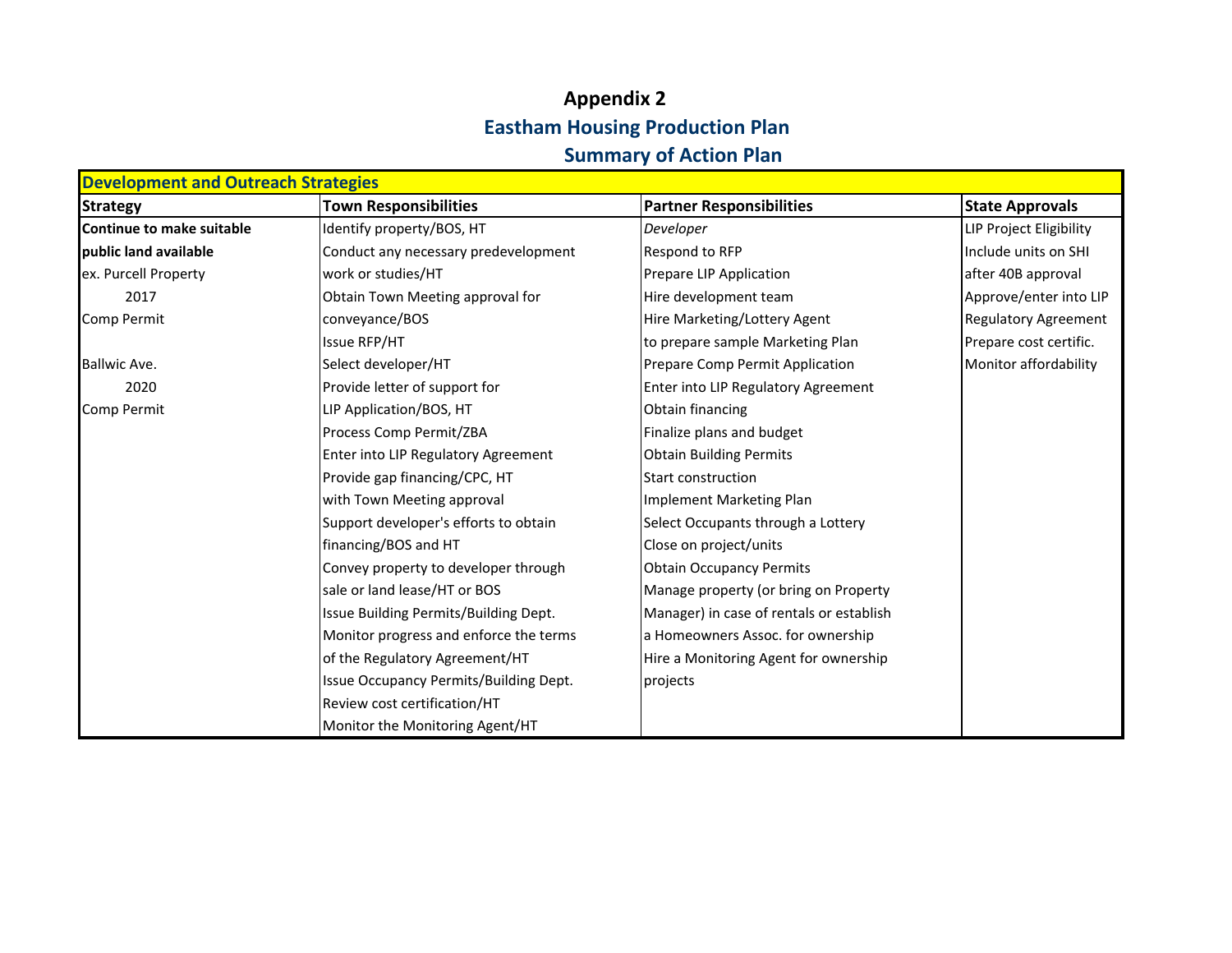# **Appendix 2 Eastham Housing Production Plan Summary of Action Plan**

| <b>Development and Outreach Strategies</b> |                                        |                                          |                             |
|--------------------------------------------|----------------------------------------|------------------------------------------|-----------------------------|
| <b>Strategy</b>                            | <b>Town Responsibilities</b>           | <b>Partner Responsibilities</b>          | <b>State Approvals</b>      |
| <b>Continue to make suitable</b>           | Identify property/BOS, HT              | Developer                                | LIP Project Eligibility     |
| public land available                      | Conduct any necessary predevelopment   | Respond to RFP                           | Include units on SHI        |
| ex. Purcell Property                       | work or studies/HT                     | Prepare LIP Application                  | after 40B approval          |
| 2017                                       | Obtain Town Meeting approval for       | Hire development team                    | Approve/enter into LIP      |
| Comp Permit                                | conveyance/BOS                         | Hire Marketing/Lottery Agent             | <b>Regulatory Agreement</b> |
|                                            | Issue RFP/HT                           | to prepare sample Marketing Plan         | Prepare cost certific.      |
| <b>Ballwic Ave.</b>                        | Select developer/HT                    | Prepare Comp Permit Application          | Monitor affordability       |
| 2020                                       | Provide letter of support for          | Enter into LIP Regulatory Agreement      |                             |
| Comp Permit                                | LIP Application/BOS, HT                | Obtain financing                         |                             |
|                                            | Process Comp Permit/ZBA                | Finalize plans and budget                |                             |
|                                            | Enter into LIP Regulatory Agreement    | <b>Obtain Building Permits</b>           |                             |
|                                            | Provide gap financing/CPC, HT          | <b>Start construction</b>                |                             |
|                                            | with Town Meeting approval             | Implement Marketing Plan                 |                             |
|                                            | Support developer's efforts to obtain  | Select Occupants through a Lottery       |                             |
|                                            | financing/BOS and HT                   | Close on project/units                   |                             |
|                                            | Convey property to developer through   | <b>Obtain Occupancy Permits</b>          |                             |
|                                            | sale or land lease/HT or BOS           | Manage property (or bring on Property    |                             |
|                                            | Issue Building Permits/Building Dept.  | Manager) in case of rentals or establish |                             |
|                                            | Monitor progress and enforce the terms | a Homeowners Assoc. for ownership        |                             |
|                                            | of the Regulatory Agreement/HT         | Hire a Monitoring Agent for ownership    |                             |
|                                            | Issue Occupancy Permits/Building Dept. | projects                                 |                             |
|                                            | Review cost certification/HT           |                                          |                             |
|                                            | Monitor the Monitoring Agent/HT        |                                          |                             |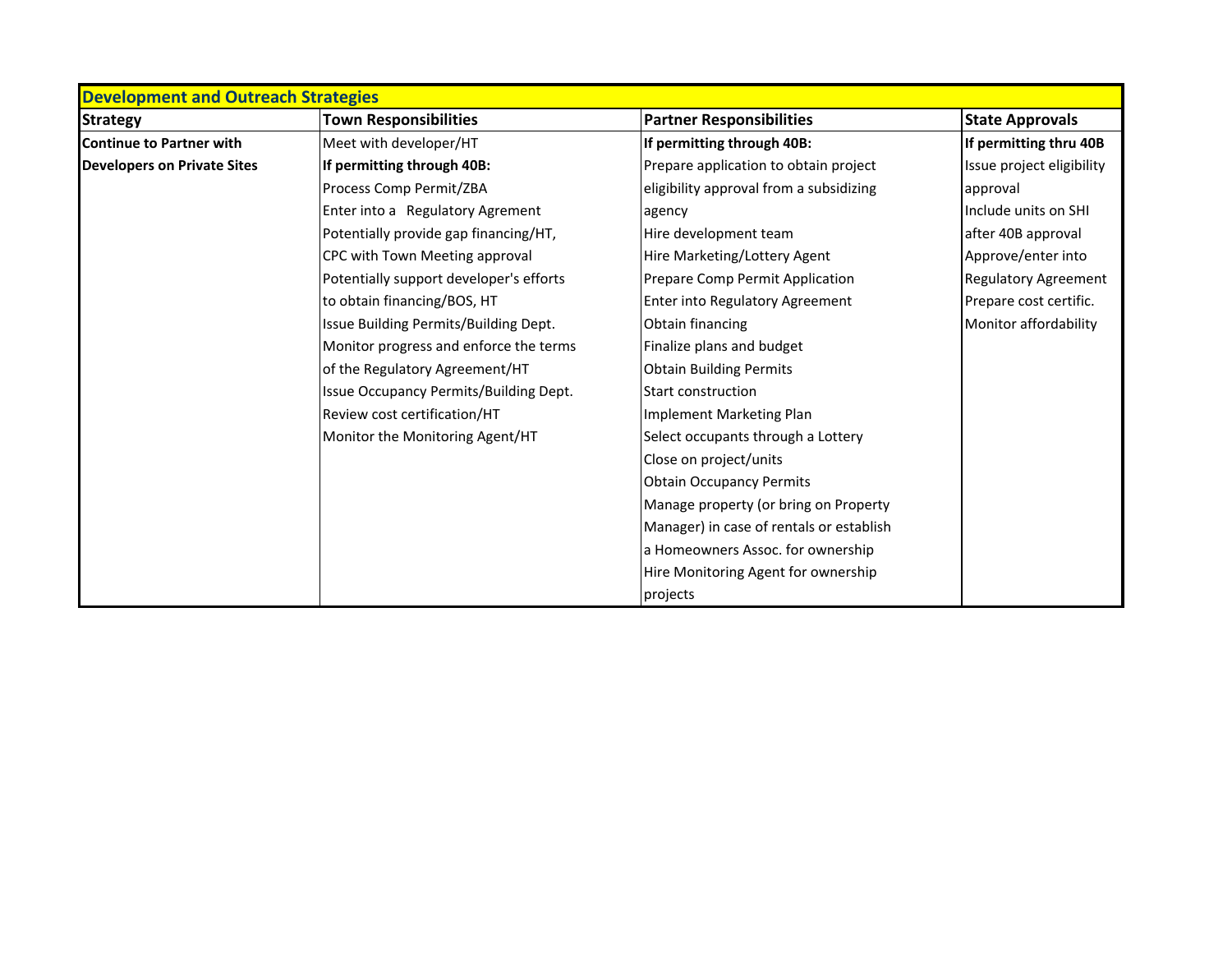| <b>Development and Outreach Strategies</b> |                                         |                                          |                             |
|--------------------------------------------|-----------------------------------------|------------------------------------------|-----------------------------|
| <b>Strategy</b>                            | <b>Town Responsibilities</b>            | <b>Partner Responsibilities</b>          | <b>State Approvals</b>      |
| <b>Continue to Partner with</b>            | Meet with developer/HT                  | If permitting through 40B:               | If permitting thru 40B      |
| <b>Developers on Private Sites</b>         | If permitting through 40B:              | Prepare application to obtain project    | Issue project eligibility   |
|                                            | Process Comp Permit/ZBA                 | eligibility approval from a subsidizing  | approval                    |
|                                            | Enter into a Regulatory Agrement        | agency                                   | Include units on SHI        |
|                                            | Potentially provide gap financing/HT,   | Hire development team                    | after 40B approval          |
|                                            | CPC with Town Meeting approval          | Hire Marketing/Lottery Agent             | Approve/enter into          |
|                                            | Potentially support developer's efforts | Prepare Comp Permit Application          | <b>Regulatory Agreement</b> |
|                                            | to obtain financing/BOS, HT             | Enter into Regulatory Agreement          | Prepare cost certific.      |
|                                            | Issue Building Permits/Building Dept.   | Obtain financing                         | Monitor affordability       |
|                                            | Monitor progress and enforce the terms  | Finalize plans and budget                |                             |
|                                            | of the Regulatory Agreement/HT          | <b>Obtain Building Permits</b>           |                             |
|                                            | Issue Occupancy Permits/Building Dept.  | Start construction                       |                             |
|                                            | Review cost certification/HT            | Implement Marketing Plan                 |                             |
|                                            | Monitor the Monitoring Agent/HT         | Select occupants through a Lottery       |                             |
|                                            |                                         | Close on project/units                   |                             |
|                                            |                                         | <b>Obtain Occupancy Permits</b>          |                             |
|                                            |                                         | Manage property (or bring on Property    |                             |
|                                            |                                         | Manager) in case of rentals or establish |                             |
|                                            |                                         | a Homeowners Assoc. for ownership        |                             |
|                                            |                                         | Hire Monitoring Agent for ownership      |                             |
|                                            |                                         | projects                                 |                             |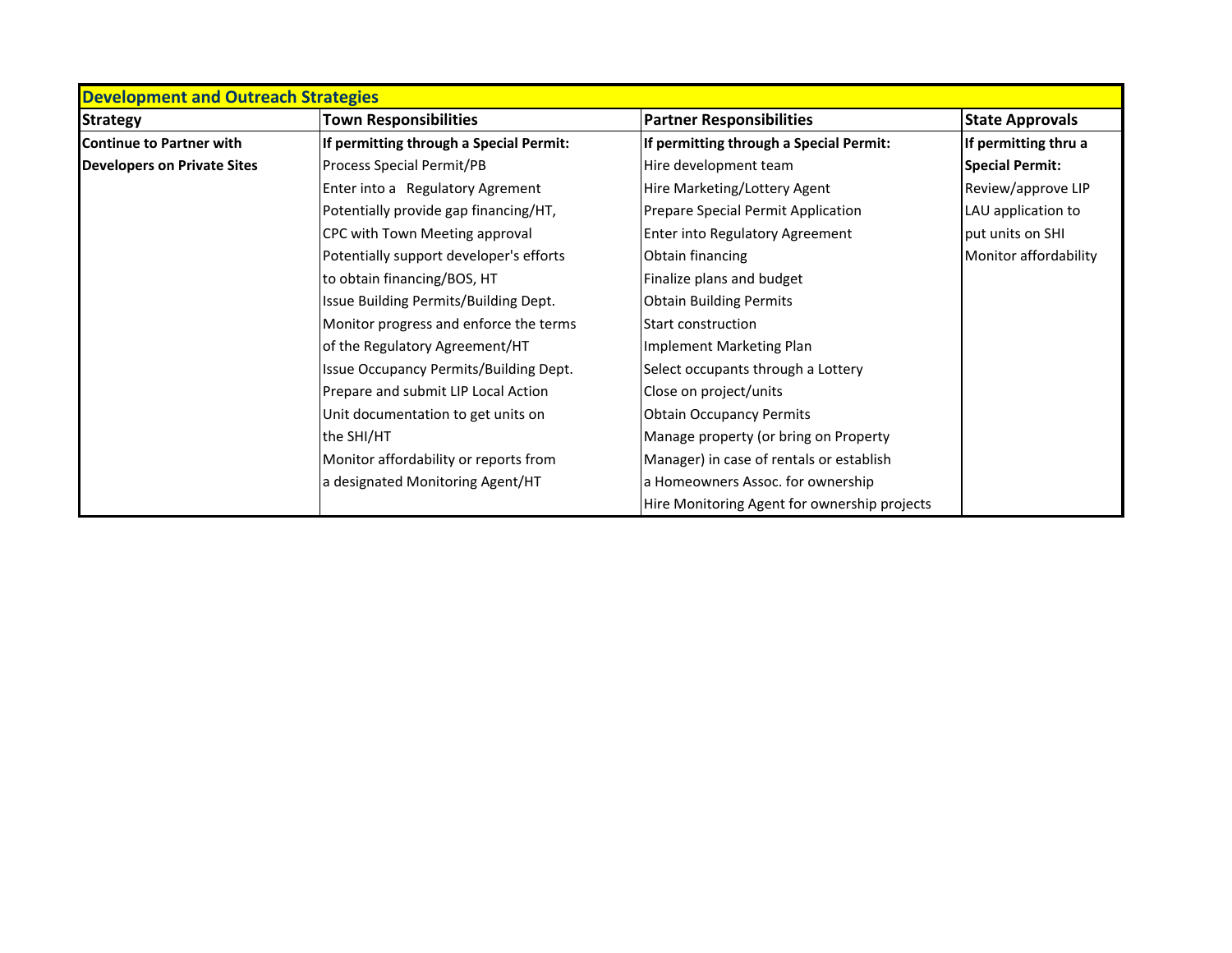| <b>Development and Outreach Strategies</b> |                                         |                                              |                        |
|--------------------------------------------|-----------------------------------------|----------------------------------------------|------------------------|
| <b>Strategy</b>                            | <b>Town Responsibilities</b>            | <b>Partner Responsibilities</b>              | <b>State Approvals</b> |
| <b>Continue to Partner with</b>            | If permitting through a Special Permit: | If permitting through a Special Permit:      | If permitting thru a   |
| <b>Developers on Private Sites</b>         | Process Special Permit/PB               | Hire development team                        | <b>Special Permit:</b> |
|                                            | Enter into a Regulatory Agrement        | Hire Marketing/Lottery Agent                 | Review/approve LIP     |
|                                            | Potentially provide gap financing/HT,   | Prepare Special Permit Application           | LAU application to     |
|                                            | CPC with Town Meeting approval          | <b>Enter into Regulatory Agreement</b>       | put units on SHI       |
|                                            | Potentially support developer's efforts | Obtain financing                             | Monitor affordability  |
|                                            | to obtain financing/BOS, HT             | Finalize plans and budget                    |                        |
|                                            | Issue Building Permits/Building Dept.   | <b>Obtain Building Permits</b>               |                        |
|                                            | Monitor progress and enforce the terms  | Start construction                           |                        |
|                                            | of the Regulatory Agreement/HT          | Implement Marketing Plan                     |                        |
|                                            | Issue Occupancy Permits/Building Dept.  | Select occupants through a Lottery           |                        |
|                                            | Prepare and submit LIP Local Action     | Close on project/units                       |                        |
|                                            | Unit documentation to get units on      | <b>Obtain Occupancy Permits</b>              |                        |
|                                            | the SHI/HT                              | Manage property (or bring on Property        |                        |
|                                            | Monitor affordability or reports from   | Manager) in case of rentals or establish     |                        |
|                                            | a designated Monitoring Agent/HT        | a Homeowners Assoc. for ownership            |                        |
|                                            |                                         | Hire Monitoring Agent for ownership projects |                        |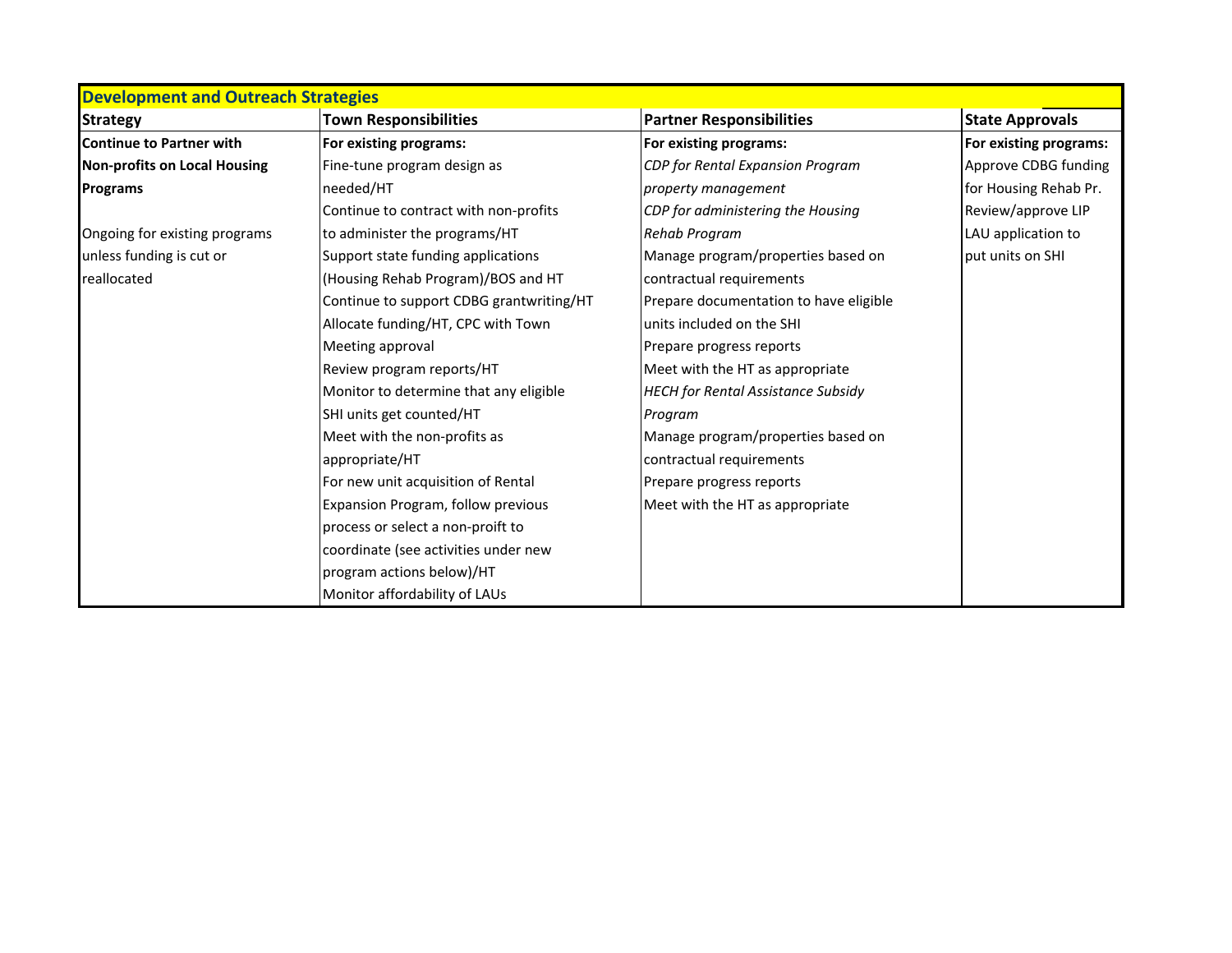| <b>Development and Outreach Strategies</b> |                                          |                                           |                        |
|--------------------------------------------|------------------------------------------|-------------------------------------------|------------------------|
| <b>Strategy</b>                            | <b>Town Responsibilities</b>             | <b>Partner Responsibilities</b>           | <b>State Approvals</b> |
| <b>Continue to Partner with</b>            | For existing programs:                   | For existing programs:                    | For existing programs: |
| <b>Non-profits on Local Housing</b>        | Fine-tune program design as              | CDP for Rental Expansion Program          | Approve CDBG funding   |
| <b>Programs</b>                            | needed/HT                                | property management                       | for Housing Rehab Pr.  |
|                                            | Continue to contract with non-profits    | CDP for administering the Housing         | Review/approve LIP     |
| Ongoing for existing programs              | to administer the programs/HT            | Rehab Program                             | LAU application to     |
| unless funding is cut or                   | Support state funding applications       | Manage program/properties based on        | put units on SHI       |
| reallocated                                | (Housing Rehab Program)/BOS and HT       | contractual requirements                  |                        |
|                                            | Continue to support CDBG grantwriting/HT | Prepare documentation to have eligible    |                        |
|                                            | Allocate funding/HT, CPC with Town       | units included on the SHI                 |                        |
|                                            | Meeting approval                         | Prepare progress reports                  |                        |
|                                            | Review program reports/HT                | Meet with the HT as appropriate           |                        |
|                                            | Monitor to determine that any eligible   | <b>HECH for Rental Assistance Subsidy</b> |                        |
|                                            | SHI units get counted/HT                 | Program                                   |                        |
|                                            | Meet with the non-profits as             | Manage program/properties based on        |                        |
|                                            | appropriate/HT                           | contractual requirements                  |                        |
|                                            | For new unit acquisition of Rental       | Prepare progress reports                  |                        |
|                                            | Expansion Program, follow previous       | Meet with the HT as appropriate           |                        |
|                                            | process or select a non-proift to        |                                           |                        |
|                                            | coordinate (see activities under new     |                                           |                        |
|                                            | program actions below)/HT                |                                           |                        |
|                                            | Monitor affordability of LAUs            |                                           |                        |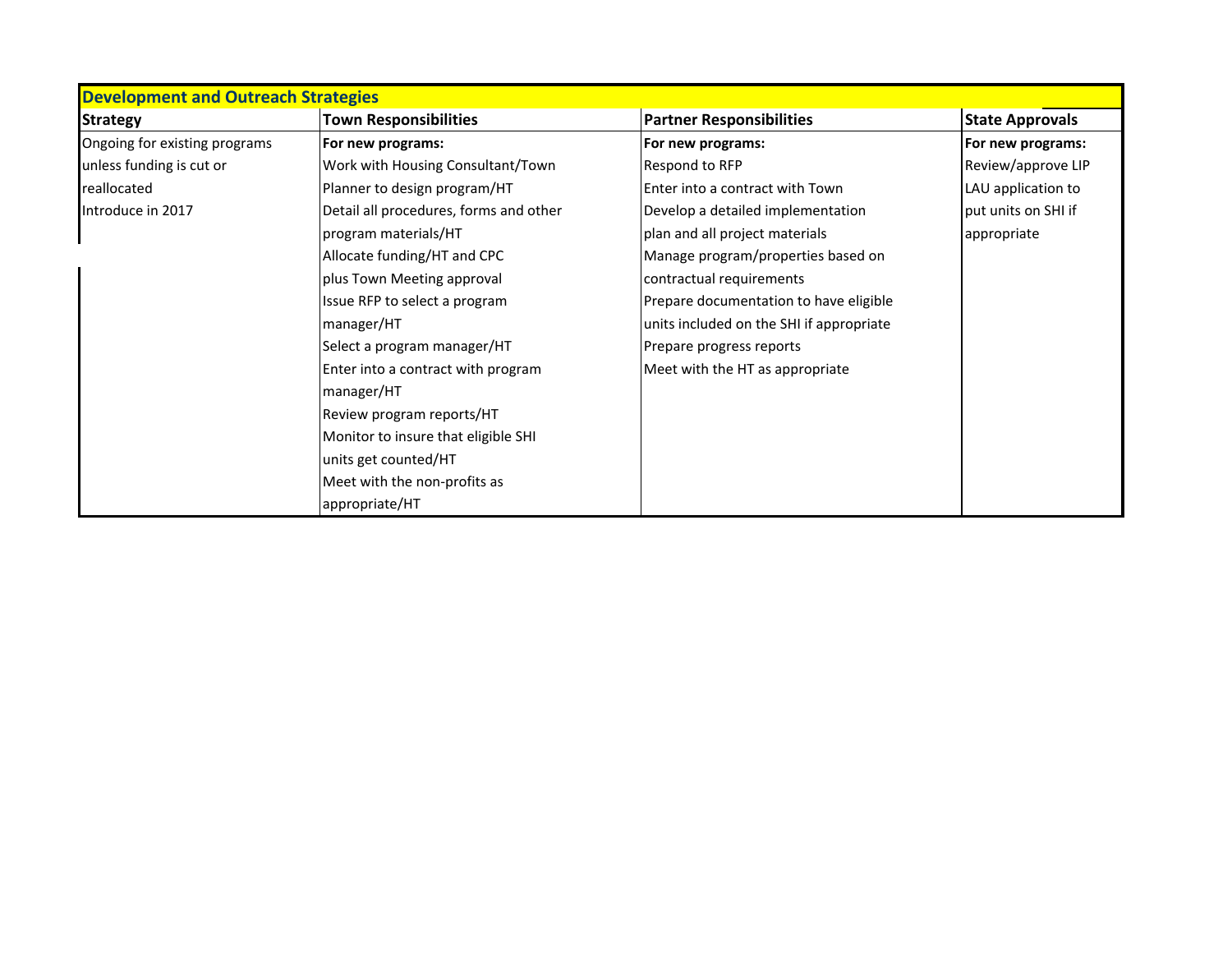| <b>Development and Outreach Strategies</b> |                                        |                                          |                        |
|--------------------------------------------|----------------------------------------|------------------------------------------|------------------------|
| <b>Strategy</b>                            | <b>Town Responsibilities</b>           | <b>Partner Responsibilities</b>          | <b>State Approvals</b> |
| Ongoing for existing programs              | For new programs:                      | For new programs:                        | For new programs:      |
| unless funding is cut or                   | Work with Housing Consultant/Town      | Respond to RFP                           | Review/approve LIP     |
| reallocated                                | Planner to design program/HT           | Enter into a contract with Town          | LAU application to     |
| Introduce in 2017                          | Detail all procedures, forms and other | Develop a detailed implementation        | put units on SHI if    |
|                                            | program materials/HT                   | plan and all project materials           | appropriate            |
|                                            | Allocate funding/HT and CPC            | Manage program/properties based on       |                        |
|                                            | plus Town Meeting approval             | contractual requirements                 |                        |
|                                            | Issue RFP to select a program          | Prepare documentation to have eligible   |                        |
|                                            | manager/HT                             | units included on the SHI if appropriate |                        |
|                                            | Select a program manager/HT            | Prepare progress reports                 |                        |
|                                            | Enter into a contract with program     | Meet with the HT as appropriate          |                        |
|                                            | manager/HT                             |                                          |                        |
|                                            | Review program reports/HT              |                                          |                        |
|                                            | Monitor to insure that eligible SHI    |                                          |                        |
|                                            | units get counted/HT                   |                                          |                        |
|                                            | Meet with the non-profits as           |                                          |                        |
|                                            | appropriate/HT                         |                                          |                        |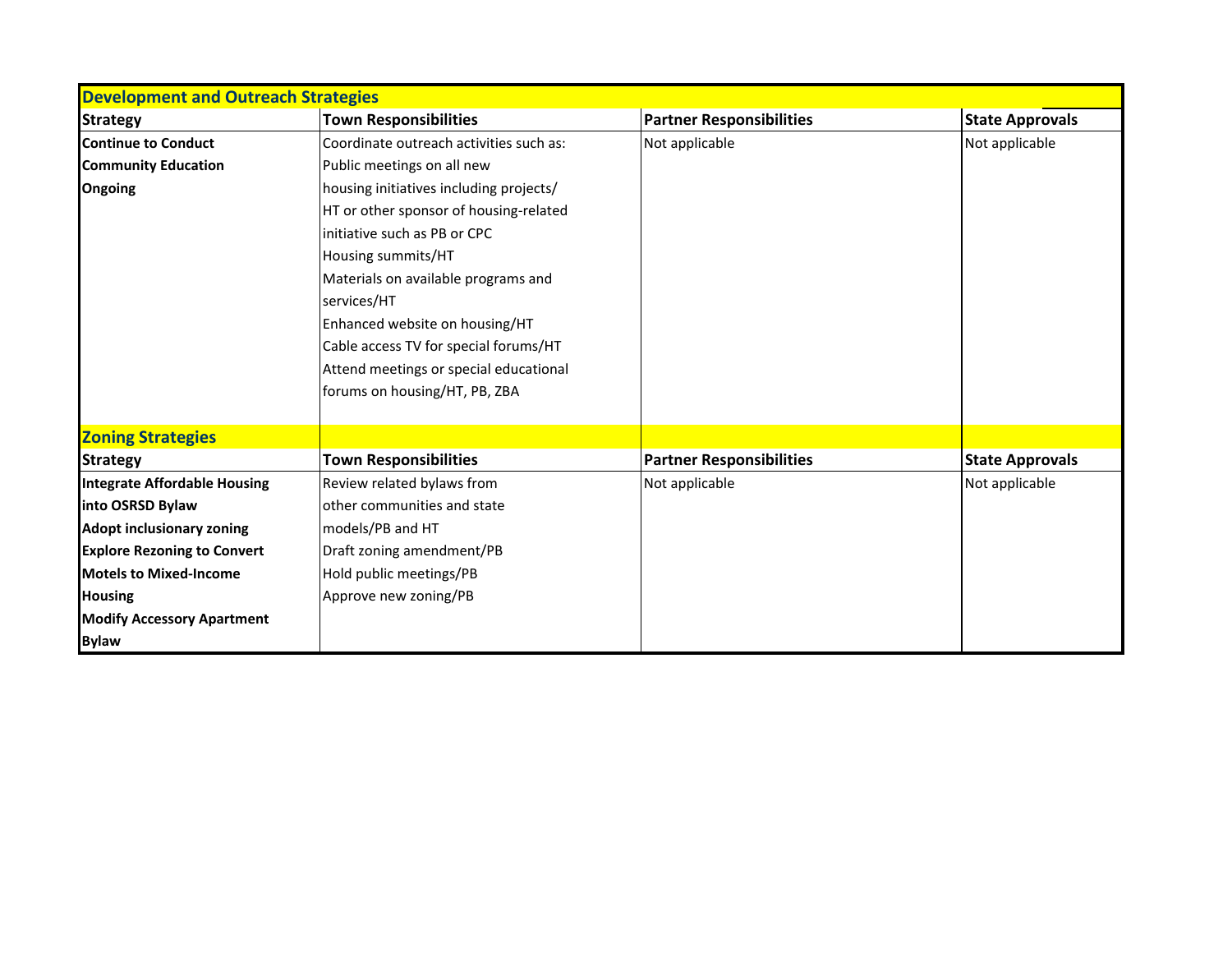| <b>Development and Outreach Strategies</b> |                                         |                                 |                        |
|--------------------------------------------|-----------------------------------------|---------------------------------|------------------------|
| <b>Strategy</b>                            | <b>Town Responsibilities</b>            | <b>Partner Responsibilities</b> | <b>State Approvals</b> |
| <b>Continue to Conduct</b>                 | Coordinate outreach activities such as: | Not applicable                  | Not applicable         |
| <b>Community Education</b>                 | Public meetings on all new              |                                 |                        |
| Ongoing                                    | housing initiatives including projects/ |                                 |                        |
|                                            | HT or other sponsor of housing-related  |                                 |                        |
|                                            | initiative such as PB or CPC            |                                 |                        |
|                                            | Housing summits/HT                      |                                 |                        |
|                                            | Materials on available programs and     |                                 |                        |
|                                            | services/HT                             |                                 |                        |
|                                            | Enhanced website on housing/HT          |                                 |                        |
|                                            | Cable access TV for special forums/HT   |                                 |                        |
|                                            | Attend meetings or special educational  |                                 |                        |
|                                            | forums on housing/HT, PB, ZBA           |                                 |                        |
| <b>Zoning Strategies</b>                   |                                         |                                 |                        |
| <b>Strategy</b>                            | <b>Town Responsibilities</b>            | <b>Partner Responsibilities</b> | <b>State Approvals</b> |
| <b>Integrate Affordable Housing</b>        | Review related bylaws from              | Not applicable                  | Not applicable         |
| into OSRSD Bylaw                           | other communities and state             |                                 |                        |
| <b>Adopt inclusionary zoning</b>           | models/PB and HT                        |                                 |                        |
| <b>Explore Rezoning to Convert</b>         | Draft zoning amendment/PB               |                                 |                        |
| <b>Motels to Mixed-Income</b>              | Hold public meetings/PB                 |                                 |                        |
| <b>Housing</b>                             | Approve new zoning/PB                   |                                 |                        |
| <b>Modify Accessory Apartment</b>          |                                         |                                 |                        |
| <b>Bylaw</b>                               |                                         |                                 |                        |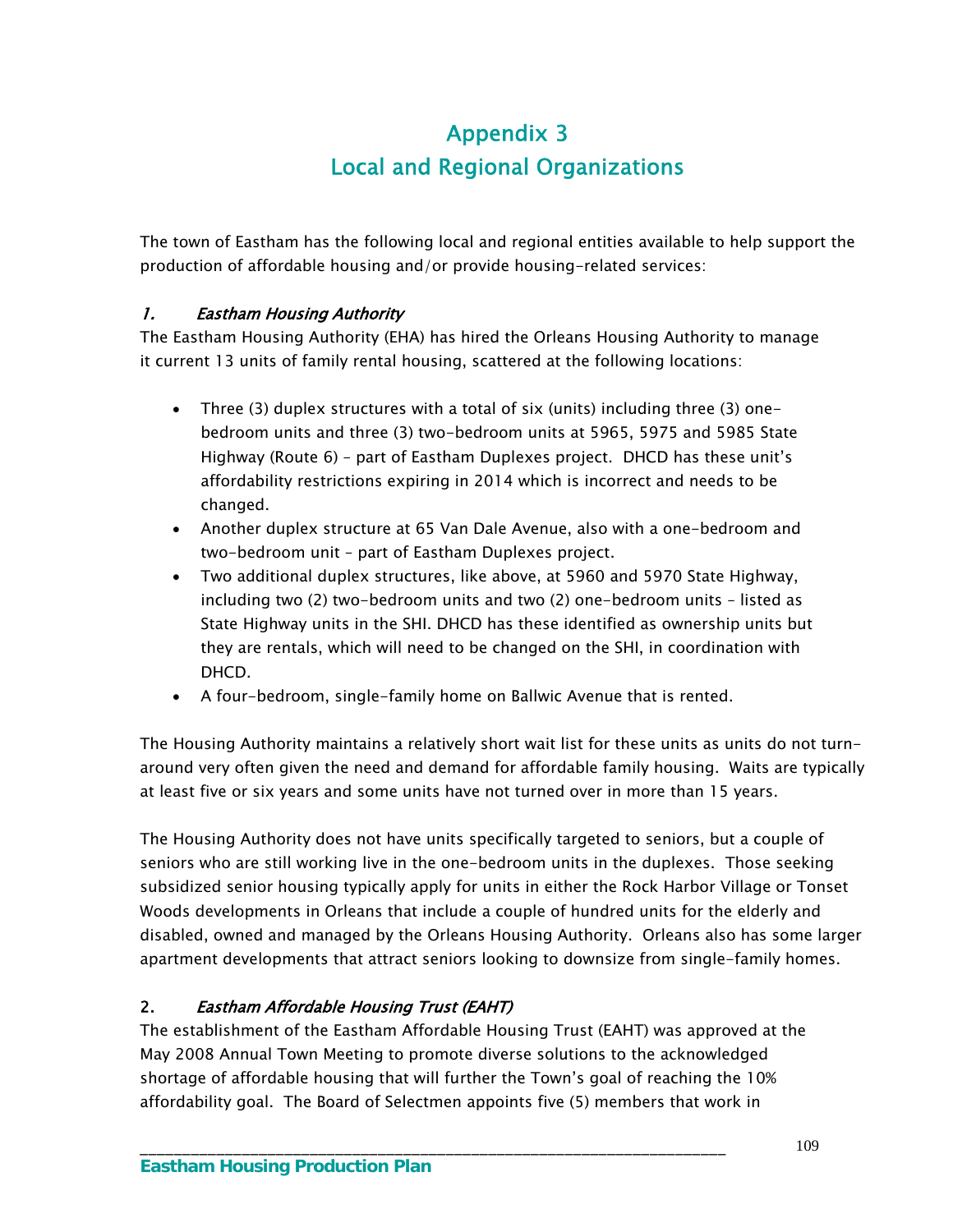# Appendix 3 Local and Regional Organizations

The town of Eastham has the following local and regional entities available to help support the production of affordable housing and/or provide housing-related services:

## 1. Eastham Housing Authority

The Eastham Housing Authority (EHA) has hired the Orleans Housing Authority to manage it current 13 units of family rental housing, scattered at the following locations:

- Three (3) duplex structures with a total of six (units) including three (3) onebedroom units and three (3) two-bedroom units at 5965, 5975 and 5985 State Highway (Route 6) – part of Eastham Duplexes project. DHCD has these unit's affordability restrictions expiring in 2014 which is incorrect and needs to be changed.
- Another duplex structure at 65 Van Dale Avenue, also with a one-bedroom and two-bedroom unit – part of Eastham Duplexes project.
- Two additional duplex structures, like above, at 5960 and 5970 State Highway, including two (2) two-bedroom units and two (2) one-bedroom units – listed as State Highway units in the SHI. DHCD has these identified as ownership units but they are rentals, which will need to be changed on the SHI, in coordination with DHCD.
- A four-bedroom, single-family home on Ballwic Avenue that is rented.

The Housing Authority maintains a relatively short wait list for these units as units do not turnaround very often given the need and demand for affordable family housing. Waits are typically at least five or six years and some units have not turned over in more than 15 years.

The Housing Authority does not have units specifically targeted to seniors, but a couple of seniors who are still working live in the one-bedroom units in the duplexes. Those seeking subsidized senior housing typically apply for units in either the Rock Harbor Village or Tonset Woods developments in Orleans that include a couple of hundred units for the elderly and disabled, owned and managed by the Orleans Housing Authority. Orleans also has some larger apartment developments that attract seniors looking to downsize from single-family homes.

## 2. Eastham Affordable Housing Trust (EAHT)

The establishment of the Eastham Affordable Housing Trust (EAHT) was approved at the May 2008 Annual Town Meeting to promote diverse solutions to the acknowledged shortage of affordable housing that will further the Town's goal of reaching the 10% affordability goal. The Board of Selectmen appoints five (5) members that work in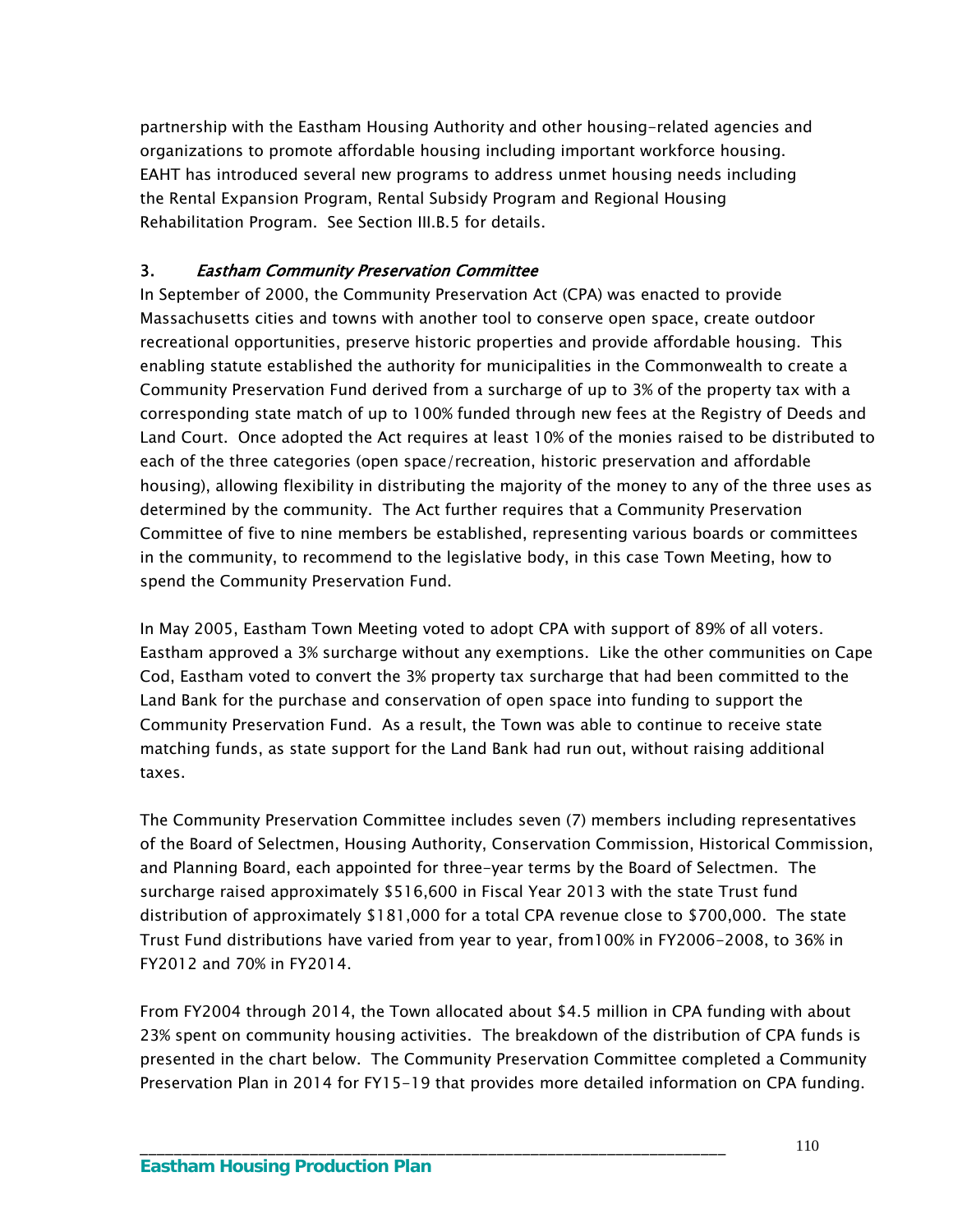partnership with the Eastham Housing Authority and other housing-related agencies and organizations to promote affordable housing including important workforce housing. EAHT has introduced several new programs to address unmet housing needs including the Rental Expansion Program, Rental Subsidy Program and Regional Housing Rehabilitation Program. See Section III.B.5 for details.

# 3. Eastham Community Preservation Committee

In September of 2000, the Community Preservation Act (CPA) was enacted to provide Massachusetts cities and towns with another tool to conserve open space, create outdoor recreational opportunities, preserve historic properties and provide affordable housing. This enabling statute established the authority for municipalities in the Commonwealth to create a Community Preservation Fund derived from a surcharge of up to 3% of the property tax with a corresponding state match of up to 100% funded through new fees at the Registry of Deeds and Land Court. Once adopted the Act requires at least 10% of the monies raised to be distributed to each of the three categories (open space/recreation, historic preservation and affordable housing), allowing flexibility in distributing the majority of the money to any of the three uses as determined by the community. The Act further requires that a Community Preservation Committee of five to nine members be established, representing various boards or committees in the community, to recommend to the legislative body, in this case Town Meeting, how to spend the Community Preservation Fund.

In May 2005, Eastham Town Meeting voted to adopt CPA with support of 89% of all voters. Eastham approved a 3% surcharge without any exemptions. Like the other communities on Cape Cod, Eastham voted to convert the 3% property tax surcharge that had been committed to the Land Bank for the purchase and conservation of open space into funding to support the Community Preservation Fund. As a result, the Town was able to continue to receive state matching funds, as state support for the Land Bank had run out, without raising additional taxes.

The Community Preservation Committee includes seven (7) members including representatives of the Board of Selectmen, Housing Authority, Conservation Commission, Historical Commission, and Planning Board, each appointed for three-year terms by the Board of Selectmen. The surcharge raised approximately \$516,600 in Fiscal Year 2013 with the state Trust fund distribution of approximately \$181,000 for a total CPA revenue close to \$700,000. The state Trust Fund distributions have varied from year to year, from100% in FY2006-2008, to 36% in FY2012 and 70% in FY2014.

From FY2004 through 2014, the Town allocated about \$4.5 million in CPA funding with about 23% spent on community housing activities. The breakdown of the distribution of CPA funds is presented in the chart below. The Community Preservation Committee completed a Community Preservation Plan in 2014 for FY15-19 that provides more detailed information on CPA funding.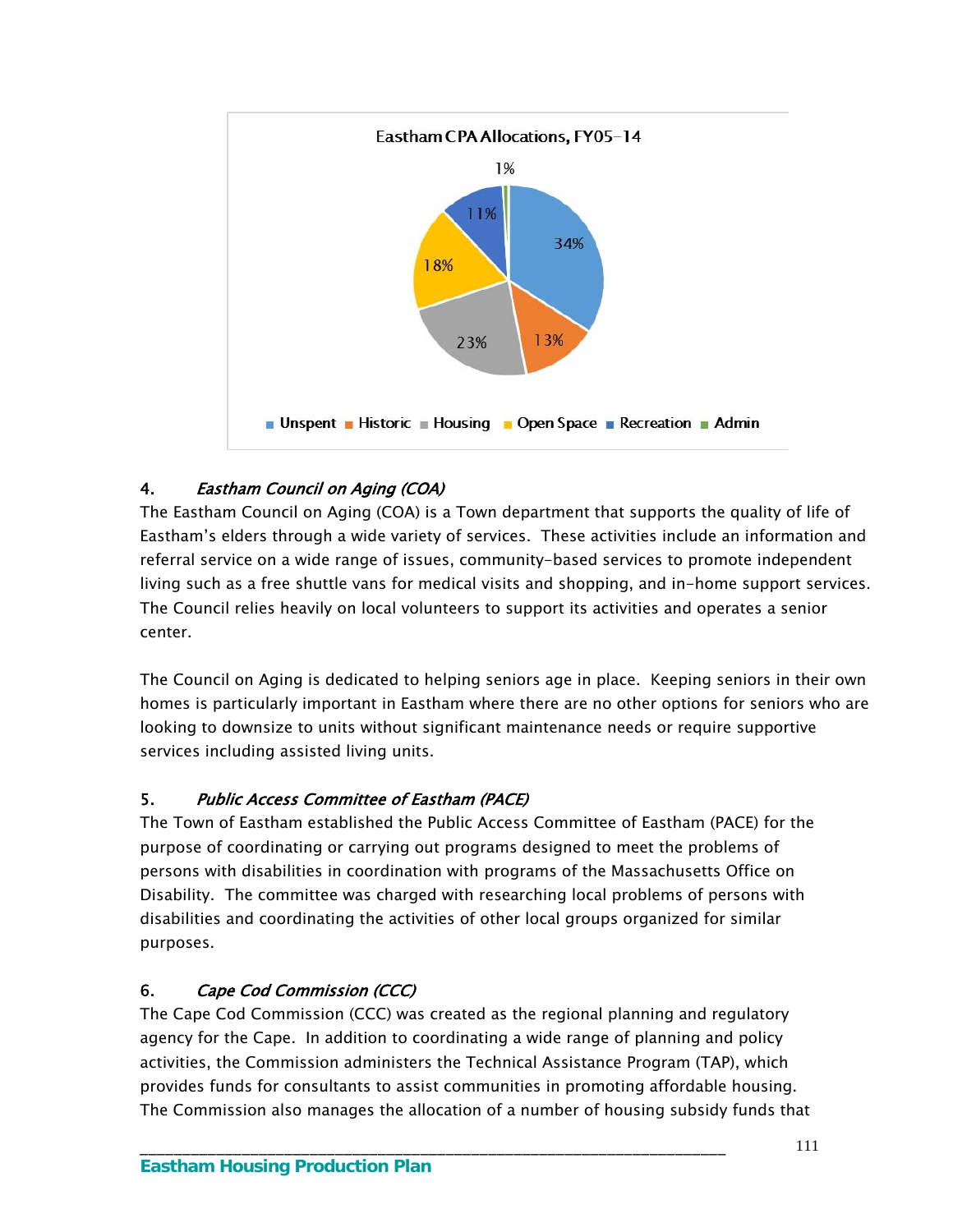

# 4. Eastham Council on Aging (COA)

The Eastham Council on Aging (COA) is a Town department that supports the quality of life of Eastham's elders through a wide variety of services. These activities include an information and referral service on a wide range of issues, community-based services to promote independent living such as a free shuttle vans for medical visits and shopping, and in-home support services. The Council relies heavily on local volunteers to support its activities and operates a senior center.

The Council on Aging is dedicated to helping seniors age in place. Keeping seniors in their own homes is particularly important in Eastham where there are no other options for seniors who are looking to downsize to units without significant maintenance needs or require supportive services including assisted living units.

# 5. Public Access Committee of Eastham (PACE)

The Town of Eastham established the Public Access Committee of Eastham (PACE) for the purpose of coordinating or carrying out programs designed to meet the problems of persons with disabilities in coordination with programs of the Massachusetts Office on Disability. The committee was charged with researching local problems of persons with disabilities and coordinating the activities of other local groups organized for similar purposes.

# 6. Cape Cod Commission (CCC)

The Cape Cod Commission (CCC) was created as the regional planning and regulatory agency for the Cape. In addition to coordinating a wide range of planning and policy activities, the Commission administers the Technical Assistance Program (TAP), which provides funds for consultants to assist communities in promoting affordable housing. The Commission also manages the allocation of a number of housing subsidy funds that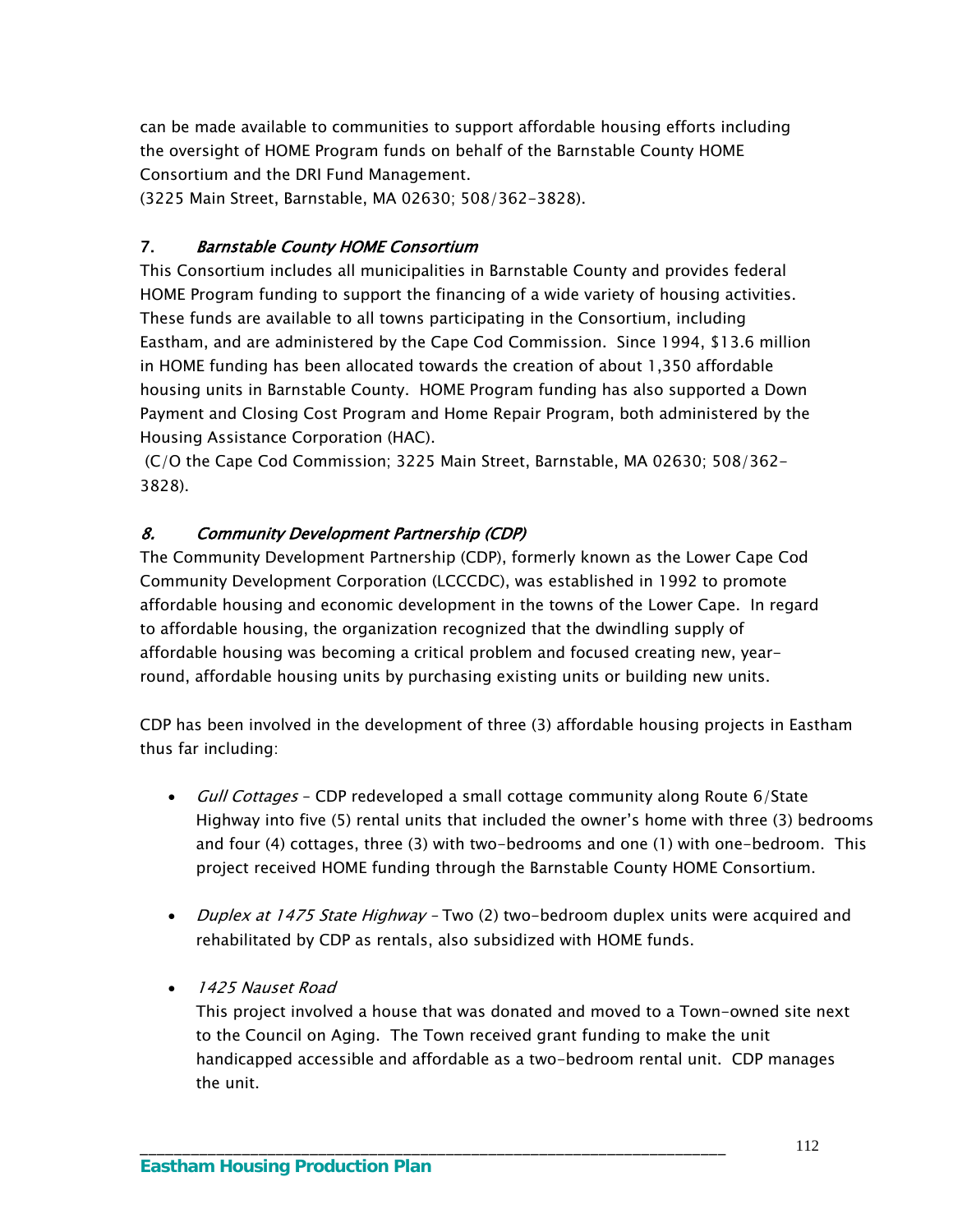can be made available to communities to support affordable housing efforts including the oversight of HOME Program funds on behalf of the Barnstable County HOME Consortium and the DRI Fund Management.

(3225 Main Street, Barnstable, MA 02630; 508/362-3828).

#### 7. Barnstable County HOME Consortium

This Consortium includes all municipalities in Barnstable County and provides federal HOME Program funding to support the financing of a wide variety of housing activities. These funds are available to all towns participating in the Consortium, including Eastham, and are administered by the Cape Cod Commission. Since 1994, \$13.6 million in HOME funding has been allocated towards the creation of about 1,350 affordable housing units in Barnstable County. HOME Program funding has also supported a Down Payment and Closing Cost Program and Home Repair Program, both administered by the Housing Assistance Corporation (HAC).

 (C/O the Cape Cod Commission; 3225 Main Street, Barnstable, MA 02630; 508/362- 3828).

### 8. Community Development Partnership (CDP)

The Community Development Partnership (CDP), formerly known as the Lower Cape Cod Community Development Corporation (LCCCDC), was established in 1992 to promote affordable housing and economic development in the towns of the Lower Cape. In regard to affordable housing, the organization recognized that the dwindling supply of affordable housing was becoming a critical problem and focused creating new, yearround, affordable housing units by purchasing existing units or building new units.

CDP has been involved in the development of three (3) affordable housing projects in Eastham thus far including:

- *Gull Cottages* CDP redeveloped a small cottage community along Route 6/State Highway into five (5) rental units that included the owner's home with three (3) bedrooms and four (4) cottages, three (3) with two-bedrooms and one (1) with one-bedroom. This project received HOME funding through the Barnstable County HOME Consortium.
- Duplex at 1475 State Highway Two (2) two-bedroom duplex units were acquired and rehabilitated by CDP as rentals, also subsidized with HOME funds.
- 1425 Nauset Road

This project involved a house that was donated and moved to a Town-owned site next to the Council on Aging. The Town received grant funding to make the unit handicapped accessible and affordable as a two-bedroom rental unit. CDP manages the unit.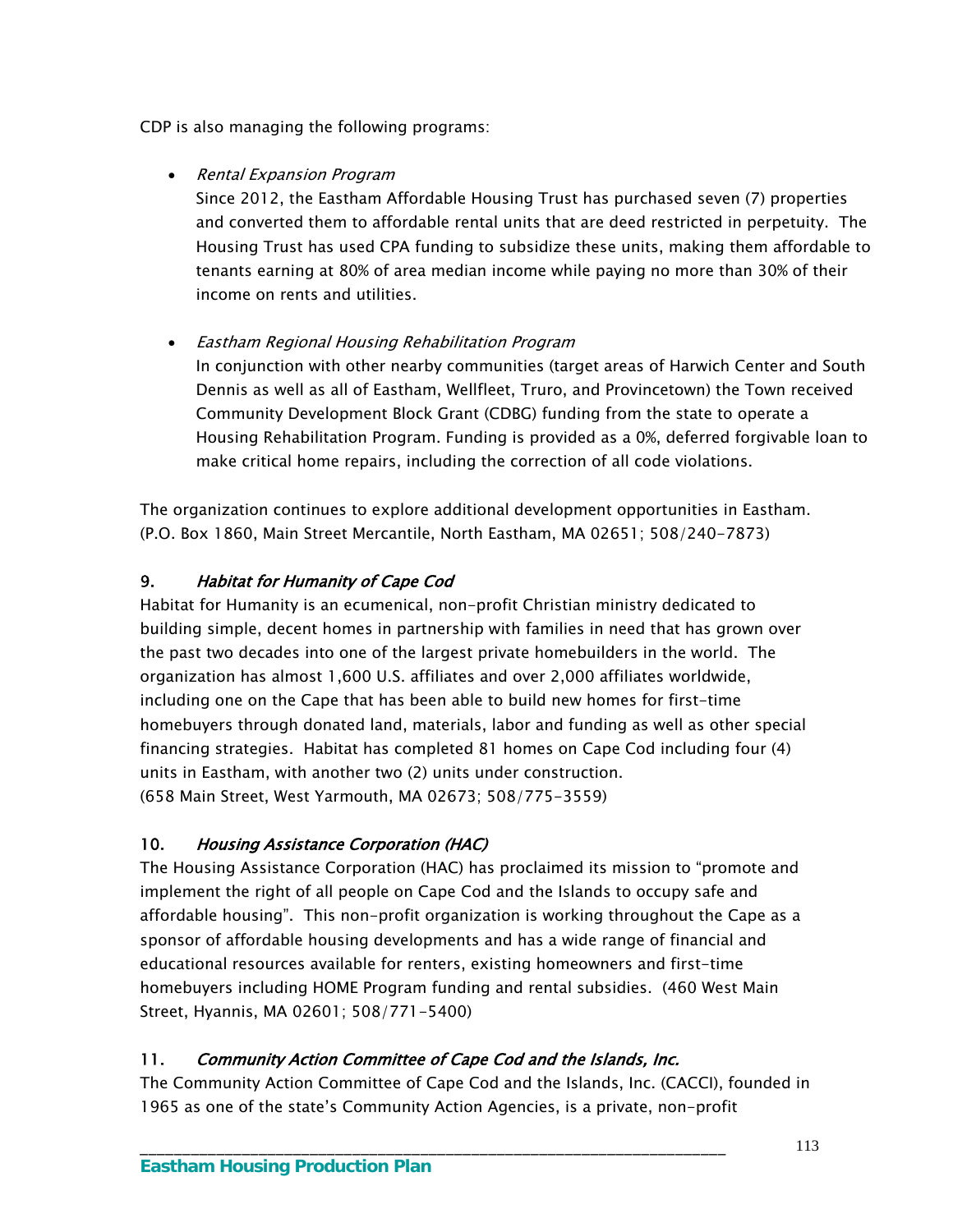CDP is also managing the following programs:

• Rental Expansion Program

Since 2012, the Eastham Affordable Housing Trust has purchased seven (7) properties and converted them to affordable rental units that are deed restricted in perpetuity. The Housing Trust has used CPA funding to subsidize these units, making them affordable to tenants earning at 80% of area median income while paying no more than 30% of their income on rents and utilities.

Eastham Regional Housing Rehabilitation Program

In conjunction with other nearby communities (target areas of Harwich Center and South Dennis as well as all of Eastham, Wellfleet, Truro, and Provincetown) the Town received Community Development Block Grant (CDBG) funding from the state to operate a Housing Rehabilitation Program. Funding is provided as a 0%, deferred forgivable loan to make critical home repairs, including the correction of all code violations.

The organization continues to explore additional development opportunities in Eastham. (P.O. Box 1860, Main Street Mercantile, North Eastham, MA 02651; 508/240-7873)

# 9. Habitat for Humanity of Cape Cod

Habitat for Humanity is an ecumenical, non-profit Christian ministry dedicated to building simple, decent homes in partnership with families in need that has grown over the past two decades into one of the largest private homebuilders in the world. The organization has almost 1,600 U.S. affiliates and over 2,000 affiliates worldwide, including one on the Cape that has been able to build new homes for first-time homebuyers through donated land, materials, labor and funding as well as other special financing strategies. Habitat has completed 81 homes on Cape Cod including four (4) units in Eastham, with another two (2) units under construction. (658 Main Street, West Yarmouth, MA 02673; 508/775-3559)

# 10. Housing Assistance Corporation (HAC)

The Housing Assistance Corporation (HAC) has proclaimed its mission to "promote and implement the right of all people on Cape Cod and the Islands to occupy safe and affordable housing". This non-profit organization is working throughout the Cape as a sponsor of affordable housing developments and has a wide range of financial and educational resources available for renters, existing homeowners and first-time homebuyers including HOME Program funding and rental subsidies. (460 West Main Street, Hyannis, MA 02601; 508/771-5400)

# 11. Community Action Committee of Cape Cod and the Islands, Inc.

\_\_\_\_\_\_\_\_\_\_\_\_\_\_\_\_\_\_\_\_\_\_\_\_\_\_\_\_\_\_\_\_\_\_\_\_\_\_\_\_\_\_\_\_\_\_\_\_\_\_\_\_\_\_\_\_\_\_\_\_\_\_\_\_\_\_\_\_\_

The Community Action Committee of Cape Cod and the Islands, Inc. (CACCI), founded in 1965 as one of the state's Community Action Agencies, is a private, non-profit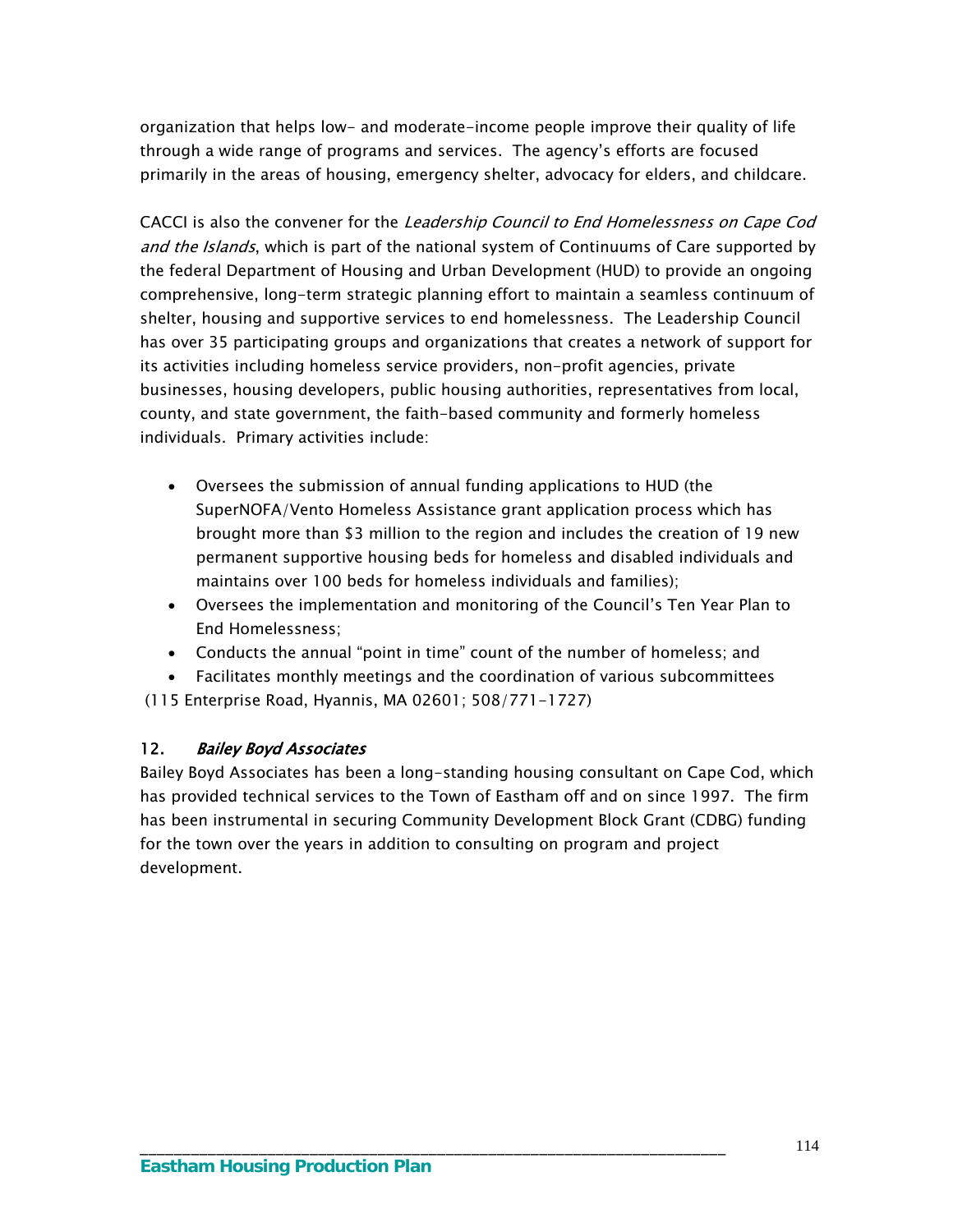organization that helps low- and moderate-income people improve their quality of life through a wide range of programs and services. The agency's efforts are focused primarily in the areas of housing, emergency shelter, advocacy for elders, and childcare.

CACCI is also the convener for the Leadership Council to End Homelessness on Cape Cod and the Islands, which is part of the national system of Continuums of Care supported by the federal Department of Housing and Urban Development (HUD) to provide an ongoing comprehensive, long-term strategic planning effort to maintain a seamless continuum of shelter, housing and supportive services to end homelessness. The Leadership Council has over 35 participating groups and organizations that creates a network of support for its activities including homeless service providers, non-profit agencies, private businesses, housing developers, public housing authorities, representatives from local, county, and state government, the faith-based community and formerly homeless individuals. Primary activities include:

- Oversees the submission of annual funding applications to HUD (the SuperNOFA/Vento Homeless Assistance grant application process which has brought more than \$3 million to the region and includes the creation of 19 new permanent supportive housing beds for homeless and disabled individuals and maintains over 100 beds for homeless individuals and families);
- Oversees the implementation and monitoring of the Council's Ten Year Plan to End Homelessness;
- Conducts the annual "point in time" count of the number of homeless; and
- Facilitates monthly meetings and the coordination of various subcommittees (115 Enterprise Road, Hyannis, MA 02601; 508/771-1727)

## 12. Bailey Boyd Associates

Bailey Boyd Associates has been a long-standing housing consultant on Cape Cod, which has provided technical services to the Town of Eastham off and on since 1997. The firm has been instrumental in securing Community Development Block Grant (CDBG) funding for the town over the years in addition to consulting on program and project development.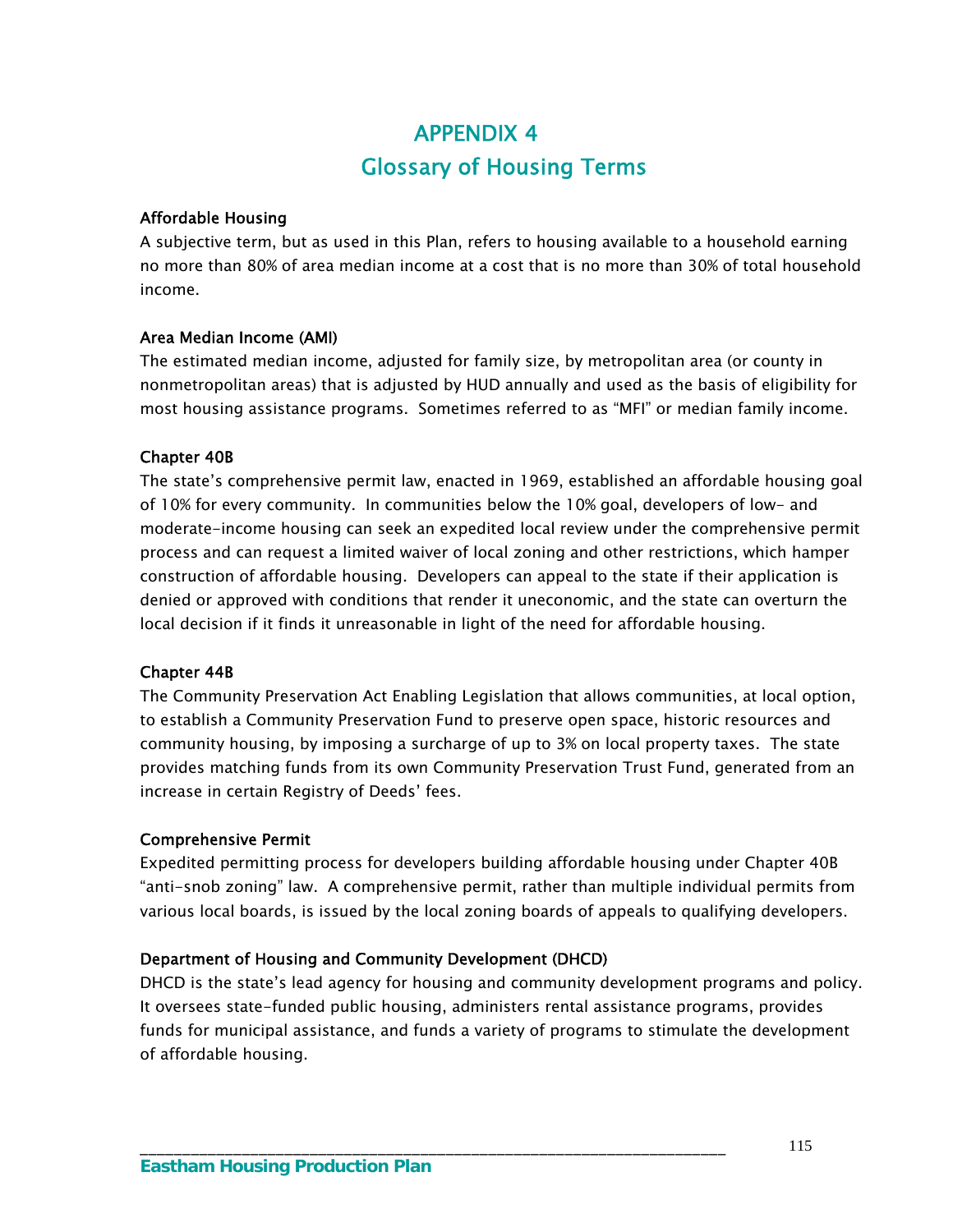# APPENDIX 4 Glossary of Housing Terms

#### Affordable Housing

A subjective term, but as used in this Plan, refers to housing available to a household earning no more than 80% of area median income at a cost that is no more than 30% of total household income.

### Area Median Income (AMI)

The estimated median income, adjusted for family size, by metropolitan area (or county in nonmetropolitan areas) that is adjusted by HUD annually and used as the basis of eligibility for most housing assistance programs. Sometimes referred to as "MFI" or median family income.

### Chapter 40B

The state's comprehensive permit law, enacted in 1969, established an affordable housing goal of 10% for every community. In communities below the 10% goal, developers of low- and moderate-income housing can seek an expedited local review under the comprehensive permit process and can request a limited waiver of local zoning and other restrictions, which hamper construction of affordable housing. Developers can appeal to the state if their application is denied or approved with conditions that render it uneconomic, and the state can overturn the local decision if it finds it unreasonable in light of the need for affordable housing.

#### Chapter 44B

The Community Preservation Act Enabling Legislation that allows communities, at local option, to establish a Community Preservation Fund to preserve open space, historic resources and community housing, by imposing a surcharge of up to 3% on local property taxes. The state provides matching funds from its own Community Preservation Trust Fund, generated from an increase in certain Registry of Deeds' fees.

#### Comprehensive Permit

Expedited permitting process for developers building affordable housing under Chapter 40B "anti-snob zoning" law. A comprehensive permit, rather than multiple individual permits from various local boards, is issued by the local zoning boards of appeals to qualifying developers.

## Department of Housing and Community Development (DHCD)

DHCD is the state's lead agency for housing and community development programs and policy. It oversees state-funded public housing, administers rental assistance programs, provides funds for municipal assistance, and funds a variety of programs to stimulate the development of affordable housing.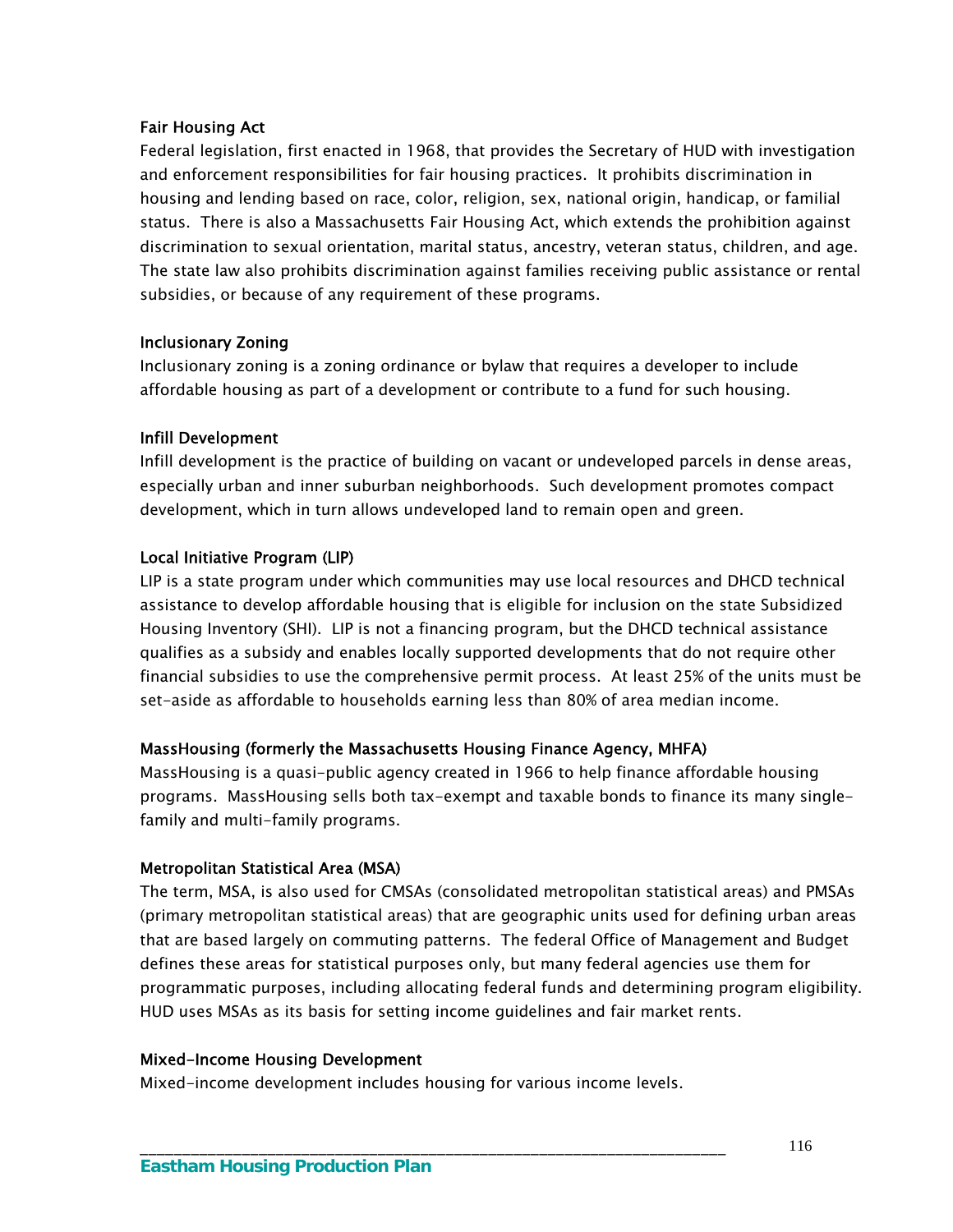#### Fair Housing Act

Federal legislation, first enacted in 1968, that provides the Secretary of HUD with investigation and enforcement responsibilities for fair housing practices. It prohibits discrimination in housing and lending based on race, color, religion, sex, national origin, handicap, or familial status. There is also a Massachusetts Fair Housing Act, which extends the prohibition against discrimination to sexual orientation, marital status, ancestry, veteran status, children, and age. The state law also prohibits discrimination against families receiving public assistance or rental subsidies, or because of any requirement of these programs.

#### Inclusionary Zoning

Inclusionary zoning is a zoning ordinance or bylaw that requires a developer to include affordable housing as part of a development or contribute to a fund for such housing.

#### Infill Development

Infill development is the practice of building on vacant or undeveloped parcels in dense areas, especially urban and inner suburban neighborhoods. Such development promotes compact development, which in turn allows undeveloped land to remain open and green.

#### Local Initiative Program (LIP)

LIP is a state program under which communities may use local resources and DHCD technical assistance to develop affordable housing that is eligible for inclusion on the state Subsidized Housing Inventory (SHI). LIP is not a financing program, but the DHCD technical assistance qualifies as a subsidy and enables locally supported developments that do not require other financial subsidies to use the comprehensive permit process. At least 25% of the units must be set-aside as affordable to households earning less than 80% of area median income.

#### MassHousing (formerly the Massachusetts Housing Finance Agency, MHFA)

MassHousing is a quasi-public agency created in 1966 to help finance affordable housing programs. MassHousing sells both tax-exempt and taxable bonds to finance its many singlefamily and multi-family programs.

#### Metropolitan Statistical Area (MSA)

The term, MSA, is also used for CMSAs (consolidated metropolitan statistical areas) and PMSAs (primary metropolitan statistical areas) that are geographic units used for defining urban areas that are based largely on commuting patterns. The federal Office of Management and Budget defines these areas for statistical purposes only, but many federal agencies use them for programmatic purposes, including allocating federal funds and determining program eligibility. HUD uses MSAs as its basis for setting income guidelines and fair market rents.

#### Mixed-Income Housing Development

Mixed-income development includes housing for various income levels.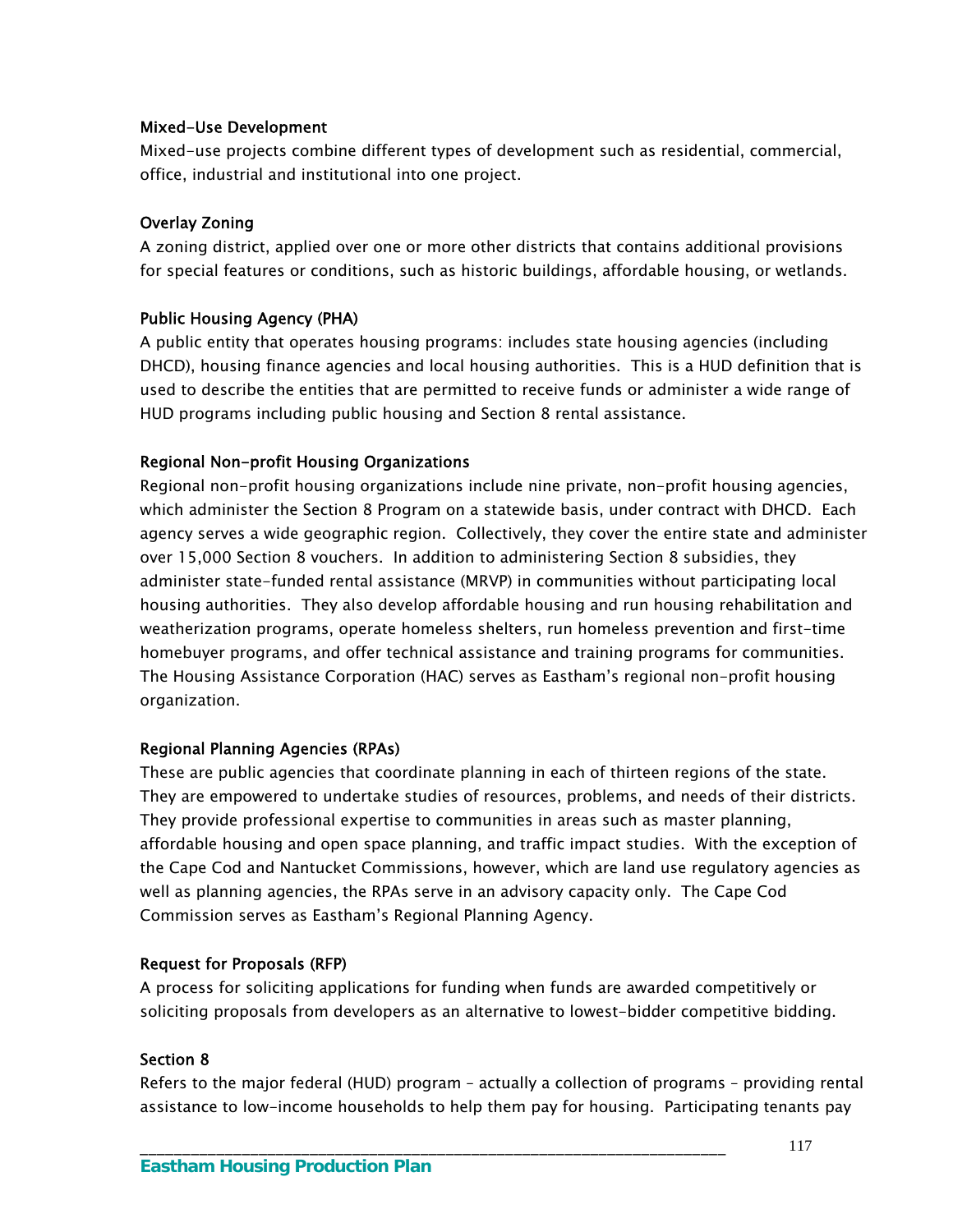#### Mixed-Use Development

Mixed-use projects combine different types of development such as residential, commercial, office, industrial and institutional into one project.

#### Overlay Zoning

A zoning district, applied over one or more other districts that contains additional provisions for special features or conditions, such as historic buildings, affordable housing, or wetlands.

#### Public Housing Agency (PHA)

A public entity that operates housing programs: includes state housing agencies (including DHCD), housing finance agencies and local housing authorities. This is a HUD definition that is used to describe the entities that are permitted to receive funds or administer a wide range of HUD programs including public housing and Section 8 rental assistance.

#### Regional Non-profit Housing Organizations

Regional non-profit housing organizations include nine private, non-profit housing agencies, which administer the Section 8 Program on a statewide basis, under contract with DHCD. Each agency serves a wide geographic region. Collectively, they cover the entire state and administer over 15,000 Section 8 vouchers. In addition to administering Section 8 subsidies, they administer state-funded rental assistance (MRVP) in communities without participating local housing authorities. They also develop affordable housing and run housing rehabilitation and weatherization programs, operate homeless shelters, run homeless prevention and first-time homebuyer programs, and offer technical assistance and training programs for communities. The Housing Assistance Corporation (HAC) serves as Eastham's regional non-profit housing organization.

#### Regional Planning Agencies (RPAs)

These are public agencies that coordinate planning in each of thirteen regions of the state. They are empowered to undertake studies of resources, problems, and needs of their districts. They provide professional expertise to communities in areas such as master planning, affordable housing and open space planning, and traffic impact studies. With the exception of the Cape Cod and Nantucket Commissions, however, which are land use regulatory agencies as well as planning agencies, the RPAs serve in an advisory capacity only. The Cape Cod Commission serves as Eastham's Regional Planning Agency.

#### Request for Proposals (RFP)

A process for soliciting applications for funding when funds are awarded competitively or soliciting proposals from developers as an alternative to lowest-bidder competitive bidding.

#### Section 8

Refers to the major federal (HUD) program – actually a collection of programs – providing rental assistance to low-income households to help them pay for housing. Participating tenants pay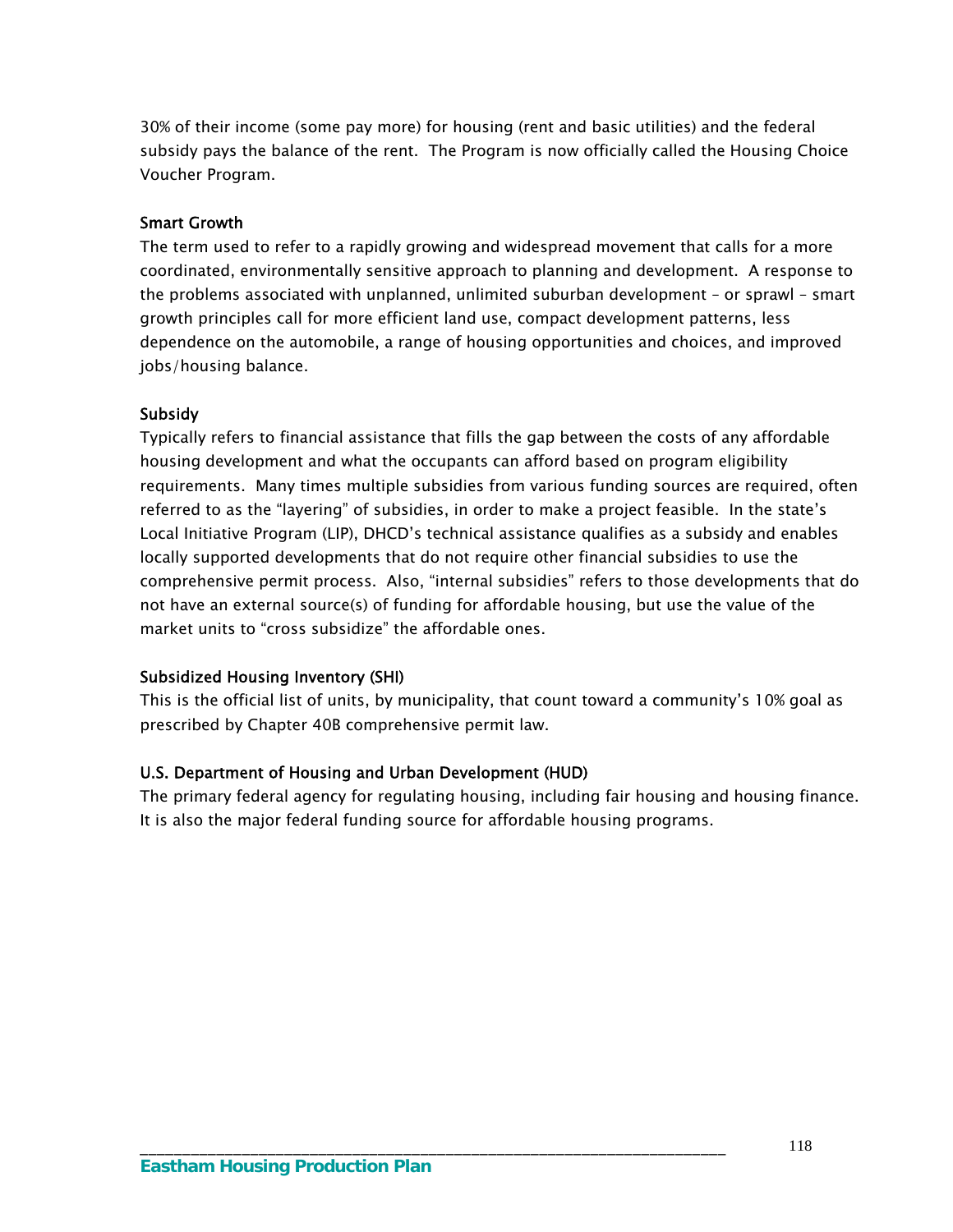30% of their income (some pay more) for housing (rent and basic utilities) and the federal subsidy pays the balance of the rent. The Program is now officially called the Housing Choice Voucher Program.

#### Smart Growth

The term used to refer to a rapidly growing and widespread movement that calls for a more coordinated, environmentally sensitive approach to planning and development. A response to the problems associated with unplanned, unlimited suburban development – or sprawl – smart growth principles call for more efficient land use, compact development patterns, less dependence on the automobile, a range of housing opportunities and choices, and improved jobs/housing balance.

#### **Subsidy**

Typically refers to financial assistance that fills the gap between the costs of any affordable housing development and what the occupants can afford based on program eligibility requirements. Many times multiple subsidies from various funding sources are required, often referred to as the "layering" of subsidies, in order to make a project feasible. In the state's Local Initiative Program (LIP), DHCD's technical assistance qualifies as a subsidy and enables locally supported developments that do not require other financial subsidies to use the comprehensive permit process. Also, "internal subsidies" refers to those developments that do not have an external source(s) of funding for affordable housing, but use the value of the market units to "cross subsidize" the affordable ones.

#### Subsidized Housing Inventory (SHI)

This is the official list of units, by municipality, that count toward a community's 10% goal as prescribed by Chapter 40B comprehensive permit law.

#### U.S. Department of Housing and Urban Development (HUD)

The primary federal agency for regulating housing, including fair housing and housing finance. It is also the major federal funding source for affordable housing programs.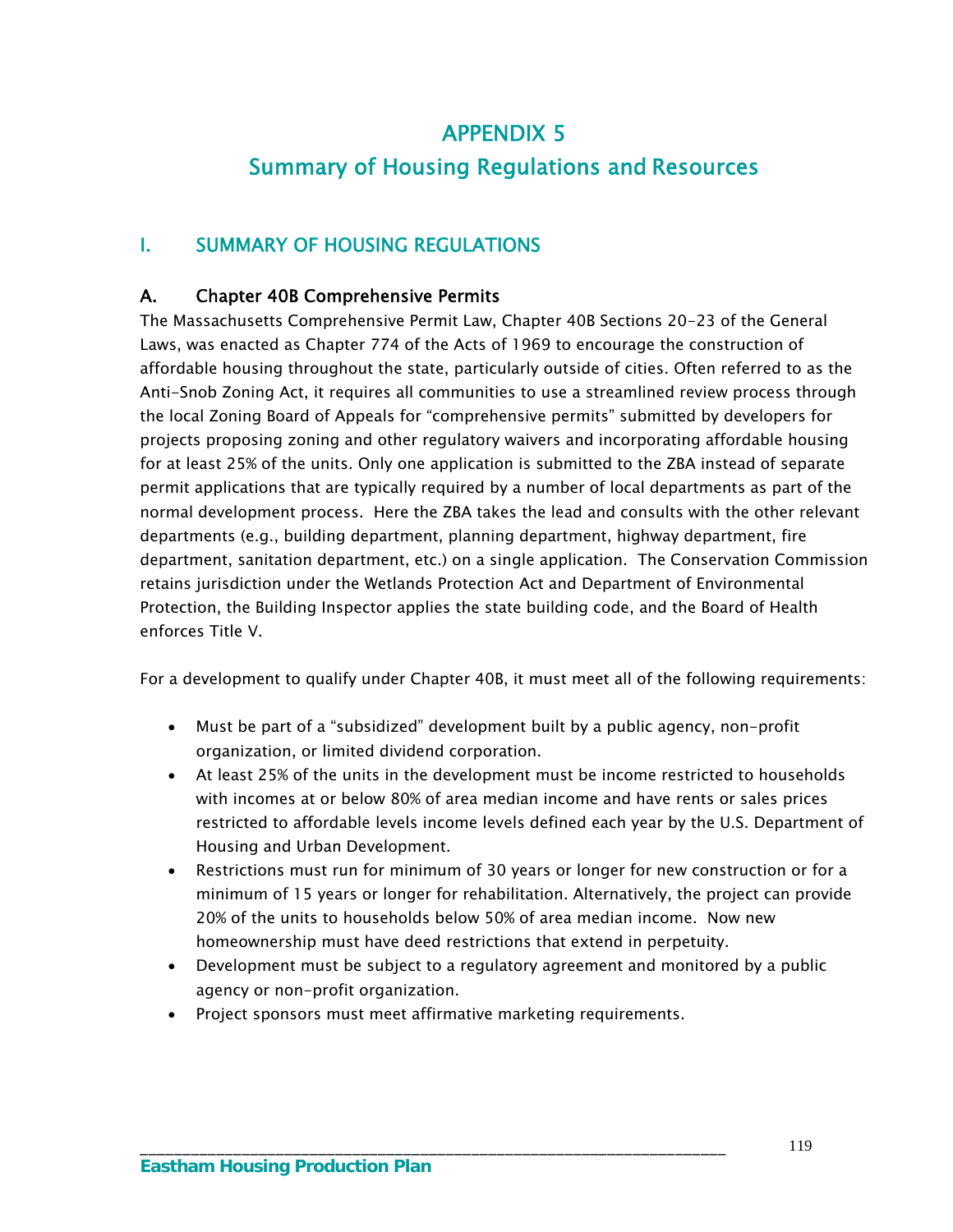# APPENDIX 5

# Summary of Housing Regulations and Resources

# I. SUMMARY OF HOUSING REGULATIONS

# A. Chapter 40B Comprehensive Permits

The Massachusetts Comprehensive Permit Law, Chapter 40B Sections 20-23 of the General Laws, was enacted as Chapter 774 of the Acts of 1969 to encourage the construction of affordable housing throughout the state, particularly outside of cities. Often referred to as the Anti-Snob Zoning Act, it requires all communities to use a streamlined review process through the local Zoning Board of Appeals for "comprehensive permits" submitted by developers for projects proposing zoning and other regulatory waivers and incorporating affordable housing for at least 25% of the units. Only one application is submitted to the ZBA instead of separate permit applications that are typically required by a number of local departments as part of the normal development process. Here the ZBA takes the lead and consults with the other relevant departments (e.g., building department, planning department, highway department, fire department, sanitation department, etc.) on a single application. The Conservation Commission retains jurisdiction under the Wetlands Protection Act and Department of Environmental Protection, the Building Inspector applies the state building code, and the Board of Health enforces Title V.

For a development to qualify under Chapter 40B, it must meet all of the following requirements:

- Must be part of a "subsidized" development built by a public agency, non-profit organization, or limited dividend corporation.
- At least 25% of the units in the development must be income restricted to households with incomes at or below 80% of area median income and have rents or sales prices restricted to affordable levels income levels defined each year by the U.S. Department of Housing and Urban Development.
- Restrictions must run for minimum of 30 years or longer for new construction or for a minimum of 15 years or longer for rehabilitation. Alternatively, the project can provide 20% of the units to households below 50% of area median income. Now new homeownership must have deed restrictions that extend in perpetuity.
- Development must be subject to a regulatory agreement and monitored by a public agency or non-profit organization.
- Project sponsors must meet affirmative marketing requirements.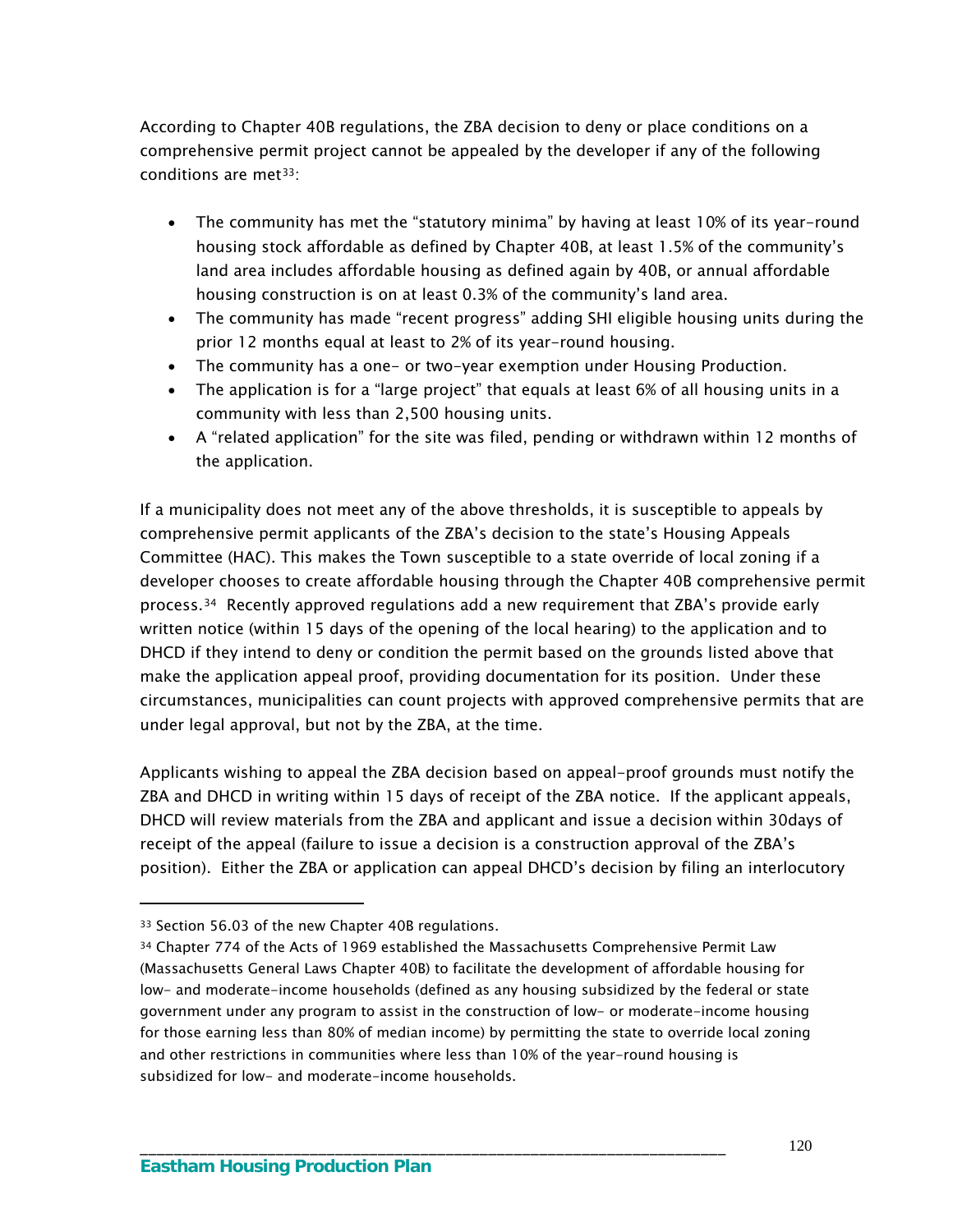According to Chapter 40B regulations, the ZBA decision to deny or place conditions on a comprehensive permit project cannot be appealed by the developer if any of the following conditions are met<sup>33</sup>:

- The community has met the "statutory minima" by having at least 10% of its year-round housing stock affordable as defined by Chapter 40B, at least 1.5% of the community's land area includes affordable housing as defined again by 40B, or annual affordable housing construction is on at least 0.3% of the community's land area.
- The community has made "recent progress" adding SHI eligible housing units during the prior 12 months equal at least to 2% of its year-round housing.
- The community has a one- or two-year exemption under Housing Production.
- The application is for a "large project" that equals at least 6% of all housing units in a community with less than 2,500 housing units.
- A "related application" for the site was filed, pending or withdrawn within 12 months of the application.

If a municipality does not meet any of the above thresholds, it is susceptible to appeals by comprehensive permit applicants of the ZBA's decision to the state's Housing Appeals Committee (HAC). This makes the Town susceptible to a state override of local zoning if a developer chooses to create affordable housing through the Chapter 40B comprehensive permit process.[34](#page-125-1) Recently approved regulations add a new requirement that ZBA's provide early written notice (within 15 days of the opening of the local hearing) to the application and to DHCD if they intend to deny or condition the permit based on the grounds listed above that make the application appeal proof, providing documentation for its position. Under these circumstances, municipalities can count projects with approved comprehensive permits that are under legal approval, but not by the ZBA, at the time.

Applicants wishing to appeal the ZBA decision based on appeal-proof grounds must notify the ZBA and DHCD in writing within 15 days of receipt of the ZBA notice. If the applicant appeals, DHCD will review materials from the ZBA and applicant and issue a decision within 30days of receipt of the appeal (failure to issue a decision is a construction approval of the ZBA's position). Either the ZBA or application can appeal DHCD's decision by filing an interlocutory

 $\overline{a}$ 

<span id="page-125-0"></span><sup>33</sup> Section 56.03 of the new Chapter 40B regulations.

<span id="page-125-1"></span><sup>34</sup> Chapter 774 of the Acts of 1969 established the Massachusetts Comprehensive Permit Law (Massachusetts General Laws Chapter 40B) to facilitate the development of affordable housing for low- and moderate-income households (defined as any housing subsidized by the federal or state government under any program to assist in the construction of low- or moderate-income housing for those earning less than 80% of median income) by permitting the state to override local zoning and other restrictions in communities where less than 10% of the year-round housing is subsidized for low- and moderate-income households.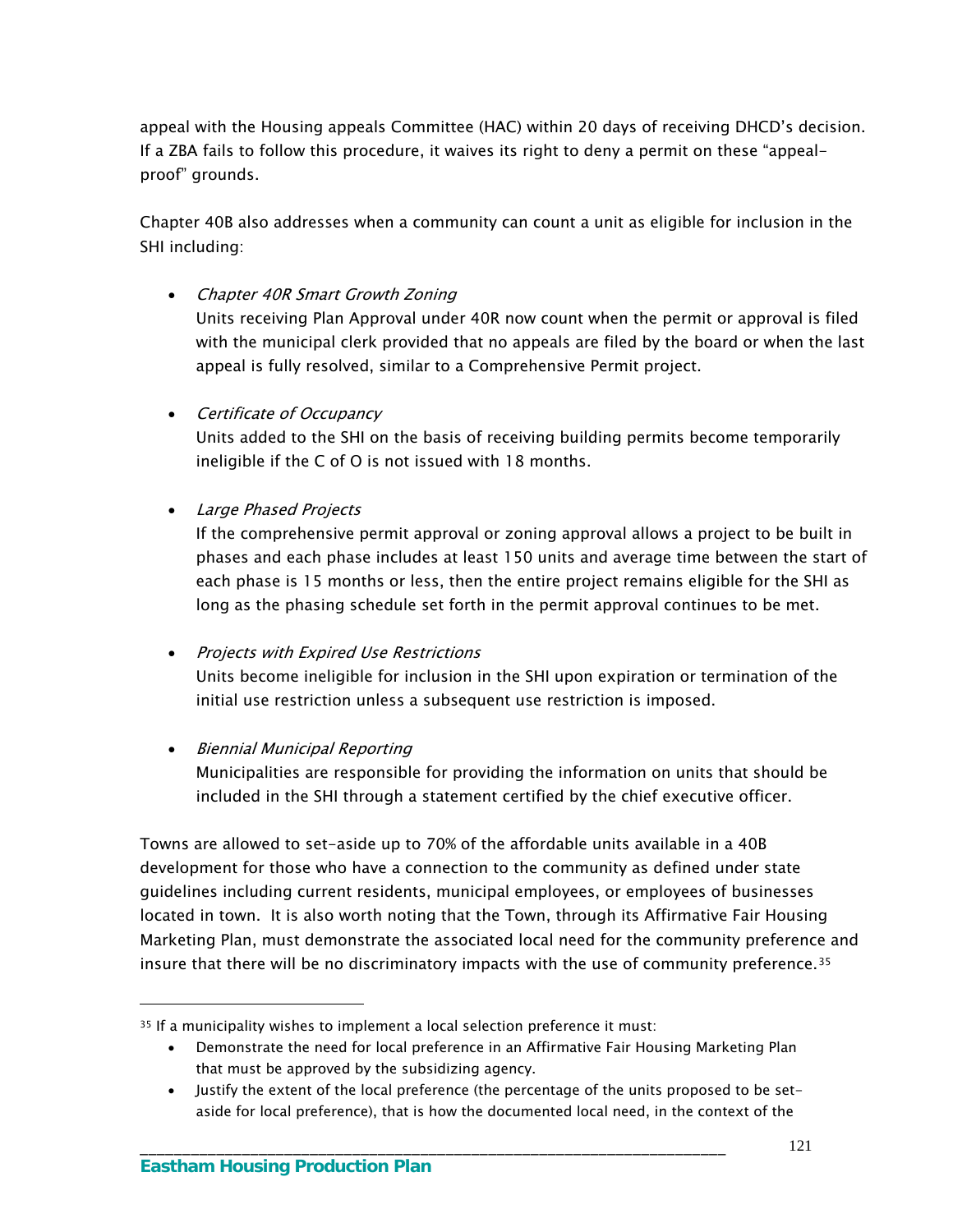appeal with the Housing appeals Committee (HAC) within 20 days of receiving DHCD's decision. If a ZBA fails to follow this procedure, it waives its right to deny a permit on these "appealproof" grounds.

Chapter 40B also addresses when a community can count a unit as eligible for inclusion in the SHI including:

• Chapter 40R Smart Growth Zoning

Units receiving Plan Approval under 40R now count when the permit or approval is filed with the municipal clerk provided that no appeals are filed by the board or when the last appeal is fully resolved, similar to a Comprehensive Permit project.

• Certificate of Occupancy

Units added to the SHI on the basis of receiving building permits become temporarily ineligible if the C of O is not issued with 18 months.

Large Phased Projects

If the comprehensive permit approval or zoning approval allows a project to be built in phases and each phase includes at least 150 units and average time between the start of each phase is 15 months or less, then the entire project remains eligible for the SHI as long as the phasing schedule set forth in the permit approval continues to be met.

#### • Projects with Expired Use Restrictions

Units become ineligible for inclusion in the SHI upon expiration or termination of the initial use restriction unless a subsequent use restriction is imposed.

• Biennial Municipal Reporting

Municipalities are responsible for providing the information on units that should be included in the SHI through a statement certified by the chief executive officer.

Towns are allowed to set-aside up to 70% of the affordable units available in a 40B development for those who have a connection to the community as defined under state guidelines including current residents, municipal employees, or employees of businesses located in town. It is also worth noting that the Town, through its Affirmative Fair Housing Marketing Plan, must demonstrate the associated local need for the community preference and insure that there will be no discriminatory impacts with the use of community preference.[35](#page-126-0)

\_\_\_\_\_\_\_\_\_\_\_\_\_\_\_\_\_\_\_\_\_\_\_\_\_\_\_\_\_\_\_\_\_\_\_\_\_\_\_\_\_\_\_\_\_\_\_\_\_\_\_\_\_\_\_\_\_\_\_\_\_\_\_\_\_\_\_\_\_

 $\overline{a}$ 

<span id="page-126-0"></span><sup>35</sup> If a municipality wishes to implement a local selection preference it must:

Demonstrate the need for local preference in an Affirmative Fair Housing Marketing Plan that must be approved by the subsidizing agency.

Justify the extent of the local preference (the percentage of the units proposed to be setaside for local preference), that is how the documented local need, in the context of the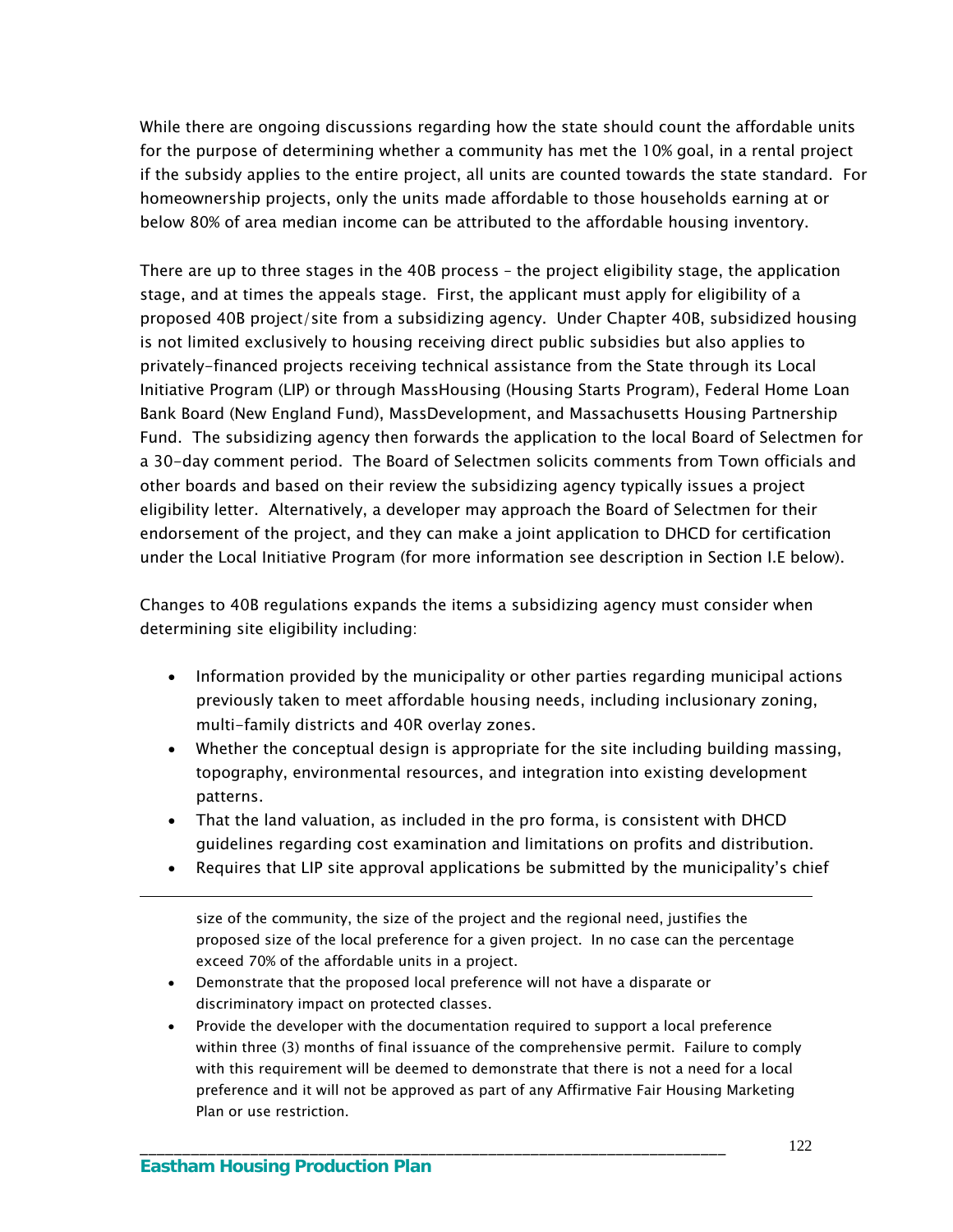While there are ongoing discussions regarding how the state should count the affordable units for the purpose of determining whether a community has met the 10% goal, in a rental project if the subsidy applies to the entire project, all units are counted towards the state standard. For homeownership projects, only the units made affordable to those households earning at or below 80% of area median income can be attributed to the affordable housing inventory.

There are up to three stages in the 40B process – the project eligibility stage, the application stage, and at times the appeals stage. First, the applicant must apply for eligibility of a proposed 40B project/site from a subsidizing agency. Under Chapter 40B, subsidized housing is not limited exclusively to housing receiving direct public subsidies but also applies to privately-financed projects receiving technical assistance from the State through its Local Initiative Program (LIP) or through MassHousing (Housing Starts Program), Federal Home Loan Bank Board (New England Fund), MassDevelopment, and Massachusetts Housing Partnership Fund. The subsidizing agency then forwards the application to the local Board of Selectmen for a 30-day comment period. The Board of Selectmen solicits comments from Town officials and other boards and based on their review the subsidizing agency typically issues a project eligibility letter. Alternatively, a developer may approach the Board of Selectmen for their endorsement of the project, and they can make a joint application to DHCD for certification under the Local Initiative Program (for more information see description in Section I.E below).

Changes to 40B regulations expands the items a subsidizing agency must consider when determining site eligibility including:

- Information provided by the municipality or other parties regarding municipal actions previously taken to meet affordable housing needs, including inclusionary zoning, multi-family districts and 40R overlay zones.
- Whether the conceptual design is appropriate for the site including building massing, topography, environmental resources, and integration into existing development patterns.
- That the land valuation, as included in the pro forma, is consistent with DHCD guidelines regarding cost examination and limitations on profits and distribution.
- Requires that LIP site approval applications be submitted by the municipality's chief

size of the community, the size of the project and the regional need, justifies the proposed size of the local preference for a given project. In no case can the percentage exceed 70% of the affordable units in a project.

 Demonstrate that the proposed local preference will not have a disparate or discriminatory impact on protected classes.

\_\_\_\_\_\_\_\_\_\_\_\_\_\_\_\_\_\_\_\_\_\_\_\_\_\_\_\_\_\_\_\_\_\_\_\_\_\_\_\_\_\_\_\_\_\_\_\_\_\_\_\_\_\_\_\_\_\_\_\_\_\_\_\_\_\_\_\_\_

 Provide the developer with the documentation required to support a local preference within three (3) months of final issuance of the comprehensive permit. Failure to comply with this requirement will be deemed to demonstrate that there is not a need for a local preference and it will not be approved as part of any Affirmative Fair Housing Marketing Plan or use restriction.

 $\overline{a}$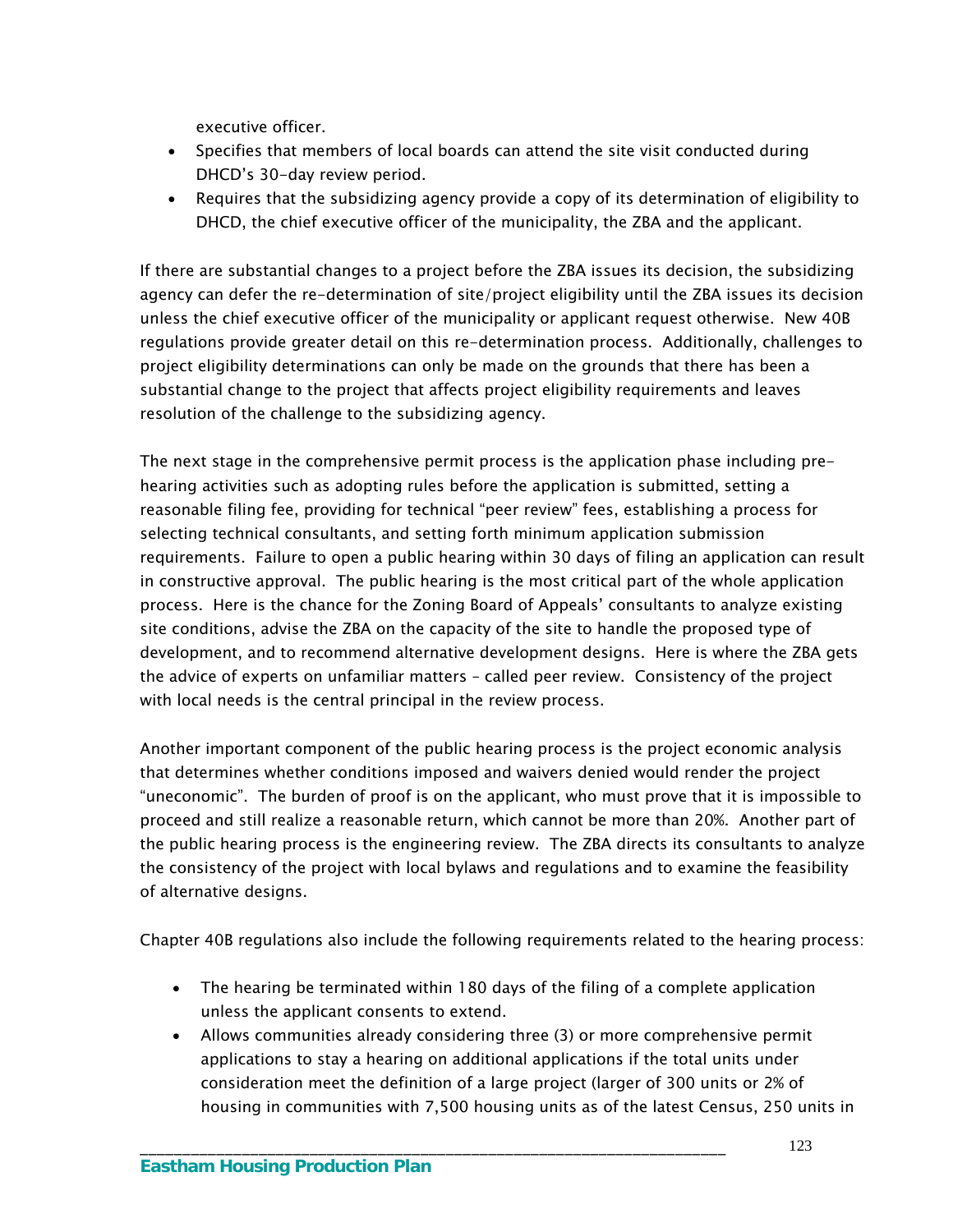executive officer.

- Specifies that members of local boards can attend the site visit conducted during DHCD's 30-day review period.
- Requires that the subsidizing agency provide a copy of its determination of eligibility to DHCD, the chief executive officer of the municipality, the ZBA and the applicant.

If there are substantial changes to a project before the ZBA issues its decision, the subsidizing agency can defer the re-determination of site/project eligibility until the ZBA issues its decision unless the chief executive officer of the municipality or applicant request otherwise. New 40B regulations provide greater detail on this re-determination process. Additionally, challenges to project eligibility determinations can only be made on the grounds that there has been a substantial change to the project that affects project eligibility requirements and leaves resolution of the challenge to the subsidizing agency.

The next stage in the comprehensive permit process is the application phase including prehearing activities such as adopting rules before the application is submitted, setting a reasonable filing fee, providing for technical "peer review" fees, establishing a process for selecting technical consultants, and setting forth minimum application submission requirements. Failure to open a public hearing within 30 days of filing an application can result in constructive approval. The public hearing is the most critical part of the whole application process. Here is the chance for the Zoning Board of Appeals' consultants to analyze existing site conditions, advise the ZBA on the capacity of the site to handle the proposed type of development, and to recommend alternative development designs. Here is where the ZBA gets the advice of experts on unfamiliar matters – called peer review. Consistency of the project with local needs is the central principal in the review process.

Another important component of the public hearing process is the project economic analysis that determines whether conditions imposed and waivers denied would render the project "uneconomic". The burden of proof is on the applicant, who must prove that it is impossible to proceed and still realize a reasonable return, which cannot be more than 20%. Another part of the public hearing process is the engineering review. The ZBA directs its consultants to analyze the consistency of the project with local bylaws and regulations and to examine the feasibility of alternative designs.

Chapter 40B regulations also include the following requirements related to the hearing process:

 The hearing be terminated within 180 days of the filing of a complete application unless the applicant consents to extend.

\_\_\_\_\_\_\_\_\_\_\_\_\_\_\_\_\_\_\_\_\_\_\_\_\_\_\_\_\_\_\_\_\_\_\_\_\_\_\_\_\_\_\_\_\_\_\_\_\_\_\_\_\_\_\_\_\_\_\_\_\_\_\_\_\_\_\_\_\_

 Allows communities already considering three (3) or more comprehensive permit applications to stay a hearing on additional applications if the total units under consideration meet the definition of a large project (larger of 300 units or 2% of housing in communities with 7,500 housing units as of the latest Census, 250 units in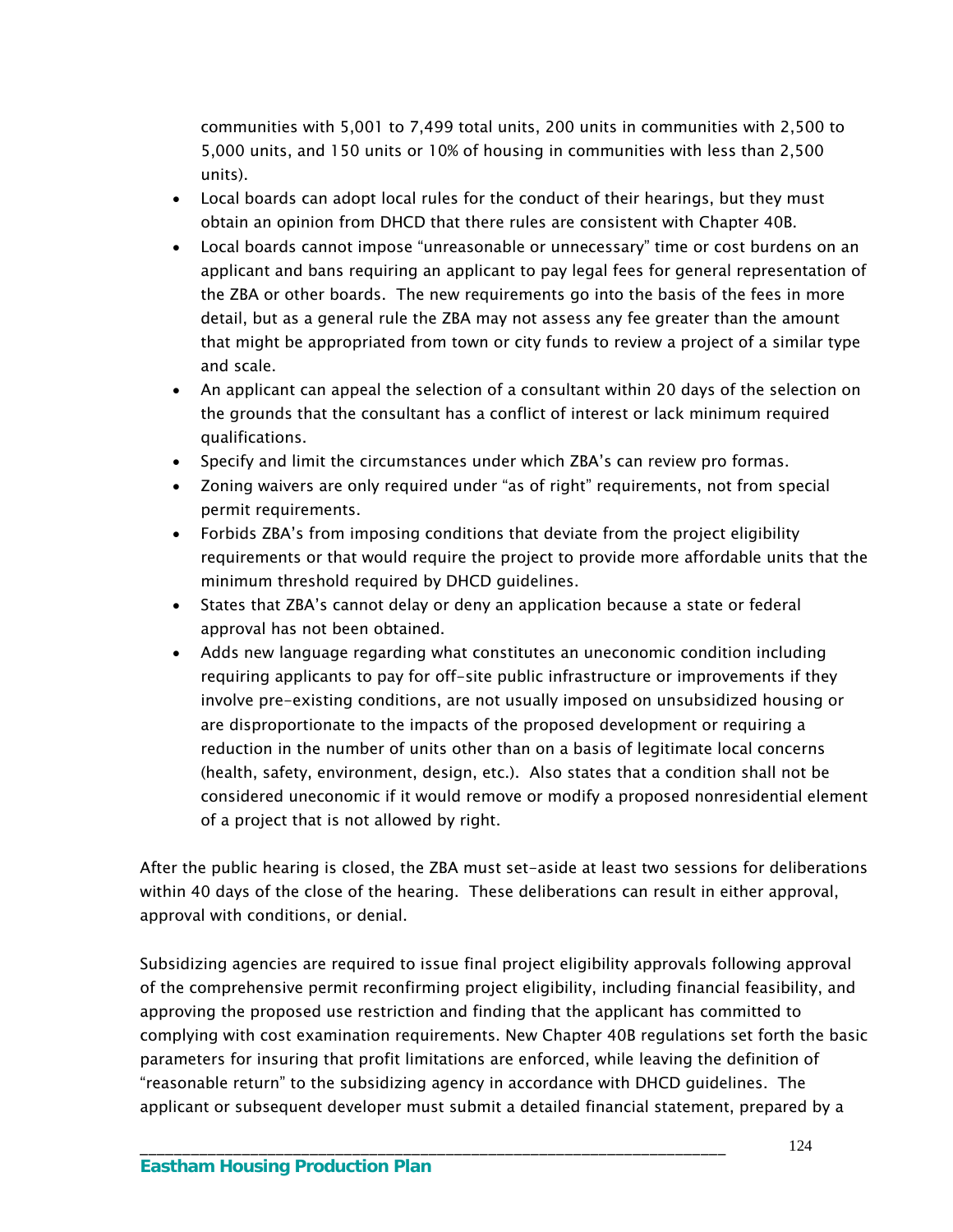communities with 5,001 to 7,499 total units, 200 units in communities with 2,500 to 5,000 units, and 150 units or 10% of housing in communities with less than 2,500 units).

- Local boards can adopt local rules for the conduct of their hearings, but they must obtain an opinion from DHCD that there rules are consistent with Chapter 40B.
- Local boards cannot impose "unreasonable or unnecessary" time or cost burdens on an applicant and bans requiring an applicant to pay legal fees for general representation of the ZBA or other boards. The new requirements go into the basis of the fees in more detail, but as a general rule the ZBA may not assess any fee greater than the amount that might be appropriated from town or city funds to review a project of a similar type and scale.
- An applicant can appeal the selection of a consultant within 20 days of the selection on the grounds that the consultant has a conflict of interest or lack minimum required qualifications.
- Specify and limit the circumstances under which ZBA's can review pro formas.
- Zoning waivers are only required under "as of right" requirements, not from special permit requirements.
- Forbids ZBA's from imposing conditions that deviate from the project eligibility requirements or that would require the project to provide more affordable units that the minimum threshold required by DHCD guidelines.
- States that ZBA's cannot delay or deny an application because a state or federal approval has not been obtained.
- Adds new language regarding what constitutes an uneconomic condition including requiring applicants to pay for off-site public infrastructure or improvements if they involve pre-existing conditions, are not usually imposed on unsubsidized housing or are disproportionate to the impacts of the proposed development or requiring a reduction in the number of units other than on a basis of legitimate local concerns (health, safety, environment, design, etc.). Also states that a condition shall not be considered uneconomic if it would remove or modify a proposed nonresidential element of a project that is not allowed by right.

After the public hearing is closed, the ZBA must set-aside at least two sessions for deliberations within 40 days of the close of the hearing. These deliberations can result in either approval, approval with conditions, or denial.

Subsidizing agencies are required to issue final project eligibility approvals following approval of the comprehensive permit reconfirming project eligibility, including financial feasibility, and approving the proposed use restriction and finding that the applicant has committed to complying with cost examination requirements. New Chapter 40B regulations set forth the basic parameters for insuring that profit limitations are enforced, while leaving the definition of "reasonable return" to the subsidizing agency in accordance with DHCD guidelines. The applicant or subsequent developer must submit a detailed financial statement, prepared by a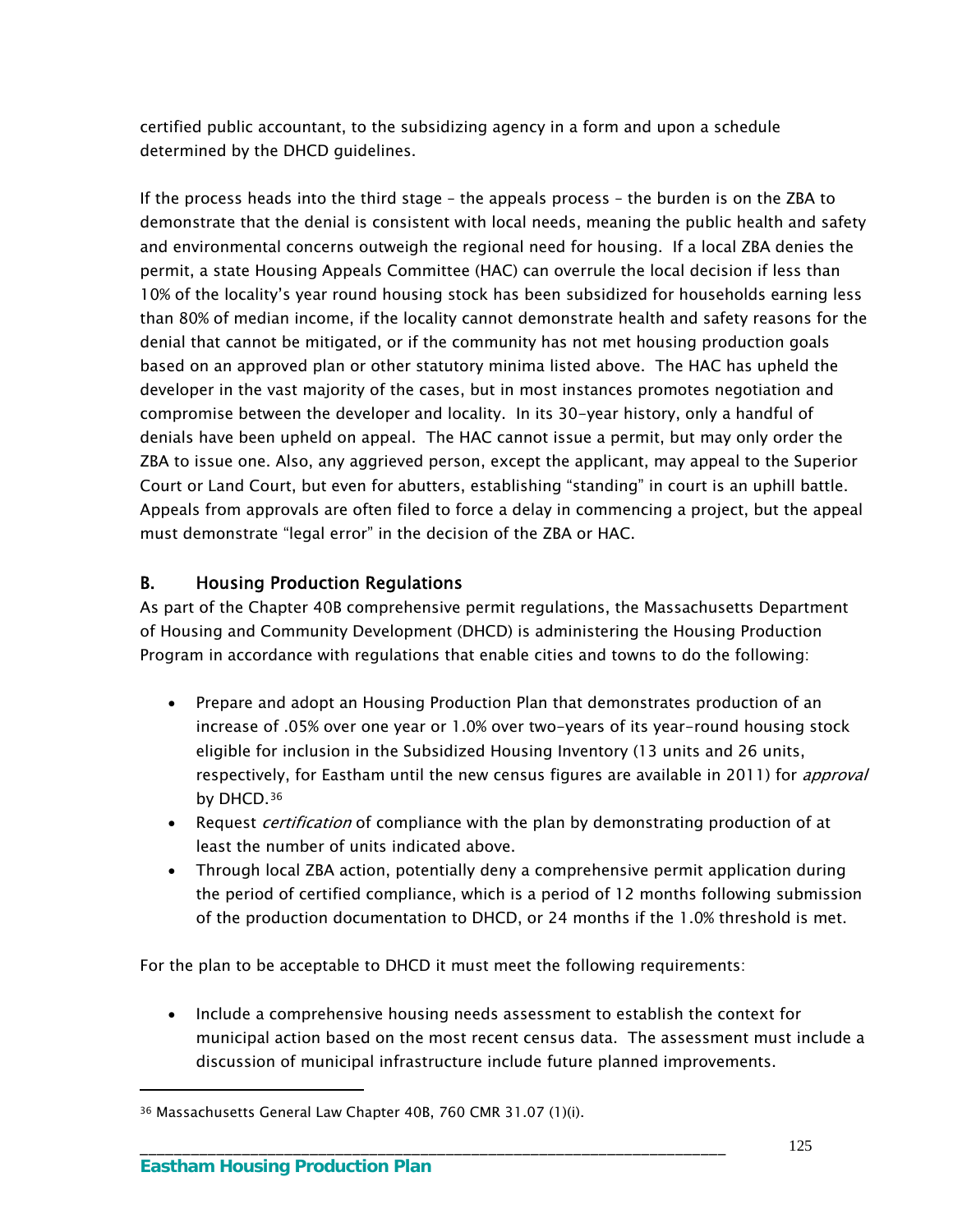certified public accountant, to the subsidizing agency in a form and upon a schedule determined by the DHCD guidelines.

If the process heads into the third stage – the appeals process – the burden is on the ZBA to demonstrate that the denial is consistent with local needs, meaning the public health and safety and environmental concerns outweigh the regional need for housing. If a local ZBA denies the permit, a state Housing Appeals Committee (HAC) can overrule the local decision if less than 10% of the locality's year round housing stock has been subsidized for households earning less than 80% of median income, if the locality cannot demonstrate health and safety reasons for the denial that cannot be mitigated, or if the community has not met housing production goals based on an approved plan or other statutory minima listed above. The HAC has upheld the developer in the vast majority of the cases, but in most instances promotes negotiation and compromise between the developer and locality. In its 30-year history, only a handful of denials have been upheld on appeal. The HAC cannot issue a permit, but may only order the ZBA to issue one. Also, any aggrieved person, except the applicant, may appeal to the Superior Court or Land Court, but even for abutters, establishing "standing" in court is an uphill battle. Appeals from approvals are often filed to force a delay in commencing a project, but the appeal must demonstrate "legal error" in the decision of the ZBA or HAC.

# B. Housing Production Regulations

As part of the Chapter 40B comprehensive permit regulations, the Massachusetts Department of Housing and Community Development (DHCD) is administering the Housing Production Program in accordance with regulations that enable cities and towns to do the following:

- Prepare and adopt an Housing Production Plan that demonstrates production of an increase of .05% over one year or 1.0% over two-years of its year-round housing stock eligible for inclusion in the Subsidized Housing Inventory (13 units and 26 units, respectively, for Eastham until the new census figures are available in 2011) for *approval* by DHCD.<sup>[36](#page-130-0)</sup>
- Request *certification* of compliance with the plan by demonstrating production of at least the number of units indicated above.
- Through local ZBA action, potentially deny a comprehensive permit application during the period of certified compliance, which is a period of 12 months following submission of the production documentation to DHCD, or 24 months if the 1.0% threshold is met.

For the plan to be acceptable to DHCD it must meet the following requirements:

\_\_\_\_\_\_\_\_\_\_\_\_\_\_\_\_\_\_\_\_\_\_\_\_\_\_\_\_\_\_\_\_\_\_\_\_\_\_\_\_\_\_\_\_\_\_\_\_\_\_\_\_\_\_\_\_\_\_\_\_\_\_\_\_\_\_\_\_\_

• Include a comprehensive housing needs assessment to establish the context for municipal action based on the most recent census data. The assessment must include a discussion of municipal infrastructure include future planned improvements.

 $\overline{a}$ 

<span id="page-130-0"></span><sup>36</sup> Massachusetts General Law Chapter 40B, 760 CMR 31.07 (1)(i).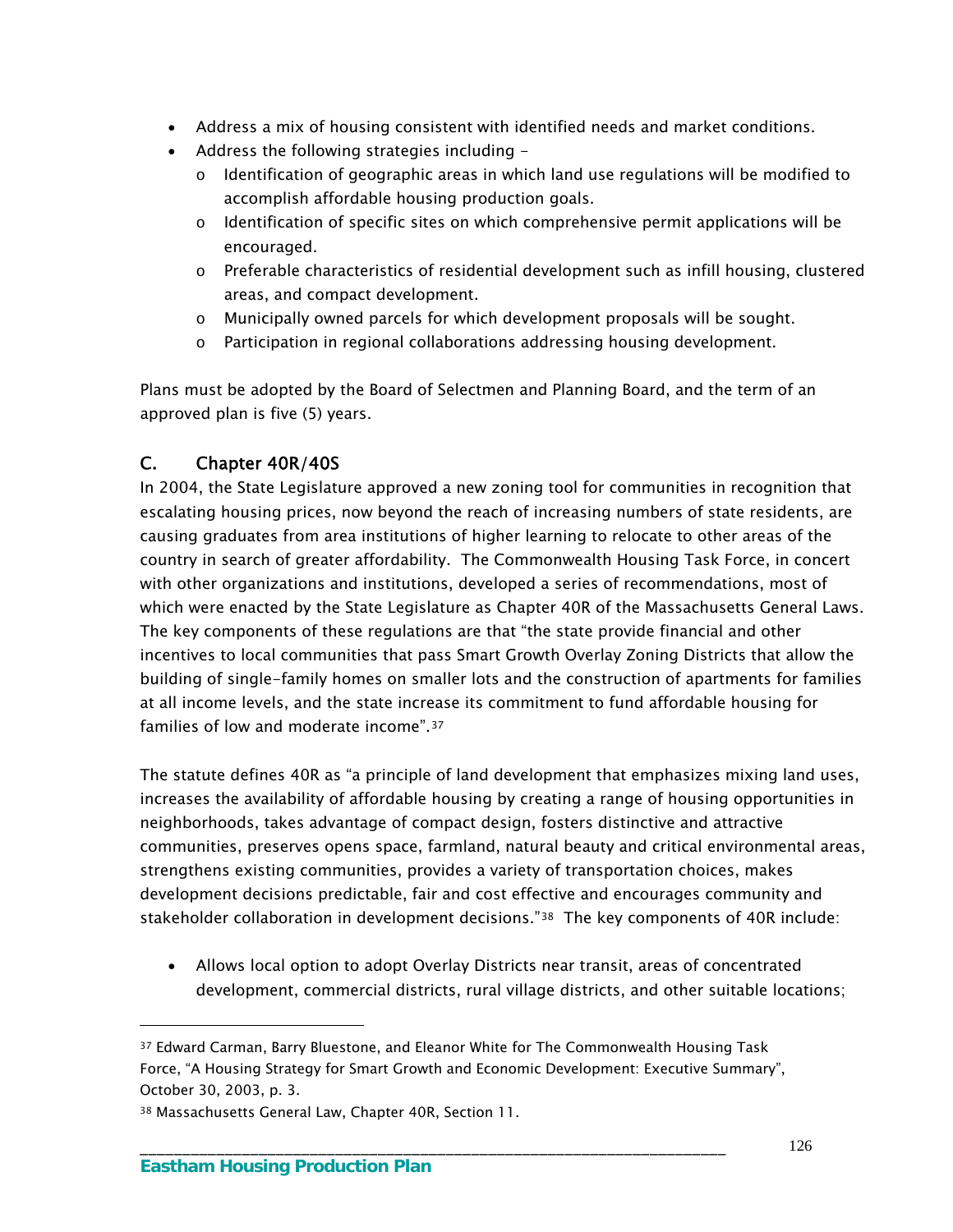- Address a mix of housing consistent with identified needs and market conditions.
- Address the following strategies including -
	- $\circ$  Identification of geographic areas in which land use regulations will be modified to accomplish affordable housing production goals.
	- o Identification of specific sites on which comprehensive permit applications will be encouraged.
	- o Preferable characteristics of residential development such as infill housing, clustered areas, and compact development.
	- o Municipally owned parcels for which development proposals will be sought.
	- o Participation in regional collaborations addressing housing development.

Plans must be adopted by the Board of Selectmen and Planning Board, and the term of an approved plan is five (5) years.

# C. Chapter 40R/40S

In 2004, the State Legislature approved a new zoning tool for communities in recognition that escalating housing prices, now beyond the reach of increasing numbers of state residents, are causing graduates from area institutions of higher learning to relocate to other areas of the country in search of greater affordability. The Commonwealth Housing Task Force, in concert with other organizations and institutions, developed a series of recommendations, most of which were enacted by the State Legislature as Chapter 40R of the Massachusetts General Laws. The key components of these regulations are that "the state provide financial and other incentives to local communities that pass Smart Growth Overlay Zoning Districts that allow the building of single-family homes on smaller lots and the construction of apartments for families at all income levels, and the state increase its commitment to fund affordable housing for families of low and moderate income".[37](#page-131-0)

The statute defines 40R as "a principle of land development that emphasizes mixing land uses, increases the availability of affordable housing by creating a range of housing opportunities in neighborhoods, takes advantage of compact design, fosters distinctive and attractive communities, preserves opens space, farmland, natural beauty and critical environmental areas, strengthens existing communities, provides a variety of transportation choices, makes development decisions predictable, fair and cost effective and encourages community and stakeholder collaboration in development decisions."<sup>38</sup> The key components of 40R include:

 Allows local option to adopt Overlay Districts near transit, areas of concentrated development, commercial districts, rural village districts, and other suitable locations;

\_\_\_\_\_\_\_\_\_\_\_\_\_\_\_\_\_\_\_\_\_\_\_\_\_\_\_\_\_\_\_\_\_\_\_\_\_\_\_\_\_\_\_\_\_\_\_\_\_\_\_\_\_\_\_\_\_\_\_\_\_\_\_\_\_\_\_\_\_

 $\overline{a}$ 

<span id="page-131-0"></span><sup>37</sup> Edward Carman, Barry Bluestone, and Eleanor White for The Commonwealth Housing Task Force, "A Housing Strategy for Smart Growth and Economic Development: Executive Summary", October 30, 2003, p. 3.

<span id="page-131-1"></span><sup>38</sup> Massachusetts General Law, Chapter 40R, Section 11.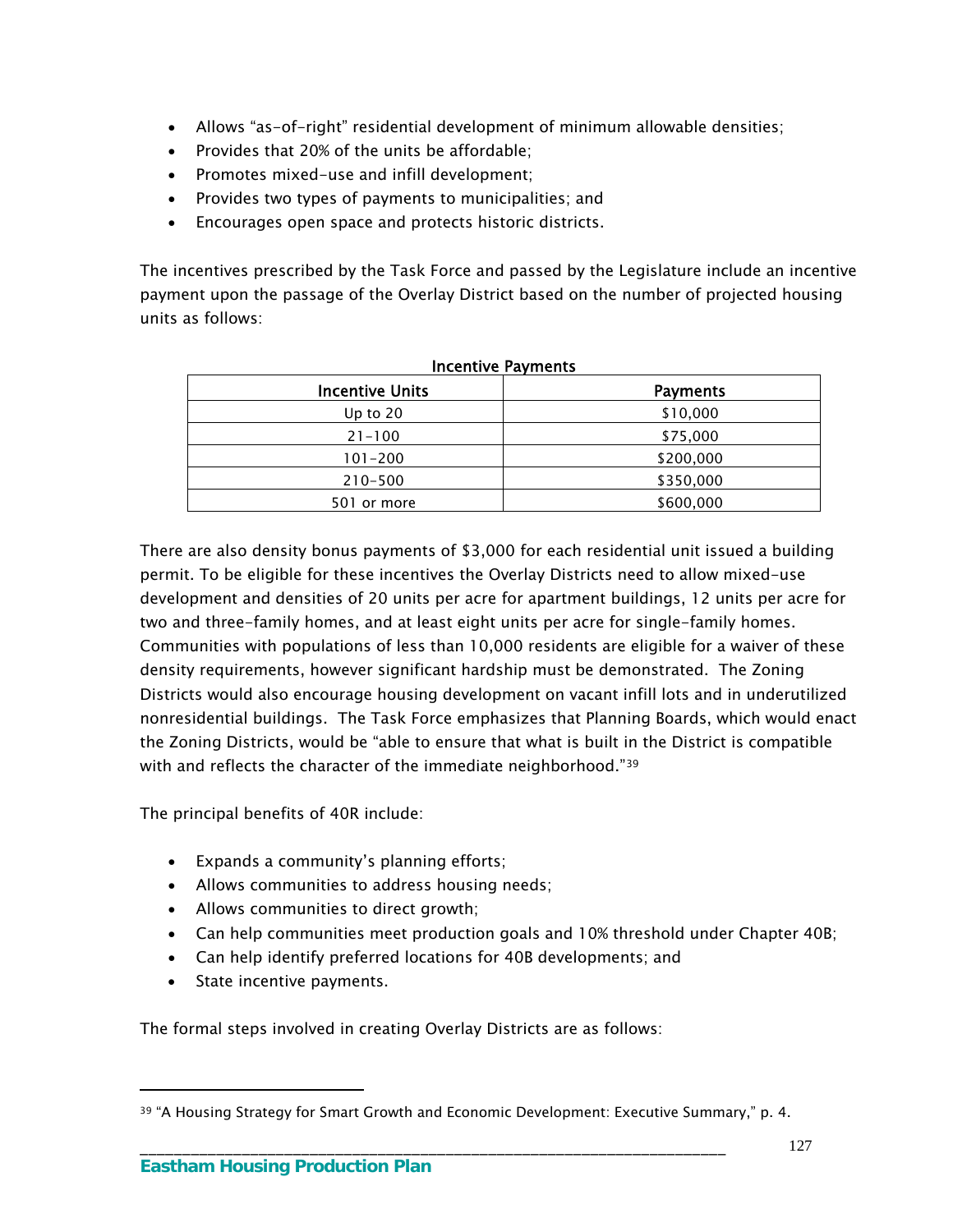- Allows "as-of-right" residential development of minimum allowable densities;
- Provides that 20% of the units be affordable;
- Promotes mixed-use and infill development;
- Provides two types of payments to municipalities; and
- Encourages open space and protects historic districts.

The incentives prescribed by the Task Force and passed by the Legislature include an incentive payment upon the passage of the Overlay District based on the number of projected housing units as follows:

| <b>Incentive Units</b> | <b>Payments</b> |
|------------------------|-----------------|
| Up to $20$             | \$10,000        |
| $21 - 100$             | \$75,000        |
| $101 - 200$            | \$200,000       |
| $210 - 500$            | \$350,000       |
| 501 or more            | \$600,000       |

#### Incentive Payments

There are also density bonus payments of \$3,000 for each residential unit issued a building permit. To be eligible for these incentives the Overlay Districts need to allow mixed-use development and densities of 20 units per acre for apartment buildings, 12 units per acre for two and three-family homes, and at least eight units per acre for single-family homes. Communities with populations of less than 10,000 residents are eligible for a waiver of these density requirements, however significant hardship must be demonstrated. The Zoning Districts would also encourage housing development on vacant infill lots and in underutilized nonresidential buildings. The Task Force emphasizes that Planning Boards, which would enact the Zoning Districts, would be "able to ensure that what is built in the District is compatible with and reflects the character of the immediate neighborhood."<sup>39</sup>

The principal benefits of 40R include:

- Expands a community's planning efforts;
- Allows communities to address housing needs;
- Allows communities to direct growth;
- Can help communities meet production goals and 10% threshold under Chapter 40B;
- Can help identify preferred locations for 40B developments; and
- State incentive payments.

 $\overline{a}$ 

The formal steps involved in creating Overlay Districts are as follows:

<span id="page-132-0"></span><sup>&</sup>lt;sup>39</sup> "A Housing Strategy for Smart Growth and Economic Development: Executive Summary," p. 4.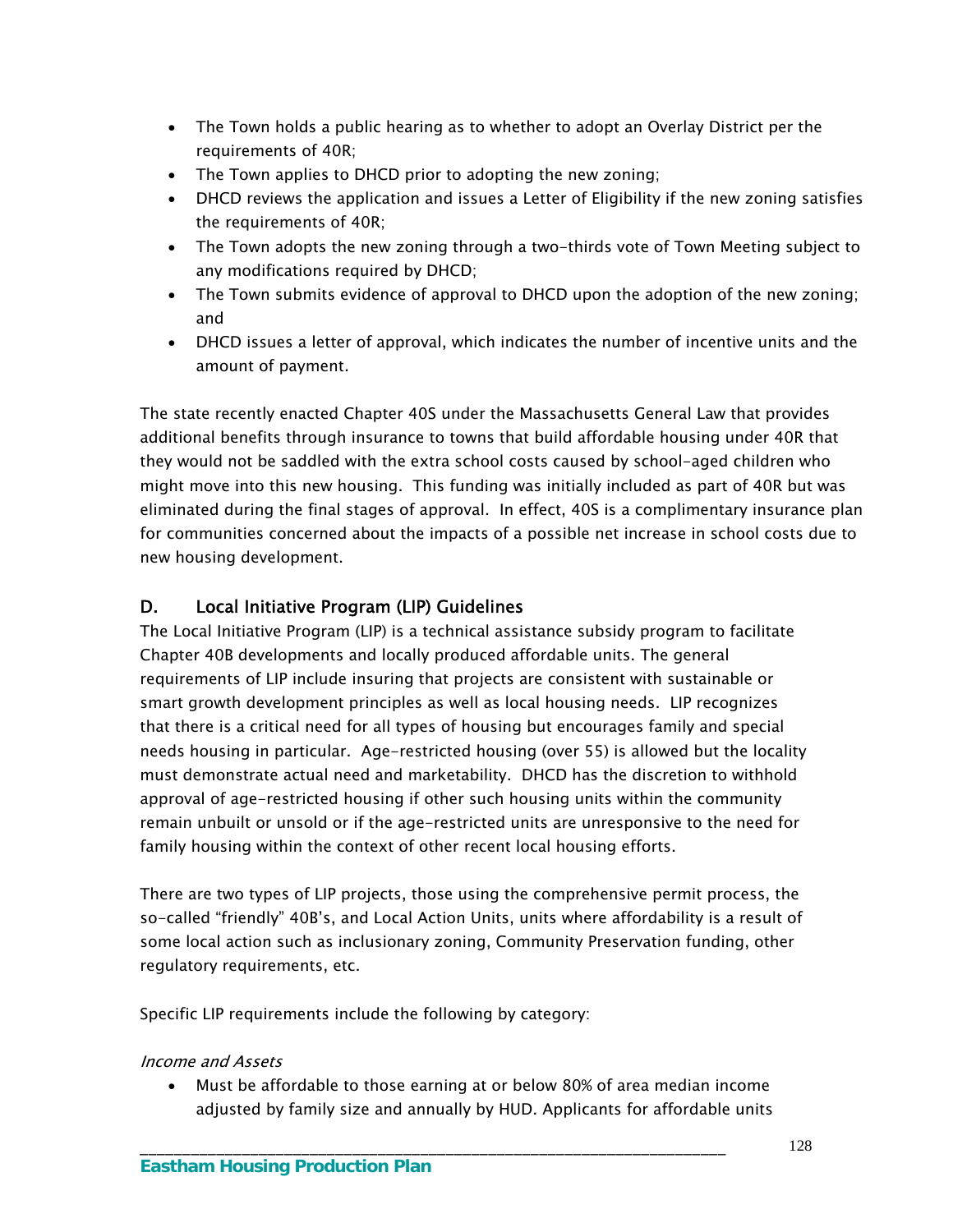- The Town holds a public hearing as to whether to adopt an Overlay District per the requirements of 40R;
- The Town applies to DHCD prior to adopting the new zoning;
- DHCD reviews the application and issues a Letter of Eligibility if the new zoning satisfies the requirements of 40R;
- The Town adopts the new zoning through a two-thirds vote of Town Meeting subject to any modifications required by DHCD;
- The Town submits evidence of approval to DHCD upon the adoption of the new zoning; and
- DHCD issues a letter of approval, which indicates the number of incentive units and the amount of payment.

The state recently enacted Chapter 40S under the Massachusetts General Law that provides additional benefits through insurance to towns that build affordable housing under 40R that they would not be saddled with the extra school costs caused by school-aged children who might move into this new housing. This funding was initially included as part of 40R but was eliminated during the final stages of approval. In effect, 40S is a complimentary insurance plan for communities concerned about the impacts of a possible net increase in school costs due to new housing development.

# D. Local Initiative Program (LIP) Guidelines

The Local Initiative Program (LIP) is a technical assistance subsidy program to facilitate Chapter 40B developments and locally produced affordable units. The general requirements of LIP include insuring that projects are consistent with sustainable or smart growth development principles as well as local housing needs. LIP recognizes that there is a critical need for all types of housing but encourages family and special needs housing in particular. Age-restricted housing (over 55) is allowed but the locality must demonstrate actual need and marketability. DHCD has the discretion to withhold approval of age-restricted housing if other such housing units within the community remain unbuilt or unsold or if the age-restricted units are unresponsive to the need for family housing within the context of other recent local housing efforts.

There are two types of LIP projects, those using the comprehensive permit process, the so-called "friendly" 40B's, and Local Action Units, units where affordability is a result of some local action such as inclusionary zoning, Community Preservation funding, other regulatory requirements, etc.

Specific LIP requirements include the following by category:

## Income and Assets

 Must be affordable to those earning at or below 80% of area median income adjusted by family size and annually by HUD. Applicants for affordable units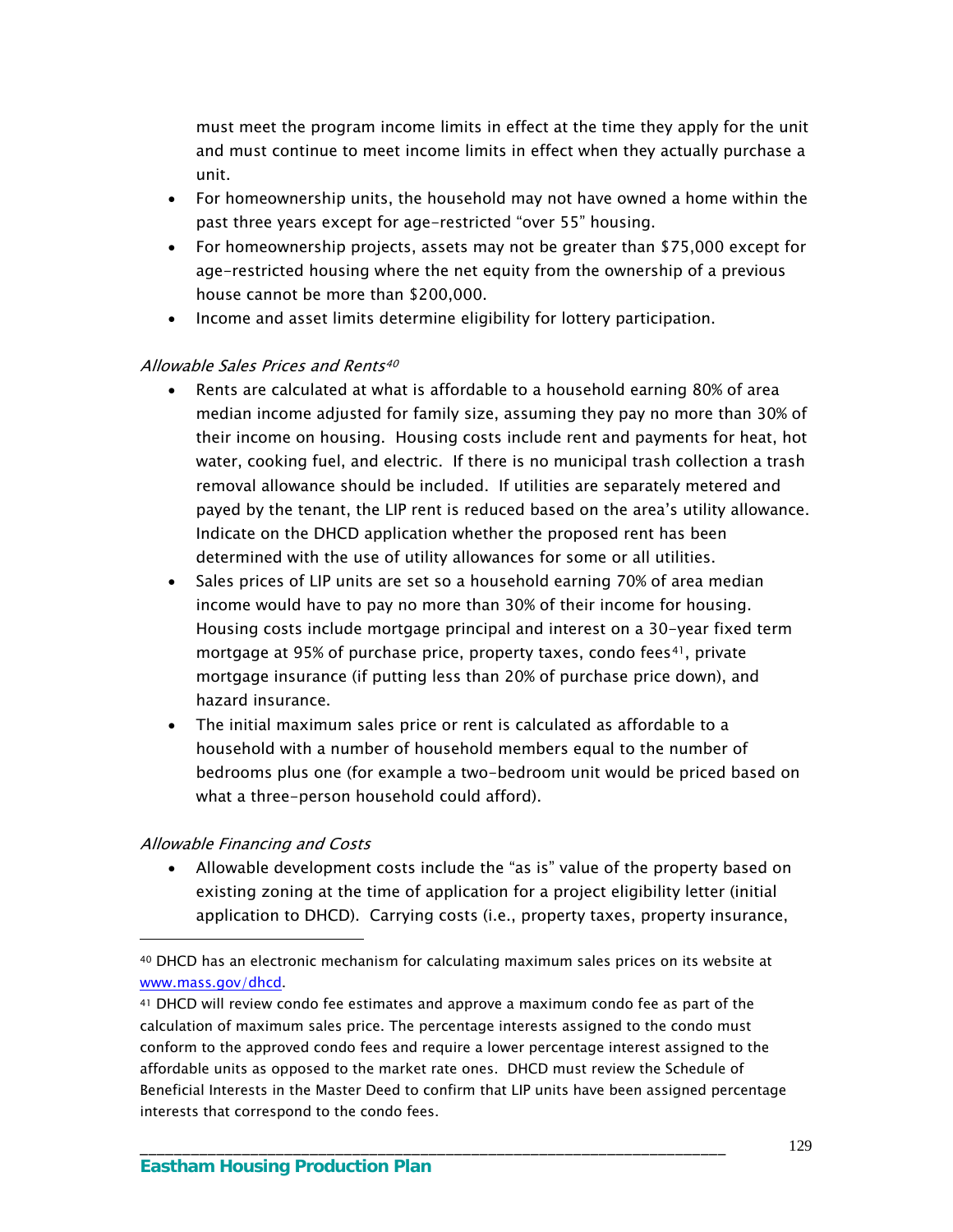must meet the program income limits in effect at the time they apply for the unit and must continue to meet income limits in effect when they actually purchase a unit.

- For homeownership units, the household may not have owned a home within the past three years except for age-restricted "over 55" housing.
- For homeownership projects, assets may not be greater than \$75,000 except for age-restricted housing where the net equity from the ownership of a previous house cannot be more than \$200,000.
- Income and asset limits determine eligibility for lottery participation.

#### Allowable Sales Prices and Rents<sup>[40](#page-134-0)</sup>

- Rents are calculated at what is affordable to a household earning 80% of area median income adjusted for family size, assuming they pay no more than 30% of their income on housing. Housing costs include rent and payments for heat, hot water, cooking fuel, and electric. If there is no municipal trash collection a trash removal allowance should be included. If utilities are separately metered and payed by the tenant, the LIP rent is reduced based on the area's utility allowance. Indicate on the DHCD application whether the proposed rent has been determined with the use of utility allowances for some or all utilities.
- Sales prices of LIP units are set so a household earning 70% of area median income would have to pay no more than 30% of their income for housing. Housing costs include mortgage principal and interest on a 30-year fixed term mortgage at 95% of purchase price, property taxes, condo fees<sup>[41](#page-134-1)</sup>, private mortgage insurance (if putting less than 20% of purchase price down), and hazard insurance.
- The initial maximum sales price or rent is calculated as affordable to a household with a number of household members equal to the number of bedrooms plus one (for example a two-bedroom unit would be priced based on what a three-person household could afford).

#### Allowable Financing and Costs

 $\overline{a}$ 

 Allowable development costs include the "as is" value of the property based on existing zoning at the time of application for a project eligibility letter (initial application to DHCD). Carrying costs (i.e., property taxes, property insurance,

<span id="page-134-0"></span><sup>40</sup> DHCD has an electronic mechanism for calculating maximum sales prices on its website at www.mass.gov/dhcd.

<span id="page-134-1"></span><sup>41</sup> DHCD will review condo fee estimates and approve a maximum condo fee as part of the calculation of maximum sales price. The percentage interests assigned to the condo must conform to the approved condo fees and require a lower percentage interest assigned to the affordable units as opposed to the market rate ones. DHCD must review the Schedule of Beneficial Interests in the Master Deed to confirm that LIP units have been assigned percentage interests that correspond to the condo fees.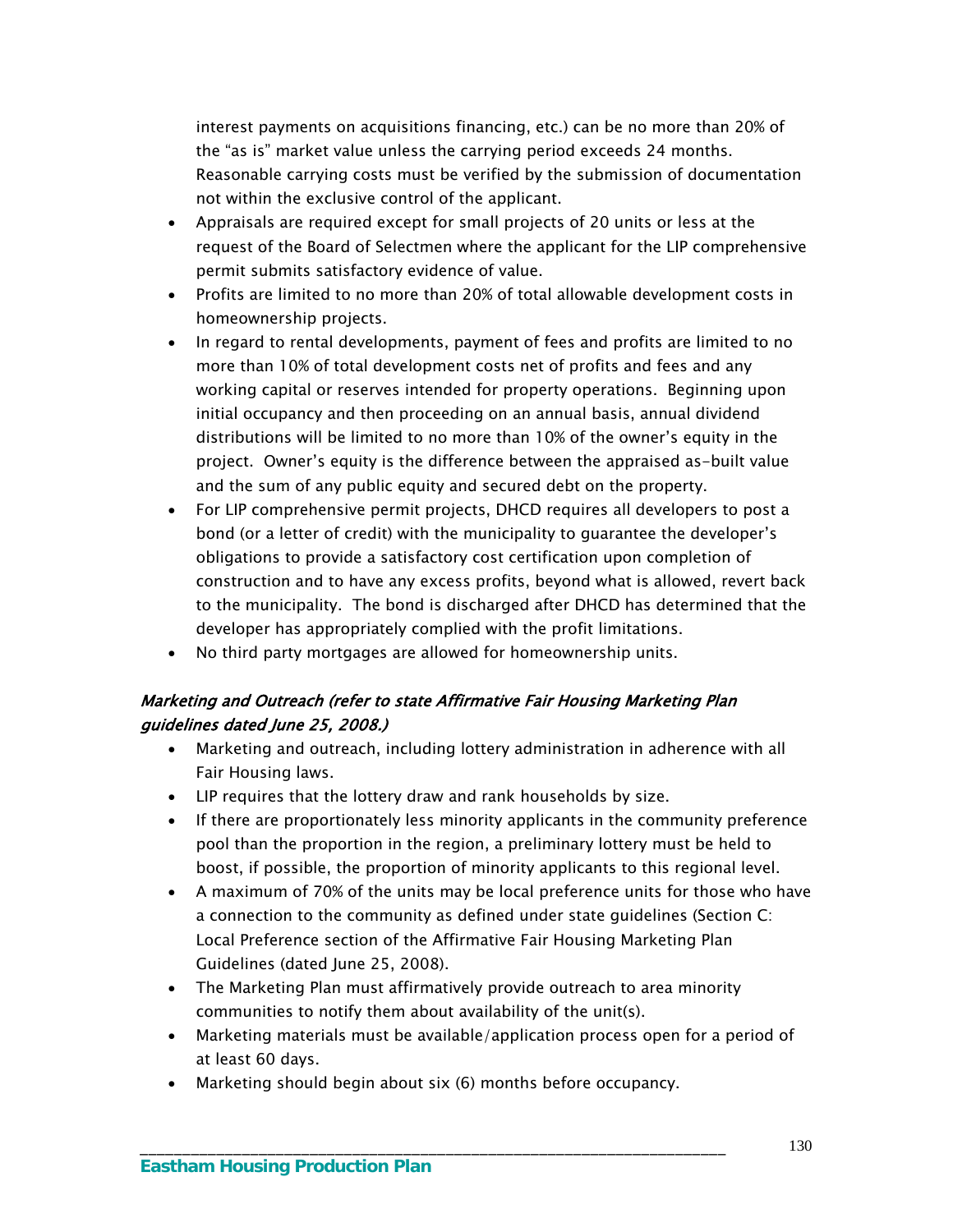interest payments on acquisitions financing, etc.) can be no more than 20% of the "as is" market value unless the carrying period exceeds 24 months. Reasonable carrying costs must be verified by the submission of documentation not within the exclusive control of the applicant.

- Appraisals are required except for small projects of 20 units or less at the request of the Board of Selectmen where the applicant for the LIP comprehensive permit submits satisfactory evidence of value.
- Profits are limited to no more than 20% of total allowable development costs in homeownership projects.
- In regard to rental developments, payment of fees and profits are limited to no more than 10% of total development costs net of profits and fees and any working capital or reserves intended for property operations. Beginning upon initial occupancy and then proceeding on an annual basis, annual dividend distributions will be limited to no more than 10% of the owner's equity in the project. Owner's equity is the difference between the appraised as-built value and the sum of any public equity and secured debt on the property.
- For LIP comprehensive permit projects, DHCD requires all developers to post a bond (or a letter of credit) with the municipality to guarantee the developer's obligations to provide a satisfactory cost certification upon completion of construction and to have any excess profits, beyond what is allowed, revert back to the municipality. The bond is discharged after DHCD has determined that the developer has appropriately complied with the profit limitations.
- No third party mortgages are allowed for homeownership units.

## Marketing and Outreach (refer to state Affirmative Fair Housing Marketing Plan guidelines dated June 25, 2008.)

- Marketing and outreach, including lottery administration in adherence with all Fair Housing laws.
- LIP requires that the lottery draw and rank households by size.
- If there are proportionately less minority applicants in the community preference pool than the proportion in the region, a preliminary lottery must be held to boost, if possible, the proportion of minority applicants to this regional level.
- A maximum of 70% of the units may be local preference units for those who have a connection to the community as defined under state guidelines (Section C: Local Preference section of the Affirmative Fair Housing Marketing Plan Guidelines (dated June 25, 2008).
- The Marketing Plan must affirmatively provide outreach to area minority communities to notify them about availability of the unit(s).
- Marketing materials must be available/application process open for a period of at least 60 days.
- Marketing should begin about six (6) months before occupancy.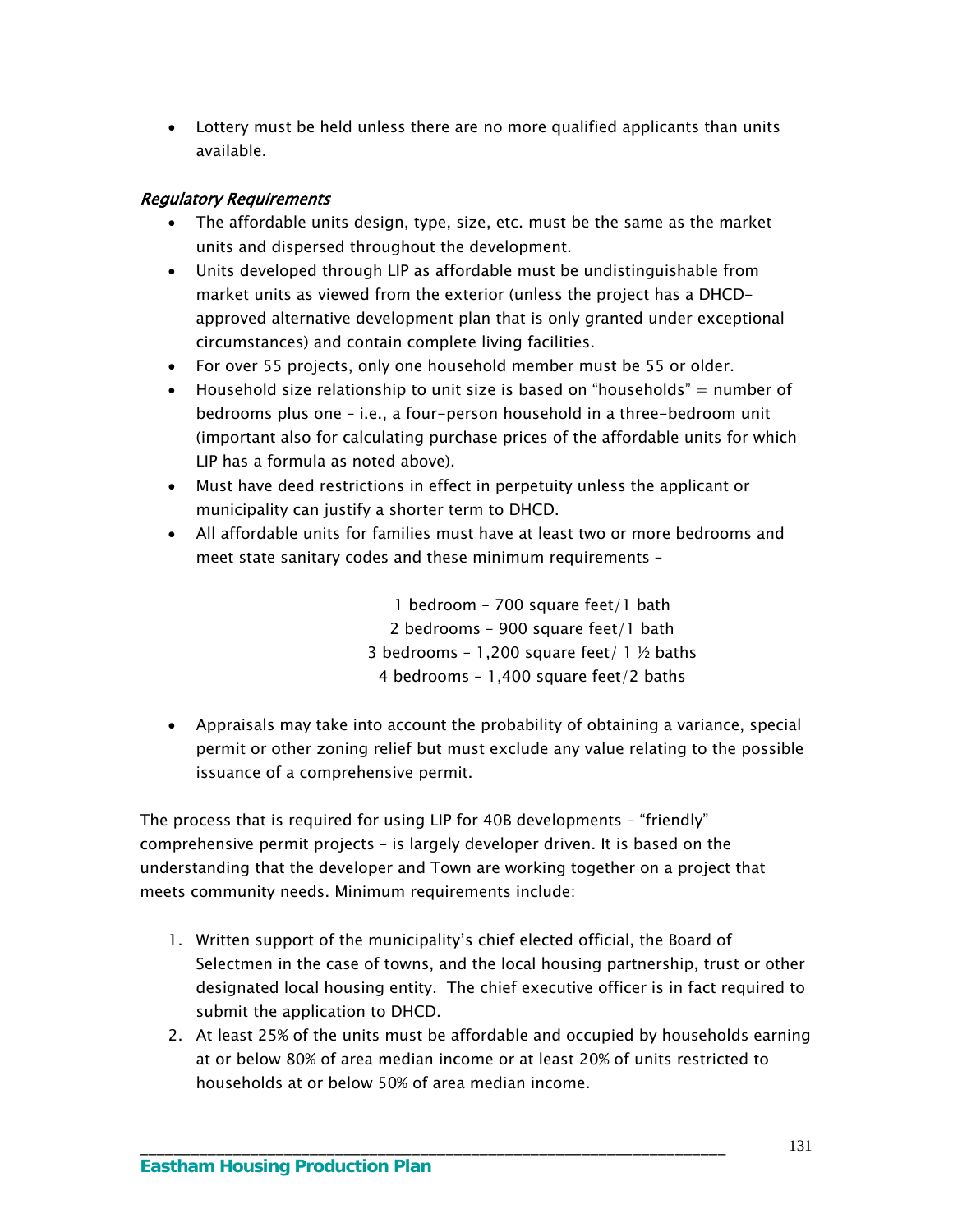Lottery must be held unless there are no more qualified applicants than units available.

### Regulatory Requirements

- The affordable units design, type, size, etc. must be the same as the market units and dispersed throughout the development.
- Units developed through LIP as affordable must be undistinguishable from market units as viewed from the exterior (unless the project has a DHCDapproved alternative development plan that is only granted under exceptional circumstances) and contain complete living facilities.
- For over 55 projects, only one household member must be 55 or older.
- Household size relationship to unit size is based on "households"  $=$  number of bedrooms plus one – i.e., a four-person household in a three-bedroom unit (important also for calculating purchase prices of the affordable units for which LIP has a formula as noted above).
- Must have deed restrictions in effect in perpetuity unless the applicant or municipality can justify a shorter term to DHCD.
- All affordable units for families must have at least two or more bedrooms and meet state sanitary codes and these minimum requirements –

1 bedroom – 700 square feet/1 bath 2 bedrooms – 900 square feet/1 bath 3 bedrooms - 1,200 square feet/  $1 \frac{1}{2}$  baths 4 bedrooms – 1,400 square feet/2 baths

 Appraisals may take into account the probability of obtaining a variance, special permit or other zoning relief but must exclude any value relating to the possible issuance of a comprehensive permit.

The process that is required for using LIP for 40B developments – "friendly" comprehensive permit projects – is largely developer driven. It is based on the understanding that the developer and Town are working together on a project that meets community needs. Minimum requirements include:

- 1. Written support of the municipality's chief elected official, the Board of Selectmen in the case of towns, and the local housing partnership, trust or other designated local housing entity. The chief executive officer is in fact required to submit the application to DHCD.
- 2. At least 25% of the units must be affordable and occupied by households earning at or below 80% of area median income or at least 20% of units restricted to households at or below 50% of area median income.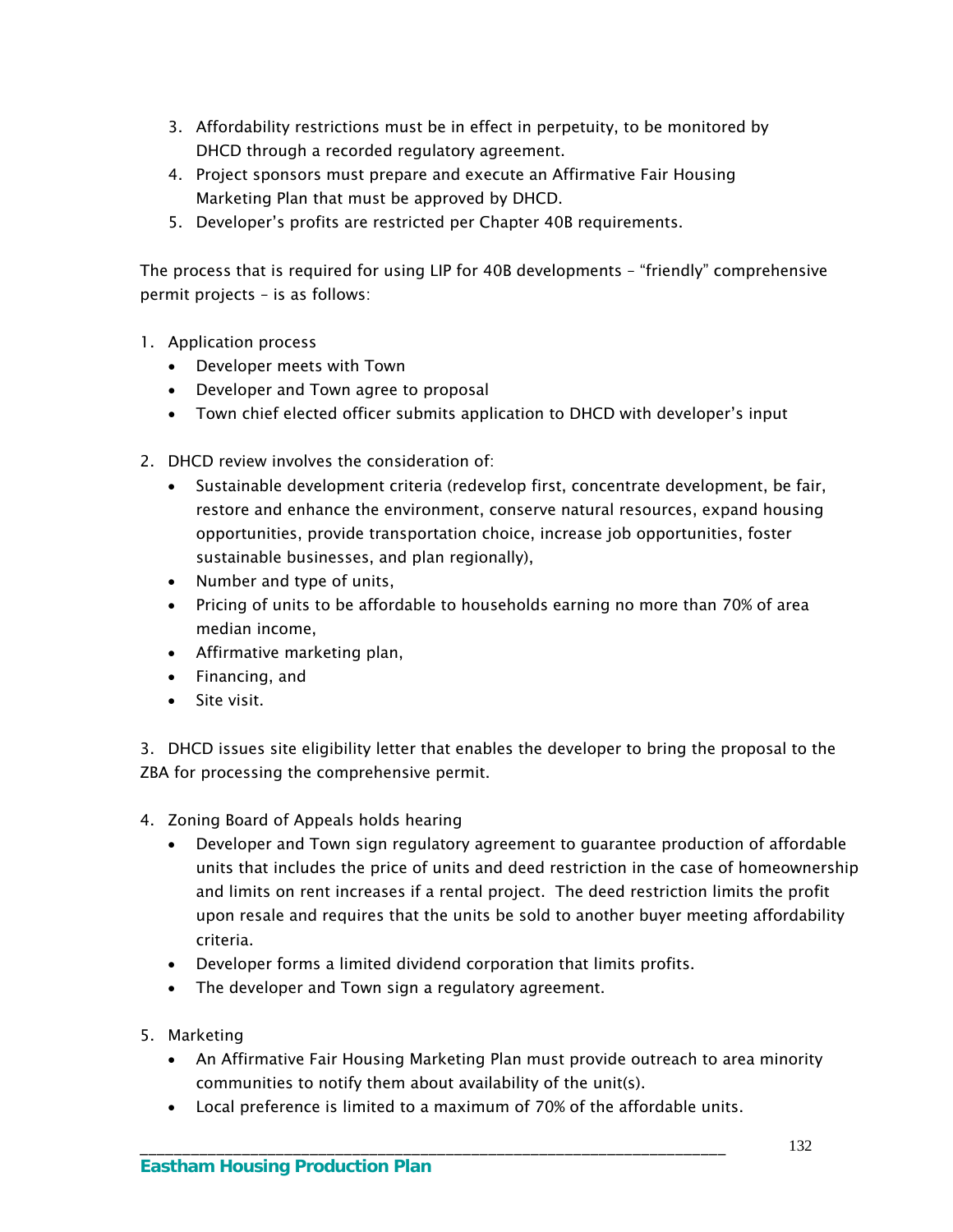- 3. Affordability restrictions must be in effect in perpetuity, to be monitored by DHCD through a recorded regulatory agreement.
- 4. Project sponsors must prepare and execute an Affirmative Fair Housing Marketing Plan that must be approved by DHCD.
- 5. Developer's profits are restricted per Chapter 40B requirements.

The process that is required for using LIP for 40B developments – "friendly" comprehensive permit projects – is as follows:

- 1. Application process
	- Developer meets with Town
	- Developer and Town agree to proposal
	- Town chief elected officer submits application to DHCD with developer's input
- 2. DHCD review involves the consideration of:
	- Sustainable development criteria (redevelop first, concentrate development, be fair, restore and enhance the environment, conserve natural resources, expand housing opportunities, provide transportation choice, increase job opportunities, foster sustainable businesses, and plan regionally),
	- Number and type of units,
	- Pricing of units to be affordable to households earning no more than 70% of area median income,
	- Affirmative marketing plan,
	- Financing, and
	- Site visit.

3. DHCD issues site eligibility letter that enables the developer to bring the proposal to the ZBA for processing the comprehensive permit.

- 4. Zoning Board of Appeals holds hearing
	- Developer and Town sign regulatory agreement to guarantee production of affordable units that includes the price of units and deed restriction in the case of homeownership and limits on rent increases if a rental project. The deed restriction limits the profit upon resale and requires that the units be sold to another buyer meeting affordability criteria.
	- Developer forms a limited dividend corporation that limits profits.
	- The developer and Town sign a regulatory agreement.
- 5. Marketing
	- An Affirmative Fair Housing Marketing Plan must provide outreach to area minority communities to notify them about availability of the unit(s).
	- Local preference is limited to a maximum of 70% of the affordable units.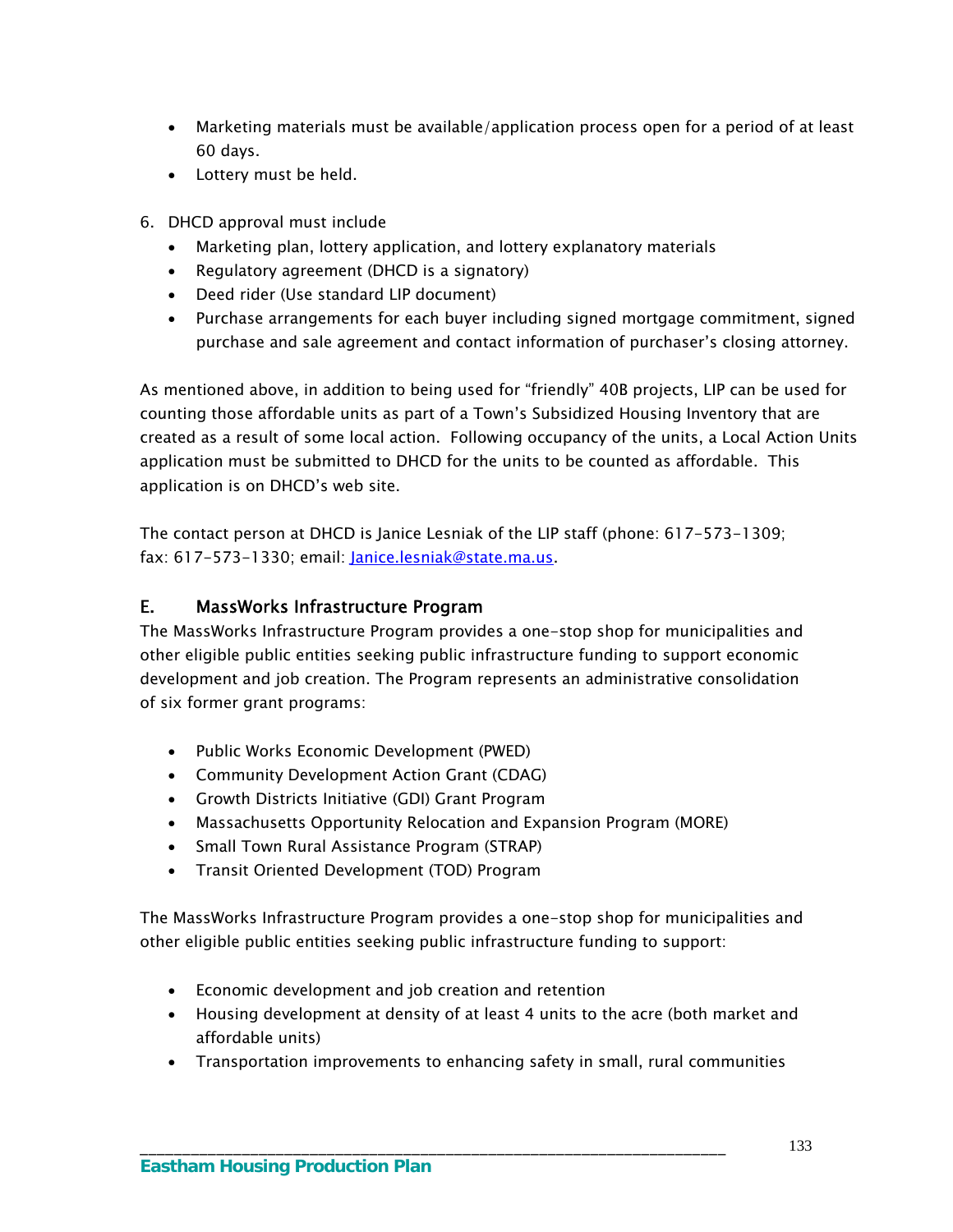- Marketing materials must be available/application process open for a period of at least 60 days.
- Lottery must be held.
- 6. DHCD approval must include
	- Marketing plan, lottery application, and lottery explanatory materials
	- Regulatory agreement (DHCD is a signatory)
	- Deed rider (Use standard LIP document)
	- Purchase arrangements for each buyer including signed mortgage commitment, signed purchase and sale agreement and contact information of purchaser's closing attorney.

As mentioned above, in addition to being used for "friendly" 40B projects, LIP can be used for counting those affordable units as part of a Town's Subsidized Housing Inventory that are created as a result of some local action. Following occupancy of the units, a Local Action Units application must be submitted to DHCD for the units to be counted as affordable. This application is on DHCD's web site.

The contact person at DHCD is Janice Lesniak of the LIP staff (phone: 617-573-1309; fax: 617-573-1330; email: [Janice.lesniak@state.ma.us.](mailto:Janice.lesniak@state.ma.us)

# E. MassWorks Infrastructure Program

The MassWorks Infrastructure Program provides a one-stop shop for municipalities and other eligible public entities seeking public infrastructure funding to support economic development and job creation. The Program represents an administrative consolidation of six former grant programs:

- Public Works Economic Development (PWED)
- Community Development Action Grant (CDAG)
- Growth Districts Initiative (GDI) Grant Program
- Massachusetts Opportunity Relocation and Expansion Program (MORE)
- Small Town Rural Assistance Program (STRAP)
- Transit Oriented Development (TOD) Program

The MassWorks Infrastructure Program provides a one-stop shop for municipalities and other eligible public entities seeking public infrastructure funding to support:

- Economic development and job creation and retention
- Housing development at density of at least 4 units to the acre (both market and affordable units)
- Transportation improvements to enhancing safety in small, rural communities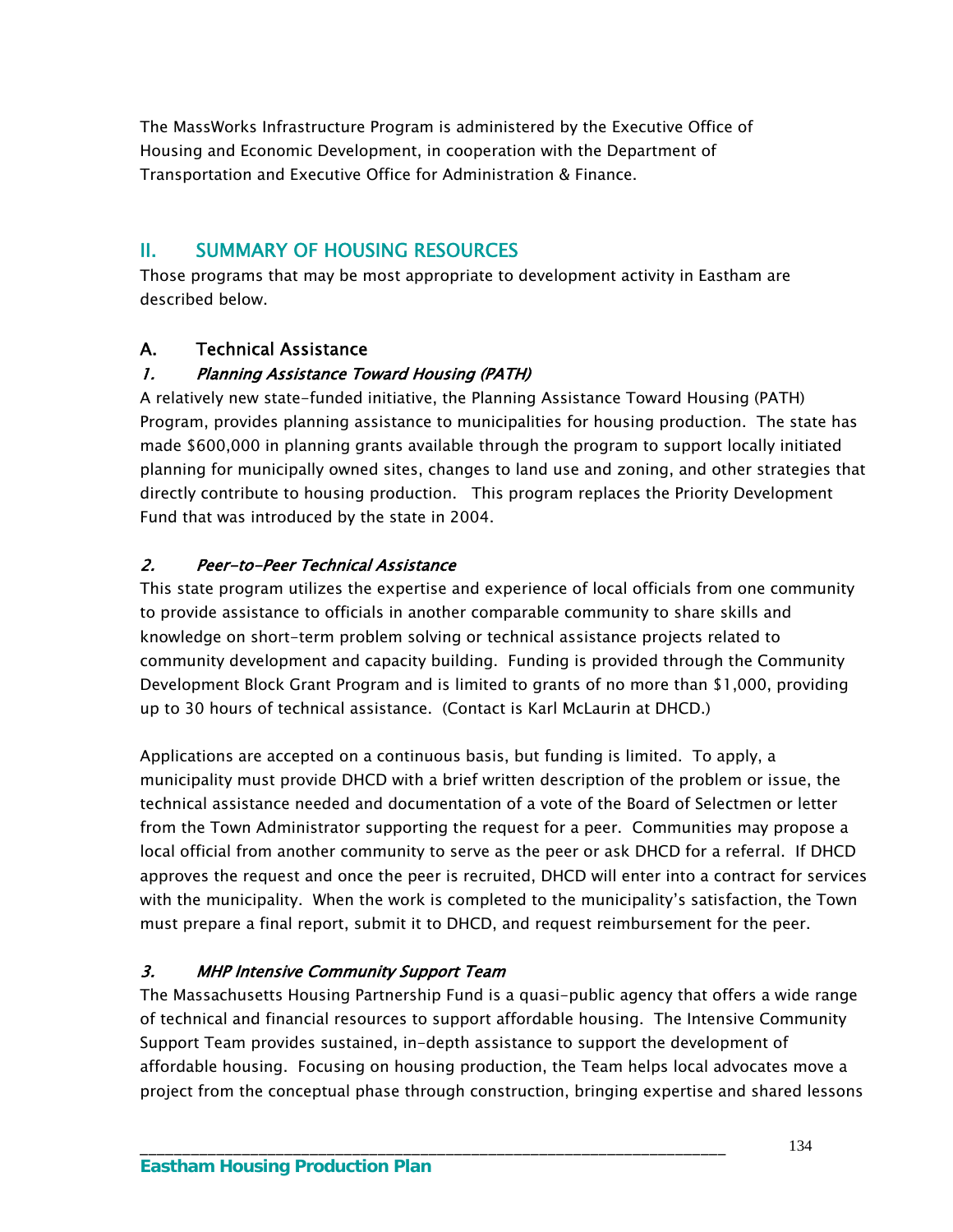The MassWorks Infrastructure Program is administered by the Executive Office of Housing and Economic Development, in cooperation with the Department of Transportation and Executive Office for Administration & Finance.

# II. SUMMARY OF HOUSING RESOURCES

Those programs that may be most appropriate to development activity in Eastham are described below.

# A. Technical Assistance

## 1. Planning Assistance Toward Housing (PATH)

A relatively new state-funded initiative, the Planning Assistance Toward Housing (PATH) Program, provides planning assistance to municipalities for housing production. The state has made \$600,000 in planning grants available through the program to support locally initiated planning for municipally owned sites, changes to land use and zoning, and other strategies that directly contribute to housing production. This program replaces the Priority Development Fund that was introduced by the state in 2004.

## 2. Peer-to-Peer Technical Assistance

This state program utilizes the expertise and experience of local officials from one community to provide assistance to officials in another comparable community to share skills and knowledge on short-term problem solving or technical assistance projects related to community development and capacity building. Funding is provided through the Community Development Block Grant Program and is limited to grants of no more than \$1,000, providing up to 30 hours of technical assistance. (Contact is Karl McLaurin at DHCD.)

Applications are accepted on a continuous basis, but funding is limited. To apply, a municipality must provide DHCD with a brief written description of the problem or issue, the technical assistance needed and documentation of a vote of the Board of Selectmen or letter from the Town Administrator supporting the request for a peer. Communities may propose a local official from another community to serve as the peer or ask DHCD for a referral. If DHCD approves the request and once the peer is recruited, DHCD will enter into a contract for services with the municipality. When the work is completed to the municipality's satisfaction, the Town must prepare a final report, submit it to DHCD, and request reimbursement for the peer.

## 3. MHP Intensive Community Support Team

The Massachusetts Housing Partnership Fund is a quasi-public agency that offers a wide range of technical and financial resources to support affordable housing. The Intensive Community Support Team provides sustained, in-depth assistance to support the development of affordable housing. Focusing on housing production, the Team helps local advocates move a project from the conceptual phase through construction, bringing expertise and shared lessons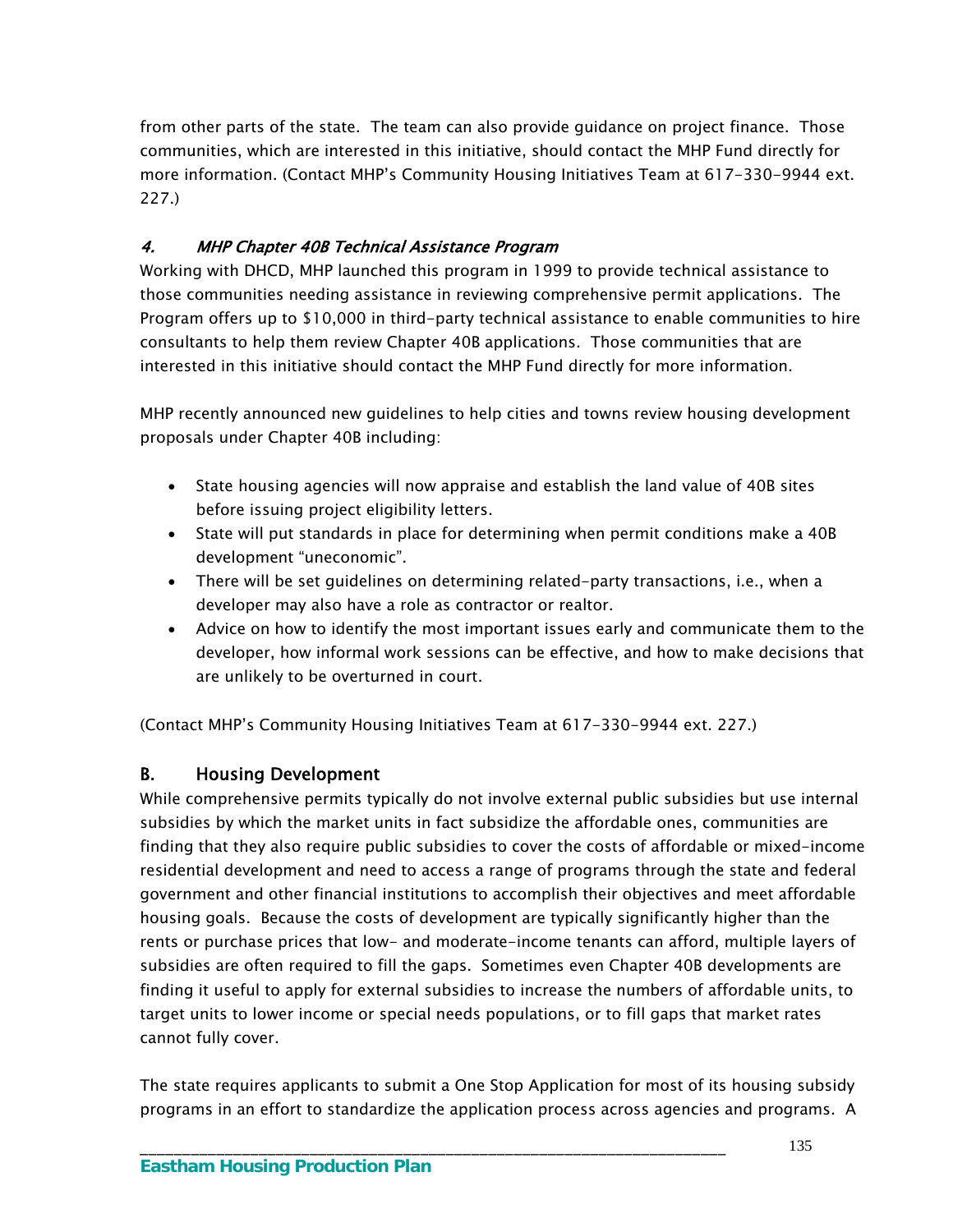from other parts of the state. The team can also provide guidance on project finance. Those communities, which are interested in this initiative, should contact the MHP Fund directly for more information. (Contact MHP's Community Housing Initiatives Team at 617-330-9944 ext. 227.)

# 4. MHP Chapter 40B Technical Assistance Program

Working with DHCD, MHP launched this program in 1999 to provide technical assistance to those communities needing assistance in reviewing comprehensive permit applications. The Program offers up to \$10,000 in third-party technical assistance to enable communities to hire consultants to help them review Chapter 40B applications. Those communities that are interested in this initiative should contact the MHP Fund directly for more information.

MHP recently announced new guidelines to help cities and towns review housing development proposals under Chapter 40B including:

- State housing agencies will now appraise and establish the land value of 40B sites before issuing project eligibility letters.
- State will put standards in place for determining when permit conditions make a 40B development "uneconomic".
- There will be set guidelines on determining related-party transactions, i.e., when a developer may also have a role as contractor or realtor.
- Advice on how to identify the most important issues early and communicate them to the developer, how informal work sessions can be effective, and how to make decisions that are unlikely to be overturned in court.

(Contact MHP's Community Housing Initiatives Team at 617-330-9944 ext. 227.)

## B. Housing Development

While comprehensive permits typically do not involve external public subsidies but use internal subsidies by which the market units in fact subsidize the affordable ones, communities are finding that they also require public subsidies to cover the costs of affordable or mixed-income residential development and need to access a range of programs through the state and federal government and other financial institutions to accomplish their objectives and meet affordable housing goals. Because the costs of development are typically significantly higher than the rents or purchase prices that low- and moderate-income tenants can afford, multiple layers of subsidies are often required to fill the gaps. Sometimes even Chapter 40B developments are finding it useful to apply for external subsidies to increase the numbers of affordable units, to target units to lower income or special needs populations, or to fill gaps that market rates cannot fully cover.

The state requires applicants to submit a One Stop Application for most of its housing subsidy programs in an effort to standardize the application process across agencies and programs. A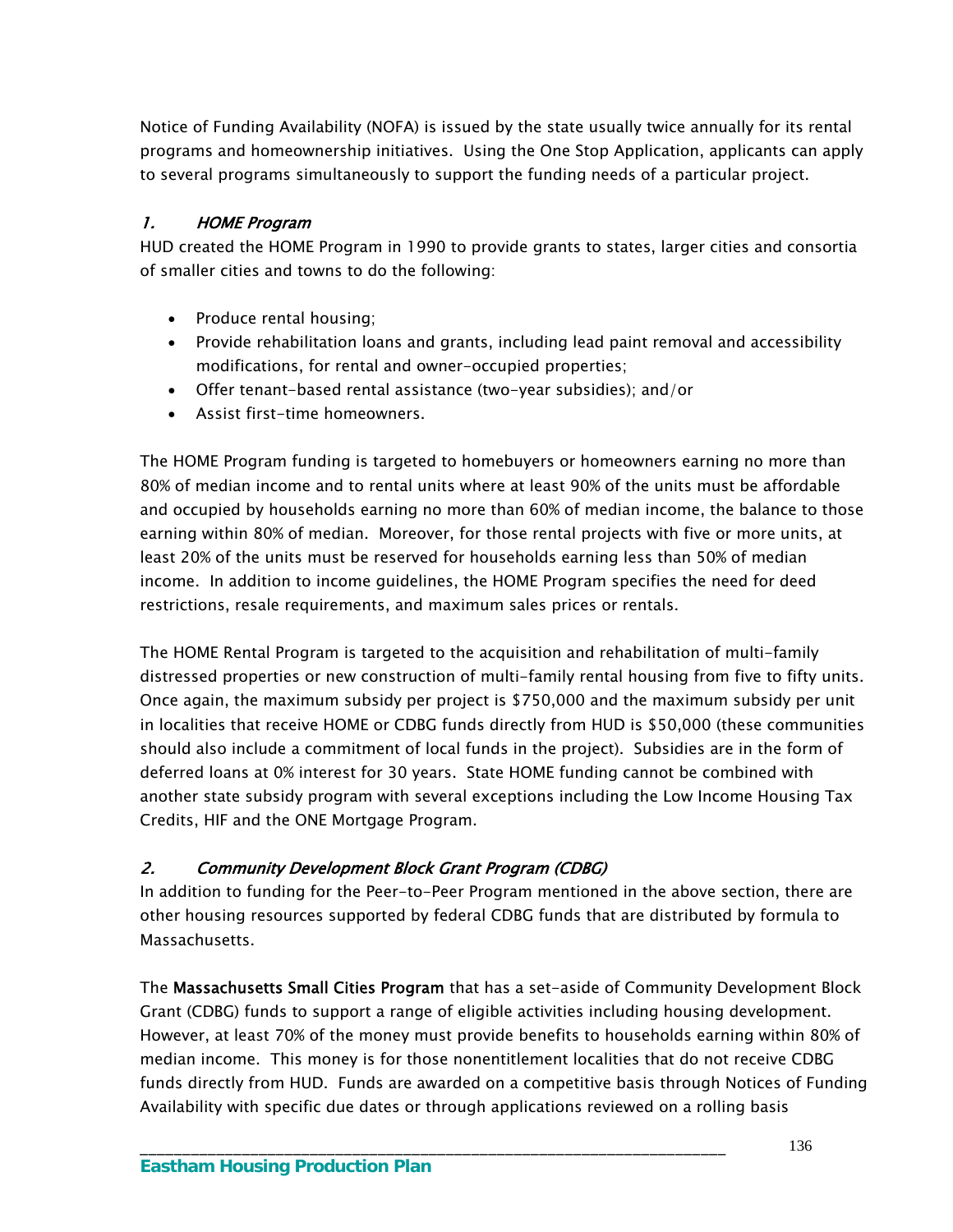Notice of Funding Availability (NOFA) is issued by the state usually twice annually for its rental programs and homeownership initiatives. Using the One Stop Application, applicants can apply to several programs simultaneously to support the funding needs of a particular project.

## 1. HOME Program

HUD created the HOME Program in 1990 to provide grants to states, larger cities and consortia of smaller cities and towns to do the following:

- Produce rental housing;
- Provide rehabilitation loans and grants, including lead paint removal and accessibility modifications, for rental and owner-occupied properties;
- Offer tenant-based rental assistance (two-year subsidies); and/or
- Assist first-time homeowners.

The HOME Program funding is targeted to homebuyers or homeowners earning no more than 80% of median income and to rental units where at least 90% of the units must be affordable and occupied by households earning no more than 60% of median income, the balance to those earning within 80% of median. Moreover, for those rental projects with five or more units, at least 20% of the units must be reserved for households earning less than 50% of median income. In addition to income guidelines, the HOME Program specifies the need for deed restrictions, resale requirements, and maximum sales prices or rentals.

The HOME Rental Program is targeted to the acquisition and rehabilitation of multi-family distressed properties or new construction of multi-family rental housing from five to fifty units. Once again, the maximum subsidy per project is \$750,000 and the maximum subsidy per unit in localities that receive HOME or CDBG funds directly from HUD is \$50,000 (these communities should also include a commitment of local funds in the project). Subsidies are in the form of deferred loans at 0% interest for 30 years. State HOME funding cannot be combined with another state subsidy program with several exceptions including the Low Income Housing Tax Credits, HIF and the ONE Mortgage Program.

## 2. Community Development Block Grant Program (CDBG)

In addition to funding for the Peer-to-Peer Program mentioned in the above section, there are other housing resources supported by federal CDBG funds that are distributed by formula to Massachusetts.

The Massachusetts Small Cities Program that has a set-aside of Community Development Block Grant (CDBG) funds to support a range of eligible activities including housing development. However, at least 70% of the money must provide benefits to households earning within 80% of median income. This money is for those nonentitlement localities that do not receive CDBG funds directly from HUD. Funds are awarded on a competitive basis through Notices of Funding Availability with specific due dates or through applications reviewed on a rolling basis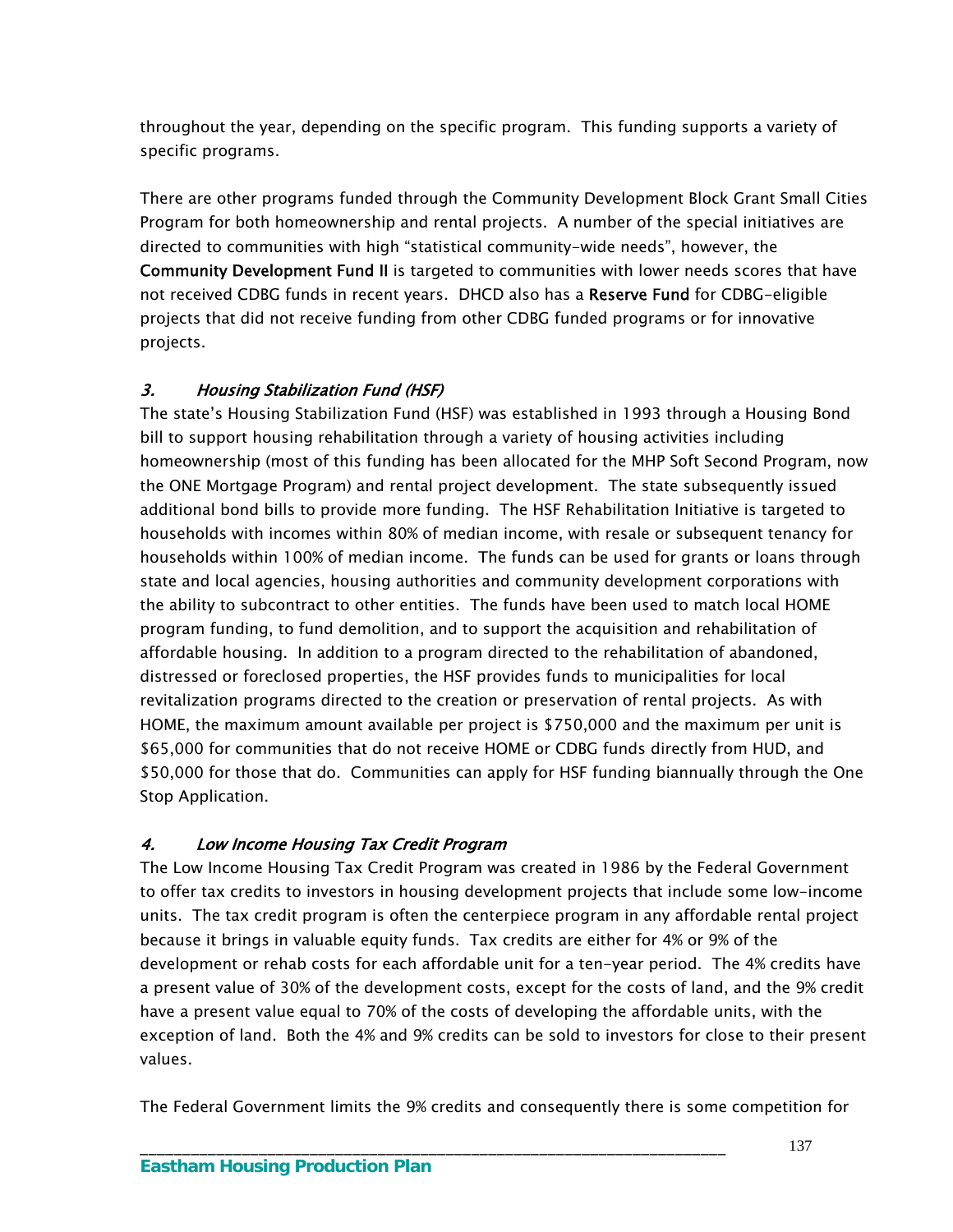throughout the year, depending on the specific program. This funding supports a variety of specific programs.

There are other programs funded through the Community Development Block Grant Small Cities Program for both homeownership and rental projects. A number of the special initiatives are directed to communities with high "statistical community-wide needs", however, the Community Development Fund II is targeted to communities with lower needs scores that have not received CDBG funds in recent years. DHCD also has a Reserve Fund for CDBG-eligible projects that did not receive funding from other CDBG funded programs or for innovative projects.

# 3. Housing Stabilization Fund (HSF)

The state's Housing Stabilization Fund (HSF) was established in 1993 through a Housing Bond bill to support housing rehabilitation through a variety of housing activities including homeownership (most of this funding has been allocated for the MHP Soft Second Program, now the ONE Mortgage Program) and rental project development. The state subsequently issued additional bond bills to provide more funding. The HSF Rehabilitation Initiative is targeted to households with incomes within 80% of median income, with resale or subsequent tenancy for households within 100% of median income. The funds can be used for grants or loans through state and local agencies, housing authorities and community development corporations with the ability to subcontract to other entities. The funds have been used to match local HOME program funding, to fund demolition, and to support the acquisition and rehabilitation of affordable housing. In addition to a program directed to the rehabilitation of abandoned, distressed or foreclosed properties, the HSF provides funds to municipalities for local revitalization programs directed to the creation or preservation of rental projects. As with HOME, the maximum amount available per project is \$750,000 and the maximum per unit is \$65,000 for communities that do not receive HOME or CDBG funds directly from HUD, and \$50,000 for those that do. Communities can apply for HSF funding biannually through the One Stop Application.

# 4. Low Income Housing Tax Credit Program

The Low Income Housing Tax Credit Program was created in 1986 by the Federal Government to offer tax credits to investors in housing development projects that include some low-income units. The tax credit program is often the centerpiece program in any affordable rental project because it brings in valuable equity funds. Tax credits are either for 4% or 9% of the development or rehab costs for each affordable unit for a ten-year period. The 4% credits have a present value of 30% of the development costs, except for the costs of land, and the 9% credit have a present value equal to 70% of the costs of developing the affordable units, with the exception of land. Both the 4% and 9% credits can be sold to investors for close to their present values.

The Federal Government limits the 9% credits and consequently there is some competition for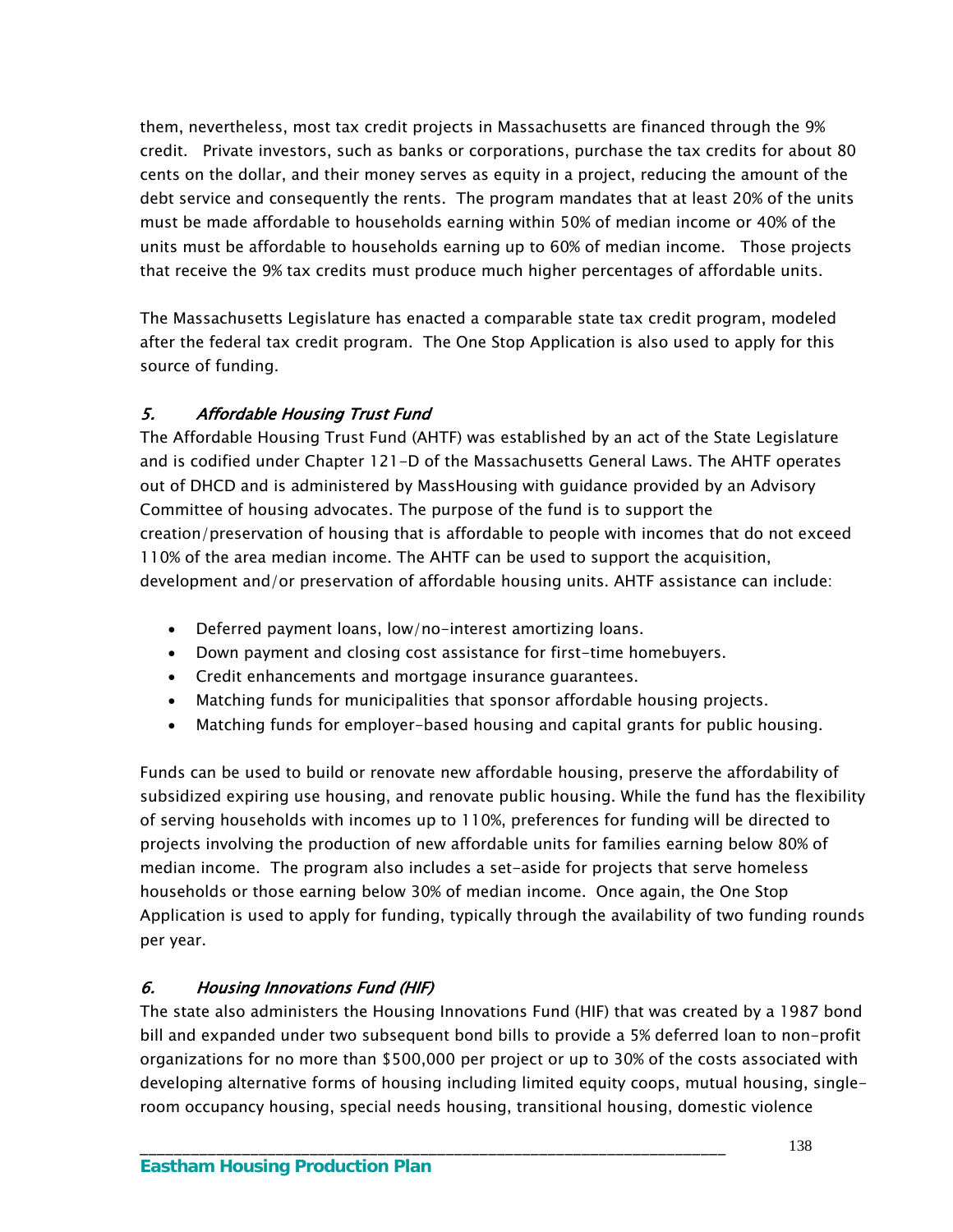them, nevertheless, most tax credit projects in Massachusetts are financed through the 9% credit. Private investors, such as banks or corporations, purchase the tax credits for about 80 cents on the dollar, and their money serves as equity in a project, reducing the amount of the debt service and consequently the rents. The program mandates that at least 20% of the units must be made affordable to households earning within 50% of median income or 40% of the units must be affordable to households earning up to 60% of median income. Those projects that receive the 9% tax credits must produce much higher percentages of affordable units.

The Massachusetts Legislature has enacted a comparable state tax credit program, modeled after the federal tax credit program. The One Stop Application is also used to apply for this source of funding.

# 5. Affordable Housing Trust Fund

The Affordable Housing Trust Fund (AHTF) was established by an act of the State Legislature and is codified under Chapter 121-D of the Massachusetts General Laws. The AHTF operates out of DHCD and is administered by MassHousing with guidance provided by an Advisory Committee of housing advocates. The purpose of the fund is to support the creation/preservation of housing that is affordable to people with incomes that do not exceed 110% of the area median income. The AHTF can be used to support the acquisition, development and/or preservation of affordable housing units. AHTF assistance can include:

- Deferred payment loans, low/no-interest amortizing loans.
- Down payment and closing cost assistance for first-time homebuyers.
- Credit enhancements and mortgage insurance guarantees.
- Matching funds for municipalities that sponsor affordable housing projects.
- Matching funds for employer-based housing and capital grants for public housing.

Funds can be used to build or renovate new affordable housing, preserve the affordability of subsidized expiring use housing, and renovate public housing. While the fund has the flexibility of serving households with incomes up to 110%, preferences for funding will be directed to projects involving the production of new affordable units for families earning below 80% of median income. The program also includes a set-aside for projects that serve homeless households or those earning below 30% of median income. Once again, the One Stop Application is used to apply for funding, typically through the availability of two funding rounds per year.

## 6. Housing Innovations Fund (HIF)

The state also administers the Housing Innovations Fund (HIF) that was created by a 1987 bond bill and expanded under two subsequent bond bills to provide a 5% deferred loan to non-profit organizations for no more than \$500,000 per project or up to 30% of the costs associated with developing alternative forms of housing including limited equity coops, mutual housing, singleroom occupancy housing, special needs housing, transitional housing, domestic violence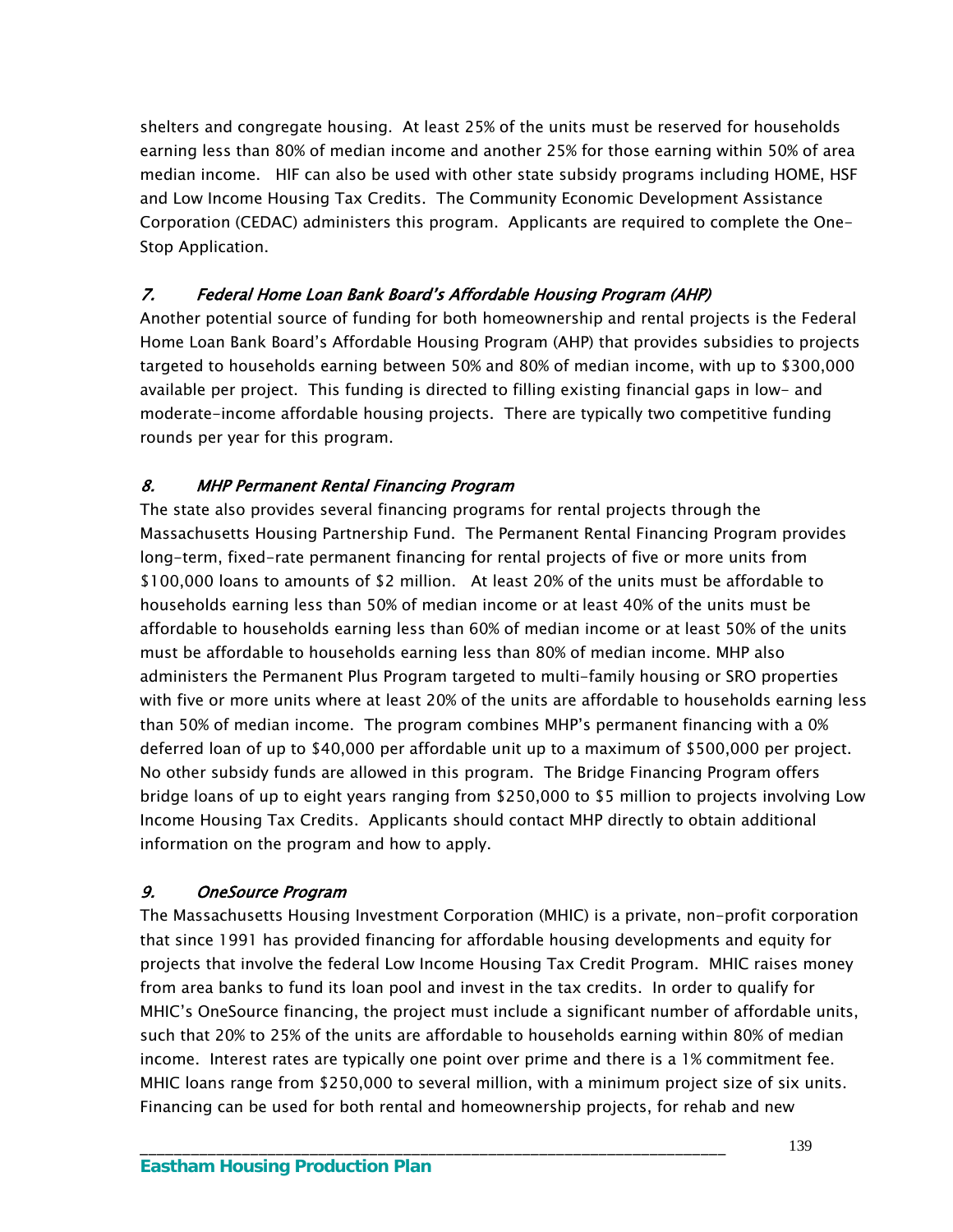shelters and congregate housing. At least 25% of the units must be reserved for households earning less than 80% of median income and another 25% for those earning within 50% of area median income. HIF can also be used with other state subsidy programs including HOME, HSF and Low Income Housing Tax Credits. The Community Economic Development Assistance Corporation (CEDAC) administers this program. Applicants are required to complete the One-Stop Application.

### 7. Federal Home Loan Bank Board's Affordable Housing Program (AHP)

Another potential source of funding for both homeownership and rental projects is the Federal Home Loan Bank Board's Affordable Housing Program (AHP) that provides subsidies to projects targeted to households earning between 50% and 80% of median income, with up to \$300,000 available per project. This funding is directed to filling existing financial gaps in low- and moderate-income affordable housing projects. There are typically two competitive funding rounds per year for this program.

### 8. MHP Permanent Rental Financing Program

The state also provides several financing programs for rental projects through the Massachusetts Housing Partnership Fund. The Permanent Rental Financing Program provides long-term, fixed-rate permanent financing for rental projects of five or more units from \$100,000 loans to amounts of \$2 million. At least 20% of the units must be affordable to households earning less than 50% of median income or at least 40% of the units must be affordable to households earning less than 60% of median income or at least 50% of the units must be affordable to households earning less than 80% of median income. MHP also administers the Permanent Plus Program targeted to multi-family housing or SRO properties with five or more units where at least 20% of the units are affordable to households earning less than 50% of median income. The program combines MHP's permanent financing with a 0% deferred loan of up to \$40,000 per affordable unit up to a maximum of \$500,000 per project. No other subsidy funds are allowed in this program. The Bridge Financing Program offers bridge loans of up to eight years ranging from \$250,000 to \$5 million to projects involving Low Income Housing Tax Credits. Applicants should contact MHP directly to obtain additional information on the program and how to apply.

#### 9. OneSource Program

The Massachusetts Housing Investment Corporation (MHIC) is a private, non-profit corporation that since 1991 has provided financing for affordable housing developments and equity for projects that involve the federal Low Income Housing Tax Credit Program. MHIC raises money from area banks to fund its loan pool and invest in the tax credits. In order to qualify for MHIC's OneSource financing, the project must include a significant number of affordable units, such that 20% to 25% of the units are affordable to households earning within 80% of median income. Interest rates are typically one point over prime and there is a 1% commitment fee. MHIC loans range from \$250,000 to several million, with a minimum project size of six units. Financing can be used for both rental and homeownership projects, for rehab and new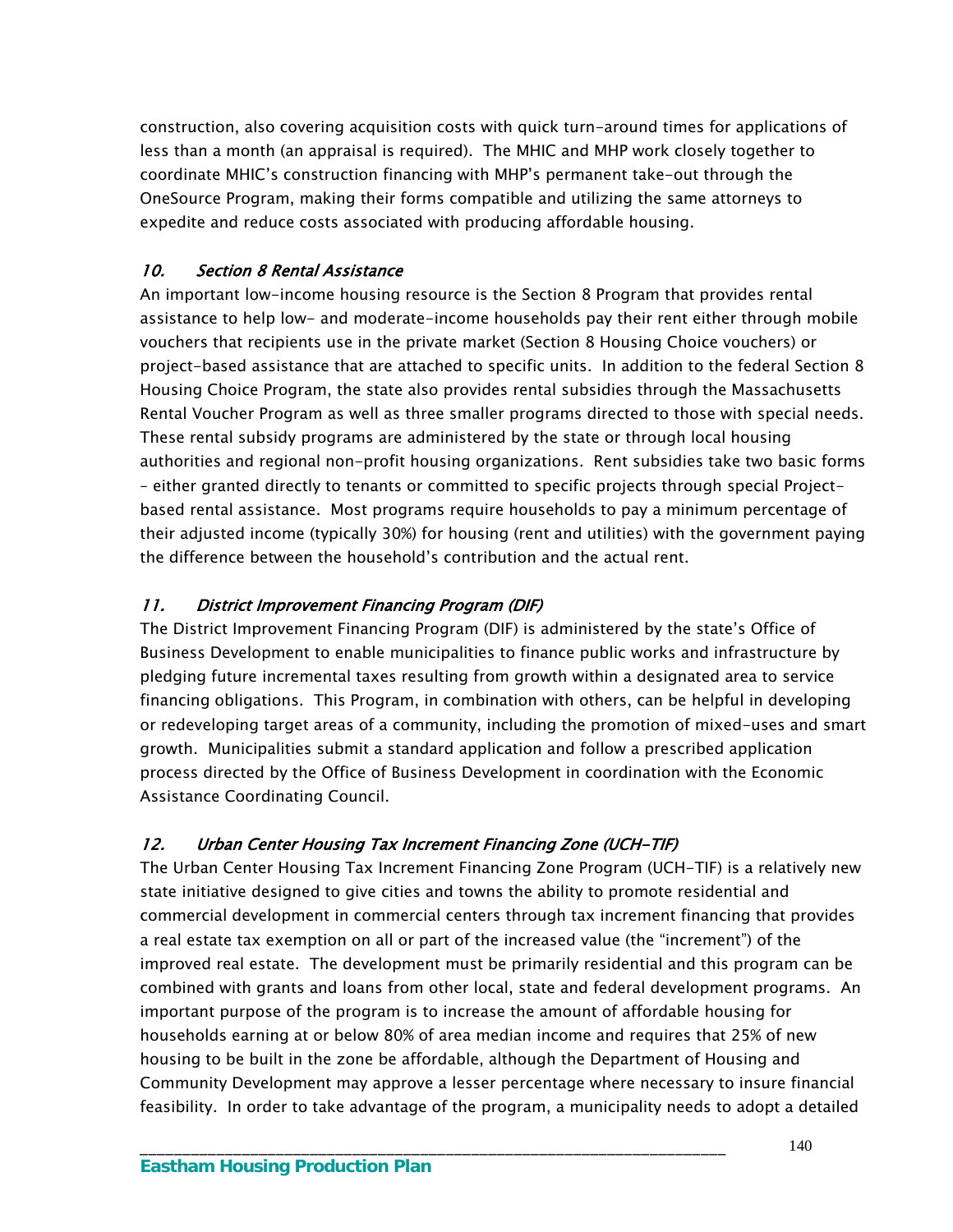construction, also covering acquisition costs with quick turn-around times for applications of less than a month (an appraisal is required). The MHIC and MHP work closely together to coordinate MHIC's construction financing with MHP's permanent take-out through the OneSource Program, making their forms compatible and utilizing the same attorneys to expedite and reduce costs associated with producing affordable housing.

## 10. Section 8 Rental Assistance

An important low-income housing resource is the Section 8 Program that provides rental assistance to help low- and moderate-income households pay their rent either through mobile vouchers that recipients use in the private market (Section 8 Housing Choice vouchers) or project-based assistance that are attached to specific units. In addition to the federal Section 8 Housing Choice Program, the state also provides rental subsidies through the Massachusetts Rental Voucher Program as well as three smaller programs directed to those with special needs. These rental subsidy programs are administered by the state or through local housing authorities and regional non-profit housing organizations. Rent subsidies take two basic forms – either granted directly to tenants or committed to specific projects through special Projectbased rental assistance. Most programs require households to pay a minimum percentage of their adjusted income (typically 30%) for housing (rent and utilities) with the government paying the difference between the household's contribution and the actual rent.

#### 11. District Improvement Financing Program (DIF)

The District Improvement Financing Program (DIF) is administered by the state's Office of Business Development to enable municipalities to finance public works and infrastructure by pledging future incremental taxes resulting from growth within a designated area to service financing obligations. This Program, in combination with others, can be helpful in developing or redeveloping target areas of a community, including the promotion of mixed-uses and smart growth. Municipalities submit a standard application and follow a prescribed application process directed by the Office of Business Development in coordination with the Economic Assistance Coordinating Council.

# 12. Urban Center Housing Tax Increment Financing Zone (UCH-TIF)

\_\_\_\_\_\_\_\_\_\_\_\_\_\_\_\_\_\_\_\_\_\_\_\_\_\_\_\_\_\_\_\_\_\_\_\_\_\_\_\_\_\_\_\_\_\_\_\_\_\_\_\_\_\_\_\_\_\_\_\_\_\_\_\_\_\_\_\_\_

The Urban Center Housing Tax Increment Financing Zone Program (UCH-TIF) is a relatively new state initiative designed to give cities and towns the ability to promote residential and commercial development in commercial centers through tax increment financing that provides a real estate tax exemption on all or part of the increased value (the "increment") of the improved real estate. The development must be primarily residential and this program can be combined with grants and loans from other local, state and federal development programs. An important purpose of the program is to increase the amount of affordable housing for households earning at or below 80% of area median income and requires that 25% of new housing to be built in the zone be affordable, although the Department of Housing and Community Development may approve a lesser percentage where necessary to insure financial feasibility. In order to take advantage of the program, a municipality needs to adopt a detailed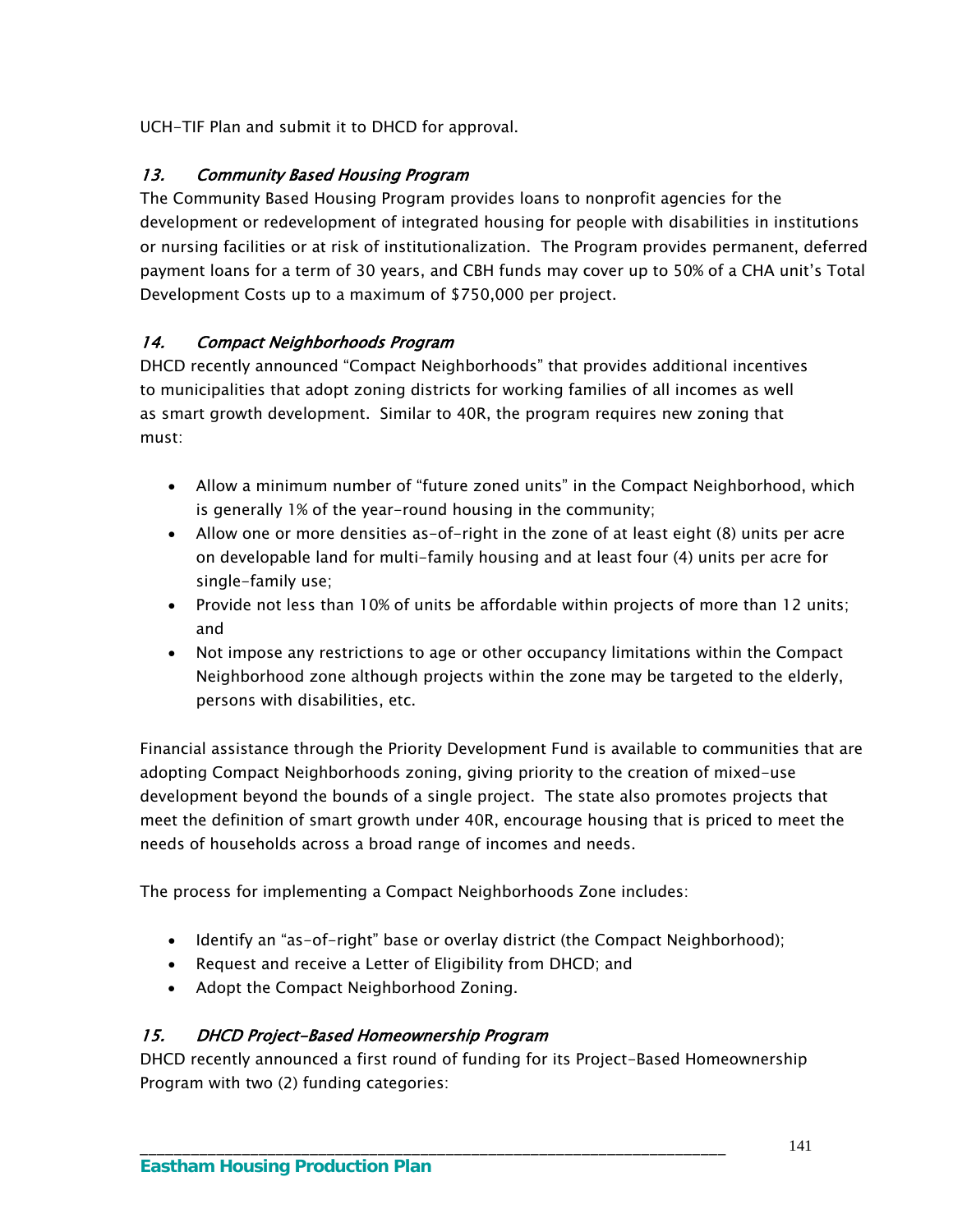UCH-TIF Plan and submit it to DHCD for approval.

# 13. Community Based Housing Program

The Community Based Housing Program provides loans to nonprofit agencies for the development or redevelopment of integrated housing for people with disabilities in institutions or nursing facilities or at risk of institutionalization. The Program provides permanent, deferred payment loans for a term of 30 years, and CBH funds may cover up to 50% of a CHA unit's Total Development Costs up to a maximum of \$750,000 per project.

# 14. Compact Neighborhoods Program

DHCD recently announced "Compact Neighborhoods" that provides additional incentives to municipalities that adopt zoning districts for working families of all incomes as well as smart growth development. Similar to 40R, the program requires new zoning that must:

- Allow a minimum number of "future zoned units" in the Compact Neighborhood, which is generally 1% of the year-round housing in the community;
- Allow one or more densities as-of-right in the zone of at least eight (8) units per acre on developable land for multi-family housing and at least four (4) units per acre for single-family use;
- Provide not less than 10% of units be affordable within projects of more than 12 units; and
- Not impose any restrictions to age or other occupancy limitations within the Compact Neighborhood zone although projects within the zone may be targeted to the elderly, persons with disabilities, etc.

Financial assistance through the Priority Development Fund is available to communities that are adopting Compact Neighborhoods zoning, giving priority to the creation of mixed-use development beyond the bounds of a single project. The state also promotes projects that meet the definition of smart growth under 40R, encourage housing that is priced to meet the needs of households across a broad range of incomes and needs.

The process for implementing a Compact Neighborhoods Zone includes:

- Identify an "as-of-right" base or overlay district (the Compact Neighborhood);
- Request and receive a Letter of Eligibility from DHCD; and
- Adopt the Compact Neighborhood Zoning.

# 15. DHCD Project-Based Homeownership Program

DHCD recently announced a first round of funding for its Project-Based Homeownership Program with two (2) funding categories: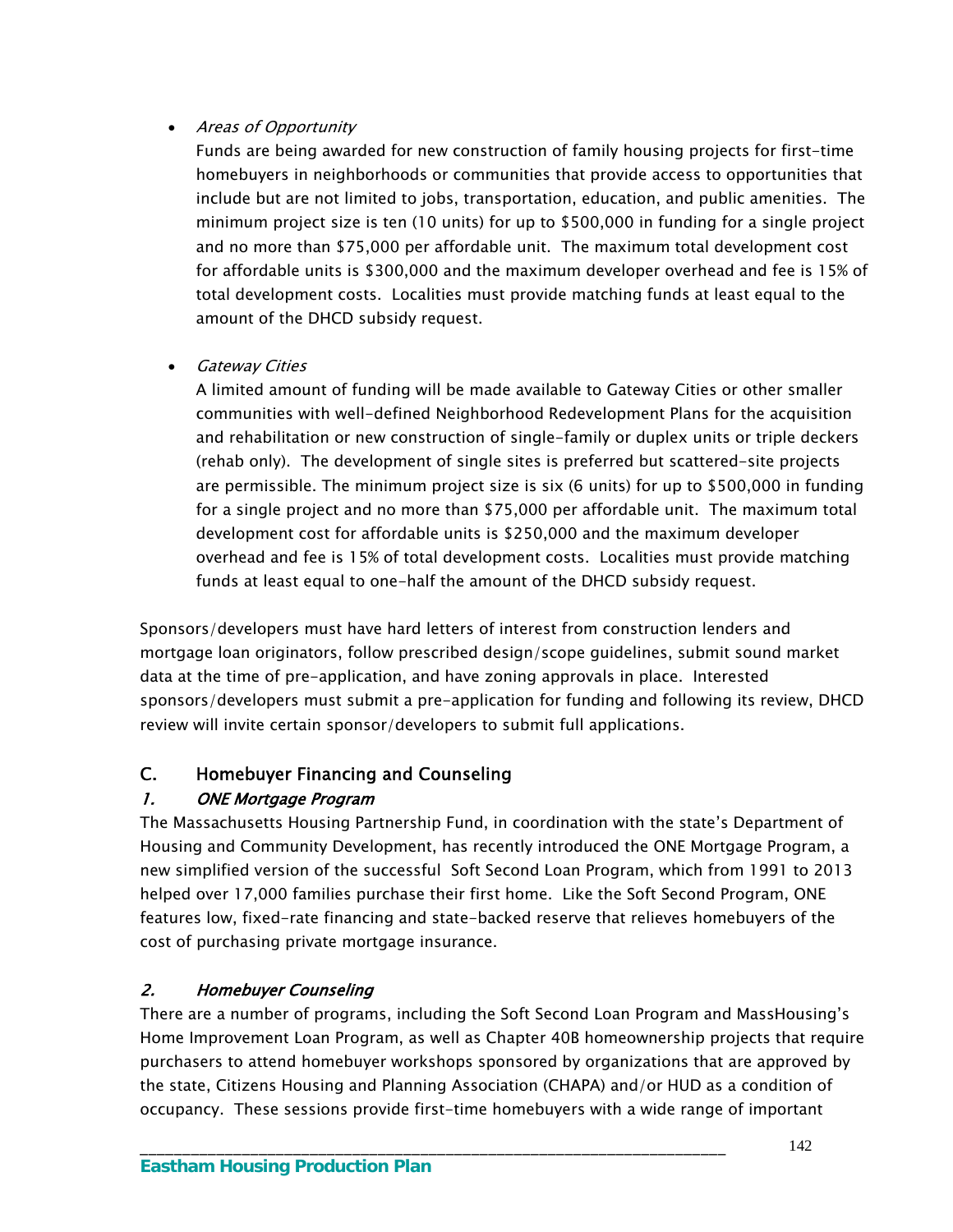## • Areas of Opportunity

Funds are being awarded for new construction of family housing projects for first-time homebuyers in neighborhoods or communities that provide access to opportunities that include but are not limited to jobs, transportation, education, and public amenities. The minimum project size is ten (10 units) for up to \$500,000 in funding for a single project and no more than \$75,000 per affordable unit. The maximum total development cost for affordable units is \$300,000 and the maximum developer overhead and fee is 15% of total development costs. Localities must provide matching funds at least equal to the amount of the DHCD subsidy request.

### **•** Gateway Cities

A limited amount of funding will be made available to Gateway Cities or other smaller communities with well-defined Neighborhood Redevelopment Plans for the acquisition and rehabilitation or new construction of single-family or duplex units or triple deckers (rehab only). The development of single sites is preferred but scattered-site projects are permissible. The minimum project size is six (6 units) for up to \$500,000 in funding for a single project and no more than \$75,000 per affordable unit. The maximum total development cost for affordable units is \$250,000 and the maximum developer overhead and fee is 15% of total development costs. Localities must provide matching funds at least equal to one-half the amount of the DHCD subsidy request.

Sponsors/developers must have hard letters of interest from construction lenders and mortgage loan originators, follow prescribed design/scope guidelines, submit sound market data at the time of pre-application, and have zoning approvals in place. Interested sponsors/developers must submit a pre-application for funding and following its review, DHCD review will invite certain sponsor/developers to submit full applications.

# C. Homebuyer Financing and Counseling

# 1. ONE Mortgage Program

The Massachusetts Housing Partnership Fund, in coordination with the state's Department of Housing and Community Development, has recently introduced the ONE Mortgage Program, a new simplified version of the successful Soft Second Loan Program, which from 1991 to 2013 helped over 17,000 families purchase their first home. Like the Soft Second Program, ONE features low, fixed-rate financing and state-backed reserve that relieves homebuyers of the cost of purchasing private mortgage insurance.

# 2. Homebuyer Counseling

There are a number of programs, including the Soft Second Loan Program and MassHousing's Home Improvement Loan Program, as well as Chapter 40B homeownership projects that require purchasers to attend homebuyer workshops sponsored by organizations that are approved by the state, Citizens Housing and Planning Association (CHAPA) and/or HUD as a condition of occupancy. These sessions provide first-time homebuyers with a wide range of important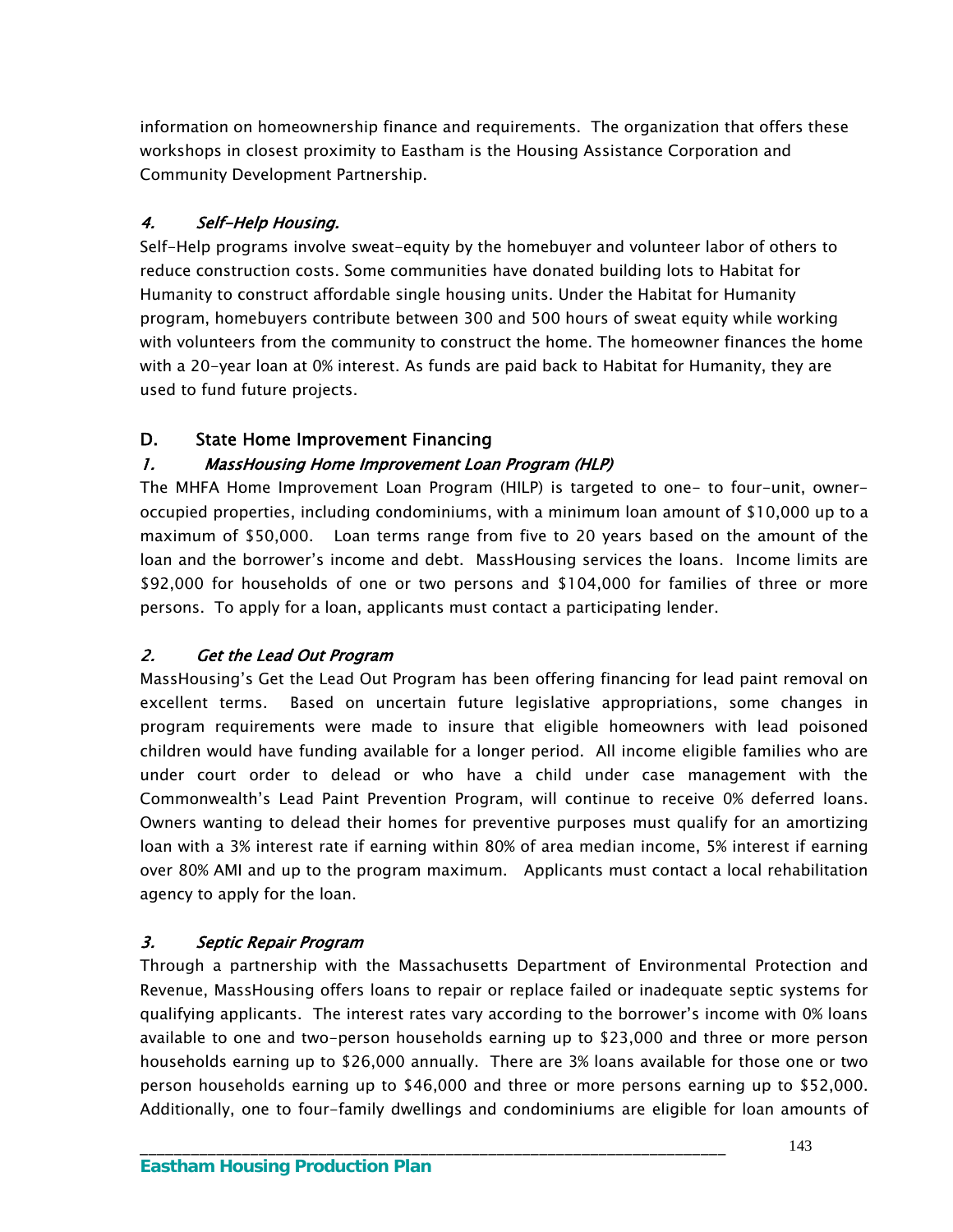information on homeownership finance and requirements. The organization that offers these workshops in closest proximity to Eastham is the Housing Assistance Corporation and Community Development Partnership.

### 4. Self-Help Housing.

Self-Help programs involve sweat-equity by the homebuyer and volunteer labor of others to reduce construction costs. Some communities have donated building lots to Habitat for Humanity to construct affordable single housing units. Under the Habitat for Humanity program, homebuyers contribute between 300 and 500 hours of sweat equity while working with volunteers from the community to construct the home. The homeowner finances the home with a 20-year loan at 0% interest. As funds are paid back to Habitat for Humanity, they are used to fund future projects.

### D. State Home Improvement Financing

#### 1. MassHousing Home Improvement Loan Program (HLP)

The MHFA Home Improvement Loan Program (HILP) is targeted to one- to four-unit, owneroccupied properties, including condominiums, with a minimum loan amount of \$10,000 up to a maximum of \$50,000. Loan terms range from five to 20 years based on the amount of the loan and the borrower's income and debt. MassHousing services the loans. Income limits are \$92,000 for households of one or two persons and \$104,000 for families of three or more persons. To apply for a loan, applicants must contact a participating lender.

# 2. Get the Lead Out Program

 MassHousing's Get the Lead Out Program has been offering financing for lead paint removal on excellent terms. Based on uncertain future legislative appropriations, some changes in program requirements were made to insure that eligible homeowners with lead poisoned children would have funding available for a longer period. All income eligible families who are under court order to delead or who have a child under case management with the Commonwealth's Lead Paint Prevention Program, will continue to receive 0% deferred loans. Owners wanting to delead their homes for preventive purposes must qualify for an amortizing loan with a 3% interest rate if earning within 80% of area median income, 5% interest if earning over 80% AMI and up to the program maximum. Applicants must contact a local rehabilitation agency to apply for the loan.

#### 3. Septic Repair Program

Through a partnership with the Massachusetts Department of Environmental Protection and Revenue, MassHousing offers loans to repair or replace failed or inadequate septic systems for qualifying applicants. The interest rates vary according to the borrower's income with 0% loans available to one and two-person households earning up to \$23,000 and three or more person households earning up to \$26,000 annually. There are 3% loans available for those one or two person households earning up to \$46,000 and three or more persons earning up to \$52,000. Additionally, one to four-family dwellings and condominiums are eligible for loan amounts of